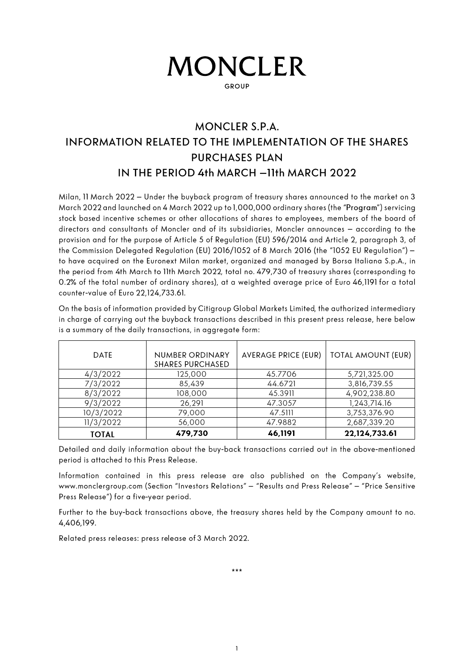# **MONCLER**

**GROUP** 

## MONCLER S.P.A. **INFORMATION RELATED TO THE IMPLEMENTATION OF THE SHARES PURCHASES PLAN** IN THE PERIOD 4th MARCH - 11th MARCH 2022

Milan, 11 March 2022 - Under the buyback program of treasury shares announced to the market on 3 March 2022 and launched on 4 March 2022 up to 1,000,000 ordinary shares (the "Program") servicing stock based incentive schemes or other allocations of shares to employees, members of the board of directors and consultants of Moncler and of its subsidiaries, Moncler announces - according to the provision and for the purpose of Article 5 of Regulation (EU) 596/2014 and Article 2, paragraph 3, of the Commission Delegated Regulation (EU) 2016/1052 of 8 March 2016 (the "1052 EU Regulation") to have acquired on the Euronext Milan market, organized and managed by Borsa Italiana S.p.A., in the period from 4th March to 11th March 2022, total no. 479,730 of treasury shares (corresponding to 0.2% of the total number of ordinary shares), at a weighted average price of Euro 46,1191 for a total counter-value of Euro 22,124,733.61.

On the basis of information provided by Citigroup Global Markets Limited, the authorized intermediary in charge of carrying out the buyback transactions described in this present press release, here below is a summary of the daily transactions, in aggregate form:

| <b>DATE</b>  | <b>NUMBER ORDINARY</b><br><b>SHARES PURCHASED</b> | <b>AVERAGE PRICE (EUR)</b> | <b>TOTAL AMOUNT (EUR)</b> |
|--------------|---------------------------------------------------|----------------------------|---------------------------|
| 4/3/2022     | 125,000                                           | 45.7706                    | 5,721,325.00              |
| 7/3/2022     | 85,439                                            | 44.6721                    | 3,816,739.55              |
| 8/3/2022     | 108,000                                           | 45.3911                    | 4,902,238.80              |
| 9/3/2022     | 26,291                                            | 47.3057                    | 1,243,714.16              |
| 10/3/2022    | 79,000                                            | 47.5111                    | 3,753,376.90              |
| 11/3/2022    | 56,000                                            | 47.9882                    | 2,687,339.20              |
| <b>TOTAL</b> | 479,730                                           | 46,1191                    | 22,124,733.61             |

Detailed and daily information about the buy-back transactions carried out in the above-mentioned period is attached to this Press Release.

Information contained in this press release are also published on the Company's website. www.monclergroup.com (Section "Investors Relations" - "Results and Press Release" - "Price Sensitive Press Release") for a five-year period.

Further to the buy-back transactions above, the treasury shares held by the Company amount to no. 4.406.199.

Related press releases: press release of 3 March 2022.

\*\*\*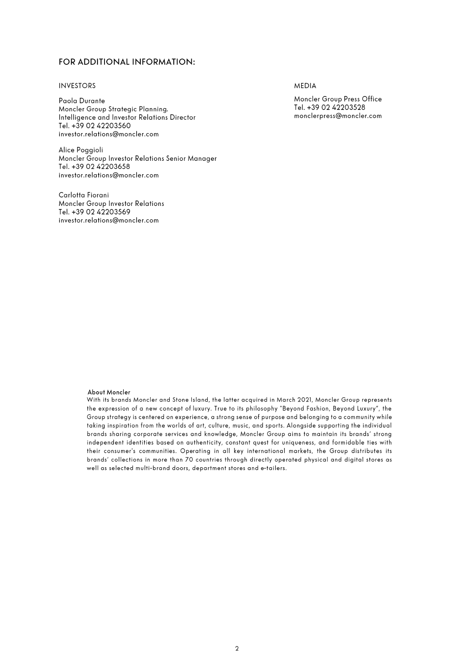### FOR ADDITIONAL INFORMATION:

#### **INVESTORS**

Paola Durante Moncler Group Strategic Planning. Intelligence and Investor Relations Director Tel. +39 02 42203560 investor.relations@moncler.com

Alice Poggioli Moncler Group Investor Relations Senior Manager Tel. +39 02 42203658 investor.relations@moncler.com

Carlotta Fiorani **Moncler Group Investor Relations** Tel. +39 02 42203569 investor.relations@moncler.com

**MEDIA** 

Moncler Group Press Office Tel. +39 02 42203528 monclerpress@moncler.com

#### About Moncler

With its brands Moncler and Stone Island, the latter acquired in March 2021, Moncler Group represents the expression of a new concept of luxury. True to its philosophy "Beyond Fashion, Beyond Luxury", the Group strategy is centered on experience, a strong sense of purpose and belonging to a community while taking inspiration from the worlds of art, culture, music, and sports. Alongside supporting the individual brands sharing corporate services and knowledge, Moncler Group aims to maintain its brands' strong independent identities based on authenticity, constant quest for uniqueness, and formidable ties with their consumer's communities. Operating in all key international markets, the Group distributes its brands' collections in more than 70 countries through directly operated physical and digital stores as well as selected multi-brand doors, department stores and e-tailers.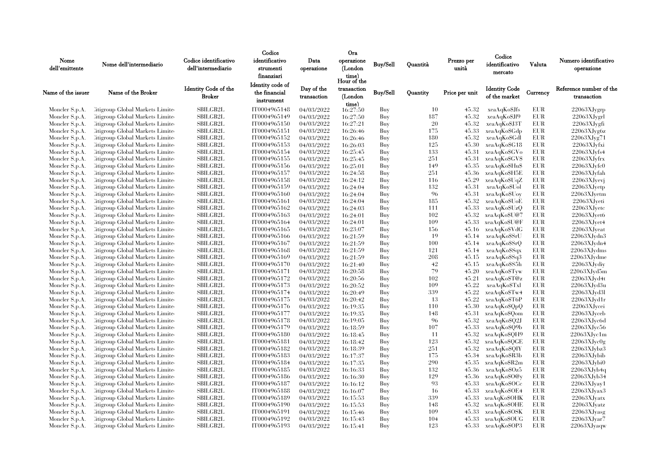|                    |                                         |                                              | Codice                      |                           | <b>Ora</b>             |                 |          |                | Codice                                |            |                                        |
|--------------------|-----------------------------------------|----------------------------------------------|-----------------------------|---------------------------|------------------------|-----------------|----------|----------------|---------------------------------------|------------|----------------------------------------|
| Nome               | Nome dell'intermediario                 | Codice identificativo                        | identificativo              | Data                      | operazione             | Buy/Sell        | Ouantità | Prezzo per     | identificativo                        | Valuta     | Numero identificativo                  |
| dell'emittente     |                                         | dell'intermediario                           | strumenti                   | operazione                | (London                |                 |          | unità          |                                       |            | operazione                             |
|                    |                                         |                                              | finanziari                  |                           | time)<br>Hour of the   |                 |          |                | mercato                               |            |                                        |
|                    |                                         |                                              | Identity code of            |                           |                        |                 |          |                |                                       |            |                                        |
| Name of the issuer | Name of the Broker                      | <b>Identity Code of the</b><br><b>Broker</b> | the financial<br>instrument | Day of the<br>transaction | transaction<br>(London | <b>Buy/Sell</b> | Quantity | Price per unit | <b>Identity Code</b><br>of the market | Currency   | Reference number of the<br>transaction |
| Moncler S.p.A.     | Litigroup Global Markets Limite         | <b>SBILGB2L</b>                              | IT0004965148                | 04/03/2022                | time)<br>16:27:50      | Buy             | 10       | 45.32          | xeaAqKo\$Jfs                          | EUR        | 22063XJygrp                            |
| Moncler S.p.A.     | Citigroup Global Markets Limite         | <b>SBILGB2L</b>                              | IT0004965149                | 04/03/2022                | 16:27:50               | Buy             | 187      | 45.32          | xeaAqKo\$Jf9                          | <b>EUR</b> | $22063X$ Jygrl                         |
| Moncler S.p.A.     | Citigroup Global Markets Limite         | <b>SBILGB2L</b>                              | IT0004965150                | 04/03/2022                | 16:27:21               | Buy             | 20       | 45.32          | xeaAqKo\$J3T                          | <b>EUR</b> | 22063XJygfi                            |
| Moncler S.p.A.     | Citigroup Global Markets Limite         | <b>SBILGB2L</b>                              | IT0004965151                | 04/03/2022                | 16:26:46               | Buy             | 175      | 45.33          | xeaAqKo\$Gdp                          | <b>EUR</b> | 22063XJyg6z                            |
| Moncler S.p.A.     | Citigroup Global Markets Limite         | SBILGB2L                                     | IT0004965152                | 04/03/2022                | 16:26:46               | Buy             | 180      | 45.32          | xeaAqKo\$Gdl                          | EUR        | 22063XJyg71                            |
| Moncler S.p.A.     | Litigroup Global Markets Limite         | SBILGB2L                                     | IT0004965153                | 04/03/2022                | 16:26:03               | Buy             | 125      | 45.30          | xeaAqKo\$G18                          | <b>EUR</b> | 22063XJvfxi                            |
| Moncler S.p.A.     | Citigroup Global Markets Limite         | <b>SBILGB2L</b>                              | IT0004965154                | 04/03/2022                | 16:25:45               | Buy             | 133      | 45.31          | xeaAqKo\$GVo                          | <b>EUR</b> | 22063XJvfs4                            |
| Moncler S.p.A.     | Citigroup Global Markets Limite         | SBILGB2L                                     | IT0004965155                | 04/03/2022                | 16:25:45               | Buy             | 251      | 45.31          | xeaAqKoSGVS                           | EUR        | 22063XJyfrx                            |
| Moncler S.p.A.     | Citigroup Global Markets Limite         | <b>SBILGB2L</b>                              | IT0004965156                | 04/03/2022                | 16:25:01               | Buy             | 149      | 45.35          | xeaAqKo\$Hu\$                         | <b>EUR</b> | 22063XJyfc0                            |
| Moncler S.p.A.     | Citigroup Global Markets Limite         | <b>SBILGB2L</b>                              | IT0004965157                | 04/03/2022                | 16:24:58               | Buy             | 251      | 45.36          | xeaAqKo\$H5E                          | <b>EUR</b> | 22063XJyfah                            |
| Moncler S.p.A.     | Citigroup Global Markets Limite         | SBILGB2L                                     | IT0004965158                | 04/03/2022                | 16:24:12               | Buy             | 116      | 45.29          | xeaAqKo\$UqZ                          | EUR        | $22063X$ Jyevj                         |
| Moncler S.p.A.     | Citigroup Global Markets Limite         | <b>SBILGB2L</b>                              | IT0004965159                | 04/03/2022                | 16:24:04               | Buy             | 132      | 45.31          | xeaAqKo\$Uol                          | <b>EUR</b> | 22063XJyetp                            |
| Moncler S.p.A.     | Citigroup Global Markets Limite         | SBILGB2L                                     | IT0004965160                | 04/03/2022                | 16:24:04               | Buy             | 96       | 45.31          | xeaAqKo\$Uoy                          | EUR        | 22063XJyetm                            |
| Moncler S.p.A.     | Citigroup Global Markets Limite         | <b>SBILGB2L</b>                              | IT0004965161                | 04/03/2022                | 16:24:04               | Buy             | 185      | 45.32          | xeaAqKo\$UoE                          | <b>EUR</b> | 22063XJyeti                            |
| Moncler S.p.A.     | Citigroup Global Markets Limite         | <b>SBILGB2L</b>                              | IT0004965162                | 04/03/2022                | 16:24:03               | Buy             | 111      | 45.33          | xeaAqKoSUzQ                           | <b>EUR</b> | 22063XJyetc                            |
| Moncler S.p.A.     | Citigroup Global Markets Limite         | <b>SBILGB2L</b>                              | IT0004965163                | 04/03/2022                | 16:24:01               | Buy             | 102      | 45.32          | xeaAqKo\$U@7                          | <b>EUR</b> | 22063XJvet6                            |
| Moncler S.p.A.     | Citigroup Global Markets Limite         | <b>SBILGB2L</b>                              | IT0004965164                | 04/03/2022                | 16:24:01               | Buy             | 109      | 45.33          | xeaAqKo\$U@F                          | <b>EUR</b> | 22063XJvet4                            |
| Moncler S.p.A.     | Citigroup Global Markets Limite         | SBILGB2L                                     | IT0004965165                | 04/03/2022                | 16:23:07               | Buy             | 156      | 45.16          | xeaAqKo\$VdG                          | EUR        | 22063XJyeat                            |
| Moncler S.p.A.     | Citigroup Global Markets Limite         | SBILGB2L                                     | IT0004965166                | 04/03/2022                | 16:21:59               | Buy             | 19       | 45.14          | xeaAqKo\$SrU                          | <b>EUR</b> | 22063XJvdn3                            |
| Moncler S.p.A.     | Citigroup Global Markets Limite         | <b>SBILGB2L</b>                              | IT0004965167                | 04/03/2022                | 16:21:59               | Buy             | 100      | 45.14          | xeaAqKoSSrQ                           | <b>EUR</b> | 22063XJvdn4                            |
| Moncler S.p.A.     | Citigroup Global Markets Limite         | SBILGB2L                                     | IT0004965168                | 04/03/2022                | 16:21:59               | Buy             | 121      | 45.14          | xeaAqKo\$Sqx                          | EUR        | 22063XJydms                            |
| Moncler S.p.A.     | Citigroup Global Markets Limite         | <b>SBILGB2L</b>                              | IT0004965169                | 04/03/2022                | 16:21:59               | Buy             | 208      | 45.15          | xeaAqKo\$Sq3                          | EUR        | 22063XJydme                            |
| Moncler S.p.A.     | Citigroup Global Markets Limite         | <b>SBILGB2L</b>                              | IT0004965170                | 04/03/2022                | 16:21:40               | Buy             | 42       | 45.15          | xeaAqKo\$S5h                          | <b>EUR</b> | 22063XJvdiv                            |
| Moncler S.p.A.     | Citigroup Global Markets Limite         | <b>SBILGB2L</b>                              | IT0004965171                | 04/03/2022                | 16:20:58               | Buy             | 79       | 45.20          | xeaAqKoSTyw                           | EUR        | $22063X$ Jyd5m                         |
| Moncler S.p.A.     | Citigroup Global Markets Limite         | <b>SBILGB2L</b>                              | IT0004965172                | 04/03/2022                | 16:20:56               | Buy             | 102      | 45.21          | xeaAqKo\$T@z                          | <b>EUR</b> | 22063XJyd4t                            |
| Moncler S.p.A.     | Citigroup Global Markets Limite         | SBILGB2L                                     | IT0004965173                | 04/03/2022                | 16:20:52               | Buy             | 109      | 45.22          | xeaAqKo\$Txl                          | EUR        | 22063XJyd3u                            |
| Moncler S.p.A.     | Citigroup Global Markets Limite         | <b>SBILGB2L</b>                              | IT0004965174                | 04/03/2022                | 16:20:49               | Buy             | 339      | 45.22          | xeaAqKo\$Tw4                          | <b>EUR</b> | 22063XJyd3l                            |
| Moncler S.p.A.     | Citigroup Global Markets Limite         | <b>SBILGB2L</b>                              | IT0004965175                | 04/03/2022                | 16:20:42               | Buy             | -13      | 45.22          | xeaAqKo\$T6P                          | <b>EUR</b> | 22063XJydr                             |
| Moncler S.p.A.     | Citigroup Global Markets Limite         | <b>SBILGB2L</b>                              | IT0004965176                | 04/03/2022                | 16:19:35               | Buy             | 110      | 45.30          | xeaAqKo\$QpQ                          | <b>EUR</b> | 22063XJycei                            |
| Moncler S.p.A.     | Citigroup Global Markets Limite         | <b>SBILGB2L</b>                              | IT0004965177                | 04/03/2022                | 16:19:35               | Buy             | 148      | 45.31          | xeaAqKo\$Qom                          | <b>EUR</b> | 22063XJyceb                            |
| Moncler S.p.A.     | Citigroup Global Markets Limite         | SBILGB2L                                     | IT0004965178                | 04/03/2022                | 16:19:05               | Buy             | 96       | 45.32          | xeaAqKo\$Q2J                          | EUR        | 22063XJyc6d                            |
| Moncler S.p.A.     | Citigroup Global Markets Limite         | SBILGB2L                                     | IT0004965179                | 04/03/2022                | 16:18:59               | Buy             | 107      | 45.33          | xeaAqKo\$Q9b                          | EUR        | $22063X$ Jyc $56$                      |
| Moncler S.p.A.     | Citigroup Global Markets Limite         | <b>SBILGB2L</b>                              | IT0004965180                | 04/03/2022                | 16:18:45               | Buy             | -11      | 45.32          | xeaAqKo\$QH9                          | <b>EUR</b> | 22063XJyc1m                            |
| Moncler S.p.A.     | Citigroup Global Markets Limite         | SBILGB2L                                     | IT0004965181                | 04/03/2022                | 16:18:42               | Buy             | 123      | 45.32          | xeaAqKo\$QGE                          | EUR        | 22063XJyc0g                            |
| Moncler S.p.A.     | Citigroup Global Markets Limite         | SBILGB2L                                     | IT0004965182                | 04/03/2022                | 16:18:39               | Buy             | 251      | 45.32          | xeaAqKo\$QIY                          | <b>EUR</b> | 22063XJvbz3                            |
| Moncler S.p.A.     | Citigroup Global Markets Limite         | <b>SBILGB2L</b>                              | IT0004965183                | 04/03/2022                | 16:17:37               | Buy             | 175      | 45.34          | xeaAqKo\$R3b                          | <b>EUR</b> | 22063XJvbib                            |
| Moncler S.p.A.     | Citigroup Global Markets Limite         | <b>SBILGB2L</b>                              | IT0004965184                | 04/03/2022                | 16:17:35               | Buy             | 290      | 45.35          | xeaAqKo\$R2m                          | <b>EUR</b> | 22063XJvbi0                            |
| Moncler S.p.A.     | Citigroup Global Markets Limite         | <b>SBILGB2L</b>                              | IT0004965185                | 04/03/2022                | 16:16:33               | Buy             | 132      | 45.36          | xeaAqKo\$Oz5                          | <b>EUR</b> | $22063X$ Jyb $4q$                      |
| Moncler S.p.A.     | Citigroup Global Markets Limite         | SBILGB2L                                     | IT0004965186                | 04/03/2022                | 16:16:30               | Buy             | 129      | 45.36          | xeaAqKo\$O@y                          | EUR        | 22063XJyb34                            |
| Moncler S.p.A.     | Citigroup Global Markets Limite         | <b>SBILGB2L</b>                              | IT0004965187                | 04/03/2022                | 16:16:12               | Buy             | 93       | 45.33          | xeaAqKo\$OCc                          | <b>EUR</b> | $22063X$ Jyay1                         |
| Moncler S.p.A.     | Citigroup Global Markets Limite         | <b>SBILGB2L</b>                              | IT0004965188                | 04/03/2022                | 16:16:07               | Buy             | 16       | 45.33          | xeaAqKo\$OE4                          | <b>EUR</b> | $22063X$ Jyax $3$                      |
| Moncler S.p.A.     | Citigroup Global Markets Limite         | <b>SBILGB2L</b>                              | IT0004965189                | 04/03/2022                | 16:15:53               | Buy             | 339      | 45.33          | xeaAqKo\$OHK                          | <b>EUR</b> | 22063XJyatx                            |
| Moncler S.p.A.     | Citigroup Global Markets Limite         | <b>SBILGB2L</b>                              | IT0004965190                | 04/03/2022                | 16:15:53               | Buy             | 148      | 45.32          | xeaAqKo\$OHE                          | <b>EUR</b> | 22063XJyatz                            |
| Moncler S.p.A.     | Citigroup Global Markets Limite         | SBILGB2L                                     | IT0004965191                | 04/03/2022                | 16:15:46               | Buy             | 109      | 45.33          | xeaAqKo\$OSK                          | EUR        | 22063XJyasg                            |
| Moncler S.p.A.     | Citigroup Global Markets Limite         | SBILGB2L                                     | IT0004965192                | 04/03/2022                | 16:15:43               | Buy             | 104      | 45.33          | xeaAqKo\$OUG                          | EUR        | 22063XJyar7                            |
| Moncler S.p.A.     | <b>Eitigroup Global Markets Limited</b> | <b>SBILGB2L</b>                              | IT0004965193                | 04/03/2022                | 16:15:41               | Buv             | 123      |                | 45.33 xeaAqKo\$OP3                    | <b>EUR</b> | 22063XJyaqw                            |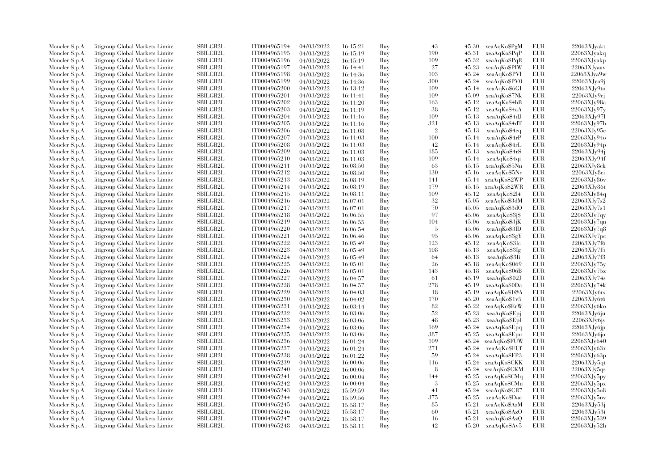| Moncler S.p.A.                   | <b>Citigroup Global Markets Limited</b> | <b>SBILGB2L</b> | IT0004965194 | 04/03/2022               | 16:15:21             | Buy        | 43         | 45.30 | xeaAqKo\$PgM       | EUR        | 22063XJyakt    |
|----------------------------------|-----------------------------------------|-----------------|--------------|--------------------------|----------------------|------------|------------|-------|--------------------|------------|----------------|
| Moncler S.p.A.                   | Citigroup Global Markets Limite         | SBILGB2L        | IT0004965195 | 04/03/2022               | 16:15:19             | Buy        | 190        | 45.31 | xeaAqKo\$PqP       | EUR        | 22063XJyakq    |
| Moncler S.p.A.                   | <b>Citigroup Global Markets Limited</b> | SBILGB2L        | IT0004965196 | 04/03/2022               | 16:15:19             | Buy        | 109        | 45.32 | xeaAqKo\$PqR       | EUR        | 22063XJyakp    |
| Moncler S.p.A.                   | Citigroup Global Markets Limite         | <b>SBILGB2L</b> | IT0004965197 | 04/03/2022               | 16:14:41             | Buy        | 27         | 45.23 | xeaAqKo\$PIW       | EUR        | 22063XJyaav    |
| Moncler S.p.A.                   | Citigroup Global Markets Limited        | <b>SBILGB2L</b> | IT0004965198 | 04/03/2022               | 16:14:36             | Buy        | 103        | 45.24 | xeaAqKo\$PVl       | <b>EUR</b> | $22063X$ Jya9w |
| Moncler S.p.A.                   | Citigroup Global Markets Limite         | SBILGB2L        | IT0004965199 | 04/03/2022               | 16:14:36             | Buy        | 300        | 45.24 | xeaAqKo\$PV0       | EUR        | 22063XJya9j    |
| Moncler S.p.A.                   | <b>Citigroup Global Markets Limited</b> | <b>SBILGB2L</b> | IT0004965200 | 04/03/2022               | 16:13:12             | Buy        | 109        | 45.14 | xeaAqKo\$6GI       | <b>EUR</b> | 22063XJv9to    |
| Moncler S.p.A.                   | Citigroup Global Markets Limite         | <b>SBILGB2L</b> | IT0004965201 | 04/03/2022               | 16:11:41             | Buy        | 109        | 45.09 | xeaAqKo\$7Nk       | <b>EUR</b> | 22063XJy9ci    |
| Moncler S.p.A.                   | Citigroup Global Markets Limite         | <b>SBILGB2L</b> | IT0004965202 | 04/03/2022               | 16:11:20             | Buy        | 163        | 45.12 | xeaAqKo\$4bB       | EUR        | 22063XJy98a    |
| Moncler S.p.A.                   | <b>Citigroup Global Markets Limited</b> | SBILGB2L        | IT0004965203 | 04/03/2022               | 16:11:19             | Buy        | 38         | 45.12 | xeaAqKo\$4aA       | <b>EUR</b> | 22063XJv97v    |
| Moncler S.p.A.                   | Citigroup Global Markets Limite         | <b>SBILGB2L</b> | IT0004965204 | 04/03/2022               | 16:11:16             | Buy        | 109        | 45.13 | xeaAqKo\$4dJ       | <b>EUR</b> | 22063XJv97l    |
| Moncler S.p.A.                   | Citigroup Global Markets Limite         | <b>SBILGB2L</b> | IT0004965205 | 04/03/2022               | 16:11:16             | Buy        | 321        | 45.13 | xeaAqKo\$4dT       | <b>EUR</b> | 22063XJv97h    |
| Moncler S.p.A.                   | Citigroup Global Markets Limite         | SBILGB2L        | IT0004965206 | 04/03/2022               | 16:11:08             | Buy        | $\sqrt{2}$ | 45.13 | xeaAqKo\$4eq       | EUR        | 22063XJy95e    |
| Moncler S.p.A.                   | <b>Citigroup Global Markets Limited</b> | SBILGB2L        | IT0004965207 | 04/03/2022               | 16:11:03             | Buy        | 100        | 45.14 | xeaAqKo\$4rP       | EUR        | 22063XJv94o    |
| Moncler S.p.A.                   | Citigroup Global Markets Limite         | <b>SBILGB2L</b> | IT0004965208 | 04/03/2022               | 16:11:03             | Buy        | 42         | 45.14 | xeaAqKo\$4rL       | EUR        | 22063XJy94p    |
| Moncler S.p.A.                   | Citigroup Global Markets Limite         | <b>SBILGB2L</b> | IT0004965209 | 04/03/2022               | 16:11:03             | Buy        | 185        | 45.13 | xeaAqKo\$4rS       | <b>EUR</b> | 22063XJv94j    |
| Moncler S.p.A.                   | Citigroup Global Markets Limite         | SBILGB2L        | IT0004965210 | 04/03/2022               | 16:11:03             | Buy        | 109        | 45.14 | xeaAqKo\$4qi       | EUR        | 22063XJy94f    |
| Moncler S.p.A.                   | <b>Citigroup Global Markets Limited</b> | <b>SBILGB2L</b> | IT0004965211 | 04/03/2022               | 16:08:50             | Buy        | 63         | 45.15 | xeaAqKo\$5Nn       | <b>EUR</b> | 22063XJv8ck    |
| Moncler S.p.A.                   | Citigroup Global Markets Limite         | <b>SBILGB2L</b> | IT0004965212 | 04/03/2022               | 16:08:50             | Buy        | 130        | 45.16 | xeaAqKo\$5Nr       | <b>EUR</b> | 22063XJy8ci    |
| Moncler S.p.A.                   | Citigroup Global Markets Limite         | <b>SBILGB2L</b> | IT0004965213 | 04/03/2022               | 16:08:19             | Buy        | 141        | 45.14 | xeaAqKo\$2WP       | <b>EUR</b> | 22063XJv86v    |
| Moncler S.p.A.                   | Citigroup Global Markets Limite         | SBILGB2L        | IT0004965214 | 04/03/2022               | 16:08:19             | Buy        | 179        | 45.15 | xeaAqKo\$2WR       | <b>EUR</b> | 22063XJy86t    |
| Moncler S.p.A.                   | Citigroup Global Markets Limite         | SBILGB2L        | IT0004965215 | 04/03/2022               | 16:08:11             | Buy        | 109        | 45.12 | xeaAqKo\$2l4       | <b>EUR</b> | 22063XJv84q    |
| Moncler S.p.A.                   | Citigroup Global Markets Limite         | <b>SBILGB2L</b> | IT0004965216 | 04/03/2022               | 16:07:01             | Buy        | 32         | 45.05 | xeaAqKo\$3dM       | <b>EUR</b> | 22063XJv7s2    |
| Moncler S.p.A.                   | Citigroup Global Markets Limite         | SBILGB2L        | IT0004965217 | 04/03/2022               | 16:07:01             | Buy        | 70         | 45.05 | xeaAqKo\$3dO       | EUR        | 22063XJv7s1    |
| Moncler S.p.A.                   | <b>Eitigroup Global Markets Limited</b> | <b>SBILGB2L</b> | IT0004965218 | 04/03/2022               | 16:06:55             | Buy        | 97         | 45.06 | xeaAqKo\$3j\$      | EUR        | 22063XJy7qy    |
| Moncler S.p.A.                   | Citigroup Global Markets Limite         | <b>SBILGB2L</b> | IT0004965219 | 04/03/2022               |                      | Buy        | 104        | 45.06 | xeaAqKo\$3jK       | <b>EUR</b> | 22063XJv7cm    |
|                                  | Citigroup Global Markets Limite         | <b>SBILGB2L</b> | IT0004965220 | 04/03/2022               | 16:06:55             | Buy        | -5         | 45.06 | xeaAqKo\$3lD       | <b>EUR</b> | 22063XJy7q8    |
| Moncler S.p.A.<br>Moncler S.p.A. | <b>Citigroup Global Markets Limited</b> | SBILGB2L        | IT0004965221 |                          | 16:06:54             |            | 95         | 45.06 | xeaAqKo\$3gY       | EUR        | 22063XJy7pc    |
| Moncler S.p.A.                   | Citigroup Global Markets Limite         | <b>SBILGB2L</b> | IT0004965222 | 04/03/2022<br>04/03/2022 | 16:06:46<br>16:05:49 | Buy<br>Buy | 123        | 45.12 | xeaAqKo\$3Ic       | <b>EUR</b> | 22063XJv7f6    |
|                                  | Citigroup Global Markets Limite         | <b>SBILGB2L</b> | IT0004965223 |                          |                      | Buy        | 108        | 45.13 | xeaAqKo\$3Ig       | <b>EUR</b> | 22063XJv7f5    |
| Moncler S.p.A.                   |                                         | <b>SBILGB2L</b> |              | 04/03/2022               | 16:05:49             |            |            |       |                    |            | 22063XJv7f3    |
| Moncler S.p.A.                   | Citigroup Global Markets Limite         | SBILGB2L        | IT0004965224 | 04/03/2022               | 16:05:49             | Buy        | 64<br>26   | 45.13 | xeaAqKo\$3Ii       | EUR        |                |
| Moncler S.p.A.                   | <b>Citigroup Global Markets Limited</b> |                 | IT0004965225 | 04/03/2022               | 16:05:01             | Buy        |            | 45.18 | xeaAqKo\$069       | EUR        | 22063XJy75y    |
| Moncler S.p.A.                   | <b>Eitigroup Global Markets Limited</b> | <b>SBILGB2L</b> | IT0004965226 | 04/03/2022               | 16:05:01             | Buy        | 143        | 45.18 | xeaAqKo\$06B       | <b>EUR</b> | 22063XJv75x    |
| Moncler S.p.A.                   | Citigroup Global Markets Limited        | <b>SBILGB2L</b> | IT0004965227 | 04/03/2022               | 16:04:57             | Buy        | -61        | 45.19 | xeaAqKo\$02J       | <b>EUR</b> | 22063XJv74s    |
| Moncler S.p.A.                   | Citigroup Global Markets Limite         | SBILGB2L        | IT0004965228 | 04/03/2022               | 16:04:57             | Buy        | 278        | 45.19 | xeaAqKo\$0Da       | EUR        | 22063XJv74k    |
| Moncler S.p.A.                   | <b>Eitigroup Global Markets Limited</b> | <b>SBILGB2L</b> | IT0004965229 | 04/03/2022               | 16:04:03             | Buy        | 18         | 45.19 | xeaAqKo\$1@A       | <b>EUR</b> | 22063XJy6ts    |
| Moncler S.p.A.                   | Citigroup Global Markets Limite         | <b>SBILGB2L</b> | IT0004965230 | 04/03/2022               | 16:04:02             | Buy        | 170        | 45.20 | xeaAqKo\$1v5       | <b>EUR</b> | 22063XJy6t6    |
| Moncler S.p.A.                   | Citigroup Global Markets Limite         | <b>SBILGB2L</b> | IT0004965231 | 04/03/2022               | 16:03:14             | Buy        | 82         | 45.22 | xeaAqKo\$ErW       | <b>EUR</b> | 22063XJy6ko    |
| Moncler S.p.A.                   | <b>Citigroup Global Markets Limited</b> | SBILGB2L        | IT0004965232 | 04/03/2022               | 16:03:06             | Buy        | 52         | 45.23 | xeaAqKo\$Epj       | EUR        | 22063XJy6ju    |
| Moncler S.p.A.                   | Citigroup Global Markets Limite         | <b>SBILGB2L</b> | IT0004965233 | 04/03/2022               | 16:03:06             | Buy        | 48         | 45.23 | xeaAqKoSEpl        | <b>EUR</b> | 22063XJy6js    |
| Moncler S.p.A.                   | Citigroup Global Markets Limite         | SBILGB2L        | IT0004965234 | 04/03/2022               | 16:03:06             | Buy        | 169        | 45.24 | xeaAqKo\$Epq       | <b>EUR</b> | 22063XJy6jp    |
| Moncler S.p.A.                   | Citigroup Global Markets Limite         | SBILGB2L        | IT0004965235 | 04/03/2022               | 16:03:06             | Buy        | 387        | 45.25 | xeaAqKo\$Epu       | EUR        | 22063XJy6j0    |
| Moncler S.p.A.                   | <b>Eitigroup Global Markets Limited</b> | SBILGB2L        | IT0004965236 | 04/03/2022               | 16:01:24             | Buy        | 109        | 45.24 | xeaAqKo\$FUW       | <b>EUR</b> | 22063XJv640    |
| Moncler S.p.A.                   | Citigroup Global Markets Limite         | <b>SBILGB2L</b> | IT0004965237 | 04/03/2022               | 16:01:24             | Buy        | 271        | 45.24 | xeaAqKoSFUf        | <b>EUR</b> | 22063XJy63x    |
| Moncler S.p.A.                   | Citigroup Global Markets Limite         | <b>SBILGB2L</b> | IT0004965238 | 04/03/2022               | 16:01:22             | Buy        | 59         | 45.24 | xeaAqKo\$FP3       | <b>EUR</b> | 22063XJy63p    |
| Moncler S.p.A.                   | Citigroup Global Markets Limite         | SBILGB2L        | IT0004965239 | 04/03/2022               | 16:00:06             | Buy        | 116        | 45.24 | xeaAqKo\$CKK       | <b>EUR</b> | 22063XJy5qt    |
| Moncler S.p.A.                   | Citigroup Global Markets Limite         | <b>SBILGB2L</b> | IT0004965240 | 04/03/2022               | 16:00:06             | Buy        | 8          | 45.24 | xeaAqKo\$CKM       | <b>EUR</b> | 22063XJy5qs    |
| Moncler S.p.A.                   | Citigroup Global Markets Limite         | <b>SBILGB2L</b> | IT0004965241 | 04/03/2022               | 16:00:04             | Buy        | 144        | 45.25 | xeaAqKo\$CMq       | <b>EUR</b> | 22063XJy5py    |
| Moncler S.p.A.                   | Citigroup Global Markets Limited        | <b>SBILGB2L</b> | IT0004965242 | 04/03/2022               | 16:00:04             | Buy        | 3          | 45.25 | xeaAqKo\$CMu       | EUR        | 22063XJy5px    |
| Moncler S.p.A.                   | Citigroup Global Markets Limited        | SBILGB2L        | IT0004965243 | 04/03/2022               | 15:59:59             | Buy        | 41         | 45.24 | xeaAqKo\$CR7       | EUR        | 22063XJv5o8    |
| Moncler S.p.A.                   | Citigroup Global Markets Limite         | <b>SBILGB2L</b> | IT0004965244 | 04/03/2022               | 15:59:56             | Buy        | 375        | 45.25 | xeaAqKo\$Dae       | <b>EUR</b> | 22063XJy5nv    |
| Moncler S.p.A.                   | Citigroup Global Markets Limite         | <b>SBILGB2L</b> | IT0004965245 | 04/03/2022               | 15:58:17             | Buy        | 85         | 45.21 | xeaAqKo\$AzM       | <b>EUR</b> | 22063XJy53j    |
| Moncler S.p.A.                   | Citigroup Global Markets Limite         | SBILGB2L        | IT0004965246 | 04/03/2022               | 15:58:17             | Buy        | 60         | 45.21 | xeaAqKo\$AzO       | EUR        | 22063XJy53i    |
| Moncler S.p.A.                   | <b>Eitigroup Global Markets Limited</b> | SBILGB2L        | IT0004965247 | 04/03/2022               | 15:58:17             | Buy        | 16         | 45.21 | xeaAqKo\$AzQ       | <b>EUR</b> | 22063XJv539    |
| Moncler S.p.A.                   | Citigroup Global Markets Limited        | SBILGB2L        | IT0004965248 | 04/03/2022               | 15:58:11             | Buy        | 42         |       | 45.20 xeaAqKo\$Av5 | <b>EUR</b> | 22063XJv52h    |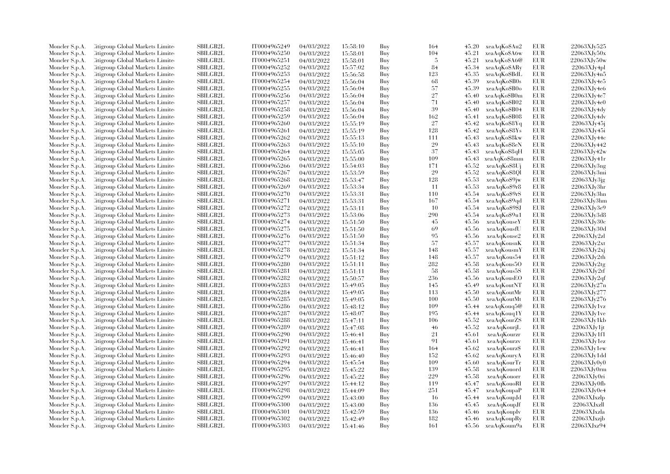| Moncler S.p.A.                   | Citigroup Global Markets Limite                                    | SBILGB2L                    | IT0004965249 | 04/03/2022               | 15:58:10             | Buy        | 164 | 45.20 | xeaAqKo\$Au2               | EUR        | 22063XJv525               |
|----------------------------------|--------------------------------------------------------------------|-----------------------------|--------------|--------------------------|----------------------|------------|-----|-------|----------------------------|------------|---------------------------|
| Moncler S.p.A.                   | Citigroup Global Markets Limite                                    | SBILGB2L                    | IT0004965250 | 04/03/2022               | 15:58:01             | Buy        | 104 | 45.21 | xeaAqKo\$A6w               | EUR        | 22063XJv50x               |
| Moncler S.p.A.                   | Citigroup Global Markets Limited                                   | <b>SBILGB2L</b>             | IT0004965251 | 04/03/2022               | 15:58:01             | Buy        | -5  | 45.21 | xeaAqKo\$A6@               | <b>EUR</b> | 22063XJv50w               |
| Moncler S.p.A.                   | Litigroup Global Markets Limite                                    | SBILGB2L                    | IT0004965252 | 04/03/2022               | 15:57:02             | Buy        | 84  | 45.34 | xeaAqKo\$ARy               | <b>EUR</b> | 22063XJv4pl               |
| Moncler S.p.A.                   | Citigroup Global Markets Limite                                    | <b>SBILGB2L</b>             | IT0004965253 | 04/03/2022               | 15:56:58             | Buy        | 123 | 45.35 | xeaAqKo\$BdL               | EUR        | 22063XJv4n5               |
| Moncler S.p.A.                   | Citigroup Global Markets Limite                                    | SBILGB2L                    | IT0004965254 | 04/03/2022               | 15:56:04             | Buy        | 68  | 45.39 | xeaAqKo\$B0s               | <b>EUR</b> | 22063XJy4e5               |
| Moncler S.p.A.                   | Citigroup Global Markets Limited                                   | <b>SBILGB2L</b>             | IT0004965255 | 04/03/2022               | 15:56:04             | Buy        | 57  | 45.39 | xeaAqKo\$B0o               | <b>EUR</b> | 22063XJv4e6               |
| Moncler S.p.A.                   | Litigroup Global Markets Limite                                    | <b>SBILGB2L</b>             | IT0004965256 | 04/03/2022               | 15:56:04             | Buy        | 27  | 45.40 | xeaAqKo\$B0m               | <b>EUR</b> | 22063XJy4e7               |
| Moncler S.p.A.                   | Citigroup Global Markets Limite                                    | <b>SBILGB2L</b>             | IT0004965257 | 04/03/2022               | 15:56:04             | Buy        | 71  | 45.40 | xeaAqKo\$B02               | <b>EUR</b> | 22063XJy4e0               |
| Moncler S.p.A.                   | Citigroup Global Markets Limite                                    | <b>SBILGB2L</b>             | IT0004965258 | 04/03/2022               | 15:56:04             | Buy        | 39  | 45.40 | xeaAqKo\$B04               | <b>EUR</b> | 22063XJy4dy               |
| Moncler S.p.A.                   | Litigroup Global Markets Limite                                    | <b>SBILGB2L</b>             | IT0004965259 | 04/03/2022               | 15:56:04             | Buy        | 162 | 45.41 | xeaAqKo\$B08               | <b>EUR</b> | 22063XJy4dv               |
| Moncler S.p.A.                   | Litigroup Global Markets Limite                                    | <b>SBILGB2L</b>             | IT0004965260 | 04/03/2022               | 15:55:19             | Buy        | 27  | 45.42 | xeaAqKo\$8Yq               | <b>EUR</b> | 22063XJy45j               |
| Moncler S.p.A.                   | Citigroup Global Markets Limite                                    | SBILGB2L                    | IT0004965261 | 04/03/2022               | 15:55:19             | Buy        | 128 | 45.42 | xeaAqKo\$8Ys               | EUR        | 22063XJy45i               |
| Moncler S.p.A.                   | Citigroup Global Markets Limited                                   | SBILGB2L                    | IT0004965262 | 04/03/2022               | 15:55:13             | Buy        | 111 | 45.43 | xeaAqKo\$8kw               | EUR        | 22063XJv44c               |
| Moncler S.p.A.                   | Litigroup Global Markets Limite                                    | SBILGB2L                    | IT0004965263 | 04/03/2022               | 15:55:10             | Buy        | 29  | 45.43 | xeaAqKo\$8eN               | EUR        | 22063XJy442               |
| Moncler S.p.A.                   | Citigroup Global Markets Limite                                    | <b>SBILGB2L</b>             | IT0004965264 | 04/03/2022               | 15:55:05             | Buy        | 37  | 45.43 | xeaAqKo\$8qH               | <b>EUR</b> | 22063XJv42w               |
| Moncler S.p.A.                   | Citigroup Global Markets Limite                                    | SBILGB2L                    | IT0004965265 | 04/03/2022               | 15:55:00             | Buy        | 109 | 45.43 | xeaAqKo\$8mm               | <b>EUR</b> | 22063XJy41r               |
| Moncler S.p.A.                   | Citigroup Global Markets Limited                                   | SBILGB2L                    | IT0004965266 | 04/03/2022               | 15:54:03             | Buy        | 171 | 45.52 | xeaAqKo\$8Ui               | <b>EUR</b> | 22063XJy3ng               |
| Moncler S.p.A.                   | Litigroup Global Markets Limite                                    | <b>SBILGB2L</b>             | IT0004965267 | 04/03/2022               | 15:53:59             | Buy        | 29  | 45.52 | xeaAqKo\$801               | <b>EUR</b> | 22063XJv3mi               |
| Moncler S.p.A.                   | Litigroup Global Markets Limite                                    | <b>SBILGB2L</b>             | IT0004965268 | 04/03/2022               | 15:53:47             | Buy        | 128 | 45.53 | xeaAqKo\$9jw               | EUR        | 22063XJy3jg               |
| Moncler S.p.A.                   | Citigroup Global Markets Limite                                    | <b>SBILGB2L</b>             | IT0004965269 | 04/03/2022               | 15:53:34             | Buy        | 11  | 45.53 | xeaAqKo\$9r8               | <b>EUR</b> | 22063XJy3hr               |
| Moncler S.p.A.                   | Citigroup Global Markets Limite                                    | SBILGB2L                    | IT0004965270 | 04/03/2022               | 15:53:31             | Buy        | 110 | 45.54 | xeaAqKo\$9rS               | <b>EUR</b> | 22063XJv3hn               |
| Moncler S.p.A.                   | Citigroup Global Markets Limite                                    | <b>SBILGB2L</b>             | IT0004965271 | 04/03/2022               | 15:53:31             | Buy        | 167 | 45.54 | xeaAqKo\$9qd               | <b>EUR</b> | 22063XJv3hm               |
| Moncler S.p.A.                   | Citigroup Global Markets Limite                                    | SBILGB2L                    | IT0004965272 | 04/03/2022               | 15:53:11             | Buy        | 10  | 45.54 | xeaAqKo\$9\$J              | <b>EUR</b> | 22063XJv3e9               |
| Moncler S.p.A.                   | Citigroup Global Markets Limite                                    | <b>SBILGB2L</b>             | IT0004965273 | 04/03/2022               | 15:53:06             | Buy        | 290 | 45.54 | xeaAqKo\$9u1               | EUR        | 22063XJv3d8               |
| Moncler S.p.A.                   | Citigroup Global Markets Limite                                    | <b>SBILGB2L</b>             | IT0004965274 | 04/03/2022               | 15:51:50             | Buy        | 45  | 45.56 | xeaAqKouseY                | <b>EUR</b> | 22063XJv30c               |
|                                  | Citigroup Global Markets Limite                                    | <b>SBILGB2L</b>             | IT0004965275 | 04/03/2022               |                      | Buy        | 69  | 45.56 | xeaAqKousfU                | <b>EUR</b> | 22063XJy30d               |
| Moncler S.p.A.                   |                                                                    | SBILGB2L                    | IT0004965276 |                          | 15:51:50             |            | 95  | 45.56 |                            | <b>EUR</b> |                           |
| Moncler S.p.A.<br>Moncler S.p.A. | Citigroup Global Markets Limite<br>Citigroup Global Markets Limite | <b>SBILGB2L</b>             | IT0004965277 | 04/03/2022<br>04/03/2022 | 15:51:50<br>15:51:34 | Buy<br>Buy | 57  | 45.57 | xeaAqKouse2<br>xeaAqKousnK | <b>EUR</b> | 22063XJy2z<br>22063XJy2xt |
|                                  |                                                                    |                             |              |                          |                      |            |     |       |                            | <b>EUR</b> |                           |
| Moncler S.p.A.                   | Citigroup Global Markets Limite                                    | <b>SBILGB2L</b>             | IT0004965278 | 04/03/2022               | 15:51:34             | Buy        | 148 | 45.57 | xeaAqKousmY                |            | 22063XJy2xj               |
| Moncler S.p.A.                   | Citigroup Global Markets Limite                                    | <b>SBILGB2L</b><br>SBILGB2L | IT0004965279 | 04/03/2022               | 15:51:12             | Buy        | 148 | 45.57 | xeaAqKous54                | <b>EUR</b> | 22063XJv2th               |
| Moncler S.p.A.                   | Citigroup Global Markets Limite                                    |                             | IT0004965280 | 04/03/2022               | 15:51:11             | Buy        | 282 | 45.58 | xeaAqKous5O                | <b>EUR</b> | 22063XJy2tg               |
| Moncler S.p.A.                   | Citigroup Global Markets Limite                                    | <b>SBILGB2L</b>             | IT0004965281 | 04/03/2022               | 15:51:11             | Buy        | 58  | 45.58 | xeaAqKous5S                | <b>EUR</b> | 22063XJy2tf               |
| Moncler S.p.A.                   | Citigroup Global Markets Limite                                    | <b>SBILGB2L</b>             | IT0004965282 | 04/03/2022               | 15:50:57             | Buy        | 236 | 45.56 | xeaAqKousEO                | <b>EUR</b> | 22063XJy2qf               |
| Moncler S.p.A.                   | Citigroup Global Markets Limite                                    | SBILGB2L                    | IT0004965283 | 04/03/2022               | 15:49:05             | Buy        | 145 | 45.49 | xeaAqKoutNT                | <b>EUR</b> | 22063XJy27n               |
| Moncler S.p.A.                   | Citigroup Global Markets Limite                                    | <b>SBILGB2L</b>             | IT0004965284 | 04/03/2022               | 15:49:05             | Buy        | 113 | 45.50 | xeaAqKoutMr                | <b>EUR</b> | 22063XJv277               |
| Moncler S.p.A.                   | Citigroup Global Markets Limite                                    | <b>SBILGB2L</b>             | IT0004965285 | 04/03/2022               | 15:49:05             | Buy        | 100 | 45.50 | xeaAqKoutMt                | EUR        | 22063XJv276               |
| Moncler S.p.A.                   | Citigroup Global Markets Limite                                    | <b>SBILGB2L</b>             | IT0004965286 | 04/03/2022               | 15:48:12             | Buy        | 109 | 45.44 | xeaAqKouq5@                | <b>EUR</b> | 22063XJy1yz               |
| Moncler S.p.A.                   | Citigroup Global Markets Limite                                    | <b>SBILGB2L</b>             | IT0004965287 | 04/03/2022               | 15:48:07             | Buy        | 195 | 45.44 | xeaAqKouq1Y                | <b>EUR</b> | 22063XJy1ve               |
| Moncler S.p.A.                   | Citigroup Global Markets Limite                                    | <b>SBILGB2L</b>             | IT0004965288 | 04/03/2022               | 15:47:11             | Buy        | 106 | 45.52 | xeaAqKourZS                | <b>EUR</b> | 22063XJv1kb               |
| Moncler S.p.A.                   | Citigroup Global Markets Limite                                    | <b>SBILGB2L</b>             | IT0004965289 | 04/03/2022               | 15:47:08             | Buy        | 46  | 45.52 | xeaAqKourjL                | <b>EUR</b> | $22063XJy1$ jt            |
| Moncler S.p.A.                   | Citigroup Global Markets Limite                                    | SBILGB2L                    | IT0004965290 | 04/03/2022               | 15:46:41             | Buy        | 21  | 45.61 | xeaAqKourzr                | EUR        | 22063XJy1f1               |
| Moncler S.p.A.                   | Citigroup Global Markets Limite                                    | <b>SBILGB2L</b>             | IT0004965291 | 04/03/2022               | 15:46:41             | Buy        | 91  | 45.61 | xeaAqKourzv                | <b>EUR</b> | 22063XJy1ez               |
| Moncler S.p.A.                   | Citigroup Global Markets Limite                                    | <b>SBILGB2L</b>             | IT0004965292 | 04/03/2022               | 15:46:41             | Buy        | 164 | 45.62 | xeaAqKourz\$               | <b>EUR</b> | 22063XJy1ew               |
| Moncler S.p.A.                   | Citigroup Global Markets Limite                                    | <b>SBILGB2L</b>             | IT0004965293 | 04/03/2022               | 15:46:40             | Buy        | 152 | 45.62 | xeaAqKouryA                | <b>EUR</b> | 22063XJy1dd               |
| Moncler S.p.A.                   | Citigroup Global Markets Limite                                    | <b>SBILGB2L</b>             | IT0004965294 | 04/03/2022               | 15:45:54             | Buy        | 109 | 45.60 | xeaAqKourTr                | <b>EUR</b> | 22063XJy0y0               |
| Moncler S.p.A.                   | Citigroup Global Markets Limite                                    | <b>SBILGB2L</b>             | IT0004965295 | 04/03/2022               | 15:45:22             | Buy        | 139 | 45.58 | xeaAqKouord                | <b>EUR</b> | 22063XJy0rm               |
| Moncler S.p.A.                   | Citigroup Global Markets Limite                                    | <b>SBILGB2L</b>             | IT0004965296 | 04/03/2022               | 15:45:22             | Buy        | 229 | 45.58 | xeaAqKouorr                | <b>EUR</b> | 22063XJy0ri               |
| Moncler S.p.A.                   | Citigroup Global Markets Limite                                    | <b>SBILGB2L</b>             | IT0004965297 | 04/03/2022               | 15:44:12             | Buy        | 119 | 45.47 | xeaAqKouoRI                | <b>EUR</b> | 22063XJv0fb               |
| Moncler S.p.A.                   | Citigroup Global Markets Limite                                    | SBILGB2L                    | IT0004965298 | 04/03/2022               | 15:44:09             | Buy        | 251 | 45.47 | xeaAqKoupaP                | <b>EUR</b> | 22063XJy0e4               |
| Moncler S.p.A.                   | Litigroup Global Markets Limite                                    | <b>SBILGB2L</b>             | IT0004965299 | 04/03/2022               | 15:43:00             | Buy        | -16 | 45.44 | xeaAqKoupJd                | <b>EUR</b> | 22063XJxzlp               |
| Moncler S.p.A.                   | Litigroup Global Markets Limite                                    | SBILGB2L                    | IT0004965300 | 04/03/2022               | 15:43:00             | Buy        | 136 | 45.45 | xeaAqKoupJf                | <b>EUR</b> | 22063XJxzll               |
| Moncler S.p.A.                   | Citigroup Global Markets Limite                                    | SBILGB2L                    | IT0004965301 | 04/03/2022               | 15:42:59             | Buy        | 136 | 45.46 | xeaAqKoupIv                | EUR        | 22063XJxzla               |
| Moncler S.p.A.                   | Citigroup Global Markets Limite                                    | <b>SBILGB2L</b>             | IT0004965302 | 04/03/2022               | 15:42:49             | Buy        | 182 | 45.46 | xeaAqKoupRy                | <b>EUR</b> | 22063XJxzjb               |
| Moncler S.p.A.                   | Citigroup Global Markets Limited                                   | SBILGB2L                    | IT0004965303 | 04/03/2022               | 15:41:46             | Buv        | 161 |       | 45.56 xeaAqKoum9a          | <b>EUR</b> | 22063XJxz94               |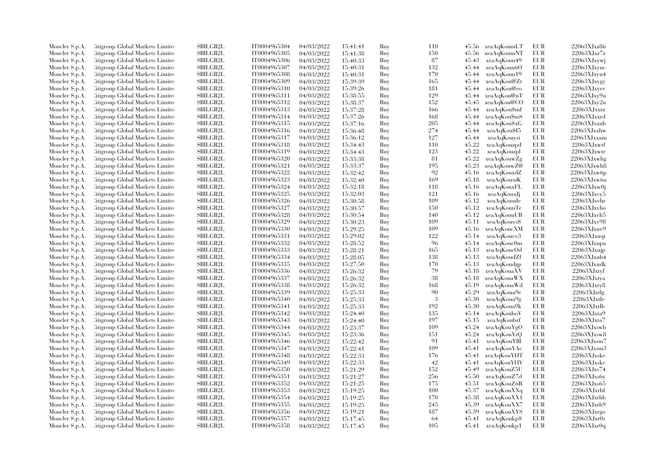| Moncler S.p.A. | Citigroup Global Markets Limite  | SBILGB2L        | IT0004965304 | 04/03/2022 | 15:41:41 | Buy | 110 |       | 45.56 xeaAqKoumLT | EUR        | 22063XJxz86    |
|----------------|----------------------------------|-----------------|--------------|------------|----------|-----|-----|-------|-------------------|------------|----------------|
| Moncler S.p.A. | Citigroup Global Markets Limite  | SBILGB2L        | IT0004965305 | 04/03/2022 | 15:41:38 | Buy | 150 | 45.56 | xeaAqKoumNT       | EUR        | 22063XJxz7z    |
| Moncler S.p.A. | Citigroup Global Markets Limited | <b>SBILGB2L</b> | IT0004965306 | 04/03/2022 | 15:40:33 | Buy | 87  | 45.43 | xeaAqKoun49       | <b>EUR</b> | 22063XJxywj    |
| Moncler S.p.A. | Litigroup Global Markets Limite  | SBILGB2L        | IT0004965307 | 04/03/2022 | 15:40:31 | Buy | 132 | 45.44 | xeaAqKoun6O       | EUR        | 22063XJxyuc    |
| Moncler S.p.A. | Citigroup Global Markets Limite  | <b>SBILGB2L</b> | IT0004965308 | 04/03/2022 | 15:40:31 | Buy | 170 | 45.44 | xeaAqKoun19       | <b>EUR</b> | 22063XJxyu4    |
| Moncler S.p.A. | Citigroup Global Markets Limite  | SBILGB2L        | IT0004965309 | 04/03/2022 | 15:39:39 | Buy | 165 | 45.44 | xeaAqKou@Zt       | EUR        | 22063XJxygy    |
| Moncler S.p.A. | Citigroup Global Markets Limited | <b>SBILGB2L</b> | IT0004965310 | 04/03/2022 | 15:39:26 | Buy | 181 | 45.44 | xeaAqKou@eo       | EUR        | 22063XJxyev    |
| Moncler S.p.A. | Litigroup Global Markets Limite  | <b>SBILGB2L</b> | IT0004965311 | 04/03/2022 | 15:38:55 | Buy | 129 | 45.44 | xeaAqKou@uT       | <b>EUR</b> | 22063XJxy9u    |
| Moncler S.p.A. | Citigroup Global Markets Limite  | SBILGB2L        | IT0004965312 | 04/03/2022 | 15:38:37 | Buy | 152 | 45.45 | xeaAqKou@CO       | EUR        | 22063XJxy2u    |
| Moncler S.p.A. | Citigroup Global Markets Limite  | SBILGB2L        | IT0004965313 | 04/03/2022 | 15:37:28 | Buy | 166 | 45.44 | xeaAqKou\$mf      | <b>EUR</b> | $22063X$ Jxxrz |
| Moncler S.p.A. | Citigroup Global Markets Limite  | <b>SBILGB2L</b> | IT0004965314 | 04/03/2022 | 15:37:26 | Buy | 168 | 45.44 | xeaAqKou\$mS      | <b>EUR</b> | $22063X$ Jxxrd |
| Moncler S.p.A. | Litigroup Global Markets Limite  | <b>SBILGB2L</b> | IT0004965315 | 04/03/2022 | 15:37:16 | Buy | 205 | 45.44 | xeaAqKou\$xG      | <b>EUR</b> | 22063XJxxnb    |
| Moncler S.p.A. | Citigroup Global Markets Limite  | SBILGB2L        | IT0004965316 | 04/03/2022 | 15:36:48 | Buy | 274 | 45.44 | xeaAqKou\$I5      | <b>EUR</b> | 22063XJxxhw    |
|                | Citigroup Global Markets Limited | SBILGB2L        | IT0004965317 |            |          | Buy | 127 | 45.44 | xeaAqKouysi       | EUR        | $22063$ XJxxam |
| Moncler S.p.A. | Litigroup Global Markets Limite  | SBILGB2L        | IT0004965318 | 04/03/2022 | 15:36:12 | Buy | 110 | 45.22 |                   | EUR        | $22063X$ Jxwtf |
| Moncler S.p.A. |                                  |                 |              | 04/03/2022 | 15:34:43 |     |     |       | xeaAqKouzpd       |            |                |
| Moncler S.p.A. | Litigroup Global Markets Limite  | <b>SBILGB2L</b> | IT0004965319 | 04/03/2022 | 15:34:43 | Buy | 123 | 45.22 | xeaAqKouzpl       | EUR        | 22063XJxwte    |
| Moncler S.p.A. | Citigroup Global Markets Limite  | SBILGB2L        | IT0004965320 | 04/03/2022 | 15:33:38 | Buy | 81  | 45.22 | xeaAqKouwZg       | EUR        | 22063XJxwhg    |
| Moncler S.p.A. | Citigroup Global Markets Limite  | <b>SBILGB2L</b> | IT0004965321 | 04/03/2022 | 15:33:37 | Buy | 195 | 45.23 | xeaAqKouwZ@       | EUR        | 22063XJxwh8    |
| Moncler S.p.A. | Citigroup Global Markets Limite  | <b>SBILGB2L</b> | IT0004965322 | 04/03/2022 | 15:32:42 | Buy | 92  | 45.16 | xeaAqKouxdZ       | EUR        | 22063XJxw6p    |
| Moncler S.p.A. | Litigroup Global Markets Limite  | <b>SBILGB2L</b> | IT0004965323 | 04/03/2022 | 15:32:40 | Buy | 169 | 45.18 | xeaAqKouxiK       | EUR        | 22063XJxw6a    |
| Moncler S.p.A. | Citigroup Global Markets Limite  | SBILGB2L        | IT0004965324 | 04/03/2022 | 15:32:18 | Buy | 118 | 45.16 | xeaAqKouxFL       | EUR        | 22063XJxw0j    |
| Moncler S.p.A. | Citigroup Global Markets Limite  | SBILGB2L        | IT0004965325 | 04/03/2022 | 15:32:03 | Buy | 121 | 45.16 | xeaAqKouxJj       | EUR        | 22063XJxvv5    |
| Moncler S.p.A. | Citigroup Global Markets Limite  | <b>SBILGB2L</b> | IT0004965326 | 04/03/2022 | 15:30:58 | Buy | 109 | 45.12 | xeaAqKouule       | EUR        | 22063XJxvhr    |
| Moncler S.p.A. | Citigroup Global Markets Limite  | SBILGB2L        | IT0004965327 | 04/03/2022 | 15:30:57 | Buy | 150 | 45.12 | xeaAqKouuTe       | EUR        | 22063XJxvho    |
| Moncler S.p.A. | Citigroup Global Markets Limite  | <b>SBILGB2L</b> | IT0004965328 | 04/03/2022 | 15:30:54 | Buy | 140 | 45.12 | xeaAqKouuUB       | EUR        | 22063XJxvh5    |
| Moncler S.p.A. | Litigroup Global Markets Limite  | <b>SBILGB2L</b> | IT0004965329 | 04/03/2022 | 15:30:23 | Buy | 109 | 45.11 | xeaAqKouvs\$      | EUR        | 22063XJxv98    |
| Moncler S.p.A. | Citigroup Global Markets Limite  | <b>SBILGB2L</b> | IT0004965330 | 04/03/2022 | 15:29:25 | Buy | 109 | 45.16 | xeaAqKoucXM       | EUR        | 22063XJxuv9    |
| Moncler S.p.A. | Citigroup Global Markets Limite  | SBILGB2L        | IT0004965331 | 04/03/2022 | 15:29:02 | Buy | 122 | 45.14 | xeaAqKoucv3       | <b>EUR</b> | 22063XJxuqi    |
| Moncler S.p.A. | Litigroup Global Markets Limite  | SBILGB2L        | IT0004965332 | 04/03/2022 | 15:28:52 | Buy | -96 | 45.14 | xeaAqKouc0m       | EUR        | 22063XJxupa    |
| Moncler S.p.A. | Litigroup Global Markets Limite  | <b>SBILGB2L</b> | IT0004965333 | 04/03/2022 | 15:28:21 | Buy | 165 | 45.13 | xeaAqKoucOd       | EUR        | $22063$ XJxujp |
| Moncler S.p.A. | Litigroup Global Markets Limite  | <b>SBILGB2L</b> | IT0004965334 | 04/03/2022 | 15:28:05 | Buy | 138 | 45.13 | xeaAqKoudZf       | EUR        | 22063XJxuh4    |
| Moncler S.p.A. | Citigroup Global Markets Limite  | <b>SBILGB2L</b> | IT0004965335 | 04/03/2022 | 15:27:50 | Buy | 170 | 45.13 | xeaAqKoudgp       | <b>EUR</b> | 22063XJxudk    |
| Moncler S.p.A. | Citigroup Global Markets Limite  | SBILGB2L        | IT0004965336 | 04/03/2022 | 15:26:32 | Buy | 79  | 45.18 | xeaAqKouaXV       | EUR        | $22063X$ Jxtyf |
| Moncler S.p.A. | Citigroup Global Markets Limite  | <b>SBILGB2L</b> | IT0004965337 | 04/03/2022 | 15:26:32 | Buy | 38  | 45.18 | xeaAqKouaWX       | EUR        | 22063XJxtya    |
| Moncler S.p.A. | Citigroup Global Markets Limite  | SBILGB2L        | IT0004965338 | 04/03/2022 | 15:26:32 | Buy | 168 | 45.19 | xeaAqKouaWd       | <b>EUR</b> | 22063XJxty8    |
| Moncler S.p.A. | Citigroup Global Markets Limite  | <b>SBILGB2L</b> | IT0004965339 | 04/03/2022 | 15:25:33 | Buy | 90  | 45.29 | xeaAqKoua9e       | <b>EUR</b> | 22063XJxtlg    |
| Moncler S.p.A. | Litigroup Global Markets Limite  | SBILGB2L        | IT0004965340 | 04/03/2022 | 15:25:33 | Buy | 3   | 45.30 | xeaAqKoua9g       | EUR        | 22063XJxtle    |
| Moncler S.p.A. | Citigroup Global Markets Limite  | <b>SBILGB2L</b> | IT0004965341 | 04/03/2022 | 15:25:33 | Buy | 192 | 45.30 | xeaAqKoua9k       | EUR        | 22063XJxtlb    |
| Moncler S.p.A. | Citigroup Global Markets Limite  | <b>SBILGB2L</b> | IT0004965342 | 04/03/2022 | 15:24:40 | Buy | 135 | 45.14 | xeaAqKouboV       | EUR        | 22063XJxta9    |
| Moncler S.p.A. | Litigroup Global Markets Limite  | SBILGB2L        | IT0004965343 | 04/03/2022 | 15:24:40 | Buy | 197 | 45.15 | xeaAqKoubzf       | EUR        | $22063X$ Jxta7 |
| Moncler S.p.A. | Litigroup Global Markets Limite  | <b>SBILGB2L</b> | IT0004965344 | 04/03/2022 | 15:23:37 | Buy | 109 | 45.24 | xeaAqKouYgO       | <b>EUR</b> | 22063XJxswb    |
| Moncler S.p.A. | Citigroup Global Markets Limite  | SBILGB2L        | IT0004965345 | 04/03/2022 | 15:23:36 | Buy | 151 | 45.24 | xeaAqKouYrQ       | EUR        | 22063XJxsw8    |
| Moncler S.p.A. | Citigroup Global Markets Limite  | SBILGB2L        | IT0004965346 | 04/03/2022 | 15:22:42 | Buy | 91  | 45.41 | xeaAqKouYBl       | <b>EUR</b> | 22063XJxsm7    |
| Moncler S.p.A. | Litigroup Global Markets Limite  | <b>SBILGB2L</b> | IT0004965347 | 04/03/2022 | 15:22:41 | Buy | 109 | 45.41 | xeaAqKouYAc       | EUR        | 22063XJxsm3    |
| Moncler S.p.A. | Litigroup Global Markets Limite  | <b>SBILGB2L</b> | IT0004965348 | 04/03/2022 | 15:22:33 | Buy | 176 | 45.41 | xeaAqKouYHT       | EUR        | 22063XJxske    |
| Moncler S.p.A. | Citigroup Global Markets Limite  | <b>SBILGB2L</b> | IT0004965349 | 04/03/2022 | 15:22:33 | Buy | 42  | 45.41 | xeaAqKouYHV       | <b>EUR</b> | 22063XJxskc    |
| Moncler S.p.A. | Citigroup Global Markets Limite  | <b>SBILGB2L</b> | IT0004965350 | 04/03/2022 | 15:21:29 | Buy | 152 | 45.49 | xeaAqKouZ5U       | <b>EUR</b> | 22063XJxs74    |
| Moncler S.p.A. | Citigroup Global Markets Limite  | <b>SBILGB2L</b> | IT0004965351 | 04/03/2022 | 15:21:27 | Buy | 256 | 45.50 | xeaAqKouZ7d       | EUR        | 22063XJxs6y    |
| Moncler S.p.A. | Citigroup Global Markets Limite  | SBILGB2L        | IT0004965352 | 04/03/2022 | 15:21:25 | Buy | 175 | 45.51 | xeaAqKouZ6R       | EUR        | 22063XJxs65    |
| Moncler S.p.A. | Citigroup Global Markets Limite  | <b>SBILGB2L</b> | IT0004965353 | 04/03/2022 | 15:19:25 | Buy | 100 | 45.37 | xeaAqKouXXq       | <b>EUR</b> | 22063XJxrhf    |
| Moncler S.p.A. | Litigroup Global Markets Limite  | <b>SBILGB2L</b> | IT0004965354 | 04/03/2022 | 15:19:25 | Buy | 170 | 45.38 | xeaAqKouXX1       | EUR        | 22063XJxrhb    |
| Moncler S.p.A. | Litigroup Global Markets Limite  | <b>SBILGB2L</b> | IT0004965355 | 04/03/2022 | 15:19:25 | Buy | 245 | 45.39 | xeaAqKouXX7       | <b>EUR</b> | 22063XJxrh9    |
|                | Citigroup Global Markets Limite  | SBILGB2L        | IT0004965356 |            |          |     | 187 | 45.39 | xeaAqKouXYS       | EUR        | 22063XJxrgo    |
| Moncler S.p.A. | Citigroup Global Markets Limite  | <b>SBILGB2L</b> | IT0004965357 | 04/03/2022 | 15:19:21 | Buy | 64  |       |                   | <b>EUR</b> | 22063XJxr0s    |
| Moncler S.p.A. |                                  |                 |              | 04/03/2022 | 15:17:45 | Buy | 105 | 45.41 | xeaAqKoukp\$      |            |                |
| Moncler S.p.A. | Citigroup Global Markets Limited | SBILGB2L        | IT0004965358 | 04/03/2022 | 15:17:45 | Buy |     | 45.41 | xeaAqKoukp1       | <b>EUR</b> | 22063XJxr0q    |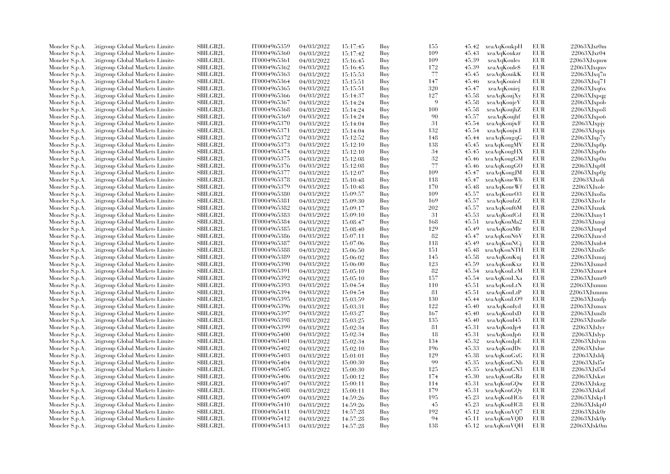| Moncler S.p.A.                   | Citigroup Global Markets Limite                                    | <b>SBILGB2L</b> | IT0004965359 | 04/03/2022               | 15:17:45             | Buy        | 155 | 45.42          | xeaAqKoukpH                | EUR               | $22063X$ Jxr $0m$  |
|----------------------------------|--------------------------------------------------------------------|-----------------|--------------|--------------------------|----------------------|------------|-----|----------------|----------------------------|-------------------|--------------------|
| Moncler S.p.A.                   | Citigroup Global Markets Limite                                    | SBILGB2L        | IT0004965360 | 04/03/2022               | 15:17:42             | Buy        | 109 | 45.43          | xeaAqKoukzr                | EUR               | 22063XJxr04        |
| Moncler S.p.A.                   | Citigroup Global Markets Limited                                   | SBILGB2L        | IT0004965361 | 04/03/2022               | 15:16:45             | Buy        | 109 | 45.39          | xeaAqKoules                | <b>EUR</b>        | 22063XJxqmw        |
| Moncler S.p.A.                   | Litigroup Global Markets Limite                                    | SBILGB2L        | IT0004965362 | 04/03/2022               | 15:16:45             | Buy        | 172 | 45.39          | xeaAqKoule\$               | EUR               | 22063XJxqmv        |
| Moncler S.p.A.                   | Litigroup Global Markets Limite                                    | <b>SBILGB2L</b> | IT0004965363 | 04/03/2022               | 15:15:53             | Buy        | 77  | 45.45          | xeaAqKouikK                | <b>EUR</b>        | 22063XJxq7n        |
| Moncler S.p.A.                   | Citigroup Global Markets Limite                                    | SBILGB2L        | IT0004965364 | 04/03/2022               | 15:15:51             | Buy        | 147 | 45.46          | xeaAqKouied                | <b>EUR</b>        | 22063XJxq71        |
| Moncler S.p.A.                   | Citigroup Global Markets Limite                                    | SBILGB2L        | IT0004965365 | 04/03/2022               | 15:15:51             | Buy        | 320 | 45.47          | xeaAqKouiej                | <b>EUR</b>        | 22063XJxq6x        |
| Moncler S.p.A.                   | Citigroup Global Markets Limite                                    | <b>SBILGB2L</b> | IT0004965366 | 04/03/2022               | 15:14:37             | Buy        | 127 | 45.58          | xeaAqKoujXy                | <b>EUR</b>        | $22063$ XJxpqg     |
| Moncler S.p.A.                   | Citigroup Global Markets Limite                                    | <b>SBILGB2L</b> | IT0004965367 | 04/03/2022               | 15:14:24             | Buy        | -9  | 45.58          | xeaAqKoujeV                | EUR               | 22063XJxpob        |
| Moncler S.p.A.                   | Citigroup Global Markets Limite                                    | <b>SBILGB2L</b> | IT0004965368 | 04/03/2022               | 15:14:24             | Buy        | 100 | 45.58          | xeaAqKoujhZ                | EUR               | 22063XJxpo8        |
| Moncler S.p.A.                   | Citigroup Global Markets Limite                                    | <b>SBILGB2L</b> | IT0004965369 | 04/03/2022               | 15:14:24             | Buy        | 90  | 45.57          | xeaAqKoujhf                | <b>EUR</b>        | $22063X$ Jxpo6     |
| Moncler S.p.A.                   | Citigroup Global Markets Limite                                    | <b>SBILGB2L</b> | IT0004965370 | 04/03/2022               | 15:14:04             | Buy        | 31  | 45.54          | xeaAqKoujwF                | <b>EUR</b>        | 22063XJxpjy        |
| Moncler S.p.A.                   | Citigroup Global Markets Limite                                    | SBILGB2L        | IT0004965371 | 04/03/2022               | 15:14:04             | Buy        | 132 | 45.54          | xeaAqKoujwJ                | EUR               | 22063XJxpjx        |
| Moncler S.p.A.                   | Citigroup Global Markets Limited                                   | SBILGB2L        | IT0004965372 | 04/03/2022               | 15:12:52             | Buy        | 148 | 45.44          | xeaAqKougqG                | EUR               | 22063XJxp7y        |
| Moncler S.p.A.                   | Citigroup Global Markets Limite                                    | SBILGB2L        | IT0004965373 | 04/03/2022               | 15:12:10             | Buy        | 138 | 45.45          | xeaAqKougMV                | EUR               | 22063XJxp0p        |
| Moncler S.p.A.                   | Citigroup Global Markets Limite                                    | <b>SBILGB2L</b> | IT0004965374 | 04/03/2022               | 15:12:10             | Buy        | 34  | 45.45          | xeaAqKougHX                | <b>EUR</b>        | 22063XJxp0o        |
| Moncler S.p.A.                   | Citigroup Global Markets Limite                                    | SBILGB2L        | IT0004965375 | 04/03/2022               | 15:12:08             | Buy        | 32  | 45.46          | xeaAqKougGM                | EUR               | 22063XJxp0n        |
| Moncler S.p.A.                   | Citigroup Global Markets Limite                                    | SBILGB2L        | IT0004965376 | 04/03/2022               | 15:12:08             | Buy        | 77  | 45.46          | xeaAqKougGO                | <b>EUR</b>        | 22063XJxp0l        |
| Moncler S.p.A.                   | Citigroup Global Markets Limite                                    | <b>SBILGB2L</b> | IT0004965377 | 04/03/2022               | 15:12:07             | Buy        | 109 | 45.47          | xeaAqKougJM                | <b>EUR</b>        | $22063$ XJxp $0g$  |
| Moncler S.p.A.                   | Citigroup Global Markets Limite                                    | <b>SBILGB2L</b> | IT0004965378 | 04/03/2022               | 15:10:48             | Buy        | 118 | 45.47          | xeaAqKoueWb                | <b>EUR</b>        | 22063XJxoli        |
| Moncler S.p.A.                   | Citigroup Global Markets Limite                                    | SBILGB2L        | IT0004965379 | 04/03/2022               | 15:10:48             | Buy        | 170 | 45.48          | xeaAqKoueWf                | <b>EUR</b>        | $22063X$ Jxole     |
| Moncler S.p.A.                   | Citigroup Global Markets Limite                                    | SBILGB2L        | IT0004965380 | 04/03/2022               | 15:09:57             | Buy        | 109 | 45.57          | xeaAqKoueO3                | <b>EUR</b>        | 22063XJxo8a        |
| Moncler S.p.A.                   | litigroup Global Markets Limite                                    | <b>SBILGB2L</b> | IT0004965381 | 04/03/2022               | 15:09:30             | Buy        | 169 | 45.57          | xeaAqKoufzZ                | <b>EUR</b>        | $22063X$ Jxo1z     |
| Moncler S.p.A.                   | Citigroup Global Markets Limite                                    | SBILGB2L        | IT0004965382 | 04/03/2022               | 15:09:17             | Buy        | 202 | 45.57          | xeaAqKouf6M                | <b>EUR</b>        | 22063XJxnzk        |
| Moncler S.p.A.                   | Citigroup Global Markets Limite                                    | SBILGB2L        | IT0004965383 | 04/03/2022               | 15:09:10             | Buy        | 31  | 45.53          | xeaAqKoufCd                | <b>EUR</b>        | 22063XJxnv1        |
|                                  | Citigroup Global Markets Limite                                    | SBILGB2L        | IT0004965384 | 04/03/2022               |                      | Buy        | 168 | 45.51          | xeaAqKouMa2                | EUR               | 22063XJxnqi        |
| Moncler S.p.A.                   | Citigroup Global Markets Limite                                    | <b>SBILGB2L</b> | IT0004965385 | 04/03/2022               | 15:08:47             | Buy        | 129 | 45.49          | xeaAqKouMlr                | <b>EUR</b>        | $22063$ XJxnpd     |
| Moncler S.p.A.                   |                                                                    | SBILGB2L        | IT0004965386 |                          | 15:08:40             |            | 82  |                |                            |                   | 22063XJxncd        |
| Moncler S.p.A.<br>Moncler S.p.A. | Citigroup Global Markets Limite<br>Citigroup Global Markets Limite | SBILGB2L        | IT0004965387 | 04/03/2022<br>04/03/2022 | 15:07:11<br>15:07:06 | Buy<br>Buy | 118 | 45.47<br>45.49 | xeaAqKouN6V<br>xeaAqKouNCi | EUR<br><b>EUR</b> | 22063XJxnb4        |
|                                  |                                                                    |                 |              |                          |                      |            |     |                |                            | <b>EUR</b>        |                    |
| Moncler S.p.A.                   | Citigroup Global Markets Limite                                    | <b>SBILGB2L</b> | IT0004965388 | 04/03/2022               | 15:06:50             | Buy        | 151 | 45.48          | xeaAqKouNTH                |                   | 22063XJxn8c        |
| Moncler S.p.A.                   | Citigroup Global Markets Limite                                    | <b>SBILGB2L</b> | IT0004965389 | 04/03/2022               | 15:06:02             | Buy        | 145 | 45.58          | xeaAqKouKuj                | EUR               | $22063$ XJ $x$ mzj |
| Moncler S.p.A.                   | Citigroup Global Markets Limite                                    | <b>SBILGB2L</b> | IT0004965390 | 04/03/2022               | 15:06:00             | Buy        | 123 | 45.59          | xeaAqKouKxz                | <b>EUR</b>        | 22063XJxmzd        |
| Moncler S.p.A.                   | Citigroup Global Markets Limite                                    | SBILGB2L        | IT0004965391 | 04/03/2022               | 15:05:10             | Buy        | 82  | 45.54          | xeaAqKouLcM                | <b>EUR</b>        | 22063XJxmr4        |
| Moncler S.p.A.                   | Citigroup Global Markets Limite                                    | <b>SBILGB2L</b> | IT0004965392 | 04/03/2022               | 15:05:10             | Buy        | 157 | 45.54          | xeaAqKouLXa                | <b>EUR</b>        | 22063XJxmr0        |
| Moncler S.p.A.                   | Citigroup Global Markets Limite                                    | SBILGB2L        | IT0004965393 | 04/03/2022               | 15:04:54             | Buy        | 110 | 45.51          | xeaAqKouLtN                | EUR               | 22063XJxmnn        |
| Moncler S.p.A.                   | Citigroup Global Markets Limite                                    | SBILGB2L        | IT0004965394 | 04/03/2022               | 15:04:54             | Buy        | 81  | 45.51          | xeaAqKouLtP                | <b>EUR</b>        | 22063XJxmnm        |
| Moncler S.p.A.                   | Citigroup Global Markets Limite                                    | SBILGB2L        | IT0004965395 | 04/03/2022               | 15:03:59             | Buy        | 130 | 45.44          | xeaAqKouLO9                | EUR               | $22063$ XJxmfp     |
| Moncler S.p.A.                   | Citigroup Global Markets Limite                                    | <b>SBILGB2L</b> | IT0004965396 | 04/03/2022               | 15:03:31             | Buy        | 122 | 45.40          | xeaAqKouIyd                | <b>EUR</b>        | 22063XJxmax        |
| Moncler S.p.A.                   | Citigroup Global Markets Limite                                    | SBILGB2L        | IT0004965397 | 04/03/2022               | 15:03:27             | Buy        | 167 | 45.40          | xeaAqKouIxD                | <b>EUR</b>        | 22063XJxm8t        |
| Moncler S.p.A.                   | Citigroup Global Markets Limite                                    | SBILGB2L        | IT0004965398 | 04/03/2022               | 15:03:25             | Buy        | 135 | 45.40          | xeaAqKouI45                | <b>EUR</b>        | 22063XJxm8e        |
| Moncler S.p.A.                   | Citigroup Global Markets Limite                                    | <b>SBILGB2L</b> | IT0004965399 | 04/03/2022               | 15:02:34             | Buy        | 81  | 45.31          | xeaAqKouJp4                | <b>EUR</b>        | 22063XJxlvr        |
| Moncler S.p.A.                   | Citigroup Global Markets Limite                                    | SBILGB2L        | IT0004965400 | 04/03/2022               | 15:02:34             | Buy        | 18  | 45.31          | xeaAqKouJp6                | EUR               | 22063XJxJyp        |
| Moncler S.p.A.                   | Citigroup Global Markets Limite                                    | SBILGB2L        | IT0004965401 | 04/03/2022               | 15:02:34             | Buy        | 134 | 45.32          | xeaAqKouJpE                | <b>EUR</b>        | 22063XJxlym        |
| Moncler S.p.A.                   | Citigroup Global Markets Limite                                    | <b>SBILGB2L</b> | IT0004965402 | 04/03/2022               | 15:02:10             | Buy        | 196 | 45.33          | xeaAqKouJDv                | <b>EUR</b>        | $22063XJx$ lue     |
| Moncler S.p.A.                   | Citigroup Global Markets Limite                                    | <b>SBILGB2L</b> | IT0004965403 | 04/03/2022               | 15:01:01             | Buy        | 129 | 45.38          | xeaAqKouGxG                | <b>EUR</b>        | 22063XJxldi        |
| Moncler S.p.A.                   | Citigroup Global Markets Limite                                    | <b>SBILGB2L</b> | IT0004965404 | 04/03/2022               | 15:00:30             | Buy        | 99  | 45.35          | xeaAqKouGNb                | <b>EUR</b>        | 22063XJxl5r        |
| Moncler S.p.A.                   | Citigroup Global Markets Limite                                    | SBILGB2L        | IT0004965405 | 04/03/2022               | 15:00:30             | Buy        | 125 | 45.35          | xeaAqKouGN3                | <b>EUR</b>        | 22063XJxl5d        |
| Moncler S.p.A.                   | Citigroup Global Markets Limite                                    | <b>SBILGB2L</b> | IT0004965406 | 04/03/2022               | 15:00:12             | Buy        | 174 | 45.30          | xeaAqKouGRz                | <b>EUR</b>        | 22063XJxkzt        |
| Moncler S.p.A.                   | Citigroup Global Markets Limite                                    | <b>SBILGB2L</b> | IT0004965407 | 04/03/2022               | 15:00:11             | Buy        | 114 | 45.31          | xeaAqKouGQw                | <b>EUR</b>        | 22063XJxkzg        |
| Moncler S.p.A.                   | Citigroup Global Markets Limite                                    | SBILGB2L        | IT0004965408 | 04/03/2022               | 15:00:11             | Buy        | 179 | 45.31          | xeaAqKouGQy                | <b>EUR</b>        | 22063XJxkzf        |
| Moncler S.p.A.                   | Citigroup Global Markets Limite                                    | <b>SBILGB2L</b> | IT0004965409 | 04/03/2022               | 14:59:26             | Buy        | 195 | 45.23          | xeaAqKouHC6                | <b>EUR</b>        | 22063XJxkp1        |
| Moncler S.p.A.                   | Citigroup Global Markets Limite                                    | <b>SBILGB2L</b> | IT0004965410 | 04/03/2022               | 14:59:26             | Buy        | 45  | 45.23          | xeaAqKouHC8                | <b>EUR</b>        | 22063XJxkp0        |
| Moncler S.p.A.                   | Citigroup Global Markets Limite                                    | SBILGB2L        | IT0004965411 | 04/03/2022               | 14:57:28             | Buy        | 192 | 45.12          | xeaAqKouVQ7                | EUR               | 22063XJxk0r        |
| Moncler S.p.A.                   | Citigroup Global Markets Limite                                    | <b>SBILGB2L</b> | IT0004965412 | 04/03/2022               | 14:57:28             | Buy        | 94  |                | 45.11 xeaAqKouVQD          | <b>EUR</b>        | 22063XJxk0p        |
| Moncler S.p.A.                   | Citigroup Global Markets Limited                                   | SBILGB2L        | IT0004965413 | 04/03/2022               | 14:57:28             | Buy        | 138 |                | 45.12 xeaAqKouVQH          | <b>EUR</b>        | 22063XJxk0m        |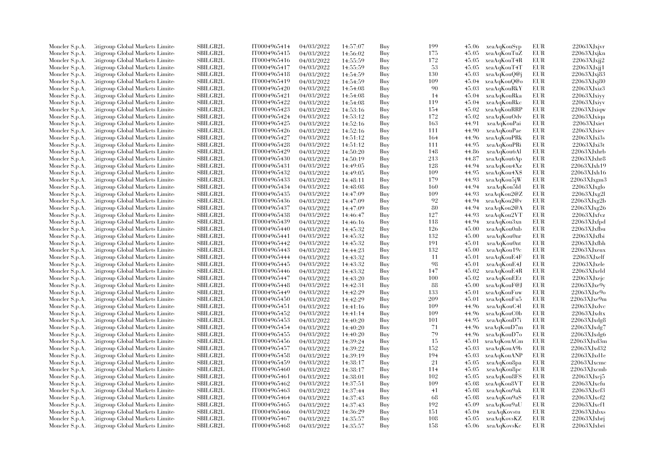| Moncler S.p.A.                   | Citigroup Global Markets Limite                                    | SBILGB2L                    | IT0004965414 | 04/03/2022               | 14:57:07 | Buy        | 199 | 45.06          | xeaAqKouSyp                | EUR        | $22063X$ Jxjvr        |
|----------------------------------|--------------------------------------------------------------------|-----------------------------|--------------|--------------------------|----------|------------|-----|----------------|----------------------------|------------|-----------------------|
| Moncler S.p.A.                   | Citigroup Global Markets Limite                                    | SBILGB2L                    | IT0004965415 | 04/03/2022               | 14:56:02 | Buy        | 175 | 45.05          | xeaAqKouTuZ                | EUR        | 22063XJxjkn           |
| Moncler S.p.A.                   | Citigroup Global Markets Limited                                   | <b>SBILGB2L</b>             | IT0004965416 | 04/03/2022               | 14:55:59 | Buy        | 172 | 45.05          | xeaAqKouT4R                | <b>EUR</b> | 22063XJxjj2           |
| Moncler S.p.A.                   | Citigroup Global Markets Limite                                    | SBILGB2L                    | IT0004965417 | 04/03/2022               | 14:55:59 | Buy        | -53 | 45.05          | xeaAqKouT4T                | EUR        | 22063XJxjj1           |
| Moncler S.p.A.                   | Citigroup Global Markets Limite                                    | <b>SBILGB2L</b>             | IT0004965418 | 04/03/2022               | 14:54:59 | Buy        | 130 | 45.03          | xeaAqKouQ@j                | <b>EUR</b> | 22063XJxj83           |
| Moncler S.p.A.                   | Citigroup Global Markets Limite                                    | SBILGB2L                    | IT0004965419 | 04/03/2022               | 14:54:59 | Buy        | 109 | 45.04          | xeaAqKouQ@o                | EUR        | 22063XJxj80           |
| Moncler S.p.A.                   | Citigroup Global Markets Limited                                   | <b>SBILGB2L</b>             | IT0004965420 | 04/03/2022               | 14:54:08 | Buy        | 90  | 45.03          | xeaAqKouRkY                | <b>EUR</b> | 22063XJxiz3           |
| Moncler S.p.A.                   | Citigroup Global Markets Limite                                    | <b>SBILGB2L</b>             | IT0004965421 | 04/03/2022               | 14:54:08 | Buy        | -14 | 45.04          | xeaAqKouRka                | <b>EUR</b> | 22063XJxiyy           |
| Moncler S.p.A.                   | Citigroup Global Markets Limite                                    | SBILGB2L                    | IT0004965422 | 04/03/2022               | 14:54:08 | Buy        | 119 | 45.04          | xeaAqKouRkc                | <b>EUR</b> | 22063XJxiyy           |
| Moncler S.p.A.                   | Citigroup Global Markets Limite                                    | <b>SBILGB2L</b>             | IT0004965423 | 04/03/2022               | 14:53:16 | Buy        | 154 | 45.02          | xeaAqKouRRP                | <b>EUR</b> | 22063XJxiqw           |
| Moncler S.p.A.                   | Citigroup Global Markets Limite                                    | <b>SBILGB2L</b>             | IT0004965424 | 04/03/2022               | 14:53:12 | Buy        | 172 | 45.02          | xeaAqKouOdv                | EUR        | $22063XJx$ iqa        |
| Moncler S.p.A.                   | Citigroup Global Markets Limite                                    | <b>SBILGB2L</b>             | IT0004965425 | 04/03/2022               | 14:52:16 | Buy        | 163 | 44.91          | xeaAqKouPai                | <b>EUR</b> | 22063XJxiet           |
| Moncler S.p.A.                   | Citigroup Global Markets Limite                                    | SBILGB2L                    | IT0004965426 | 04/03/2022               | 14:52:16 | Buy        | 111 | 44.90          | xeaAqKouPae                | EUR        | 22063XJxiev           |
| Moncler S.p.A.                   | Citigroup Global Markets Limited                                   | SBILGB2L                    | IT0004965427 | 04/03/2022               | 14:51:12 | Buy        | 164 | 44.96          | xeaAqKouPRk                | <b>EUR</b> | 22063XJxi3s           |
| Moncler S.p.A.                   | Citigroup Global Markets Limite                                    | SBILGB2L                    | IT0004965428 | 04/03/2022               | 14:51:12 | Buy        | 111 | 44.95          | xeaAqKouPRi                | EUR        | 22063XJx3t            |
| Moncler S.p.A.                   | Citigroup Global Markets Limite                                    | <b>SBILGB2L</b>             | IT0004965429 | 04/03/2022               | 14:50:20 | Buy        | 148 | 44.86          | xeaAqKou6Al                | <b>EUR</b> | 22063XJxhrb           |
| Moncler S.p.A.                   | Citigroup Global Markets Limite                                    | SBILGB2L                    | IT0004965430 | 04/03/2022               | 14:50:19 | Buy        | 213 | 44.87          | xeaAqKou6Ap                | <b>EUR</b> | 22063XJxhr8           |
| Moncler S.p.A.                   | Citigroup Global Markets Limited                                   | <b>SBILGB2L</b>             | IT0004965431 | 04/03/2022               | 14:49:05 | Buy        | 128 | 44.94          | xeaAqKou4Xz                | <b>EUR</b> | 22063XJxh19           |
| Moncler S.p.A.                   | Citigroup Global Markets Limite                                    | <b>SBILGB2L</b>             | IT0004965432 | 04/03/2022               | 14:49:05 | Buy        | 109 | 44.95          | xeaAqKou4X\$               | <b>EUR</b> | 22063XJxh16           |
| Moncler S.p.A.                   | Citigroup Global Markets Limite                                    | <b>SBILGB2L</b>             | IT0004965433 | 04/03/2022               | 14:48:11 | Buy        | 179 | 44.93          | xeaAqKou5jW                | <b>EUR</b> | $22063$ XJ $x$ gm $3$ |
| Moncler S.p.A.                   | Citigroup Global Markets Limite                                    | <b>SBILGB2L</b>             | IT0004965434 | 04/03/2022               | 14:48:08 | Buy        | 160 | 44.94          | xeaAqKou5ld                | <b>EUR</b> | 22063XJxglo           |
| Moncler S.p.A.                   | Citigroup Global Markets Limite                                    | SBILGB2L                    | IT0004965435 | 04/03/2022               | 14:47:09 | Buy        | 109 | 44.93          | xeaAqKou2@Z                | <b>EUR</b> | $22063$ XJ $xg2l$     |
| Moncler S.p.A.                   | Citigroup Global Markets Limite                                    | <b>SBILGB2L</b>             | IT0004965436 | 04/03/2022               | 14:47:09 | Buy        | 92  | 44.94          | xeaAqKou2@v                | <b>EUR</b> | 22063XJxg2b           |
| Moncler S.p.A.                   | Citigroup Global Markets Limite                                    | SBILGB2L                    | IT0004965437 | 04/03/2022               | 14:47:09 | Buy        | 80  | 44.94          | xeaAqKou2@A                | <b>EUR</b> | 22063XJxg26           |
| Moncler S.p.A.                   | Citigroup Global Markets Limite                                    | <b>SBILGB2L</b>             | IT0004965438 | 04/03/2022               | 14:46:47 | Buy        | 127 | 44.93          | xeaAqKou2VT                | EUR        | 22063XJxfxz           |
|                                  | Citigroup Global Markets Limite                                    | <b>SBILGB2L</b>             | IT0004965439 | 04/03/2022               |          | Buy        | 118 | 44.94          | xeaAqKou3xn                | <b>EUR</b> | 22063XJxfd            |
| Moncler S.p.A.                   | Citigroup Global Markets Limite                                    | <b>SBILGB2L</b>             | IT0004965440 | 04/03/2022               | 14:46:16 | Buy        | 126 | 45.00          | xeaAqKou0nb                | <b>EUR</b> | 22063XJxfbu           |
| Moncler S.p.A.                   |                                                                    |                             | IT0004965441 |                          | 14:45:32 |            | 132 |                |                            | <b>EUR</b> | 22063XJxfbi           |
| Moncler S.p.A.<br>Moncler S.p.A. | Citigroup Global Markets Limite<br>Citigroup Global Markets Limite | SBILGB2L<br><b>SBILGB2L</b> | IT0004965442 | 04/03/2022<br>04/03/2022 | 14:45:32 | Buy<br>Buy | 191 | 45.00<br>45.01 | xeaAqKou0nr<br>xeaAqKou0nt | EUR        | 22063XJxfbh           |
|                                  |                                                                    |                             |              |                          | 14:45:32 |            |     |                |                            | <b>EUR</b> |                       |
| Moncler S.p.A.                   | Citigroup Global Markets Limite                                    | <b>SBILGB2L</b>             | IT0004965443 | 04/03/2022               | 14:44:23 | Buy        | 132 | 45.00          | xeaAqKou19c                |            | 22063XJxeux           |
| Moncler S.p.A.                   | Citigroup Global Markets Limite                                    | <b>SBILGB2L</b>             | IT0004965444 | 04/03/2022               | 14:43:32 | Buy        | 11  | 45.01          | xeaAqKouE4F                | <b>EUR</b> | 22063XJxelf           |
| Moncler S.p.A.                   | Citigroup Global Markets Limite                                    | SBILGB2L                    | IT0004965445 | 04/03/2022               | 14:43:32 | Buy        | 98  | 45.01          | xeaAqKouE4J                | <b>EUR</b> | 22063XJxele           |
| Moncler S.p.A.                   | Citigroup Global Markets Limite                                    | <b>SBILGB2L</b>             | IT0004965446 | 04/03/2022               | 14:43:32 | Buy        | 147 | 45.02          | xeaAqKouE4R                | <b>EUR</b> | 22063XJxeld           |
| Moncler S.p.A.                   | Citigroup Global Markets Limite                                    | <b>SBILGB2L</b>             | IT0004965447 | 04/03/2022               | 14:43:20 | Buy        | 100 | 45.02          | xeaAqKouEEt                | <b>EUR</b> | 22063XJxejc           |
| Moncler S.p.A.                   | Citigroup Global Markets Limite                                    | SBILGB2L                    | IT0004965448 | 04/03/2022               | 14:42:31 | Buy        | 88  | 45.00          | xeaAqKouF@J                | EUR        | $22063X$ Jxe $9y$     |
| Moncler S.p.A.                   | Citigroup Global Markets Limite                                    | <b>SBILGB2L</b>             | IT0004965449 | 04/03/2022               | 14:42:29 | Buy        | 133 | 45.01          | xeaAqKouFuw                | <b>EUR</b> | 22063XJxe9o           |
| Moncler S.p.A.                   | Citigroup Global Markets Limite                                    | <b>SBILGB2L</b>             | IT0004965450 | 04/03/2022               | 14:42:29 | Buy        | 209 | 45.01          | xeaAqKouFu5                | EUR        | 22063XJxe9m           |
| Moncler S.p.A.                   | Citigroup Global Markets Limite                                    | <b>SBILGB2L</b>             | IT0004965451 | 04/03/2022               | 14:41:16 | Buy        | 109 | 44.96          | xeaAqKouC4l                | <b>EUR</b> | $22063X$ Jxdvc        |
| Moncler S.p.A.                   | Citigroup Global Markets Limite                                    | <b>SBILGB2L</b>             | IT0004965452 | 04/03/2022               | 14:41:14 | Buy        | 109 | 44.96          | xeaAqKouC0b                | <b>EUR</b> | 22063XJxdtx           |
| Moncler S.p.A.                   | Citigroup Global Markets Limite                                    | <b>SBILGB2L</b>             | IT0004965453 | 04/03/2022               | 14:40:20 | Buy        | 101 | 44.95          | xeaAqKouD7i                | <b>EUR</b> | $22063$ XJxdg8        |
| Moncler S.p.A.                   | Citigroup Global Markets Limite                                    | <b>SBILGB2L</b>             | IT0004965454 | 04/03/2022               | 14:40:20 | Buy        | 71  | 44.96          | xeaAqKouD7m                | <b>EUR</b> | 22063XJxdg7           |
| Moncler S.p.A.                   | Citigroup Global Markets Limite                                    | SBILGB2L                    | IT0004965455 | 04/03/2022               | 14:40:20 | Buy        | 79  | 44.96          | xeaAqKouD7o                | EUR        | 22063XJxdg6           |
| Moncler S.p.A.                   | Citigroup Global Markets Limite                                    | <b>SBILGB2L</b>             | IT0004965456 | 04/03/2022               | 14:39:24 | Buy        | 15  | 45.01          | xeaAqKouACm                | <b>EUR</b> | 22063XJxd3m           |
| Moncler S.p.A.                   | Citigroup Global Markets Limite                                    | <b>SBILGB2L</b>             | IT0004965457 | 04/03/2022               | 14:39:22 | Buy        | 152 | 45.03          | xeaAqKouA9b                | EUR        | 22063XJxd32           |
| Moncler S.p.A.                   | Citigroup Global Markets Limite                                    | <b>SBILGB2L</b>             | IT0004965458 | 04/03/2022               | 14:39:19 | Buy        | 194 | 45.03          | xeaAqKouANP                | <b>EUR</b> | 22063XJxd1e           |
| Moncler S.p.A.                   | Citigroup Global Markets Limite                                    | <b>SBILGB2L</b>             | IT0004965459 | 04/03/2022               | 14:38:17 | Buy        | 21  | 45.05          | xeaAqKou8pa                | <b>EUR</b> | 22063XJxcmc           |
| Moncler S.p.A.                   | Citigroup Global Markets Limite                                    | <b>SBILGB2L</b>             | IT0004965460 | 04/03/2022               | 14:38:17 | Buy        | 114 | 45.05          | xeaAqKou8pc                | <b>EUR</b> | 22063XJxcmb           |
| Moncler S.p.A.                   | Litigroup Global Markets Limite                                    | <b>SBILGB2L</b>             | IT0004965461 | 04/03/2022               | 14:38:01 | Buy        | 102 | 45.05          | xeaAqKou8FS                | <b>EUR</b> | $22063XJxc$ j5        |
| Moncler S.p.A.                   | Citigroup Global Markets Limite                                    | <b>SBILGB2L</b>             | IT0004965462 | 04/03/2022               | 14:37:51 | Buy        | 109 | 45.08          | xeaAqKou8VT                | <b>EUR</b> | 22063XJxcfu           |
| Moncler S.p.A.                   | Citigroup Global Markets Limite                                    | <b>SBILGB2L</b>             | IT0004965463 | 04/03/2022               | 14:37:44 | Buy        | 41  | 45.08          | xeaAqKou9ak                | <b>EUR</b> | 22063XJxcf3           |
| Moncler S.p.A.                   | Litigroup Global Markets Limite                                    | <b>SBILGB2L</b>             | IT0004965464 | 04/03/2022               | 14:37:43 | Buy        | 68  | 45.08          | xeaAqKou9aS                | <b>EUR</b> | $22063X$ J $xcf2$     |
| Moncler S.p.A.                   | Litigroup Global Markets Limite                                    | SBILGB2L                    | IT0004965465 | 04/03/2022               | 14:37:43 | Buy        | 192 | 45.09          | xeaAqKou9aU                | <b>EUR</b> | $22063X$ Jxcf1        |
| Moncler S.p.A.                   | Citigroup Global Markets Limite                                    | SBILGB2L                    | IT0004965466 | 04/03/2022               | 14:36:29 | Buy        | 151 | 45.04          | xeaAqKovstu                | <b>EUR</b> | 22063XJxbxs           |
| Moncler S.p.A.                   | Citigroup Global Markets Limite                                    | <b>SBILGB2L</b>             | IT0004965467 | 04/03/2022               | 14:35:57 | Buy        | 108 | 45.05          | xeaAqKovsKZ                | <b>EUR</b> | 22063XJxbrj           |
| Moncler S.p.A.                   | Citigroup Global Markets Limited                                   | SBILGB2L                    | IT0004965468 | 04/03/2022               | 14:35:57 | Buv        | 158 |                | 45.06 xeaAqKovsKc          | <b>EUR</b> | 22063XJxbri           |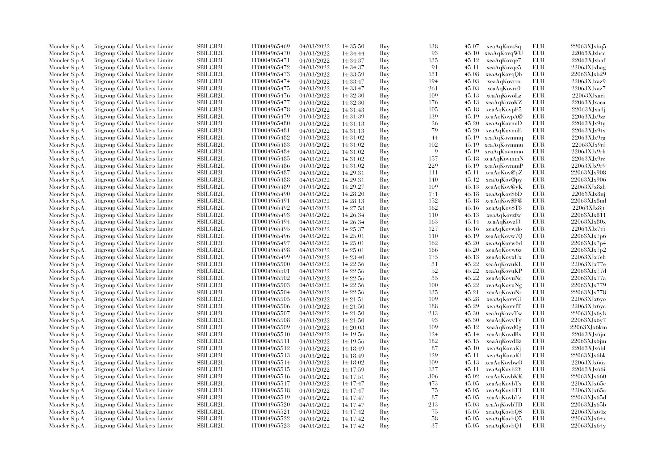| Moncler S.p.A. | Citigroup Global Markets Limite  | SBILGB2L        | IT0004965469 | 04/03/2022 | 14:35:50 | Buy | 138 | 45.07 | xeaAqKovsSq       | EUR        | 22063XJxbq5       |
|----------------|----------------------------------|-----------------|--------------|------------|----------|-----|-----|-------|-------------------|------------|-------------------|
| Moncler S.p.A. | Citigroup Global Markets Limite  | SBILGB2L        | IT0004965470 | 04/03/2022 | 14:34:44 | Buy | 93  | 45.10 | xeaAqKovqWU       | EUR        | $22063X$ Jxbcc    |
| Moncler S.p.A. | Citigroup Global Markets Limited | <b>SBILGB2L</b> | IT0004965471 | 04/03/2022 | 14:34:37 | Buy | 135 | 45.12 | xeaAqKovqe7       | <b>EUR</b> | 22063XJxbaf       |
| Moncler S.p.A. | Litigroup Global Markets Limite  | SBILGB2L        | IT0004965472 | 04/03/2022 | 14:34:37 | Buy | 91  | 45.11 | xeaAqKovqe5       | EUR        | 22063XJxbag       |
| Moncler S.p.A. | Citigroup Global Markets Limite  | <b>SBILGB2L</b> | IT0004965473 | 04/03/2022 | 14:33:59 | Buy | 131 | 45.08 | xeaAqKovqQb       | EUR        | 22063XJxb29       |
| Moncler S.p.A. | Citigroup Global Markets Limite  | SBILGB2L        | IT0004965474 | 04/03/2022 | 14:33:47 | Buy | 194 | 45.03 | xeaAqKovrro       | <b>EUR</b> | 22063XJxaz9       |
| Moncler S.p.A. | Citigroup Global Markets Limited | <b>SBILGB2L</b> | IT0004965475 | 04/03/2022 | 14:33:47 | Buy | 261 | 45.03 | xeaAqKovrr0       | EUR        | 22063XJxaz7       |
| Moncler S.p.A. | Litigroup Global Markets Limite  | <b>SBILGB2L</b> | IT0004965476 | 04/03/2022 | 14:32:30 | Buy | 109 | 45.13 | xeaAqKovoLz       | EUR        | 22063XJxaei       |
| Moncler S.p.A. | Citigroup Global Markets Limite  | SBILGB2L        | IT0004965477 | 04/03/2022 | 14:32:30 | Buy | 176 | 45.13 | xeaAqKovoKZ       | EUR        | 22063XJxaea       |
| Moncler S.p.A. | Citigroup Global Markets Limite  | <b>SBILGB2L</b> | IT0004965478 | 04/03/2022 | 14:31:43 | Buy | 105 | 45.18 | xeaAqKovpF5       | <b>EUR</b> | $22063$ XJxa1j    |
| Moncler S.p.A. | Citigroup Global Markets Limite  | <b>SBILGB2L</b> | IT0004965479 | 04/03/2022 | 14:31:39 | Buy | 139 | 45.19 | xeaAqKovpA@       | EUR        | 22063XJx9zz       |
| Moncler S.p.A. | Litigroup Global Markets Limite  | <b>SBILGB2L</b> | IT0004965480 | 04/03/2022 | 14:31:13 | Buy | 26  | 45.20 | xeaAqKovmiD       | <b>EUR</b> | 22063XJx9ty       |
| Moncler S.p.A. | Citigroup Global Markets Limite  | SBILGB2L        | IT0004965481 | 04/03/2022 | 14:31:13 | Buy | 79  | 45.20 | xeaAqKovmiE       | EUR        | 22063XJx9tx       |
| Moncler S.p.A. | Citigroup Global Markets Limited | SBILGB2L        | IT0004965482 | 04/03/2022 | 14:31:02 | Buy | 44  | 45.19 | xeaAqKovmmq       | EUR        | 22063XJx9rg       |
| Moncler S.p.A. | Litigroup Global Markets Limite  | SBILGB2L        | IT0004965483 | 04/03/2022 |          | Buy | 102 | 45.19 | xeaAqKovmmu       | EUR        | 22063XJx9rf       |
|                |                                  |                 |              |            | 14:31:02 |     | 9   |       |                   |            |                   |
| Moncler S.p.A. | Litigroup Global Markets Limite  | <b>SBILGB2L</b> | IT0004965484 | 04/03/2022 | 14:31:02 | Buy |     | 45.19 | xeaAqKovmmo       | <b>EUR</b> | 22063XJx9rh       |
| Moncler S.p.A. | Citigroup Global Markets Limite  | SBILGB2L        | IT0004965485 | 04/03/2022 | 14:31:02 | Buy | 157 | 45.18 | xeaAqKovmmN       | EUR        | 22063XJx9re       |
| Moncler S.p.A. | Citigroup Global Markets Limited | <b>SBILGB2L</b> | IT0004965486 | 04/03/2022 | 14:31:02 | Buy | 229 | 45.19 | xeaAqKovmmP       | EUR        | 22063XJx9r9       |
| Moncler S.p.A. | Citigroup Global Markets Limite  | <b>SBILGB2L</b> | IT0004965487 | 04/03/2022 | 14:29:31 | Buy | 111 | 45.11 | xeaAqKov@pZ       | <b>EUR</b> | 22063XJx908       |
| Moncler S.p.A. | Litigroup Global Markets Limite  | SBILGB2L        | IT0004965488 | 04/03/2022 | 14:29:31 | Buy | 140 | 45.12 | xeaAqKov@py       | EUR        | 22063XJx906       |
| Moncler S.p.A. | Citigroup Global Markets Limite  | <b>SBILGB2L</b> | IT0004965489 | 04/03/2022 | 14:29:27 | Buy | 109 | 45.13 | xeaAqKov@yK       | EUR        | 22063XJx8zh       |
| Moncler S.p.A. | Citigroup Global Markets Limite  | <b>SBILGB2L</b> | IT0004965490 | 04/03/2022 | 14:28:20 | Buy | 171 | 45.18 | xeaAqKov\$6D      | <b>EUR</b> | 22063XJx8nj       |
| Moncler S.p.A. | Citigroup Global Markets Limite  | <b>SBILGB2L</b> | IT0004965491 | 04/03/2022 | 14:28:13 | Buy | 152 | 45.18 | xeaAqKov\$F@      | EUR        | 22063XJx8ml       |
| Moncler S.p.A. | Citigroup Global Markets Limite  | SBILGB2L        | IT0004965492 | 04/03/2022 | 14:27:58 | Buy | 162 | 45.16 | xeaAqKov\$T8      | EUR        | 22063XJx8it       |
| Moncler S.p.A. | Citigroup Global Markets Limite  | <b>SBILGB2L</b> | IT0004965493 | 04/03/2022 | 14:26:34 | Buy | 110 | 45.13 | xeaAqKovzfw       | EUR        | 22063XJx811       |
| Moncler S.p.A. | Litigroup Global Markets Limite  | <b>SBILGB2L</b> | IT0004965494 | 04/03/2022 | 14:26:34 | Buy | 163 | 45.14 | xeaAqKovzf3       | EUR        | 22063XJx80x       |
| Moncler S.p.A. | Citigroup Global Markets Limite  | <b>SBILGB2L</b> | IT0004965495 | 04/03/2022 | 14:25:37 | Buy | 127 | 45.16 | xeaAqKovwdo       | EUR        | 22063XJx7t5       |
| Moncler S.p.A. | Citigroup Global Markets Limite  | <b>SBILGB2L</b> | IT0004965496 | 04/03/2022 | 14:25:01 | Buy | 110 | 45.19 | xeaAqKovw7Q       | <b>EUR</b> | 22063XJx7p6       |
| Moncler S.p.A. | Litigroup Global Markets Limite  | SBILGB2L        | IT0004965497 | 04/03/2022 | 14:25:01 | Buy | 162 | 45.20 | xeaAqKovw6d       | EUR        | 22063XJx7p4       |
| Moncler S.p.A. | Litigroup Global Markets Limite  | <b>SBILGB2L</b> | IT0004965498 | 04/03/2022 | 14:25:01 | Buy | 186 | 45.20 | xeaAqKovw6z       | EUR        | 22063XJx7p2       |
| Moncler S.p.A. | Litigroup Global Markets Limite  | <b>SBILGB2L</b> | IT0004965499 | 04/03/2022 | 14:23:40 | Buy | 175 | 45.13 | xeaAqKovxUx       | <b>EUR</b> | 22063XJx7eh       |
| Moncler S.p.A. | Citigroup Global Markets Limite  | <b>SBILGB2L</b> | IT0004965500 | 04/03/2022 | 14:22:56 | Buy | 31  | 45.22 | xeaAqKovuKL       | <b>EUR</b> | 22063XJx77e       |
| Moncler S.p.A. | Citigroup Global Markets Limite  | SBILGB2L        | IT0004965501 | 04/03/2022 | 14:22:56 | Buy | 52  | 45.22 | xeaAqKovuKP       | EUR        | 22063XJx77d       |
| Moncler S.p.A. | Citigroup Global Markets Limite  | <b>SBILGB2L</b> | IT0004965502 | 04/03/2022 | 14:22:56 | Buy | 35  | 45.22 | xeaAqKovuNc       | EUR        | 22063XJx77a       |
| Moncler S.p.A. | Citigroup Global Markets Limite  | SBILGB2L        | IT0004965503 | 04/03/2022 | 14:22:56 | Buy | 100 | 45.22 | xeaAqKovuNg       | <b>EUR</b> | 22063XJx779       |
| Moncler S.p.A. | Citigroup Global Markets Limite  | <b>SBILGB2L</b> | IT0004965504 | 04/03/2022 | 14:22:56 | Buy | 135 | 45.21 | xeaAqKovuNr       | EUR        | 22063XJx778       |
| Moncler S.p.A. | Litigroup Global Markets Limite  | SBILGB2L        | IT0004965505 | 04/03/2022 | 14:21:51 | Buy | 109 | 45.28 | xeaAqKovvGl       | EUR        | 22063XJx6y0       |
| Moncler S.p.A. | Citigroup Global Markets Limite  | <b>SBILGB2L</b> | IT0004965506 | 04/03/2022 | 14:21:50 | Buy | 188 | 45.29 | xeaAqKovvIT       | EUR        | $22063X$ Jx $6yc$ |
| Moncler S.p.A. | Citigroup Global Markets Limite  | <b>SBILGB2L</b> | IT0004965507 | 04/03/2022 | 14:21:50 | Buy | 213 | 45.30 | xeaAqKovvTw       | <b>EUR</b> | 22063XJx6v8       |
| Moncler S.p.A. | Litigroup Global Markets Limite  | SBILGB2L        | IT0004965508 | 04/03/2022 | 14:21:50 | Buy | -93 | 45.30 | xeaAqKovvTv       | EUR        | 22063XJx6v7       |
| Moncler S.p.A. | Litigroup Global Markets Limite  | <b>SBILGB2L</b> | IT0004965509 | 04/03/2022 | 14:20:03 | Buy | 109 | 45.12 | xeaAqKovd0g       | EUR        | 22063XJx6km       |
| Moncler S.p.A. | Citigroup Global Markets Limite  | SBILGB2L        | IT0004965510 | 04/03/2022 | 14:19:56 | Buy | 124 | 45.14 | xeaAqKovdBx       | EUR        | 22063XJx6jn       |
| Moncler S.p.A. | Citigroup Global Markets Limite  | SBILGB2L        | IT0004965511 | 04/03/2022 | 14:19:56 | Buy | 182 | 45.15 | xeaAqKovdBz       | EUR        | 22063XJx6jm       |
| Moncler S.p.A. | Litigroup Global Markets Limite  | SBILGB2L        | IT0004965512 | 04/03/2022 | 14:18:49 | Buy | -87 | 45.10 | xeaAqKovaKj       | EUR        | 22063XJx6bl       |
|                |                                  | <b>SBILGB2L</b> |              |            |          |     | 129 | 45.11 |                   | <b>EUR</b> | 22063XJx6bk       |
| Moncler S.p.A. | Litigroup Global Markets Limite  |                 | IT0004965513 | 04/03/2022 | 14:18:49 | Buy | 109 |       | xeaAqKovaKl       |            |                   |
| Moncler S.p.A. | Citigroup Global Markets Limite  | <b>SBILGB2L</b> | IT0004965514 | 04/03/2022 | 14:18:02 | Buy |     | 45.13 | xeaAqKovbwO       | EUR        | 22063XJx66s       |
| Moncler S.p.A. | Citigroup Global Markets Limite  | <b>SBILGB2L</b> | IT0004965515 | 04/03/2022 | 14:17:59 | Buy | 137 | 45.11 | xeaAqKovb2Y       | <b>EUR</b> | 22063XJx66i       |
| Moncler S.p.A. | Litigroup Global Markets Limite  | <b>SBILGB2L</b> | IT0004965516 | 04/03/2022 | 14:17:51 | Buy | 306 | 45.02 | xeaAqKovbKK       | EUR        | 22063XJx660       |
| Moncler S.p.A. | Citigroup Global Markets Limite  | SBILGB2L        | IT0004965517 | 04/03/2022 | 14:17:47 | Buy | 473 | 45.05 | xeaAqKovbTx       | EUR        | 22063XJx65e       |
| Moncler S.p.A. | Citigroup Global Markets Limite  | <b>SBILGB2L</b> | IT0004965518 | 04/03/2022 | 14:17:47 | Buy | 75  | 45.05 | xeaAqKovbT1       | <b>EUR</b> | 22063XJx65c       |
| Moncler S.p.A. | Litigroup Global Markets Limite  | <b>SBILGB2L</b> | IT0004965519 | 04/03/2022 | 14:17:47 | Buy | 87  | 45.05 | xeaAqKovbTz       | EUR        | 22063XJx65d       |
| Moncler S.p.A. | Litigroup Global Markets Limite  | <b>SBILGB2L</b> | IT0004965520 | 04/03/2022 | 14:17:47 | Buy | 213 | 45.03 | xeaAqKovbTD       | EUR        | 22063XJx65b       |
| Moncler S.p.A. | Citigroup Global Markets Limite  | SBILGB2L        | IT0004965521 | 04/03/2022 | 14:17:42 | Buy | 75  | 45.05 | xeaAqKovbQ\$      | EUR        | 22063XJx64z       |
| Moncler S.p.A. | Citigroup Global Markets Limite  | <b>SBILGB2L</b> | IT0004965522 | 04/03/2022 | 14:17:42 | Buy | 58  | 45.05 | xeaAqKovbQ5       | <b>EUR</b> | 22063XJx64x       |
| Moncler S.p.A. | Citigroup Global Markets Limited | SBILGB2L        | IT0004965523 | 04/03/2022 | 14:17:42 | Buy | 37  |       | 45.05 xeaAqKovbQ1 | <b>EUR</b> | 22063XJx64v       |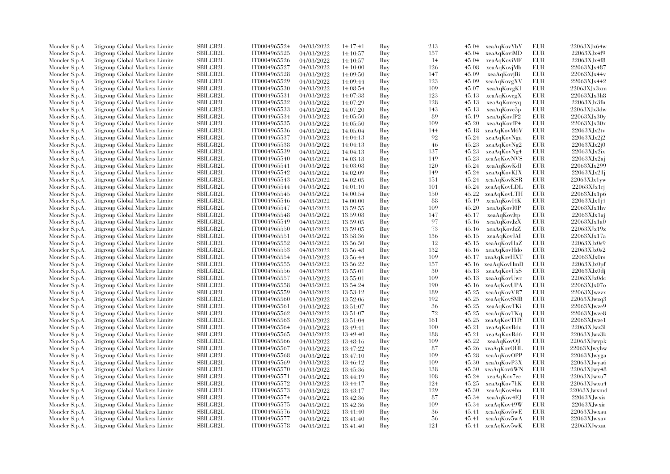| Moncler S.p.A.                   | Citigroup Global Markets Limite                                    | <b>SBILGB2L</b> | IT0004965524 | 04/03/2022 | 14:17:41 | Buy | 213 |       | 45.04 xeaAqKovYbY          | EUR        | 22063XJx64w       |
|----------------------------------|--------------------------------------------------------------------|-----------------|--------------|------------|----------|-----|-----|-------|----------------------------|------------|-------------------|
| Moncler S.p.A.                   | Citigroup Global Markets Limite                                    | SBILGB2L        | IT0004965525 | 04/03/2022 | 14:10:57 | Buy | 157 | 45.04 | xeaAqKoviMD                | <b>EUR</b> | 22063XJx4f9       |
| Moncler S.p.A.                   | Citigroup Global Markets Limited                                   | SBILGB2L        | IT0004965526 | 04/03/2022 | 14:10:57 | Buy | 14  | 45.04 | xeaAqKoviMF                | <b>EUR</b> | 22063XJx4f8       |
| Moncler S.p.A.                   | Litigroup Global Markets Limite                                    | SBILGB2L        | IT0004965527 | 04/03/2022 | 14:10:00 | Buy | 126 | 45.08 | xeaAqKovjMb                | EUR        | 22063XJx487       |
| Moncler S.p.A.                   | Litigroup Global Markets Limite                                    | <b>SBILGB2L</b> | IT0004965528 | 04/03/2022 | 14:09:50 | Buy | 147 | 45.09 | xeaAqKovjRi                | <b>EUR</b> | 22063XJx44v       |
| Moncler S.p.A.                   | Citigroup Global Markets Limite                                    | SBILGB2L        | IT0004965529 | 04/03/2022 | 14:09:44 | Buy | 123 | 45.09 | xeaAqKovgXV                | EUR        | 22063XJx442       |
| Moncler S.p.A.                   | Citigroup Global Markets Limited                                   | SBILGB2L        | IT0004965530 | 04/03/2022 | 14:08:54 | Buy | 109 | 45.07 | xeaAqKovgKI                | EUR        | 22063XJx3xm       |
| Moncler S.p.A.                   | Litigroup Global Markets Limite                                    | <b>SBILGB2L</b> | IT0004965531 | 04/03/2022 | 14:07:38 | Buy | 123 | 45.13 | xeaAqKovegX                | EUR        | 22063XJx3h8       |
| Moncler S.p.A.                   | Citigroup Global Markets Limite                                    | SBILGB2L        | IT0004965532 | 04/03/2022 | 14:07:29 | Buy | 128 | 45.13 | xeaAqKoveyq                | EUR        | 22063XJx3fn       |
| Moncler S.p.A.                   | Citigroup Global Markets Limite                                    | SBILGB2L        | IT0004965533 | 04/03/2022 | 14:07:20 | Buy | 143 | 45.13 | xeaAqKove3p                | EUR        | 22063XJx3dw       |
| Moncler S.p.A.                   | Citigroup Global Markets Limite                                    | <b>SBILGB2L</b> | IT0004965534 | 04/03/2022 | 14:05:50 | Buy | 89  | 45.19 | xeaAqKovfP2                | EUR        | 22063XJx30v       |
| Moncler S.p.A.                   | Litigroup Global Markets Limite                                    | <b>SBILGB2L</b> | IT0004965535 | 04/03/2022 | 14:05:50 | Buy | 109 | 45.20 | xeaAqKovfP4                | <b>EUR</b> | 22063XJx30x       |
| Moncler S.p.A.                   | Citigroup Global Markets Limite                                    | SBILGB2L        | IT0004965536 | 04/03/2022 | 14:05:04 | Buy | 144 | 45.18 | xeaAqKovM6V                | <b>EUR</b> | 22063XJx2tv       |
| Moncler S.p.A.                   | Citigroup Global Markets Limited                                   | SBILGB2L        | IT0004965537 | 04/03/2022 | 14:04:13 | Buy | 92  | 45.24 | xeaAqKovNgu                | <b>EUR</b> | 22063XJx2j2       |
| Moncler S.p.A.                   | Litigroup Global Markets Limite                                    | SBILGB2L        | IT0004965538 | 04/03/2022 | 14:04:13 | Buy | 46  | 45.23 | xeaAqKovNg2                | EUR        | 22063XJx2j0       |
| Moncler S.p.A.                   | Litigroup Global Markets Limite                                    | <b>SBILGB2L</b> | IT0004965539 | 04/03/2022 |          | Buy | 137 | 45.23 | xeaAqKovNg4                | EUR        | 22063XJx2ix       |
|                                  |                                                                    | SBILGB2L        | IT0004965540 |            | 14:04:13 |     | 149 | 45.23 | xeaAqKovNVS                | EUR        | 22063XJx2aj       |
| Moncler S.p.A.                   | Citigroup Global Markets Limite                                    | SBILGB2L        | IT0004965541 | 04/03/2022 | 14:03:18 | Buy | 120 | 45.24 |                            | EUR        | 22063XJx299       |
| Moncler S.p.A.                   | Citigroup Global Markets Limite                                    |                 |              | 04/03/2022 | 14:03:08 | Buy |     |       | xeaAqKovKdI                |            |                   |
| Moncler S.p.A.                   | Citigroup Global Markets Limite                                    | <b>SBILGB2L</b> | IT0004965542 | 04/03/2022 | 14:02:09 | Buy | 149 | 45.24 | xeaAqKovKJX                | EUR        | 22063XJx21j       |
| Moncler S.p.A.                   | Litigroup Global Markets Limite                                    | <b>SBILGB2L</b> | IT0004965543 | 04/03/2022 | 14:02:05 | Buy | 151 | 45.24 | xeaAqKovKSR                | EUR        | 22063XJx1vw       |
| Moncler S.p.A.                   | Citigroup Global Markets Limite                                    | SBILGB2L        | IT0004965544 | 04/03/2022 | 14:01:10 | Buy | 101 | 45.24 | xeaAqKovLDL                | <b>EUR</b> | 22063XJx1r        |
| Moncler S.p.A.                   | Citigroup Global Markets Limite                                    | SBILGB2L        | IT0004965545 | 04/03/2022 | 14:00:54 | Buy | 150 | 45.22 | xeaAqKovLTH                | <b>EUR</b> | 22063XJx1p6       |
| Moncler S.p.A.                   | Citigroup Global Markets Limite                                    | <b>SBILGB2L</b> | IT0004965546 | 04/03/2022 | 14:00:00 | Buy | 88  | 45.19 | xeaAqKovI4K                | EUR        | 22063XJx1i4       |
| Moncler S.p.A.                   | Citigroup Global Markets Limite                                    | SBILGB2L        | IT0004965547 | 04/03/2022 | 13:59:55 | Buy | 109 | 45.20 | xeaAqKovI0P                | EUR        | 22063XJx1hv       |
| Moncler S.p.A.                   | Citigroup Global Markets Limite                                    | SBILGB2L        | IT0004965548 | 04/03/2022 | 13:59:08 | Buy | 147 | 45.17 | xeaAqKovJtp                | EUR        | 22063XJx1aj       |
| Moncler S.p.A.                   | Litigroup Global Markets Limite                                    | <b>SBILGB2L</b> | IT0004965549 | 04/03/2022 | 13:59:05 | Buy | 97  | 45.16 | xeaAqKovJzX                | EUR        | 22063XJx1a0       |
| Moncler S.p.A.                   | Citigroup Global Markets Limite                                    | <b>SBILGB2L</b> | IT0004965550 | 04/03/2022 | 13:59:05 | Buy | 73  | 45.16 | xeaAqKovJzZ                | EUR        | 22063XJx19z       |
| Moncler S.p.A.                   | Citigroup Global Markets Limite                                    | SBILGB2L        | IT0004965551 | 04/03/2022 | 13:58:36 | Buy | 136 | 45.15 | xeaAqKovJAI                | <b>EUR</b> | 22063XJx17a       |
| Moncler S.p.A.                   | Litigroup Global Markets Limite                                    | SBILGB2L        | IT0004965552 | 04/03/2022 | 13:56:50 | Buy | 12  | 45.15 | xeaAqKovHaZ                | EUR        | 22063XJx0s9       |
| Moncler S.p.A.                   | Litigroup Global Markets Limite                                    | <b>SBILGB2L</b> | IT0004965553 | 04/03/2022 | 13:56:48 | Buy | 132 | 45.16 | xeaAqKovHdo                | EUR        | 22063XJx0s2       |
| Moncler S.p.A.                   | Litigroup Global Markets Limite                                    | <b>SBILGB2L</b> | IT0004965554 | 04/03/2022 | 13:56:44 | Buy | 109 | 45.17 | xeaAqKovHXT                | EUR        | 22063XJx0rs       |
| Moncler S.p.A.                   | Citigroup Global Markets Limite                                    | SBILGB2L        | IT0004965555 | 04/03/2022 | 13:56:22 | Buy | 157 | 45.16 | xeaAqKovHmD                | <b>EUR</b> | 22063XJx0pf       |
| Moncler S.p.A.                   | Citigroup Global Markets Limite                                    | SBILGB2L        | IT0004965556 | 04/03/2022 | 13:55:01 | Buy | 30  | 45.13 | xeaAqKovUxS                | EUR        | 22063XJx0dj       |
| Moncler S.p.A.                   | Citigroup Global Markets Limite                                    | <b>SBILGB2L</b> | IT0004965557 | 04/03/2022 | 13:55:01 | Buy | 109 | 45.13 | xeaAqKovUwc                | EUR        | 22063XJx0dc       |
| Moncler S.p.A.                   | Citigroup Global Markets Limite                                    | SBILGB2L        | IT0004965558 | 04/03/2022 | 13:54:24 | Buy | 190 | 45.16 | xeaAqKovUPA                | EUR        | 22063XJx07o       |
| Moncler S.p.A.                   | Citigroup Global Markets Limite                                    | <b>SBILGB2L</b> | IT0004965559 | 04/03/2022 | 13:53:12 | Buy | 189 | 45.25 | xeaAqKovVR7                | EUR        | 22063XJwzzx       |
| Moncler S.p.A.                   | Litigroup Global Markets Limite                                    | SBILGB2L        | IT0004965560 | 04/03/2022 | 13:52:06 | Buy | 192 | 45.25 | xeaAqKovSMB                | EUR        | $22063X$ Jwzq $3$ |
| Moncler S.p.A.                   | Citigroup Global Markets Limite                                    | <b>SBILGB2L</b> | IT0004965561 | 04/03/2022 | 13:51:07 | Buy | 36  | 45.25 | xeaAqKovTKi                | EUR        | $22063X$ Jwze $9$ |
| Moncler S.p.A.                   | Citigroup Global Markets Limite                                    | SBILGB2L        | IT0004965562 | 04/03/2022 | 13:51:07 | Buy | 72  | 45.25 | xeaAqKovTKq                | <b>EUR</b> | 22063XJwze8       |
| Moncler S.p.A.                   | Litigroup Global Markets Limite                                    | SBILGB2L        | IT0004965563 | 04/03/2022 | 13:51:04 | Buy | 161 | 45.25 | xeaAqKovTHY                | EUR        | 22063XJwze1       |
| Moncler S.p.A.                   | Litigroup Global Markets Limite                                    | <b>SBILGB2L</b> | IT0004965564 | 04/03/2022 | 13:49:41 | Buy | 100 | 45.21 | xeaAqKovRdu                | <b>EUR</b> | 22063XJwz3l       |
| Moncler S.p.A.                   | Citigroup Global Markets Limite                                    | SBILGB2L        | IT0004965565 | 04/03/2022 | 13:49:40 | Buy | 188 | 45.21 | xeaAqKovRd6                | EUR        | $22063X$ Jwz $3k$ |
| Moncler S.p.A.                   | Citigroup Global Markets Limite                                    | SBILGB2L        | IT0004965566 | 04/03/2022 | 13:48:16 | Buy | 109 | 45.22 | xeaAqKovOjl                | <b>EUR</b> | 22063XJwypk       |
| Moncler S.p.A.                   | Litigroup Global Markets Limite                                    | <b>SBILGB2L</b> | IT0004965567 | 04/03/2022 | 13:47:22 | Buy | 87  | 45.26 | xeaAqKovOHL                | EUR        | $22063X$ Jwyhw    |
| Moncler S.p.A.                   | Litigroup Global Markets Limite                                    | <b>SBILGB2L</b> | IT0004965568 | 04/03/2022 | 13:47:10 | Buy | 109 | 45.28 | xeaAqKovOPP                | EUR        | 22063XJwyga       |
|                                  |                                                                    | SBILGB2L        | IT0004965569 |            |          |     | 109 | 45.30 |                            | <b>EUR</b> | $22063X$ Jwya $6$ |
| Moncler S.p.A.<br>Moncler S.p.A. | Citigroup Global Markets Limite<br>Citigroup Global Markets Limite | SBILGB2L        | IT0004965570 | 04/03/2022 | 13:46:12 | Buy | 138 | 45.30 | xeaAqKovP3X<br>xeaAqKov6WN | EUR        | 22063XJwy48       |
|                                  |                                                                    |                 |              | 04/03/2022 | 13:45:36 | Buy |     |       |                            |            |                   |
| Moncler S.p.A.                   | Litigroup Global Markets Limite                                    | <b>SBILGB2L</b> | IT0004965571 | 04/03/2022 | 13:44:19 | Buy | 108 | 45.24 | xeaAqKov7ee                | <b>EUR</b> | 22063XJwxu7       |
| Moncler S.p.A.                   | Citigroup Global Markets Limite                                    | <b>SBILGB2L</b> | IT0004965572 | 04/03/2022 | 13:44:17 | Buy | 124 | 45.25 | xeaAqKov7hK                | EUR        | 22063XJwxu4       |
| Moncler S.p.A.                   | Citigroup Global Markets Limite                                    | SBILGB2L        | IT0004965573 | 04/03/2022 | 13:43:17 | Buy | 129 | 45.30 | xeaAqKov4lm                | <b>EUR</b> | 22063XJwxmd       |
| Moncler S.p.A.                   | Litigroup Global Markets Limite                                    | SBILGB2L        | IT0004965574 | 04/03/2022 | 13:42:36 | Buy | 87  | 45.34 | xeaAqKov4EJ                | EUR        | 22063XJwxis       |
| Moncler S.p.A.                   | Litigroup Global Markets Limite                                    | <b>SBILGB2L</b> | IT0004965575 | 04/03/2022 | 13:42:36 | Buy | 109 | 45.34 | xeaAqKov49W                | EUR        | 22063XJwxir       |
| Moncler S.p.A.                   | Citigroup Global Markets Limite                                    | SBILGB2L        | IT0004965576 | 04/03/2022 | 13:41:40 | Buy | 36  | 45.41 | xeaAqKov5wE                | EUR        | 22063XJwxau       |
| Moncler S.p.A.                   | Citigroup Global Markets Limite                                    | <b>SBILGB2L</b> | IT0004965577 | 04/03/2022 | 13:41:40 | Buy | 56  |       | 45.41 xeaAqKov5wA          | <b>EUR</b> | 22063XJwxav       |
| Moncler S.p.A.                   | Citigroup Global Markets Limited                                   | SBILGB2L        | IT0004965578 | 04/03/2022 | 13:41:40 | Buy | 121 |       | 45.41 xeaAqKov5wK          | <b>EUR</b> | 22063XJwxat       |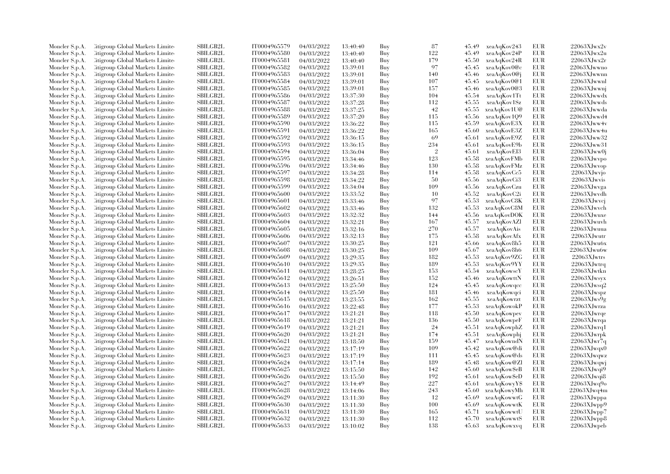| Moncler S.p.A.                   | <b>Citigroup Global Markets Limited</b>                            | SBILGB2L        | IT0004965579 | 04/03/2022               | 13:40:40             | Buy        | 87             | 45.49          | xeaAqKov243                | <b>EUR</b> | $22063X$ Jwx $2v$ |
|----------------------------------|--------------------------------------------------------------------|-----------------|--------------|--------------------------|----------------------|------------|----------------|----------------|----------------------------|------------|-------------------|
| Moncler S.p.A.                   | Citigroup Global Markets Limite                                    | SBILGB2L        | IT0004965580 | 04/03/2022               | 13:40:40             | Buy        | 122            | 45.49          | xeaAqKov24P                | EUR        | $22063X$ Jwx $2u$ |
| Moncler S.p.A.                   | Citigroup Global Markets Limite                                    | SBILGB2L        | IT0004965581 | 04/03/2022               | 13:40:40             | Buy        | 179            | 45.50          | xeaAqKov24R                | <b>EUR</b> | $22063X$ Jwx $2r$ |
| Moncler S.p.A.                   | Citigroup Global Markets Limite                                    | SBILGB2L        | IT0004965582 | 04/03/2022               | 13:39:01             | Buy        | 97             | 45.45          | xeaAqKov0@c                | <b>EUR</b> | 22063XJwwno       |
| Moncler S.p.A.                   | Citigroup Global Markets Limite                                    | <b>SBILGB2L</b> | IT0004965583 | 04/03/2022               | 13:39:01             | Buy        | 140            | 45.46          | xeaAqKov0@j                | <b>EUR</b> | 22063XJwwnn       |
| Moncler S.p.A.                   | Citigroup Global Markets Limite                                    | SBILGB2L        | IT0004965584 | 04/03/2022               | 13:39:01             | Buy        | 107            | 45.45          | xeaAqKov0@1                | <b>EUR</b> | 22063XJwwnl       |
| Moncler S.p.A.                   | Citigroup Global Markets Limite                                    | SBILGB2L        | IT0004965585 | 04/03/2022               | 13:39:01             | Buy        | 157            | 45.46          | xeaAqKov0@3                | <b>EUR</b> | 22063XJwwni       |
| Moncler S.p.A.                   | Citigroup Global Markets Limite                                    | <b>SBILGB2L</b> | IT0004965586 | 04/03/2022               | 13:37:30             | Buy        | 104            | 45.54          | xeaAqKov1Tt                | <b>EUR</b> | 22063XJwwdx       |
| Moncler S.p.A.                   | Litigroup Global Markets Limite                                    | SBILGB2L        | IT0004965587 | 04/03/2022               | 13:37:28             | Buy        | 112            | 45.55          | xeaAqKov1Sz                | EUR        | 22063XJwwds       |
| Moncler S.p.A.                   | <b>Citigroup Global Markets Limited</b>                            | <b>SBILGB2L</b> | IT0004965588 | 04/03/2022               | 13:37:25             | Buy        | 42             | 45.55          | xeaAqKov1U@                | EUR        | 22063XJwwda       |
| Moncler S.p.A.                   | Litigroup Global Markets Limite                                    | SBILGB2L        | IT0004965589 | 04/03/2022               | 13:37:20             | Buy        | 115            | 45.56          | xeaAqKov1Q9                | <b>EUR</b> | 22063XJwwd4       |
| Moncler S.p.A.                   | Citigroup Global Markets Limite                                    | SBILGB2L        | IT0004965590 | 04/03/2022               | 13:36:22             | Buy        | 115            | 45.59          | xeaAqKovE3X                | <b>EUR</b> | 22063XJww4v       |
| Moncler S.p.A.                   | Citigroup Global Markets Limite                                    | SBILGB2L        | IT0004965591 | 04/03/2022               | 13:36:22             | Buy        | 165            | 45.60          | xeaAqKovE3Z                | EUR        | 22063XJww4u       |
| Moncler S.p.A.                   | Citigroup Global Markets Limite                                    | SBILGB2L        | IT0004965592 | 04/03/2022               | 13:36:15             | Buy        | 69             | 45.61          | xeaAqKovE9Z                | <b>EUR</b> | 22063XJww32       |
| Moncler S.p.A.                   | Citigroup Global Markets Limite                                    | SBILGB2L        | IT0004965593 | 04/03/2022               | 13:36:15             | Buy        | 234            | 45.61          | xeaAqKovE9b                | <b>EUR</b> | 22063XJww31       |
| Moncler S.p.A.                   | Citigroup Global Markets Limite                                    | <b>SBILGB2L</b> | IT0004965594 | 04/03/2022               | 13:36:04             | Buy        | $\overline{2}$ | 45.61          | xeaAqKovEI3                | <b>EUR</b> | 22063XJww0j       |
| Moncler S.p.A.                   | Citigroup Global Markets Limite                                    | SBILGB2L        | IT0004965595 | 04/03/2022               | 13:34:46             | Buy        | 123            | 45.58          | xeaAqKovFMb                | <b>EUR</b> | 22063XJwvpo       |
| Moncler S.p.A.                   | Citigroup Global Markets Limite                                    | SBILGB2L        | IT0004965596 | 04/03/2022               | 13:34:46             | Buy        | 130            | 45.58          | xeaAqKovFMz                | <b>EUR</b> | 22063XJwvop       |
| Moncler S.p.A.                   | Citigroup Global Markets Limite                                    | <b>SBILGB2L</b> | IT0004965597 | 04/03/2022               | 13:34:28             | Buy        | 114            | 45.58          | xeaAqKovCc5                | <b>EUR</b> | 22063XJwvjo       |
| Moncler S.p.A.                   | Litigroup Global Markets Limite                                    | SBILGB2L        | IT0004965598 | 04/03/2022               | 13:34:22             | Buy        | 50             | 45.56          | xeaAqKovCi3                | EUR        | 22063XJwvis       |
| Moncler S.p.A.                   | Citigroup Global Markets Limite                                    | <b>SBILGB2L</b> | IT0004965599 | 04/03/2022               | 13:34:04             | Buy        | 109            | 45.56          | xeaAqKovCzu                | <b>EUR</b> | 22063XJwvga       |
| Moncler S.p.A.                   | Citigroup Global Markets Limited                                   | SBILGB2L        | IT0004965600 | 04/03/2022               | 13:33:52             | Buy        | 10             | 45.52          | xeaAqKovC2i                | <b>EUR</b> | 22063XJwvdh       |
| Moncler S.p.A.                   | litigroup Global Markets Limite                                    | <b>SBILGB2L</b> | IT0004965601 | 04/03/2022               | 13:33:46             | Buy        | 97             | 45.53          | xeaAqKovC8K                | <b>EUR</b> | 22063XJwvcj       |
| Moncler S.p.A.                   | Citigroup Global Markets Limite                                    | SBILGB2L        | IT0004965602 | 04/03/2022               | 13:33:46             | Buy        | 132            | 45.53          | xeaAqKovC8M                | EUR        | 22063XJwvch       |
| Moncler S.p.A.                   | Citigroup Global Markets Limited                                   | SBILGB2L        | IT0004965603 | 04/03/2022               | 13:32:32             | Buy        | 144            | 45.56          | xeaAqKovDOK                | <b>EUR</b> | 22063XJwuxe       |
|                                  | Citigroup Global Markets Limite                                    | <b>SBILGB2L</b> | IT0004965604 | 04/03/2022               | 13:32:21             | Buy        | 167            | 45.57          | xeaAqKovAZl                | <b>EUR</b> | 22063XJwuvh       |
| Moncler S.p.A.<br>Moncler S.p.A. | Citigroup Global Markets Limite                                    | <b>SBILGB2L</b> | IT0004965605 | 04/03/2022               |                      | Buy        | 270            | 45.57          |                            | <b>EUR</b> | 22063XJwuua       |
|                                  |                                                                    | <b>SBILGB2L</b> | IT0004965606 |                          | 13:32:16             |            | 175            |                | xeaAqKovAis                | <b>EUR</b> | 22063XJwutr       |
| Moncler S.p.A.                   | Citigroup Global Markets Limite<br>Litigroup Global Markets Limite | SBILGB2L        | IT0004965607 | 04/03/2022<br>04/03/2022 | 13:32:13<br>13:30:25 | Buy<br>Buy | 121            | 45.58<br>45.66 | xeaAqKovAfx<br>xeaAqKov8h5 | <b>EUR</b> | 22063XJwu6x       |
| Moncler S.p.A.                   |                                                                    |                 |              |                          |                      |            | 109            |                |                            |            |                   |
| Moncler S.p.A.                   | Citigroup Global Markets Limite                                    | <b>SBILGB2L</b> | IT0004965608 | 04/03/2022               | 13:30:25             | Buy        |                | 45.67          | xeaAqKov8h6                | <b>EUR</b> | 22063XJwu6w       |
| Moncler S.p.A.                   | Litigroup Global Markets Limite                                    | <b>SBILGB2L</b> | IT0004965609 | 04/03/2022               | 13:29:35             | Buy        | 182            | 45.53          | xeaAqKov9ZG                | EUR        | 22063XJwtrs       |
| Moncler S.p.A.                   | Citigroup Global Markets Limite                                    | <b>SBILGB2L</b> | IT0004965610 | 04/03/2022               | 13:29:35             | Buy        | 189            | 45.53          | xeaAqKov9YY                | <b>EUR</b> | 22063XJwtrq       |
| Moncler S.p.A.                   | Citigroup Global Markets Limited                                   | SBILGB2L        | IT0004965611 | 04/03/2022               | 13:28:25             | Buy        | 153            | 45.54          | xeaAqKowscY                | <b>EUR</b> | 22063XJwtkn       |
| Moncler S.p.A.                   | Citigroup Global Markets Limite                                    | <b>SBILGB2L</b> | IT0004965612 | 04/03/2022               | 13:26:51             | Buy        | 152            | 45.46          | xeaAqKowttN                | <b>EUR</b> | 22063XJwsyx       |
| Moncler S.p.A.                   | Citigroup Global Markets Limite                                    | SBILGB2L        | IT0004965613 | 04/03/2022               | 13:25:50             | Buy        | 124            | 45.45          | xeaAqKowqcc                | EUR        | 22063XJwsq2       |
| Moncler S.p.A.                   | <b>Eitigroup Global Markets Limited</b>                            | SBILGB2L        | IT0004965614 | 04/03/2022               | 13:25:50             | Buy        | 181            | 45.46          | xeaAqKowqci                | <b>EUR</b> | 22063XJwspz       |
| Moncler S.p.A.                   | Citigroup Global Markets Limite                                    | SBILGB2L        | IT0004965615 | 04/03/2022               | 13:23:55             | Buy        | 162            | 45.55          | xeaAqKowrzt                | EUR        | 22063XJws9g       |
| Moncler S.p.A.                   | Citigroup Global Markets Limite                                    | <b>SBILGB2L</b> | IT0004965616 | 04/03/2022               | 13:22:48             | Buy        | 177            | 45.53          | xeaAqKowokP                | <b>EUR</b> | 22063XJwrza       |
| Moncler S.p.A.                   | Citigroup Global Markets Limite                                    | <b>SBILGB2L</b> | IT0004965617 | 04/03/2022               | 13:21:21             | Buy        | 118            | 45.50          | xeaAqKowpev                | EUR        | $22063X$ Jwrqe    |
| Moncler S.p.A.                   | Litigroup Global Markets Limite                                    | SBILGB2L        | IT0004965618 | 04/03/2022               | 13:21:21             | Buy        | 136            | 45.50          | xeaAqKowpeF                | <b>EUR</b> | 22063XJwrqa       |
| Moncler S.p.A.                   | Citigroup Global Markets Limite                                    | SBILGB2L        | IT0004965619 | 04/03/2022               | 13:21:21             | Buy        | 24             | 45.51          | xeaAqKowphZ                | <b>EUR</b> | $22063$ XJwrq1    |
| Moncler S.p.A.                   | Citigroup Global Markets Limite                                    | SBILGB2L        | IT0004965620 | 04/03/2022               | 13:21:21             | Buy        | 174            | 45.51          | xeaAqKowphj                | EUR        | $22063X$ Jwrpk    |
| Moncler S.p.A.                   | Citigroup Global Markets Limited                                   | <b>SBILGB2L</b> | IT0004965621 | 04/03/2022               | 13:18:50             | Buy        | 159            | 45.47          | xeaAqKowndN                | <b>EUR</b> | 22063XJwr7q       |
| Moncler S.p.A.                   | Citigroup Global Markets Limite                                    | SBILGB2L        | IT0004965622 | 04/03/2022               | 13:17:19             | Buy        | 109            | 45.42          | xeaAqKow@di                | <b>EUR</b> | $22063X$ Jwqx $0$ |
| Moncler S.p.A.                   | Citigroup Global Markets Limite                                    | <b>SBILGB2L</b> | IT0004965623 | 04/03/2022               | 13:17:19             | Buy        | 111            | 45.45          | xeaAqKow@ds                | <b>EUR</b> | 22063XJwqwz       |
| Moncler S.p.A.                   | <b>Citigroup Global Markets Limited</b>                            | <b>SBILGB2L</b> | IT0004965624 | 04/03/2022               | 13:17:14             | Buy        | 189            | 45.48          | xeaAqKow@Zl                | <b>EUR</b> | 22063XJwqwj       |
| Moncler S.p.A.                   | Citigroup Global Markets Limited                                   | SBILGB2L        | IT0004965625 | 04/03/2022               | 13:15:50             | Buy        | 142            | 45.60          | xeaAqKowSeB                | <b>EUR</b> | $22063$ XJwqi9    |
| Moncler S.p.A.                   | Citigroup Global Markets Limite                                    | <b>SBILGB2L</b> | IT0004965626 | 04/03/2022               | 13:15:50             | Buy        | 192            | 45.61          | xeaAqKow\$eD               | <b>EUR</b> | 22063XJwqi8       |
| Moncler S.p.A.                   | Citigroup Global Markets Limite                                    | SBILGB2L        | IT0004965627 | 04/03/2022               | 13:14:49             | Buy        | 227            | 45.61          | xeaAqKowyY\$               | <b>EUR</b> | 22063XJwq9o       |
| Moncler S.p.A.                   | Citigroup Global Markets Limite                                    | <b>SBILGB2L</b> | IT0004965628 | 04/03/2022               | 13:14:06             | Buy        | 243            | 45.60          | xeaAqKowyMh                | <b>EUR</b> | 22063XJwq4m       |
| Moncler S.p.A.                   | Litigroup Global Markets Limite                                    | SBILGB2L        | IT0004965629 | 04/03/2022               | 13:11:30             | Buy        | 12             | 45.69          | xeaAqKowwtG                | <b>EUR</b> | 22063XJwppa       |
| Moncler S.p.A.                   | Citigroup Global Markets Limite                                    | SBILGB2L        | IT0004965630 | 04/03/2022               | 13:11:30             | Buy        | 100            | 45.69          | xeaAqKowwtK                | <b>EUR</b> | 22063XJwpp9       |
| Moncler S.p.A.                   | Citigroup Global Markets Limite                                    | SBILGB2L        | IT0004965631 | 04/03/2022               | 13:11:30             | Buy        | 165            | 45.71          | xeaAqKowwtU                | EUR        | 22063XJwpp7       |
| Moncler S.p.A.                   | Citigroup Global Markets Limite                                    | <b>SBILGB2L</b> | IT0004965632 | 04/03/2022               | 13:11:30             | Buy        | 112            | 45.70          | xeaAqKowwtS                | <b>EUR</b> | $22063$ XJwpp8    |
| Moncler S.p.A.                   | Citigroup Global Markets Limited                                   | SBILGB2L        | IT0004965633 | 04/03/2022               | 13:10:02             | Buv        | 138            |                | 45.63 xeaAqKowxvq          | <b>EUR</b> | $22063X$ Jwpeb    |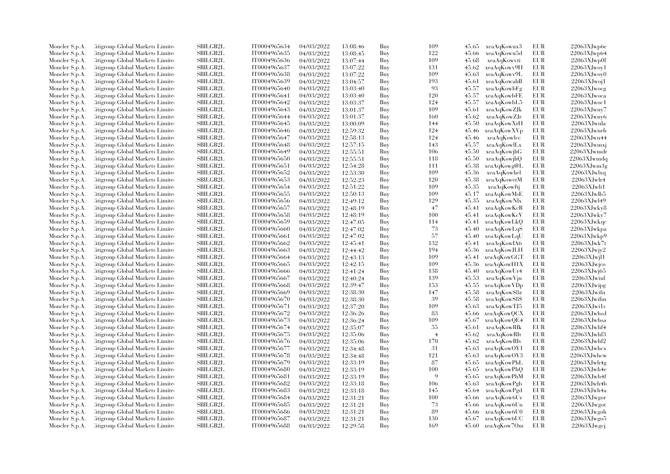| Moncler S.p.A. | Citigroup Global Markets Limite         | SBILGB2L        | IT0004965634                 | 04/03/2022 | 13:08:46 | Buy | 109            | 45.65 | xeaAqKowux3       | EUR        | 22063XJwp6e       |
|----------------|-----------------------------------------|-----------------|------------------------------|------------|----------|-----|----------------|-------|-------------------|------------|-------------------|
| Moncler S.p.A. | Litigroup Global Markets Limite         | <b>SBILGB2L</b> | IT0004965635                 | 04/03/2022 | 13:08:45 | Buy | 122            | 45.66 | xeaAqKowu5d       | <b>EUR</b> | $22063X$ Jwp64    |
| Moncler S.p.A. | Citigroup Global Markets Limite         | SBILGB2L        | IT0004965636                 | 04/03/2022 | 13:07:44 | Buy | 109            | 45.68 | xeaAqKowvti       | <b>EUR</b> | 22063XJwp0f       |
| Moncler S.p.A. | Litigroup Global Markets Limite         | <b>SBILGB2L</b> | IT0004965637                 | 04/03/2022 | 13:07:22 | Buy | 131            | 45.62 | xeaAqKowv9H       | <b>EUR</b> | $22063X$ Jwoy1    |
| Moncler S.p.A. | Litigroup Global Markets Limite         | <b>SBILGB2L</b> | IT0004965638                 | 04/03/2022 | 13:07:22 | Buy | 109            | 45.63 | xeaAqKowv9L       | <b>EUR</b> | $22063X$ Jwoy $0$ |
| Moncler S.p.A. | Citigroup Global Markets Limite         | SBILGB2L        | IT0004965639                 | 04/03/2022 | 13:04:57 | Buy | 193            | 45.61 | xeaAqKowahB       | EUR.       | $22063X$ Jwoj1    |
| Moncler S.p.A. | Citigroup Global Markets Limite         | SBILGB2L        | IT0004965640                 | 04/03/2022 | 13:03:40 | Buy | 93             | 45.57 | xeaAqKowbFg       | <b>EUR</b> | 22063XJwocg       |
| Moncler S.p.A. | Citigroup Global Markets Limite         | <b>SBILGB2L</b> | IT0004965641                 | 04/03/2022 | 13:03:40 | Buy | 120            | 45.57 | xeaAqKowbFE       | <b>EUR</b> | 22063XJwoca       |
| Moncler S.p.A. | Litigroup Global Markets Limite         | <b>SBILGB2L</b> | IT0004965642                 | 04/03/2022 | 13:03:37 | Buy | 124            | 45.57 | xeaAqKowbL5       | <b>EUR</b> | $22063X$ Jwoc1    |
|                |                                         | <b>SBILGB2L</b> |                              |            |          |     | 109            |       |                   | <b>EUR</b> | 22063XJwny7       |
| Moncler S.p.A. | Citigroup Global Markets Limite         | <b>SBILGB2L</b> | IT0004965643<br>IT0004965644 | 04/03/2022 | 13:01:37 | Buy | 160            | 45.61 | xeaAqKowZJk       | <b>EUR</b> |                   |
| Moncler S.p.A. | Citigroup Global Markets Limite         |                 |                              | 04/03/2022 | 13:01:37 | Buy |                | 45.62 | xeaAqKowZJr       |            | $22063X$ Jwny $6$ |
| Moncler S.p.A. | Citigroup Global Markets Limite         | SBILGB2L        | IT0004965645                 | 04/03/2022 | 13:00:09 | Buy | 144            | 45.50 | xeaAqKowXrH       | <b>EUR</b> | 22063XJwnla       |
| Moncler S.p.A. | Citigroup Global Markets Limite         | <b>SBILGB2L</b> | IT0004965646                 | 04/03/2022 | 12:59:32 | Buy | 124            | 45.46 | xeaAqKowXVp       | <b>EUR</b> | 22063XJwneh       |
| Moncler S.p.A. | Litigroup Global Markets Limite         | <b>SBILGB2L</b> | IT0004965647                 | 04/03/2022 | 12:58:13 | Buy | 124            | 45.46 | xeaAqKowlcc       | <b>EUR</b> | 22063XJwn44       |
| Moncler S.p.A. | Citigroup Global Markets Limite         | <b>SBILGB2L</b> | IT0004965648                 | 04/03/2022 | 12:57:15 | Buy | 143            | 45.57 | xeaAqKowlLx       | <b>EUR</b> | 22063XJwmxj       |
| Moncler S.p.A. | <b>Eitigroup Global Markets Limited</b> | <b>SBILGB2L</b> | IT0004965649                 | 04/03/2022 | 12:55:51 | Buy | 106            | 45.50 | xeaAqKowjhG       | <b>EUR</b> | 22063XJwmdr       |
| Moncler S.p.A. | Citigroup Global Markets Limite         | SBILGB2L        | IT0004965650                 | 04/03/2022 | 12:55:51 | Buy | 118            | 45.50 | xeaAqKowjhQ       | <b>EUR</b> | 22063XJwmdq       |
| Moncler S.p.A. | Citigroup Global Markets Limite         | SBILGB2L        | IT0004965651                 | 04/03/2022 | 12:54:28 | Buy | 111            | 45.38 | xeaAqKowg@L       | <b>EUR</b> | 22063XJwm3g       |
| Moncler S.p.A. | <b>Citigroup Global Markets Limited</b> | SBILGB2L        | IT0004965652                 | 04/03/2022 | 12:53:30 | Buy | 109            | 45.36 | xeaAqKowhel       | <b>EUR</b> | $22063X$ Jwlxq    |
| Moncler S.p.A. | Citigroup Global Markets Limite         | <b>SBILGB2L</b> | IT0004965653                 | 04/03/2022 | 12:52:23 | Buy | 120            | 45.38 | xeaAqKowetM       | <b>EUR</b> | 22063XJwlr4       |
| Moncler S.p.A. | Citigroup Global Markets Limite         | <b>SBILGB2L</b> | IT0004965654                 | 04/03/2022 | 12:51:22 | Buy | 109            | 45.35 | xeaAqKowftj       | <b>EUR</b> | 22063XJwli1       |
| Moncler S.p.A. | Citigroup Global Markets Limite         | SBILGB2L        | IT0004965655                 | 04/03/2022 | 12:50:13 | Buy | 109            | 45.17 | xeaAqKowMsE       | <b>EUR</b> | 22063XJwlb5       |
| Moncler S.p.A. | Citigroup Global Markets Limite         | SBILGB2L        | IT0004965656                 | 04/03/2022 | 12:49:12 | Buy | 129            | 45.35 | xeaAqKowNlx       | <b>EUR</b> | 22063XJwl49       |
| Moncler S.p.A. | Citigroup Global Markets Limite         | <b>SBILGB2L</b> | IT0004965657                 | 04/03/2022 | 12:48:19 | Buy | 47             | 45.41 | xeaAqKowKcR       | <b>EUR</b> | 22063XJwky8       |
| Moncler S.p.A. | Citigroup Global Markets Limite         | <b>SBILGB2L</b> | IT0004965658                 | 04/03/2022 | 12:48:19 | Buy | 100            | 45.41 | xeaAqKowKcV       | <b>EUR</b> | 22063XJwky7       |
| Moncler S.p.A. | Citigroup Global Markets Limite         | SBILGB2L        | IT0004965659                 | 04/03/2022 | 12:47:05 | Buy | 114            | 45.41 | xeaAqKowLkQ       | EUR        | 22063XJwkqc       |
| Moncler S.p.A. | <b>Eitigroup Global Markets Limited</b> | <b>SBILGB2L</b> | IT0004965660                 | 04/03/2022 | 12:47:02 | Buy | 73             | 45.40 | xeaAqKowLqS       | <b>EUR</b> | 22063XJwkpa       |
| Moncler S.p.A. | Citigroup Global Markets Limite         | <b>SBILGB2L</b> | IT0004965661                 | 04/03/2022 | 12:47:02 | Buy | 57             | 45.40 | xeaAqKowLqU       | <b>EUR</b> | 22063XJwkp9       |
| Moncler S.p.A. | Citigroup Global Markets Limite         | SBILGB2L        | IT0004965662                 | 04/03/2022 | 12:45:41 | Buy | 132            | 45.41 | xeaAqKowIA6       | EUR        | 22063XJwk7t       |
| Moncler S.p.A. | <b>Citigroup Global Markets Limited</b> | <b>SBILGB2L</b> | IT0004965663                 | 04/03/2022 | 12:44:42 | Buy | 194            | 45.36 | xeaAqKowJLH       | <b>EUR</b> | $22063X$ Jwjy $2$ |
| Moncler S.p.A. | Citigroup Global Markets Limite         | <b>SBILGB2L</b> | IT0004965664                 | 04/03/2022 | 12:43:13 | Buy | 109            | 45.41 | xeaAqKowGGT       | <b>EUR</b> | $22063$ XJwil1    |
| Moncler S.p.A. | Citigroup Global Markets Limite         | <b>SBILGB2L</b> | IT0004965665                 | 04/03/2022 | 12:42:15 | Buy | 109            | 45.36 | xeaAqKowH1X       | <b>EUR</b> | 22063XJwjco       |
| Moncler S.p.A. | Citigroup Global Markets Limite         | <b>SBILGB2L</b> | IT0004965666                 | 04/03/2022 | 12:41:24 | Buy | 138            | 45.40 | xeaAqKowUr4       | <b>EUR</b> | 22063XJwj65       |
| Moncler S.p.A. | Citigroup Global Markets Limite         | SBILGB2L        | IT0004965667                 | 04/03/2022 | 12:40:24 | Buy | 139            | 45.53 | xeaAqKowVju       | <b>EUR</b> | 22063XJwiul       |
| Moncler S.p.A. | Citigroup Global Markets Limite         | <b>SBILGB2L</b> | IT0004965668                 | 04/03/2022 | 12:39:47 | Buy | 153            | 45.55 | xeaAqKowVDp       | <b>EUR</b> | 22063XJwipg       |
| Moncler S.p.A. | Citigroup Global Markets Limite         | <b>SBILGB2L</b> | IT0004965669                 | 04/03/2022 | 12:38:30 | Buy | 147            | 45.58 | xeaAqKowS8z       | <b>EUR</b> | 22063XJwifn       |
| Moncler S.p.A. | Citigroup Global Markets Limite         | SBILGB2L        | IT0004965670                 | 04/03/2022 | 12:38:30 | Buy | 39             | 45.58 | xeaAqKowS8\$      | EUR        | 22063XJwifm       |
| Moncler S.p.A. | <b>Citigroup Global Markets Limited</b> | <b>SBILGB2L</b> | IT0004965671                 | 04/03/2022 | 12:37:20 | Buy | 109            | 45.63 | xeaAqKowTJ5       | <b>EUR</b> | 22063XJwi1s       |
| Moncler S.p.A. | Citigroup Global Markets Limite         | <b>SBILGB2L</b> | IT0004965672                 | 04/03/2022 | 12:36:26 | Buy | 83             | 45.66 | xeaAqKowQCX       | <b>EUR</b> | 22063XJwhsd       |
| Moncler S.p.A. | Citigroup Global Markets Limite         | SBILGB2L        | IT0004965673                 | 04/03/2022 | 12:36:24 | Buy | 109            | 45.67 | xeaAqKowQE4       | <b>EUR</b> | 22063XJwhsa       |
| Moncler S.p.A. | Citigroup Global Markets Limite         | <b>SBILGB2L</b> | IT0004965674                 | 04/03/2022 | 12:35:07 | Buy | 55             | 45.61 | xeaAqKowRIk       | <b>EUR</b> | $22063X$ Jwhf4    |
| Moncler S.p.A. | Citigroup Global Markets Limite         | SBILGB2L        | IT0004965675                 | 04/03/2022 | 12:35:06 | Buy | $\overline{4}$ | 45.62 | xeaAqKowRIt       | <b>EUR</b> | 22063XJwhf3       |
| Moncler S.p.A. | Citigroup Global Markets Limite         | <b>SBILGB2L</b> | IT0004965676                 | 04/03/2022 | 12:35:06 | Buy | 170            | 45.62 | xeaAqKowRIv       | <b>EUR</b> | 22063XJwhf2       |
| Moncler S.p.A. | Citigroup Global Markets Limite         | <b>SBILGB2L</b> | IT0004965677                 | 04/03/2022 | 12:34:48 | Buy | 31             | 45.63 | xeaAqKowOY1       | <b>EUR</b> | $22063X$ Jwhcx    |
|                | Citigroup Global Markets Limite         | <b>SBILGB2L</b> | IT0004965678                 |            |          | Buy | 121            | 45.63 | xeaAqKowOY3       | <b>EUR</b> | 22063XJwhcw       |
| Moncler S.p.A. |                                         |                 |                              | 04/03/2022 | 12:34:48 |     |                |       |                   | <b>EUR</b> |                   |
| Moncler S.p.A. | Citigroup Global Markets Limite         | SBILGB2L        | IT0004965679                 | 04/03/2022 | 12:33:19 | Buy | 87             | 45.65 | xeaAqKowPhL       |            | 22063XJwh4g       |
| Moncler S.p.A. | Citigroup Global Markets Limite         | <b>SBILGB2L</b> | IT0004965680                 | 04/03/2022 | 12:33:19 | Buy | 100<br>9       | 45.65 | xeaAqKowPhQ       | <b>EUR</b> | 22063XJwh4e       |
| Moncler S.p.A. | Citigroup Global Markets Limite         | <b>SBILGB2L</b> | IT0004965681                 | 04/03/2022 | 12:33:19 | Buy |                | 45.65 | xeaAqKowPhM       | EUR        | $22063X$ Jwh4f    |
| Moncler S.p.A. | Citigroup Global Markets Limite         | <b>SBILGB2L</b> | IT0004965682                 | 04/03/2022 | 12:33:18 | Buy | 106            | 45.63 | xeaAqKowPgb       | <b>EUR</b> | 22063XJwh4b       |
| Moncler S.p.A. | Citigroup Global Markets Limite         | SBILGB2L        | IT0004965683                 | 04/03/2022 | 12:33:18 | Buy | 145            | 45.64 | xeaAqKowPgd       | <b>EUR</b> | 22063XJwh4a       |
| Moncler S.p.A. | Citigroup Global Markets Limite         | <b>SBILGB2L</b> | IT0004965684                 | 04/03/2022 | 12:31:21 | Buy | 100            | 45.66 | xeaAqKow6Ur       | <b>EUR</b> | $22063X$ Jwgor    |
| Moncler S.p.A. | Citigroup Global Markets Limite         | <b>SBILGB2L</b> | IT0004965685                 | 04/03/2022 | 12:31:21 | Buy | 73             | 45.66 | xeaAqKow6Un       | <b>EUR</b> | $22063X$ Jwgot    |
| Moncler S.p.A. | Citigroup Global Markets Limite         | SBILGB2L        | IT0004965686                 | 04/03/2022 | 12:31:21 | Buy | 89             | 45.66 | xeaAqKow6U0       | <b>EUR</b> | $22063X$ Jwgoh    |
| Moncler S.p.A. | Citigroup Global Markets Limite         | <b>SBILGB2L</b> | IT0004965687                 | 04/03/2022 | 12:31:21 | Buy | 130            |       | 45.67 xeaAqKow6UC | <b>EUR</b> | 22063XJwgo5       |
| Moncler S.p.A. | Citigroup Global Markets Limited        | SBILGB2L        | IT0004965688                 | 04/03/2022 | 12:29:58 | Buv | 169            |       | 45.60 xeaAqKow7Om | <b>EUR</b> | 22063XJwgcj       |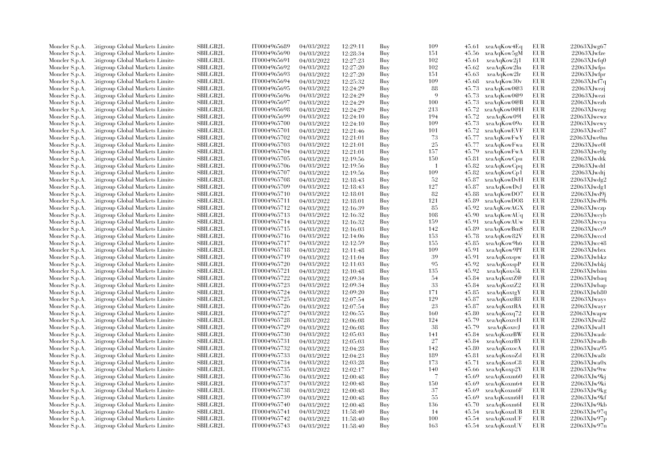| Moncler S.p.A. | Citigroup Global Markets Limite  | <b>SBILGB2L</b> | IT0004965689 | 04/03/2022 | 12:29:11 | Buy | 109 |       | 45.61 xeaAqKow4Eq | EUR        | 22063XJwg67       |
|----------------|----------------------------------|-----------------|--------------|------------|----------|-----|-----|-------|-------------------|------------|-------------------|
| Moncler S.p.A. | Citigroup Global Markets Limite  | SBILGB2L        | IT0004965690 | 04/03/2022 | 12:28:34 | Buy | 151 | 45.56 | xeaAqKow5gM       | EUR        | 22063XJwfze       |
| Moncler S.p.A. | Citigroup Global Markets Limited | SBILGB2L        | IT0004965691 | 04/03/2022 | 12:27:23 | Buy | 102 | 45.61 | xeaAqKow2j1       | <b>EUR</b> | 22063XJwfq0       |
| Moncler S.p.A. | Citigroup Global Markets Limite  | SBILGB2L        | IT0004965692 | 04/03/2022 | 12:27:20 | Buy | 102 | 45.62 | xeaAqKow2ln       | EUR        | 22063XJwfps       |
| Moncler S.p.A. | Citigroup Global Markets Limite  | <b>SBILGB2L</b> | IT0004965693 | 04/03/2022 | 12:27:20 | Buy | 151 | 45.63 | xeaAqKow2lr       | <b>EUR</b> | 22063XJwfpr       |
| Moncler S.p.A. | Citigroup Global Markets Limite  | SBILGB2L        | IT0004965694 | 04/03/2022 | 12:25:32 | Buy | 109 | 45.68 | xeaAqKow30v       | <b>EUR</b> | 22063XJwf7q       |
| Moncler S.p.A. | Citigroup Global Markets Limite  | SBILGB2L        | IT0004965695 | 04/03/2022 | 12:24:29 | Buy | 88  | 45.73 | xeaAqKow0@3       | <b>EUR</b> | 22063XJwezj       |
| Moncler S.p.A. | Citigroup Global Markets Limite  | <b>SBILGB2L</b> | IT0004965696 | 04/03/2022 | 12:24:29 | Buy | -9  | 45.73 | xeaAqKow0@9       | <b>EUR</b> | 22063XJwezi       |
| Moncler S.p.A. | Citigroup Global Markets Limite  | <b>SBILGB2L</b> | IT0004965697 | 04/03/2022 | 12:24:29 | Buy | 100 | 45.73 | xeaAqKow0@B       | <b>EUR</b> | 22063XJwezh       |
| Moncler S.p.A. | Citigroup Global Markets Limite  | <b>SBILGB2L</b> | IT0004965698 | 04/03/2022 | 12:24:29 | Buy | 213 | 45.72 | xeaAqKow0@H       | <b>EUR</b> | 22063XJwezg       |
| Moncler S.p.A. | Citigroup Global Markets Limite  | <b>SBILGB2L</b> | IT0004965699 | 04/03/2022 | 12:24:10 | Buy | 194 | 45.72 | xeaAqKow091       | <b>EUR</b> | 22063XJwewz       |
| Moncler S.p.A. | Citigroup Global Markets Limite  | <b>SBILGB2L</b> | IT0004965700 | 04/03/2022 | 12:24:10 | Buy | 109 | 45.73 | xeaAqKow09o       | <b>EUR</b> | 22063XJwewy       |
| Moncler S.p.A. | Citigroup Global Markets Limite  | SBILGB2L        | IT0004965701 | 04/03/2022 | 12:21:46 | Buy | 101 | 45.72 | xeaAqKowEVF       | EUR        | 22063XJwe87       |
| Moncler S.p.A. | Citigroup Global Markets Limited | SBILGB2L        | IT0004965702 | 04/03/2022 | 12:21:01 | Buy | 73  | 45.77 | xeaAqKowFwY       | <b>EUR</b> | $22063$ XJwe0m    |
| Moncler S.p.A. | Citigroup Global Markets Limite  | SBILGB2L        | IT0004965703 | 04/03/2022 | 12:21:01 | Buy | 25  | 45.77 | xeaAqKowFwa       | EUR        | $22063X$ Jwe0l    |
|                |                                  |                 |              |            |          |     |     |       |                   |            |                   |
| Moncler S.p.A. | Citigroup Global Markets Limite  | <b>SBILGB2L</b> | IT0004965704 | 04/03/2022 | 12:21:01 | Buy | 157 | 45.79 | xeaAqKowFwA       | <b>EUR</b> | 22063XJwe0g       |
| Moncler S.p.A. | Citigroup Global Markets Limite  | <b>SBILGB2L</b> | IT0004965705 | 04/03/2022 | 12:19:56 | Buy | 150 | 45.81 | xeaAqKowCpu       | EUR        | 22063XJwdtk       |
| Moncler S.p.A. | Citigroup Global Markets Limite  | SBILGB2L        | IT0004965706 | 04/03/2022 | 12:19:56 | Buy | -1  | 45.82 | xeaAqKowCpq       | <b>EUR</b> | 22063XJwdtl       |
| Moncler S.p.A. | Citigroup Global Markets Limite  | <b>SBILGB2L</b> | IT0004965707 | 04/03/2022 | 12:19:56 | Buy | 109 | 45.82 | xeaAqKowCp1       | <b>EUR</b> | 22063XJwdtj       |
| Moncler S.p.A. | Citigroup Global Markets Limite  | SBILGB2L        | IT0004965708 | 04/03/2022 | 12:18:43 | Buy | 52  | 45.87 | xeaAqKowDvH       | EUR        | $22063$ XJwdg $2$ |
| Moncler S.p.A. | Citigroup Global Markets Limite  | SBILGB2L        | IT0004965709 | 04/03/2022 | 12:18:43 | Buy | 127 | 45.87 | xeaAqKowDvJ       | <b>EUR</b> | 22063XJwdg1       |
| Moncler S.p.A. | Citigroup Global Markets Limite  | SBILGB2L        | IT0004965710 | 04/03/2022 | 12:18:01 | Buy | 82  | 45.88 | xeaAqKowDO7       | <b>EUR</b> | $22063$ XJwd9j    |
| Moncler S.p.A. | Citigroup Global Markets Limite  | <b>SBILGB2L</b> | IT0004965711 | 04/03/2022 | 12:18:01 | Buy | 121 | 45.89 | xeaAqKowDO8       | <b>EUR</b> | 22063XJwd9h       |
| Moncler S.p.A. | Citigroup Global Markets Limite  | SBILGB2L        | IT0004965712 | 04/03/2022 | 12:16:39 | Buy | 85  | 45.92 | xeaAqKowAGX       | <b>EUR</b> | $22063$ XJwczp    |
| Moncler S.p.A. | Citigroup Global Markets Limite  | SBILGB2L        | IT0004965713 | 04/03/2022 | 12:16:32 | Buy | 108 | 45.90 | xeaAqKowAUq       | <b>EUR</b> | $22063X$ Jwcyb    |
| Moncler S.p.A. | Citigroup Global Markets Limite  | SBILGB2L        | IT0004965714 | 04/03/2022 | 12:16:32 | Buy | 159 | 45.91 | xeaAqKowAUw       | EUR        | 22063XJwcya       |
| Moncler S.p.A. | Citigroup Global Markets Limite  | <b>SBILGB2L</b> | IT0004965715 | 04/03/2022 | 12:16:03 | Buy | 142 | 45.89 | xeaAqKowBm\$      | <b>EUR</b> | 22063XJwcs9       |
| Moncler S.p.A. | Citigroup Global Markets Limite  | SBILGB2L        | IT0004965716 | 04/03/2022 | 12:14:06 | Buy | 153 | 45.78 | xeaAqKow82V       | EUR        | $22063X$ Jwccd    |
| Moncler S.p.A. | Citigroup Global Markets Limite  | SBILGB2L        | IT0004965717 | 04/03/2022 | 12:12:59 | Buy | 155 | 45.85 | xeaAqKow9h6       | <b>EUR</b> | 22063XJwc48       |
| Moncler S.p.A. | Citigroup Global Markets Limite  | <b>SBILGB2L</b> | IT0004965718 | 04/03/2022 | 12:11:48 | Buy | 109 | 45.91 | xeaAqKow9Pf       | <b>EUR</b> | 22063XJwbtx       |
| Moncler S.p.A. | Citigroup Global Markets Limite  | <b>SBILGB2L</b> | IT0004965719 | 04/03/2022 | 12:11:04 | Buy | 39  | 45.91 | xeaAqKoxspw       | EUR        | $22063X$ Jwbkz    |
| Moncler S.p.A. | Citigroup Global Markets Limite  | <b>SBILGB2L</b> | IT0004965720 | 04/03/2022 | 12:11:03 | Buy | 95  | 45.92 | xeaAqKoxspP       | <b>EUR</b> | 22063XJwbl        |
| Moncler S.p.A. | Citigroup Global Markets Limite  | SBILGB2L        | IT0004965721 | 04/03/2022 | 12:10:48 | Buy | 135 | 45.92 | xeaAqKoxs5k       | <b>EUR</b> | 22063XJwbim       |
| Moncler S.p.A. | Citigroup Global Markets Limite  | <b>SBILGB2L</b> | IT0004965722 | 04/03/2022 | 12:09:34 | Buy | -54 | 45.84 | xeaAqKoxtZ@       | <b>EUR</b> | 22063XJwbaq       |
| Moncler S.p.A. | Citigroup Global Markets Limite  | SBILGB2L        | IT0004965723 | 04/03/2022 | 12:09:34 | Buy | 33  | 45.84 | xeaAqKoxtZ2       | EUR        | 22063XJwbap       |
| Moncler S.p.A. | Citigroup Global Markets Limite  | SBILGB2L        | IT0004965724 | 04/03/2022 | 12:09:20 | Buy | 171 | 45.85 | xeaAqKoxtgY       | <b>EUR</b> | 22063XJwb80       |
| Moncler S.p.A. | Citigroup Global Markets Limite  | SBILGB2L        | IT0004965725 | 04/03/2022 | 12:07:54 | Buy | 129 | 45.87 | xeaAqKoxtR8       | EUR        | 22063XJways       |
| Moncler S.p.A. | Citigroup Global Markets Limite  | <b>SBILGB2L</b> | IT0004965726 | 04/03/2022 | 12:07:54 | Buy | 23  | 45.87 | xeaAqKoxtRA       | <b>EUR</b> | 22063XJwayr       |
| Moncler S.p.A. | Citigroup Global Markets Limite  | SBILGB2L        | IT0004965727 | 04/03/2022 | 12:06:55 | Buy | 160 | 45.80 | xeaAqKoxq72       | EUR        | 22063XJwapw       |
| Moncler S.p.A. | Citigroup Global Markets Limite  | SBILGB2L        | IT0004965728 | 04/03/2022 | 12:06:08 | Buy | 124 | 45.79 | xeaAqKoxrcH       | <b>EUR</b> | $22063$ XJwal $2$ |
| Moncler S.p.A. | Citigroup Global Markets Limite  | <b>SBILGB2L</b> | IT0004965729 | 04/03/2022 | 12:06:08 | Buy | 38  | 45.79 | xeaAqKoxrcJ       | <b>EUR</b> | 22063XJwal1       |
| Moncler S.p.A. | Citigroup Global Markets Limite  | SBILGB2L        | IT0004965730 | 04/03/2022 | 12:05:03 | Buy | 141 | 45.84 | xeaAqKoxrBW       | EUR        | 22063XJwadc       |
| Moncler S.p.A. | Citigroup Global Markets Limite  | SBILGB2L        | IT0004965731 | 04/03/2022 | 12:05:03 | Buy | 27  | 45.84 | xeaAqKoxrBY       | <b>EUR</b> | 22063XJwadb       |
| Moncler S.p.A. | Citigroup Global Markets Limite  | <b>SBILGB2L</b> | IT0004965732 | 04/03/2022 | 12:04:28 | Buy | 142 | 45.80 | xeaAqKoxocA       | <b>EUR</b> | $22063X$ Jwa95    |
|                |                                  | <b>SBILGB2L</b> |              |            |          |     | 189 |       |                   | <b>EUR</b> | 22063XJwa8t       |
| Moncler S.p.A. | Citigroup Global Markets Limite  |                 | IT0004965733 | 04/03/2022 | 12:04:23 | Buy | 173 | 45.81 | xeaAqKoxoZd       |            |                   |
| Moncler S.p.A. | Citigroup Global Markets Limite  | <b>SBILGB2L</b> | IT0004965734 | 04/03/2022 | 12:03:28 | Buy |     | 45.71 | xeaAqKoxoC8       | EUR        | $22063X$ Jwa $0x$ |
| Moncler S.p.A. | Citigroup Global Markets Limite  | SBILGB2L        | IT0004965735 | 04/03/2022 | 12:02:17 | Buy | 140 | 45.66 | xeaAqKoxp2Y       | <b>EUR</b> | 22063XJw9tw       |
| Moncler S.p.A. | Citigroup Global Markets Limite  | <b>SBILGB2L</b> | IT0004965736 | 04/03/2022 | 12:00:48 | Buy | 7   | 45.69 | xeaAqKoxm60       | EUR        | 22063XJw9ki       |
| Moncler S.p.A. | Citigroup Global Markets Limite  | <b>SBILGB2L</b> | IT0004965737 | 04/03/2022 | 12:00:48 | Buy | 150 | 45.69 | xeaAqKoxm64       | <b>EUR</b> | 22063XJw9ki       |
| Moncler S.p.A. | Citigroup Global Markets Limite  | SBILGB2L        | IT0004965738 | 04/03/2022 | 12:00:48 | Buy | 37  | 45.69 | xeaAqKoxm6F       | <b>EUR</b> | 22063XJw9kg       |
| Moncler S.p.A. | Citigroup Global Markets Limite  | <b>SBILGB2L</b> | IT0004965739 | 04/03/2022 | 12:00:48 | Buy | 55  | 45.69 | xeaAqKoxm6H       | <b>EUR</b> | 22063XJw9kf       |
| Moncler S.p.A. | Citigroup Global Markets Limite  | <b>SBILGB2L</b> | IT0004965740 | 04/03/2022 | 12:00:48 | Buy | 136 | 45.70 | xeaAqKoxm6I       | <b>EUR</b> | 22063XJw9kb       |
| Moncler S.p.A. | Citigroup Global Markets Limite  | SBILGB2L        | IT0004965741 | 04/03/2022 | 11:58:40 | Buy | 14  | 45.54 | xeaAqKoxnUB       | EUR        | 22063XJw97q       |
| Moncler S.p.A. | Citigroup Global Markets Limite  | <b>SBILGB2L</b> | IT0004965742 | 04/03/2022 | 11:58:40 | Buy | 100 |       | 45.54 xeaAqKoxnUF | <b>EUR</b> | 22063XJw97p       |
| Moncler S.p.A. | Citigroup Global Markets Limited | <b>SBILGB2L</b> | IT0004965743 | 04/03/2022 | 11:58:40 | Buy | 163 |       | 45.54 xeaAqKoxnUV | <b>EUR</b> | 22063XJw97n       |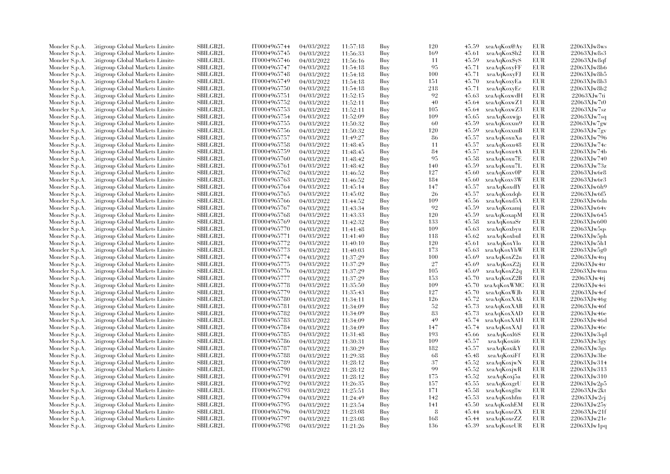| Moncler S.p.A. | Citigroup Global Markets Limite                                     | <b>SBILGB2L</b>             | IT0004965744                 | 04/03/2022 | 11:57:18 | Buy        | 120        | 45.59 | xeaAqKox@Ay       | EUR               | $22063X$ Jw $8$ ws         |
|----------------|---------------------------------------------------------------------|-----------------------------|------------------------------|------------|----------|------------|------------|-------|-------------------|-------------------|----------------------------|
| Moncler S.p.A. | Citigroup Global Markets Limite                                     | <b>SBILGB2L</b>             | IT0004965745                 | 04/03/2022 | 11:56:33 | Buy        | 169        | 45.61 | xeaAqKox\$h2      | <b>EUR</b>        | 22063XJw8s3                |
| Moncler S.p.A. | Citigroup Global Markets Limite                                     | SBILGB2L                    | IT0004965746                 | 04/03/2022 | 11:56:16 | Buy        | 11         | 45.59 | xeaAqKox\$yS      | <b>EUR</b>        | $22063X$ Jw $8qf$          |
| Moncler S.p.A. | Citigroup Global Markets Limite                                     | <b>SBILGB2L</b>             | IT0004965747                 | 04/03/2022 | 11:54:18 | Buy        | 95         | 45.71 | xeaAqKoxyFF       | <b>EUR</b>        | 22063XJw8b6                |
| Moncler S.p.A. | Citigroup Global Markets Limite                                     | <b>SBILGB2L</b>             | IT0004965748                 | 04/03/2022 | 11:54:18 | Buy        | 100        | 45.71 | xeaAqKoxyFJ       | <b>EUR</b>        | 22063XJw8b5                |
| Moncler S.p.A. | Citigroup Global Markets Limite                                     | SBILGB2L                    | IT0004965749                 | 04/03/2022 | 11:54:18 | Buy        | 151        | 45.70 | xeaAqKoxyEa       | EUR.              | 22063XJw8b3                |
| Moncler S.p.A. | Citigroup Global Markets Limite                                     | SBILGB2L                    | IT0004965750                 | 04/03/2022 | 11:54:18 | Buy        | 218        | 45.71 | xeaAqKoxyEc       | <b>EUR</b>        | 22063XJw8b2                |
| Moncler S.p.A. | Citigroup Global Markets Limite                                     | <b>SBILGB2L</b>             | IT0004965751                 | 04/03/2022 | 11:52:15 | Buy        | 92         | 45.63 | xeaAqKoxwdH       | <b>EUR</b>        | 22063XJw7ti                |
| Moncler S.p.A. | Citigroup Global Markets Limite                                     | <b>SBILGB2L</b>             | IT0004965752                 | 04/03/2022 | 11:52:11 | Buy        | 40         | 45.64 | xeaAqKoxwZ1       | <b>EUR</b>        | $22063X$ Jw7t0             |
|                |                                                                     | <b>SBILGB2L</b>             |                              |            |          |            |            |       |                   | <b>EUR</b>        | 22063XJw7sz                |
| Moncler S.p.A. | Citigroup Global Markets Limite                                     | <b>SBILGB2L</b>             | IT0004965753<br>IT0004965754 | 04/03/2022 | 11:52:11 | Buy        | 105<br>109 | 45.64 | xeaAqKoxwZ3       | <b>EUR</b>        |                            |
| Moncler S.p.A. | Citigroup Global Markets Limite                                     |                             |                              | 04/03/2022 | 11:52:09 | Buy        |            | 45.65 | xeaAqKoxwjp       |                   | 22063XJw7sq                |
| Moncler S.p.A. | Citigroup Global Markets Limite                                     | SBILGB2L                    | IT0004965755                 | 04/03/2022 | 11:50:32 | Buy        | 60         | 45.59 | xeaAqKoxxm9       | EUR               | 22063XJw7gw                |
| Moncler S.p.A. | Citigroup Global Markets Limite                                     | <b>SBILGB2L</b>             | IT0004965756                 | 04/03/2022 | 11:50:32 | Buy        | 120        | 45.59 | xeaAqKoxxmB       | <b>EUR</b>        | 22063XJw7gv                |
| Moncler S.p.A. | Citigroup Global Markets Limite                                     | <b>SBILGB2L</b>             | IT0004965757                 | 04/03/2022 | 11:49:27 | Buy        | 86         | 45.57 | xeaAqKoxuXa       | <b>EUR</b>        | 22063XJw796                |
| Moncler S.p.A. | Citigroup Global Markets Limite                                     | <b>SBILGB2L</b>             | IT0004965758                 | 04/03/2022 | 11:48:45 | Buy        | 11         | 45.57 | xeaAqKoxu48       | <b>EUR</b>        | $22063X$ Jw74c             |
| Moncler S.p.A. | <b>Eitigroup Global Markets Limited</b>                             | <b>SBILGB2L</b>             | IT0004965759                 | 04/03/2022 | 11:48:45 | Buy        | 84         | 45.57 | xeaAqKoxu4A       | <b>EUR</b>        | 22063XJw74b                |
| Moncler S.p.A. | Citigroup Global Markets Limite                                     | SBILGB2L                    | IT0004965760                 | 04/03/2022 | 11:48:42 | Buy        | 95         | 45.58 | xeaAqKoxu7E       | <b>EUR</b>        | 22063XJw740                |
| Moncler S.p.A. | Litigroup Global Markets Limite                                     | SBILGB2L                    | IT0004965761                 | 04/03/2022 | 11:48:42 | Buy        | 140        | 45.59 | xeaAqKoxu7L       | <b>EUR</b>        | 22063XJw73z                |
| Moncler S.p.A. | <b>Citigroup Global Markets Limited</b>                             | <b>SBILGB2L</b>             | IT0004965762                 | 04/03/2022 | 11:46:52 | Buy        | 127        | 45.60 | xeaAqKoxv0P       | <b>EUR</b>        | 22063XJw6r8                |
| Moncler S.p.A. | Citigroup Global Markets Limite                                     | <b>SBILGB2L</b>             | IT0004965763                 | 04/03/2022 | 11:46:52 | Buy        | 184        | 45.60 | xeaAqKoxv3W       | <b>EUR</b>        | $22063X$ Jw $6r3$          |
| Moncler S.p.A. | Litigroup Global Markets Limite                                     | <b>SBILGB2L</b>             | IT0004965764                 | 04/03/2022 | 11:45:14 | Buy        | 147        | 45.57 | xeaAqKoxdlY       | <b>EUR</b>        | 22063XJw6h9                |
| Moncler S.p.A. | Litigroup Global Markets Limite                                     | SBILGB2L                    | IT0004965765                 | 04/03/2022 | 11:45:02 | Buy        | 26         | 45.57 | xeaAqKoxdqb       | EUR               | 22063XJw6f5                |
| Moncler S.p.A. | Citigroup Global Markets Limite                                     | SBILGB2L                    | IT0004965766                 | 04/03/2022 | 11:44:52 | Buy        | 109        | 45.56 | xeaAqKoxd5A       | <b>EUR</b>        | 22063XJw6dn                |
| Moncler S.p.A. | Citigroup Global Markets Limite                                     | <b>SBILGB2L</b>             | IT0004965767                 | 04/03/2022 | 11:43:34 | Buy        | 92         | 45.59 | xeaAqKoxami       | <b>EUR</b>        | 22063XJw64v                |
| Moncler S.p.A. | Citigroup Global Markets Limite                                     | <b>SBILGB2L</b>             | IT0004965768                 | 04/03/2022 | 11:43:33 | Buy        | 120        | 45.59 | xeaAqKoxapM       | <b>EUR</b>        | 22063XJw645                |
| Moncler S.p.A. | Litigroup Global Markets Limite                                     | SBILGB2L                    | IT0004965769                 | 04/03/2022 | 11:42:32 | Buy        | 133        | 45.58 | xeaAqKoxaSr       | EUR               | 22063XJw600                |
| Moncler S.p.A. | <b>Eitigroup Global Markets Limited</b>                             | <b>SBILGB2L</b>             | IT0004965770                 | 04/03/2022 | 11:41:48 | Buy        | 109        | 45.63 | xeaAqKoxbyu       | <b>EUR</b>        | 22063XJw5qs                |
| Moncler S.p.A. | Litigroup Global Markets Limite                                     | <b>SBILGB2L</b>             | IT0004965771                 | 04/03/2022 | 11:41:40 | Buy        | 118        | 45.62 | xeaAqKoxbuI       | <b>EUR</b>        | 22063XJw5ph                |
| Moncler S.p.A. | Litigroup Global Markets Limite                                     | <b>SBILGB2L</b>             | IT0004965772                 | 04/03/2022 | 11:40:10 | Buy        | 120        | 45.61 | xeaAqKoxYlo       | EUR               | 22063XJw5h1                |
| Moncler S.p.A. | <b>Citigroup Global Markets Limited</b>                             | <b>SBILGB2L</b>             | IT0004965773                 | 04/03/2022 | 11:40:03 | Buy        | 173        | 45.63 | xeaAqKoxYhW       | <b>EUR</b>        | 22063XJw5g0                |
| Moncler S.p.A. | Citigroup Global Markets Limite                                     | <b>SBILGB2L</b>             | IT0004965774                 | 04/03/2022 | 11:37:29 | Buy        | 100        | 45.69 | xeaAqKoxZ2n       | <b>EUR</b>        | 22063XJw4tq                |
| Moncler S.p.A. | Litigroup Global Markets Limite                                     | <b>SBILGB2L</b>             | IT0004965775                 | 04/03/2022 | 11:37:29 | Buy        | 27         | 45.69 | xeaAqKoxZ2j       | <b>EUR</b>        | 22063XJw4tr                |
| Moncler S.p.A. | Citigroup Global Markets Limite                                     | <b>SBILGB2L</b>             | IT0004965776                 | 04/03/2022 | 11:37:29 | Buy        | 105        | 45.69 | xeaAqKoxZ2q       | <b>EUR</b>        | 22063XJw4tm                |
| Moncler S.p.A. | Citigroup Global Markets Limite                                     | SBILGB2L                    | IT0004965777                 | 04/03/2022 | 11:37:29 | Buy        | 153        | 45.70 | xeaAqKoxZ2B       | <b>EUR</b>        | 22063XJw4tj                |
| Moncler S.p.A. | Citigroup Global Markets Limite                                     | <b>SBILGB2L</b>             | IT0004965778                 | 04/03/2022 | 11:35:50 | Buy        | 109        | 45.70 | xeaAqKoxWMC       | <b>EUR</b>        | 22063XJw4ei                |
| Moncler S.p.A. | Litigroup Global Markets Limite                                     | <b>SBILGB2L</b>             | IT0004965779                 | 04/03/2022 | 11:35:43 | Buy        | 127        | 45.70 | xeaAqKoxWJb       | <b>EUR</b>        | 22063XJw4ef                |
| Moncler S.p.A. | Litigroup Global Markets Limite                                     | SBILGB2L                    | IT0004965780                 | 04/03/2022 | 11:34:11 | Buy        | 126        | 45.72 | xeaAqKoxXAk       | EUR.              | $22063X$ Jw46g             |
| Moncler S.p.A. | Citigroup Global Markets Limite                                     | <b>SBILGB2L</b>             | IT0004965781                 | 04/03/2022 | 11:34:09 | Buy        | 52         | 45.73 | xeaAqKoxXAB       | <b>EUR</b>        | 22063XJw46f                |
| Moncler S.p.A. | Litigroup Global Markets Limite                                     | <b>SBILGB2L</b>             | IT0004965782                 | 04/03/2022 | 11:34:09 | Buy        | 83         | 45.73 | xeaAqKoxXAD       | <b>EUR</b>        | 22063XJw46e                |
| Moncler S.p.A. | Litigroup Global Markets Limite                                     | SBILGB2L                    | IT0004965783                 | 04/03/2022 | 11:34:09 | Buy        | 49         | 45.74 | xeaAqKoxXAH       | <b>EUR</b>        | 22063XJw46d                |
| Moncler S.p.A. | Citigroup Global Markets Limite                                     | <b>SBILGB2L</b>             | IT0004965784                 | 04/03/2022 | 11:34:09 | Buy        | 147        | 45.74 | xeaAqKoxXAJ       | <b>EUR</b>        | $22063X$ Jw46c             |
| Moncler S.p.A. | Citigroup Global Markets Limite                                     | SBILGB2L                    | IT0004965785                 | 04/03/2022 | 11:31:48 | Buy        | 193        | 45.66 | xeaAqKoxl6S       | <b>EUR</b>        | 22063XJw3qd                |
| Moncler S.p.A. | Citigroup Global Markets Limite                                     | <b>SBILGB2L</b>             | IT0004965786                 | 04/03/2022 | 11:30:31 | Buy        | 109        | 45.57 | xeaAqKoxii6       | <b>EUR</b>        | 22063XJw3gy                |
| Moncler S.p.A. | Litigroup Global Markets Limite                                     | SBILGB2L                    | IT0004965787                 | 04/03/2022 | 11:30:29 | Buy        | 182        | 45.57 | xeaAqKoxikY       | <b>EUR</b>        | 22063XJw3gs                |
| Moncler S.p.A. | Citigroup Global Markets Limite                                     | <b>SBILGB2L</b>             | IT0004965788                 | 04/03/2022 | 11:29:38 | Buy        | 68         | 45.48 | xeaAqKoxiFf       | <b>EUR</b>        | $22063X$ Jw3be             |
| Moncler S.p.A. | Citigroup Global Markets Limite                                     | SBILGB2L                    | IT0004965789                 | 04/03/2022 | 11:28:12 | Buy        | 37         | 45.52 | xeaAqKoxjwN       | <b>EUR</b>        | 22063XJw314                |
| Moncler S.p.A. | Citigroup Global Markets Limite                                     | <b>SBILGB2L</b>             | IT0004965790                 | 04/03/2022 | 11:28:12 | Buy        | 99         | 45.52 | xeaAqKoxjwR       | <b>EUR</b>        | 22063XJw313                |
| Moncler S.p.A. | Citigroup Global Markets Limite                                     | <b>SBILGB2L</b>             | IT0004965791                 | 04/03/2022 | 11:28:12 | Buy        | 175        | 45.52 | xeaAqKoxj5a       | EUR               | 22063XJw310                |
|                | Citigroup Global Markets Limite                                     | SBILGB2L                    | IT0004965792                 | 04/03/2022 | 11:26:35 | Buy        | 157        | 45.55 | xeaAqKoxgrU       | <b>EUR</b>        | 22063XJw2p5                |
| Moncler S.p.A. |                                                                     | SBILGB2L                    | IT0004965793                 | 04/03/2022 |          |            | 171        | 45.58 |                   | <b>EUR</b>        | $22063X$ Jw $2kt$          |
| Moncler S.p.A. | Citigroup Global Markets Limite                                     | <b>SBILGB2L</b>             |                              |            | 11:25:51 | Buy        | 142        | 45.53 | xeaAqKoxg8w       | <b>EUR</b>        | $22063X$ Jw $2c$ j         |
| Moncler S.p.A. | Litigroup Global Markets Limite                                     | <b>SBILGB2L</b>             | IT0004965794                 | 04/03/2022 | 11:24:49 | Buy        |            |       | xeaAqKoxhfm       | <b>EUR</b>        |                            |
| Moncler S.p.A. | Citigroup Global Markets Limite                                     |                             | IT0004965795                 | 04/03/2022 | 11:23:54 | Buy        | 141<br>8   | 45.50 | xeaAqKoxhEM       |                   | $22063X$ Jw $25y$          |
| Moncler S.p.A. | Citigroup Global Markets Limite<br>Citigroup Global Markets Limited | SBILGB2L<br><b>SBILGB2L</b> | IT0004965796<br>IT0004965797 | 04/03/2022 | 11:23:08 | Buy        | 168        | 45.44 | xeaAqKoxeZX       | EUR<br><b>EUR</b> | 22063XJw21f<br>22063XJw21e |
| Moncler S.p.A. |                                                                     | SBILGB2L                    | IT0004965798                 | 04/03/2022 | 11:23:08 | Buy<br>Buy | 136        |       | 45.44 xeaAqKoxeZZ | <b>EUR</b>        |                            |
| Moncler S.p.A. | Citigroup Global Markets Limited                                    |                             |                              | 04/03/2022 | 11:21:26 |            |            |       | 45.39 xeaAqKoxeUR |                   | 22063XJw1pq                |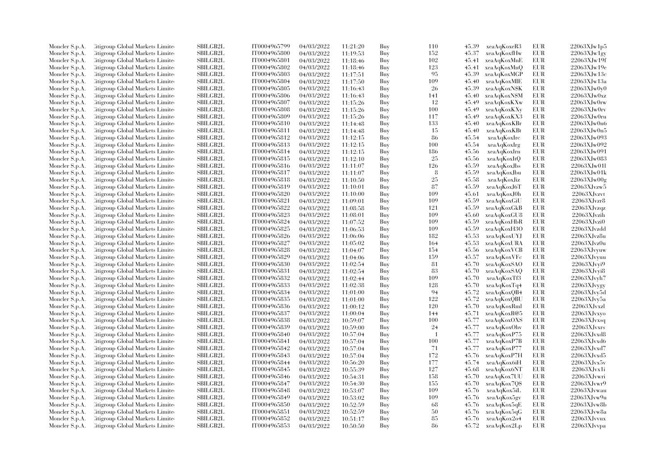| Moncler S.p.A.                   | Citigroup Global Markets Limite  | <b>SBILGB2L</b> | IT0004965799                 | 04/03/2022               | 11:21:20             | Buy | 110       | 45.39 | xeaAqKoxeR3  | EUR        | $22063$ XJw1p5     |
|----------------------------------|----------------------------------|-----------------|------------------------------|--------------------------|----------------------|-----|-----------|-------|--------------|------------|--------------------|
| Moncler S.p.A.                   | Citigroup Global Markets Limite  | SBILGB2L        | IT0004965800                 | 04/03/2022               | 11:19:53             | Buy | 152       | 45.37 | xeaAqKoxfHw  | EUR        | $22063$ XJw1gy     |
| Moncler S.p.A.                   | Citigroup Global Markets Limited | SBILGB2L        | IT0004965801                 | 04/03/2022               | 11:18:46             | Buy | 102       | 45.41 | xeaAqKoxMnE  | <b>EUR</b> | 22063XJw19f        |
| Moncler S.p.A.                   | Litigroup Global Markets Limite  | SBILGB2L        | IT0004965802                 | 04/03/2022               | 11:18:46             | Buy | 123       | 45.41 | xeaAqKoxMnQ  | <b>EUR</b> | $22063X$ Jw $19e$  |
| Moncler S.p.A.                   | Litigroup Global Markets Limite  | <b>SBILGB2L</b> | IT0004965803                 | 04/03/2022               | 11:17:51             | Buy | 95        | 45.39 | xeaAqKoxMGP  | <b>EUR</b> | 22063XJw13c        |
| Moncler S.p.A.                   | Citigroup Global Markets Limite  | SBILGB2L        | IT0004965804                 | 04/03/2022               | 11:17:50             | Buy | 109       | 45.40 | xeaAqKoxMIE  | <b>EUR</b> | 22063XJw13a        |
| Moncler S.p.A.                   | Citigroup Global Markets Limite  | SBILGB2L        | IT0004965805                 | 04/03/2022               | 11:16:43             | Buy | 26        | 45.39 | xeaAqKoxNSK  | <b>EUR</b> | $22063X$ Jw $0v0$  |
| Moncler S.p.A.                   | Litigroup Global Markets Limite  | <b>SBILGB2L</b> | IT0004965806                 | 04/03/2022               | 11:16:43             | Buy | 141       | 45.40 | xeaAqKoxN\$M | <b>EUR</b> | $22063X$ Jw $0xz$  |
| Moncler S.p.A.                   | Citigroup Global Markets Limite  | <b>SBILGB2L</b> | IT0004965807                 | 04/03/2022               | 11:15:26             | Buy | 12        | 45.49 | xeaAqKoxKXw  | <b>EUR</b> | $22063X$ Jw $0$ rw |
| Moncler S.p.A.                   | Citigroup Global Markets Limite  | <b>SBILGB2L</b> | IT0004965808                 | 04/03/2022               | 11:15:26             | Buy | 100       | 45.49 | xeaAqKoxKXy  | <b>EUR</b> | $22063X$ Jw $0r$ v |
| Moncler S.p.A.                   | Citigroup Global Markets Limite  | <b>SBILGB2L</b> | IT0004965809                 | 04/03/2022               | 11:15:26             | Buy | 117       | 45.49 | xeaAqKoxKX3  | <b>EUR</b> | 22063XJw0ru        |
| Moncler S.p.A.                   | Litigroup Global Markets Limite  | <b>SBILGB2L</b> | IT0004965810                 | 04/03/2022               | 11:14:48             | Buy | 133       | 45.40 | xeaAqKoxKBr  | <b>EUR</b> | 22063XJw0n6        |
| Moncler S.p.A.                   | Citigroup Global Markets Limite  | SBILGB2L        | IT0004965811                 | 04/03/2022               | 11:14:48             | Buy | 15        | 45.40 | xeaAqKoxKBt  | EUR        | 22063XJw0n5        |
| Moncler S.p.A.                   | Citigroup Global Markets Limited | SBILGB2L        | IT0004965812                 | 04/03/2022               | 11:12:15             | Buy | 86        | 45.54 | xeaAqKoxIrc  | <b>EUR</b> | 22063XJw093        |
| Moncler S.p.A.                   | Litigroup Global Markets Limite  | SBILGB2L        | IT0004965813                 | 04/03/2022               | 11:12:15             | Buy | 100       | 45.54 | xeaAqKoxIrg  | EUR        | 22063XJw092        |
| Moncler S.p.A.                   | Litigroup Global Markets Limite  | <b>SBILGB2L</b> | IT0004965814                 | 04/03/2022               | 11:12:15             | Buy | 186       | 45.56 | xeaAqKoxIrn  | <b>EUR</b> | 22063XJw091        |
| Moncler S.p.A.                   | Citigroup Global Markets Limite  | SBILGB2L        | IT0004965815                 | 04/03/2022               | 11:12:10             | Buy | 25        | 45.56 | xeaAqKoxItQ  | EUR        | 22063XJw083        |
| Moncler S.p.A.                   | Citigroup Global Markets Limite  | SBILGB2L        | IT0004965816                 | 04/03/2022               | 11:11:07             | Buy | 126       | 45.59 | xeaAqKoxJbs  | <b>EUR</b> | 22063XJw01l        |
| Moncler S.p.A.                   | Citigroup Global Markets Limite  | <b>SBILGB2L</b> | IT0004965817                 | 04/03/2022               | 11:11:07             | Buy | 8         | 45.59 | xeaAqKoxJbu  | <b>EUR</b> | $22063X$ Jw $01k$  |
| Moncler S.p.A.                   | Litigroup Global Markets Limite  | <b>SBILGB2L</b> | IT0004965818                 | 04/03/2022               | 11:10:50             | Buy | 25        | 45.58 | xeaAqKoxJiz  | EUR        | 22063XJw00g        |
| Moncler S.p.A.                   | Citigroup Global Markets Limite  | SBILGB2L        | IT0004965819                 | 04/03/2022               | 11:10:01             | Buy | 87        | 45.59 | xeaAqKoxJ6T  | <b>EUR</b> | 22063XJvzw5        |
| Moncler S.p.A.                   | Citigroup Global Markets Limite  | SBILGB2L        | IT0004965820                 | 04/03/2022               | 11:10:00             | Buy | 109       | 45.61 | xeaAqKoxJ0h  | <b>EUR</b> | 22063XJvzvt        |
| Moncler S.p.A.                   | Citigroup Global Markets Limite  | <b>SBILGB2L</b> | IT0004965821                 | 04/03/2022               | 11:09:01             | Buy | 109       | 45.59 | xeaAqKoxGiU  | <b>EUR</b> | 22063XJyzr8        |
| Moncler S.p.A.                   | Citigroup Global Markets Limite  | SBILGB2L        | IT0004965822                 | 04/03/2022               | 11:08:58             | Buy | 121       | 45.59 | xeaAqKoxGkB  | <b>EUR</b> | 22063XJvzqz        |
| Moncler S.p.A.                   | Citigroup Global Markets Limite  | SBILGB2L        | IT0004965823                 | 04/03/2022               | 11:08:01             | Buy | 109       | 45.60 | xeaAqKoxGU8  | <b>EUR</b> | 22063XJvzih        |
| Moncler S.p.A.                   | Litigroup Global Markets Limite  | SBILGB2L        | IT0004965824                 | 04/03/2022               |                      | Buy | 109       | 45.59 | xeaAqKoxHbR  | <b>EUR</b> | $22063$ XJvzi $0$  |
| Moncler S.p.A.                   | Citigroup Global Markets Limite  | <b>SBILGB2L</b> | IT0004965825                 | 04/03/2022               | 11:07:52<br>11:06:53 | Buy | 109       | 45.59 | xeaAqKoxH3O  | <b>EUR</b> | 22063XJvzdd        |
|                                  | Citigroup Global Markets Limite  | SBILGB2L        | IT0004965826                 |                          |                      | Buy | 182       | 45.53 | xeaAqKoxUYJ  | <b>EUR</b> | 22063XJvz8u        |
| Moncler S.p.A.<br>Moncler S.p.A. | Litigroup Global Markets Limite  | SBILGB2L        | IT0004965827                 | 04/03/2022<br>04/03/2022 | 11:06:06<br>11:05:02 | Buy | 164       | 45.53 | xeaAqKoxURA  | <b>EUR</b> | 22063XJvz0u        |
|                                  | Citigroup Global Markets Limite  | <b>SBILGB2L</b> | IT0004965828                 | 04/03/2022               |                      | Buy | 154       | 45.56 | xeaAqKoxVCB  | <b>EUR</b> | 22063XJvyuw        |
| Moncler S.p.A.                   |                                  | <b>SBILGB2L</b> |                              |                          | 11:04:07             |     | 159       |       |              | <b>EUR</b> | 22063XJvyuu        |
| Moncler S.p.A.                   | Litigroup Global Markets Limite  | <b>SBILGB2L</b> | IT0004965829<br>IT0004965830 | 04/03/2022               | 11:04:06             | Buy | 81        | 45.57 | xeaAqKoxVFc  | <b>EUR</b> |                    |
| Moncler S.p.A.                   | Citigroup Global Markets Limite  |                 |                              | 04/03/2022               | 11:02:54             | Buy |           | 45.70 | xeaAqKoxSAO  |            | 22063XJvyi9        |
| Moncler S.p.A.                   | Citigroup Global Markets Limite  | SBILGB2L        | IT0004965831                 | 04/03/2022               | 11:02:54             | Buy | 83        | 45.70 | xeaAqKoxSAQ  | <b>EUR</b> | 22063XJvvi8        |
| Moncler S.p.A.                   | Litigroup Global Markets Limite  | <b>SBILGB2L</b> | IT0004965832                 | 04/03/2022               | 11:02:44             | Buy | 109       | 45.70 | xeaAqKoxTf3  | <b>EUR</b> | 22063XJvvh7        |
| Moncler S.p.A.                   | Citigroup Global Markets Limite  | SBILGB2L        | IT0004965833                 | 04/03/2022               | 11:02:38             | Buy | 128<br>94 | 45.70 | xeaAqKoxTq4  | EUR        | 22063XJvygy        |
| Moncler S.p.A.                   | Citigroup Global Markets Limite  | SBILGB2L        | IT0004965834                 | 04/03/2022               | 11:01:00             | Buy |           | 45.72 | xeaAqKoxQB4  | <b>EUR</b> | 22063XJvv5d        |
| Moncler S.p.A.                   | Litigroup Global Markets Limite  | SBILGB2L        | IT0004965835                 | 04/03/2022               | 11:01:00             | Buy | 122       | 45.72 | xeaAqKoxQBU  | <b>EUR</b> | $22063X$ Jvy $5a$  |
| Moncler S.p.A.                   | Citigroup Global Markets Limite  | <b>SBILGB2L</b> | IT0004965836                 | 04/03/2022               | 11:00:12             | Buy | 120       | 45.70 | xeaAqKoxRml  | <b>EUR</b> | 22063XJvxzl        |
| Moncler S.p.A.                   | Citigroup Global Markets Limite  | SBILGB2L        | IT0004965837                 | 04/03/2022               | 11:00:04             | Buy | 144       | 45.71 | xeaAqKoxR@5  | EUR        | 22063XJvxyo        |
| Moncler S.p.A.                   | Litigroup Global Markets Limite  | SBILGB2L        | IT0004965838                 | 04/03/2022               | 10:59:07             | Buy | 100       | 45.77 | xeaAqKoxOXS  | <b>EUR</b> | 22063XJvxsq        |
| Moncler S.p.A.                   | Citigroup Global Markets Limite  | <b>SBILGB2L</b> | IT0004965839                 | 04/03/2022               | 10:59:00             | Buy | 24        | 45.77 | xeaAqKoxOhv  | <b>EUR</b> | 22063XJvxrs        |
| Moncler S.p.A.                   | Citigroup Global Markets Limite  | SBILGB2L        | IT0004965840                 | 04/03/2022               | 10:57:04             | Buy | -1        | 45.77 | xeaAqKoxP75  | EUR        | 22063XJvxd8        |
| Moncler S.p.A.                   | Citigroup Global Markets Limite  | SBILGB2L        | IT0004965841                 | 04/03/2022               | 10:57:04             | Buy | 100       | 45.77 | xeaAqKoxP7B  | <b>EUR</b> | 22063XJvxd6        |
| Moncler S.p.A.                   | Litigroup Global Markets Limite  | <b>SBILGB2L</b> | IT0004965842                 | 04/03/2022               | 10:57:04             | Buy | 71        | 45.77 | xeaAqKoxP77  | <b>EUR</b> | 22063XJvxd7        |
| Moncler S.p.A.                   | Litigroup Global Markets Limite  | <b>SBILGB2L</b> | IT0004965843                 | 04/03/2022               | 10:57:04             | Buy | 172       | 45.76 | xeaAqKoxP7H  | <b>EUR</b> | 22063XJvxd5        |
| Moncler S.p.A.                   | Citigroup Global Markets Limite  | <b>SBILGB2L</b> | IT0004965844                 | 04/03/2022               | 10:56:20             | Buy | 177       | 45.74 | xeaAqKox6iH  | <b>EUR</b> | 22063XJvx5v        |
| Moncler S.p.A.                   | Citigroup Global Markets Limite  | SBILGB2L        | IT0004965845                 | 04/03/2022               | 10:55:39             | Buy | 127       | 45.68 | xeaAqKox6NT  | <b>EUR</b> | 22063XJvx1i        |
| Moncler S.p.A.                   | Litigroup Global Markets Limite  | <b>SBILGB2L</b> | IT0004965846                 | 04/03/2022               | 10:54:31             | Buy | 158       | 45.70 | xeaAqKox7UU  | <b>EUR</b> | 22063XJvwri        |
| Moncler S.p.A.                   | Citigroup Global Markets Limite  | <b>SBILGB2L</b> | IT0004965847                 | 04/03/2022               | 10:54:30             | Buy | 155       | 45.70 | xeaAqKox7Q\$ | <b>EUR</b> | 22063XJvwr9        |
| Moncler S.p.A.                   | Citigroup Global Markets Limite  | SBILGB2L        | IT0004965848                 | 04/03/2022               | 10:53:07             | Buy | 109       | 45.76 | xeaAqKox5iL  | <b>EUR</b> | 22063XJvwau        |
| Moncler S.p.A.                   | Litigroup Global Markets Limite  | <b>SBILGB2L</b> | IT0004965849                 | 04/03/2022               | 10:53:02             | Buy | 109       | 45.76 | xeaAqKox5gv  | <b>EUR</b> | 22063XJvw9u        |
| Moncler S.p.A.                   | Citigroup Global Markets Limite  | <b>SBILGB2L</b> | IT0004965850                 | 04/03/2022               | 10:52:59             | Buy | 68        | 45.76 | xeaAqKox5qE  | <b>EUR</b> | 22063XJvw8b        |
| Moncler S.p.A.                   | Citigroup Global Markets Limite  | SBILGB2L        | IT0004965851                 | 04/03/2022               | 10:52:59             | Buy | 50        | 45.76 | xeaAqKox5qG  | EUR        | 22063XJvw8a        |
| Moncler S.p.A.                   | Citigroup Global Markets Limite  | <b>SBILGB2L</b> | IT0004965852                 | 04/03/2022               | 10:51:17             | Buy | 85        | 45.76 | xeaAqKox2o4  | <b>EUR</b> | 22063XJvvux        |
| Moncler S.p.A.                   | Citigroup Global Markets Limited | SBILGB2L        | IT0004965853                 | 04/03/2022               | 10:50:50             | Buy | 86        | 45.72 | xeaAqKox2Lp  | <b>EUR</b> | 22063XJvvpa        |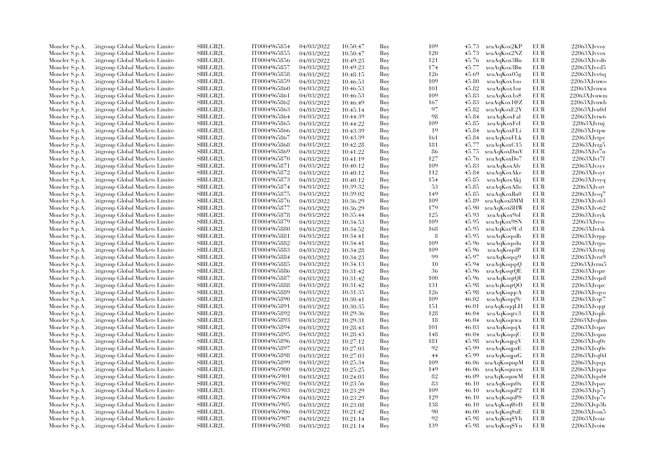| Moncler S.p.A. | Citigroup Global Markets Limite  | SBILGB2L        | IT0004965854 | 04/03/2022               | 10:50:47 | Buy | 109 | 45.73 | xeaAqKox2KP        | EUR        | 22063XJvvoy       |
|----------------|----------------------------------|-----------------|--------------|--------------------------|----------|-----|-----|-------|--------------------|------------|-------------------|
| Moncler S.p.A. | Citigroup Global Markets Limite  | SBILGB2L        | IT0004965855 | 04/03/2022               | 10:50:47 | Buy | 120 | 45.73 | xeaAqKox2NZ        | EUR        | 22063XJvvox       |
| Moncler S.p.A. | Citigroup Global Markets Limited | SBILGB2L        | IT0004965856 | 04/03/2022               | 10:49:23 | Buy | 121 | 45.76 | xeaAqKox3Bu        | <b>EUR</b> | $22063$ XJvvd6    |
| Moncler S.p.A. | Litigroup Global Markets Limite  | SBILGB2L        | IT0004965857 | 04/03/2022               | 10:49:23 | Buy | 174 | 45.77 | xeaAqKox3Bw        | EUR        | 22063XJvvd5       |
| Moncler S.p.A. | Citigroup Global Markets Limite  | <b>SBILGB2L</b> | IT0004965858 | 04/03/2022               | 10:48:15 | Buy | 126 | 45.69 | xeaAqKox05g        | <b>EUR</b> | 22063XJvv6q       |
| Moncler S.p.A. | Citigroup Global Markets Limite  | SBILGB2L        | IT0004965859 | 04/03/2022               | 10:46:53 | Buy | 109 | 45.80 | xeaAqKox1oo        | EUR        | 22063XJvuwo       |
| Moncler S.p.A. | Citigroup Global Markets Limite  | <b>SBILGB2L</b> | IT0004965860 | 04/03/2022               | 10:46:53 | Buy | 101 | 45.82 | xeaAqKox1oz        | EUR        | 22063XJvuwn       |
| Moncler S.p.A. | Citigroup Global Markets Limite  | <b>SBILGB2L</b> | IT0004965861 | 04/03/2022               | 10:46:53 | Buy | 109 | 45.83 | xeaAqKox1o\$       | EUR        | 22063XJvuwm       |
| Moncler S.p.A. | Citigroup Global Markets Limite  | SBILGB2L        | IT0004965862 | 04/03/2022               | 10:46:49 | Buy | 167 | 45.83 | xeaAqKox1@Z        | <b>EUR</b> | 22063XJvuwb       |
| Moncler S.p.A. | Citigroup Global Markets Limite  | <b>SBILGB2L</b> | IT0004965863 | 04/03/2022               | 10:45:14 | Buy | 97  | 45.82 | xeaAqKoxE2Y        | <b>EUR</b> | 22063XJvu0d       |
| Moncler S.p.A. | Citigroup Global Markets Limite  | <b>SBILGB2L</b> | IT0004965864 | 04/03/2022               | 10:44:39 | Buy | 98  | 45.84 | xeaAqKoxFal        | EUR        | 22063XJvtw6       |
| Moncler S.p.A. | Litigroup Global Markets Limite  | <b>SBILGB2L</b> | IT0004965865 | 04/03/2022               | 10:44:22 | Buy | 109 | 45.85 | xeaAqKoxFeI        | EUR        | 22063XJvtuj       |
|                | Citigroup Global Markets Limite  | SBILGB2L        | IT0004965866 |                          |          |     | 19  | 45.84 |                    | EUR        | 22063XJvtpw       |
| Moncler S.p.A. | Citigroup Global Markets Limited | SBILGB2L        | IT0004965867 | 04/03/2022               | 10:43:39 | Buy | 161 |       | xeaAqKoxFLi        | <b>EUR</b> |                   |
| Moncler S.p.A. |                                  |                 |              | 04/03/2022               | 10:43:39 | Buy |     | 45.84 | xeaAqKoxFLk        |            | 22063XJvtpv       |
| Moncler S.p.A. | Litigroup Global Markets Limite  | SBILGB2L        | IT0004965868 | 04/03/2022               | 10:42:28 | Buy | 181 | 45.77 | xeaAqKoxC15        | EUR        | $22063X$ Jvtg $5$ |
| Moncler S.p.A. | Litigroup Global Markets Limite  | <b>SBILGB2L</b> | IT0004965869 | 04/03/2022               | 10:41:22 | Buy | 86  | 45.75 | xeaAqKoxDmV        | EUR        | 22063XJvt7n       |
| Moncler S.p.A. | Citigroup Global Markets Limite  | SBILGB2L        | IT0004965870 | 04/03/2022               | 10:41:19 | Buy | 127 | 45.76 | xeaAqKoxDo7        | EUR        | 22063XJvt7f       |
| Moncler S.p.A. | Citigroup Global Markets Limite  | <b>SBILGB2L</b> | IT0004965871 | 04/03/2022               | 10:40:12 | Buy | 109 | 45.83 | xeaAqKoxAlv        | EUR        | 22063XJvsyv       |
| Moncler S.p.A. | Citigroup Global Markets Limite  | <b>SBILGB2L</b> | IT0004965872 | 04/03/2022               | 10:40:12 | Buy | 112 | 45.84 | xeaAqKoxAke        | EUR        | 22063XJvsyt       |
| Moncler S.p.A. | Litigroup Global Markets Limite  | <b>SBILGB2L</b> | IT0004965873 | 04/03/2022               | 10:40:12 | Buy | 154 | 45.85 | xeaAqKoxAkj        | EUR        | 22063XJvsyq       |
| Moncler S.p.A. | Citigroup Global Markets Limite  | SBILGB2L        | IT0004965874 | 04/03/2022               | 10:39:32 | Buy | 53  | 45.85 | xeaAqKoxA8o        | EUR        | 22063XJvsrt       |
| Moncler S.p.A. | Citigroup Global Markets Limite  | SBILGB2L        | IT0004965875 | 04/03/2022               | 10:39:02 | Buy | 149 | 45.85 | xeaAqKoxBa0        | EUR        | 22063XJvsq7       |
| Moncler S.p.A. | Citigroup Global Markets Limite  | <b>SBILGB2L</b> | IT0004965876 | 04/03/2022               | 10:36:29 | Buy | 109 | 45.89 | xeaAqKox8MM        | EUR        | 22063XJvs63       |
| Moncler S.p.A. | Citigroup Global Markets Limite  | SBILGB2L        | IT0004965877 | 04/03/2022               | 10:36:29 | Buy | 179 | 45.90 | xeaAqKox8HW        | <b>EUR</b> | 22063XJvs62       |
| Moncler S.p.A. | Citigroup Global Markets Limite  | <b>SBILGB2L</b> | IT0004965878 | 04/03/2022               | 10:35:44 | Buy | 125 | 45.93 | xeaAqKox9oI        | <b>EUR</b> | 22063XJvryk       |
| Moncler S.p.A. | Litigroup Global Markets Limite  | <b>SBILGB2L</b> | IT0004965879 | 04/03/2022               | 10:34:53 | Buy | 109 | 45.95 | xeaAqKox9SN        | EUR        | 22063XJvrss       |
| Moncler S.p.A. | Citigroup Global Markets Limite  | <b>SBILGB2L</b> | IT0004965880 | 04/03/2022               | 10:34:52 | Buy | 168 | 45.95 | xeaAqKox9Ud        | EUR        | 22063XJvrsk       |
| Moncler S.p.A. | Citigroup Global Markets Limite  | <b>SBILGB2L</b> | IT0004965881 | 04/03/2022               | 10:34:41 | Buy | 8   | 45.95 | xeaAqKoqsdb        | EUR        | 22063XJvrpp       |
| Moncler S.p.A. | Litigroup Global Markets Limite  | SBILGB2L        | IT0004965882 | 04/03/2022               | 10:34:41 | Buy | 109 | 45.96 | xeaAqKoqsdu        | EUR        | 22063XJvrpo       |
| Moncler S.p.A. | Litigroup Global Markets Limite  | <b>SBILGB2L</b> | IT0004965883 | 04/03/2022               | 10:34:28 | Buy | 109 | 45.96 | xeaAqKoqslP        | EUR        | 22063XJvrnj       |
| Moncler S.p.A. | Litigroup Global Markets Limite  | <b>SBILGB2L</b> | IT0004965884 | 04/03/2022               | 10:34:23 | Buy | 99  | 45.97 | xeaAqKoqsg9        | EUR        | 22063XJvrn9       |
| Moncler S.p.A. | Citigroup Global Markets Limite  | SBILGB2L        | IT0004965885 | 04/03/2022               | 10:34:13 | Buy | 10  | 45.94 | xeaAqKoqspQ        | EUR        | $22063$ XJvrm $5$ |
| Moncler S.p.A. | Citigroup Global Markets Limite  | SBILGB2L        | IT0004965886 | 04/03/2022               | 10:31:42 | Buy | 36  | 45.96 | xeaAqKoqtQE        | EUR        | 22063XJvqze       |
| Moncler S.p.A. | Citigroup Global Markets Limite  | <b>SBILGB2L</b> | IT0004965887 | 04/03/2022               | 10:31:42 | Buy | 100 | 45.96 | xeaAqKoqtQI        | EUR        | 22063XJvqzd       |
| Moncler S.p.A. | Citigroup Global Markets Limite  | SBILGB2L        | IT0004965888 | 04/03/2022               | 10:31:42 | Buy | 131 | 45.98 | xeaAqKoqtQO        | EUR        | 22063XJvqzc       |
| Moncler S.p.A. | Citigroup Global Markets Limite  | <b>SBILGB2L</b> | IT0004965889 | 04/03/2022               | 10:31:35 | Buy | 126 | 45.98 | xeaAqKoqqcA        | <b>EUR</b> | 22063XJvqyo       |
| Moncler S.p.A. | Litigroup Global Markets Limite  | <b>SBILGB2L</b> | IT0004965890 | 04/03/2022               | 10:30:41 | Buy | 109 | 46.02 | xeaAqKoqq9c        | EUR        | 22063XJvqr7       |
| Moncler S.p.A. | Citigroup Global Markets Limite  | <b>SBILGB2L</b> | IT0004965891 | 04/03/2022               | 10:30:35 | Buy | 151 | 46.01 | xeaAqKoqqLH        | EUR        | $22063X$ Jvqqt    |
| Moncler S.p.A. | Citigroup Global Markets Limite  | SBILGB2L        | IT0004965892 | 04/03/2022               | 10:29:36 | Buy | 128 | 46.04 | xeaAqKoqrv3        | EUR        | 22063XJvqib       |
| Moncler S.p.A. | Litigroup Global Markets Limite  | <b>SBILGB2L</b> | IT0004965893 | 04/03/2022               | 10:29:31 | Buy | -18 | 46.04 | xeaAqKoqrwa        | EUR        | 22063XJvqhm       |
| Moncler S.p.A. | Litigroup Global Markets Limite  | <b>SBILGB2L</b> | IT0004965894 | 04/03/2022               | 10:28:43 | Buy | 101 | 46.03 | xeaAqKoqojA        | <b>EUR</b> | 22063XJvqav       |
| Moncler S.p.A. | Citigroup Global Markets Limite  | SBILGB2L        | IT0004965895 | 04/03/2022               | 10:28:43 | Buy | 148 | 46.04 | xeaAqKoqojC        | EUR        | 22063XJvqau       |
|                | Citigroup Global Markets Limite  | SBILGB2L        | IT0004965896 |                          | 10:27:12 | Buy | 181 | 45.98 |                    | EUR        | 22063XJvq0v       |
| Moncler S.p.A. | Litigroup Global Markets Limite  | <b>SBILGB2L</b> | IT0004965897 | 04/03/2022<br>04/03/2022 |          | Buy | 92  | 45.99 | xeaAqKoqpgV        | EUR        | 22063XJvq0e       |
| Moncler S.p.A. |                                  |                 |              |                          | 10:27:03 |     |     |       | xeaAqKoqpzE        |            |                   |
| Moncler S.p.A. | Litigroup Global Markets Limite  | <b>SBILGB2L</b> | IT0004965898 | 04/03/2022               | 10:27:03 | Buy | 44  | 45.99 | xeaAqKoqpzG        | <b>EUR</b> | 22063XJvq0d       |
| Moncler S.p.A. | Citigroup Global Markets Limite  | SBILGB2L        | IT0004965899 | 04/03/2022               | 10:25:34 | Buy | 109 | 46.06 | xeaAqKoqmpM        | EUR        | 22063XJvpqx       |
| Moncler S.p.A. | Citigroup Global Markets Limite  | <b>SBILGB2L</b> | IT0004965900 | 04/03/2022               | 10:25:25 | Buy | 149 | 46.06 | xeaAqKoqmxw        | <b>EUR</b> | 22063XJvppa       |
| Moncler S.p.A. | Citigroup Global Markets Limite  | <b>SBILGB2L</b> | IT0004965901 | 04/03/2022               | 10:24:03 | Buy | 82  | 46.09 | xeaAqKoqnwM        | EUR        | $22063$ XJvpd4    |
| Moncler S.p.A. | Citigroup Global Markets Limite  | SBILGB2L        | IT0004965902 | 04/03/2022               | 10:23:56 | Buy | 83  | 46.10 | xeaAqKoqn0x        | <b>EUR</b> | 22063XJvpav       |
| Moncler S.p.A. | Citigroup Global Markets Limite  | <b>SBILGB2L</b> | IT0004965903 | 04/03/2022               | 10:23:29 | Buy | 109 | 46.10 | xeaAqKoqnP2        | EUR        | 22063XJvp7j       |
| Moncler S.p.A. | Litigroup Global Markets Limite  | <b>SBILGB2L</b> | IT0004965904 | 04/03/2022               | 10:23:29 | Buy | 129 | 46.10 | xeaAqKoqnPS        | EUR        | 22063XJvp7e       |
| Moncler S.p.A. | Litigroup Global Markets Limite  | <b>SBILGB2L</b> | IT0004965905 | 04/03/2022               | 10:23:08 | Buy | 138 | 46.10 | xeaAqKoq@eD        | EUR        | 22063XJvp3b       |
| Moncler S.p.A. | Citigroup Global Markets Limite  | SBILGB2L        | IT0004965906 | 04/03/2022               | 10:21:42 | Buy | 90  | 46.00 | xeaAqKoq\$uE       | EUR        | 22063XJvon5       |
| Moncler S.p.A. | Citigroup Global Markets Limite  | <b>SBILGB2L</b> | IT0004965907 | 04/03/2022               | 10:21:14 | Buy | 92  | 45.98 | xeaAqKoq\$Vh       | <b>EUR</b> | 22063XJvoiz       |
| Moncler S.p.A. | Citigroup Global Markets Limited | SBILGB2L        | IT0004965908 | 04/03/2022               | 10:21:14 | Buy | 139 |       | 45.98 xeaAqKoq\$Vn | <b>EUR</b> | 22063XJvoiw       |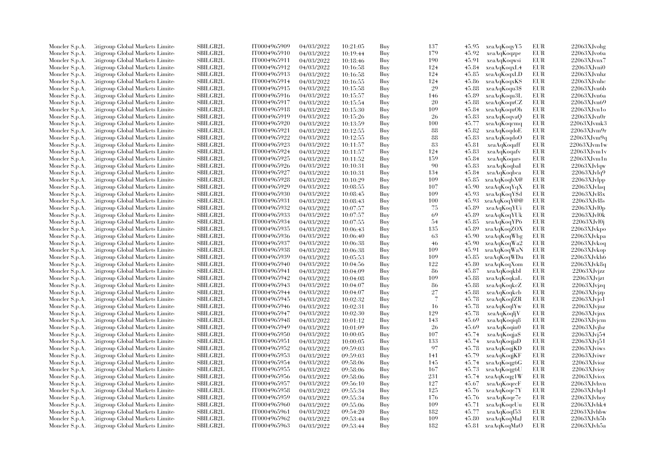| Moncler S.p.A. | Citigroup Global Markets Limite  | SBILGB2L        | IT0004965909                 | 04/03/2022               | 10:21:05             | Buy | 137 | 45.95 | xeaAqKoqyY5       | EUR        | 22063XJvohg        |
|----------------|----------------------------------|-----------------|------------------------------|--------------------------|----------------------|-----|-----|-------|-------------------|------------|--------------------|
| Moncler S.p.A. | Citigroup Global Markets Limite  | SBILGB2L        | IT0004965910                 | 04/03/2022               | 10:19:44             | Buy | 179 | 45.92 | xeaAqKoqzpe       | EUR        | 22063XJvo6a        |
| Moncler S.p.A. | Citigroup Global Markets Limited | SBILGB2L        | IT0004965911                 | 04/03/2022               | 10:18:46             | Buy | 190 | 45.91 | xeaAqKoqwsi       | EUR        | 22063XJvnx7        |
| Moncler S.p.A. | Litigroup Global Markets Limite  | SBILGB2L        | IT0004965912                 | 04/03/2022               | 10:16:58             | Buy | 124 | 45.84 | xeaAqKoqxL4       | EUR        | $22063X$ Jvni $0$  |
| Moncler S.p.A. | Citigroup Global Markets Limite  | <b>SBILGB2L</b> | IT0004965913                 | 04/03/2022               | 10:16:58             | Buy | 124 | 45.85 | xeaAqKoqxLD       | EUR        | 22063XJvnhz        |
| Moncler S.p.A. | Citigroup Global Markets Limite  | SBILGB2L        | IT0004965914                 | 04/03/2022               | 10:16:55             | Buy | 124 | 45.86 | xeaAqKoqxKS       | EUR        | $22063$ XJvnhc     |
| Moncler S.p.A. | Citigroup Global Markets Limited | <b>SBILGB2L</b> | IT0004965915                 | 04/03/2022               | 10:15:58             | Buy | 29  | 45.88 | xeaAqKoqu3\$      | EUR        | 22063XJvn6b        |
| Moncler S.p.A. | Litigroup Global Markets Limite  | <b>SBILGB2L</b> | IT0004965916                 | 04/03/2022               | 10:15:57             | Buy | 146 | 45.89 | xeaAqKoqu3L       | EUR        | 22063XJvn6a        |
| Moncler S.p.A. | Citigroup Global Markets Limite  | <b>SBILGB2L</b> | IT0004965917                 | 04/03/2022               | 10:15:54             | Buy | 20  | 45.88 | xeaAqKoquCZ       | <b>EUR</b> | 22063XJvn69        |
| Moncler S.p.A. | Citigroup Global Markets Limite  | SBILGB2L        | IT0004965918                 | 04/03/2022               | 10:15:30             | Buy | 109 | 45.84 | xeaAqKoquOh       | <b>EUR</b> | 22063XJvn1o        |
| Moncler S.p.A. | Citigroup Global Markets Limite  | <b>SBILGB2L</b> | IT0004965919                 | 04/03/2022               | 10:15:26             | Buy | 26  | 45.83 | xeaAqKoqvaQ       | EUR        | 22063XJvn0r        |
| Moncler S.p.A. | Litigroup Global Markets Limite  | <b>SBILGB2L</b> | IT0004965920                 | 04/03/2022               | 10:13:59             | Buy | 100 | 45.77 | xeaAqKoqcmq       | <b>EUR</b> | 22063XJvmk3        |
| Moncler S.p.A. | Citigroup Global Markets Limite  | SBILGB2L        | IT0004965921                 | 04/03/2022               | 10:12:55             | Buy | 88  | 45.82 | xeaAqKoqdoE       | <b>EUR</b> | 22063XJvm9r        |
| Moncler S.p.A. | Citigroup Global Markets Limited | SBILGB2L        | IT0004965922                 | 04/03/2022               | 10:12:55             | Buy | 88  | 45.83 | xeaAqKoqdoO       | EUR        | 22063XJvm9q        |
| Moncler S.p.A. | Litigroup Global Markets Limite  | SBILGB2L        | IT0004965923                 | 04/03/2022               | 10:11:57             | Buy | 83  | 45.81 | xeaAqKoqaff       | EUR        | $22063$ XJvm $1$ w |
| Moncler S.p.A. | Litigroup Global Markets Limite  | <b>SBILGB2L</b> | IT0004965924                 | 04/03/2022               | 10:11:57             | Buy | 124 | 45.83 | xeaAqKoqafv       | EUR        | $22063$ XJvm $1$ v |
| Moncler S.p.A. | Citigroup Global Markets Limite  | SBILGB2L        | IT0004965925                 | 04/03/2022               | 10:11:52             | Buy | 159 | 45.84 | xeaAqKoqars       | EUR        | 22063XJvm1n        |
| Moncler S.p.A. | Citigroup Global Markets Limite  | <b>SBILGB2L</b> | IT0004965926                 | 04/03/2022               | 10:10:31             | Buy | 90  | 45.83 | xeaAqKoqbaI       | EUR        | 22063XJvlqw        |
| Moncler S.p.A. | Citigroup Global Markets Limite  | <b>SBILGB2L</b> | IT0004965927                 | 04/03/2022               | 10:10:31             | Buy | 134 | 45.84 | xeaAqKoqbca       | <b>EUR</b> | 22063XJvlq9        |
| Moncler S.p.A. | Litigroup Global Markets Limite  | <b>SBILGB2L</b> | IT0004965928                 | 04/03/2022               | 10:10:29             | Buy | 109 | 45.85 | xeaAqKoqbX@       | EUR        | $22063X$ Jvlpp     |
| Moncler S.p.A. | Citigroup Global Markets Limite  | SBILGB2L        | IT0004965929                 | 04/03/2022               | 10:08:55             | Buy | 107 | 45.90 | xeaAqKoqYqX       | <b>EUR</b> | 22063XJvlaq        |
| Moncler S.p.A. | Citigroup Global Markets Limite  | SBILGB2L        | IT0004965930                 | 04/03/2022               | 10:08:45             | Buy | 109 | 45.93 | xeaAqKoqY\$d      | <b>EUR</b> | 22063XJv18x        |
| Moncler S.p.A. | Citigroup Global Markets Limite  | <b>SBILGB2L</b> | IT0004965931                 | 04/03/2022               | 10:08:43             | Buy | 100 | 45.93 | xeaAqKoqY@@       | EUR        | $22063XJv$ l $8s$  |
| Moncler S.p.A. | Citigroup Global Markets Limite  | SBILGB2L        | IT0004965932                 | 04/03/2022               | 10:07:57             | Buy | 75  | 45.89 | xeaAqKoqYUi       | <b>EUR</b> | 22063XJvl0p        |
| Moncler S.p.A. | Citigroup Global Markets Limite  | <b>SBILGB2L</b> | IT0004965933                 | 04/03/2022               | 10:07:57             | Buy | 69  | 45.89 | xeaAqKoqYUk       | <b>EUR</b> | 22063XJvl0k        |
| Moncler S.p.A. | Litigroup Global Markets Limite  | <b>SBILGB2L</b> | IT0004965934                 | 04/03/2022               |                      | Buy | 54  | 45.85 | xeaAqKoqYP6       | EUR        | 22063XJvl0j        |
| Moncler S.p.A. | Citigroup Global Markets Limite  | <b>SBILGB2L</b> | IT0004965935                 | 04/03/2022               | 10:07:55             | Buy | 135 | 45.89 | xeaAqKoqZOX       | EUR        | 22063XJvkpo        |
| Moncler S.p.A. | Citigroup Global Markets Limite  | SBILGB2L        | IT0004965936                 |                          | 10:06:43             | Buy | 63  | 45.90 | xeaAqKoqWbg       | <b>EUR</b> | 22063XJvkpa        |
| Moncler S.p.A. | Litigroup Global Markets Limite  | SBILGB2L        | IT0004965937                 | 04/03/2022<br>04/03/2022 | 10:06:40<br>10:06:38 | Buy | 46  | 45.90 | xeaAqKoqWa2       | EUR        | 22063XJvkoq        |
|                | Litigroup Global Markets Limite  | <b>SBILGB2L</b> | IT0004965938                 |                          |                      | Buy | 109 | 45.91 | xeaAqKoqWaN       | EUR        | 22063XJvkop        |
| Moncler S.p.A. |                                  | <b>SBILGB2L</b> |                              | 04/03/2022               | 10:06:38             |     | 109 |       |                   | <b>EUR</b> | 22063XJvkh6        |
| Moncler S.p.A. | Litigroup Global Markets Limite  | SBILGB2L        | IT0004965939<br>IT0004965940 | 04/03/2022               | 10:05:53             | Buy | 122 | 45.85 | xeaAqKoqWDu       | <b>EUR</b> |                    |
| Moncler S.p.A. | Citigroup Global Markets Limite  |                 |                              | 04/03/2022               | 10:04:56             | Buy |     | 45.80 | xeaAqKoqXom       |            | 22063XJvk8q        |
| Moncler S.p.A. | Citigroup Global Markets Limite  | SBILGB2L        | IT0004965941                 | 04/03/2022               | 10:04:09             | Buy | 86  | 45.87 | xeaAqKoqkbI       | <b>EUR</b> | $22063X$ Jvjzz     |
| Moncler S.p.A. | Citigroup Global Markets Limite  | <b>SBILGB2L</b> | IT0004965942                 | 04/03/2022               | 10:04:08             | Buy | 109 | 45.88 | xeaAqKoqkaL       | EUR        | 22063XJvjzt        |
| Moncler S.p.A. | Citigroup Global Markets Limite  | SBILGB2L        | IT0004965943                 | 04/03/2022               | 10:04:07             | Buy | 86  | 45.88 | xeaAqKoqkcZ       | EUR        | $22063X$ Jvjzq     |
| Moncler S.p.A. | Citigroup Global Markets Limite  | <b>SBILGB2L</b> | IT0004965944                 | 04/03/2022               | 10:04:07             | Buy | 27  | 45.88 | xeaAqKoqkcb       | EUR        | 22063XJvjzp        |
| Moncler S.p.A. | Litigroup Global Markets Limite  | <b>SBILGB2L</b> | IT0004965945                 | 04/03/2022               | 10:02:32             | Buy | 7   | 45.78 | xeaAqKoqlZR       | EUR        | $22063X$ Jvjo1     |
| Moncler S.p.A. | Citigroup Global Markets Limite  | <b>SBILGB2L</b> | IT0004965946                 | 04/03/2022               | 10:02:31             | Buy | 16  | 45.78 | xeaAqKoqlYw       | EUR        | $22063$ XJvjnz     |
| Moncler S.p.A. | Citigroup Global Markets Limite  | SBILGB2L        | IT0004965947                 | 04/03/2022               | 10:02:30             | Buy | 129 | 45.78 | xeaAqKoqljV       | EUR        | 22063XJvjnx        |
| Moncler S.p.A. | Litigroup Global Markets Limite  | SBILGB2L        | IT0004965948                 | 04/03/2022               | 10:01:12             | Buy | 143 | 45.69 | xeaAqKoqiq8       | EUR        | 22063XJvjcm        |
| Moncler S.p.A. | Litigroup Global Markets Limite  | <b>SBILGB2L</b> | IT0004965949                 | 04/03/2022               | 10:01:09             | Buy | 26  | 45.69 | xeaAqKoqin0       | EUR        | 22063XJvibz        |
| Moncler S.p.A. | Citigroup Global Markets Limite  | SBILGB2L        | IT0004965950                 | 04/03/2022               | 10:00:05             | Buy | 107 | 45.74 | xeaAqKoqja\$      | EUR        | $22063XJv$ j $54$  |
| Moncler S.p.A. | Citigroup Global Markets Limite  | SBILGB2L        | IT0004965951                 | 04/03/2022               | 10:00:05             | Buy | 133 | 45.74 | xeaAqKoqjaD       | EUR        | 22063XJvj51        |
| Moncler S.p.A. | Litigroup Global Markets Limite  | <b>SBILGB2L</b> | IT0004965952                 | 04/03/2022               | 09:59:03             | Buy | 97  | 45.78 | xeaAqKoqjKD       | EUR        | 22063XJviws        |
| Moncler S.p.A. | Litigroup Global Markets Limite  | <b>SBILGB2L</b> | IT0004965953                 | 04/03/2022               | 09:59:03             | Buy | 141 | 45.79 | xeaAqKoqjKF       | EUR        | 22063XJviwr        |
| Moncler S.p.A. | Citigroup Global Markets Limite  | SBILGB2L        | IT0004965954                 | 04/03/2022               | 09:58:06             | Buy | 145 | 45.74 | xeaAqKoqg6G       | EUR        | 22063XJvioz        |
| Moncler S.p.A. | Citigroup Global Markets Limite  | <b>SBILGB2L</b> | IT0004965955                 | 04/03/2022               | 09:58:06             | Buy | 167 | 45.73 | xeaAqKoqg6U       | <b>EUR</b> | 22063XJvioy        |
| Moncler S.p.A. | Citigroup Global Markets Limite  | <b>SBILGB2L</b> | IT0004965956                 | 04/03/2022               | 09:58:06             | Buy | 231 | 45.74 | xeaAqKoqg1W       | EUR        | 22063XJviox        |
| Moncler S.p.A. | Citigroup Global Markets Limite  | <b>SBILGB2L</b> | IT0004965957                 | 04/03/2022               | 09:56:10             | Buy | 127 | 45.67 | xeaAqKoqecF       | EUR        | 22063XJvhvn        |
| Moncler S.p.A. | Citigroup Global Markets Limite  | SBILGB2L        | IT0004965958                 | 04/03/2022               | 09:55:34             | Buy | 125 | 45.76 | xeaAqKoqe7Y       | <b>EUR</b> | 22063XJvhp1        |
| Moncler S.p.A. | Litigroup Global Markets Limite  | <b>SBILGB2L</b> | IT0004965959                 | 04/03/2022               | 09:55:34             | Buy | 176 | 45.76 | xeaAqKoqe7e       | EUR        | 22063XJvhov        |
| Moncler S.p.A. | Litigroup Global Markets Limite  | <b>SBILGB2L</b> | IT0004965960                 | 04/03/2022               | 09:55:06             | Buy | 109 | 45.71 | xeaAqKoqeUu       | EUR        | 22063XJvhk4        |
| Moncler S.p.A. | Citigroup Global Markets Limite  | SBILGB2L        | IT0004965961                 | 04/03/2022               | 09:54:20             | Buy | 182 | 45.77 | xeaAqKoqf53       | EUR        | 22063XJvhbw        |
| Moncler S.p.A. | Citigroup Global Markets Limite  | <b>SBILGB2L</b> | IT0004965962                 | 04/03/2022               | 09:53:44             | Buy | 109 | 45.80 | xeaAqKoqMaJ       | <b>EUR</b> | 22063XJvh5b        |
| Moncler S.p.A. | Citigroup Global Markets Limited | SBILGB2L        | IT0004965963                 | 04/03/2022               | 09:53:44             | Buy | 182 |       | 45.81 xeaAqKoqMaO | EUR        | 22063XJvh5a        |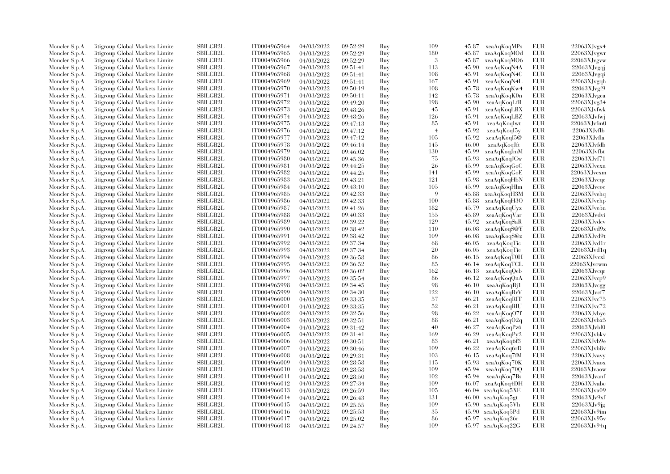| Moncler S.p.A. | Litigroup Global Markets Limite  | <b>SBILGB2L</b> | IT0004965964 | 04/03/2022 | 09:52:29 | Buy | 109            | 45.87 | xeaAqKoqMPs       | EUR        | 22063XJvgx4    |
|----------------|----------------------------------|-----------------|--------------|------------|----------|-----|----------------|-------|-------------------|------------|----------------|
| Moncler S.p.A. | Litigroup Global Markets Limite  | <b>SBILGB2L</b> | IT0004965965 | 04/03/2022 | 09:52:29 | Buy | 180            | 45.87 | xeaAqKoqMOd       | EUR        | 22063XJvgwr    |
| Moncler S.p.A. | Citigroup Global Markets Limite  | <b>SBILGB2L</b> | IT0004965966 | 04/03/2022 | 09:52:29 | Buy | 3              | 45.87 | xeaAqKoqMO6       | <b>EUR</b> | 22063XJvgvw    |
| Moncler S.p.A. | Litigroup Global Markets Limite  | SBILGB2L        | IT0004965967 | 04/03/2022 | 09:51:41 | Buy | 113            | 45.90 | xeaAqKoqN4A       | EUR        | 22063XJvgqi    |
| Moncler S.p.A. | Litigroup Global Markets Limite  | <b>SBILGB2L</b> | IT0004965968 | 04/03/2022 | 09:51:41 | Buy | 108            | 45.91 | xeaAqKoqN4C       | <b>EUR</b> | 22063XJvgqi    |
| Moncler S.p.A. | Citigroup Global Markets Limite  | SBILGB2L        | IT0004965969 | 04/03/2022 | 09:51:41 | Buy | 167            | 45.91 | xeaAqKoqN4L       | EUR        | 22063XJvgqh    |
| Moncler S.p.A. | Citigroup Global Markets Limite  | SBILGB2L        | IT0004965970 | 04/03/2022 | 09:50:19 | Buy | 108            | 45.78 | xeaAqKoqKw4       | <b>EUR</b> | 22063XJvgf9    |
| Moncler S.p.A. | Litigroup Global Markets Limite  | <b>SBILGB2L</b> | IT0004965971 | 04/03/2022 | 09:50:11 | Buy | 142            | 45.78 | xeaAqKoqK0n       | <b>EUR</b> | 22063XJvgea    |
| Moncler S.p.A. | Litigroup Global Markets Limite  | <b>SBILGB2L</b> | IT0004965972 | 04/03/2022 | 09:49:20 | Buy | 198            | 45.90 | xeaAqKoqLfB       | EUR        | 22063XJvg34    |
| Moncler S.p.A. | Citigroup Global Markets Limite  | <b>SBILGB2L</b> | IT0004965973 | 04/03/2022 | 09:48:26 | Buy | 45             | 45.91 | xeaAqKoqLBX       | EUR        | 22063XJvfwk    |
| Moncler S.p.A. | Citigroup Global Markets Limite  | <b>SBILGB2L</b> | IT0004965974 | 04/03/2022 | 09:48:26 | Buy | 126            | 45.91 | xeaAqKoqLBZ       | EUR        | 22063XJvfwj    |
|                | Litigroup Global Markets Limite  | SBILGB2L        | IT0004965975 | 04/03/2022 | 09:47:13 | Buy | 85             | 45.91 | xeaAqKoqIwt       | EUR        | 22063XJvfm0    |
| Moncler S.p.A. |                                  | <b>SBILGB2L</b> | IT0004965976 | 04/03/2022 |          |     | $\overline{4}$ | 45.92 |                   | EUR        | 22063XJvfb     |
| Moncler S.p.A. | Citigroup Global Markets Limite  |                 |              |            | 09:47:12 | Buy |                |       | xeaAqKoqI5y       |            |                |
| Moncler S.p.A. | Litigroup Global Markets Limite  | <b>SBILGB2L</b> | IT0004965977 | 04/03/2022 | 09:47:12 | Buy | 105            | 45.92 | xeaAqKoqI5@       | EUR        | 22063XJvfla    |
| Moncler S.p.A. | Citigroup Global Markets Limite  | SBILGB2L        | IT0004965978 | 04/03/2022 | 09:46:14 | Buy | 145            | 46.00 | xeaAqKoqJft       | EUR        | 22063XJvfdb    |
| Moncler S.p.A. | Citigroup Global Markets Limite  | SBILGB2L        | IT0004965979 | 04/03/2022 | 09:46:02 | Buy | 130            | 45.99 | xeaAqKoqJmM       | <b>EUR</b> | $22063X$ Jvfbt |
| Moncler S.p.A. | Citigroup Global Markets Limite  | SBILGB2L        | IT0004965980 | 04/03/2022 | 09:45:36 | Buy | 75             | 45.93 | xeaAqKoqJCw       | EUR        | 22063XJvf71    |
| Moncler S.p.A. | Litigroup Global Markets Limite  | <b>SBILGB2L</b> | IT0004965981 | 04/03/2022 | 09:44:25 | Buy | 26             | 45.99 | xeaAqKoqGoC       | <b>EUR</b> | 22063XJvexn    |
| Moncler S.p.A. | Citigroup Global Markets Limite  | SBILGB2L        | IT0004965982 | 04/03/2022 | 09:44:25 | Buy | 141            | 45.99 | xeaAqKoqGoE       | EUR        | 22063XJvexm    |
| Moncler S.p.A. | Litigroup Global Markets Limite  | <b>SBILGB2L</b> | IT0004965983 | 04/03/2022 | 09:43:21 | Buy | 121            | 45.98 | xeaAqKoqHbN       | EUR        | 22063XJveqe    |
| Moncler S.p.A. | Litigroup Global Markets Limite  | <b>SBILGB2L</b> | IT0004965984 | 04/03/2022 | 09:43:10 | Buy | 105            | 45.99 | xeaAqKoqHlm       | <b>EUR</b> | 22063XJveoc    |
| Moncler S.p.A. | Litigroup Global Markets Limite  | SBILGB2L        | IT0004965985 | 04/03/2022 | 09:42:33 | Buy | 9              | 45.88 | xeaAqKoqH3M       | <b>EUR</b> | 22063XJvehq    |
| Moncler S.p.A. | Citigroup Global Markets Limite  | SBILGB2L        | IT0004965986 | 04/03/2022 | 09:42:33 | Buy | 100            | 45.88 | xeaAqKoqH3O       | EUR        | 22063XJvehp    |
| Moncler S.p.A. | Litigroup Global Markets Limite  | <b>SBILGB2L</b> | IT0004965987 | 04/03/2022 | 09:41:26 | Buy | 182            | 45.79 | xeaAqKoqUyx       | EUR        | 22063XJve5n    |
| Moncler S.p.A. | Citigroup Global Markets Limite  | <b>SBILGB2L</b> | IT0004965988 | 04/03/2022 | 09:40:33 | Buy | 155            | 45.89 | xeaAqKoqVar       | <b>EUR</b> | 22063XJvdvi    |
| Moncler S.p.A. | Citigroup Global Markets Limite  | SBILGB2L        | IT0004965989 | 04/03/2022 | 09:39:22 | Buy | 129            | 45.92 | xeaAqKoqSaR       | EUR        | 22063XJvdev    |
| Moncler S.p.A. | Citigroup Global Markets Limite  | SBILGB2L        | IT0004965990 | 04/03/2022 | 09:38:42 | Buy | 110            | 46.08 | xeaAqKoqS@Y       | <b>EUR</b> | 22063XJvd9x    |
| Moncler S.p.A. | Litigroup Global Markets Limite  | <b>SBILGB2L</b> | IT0004965991 | 04/03/2022 | 09:38:42 | Buy | 109            | 46.08 | xeaAqKoqS@z       | <b>EUR</b> | 22063XJvd9t    |
| Moncler S.p.A. | Citigroup Global Markets Limite  | SBILGB2L        | IT0004965992 | 04/03/2022 | 09:37:34 | Buy | 68             | 46.05 | xeaAqKoqTic       | EUR        | 22063XJvd1r    |
| Moncler S.p.A. | Citigroup Global Markets Limite  | SBILGB2L        | IT0004965993 | 04/03/2022 | 09:37:34 | Buy | 20             | 46.05 | xeaAqKoqTie       | <b>EUR</b> | 22063XJvd1q    |
| Moncler S.p.A. | Citigroup Global Markets Limite  | <b>SBILGB2L</b> | IT0004965994 | 04/03/2022 | 09:36:58 | Buy | 86             | 46.15 | xeaAqKoqT0H       | EUR        | $22063$ XJvcxl |
| Moncler S.p.A. | Litigroup Global Markets Limite  | <b>SBILGB2L</b> | IT0004965995 | 04/03/2022 | 09:36:52 | Buy | 85             | 46.14 | xeaAqKoqTCL       | <b>EUR</b> | 22063XJvcwm    |
| Moncler S.p.A. | Litigroup Global Markets Limite  | SBILGB2L        | IT0004965996 | 04/03/2022 | 09:36:02 | Buy | 162            | 46.13 | xeaAqKoqQeb       | <b>EUR</b> | 22063XJvcqr    |
| Moncler S.p.A. | Citigroup Global Markets Limite  | SBILGB2L        | IT0004965997 | 04/03/2022 | 09:35:54 | Buy | 86             | 46.12 | xeaAqKoqQnA       | EUR        | 22063XJvcp9    |
| Moncler S.p.A. | Citigroup Global Markets Limite  | <b>SBILGB2L</b> | IT0004965998 | 04/03/2022 | 09:34:45 | Buy | 98             | 46.10 | xeaAqKoqRj1       | EUR        | 22063XJvcgg    |
| Moncler S.p.A. | Litigroup Global Markets Limite  | <b>SBILGB2L</b> | IT0004965999 | 04/03/2022 | 09:34:30 | Buy | 122            | 46.10 | xeaAqKoqRrV       | EUR        | 22063XJvcf7    |
| Moncler S.p.A. | Litigroup Global Markets Limite  | SBILGB2L        | IT0004966000 | 04/03/2022 | 09:33:35 | Buy | 57             | 46.21 | xeaAqKoqRIT       | EUR        | 22063XJvc75    |
| Moncler S.p.A. | Citigroup Global Markets Limite  | SBILGB2L        | IT0004966001 | 04/03/2022 | 09:33:35 | Buy | 52             | 46.21 | xeaAqKoqRIU       | EUR        | 22063XJvc72    |
|                | Litigroup Global Markets Limite  | <b>SBILGB2L</b> | IT0004966002 | 04/03/2022 |          | Buy | 98             | 46.22 | xeaAqKoqO7f       | EUR        | 22063XJvbye    |
| Moncler S.p.A. | Litigroup Global Markets Limite  | <b>SBILGB2L</b> | IT0004966003 |            | 09:32:56 | Buy | 88             | 46.21 |                   | EUR        | 22063XJvbx5    |
| Moncler S.p.A. |                                  |                 |              | 04/03/2022 | 09:32:51 |     |                |       | xeaAqKoqO2q       |            |                |
| Moncler S.p.A. | Litigroup Global Markets Limite  | <b>SBILGB2L</b> | IT0004966004 | 04/03/2022 | 09:31:42 | Buy | 40             | 46.27 | xeaAqKoqPz6       | <b>EUR</b> | 22063XJvbl0    |
| Moncler S.p.A. | Citigroup Global Markets Limite  | SBILGB2L        | IT0004966005 | 04/03/2022 | 09:31:41 | Buy | 169            | 46.29 | xeaAqKoqPy2       | EUR        | 22063XJvbkv    |
| Moncler S.p.A. | Citigroup Global Markets Limite  | SBILGB2L        | IT0004966006 | 04/03/2022 | 09:30:51 | Buy | 83             | 46.21 | xeaAqKoq6f3       | <b>EUR</b> | 22063XJvb9e    |
| Moncler S.p.A. | Citigroup Global Markets Limite  | SBILGB2L        | IT0004966007 | 04/03/2022 | 09:30:46 | Buy | 109            | 46.22 | xeaAqKoq6rD       | EUR        | 22063XJvbb8v   |
| Moncler S.p.A. | Citigroup Global Markets Limite  | <b>SBILGB2L</b> | IT0004966008 | 04/03/2022 | 09:29:31 | Buy | 103            | 46.15 | xeaAqKoq7fM       | EUR        | 22063XJvavy    |
| Moncler S.p.A. | Citigroup Global Markets Limite  | SBILGB2L        | IT0004966009 | 04/03/2022 | 09:28:58 | Buy | 115            | 45.93 | xeaAqKoq70K       | EUR        | 22063XJvaox    |
| Moncler S.p.A. | Citigroup Global Markets Limite  | SBILGB2L        | IT0004966010 | 04/03/2022 | 09:28:58 | Buy | 109            | 45.94 | xeaAqKoq70Q       | EUR        | 22063XJvaow    |
| Moncler S.p.A. | Citigroup Global Markets Limite  | <b>SBILGB2L</b> | IT0004966011 | 04/03/2022 | 09:28:50 | Buy | 102            | 45.94 | xeaAqKoq7Bs       | EUR        | 22063XJvanf    |
| Moncler S.p.A. | Citigroup Global Markets Limite  | SBILGB2L        | IT0004966012 | 04/03/2022 | 09:27:34 | Buy | 109            | 46.07 | xeaAqKoq4DH       | EUR        | 22063XJvabc    |
| Moncler S.p.A. | Citigroup Global Markets Limite  | SBILGB2L        | IT0004966013 | 04/03/2022 | 09:26:59 | Buy | 105            | 46.04 | xeaAqKoq5XE       | <b>EUR</b> | 22063XJva09    |
| Moncler S.p.A. | Litigroup Global Markets Limite  | <b>SBILGB2L</b> | IT0004966014 | 04/03/2022 | 09:26:43 | Buy | 131            | 46.00 | xeaAqKoq5gt       | EUR        | 22063XJv9xf    |
| Moncler S.p.A. | Litigroup Global Markets Limite  | <b>SBILGB2L</b> | IT0004966015 | 04/03/2022 | 09:25:55 | Buy | 109            | 45.90 | xeaAqKoq5Vh       | EUR        | 22063XJv9jg    |
| Moncler S.p.A. | Citigroup Global Markets Limite  | SBILGB2L        | IT0004966016 | 04/03/2022 | 09:25:53 | Buy | 35             | 45.90 | xeaAqKoq5Pd       | EUR        | 22063XJv9im    |
| Moncler S.p.A. | Citigroup Global Markets Limite  | SBILGB2L        | IT0004966017 | 04/03/2022 | 09:25:02 | Buy | 86             |       | 45.97 xeaAqKoq26r | <b>EUR</b> | 22063XJv95v    |
| Moncler S.p.A. | Citigroup Global Markets Limited | SBILGB2L        | IT0004966018 | 04/03/2022 | 09:24:57 | Buy | 109            |       | 45.97 xeaAqKoq22G | <b>EUR</b> | 22063XJv94q    |
|                |                                  |                 |              |            |          |     |                |       |                   |            |                |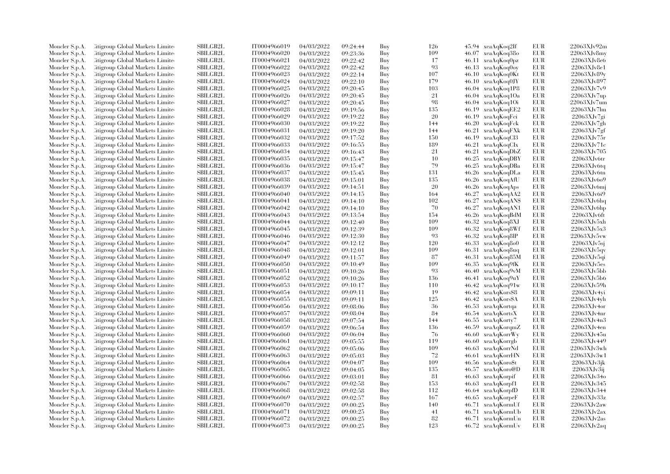| Moncler S.p.A. | Citigroup Global Markets Limite  | SBILGB2L        | IT0004966019 | 04/03/2022 | 09:24:44 | Buy | 126 | 45.94 xeaAqKoq2If     | EUR        | 22063XJv92m |
|----------------|----------------------------------|-----------------|--------------|------------|----------|-----|-----|-----------------------|------------|-------------|
| Moncler S.p.A. | Citigroup Global Markets Limite  | SBILGB2L        | IT0004966020 | 04/03/2022 | 09:23:36 | Buy | 109 | 46.07 xeaAqKoq38o     | EUR        | 22063XJv8mv |
| Moncler S.p.A. | Citigroup Global Markets Limited | <b>SBILGB2L</b> | IT0004966021 | 04/03/2022 | 09:22:42 | Buy | 17  | 46.11 xeaAqKoq0pz     | <b>EUR</b> | 22063XJv8e6 |
| Moncler S.p.A. | Litigroup Global Markets Limite  | SBILGB2L        | IT0004966022 | 04/03/2022 | 09:22:42 | Buy | 93  | 46.13 xeaAqKoq0oy     | EUR        | 22063XJv8e1 |
| Moncler S.p.A. | Litigroup Global Markets Limite  | <b>SBILGB2L</b> | IT0004966023 | 04/03/2022 | 09:22:14 | Buy | 107 | 46.10 xeaAqKoq0Kt     | <b>EUR</b> | 22063XJv89v |
| Moncler S.p.A. | Citigroup Global Markets Limite  | SBILGB2L        | IT0004966024 | 04/03/2022 | 09:22:10 | Buy | 179 | 46.10 xeaAqKoq0JY     | <b>EUR</b> | 22063XJv897 |
| Moncler S.p.A. | Citigroup Global Markets Limited | <b>SBILGB2L</b> | IT0004966025 | 04/03/2022 | 09:20:45 | Buy | 103 | 46.04 xeaAqKoq1P8     | EUR        | 22063XJv7v9 |
| Moncler S.p.A. | Litigroup Global Markets Limite  | <b>SBILGB2L</b> | IT0004966026 | 04/03/2022 | 09:20:45 | Buy | 21  | 46.04 xeaAqKoq1Oa     | EUR        | 22063XJv7up |
| Moncler S.p.A. | Citigroup Global Markets Limite  | SBILGB2L        | IT0004966027 | 04/03/2022 | 09:20:45 | Buy | 98  | 46.04 xeaAqKoq1Oi     | EUR        | 22063XJv7um |
| Moncler S.p.A. | Citigroup Global Markets Limite  | SBILGB2L        | IT0004966028 | 04/03/2022 | 09:19:56 | Buy | 135 | 46.19<br>xeaAqKoqEE2  | EUR        | 22063XJv7lm |
| Moncler S.p.A. | Litigroup Global Markets Limite  | <b>SBILGB2L</b> | IT0004966029 | 04/03/2022 | 09:19:22 | Buy | 20  | 46.19<br>xeaAqKoqFci  | EUR        | 22063XJv7gi |
| Moncler S.p.A. | Litigroup Global Markets Limite  | <b>SBILGB2L</b> | IT0004966030 | 04/03/2022 | 09:19:22 | Buy | 144 | 46.20<br>xeaAqKoqFck  | <b>EUR</b> | 22063XJv7gh |
| Moncler S.p.A. | Citigroup Global Markets Limite  | SBILGB2L        | IT0004966031 | 04/03/2022 | 09:19:20 | Buy | 144 | 46.21<br>xeaAqKoqFXk  | EUR        | 22063XJv7gf |
|                | Citigroup Global Markets Limited | SBILGB2L        | IT0004966032 |            |          | Buy | 150 | 46.19                 | EUR        | 22063XJv75r |
| Moncler S.p.A. |                                  |                 |              | 04/03/2022 | 09:17:52 |     | 189 | xeaAqKoqCl3           |            |             |
| Moncler S.p.A. | Litigroup Global Markets Limite  | SBILGB2L        | IT0004966033 | 04/03/2022 | 09:16:55 | Buy |     | 46.21<br>xeaAqKoqCIx  | EUR        | 22063XJv71c |
| Moncler S.p.A. | Litigroup Global Markets Limite  | <b>SBILGB2L</b> | IT0004966034 | 04/03/2022 | 09:16:43 | Buy | 21  | 46.21<br>xeaAqKoqDbZ  | EUR        | 22063XJv705 |
| Moncler S.p.A. | Citigroup Global Markets Limite  | SBILGB2L        | IT0004966035 | 04/03/2022 | 09:15:47 | Buy | 10  | 46.25 xeaAqKoqDBY     | EUR        | 22063XJv6tr |
| Moncler S.p.A. | Citigroup Global Markets Limite  | <b>SBILGB2L</b> | IT0004966036 | 04/03/2022 | 09:15:47 | Buy | 79  | 46.25<br>xeaAqKoqDBa  | EUR        | 22063XJv6tq |
| Moncler S.p.A. | Citigroup Global Markets Limite  | <b>SBILGB2L</b> | IT0004966037 | 04/03/2022 | 09:15:45 | Buy | 131 | 46.26 xeaAqKoqDLa     | EUR        | 22063XJv6tn |
| Moncler S.p.A. | Litigroup Global Markets Limite  | SBILGB2L        | IT0004966038 | 04/03/2022 | 09:15:01 | Buy | 135 | 46.26 xeaAqKoqAfU     | EUR        | 22063XJv6o9 |
| Moncler S.p.A. | Citigroup Global Markets Limite  | <b>SBILGB2L</b> | IT0004966039 | 04/03/2022 | 09:14:51 | Buy | 20  | 46.26<br>xeaAqKoqAps  | EUR        | 22063XJv6mj |
| Moncler S.p.A. | Citigroup Global Markets Limite  | SBILGB2L        | IT0004966040 | 04/03/2022 | 09:14:15 | Buy | 164 | 46.27<br>xeaAqKoqAA2  | EUR        | 22063XJv6i9 |
| Moncler S.p.A. | Citigroup Global Markets Limite  | <b>SBILGB2L</b> | IT0004966041 | 04/03/2022 | 09:14:10 | Buy | 102 | 46.27 xeaAqKoqAN\$    | EUR        | 22063XJv6hq |
| Moncler S.p.A. | Citigroup Global Markets Limite  | SBILGB2L        | IT0004966042 | 04/03/2022 | 09:14:10 | Buy | 70  | 46.27<br>xeaAqKoqAN1  | EUR        | 22063XJv6hp |
| Moncler S.p.A. | Citigroup Global Markets Limite  | <b>SBILGB2L</b> | IT0004966043 | 04/03/2022 | 09:13:54 | Buy | 154 | xeaAqKoqBdM<br>46.26  | EUR        | 22063XJv6ft |
| Moncler S.p.A. | Litigroup Global Markets Limite  | <b>SBILGB2L</b> | IT0004966044 | 04/03/2022 | 09:12:40 | Buy | 109 | 46.32<br>xeaAqKoq8XJ  | EUR        | 22063XJv5xh |
| Moncler S.p.A. | Citigroup Global Markets Limite  | <b>SBILGB2L</b> | IT0004966045 | 04/03/2022 | 09:12:39 | Buy | 109 | 46.32 xeaAqKoq8Wf     | EUR        | 22063XJv5x3 |
| Moncler S.p.A. | Citigroup Global Markets Limite  | SBILGB2L        | IT0004966046 | 04/03/2022 | 09:12:30 | Buy | 93  | 46.32 xeaAqKoq8lP     | <b>EUR</b> | 22063XJv5vw |
| Moncler S.p.A. | Litigroup Global Markets Limite  | SBILGB2L        | IT0004966047 | 04/03/2022 | 09:12:12 | Buy | 120 | 46.33 xeaAqKoq8o0     | EUR        | 22063XJv5s  |
| Moncler S.p.A. | Litigroup Global Markets Limite  | <b>SBILGB2L</b> | IT0004966048 | 04/03/2022 | 09:12:01 | Buy | 109 | 46.31 xeaAqKoq8uq     | EUR        | 22063XJv5qv |
| Moncler S.p.A. | Litigroup Global Markets Limite  | <b>SBILGB2L</b> | IT0004966049 | 04/03/2022 | 09:11:57 | Buy | 87  | 46.31<br>xeaAqKoq85M  | EUR        | 22063XJv5q  |
| Moncler S.p.A. | Citigroup Global Markets Limite  | <b>SBILGB2L</b> | IT0004966050 | 04/03/2022 | 09:10:49 | Buy | 109 | 46.35<br>xeaAqKoq9fK  | EUR        | 22063XJv5es |
| Moncler S.p.A. | Citigroup Global Markets Limite  | SBILGB2L        | IT0004966051 | 04/03/2022 | 09:10:26 | Buy | -93 | 46.40<br>xeaAqKoq9vM  | EUR        | 22063XJv5bb |
| Moncler S.p.A. | Citigroup Global Markets Limite  | <b>SBILGB2L</b> | IT0004966052 | 04/03/2022 | 09:10:26 | Buy | 136 | xeaAqKoq9uY<br>46.41  | EUR        | 22063XJv5b6 |
| Moncler S.p.A. | Citigroup Global Markets Limite  | SBILGB2L        | IT0004966053 | 04/03/2022 | 09:10:17 | Buy | 110 | 46.42 xeaAqKoq91w     | EUR        | 22063XJv59h |
| Moncler S.p.A. | Citigroup Global Markets Limite  | <b>SBILGB2L</b> | IT0004966054 | 04/03/2022 | 09:09:11 | Buy | 19  | xeaAqKors\$8<br>46.42 | EUR        | 22063XJv4vi |
| Moncler S.p.A. | Litigroup Global Markets Limite  | SBILGB2L        | IT0004966055 | 04/03/2022 | 09:09:11 | Buy | 125 | 46.42<br>xeaAqKors\$A | EUR        | 22063XJv4yh |
| Moncler S.p.A. | Citigroup Global Markets Limite  | <b>SBILGB2L</b> | IT0004966056 | 04/03/2022 | 09:08:06 | Buy | -36 | 46.53 xeaAqKortqa     | <b>EUR</b> | 22063XJv4or |
| Moncler S.p.A. | Citigroup Global Markets Limite  | SBILGB2L        | IT0004966057 | 04/03/2022 | 09:08:04 | Buy | 84  | 46.54 xeaAqKortsX     | EUR        | 22063XJv4nr |
| Moncler S.p.A. | Litigroup Global Markets Limite  | <b>SBILGB2L</b> | IT0004966058 | 04/03/2022 | 09:07:54 | Buy | 144 | 46.55 xeaAqKorty7     | EUR        | 22063XJv4n3 |
| Moncler S.p.A. | Litigroup Global Markets Limite  | <b>SBILGB2L</b> | IT0004966059 | 04/03/2022 | 09:06:54 | Buy | 136 | 46.59<br>xeaAqKorqmZ  | EUR        | 22063XJv4en |
| Moncler S.p.A. | Citigroup Global Markets Limite  | SBILGB2L        | IT0004966060 | 04/03/2022 | 09:06:04 | Buy | 76  | 46.60 xeaAqKorrWy     | EUR        | 22063XJv45u |
| Moncler S.p.A. | Citigroup Global Markets Limite  | SBILGB2L        | IT0004966061 | 04/03/2022 | 09:05:55 | Buy | 119 | 46.60<br>xeaAqKorrgb  | <b>EUR</b> | 22063XJv449 |
| Moncler S.p.A. | Litigroup Global Markets Limite  | SBILGB2L        | IT0004966062 | 04/03/2022 | 09:05:06 | Buy | 109 | 46.63 xeaAqKorrNd     | EUR        | 22063XJv3wh |
| Moncler S.p.A. | Litigroup Global Markets Limite  | <b>SBILGB2L</b> | IT0004966063 | 04/03/2022 | 09:05:03 | Buy | 72  | 46.61 xeaAqKorrHN     | EUR        | 22063XJv3w1 |
| Moncler S.p.A. | Citigroup Global Markets Limite  | SBILGB2L        | IT0004966064 | 04/03/2022 | 09:04:07 | Buy | 109 | 46.56 xeaAqKoro\$t    | EUR        | 22063XJv3jk |
| Moncler S.p.A. | Citigroup Global Markets Limite  | <b>SBILGB2L</b> | IT0004966065 | 04/03/2022 | 09:04:05 | Buy | 135 | xeaAqKoro@D<br>46.57  | EUR        | 22063XJv3ij |
| Moncler S.p.A. | Litigroup Global Markets Limite  | <b>SBILGB2L</b> | IT0004966066 | 04/03/2022 | 09:03:01 | Buy | -81 | 46.63 xeaAqKorpif     | EUR        | 22063XJv34o |
| Moncler S.p.A. | Citigroup Global Markets Limite  | SBILGB2L        | IT0004966067 | 04/03/2022 | 09:02:58 | Buy | 153 | 46.63 xeaAqKorpf1     | EUR        | 22063XJv345 |
| Moncler S.p.A. | Citigroup Global Markets Limite  | SBILGB2L        | IT0004966068 | 04/03/2022 | 09:02:58 | Buy | 112 | 46.64 xeaAqKorpfD     | <b>EUR</b> | 22063XJv344 |
| Moncler S.p.A. | Litigroup Global Markets Limite  | <b>SBILGB2L</b> | IT0004966069 | 04/03/2022 | 09:02:57 | Buy | 167 | 46.65 xeaAqKorpeF     | EUR        | 22063XJv33z |
| Moncler S.p.A. | Litigroup Global Markets Limite  | <b>SBILGB2L</b> | IT0004966070 | 04/03/2022 | 09:00:25 | Buy | 140 | 46.71<br>xeaAqKormUf  | EUR        | 22063XJv2aw |
| Moncler S.p.A. | Citigroup Global Markets Limite  | SBILGB2L        | IT0004966071 | 04/03/2022 | 09:00:25 | Buy | 41  | 46.71<br>xeaAqKormUb  | EUR        | 22063XJv2ax |
| Moncler S.p.A. | Citigroup Global Markets Limite  | <b>SBILGB2L</b> | IT0004966072 | 04/03/2022 | 09:00:25 | Buy | 82  | 46.71 xeaAqKormUn     | <b>EUR</b> | 22063XJv2as |
| Moncler S.p.A. | Citigroup Global Markets Limited | SBILGB2L        | IT0004966073 | 04/03/2022 | 09:00:25 | Buy | 123 | 46.72 xeaAqKormUv     | <b>EUR</b> | 22063XJv2aq |
|                |                                  |                 |              |            |          |     |     |                       |            |             |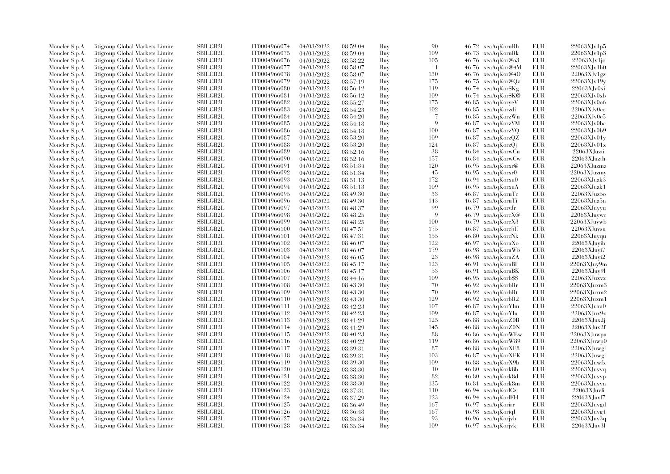| Moncler S.p.A. | Citigroup Global Markets Limite                                    | SBILGB2L        | IT0004966074                 | 04/03/2022               | 08:59:04 | Buy | 90          | 46.72 xeaAqKornRh                            | EUR        | 22063XJv1p5                                  |
|----------------|--------------------------------------------------------------------|-----------------|------------------------------|--------------------------|----------|-----|-------------|----------------------------------------------|------------|----------------------------------------------|
| Moncler S.p.A. | Citigroup Global Markets Limite                                    | SBILGB2L        | IT0004966075                 | 04/03/2022               | 08:59:04 | Buy | 109         | 46.73 xeaAqKornRk                            | EUR        | 22063XJv1p3                                  |
| Moncler S.p.A. | Citigroup Global Markets Limited                                   | <b>SBILGB2L</b> | IT0004966076                 | 04/03/2022               | 08:58:22 | Buy | 105         | 46.76 xeaAqKor@o3                            | <b>EUR</b> | 22063XJv1jc                                  |
| Moncler S.p.A. | Litigroup Global Markets Limite                                    | SBILGB2L        | IT0004966077                 | 04/03/2022               | 08:58:07 | Buy | -1          | 46.76 xeaAqKor@4M                            | EUR        | 22063XJv1h0                                  |
| Moncler S.p.A. | Citigroup Global Markets Limite                                    | <b>SBILGB2L</b> | IT0004966078                 | 04/03/2022               | 08:58:07 | Buy | 130         | $46.76 \text{ xeaAgKor@}40$                  | EUR        | 22063XJv1gz                                  |
| Moncler S.p.A. | Citigroup Global Markets Limite                                    | SBILGB2L        | IT0004966079                 | 04/03/2022               | 08:57:19 | Buy | 175         | 46.75 xeaAqKor@Qz                            | EUR        | 22063XJv19y                                  |
| Moncler S.p.A. | Citigroup Global Markets Limite                                    | <b>SBILGB2L</b> | IT0004966080                 | 04/03/2022               | 08:56:12 | Buy | 119         | 46.74 xeaAqKor\$Kg                           | <b>EUR</b> | $22063X$ Jv $0x$ i                           |
| Moncler S.p.A. | Citigroup Global Markets Limite                                    | <b>SBILGB2L</b> | IT0004966081                 | 04/03/2022               | 08:56:12 | Buy | 109         | 46.74 xeaAqKor\$K@                           | EUR        | 22063XJv0xb                                  |
| Moncler S.p.A. | Citigroup Global Markets Limite                                    | SBILGB2L        | IT0004966082                 | 04/03/2022               | 08:55:27 | Buy | 175         | 46.85 xeaAqKoryeV                            | EUR        | 22063XJv0o6                                  |
| Moncler S.p.A. | Citigroup Global Markets Limite                                    | SBILGB2L        | IT0004966083                 | 04/03/2022               | 08:54:23 | Buy | 102         | xeaAqKorzdi<br>46.85                         | <b>EUR</b> | 22063XJv0co                                  |
| Moncler S.p.A. | Litigroup Global Markets Limite                                    | <b>SBILGB2L</b> | IT0004966084                 | 04/03/2022               | 08:54:20 | Buy | 7           | 46.85<br>xeaAqKorzWn                         | EUR        | 22063XJv0c5                                  |
| Moncler S.p.A. | Litigroup Global Markets Limite                                    | <b>SBILGB2L</b> | IT0004966085                 | 04/03/2022               | 08:54:18 | Buy | $\mathbf Q$ | 46.87<br>xeaAqKorzYM                         | <b>EUR</b> | 22063XJv0ba                                  |
| Moncler S.p.A. | Citigroup Global Markets Limite                                    | SBILGB2L        | IT0004966086                 | 04/03/2022               | 08:54:18 | Buy | 100         | 46.87 xeaAqKorzYQ                            | EUR        | 22063XJv0b9                                  |
| Moncler S.p.A. | Citigroup Global Markets Limited                                   | SBILGB2L        | IT0004966087                 | 04/03/2022               | 08:53:20 | Buy | 109         | 46.87<br>xeaAqKorzQZ                         | <b>EUR</b> | 22063XJv01y                                  |
| Moncler S.p.A. | Litigroup Global Markets Limite                                    | SBILGB2L        | IT0004966088                 | 04/03/2022               | 08:53:20 | Buy | 124         | 46.87<br>xeaAqKorzQj                         | EUR        | 22063XJv01x                                  |
| Moncler S.p.A. | Litigroup Global Markets Limite                                    | <b>SBILGB2L</b> | IT0004966089                 | 04/03/2022               |          | Buy | 38          | 46.84 xeaAqKorwCu                            | EUR        | 22063XJuzti                                  |
|                |                                                                    | SBILGB2L        |                              |                          | 08:52:16 |     | 157         |                                              | EUR        | 22063XJuzth                                  |
| Moncler S.p.A. | Citigroup Global Markets Limite                                    | <b>SBILGB2L</b> | IT0004966090<br>IT0004966091 | 04/03/2022               | 08:52:16 | Buy | 120         | 46.84 xeaAqKorwCw<br>46.95                   | <b>EUR</b> | $22063$ XJuzmz                               |
| Moncler S.p.A. | Citigroup Global Markets Limite                                    |                 |                              | 04/03/2022               | 08:51:34 | Buy |             | xeaAqKorxr@                                  |            |                                              |
| Moncler S.p.A. | Citigroup Global Markets Limite                                    | <b>SBILGB2L</b> | IT0004966092                 | 04/03/2022               | 08:51:34 | Buy | 45          | 46.95<br>xeaAqKorxr0                         | <b>EUR</b> | 22063XJuzmy                                  |
| Moncler S.p.A. | Litigroup Global Markets Limite                                    | <b>SBILGB2L</b> | IT0004966093                 | 04/03/2022               | 08:51:13 | Buy | 172         | 46.94 xeaAqKorxu0                            | EUR        | $22063$ XJuzk $3$                            |
| Moncler S.p.A. | Citigroup Global Markets Limite                                    | SBILGB2L        | IT0004966094                 | 04/03/2022               | 08:51:13 | Buy | 109         | 46.95<br>xeaAqKorxuA                         | <b>EUR</b> | 22063XJuzk1                                  |
| Moncler S.p.A. | Citigroup Global Markets Limite                                    | SBILGB2L        | IT0004966095                 | 04/03/2022               | 08:49:30 | Buy | 33          | 46.87<br>xeaAqKoruTc                         | EUR        | 22063XJuz5o                                  |
| Moncler S.p.A. | Citigroup Global Markets Limite                                    | <b>SBILGB2L</b> | IT0004966096                 | 04/03/2022               | 08:49:30 | Buy | 143         | 46.87<br>xeaAqKoruTi                         | <b>EUR</b> | 22063XJuz5n                                  |
| Moncler S.p.A. | Citigroup Global Markets Limite                                    | SBILGB2L        | IT0004966097                 | 04/03/2022               | 08:48:37 | Buy | 99          | 46.79<br>xeaAqKorvJr                         | EUR        | 22063XJuyyu                                  |
| Moncler S.p.A. | Citigroup Global Markets Limite                                    | <b>SBILGB2L</b> | IT0004966098                 | 04/03/2022               | 08:48:25 | Buy | $\mathbf Q$ | 46.79<br>xeaAqKorcX@                         | EUR        | 22063XJuywc                                  |
| Moncler S.p.A. | Litigroup Global Markets Limite                                    | <b>SBILGB2L</b> | IT0004966099                 | 04/03/2022               | 08:48:25 | Buy | 100         | 46.79<br>xeaAqKorcX3                         | EUR        | 22063XJuvwb                                  |
| Moncler S.p.A. | Citigroup Global Markets Limite                                    | <b>SBILGB2L</b> | IT0004966100                 | 04/03/2022               | 08:47:51 | Buy | 175         | 46.87 xeaAqKorc5U                            | EUR        | 22063XJuysu                                  |
| Moncler S.p.A. | Citigroup Global Markets Limite                                    | <b>SBILGB2L</b> | IT0004966101                 | 04/03/2022               | 08:47:31 | Buy | 155         | 46.80<br>xeaAqKorcNk                         | <b>EUR</b> | 22063XJuyqu                                  |
| Moncler S.p.A. | Litigroup Global Markets Limite                                    | SBILGB2L        | IT0004966102                 | 04/03/2022               | 08:46:07 | Buy | 122         | 46.97<br>xeaAqKoraXo                         | EUR        | 22063XJuvib                                  |
| Moncler S.p.A. | Litigroup Global Markets Limite                                    | <b>SBILGB2L</b> | IT0004966103                 | 04/03/2022               | 08:46:07 | Buy | 179         | 46.98 xeaAqKoraW5                            | EUR        | 22063XJuvi7                                  |
| Moncler S.p.A. | Litigroup Global Markets Limite                                    | <b>SBILGB2L</b> | IT0004966104                 | 04/03/2022               | 08:46:05 | Buy | 23          | 46.98 xeaAqKoraZA                            | <b>EUR</b> | $22063$ XJuyi $2$                            |
| Moncler S.p.A. | Citigroup Global Markets Limite                                    | <b>SBILGB2L</b> | IT0004966105                 | 04/03/2022               | 08:45:17 | Buy | 123         | 46.91<br>xeaAqKoraBI                         | EUR        | 22063XJuy9m                                  |
| Moncler S.p.A. | Citigroup Global Markets Limite                                    | SBILGB2L        | IT0004966106                 | 04/03/2022               | 08:45:17 | Buy | -53         | 46.91<br>xeaAqKoraBK                         | EUR        | 22063XJuy9l                                  |
| Moncler S.p.A. | Citigroup Global Markets Limite                                    | <b>SBILGB2L</b> | IT0004966107                 | 04/03/2022               | 08:44:16 | Buy | 109         | 46.95 xeaAqKorb\$S                           | <b>EUR</b> | 22063XJuxvx                                  |
| Moncler S.p.A. | Citigroup Global Markets Limite                                    | SBILGB2L        | IT0004966108                 | 04/03/2022               | 08:43:30 | Buy | 70          | 46.92<br>xeaAqKorbRr                         | EUR        | 22063XJuxm3                                  |
| Moncler S.p.A. | Citigroup Global Markets Limite                                    | <b>SBILGB2L</b> | IT0004966109                 | 04/03/2022               | 08:43:30 | Buy | 70          | 46.92<br>xeaAqKorbRt                         | EUR        | 22063XJuxm2                                  |
| Moncler S.p.A. | Litigroup Global Markets Limite                                    | SBILGB2L        | IT0004966110                 | 04/03/2022               | 08:43:30 | Buy | 129         | 46.92<br>xeaAqKorbR2                         | EUR        | $22063\mbox{XJ} \mbox{u} \mbox{x}\mbox{m} 1$ |
| Moncler S.p.A. | Citigroup Global Markets Limite                                    | <b>SBILGB2L</b> | IT0004966111                 | 04/03/2022               | 08:42:23 | Buy | 107         | 46.87 xeaAqKorYIm                            | <b>EUR</b> | 22063XJuxa0                                  |
| Moncler S.p.A. | Citigroup Global Markets Limite                                    | SBILGB2L        | IT0004966112                 | 04/03/2022               | 08:42:23 | Buy | 109         | 46.87 xeaAqKorYIu                            | <b>EUR</b> | 22063XJux9z                                  |
| Moncler S.p.A. | Litigroup Global Markets Limite                                    | SBILGB2L        | IT0004966113                 | 04/03/2022               | 08:41:29 | Buy | 125         | 46.88 xeaAqKorZ0B                            | EUR        | $22063$ XJux $2$ j                           |
| Moncler S.p.A. | Litigroup Global Markets Limite                                    | <b>SBILGB2L</b> | IT0004966114                 | 04/03/2022               | 08:41:29 | Buy | 145         | 46.88 xeaAqKorZ0N                            | EUR        | $22063$ XJux $2f$                            |
| Moncler S.p.A. | Citigroup Global Markets Limite                                    | SBILGB2L        | IT0004966115                 | 04/03/2022               | 08:40:23 | Buy | 88          | 46.86 xeaAqKorWEw                            | EUR        | 22063XJuwpa                                  |
| Moncler S.p.A. | Citigroup Global Markets Limite                                    | SBILGB2L        | IT0004966116                 | 04/03/2022               | 08:40:22 | Buy | 119         | 46.86<br>xeaAqKorW89                         | EUR        | 22063XJuwp0                                  |
| Moncler S.p.A. | Litigroup Global Markets Limite                                    | <b>SBILGB2L</b> | IT0004966117                 | 04/03/2022               | 08:39:31 | Buy | -87         | 46.88 xeaAqKorXF8                            | EUR        | $22063$ XJuwgl                               |
| Moncler S.p.A. | Litigroup Global Markets Limite                                    | <b>SBILGB2L</b> | IT0004966118                 | 04/03/2022               | 08:39:31 | Buy | 103         | 46.87 xeaAqKorXFK                            | EUR        | 22063XJuwgi                                  |
|                |                                                                    | SBILGB2L        | IT0004966119                 |                          |          | Buy | 109         |                                              | EUR        | 22063XJuwfx                                  |
| Moncler S.p.A. | Citigroup Global Markets Limite<br>Citigroup Global Markets Limite | <b>SBILGB2L</b> | IT0004966120                 | 04/03/2022<br>04/03/2022 | 08:39:30 | Buy | 10          | 46.88<br>xeaAqKorX9b<br>46.80<br>xeaAqKork8b | <b>EUR</b> | 22063XJuvvq                                  |
| Moncler S.p.A. |                                                                    | <b>SBILGB2L</b> |                              |                          | 08:38:30 |     | 82          |                                              | EUR        |                                              |
| Moncler S.p.A. | Citigroup Global Markets Limite                                    |                 | IT0004966121                 | 04/03/2022               | 08:38:30 | Buy |             | 46.80<br>xeaAqKork8d                         |            | 22063XJuvvp                                  |
| Moncler S.p.A. | Citigroup Global Markets Limite                                    | SBILGB2L        | IT0004966122                 | 04/03/2022               | 08:38:30 | Buy | 135         | 46.81 xeaAqKork8m                            | EUR        | 22063XJuvvn                                  |
| Moncler S.p.A. | Citigroup Global Markets Limite                                    | <b>SBILGB2L</b> | IT0004966123                 | 04/03/2022               | 08:37:31 | Buy | 110         | 46.94 xeaAqKorlCz                            | <b>EUR</b> | 22063XJuvli                                  |
| Moncler S.p.A. | Litigroup Global Markets Limite                                    | <b>SBILGB2L</b> | IT0004966124                 | 04/03/2022               | 08:37:29 | Buy | 123         | 46.94 xeaAqKorlFH                            | EUR        | 22063XJuvl7                                  |
| Moncler S.p.A. | Litigroup Global Markets Limite                                    | <b>SBILGB2L</b> | IT0004966125                 | 04/03/2022               | 08:36:49 | Buy | 167         | 46.97 xeaAqKorirr                            | EUR        | 22063XJuvgd                                  |
| Moncler S.p.A. | Citigroup Global Markets Limite                                    | SBILGB2L        | IT0004966126                 | 04/03/2022               | 08:36:48 | Buy | 167         | 46.98 xeaAqKoriqI                            | EUR        | 22063XJuvg4                                  |
| Moncler S.p.A. | Citigroup Global Markets Limite                                    | <b>SBILGB2L</b> | IT0004966127                 | 04/03/2022               | 08:35:34 | Buy | 93          | 46.96 xeaAqKorjvb                            | <b>EUR</b> | 22063XJuv3q                                  |
| Moncler S.p.A. | Citigroup Global Markets Limited                                   | SBILGB2L        | IT0004966128                 | 04/03/2022               | 08:35:34 | Buy | 109         | 46.97 xeaAqKorjvk                            | <b>EUR</b> | 22063XJuv3l                                  |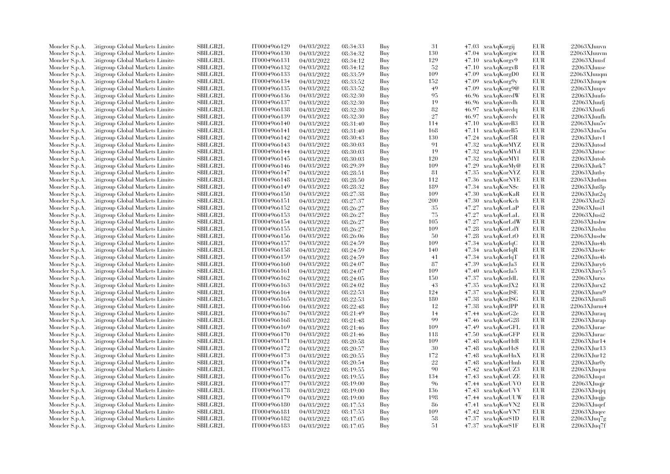| Moncler S.p.A. | Litigroup Global Markets Limite                                    | SBILGB2L                    | IT0004966129                 | 04/03/2022               | 08:34:33             | Buy        | 31         | 47.03 xeaAqKorgij          |              | EUR               | 22063XJuuvn                |
|----------------|--------------------------------------------------------------------|-----------------------------|------------------------------|--------------------------|----------------------|------------|------------|----------------------------|--------------|-------------------|----------------------------|
| Moncler S.p.A. | Litigroup Global Markets Limite                                    | <b>SBILGB2L</b>             | IT0004966130                 | 04/03/2022               | 08:34:32             | Buy        | 130        | 47.04 xeaAqKorgiw          |              | EUR               | 22063XJuuvm                |
| Moncler S.p.A. | Citigroup Global Markets Limite                                    | SBILGB2L                    | IT0004966131                 | 04/03/2022               | 08:34:12             | Buy        | 129        | 47.10 xeaAqKorgy9          |              | EUR               | 22063XJuusf                |
| Moncler S.p.A. | Litigroup Global Markets Limite                                    | SBILGB2L                    | IT0004966132                 | 04/03/2022               | 08:34:12             | Buy        | 52         | 47.10                      | xeaAqKorgyB  | EUR               | 22063XJuuse                |
| Moncler S.p.A. | Litigroup Global Markets Limite                                    | <b>SBILGB2L</b>             | IT0004966133                 | 04/03/2022               | 08:33:59             | Buy        | 109        | 47.09                      | xeaAqKorgD0  | <b>EUR</b>        | 22063XJuuqm                |
| Moncler S.p.A. | Citigroup Global Markets Limite                                    | SBILGB2L                    | IT0004966134                 | 04/03/2022               | 08:33:52             | Buy        | 152        | $47.09$ $xeaAqKorg9y$      |              | EUR               | 22063XJuupw                |
| Moncler S.p.A. | Citigroup Global Markets Limite                                    | SBILGB2L                    | IT0004966135                 | 04/03/2022               | 08:33:52             | Buy        | 49         | 47.09                      | xeaAqKorg9@  | EUR               | 22063XJuupv                |
| Moncler S.p.A. | Litigroup Global Markets Limite                                    | <b>SBILGB2L</b>             | IT0004966136                 | 04/03/2022               | 08:32:30             | Buy        | 95         | 46.96 xeaAqKoredW          |              | EUR               | 22063XJuufo                |
| Moncler S.p.A. | Litigroup Global Markets Limite                                    | <b>SBILGB2L</b>             | IT0004966137                 | 04/03/2022               | 08:32:30             | Buy        | 19         | 46.96 xeaAqKoredh          |              | <b>EUR</b>        | 22063XJuufj                |
| Moncler S.p.A. | Citigroup Global Markets Limite                                    | SBILGB2L                    | IT0004966138                 | 04/03/2022               | 08:32:30             | Buy        | 82         | 46.97                      | xeaAqKoredq  | <b>EUR</b>        | 22063XJuufi                |
| Moncler S.p.A. | Citigroup Global Markets Limite                                    | <b>SBILGB2L</b>             | IT0004966139                 | 04/03/2022               | 08:32:30             | Buy        | 27         | 46.97                      | xeaAqKoredv  | EUR               | 22063XJuufh                |
| Moncler S.p.A. | Litigroup Global Markets Limite                                    | <b>SBILGB2L</b>             | IT0004966140                 | 04/03/2022               | 08:31:40             | Buy        | 114        | 47.10                      | xeaAqKoreB3  | EUR               | 22063XJuu5v                |
| Moncler S.p.A. | Citigroup Global Markets Limite                                    | <b>SBILGB2L</b>             | IT0004966141                 | 04/03/2022               | 08:31:40             | Buy        | 168        | 47.11 xeaAqKoreB5          |              | EUR               | 22063XJuu5u                |
| Moncler S.p.A. | Litigroup Global Markets Limite                                    | <b>SBILGB2L</b>             | IT0004966142                 | 04/03/2022               | 08:30:43             | Buy        | 130        | 47.24 xeaAqKorf5R          |              | <b>EUR</b>        | $22063$ XJutv1             |
| Moncler S.p.A. | Citigroup Global Markets Limite                                    | <b>SBILGB2L</b>             | IT0004966143                 | 04/03/2022               | 08:30:03             | Buy        | 91         | 47.32                      | xeaAqKorMYZ  | EUR               | 22063XJutod                |
| Moncler S.p.A. | Litigroup Global Markets Limite                                    | SBILGB2L                    | IT0004966144                 | 04/03/2022               | 08:30:03             | Buy        | 19         | 47.32 xeaAqKorMYd          |              | EUR               | 22063XJutoc                |
| Moncler S.p.A. | Citigroup Global Markets Limite                                    | SBILGB2L                    | IT0004966145                 | 04/03/2022               | 08:30:03             | Buy        | 120        | 47.32 xeaAqKorMYl          |              | <b>EUR</b>        | 22063XJutob                |
| Moncler S.p.A. | Litigroup Global Markets Limite                                    | <b>SBILGB2L</b>             | IT0004966146                 | 04/03/2022               | 08:29:39             | Buy        | 109        | 47.29                      | xeaAqKorMy@  | EUR               | 22063XJutk7                |
| Moncler S.p.A. | Citigroup Global Markets Limite                                    | SBILGB2L                    | IT0004966147                 | 04/03/2022               | 08:28:51             | Buy        | -81        | 47.35                      | xeaAqKorNYZ  | EUR               | 22063XJutby                |
| Moncler S.p.A. | Litigroup Global Markets Limite                                    | <b>SBILGB2L</b>             | IT0004966148                 | 04/03/2022               | 08:28:50             | Buy        | 112        | 47.36 xeaAqKorNYE          |              | EUR               | 22063XJutbm                |
| Moncler S.p.A. | Citigroup Global Markets Limite                                    | <b>SBILGB2L</b>             | IT0004966149                 | 04/03/2022               | 08:28:32             | Buy        | 189        | 47.34                      | xeaAqKorN\$c | <b>EUR</b>        | 22063XJut8p                |
| Moncler S.p.A. | Litigroup Global Markets Limite                                    | SBILGB2L                    | IT0004966150                 | 04/03/2022               | 08:27:38             | Buy        | 109        | 47.30                      | xeaAqKorKaR  | EUR               | $22063$ XJut $2q$          |
| Moncler S.p.A. | Citigroup Global Markets Limite                                    | SBILGB2L                    | IT0004966151                 |                          |                      | Buy        | 200        | 47.30 xeaAqKorKch          |              | <b>EUR</b>        | 22063XJut2i                |
| Moncler S.p.A. | Citigroup Global Markets Limite                                    | <b>SBILGB2L</b>             | IT0004966152                 | 04/03/2022<br>04/03/2022 | 08:27:37<br>08:26:27 | Buy        | 35         | 47.27                      | xeaAqKorLaP  | <b>EUR</b>        | $22063$ XJusi1             |
| Moncler S.p.A. | Citigroup Global Markets Limite                                    | <b>SBILGB2L</b>             | IT0004966153                 | 04/03/2022               |                      | Buy        | 75         | 47.27 xeaAqKorLaL          |              | EUR               | $22063$ XJusi $2$          |
|                |                                                                    |                             |                              |                          | 08:26:27             |            |            |                            |              |                   |                            |
| Moncler S.p.A. | Citigroup Global Markets Limite<br>Litigroup Global Markets Limite | SBILGB2L<br><b>SBILGB2L</b> | IT0004966154<br>IT0004966155 | 04/03/2022<br>04/03/2022 | 08:26:27             | Buy<br>Buy | 105<br>109 | 47.27<br>47.28 xeaAqKorLdY | xeaAqKorLdW  | EUR<br><b>EUR</b> | 22063XJushw<br>22063XJushu |
| Moncler S.p.A. |                                                                    |                             |                              |                          | 08:26:27             |            |            |                            |              |                   |                            |
| Moncler S.p.A. | Litigroup Global Markets Limite                                    | <b>SBILGB2L</b>             | IT0004966156                 | 04/03/2022               | 08:26:06             | Buy        | 50         | 47.28 xeaAqKorLtO          |              | <b>EUR</b>        | 22063XJusdw                |
| Moncler S.p.A. | Citigroup Global Markets Limite                                    | SBILGB2L                    | IT0004966157                 | 04/03/2022               | 08:24:59             | Buy        | 109        | 47.34 xeaAqKorIqC          |              | EUR               | 22063XJus4h                |
| Moncler S.p.A. | Citigroup Global Markets Limite                                    | SBILGB2L                    | IT0004966158                 | 04/03/2022               | 08:24:59             | Buy        | 140        | 47.34 xeaAqKorIqR          |              | EUR               | $22063X$ Jus4c             |
| Moncler S.p.A. | Citigroup Global Markets Limite                                    | SBILGB2L                    | IT0004966159                 | 04/03/2022               | 08:24:59             | Buy        | 41         | 47.34 xeaAqKorIqT          |              | <b>EUR</b>        | 22063XJus4b                |
| Moncler S.p.A. | Litigroup Global Markets Limite                                    | <b>SBILGB2L</b>             | IT0004966160                 | 04/03/2022               | 08:24:07             | Buy        | 87         | 47.39                      | xeaAqKorJa3  | <b>EUR</b>        | 22063XJury6                |
| Moncler S.p.A. | Litigroup Global Markets Limite                                    | <b>SBILGB2L</b>             | IT0004966161                 | 04/03/2022               | 08:24:07             | Buy        | 109        | 47.40                      | xeaAqKorJa5  | EUR               | $22063$ XJury $5$          |
| Moncler S.p.A. | Citigroup Global Markets Limite                                    | SBILGB2L                    | IT0004966162                 | 04/03/2022               | 08:24:05             | Buy        | 150        | 47.37 xeaAqKorJdL          |              | <b>EUR</b>        | 22063XJurxs                |
| Moncler S.p.A. | Litigroup Global Markets Limite                                    | SBILGB2L                    | IT0004966163                 | 04/03/2022               | 08:24:02             | Buy        | 43         | 47.35 xeaAqKorJX2          |              | <b>EUR</b>        | 22063XJurx2                |
| Moncler S.p.A. | Citigroup Global Markets Limite                                    | <b>SBILGB2L</b>             | IT0004966164                 | 04/03/2022               | 08:22:53             | Buy        | 124        | 47.37                      | xeaAqKorJSE  | EUR               | 22063XJurn9                |
| Moncler S.p.A. | Citigroup Global Markets Limite                                    | SBILGB2L                    | IT0004966165                 | 04/03/2022               | 08:22:53             | Buy        | 180        | 47.38 xeaAqKorJSG          |              | EUR               | 22063XJurn8                |
| Moncler S.p.A. | Citigroup Global Markets Limite                                    | SBILGB2L                    | IT0004966166                 | 04/03/2022               | 08:22:48             | Buy        | 12         | 47.38 xeaAqKorJPP          |              | <b>EUR</b>        | 22063XJurm4                |
| Moncler S.p.A. | Litigroup Global Markets Limite                                    | <b>SBILGB2L</b>             | IT0004966167                 | 04/03/2022               | 08:21:49             | Buy        | 14         | 47.44 xeaAqKorG2e          |              | <b>EUR</b>        | 22063XJuraq                |
| Moncler S.p.A. | Litigroup Global Markets Limite                                    | <b>SBILGB2L</b>             | IT0004966168                 | 04/03/2022               | 08:21:48             | Buy        | 99         | 47.46 xeaAqKorG28          |              | EUR               | 22063XJurap                |
| Moncler S.p.A. | Citigroup Global Markets Limite                                    | <b>SBILGB2L</b>             | IT0004966169                 | 04/03/2022               | 08:21:46             | Buy        | 109        | 47.49                      | xeaAqKorGFL  | EUR               | 22063XJurae                |
| Moncler S.p.A. | Citigroup Global Markets Limite                                    | SBILGB2L                    | IT0004966170                 | 04/03/2022               | 08:21:46             | Buy        | 118        | 47.50 xeaAqKorGFP          |              | EUR               | 22063XJurac                |
| Moncler S.p.A. | Citigroup Global Markets Limite                                    | <b>SBILGB2L</b>             | IT0004966171                 | 04/03/2022               | 08:20:58             | Buy        | 109        | 47.48                      | xeaAqKorHtR  | <b>EUR</b>        | 22063XJur14                |
| Moncler S.p.A. | Citigroup Global Markets Limite                                    | SBILGB2L                    | IT0004966172                 | 04/03/2022               | 08:20:57             | Buy        | 30         | 47.48 xeaAqKorHs\$         |              | EUR               | 22063XJur13                |
| Moncler S.p.A. | Citigroup Global Markets Limite                                    | <b>SBILGB2L</b>             | IT0004966173                 | 04/03/2022               | 08:20:55             | Buy        | 172        | 47.48 xeaAqKorHnX          |              | EUR               | 22063XJur12                |
| Moncler S.p.A. | Citigroup Global Markets Limite                                    | SBILGB2L                    | IT0004966174                 | 04/03/2022               | 08:20:54             | Buy        | 22         | 47.48 xeaAqKorHmb          |              | EUR               | $22063X$ Jur $0y$          |
| Moncler S.p.A. | Citigroup Global Markets Limite                                    | <b>SBILGB2L</b>             | IT0004966175                 | 04/03/2022               | 08:19:55             | Buy        | 90         | 47.42                      | xeaAqKorUZ3  | EUR               | 22063XJuqsu                |
| Moncler S.p.A. | Citigroup Global Markets Limite                                    | <b>SBILGB2L</b>             | IT0004966176                 | 04/03/2022               | 08:19:55             | Buy        | 134        | 47.43 xeaAqKorUZE          |              | EUR               | $22063X$ Juqst             |
| Moncler S.p.A. | Citigroup Global Markets Limite                                    | SBILGB2L                    | IT0004966177                 | 04/03/2022               | 08:19:00             | Buy        | 96         | 47.44 xeaAqKorUVO          |              | EUR               | $22063$ XJuqjr             |
| Moncler S.p.A. | Citigroup Global Markets Limite                                    | SBILGB2L                    | IT0004966178                 | 04/03/2022               | 08:19:00             | Buy        | 136        | 47.43 xeaAqKorUVV          |              | <b>EUR</b>        | 22063XJuqjq                |
| Moncler S.p.A. | Litigroup Global Markets Limite                                    | <b>SBILGB2L</b>             | IT0004966179                 | 04/03/2022               | 08:19:00             | Buy        | 198        | 47.44 xeaAqKorUUW          |              | EUR               | 22063XJuqjp                |
| Moncler S.p.A. | Litigroup Global Markets Limite                                    | <b>SBILGB2L</b>             | IT0004966180                 | 04/03/2022               | 08:17:53             | Buy        | 86         | 47.41 xeaAqKorVN2          |              | <b>EUR</b>        | $22063$ XJuqef             |
| Moncler S.p.A. | Citigroup Global Markets Limite                                    | SBILGB2L                    | IT0004966181                 | 04/03/2022               | 08:17:53             | Buy        | 109        | 47.42 xeaAqKorVN7          |              | EUR               | 22063XJuqee                |
| Moncler S.p.A. | Citigroup Global Markets Limite                                    | <b>SBILGB2L</b>             | IT0004966182                 | 04/03/2022               | 08:17:05             | Buy        | 58         | 47.37 xeaAqKorS1D          |              | <b>EUR</b>        | 22063XJuq7g                |
| Moncler S.p.A. | Citigroup Global Markets Limited                                   | SBILGB2L                    | IT0004966183                 | 04/03/2022               | 08:17:05             | Buy        | 51         | 47.37 xeaAqKorS1F          |              | <b>EUR</b>        | $22063X$ Juq7f             |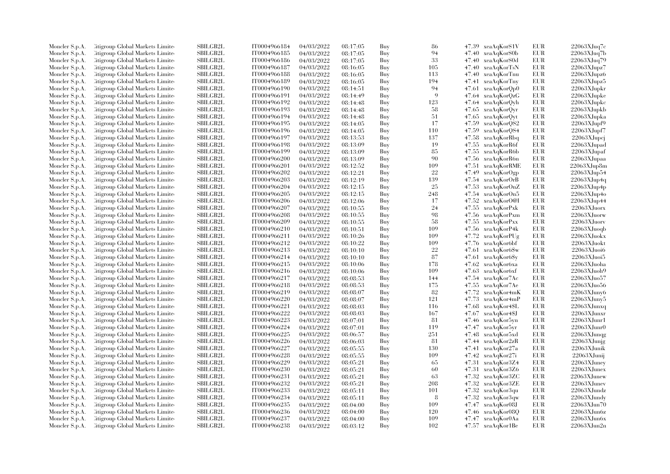| Moncler S.p.A. | Litigroup Global Markets Limite                                    | SBILGB2L        | IT0004966184 | 04/03/2022 | 08:17:05 | Buy | 86  | 47.39 xeaAqKorS1V             | EUR        | 22063XJuq7c       |
|----------------|--------------------------------------------------------------------|-----------------|--------------|------------|----------|-----|-----|-------------------------------|------------|-------------------|
| Moncler S.p.A. | Litigroup Global Markets Limite                                    | <b>SBILGB2L</b> | IT0004966185 | 04/03/2022 | 08:17:05 | Buy | 94  | 47.40 xeaAqKorS0b             | <b>EUR</b> | 22063XJuq7b       |
| Moncler S.p.A. | Citigroup Global Markets Limite                                    | SBILGB2L        | IT0004966186 | 04/03/2022 | 08:17:05 | Buy | 33  | 47.40 xeaAqKorS0d             | EUR        | 22063XJuq79       |
| Moncler S.p.A. | Litigroup Global Markets Limite                                    | SBILGB2L        | IT0004966187 | 04/03/2022 | 08:16:05 | Buy | 105 | 47.40<br>xeaAqKorTsN          | EUR        | 22063XJupz7       |
| Moncler S.p.A. | Litigroup Global Markets Limite                                    | <b>SBILGB2L</b> | IT0004966188 | 04/03/2022 | 08:16:05 | Buy | 113 | 47.40 xeaAqKorTnu             | <b>EUR</b> | 22063XJupz6       |
| Moncler S.p.A. | Citigroup Global Markets Limite                                    | SBILGB2L        | IT0004966189 | 04/03/2022 | 08:16:05 | Buy | 194 | 47.41 xeaAqKorTny             | EUR        | 22063XJupz5       |
| Moncler S.p.A. | Citigroup Global Markets Limite                                    | SBILGB2L        | IT0004966190 | 04/03/2022 | 08:14:51 | Buy | 94  | xeaAqKorQp0<br>47.61          | <b>EUR</b> | 22063XJupkr       |
| Moncler S.p.A. | Litigroup Global Markets Limite                                    | <b>SBILGB2L</b> | IT0004966191 | 04/03/2022 | 08:14:49 | Buy | 9   | 47.64 xeaAqKorQzG             | EUR        | 22063XJupke       |
| Moncler S.p.A. | Litigroup Global Markets Limite                                    | <b>SBILGB2L</b> | IT0004966192 | 04/03/2022 | 08:14:48 | Buy | 123 | 47.64 xeaAqKorQyh             | EUR        | 22063XJupkc       |
| Moncler S.p.A. | Citigroup Global Markets Limite                                    | SBILGB2L        | IT0004966193 | 04/03/2022 | 08:14:48 | Buy | 58  | 47.65 xeaAqKorQyr             | EUR        | 22063XJupkb       |
| Moncler S.p.A. | Citigroup Global Markets Limite                                    | <b>SBILGB2L</b> | IT0004966194 | 04/03/2022 | 08:14:48 | Buy | 51  | xeaAqKorQyt<br>47.65          | EUR        | 22063XJupka       |
| Moncler S.p.A. | Litigroup Global Markets Limite                                    | <b>SBILGB2L</b> | IT0004966195 | 04/03/2022 | 08:14:05 | Buy | 17  | 47.59<br>xeaAqKorQS2          | EUR        | 22063XJupf9       |
| Moncler S.p.A. | Citigroup Global Markets Limite                                    | <b>SBILGB2L</b> | IT0004966196 | 04/03/2022 | 08:14:05 | Buy | 110 | 47.59<br>xeaAqKorQS4          | EUR        | 22063XJupf7       |
| Moncler S.p.A. | Litigroup Global Markets Limite                                    | <b>SBILGB2L</b> | IT0004966197 | 04/03/2022 | 08:13:53 | Buy | 137 | 47.58<br>xeaAqKorRbq          | EUR        | 22063XJupcj       |
| Moncler S.p.A. | Citigroup Global Markets Limite                                    | <b>SBILGB2L</b> | IT0004966198 | 04/03/2022 | 08:13:09 | Buy | 19  | 47.55<br>xeaAqKorR6f          | EUR        | $22063$ XJupad    |
|                |                                                                    | SBILGB2L        | IT0004966199 |            |          |     | 85  |                               | <b>EUR</b> | $22063$ XJupaf    |
| Moncler S.p.A. | Litigroup Global Markets Limite                                    |                 |              | 04/03/2022 | 08:13:09 | Buy | 90  | 47.55 xeaAqKorR6b             |            |                   |
| Moncler S.p.A. | Citigroup Global Markets Limite                                    | SBILGB2L        | IT0004966200 | 04/03/2022 | 08:13:09 | Buy |     | 47.56 xeaAqKorR6n             | EUR        | 22063XJupaa       |
| Moncler S.p.A. | Litigroup Global Markets Limite                                    | <b>SBILGB2L</b> | IT0004966201 | 04/03/2022 | 08:12:52 | Buy | 109 | 47.51<br>xeaAqKorRME          | EUR        | $22063$ XJup8m    |
| Moncler S.p.A. | Citigroup Global Markets Limite                                    | SBILGB2L        | IT0004966202 | 04/03/2022 | 08:12:21 | Buy | 22  | 47.49<br>xeaAqKorOgp          | EUR        | 22063XJup54       |
| Moncler S.p.A. | Litigroup Global Markets Limite                                    | <b>SBILGB2L</b> | IT0004966203 | 04/03/2022 | 08:12:19 | Buy | 139 | 47.54 xeaAqKorOrB             | <b>EUR</b> | 22063XJup4q       |
| Moncler S.p.A. | Citigroup Global Markets Limite                                    | <b>SBILGB2L</b> | IT0004966204 | 04/03/2022 | 08:12:15 | Buy | 25  | 47.53<br>xeaAqKorOnZ          | <b>EUR</b> | $22063$ XJup4p    |
| Moncler S.p.A. | Litigroup Global Markets Limite                                    | SBILGB2L        | IT0004966205 | 04/03/2022 | 08:12:15 | Buy | 248 | 47.54 xeaAqKorOn5             | EUR        | 22063XJup4o       |
| Moncler S.p.A. | Citigroup Global Markets Limite                                    | SBILGB2L        | IT0004966206 | 04/03/2022 | 08:12:06 | Buy | 17  | 47.52<br>xeaAqKorO@I          | EUR        | 22063XJup44       |
| Moncler S.p.A. | Citigroup Global Markets Limite                                    | <b>SBILGB2L</b> | IT0004966207 | 04/03/2022 | 08:10:55 | Buy | 24  | 47.55<br>xeaAqKorPxk          | <b>EUR</b> | 22063XJuorx       |
| Moncler S.p.A. | Citigroup Global Markets Limite                                    | <b>SBILGB2L</b> | IT0004966208 | 04/03/2022 | 08:10:55 | Buy | 98  | 47.56 xeaAqKorPxm             | EUR        | 22063XJuorw       |
| Moncler S.p.A. | Citigroup Global Markets Limite                                    | SBILGB2L        | IT0004966209 | 04/03/2022 | 08:10:55 | Buy | 58  | xeaAqKorPxx<br>47.55          | EUR        | 22063XJuorv       |
| Moncler S.p.A. | Litigroup Global Markets Limite                                    | <b>SBILGB2L</b> | IT0004966210 | 04/03/2022 | 08:10:51 | Buy | 109 | 47.56 xeaAqKorP4k             | EUR        | 22063XJuoqb       |
| Moncler S.p.A. | Litigroup Global Markets Limite                                    | <b>SBILGB2L</b> | IT0004966211 | 04/03/2022 | 08:10:26 | Buy | 109 | 47.72<br>xeaAqKorPUg          | <b>EUR</b> | 22063XJuokx       |
| Moncler S.p.A. | Citigroup Global Markets Limite                                    | SBILGB2L        | IT0004966212 | 04/03/2022 | 08:10:22 | Buy | 109 | 47.76<br>xeaAqKor6bf          | EUR        | 22063XJuokt       |
| Moncler S.p.A. | Citigroup Global Markets Limite                                    | SBILGB2L        | IT0004966213 | 04/03/2022 | 08:10:10 | Buy | 22  | 47.61<br>xeaAqKor6\$w         | EUR        | 22063XJuoi6       |
| Moncler S.p.A. | Citigroup Global Markets Limite                                    | SBILGB2L        | IT0004966214 | 04/03/2022 | 08:10:10 | Buy | 87  | 47.61 xeaAqKor6\$y            | <b>EUR</b> | 22063XJuoi5       |
| Moncler S.p.A. | Litigroup Global Markets Limite                                    | <b>SBILGB2L</b> | IT0004966215 | 04/03/2022 | 08:10:06 | Buy | 178 | 47.62<br>xeaAqKor6xa          | <b>EUR</b> | 22063XJuoha       |
| Moncler S.p.A. | Litigroup Global Markets Limite                                    | <b>SBILGB2L</b> | IT0004966216 | 04/03/2022 | 08:10:06 | Buy | 109 | 47.63<br>xeaAqKor6xf          | EUR        | $22063X$ Juoh $9$ |
| Moncler S.p.A. | Citigroup Global Markets Limite                                    | SBILGB2L        | IT0004966217 | 04/03/2022 | 08:08:53 | Buy | 144 | 47.54 xeaAqKor7Ac             | <b>EUR</b> | 22063XJuo57       |
| Moncler S.p.A. | Litigroup Global Markets Limite                                    | SBILGB2L        | IT0004966218 | 04/03/2022 | 08:08:53 | Buy | 175 | 47.55<br>xeaAqKor7Ae          | <b>EUR</b> | 22063XJuo56       |
| Moncler S.p.A. | Citigroup Global Markets Limite                                    | <b>SBILGB2L</b> | IT0004966219 | 04/03/2022 | 08:08:07 | Buy | 82  | 47.72<br>xeaAqKor4mK          | EUR        | 22063XJuny6       |
| Moncler S.p.A. | Citigroup Global Markets Limite                                    | SBILGB2L        | IT0004966220 | 04/03/2022 | 08:08:07 | Buy | 121 | 47.73<br>xeaAqKor4mP          | EUR        | 22063XJuny5       |
| Moncler S.p.A. | Citigroup Global Markets Limite                                    | SBILGB2L        | IT0004966221 | 04/03/2022 | 08:08:03 | Buy | 116 | 47.68 xeaAqKor4\$L            | <b>EUR</b> | 22063XJunxq       |
| Moncler S.p.A. | Litigroup Global Markets Limite                                    | <b>SBILGB2L</b> | IT0004966222 | 04/03/2022 | 08:08:03 | Buy | 167 | 47.67 xeaAqKor4\$J            | <b>EUR</b> | 22063XJunxr       |
| Moncler S.p.A. | Litigroup Global Markets Limite                                    | <b>SBILGB2L</b> | IT0004966223 | 04/03/2022 | 08:07:01 | Buy | -81 | 47.46<br>xeaAqKor5yn          | EUR        | 22063XJunr1       |
| Moncler S.p.A. | Citigroup Global Markets Limite                                    | <b>SBILGB2L</b> | IT0004966224 | 04/03/2022 | 08:07:01 | Buy | 119 | 47.47 xeaAqKor5yr             | EUR        | $22063X$ Junr $0$ |
| Moncler S.p.A. | Citigroup Global Markets Limite                                    | SBILGB2L        | IT0004966225 | 04/03/2022 | 08:06:57 | Buy | 251 | 47.48 xeaAqKor5xd             | EUR        | 22063XJunqg       |
| Moncler S.p.A. | Citigroup Global Markets Limite                                    | <b>SBILGB2L</b> | IT0004966226 | 04/03/2022 | 08:06:03 | Buy | 81  | 47.44<br>xeaAqKor2zR          | <b>EUR</b> | $22063$ XJunjg    |
| Moncler S.p.A. | Citigroup Global Markets Limite                                    | SBILGB2L        | IT0004966227 | 04/03/2022 | 08:05:55 | Buy | 130 | 47.41<br>xeaAqKor27a          | EUR        | 22063XJunik       |
| Moncler S.p.A. | Citigroup Global Markets Limite                                    | <b>SBILGB2L</b> | IT0004966228 | 04/03/2022 | 08:05:55 | Buy | 109 | 47.42 xeaAqKor27i             | EUR        | 22063XJunij       |
|                |                                                                    | SBILGB2L        | IT0004966229 |            |          |     | 65  |                               | EUR        | 22063XJuney       |
| Moncler S.p.A. | Citigroup Global Markets Limite<br>Citigroup Global Markets Limite | <b>SBILGB2L</b> | IT0004966230 | 04/03/2022 | 08:05:21 | Buy | 60  | 47.31<br>xeaAqKor3Z4<br>47.31 | <b>EUR</b> | 22063XJunex       |
| Moncler S.p.A. |                                                                    | <b>SBILGB2L</b> |              | 04/03/2022 | 08:05:21 | Buy |     | xeaAqKor3Z6                   |            |                   |
| Moncler S.p.A. | Citigroup Global Markets Limite                                    |                 | IT0004966231 | 04/03/2022 | 08:05:21 | Buy | 63  | 47.32<br>xeaAqKor3ZC          | EUR        | 22063XJunew       |
| Moncler S.p.A. | Citigroup Global Markets Limite                                    | SBILGB2L        | IT0004966232 | 04/03/2022 | 08:05:21 | Buy | 208 | 47.32 xeaAqKor3ZE             | EUR        | 22063XJunev       |
| Moncler S.p.A. | Citigroup Global Markets Limite                                    | SBILGB2L        | IT0004966233 | 04/03/2022 | 08:05:11 | Buy | 101 | xeaAqKor3qu<br>47.32          | EUR        | 22063XJundz       |
| Moncler S.p.A. | Litigroup Global Markets Limite                                    | <b>SBILGB2L</b> | IT0004966234 | 04/03/2022 | 08:05:11 | Buy | 8   | 47.32<br>xeaAqKor3qw          | EUR        | 22063XJundy       |
| Moncler S.p.A. | Litigroup Global Markets Limite                                    | <b>SBILGB2L</b> | IT0004966235 | 04/03/2022 | 08:04:00 | Buy | 109 | 47.47 xeaAqKor08J             | EUR        | 22063XJun70       |
| Moncler S.p.A. | Citigroup Global Markets Limite                                    | SBILGB2L        | IT0004966236 | 04/03/2022 | 08:04:00 | Buy | 120 | 47.46 xeaAqKor08Q             | EUR        | 22063XJun6z       |
| Moncler S.p.A. | Citigroup Global Markets Limite                                    | <b>SBILGB2L</b> | IT0004966237 | 04/03/2022 | 08:04:00 | Buy | 109 | 47.47 xeaAqKor0Aa             | <b>EUR</b> | 22063XJun6x       |
| Moncler S.p.A. | Citigroup Global Markets Limited                                   | SBILGB2L        | IT0004966238 | 04/03/2022 | 08:03:12 | Buy | 102 | 47.57 xeaAqKor1Be             | <b>EUR</b> | $22063$ XJun $2n$ |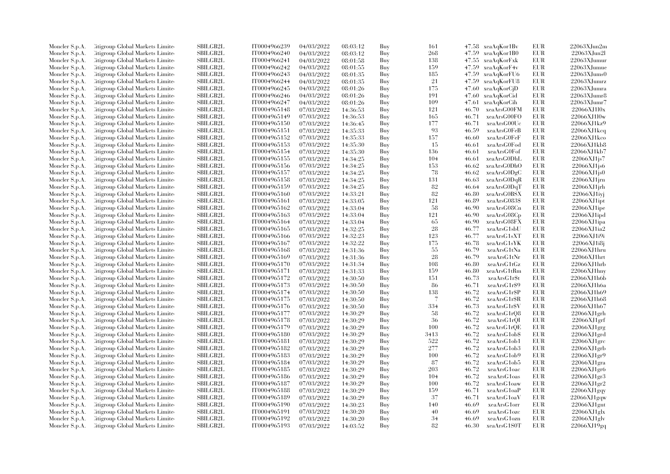| Moncler S.p.A. | Citigroup Global Markets Limite  | SBILGB2L        | IT0004966239 | 04/03/2022 | 08:03:12 | Buy | 161  |       | 47.58 xeaAqKor1Bv | EUR        | $22063$ XJun $2m$        |
|----------------|----------------------------------|-----------------|--------------|------------|----------|-----|------|-------|-------------------|------------|--------------------------|
| Moncler S.p.A. | Citigroup Global Markets Limite  | SBILGB2L        | IT0004966240 | 04/03/2022 | 08:03:12 | Buy | 268  | 47.59 | xeaAqKor1B0       | EUR        | $22063$ XJun $21$        |
| Moncler S.p.A. | Citigroup Global Markets Limited | SBILGB2L        | IT0004966241 | 04/03/2022 | 08:01:58 | Buy | 138  | 47.55 | xeaAqKorFxk       | <b>EUR</b> | 22063XJumur              |
| Moncler S.p.A. | Litigroup Global Markets Limite  | SBILGB2L        | IT0004966242 | 04/03/2022 | 08:01:55 | Buy | 159  | 47.59 | xeaAqKorF4v       | EUR        | 22063XJumue              |
| Moncler S.p.A. | Citigroup Global Markets Limite  | <b>SBILGB2L</b> | IT0004966243 | 04/03/2022 | 08:01:35 | Buy | 185  | 47.59 | xeaAqKorFU6       | EUR        | $22063$ XJums $0$        |
| Moncler S.p.A. | Citigroup Global Markets Limite  | SBILGB2L        | IT0004966244 | 04/03/2022 | 08:01:35 | Buy | 21   | 47.59 | xeaAqKorFU8       | <b>EUR</b> | 22063XJumrz              |
| Moncler S.p.A. | Citigroup Global Markets Limite  | SBILGB2L        | IT0004966245 | 04/03/2022 | 08:01:26 | Buy | 175  | 47.60 | xeaAqKorCjD       | <b>EUR</b> | 22063XJumra              |
| Moncler S.p.A. | Citigroup Global Markets Limite  | <b>SBILGB2L</b> | IT0004966246 | 04/03/2022 | 08:01:26 | Buy | 191  | 47.60 | xeaAqKorCid       | <b>EUR</b> | 22063XJumr8              |
| Moncler S.p.A. | Citigroup Global Markets Limite  | <b>SBILGB2L</b> | IT0004966247 | 04/03/2022 | 08:01:26 | Buy | 109  | 47.61 | xeaAqKorCih       | <b>EUR</b> | 22063XJumr7              |
| Moncler S.p.A. | Citigroup Global Markets Limite  | <b>SBILGB2L</b> | IT0004965148 | 07/03/2022 | 14:36:53 | Buy | 121  | 46.70 | xeaArsG00FM       | <b>EUR</b> | 22066XJ1l0x              |
| Moncler S.p.A. | Citigroup Global Markets Limite  | <b>SBILGB2L</b> | IT0004965149 | 07/03/2022 | 14:36:53 | Buy | 165  | 46.71 | xeaArsG00FO       | EUR        | 22066XJ1l0w              |
| Moncler S.p.A. | Citigroup Global Markets Limite  | <b>SBILGB2L</b> | IT0004965150 | 07/03/2022 | 14:36:45 | Buy | 177  | 46.71 | xeaArsG00Uc       | <b>EUR</b> | 22066XJ1kz9              |
| Moncler S.p.A. | Citigroup Global Markets Limite  | SBILGB2L        | IT0004965151 | 07/03/2022 | 14:35:33 | Buy | 93   | 46.59 | xeaArsG0FeB       | <b>EUR</b> | $22066$ XJ1 $\text{kcq}$ |
| Moncler S.p.A. | Citigroup Global Markets Limited | SBILGB2L        | IT0004965152 | 07/03/2022 | 14:35:33 | Buy | 157  | 46.60 | xeaArsG0FeF       | <b>EUR</b> | 22066XJ1kco              |
| Moncler S.p.A. | Litigroup Global Markets Limite  | SBILGB2L        | IT0004965153 | 07/03/2022 | 14:35:30 | Buy | 15   | 46.61 | xeaArsG0Fod       | EUR        | 22066XJ1kb8              |
|                |                                  |                 |              |            |          |     |      |       |                   | EUR        |                          |
| Moncler S.p.A. | Litigroup Global Markets Limite  | <b>SBILGB2L</b> | IT0004965154 | 07/03/2022 | 14:35:30 | Buy | 136  | 46.61 | xeaArsG0Fof       |            | 22066XJ1kb7              |
| Moncler S.p.A. | Citigroup Global Markets Limite  | SBILGB2L        | IT0004965155 | 07/03/2022 | 14:34:25 | Buy | 104  | 46.61 | xeaArsG0DhL       | EUR        | 22066XJ1js7              |
| Moncler S.p.A. | Citigroup Global Markets Limite  | SBILGB2L        | IT0004965156 | 07/03/2022 | 14:34:25 | Buy | 153  | 46.62 | xeaArsG0DhO       | EUR        | 22066XJ1js6              |
| Moncler S.p.A. | Citigroup Global Markets Limite  | <b>SBILGB2L</b> | IT0004965157 | 07/03/2022 | 14:34:25 | Buy | 78   | 46.62 | xeaArsG0DgC       | EUR        | 22066XJ1js0              |
| Moncler S.p.A. | Litigroup Global Markets Limite  | <b>SBILGB2L</b> | IT0004965158 | 07/03/2022 | 14:34:25 | Buy | 131  | 46.63 | xeaArsG0DqR       | EUR        | $22066$ XJ1jrn           |
| Moncler S.p.A. | Citigroup Global Markets Limite  | SBILGB2L        | IT0004965159 | 07/03/2022 | 14:34:25 | Buy | 82   | 46.64 | xeaArsG0DqT       | EUR        | 22066XJ1jrh              |
| Moncler S.p.A. | Citigroup Global Markets Limite  | SBILGB2L        | IT0004965160 | 07/03/2022 | 14:33:21 | Buy | 82   | 46.80 | xeaArsG0BSX       | EUR        | 22066XJ1ivj              |
| Moncler S.p.A. | Citigroup Global Markets Limite  | <b>SBILGB2L</b> | IT0004965161 | 07/03/2022 | 14:33:05 | Buy | 121  | 46.89 | xeaArsG083\$      | EUR        | $22066$ XJ $1$ ipt       |
| Moncler S.p.A. | Citigroup Global Markets Limite  | SBILGB2L        | IT0004965162 | 07/03/2022 | 14:33:04 | Buy | 58   | 46.90 | xeaArsG08Cn       | <b>EUR</b> | 22066XJ1ipe              |
| Moncler S.p.A. | Citigroup Global Markets Limite  | <b>SBILGB2L</b> | IT0004965163 | 07/03/2022 | 14:33:04 | Buy | 121  | 46.90 | xeaArsG08Cp       | EUR        | 22066XJ1ipd              |
| Moncler S.p.A. | Litigroup Global Markets Limite  | <b>SBILGB2L</b> | IT0004965164 | 07/03/2022 | 14:33:04 | Buy | 65   | 46.90 | xeaArsG08FX       | EUR        | $22066XJ1$ ipa           |
| Moncler S.p.A. | Citigroup Global Markets Limite  | <b>SBILGB2L</b> | IT0004965165 | 07/03/2022 | 14:32:25 | Buy | 28   | 46.77 | xeaArsG1sbU       | EUR        | 22066XJ1ia2              |
| Moncler S.p.A. | Citigroup Global Markets Limite  | <b>SBILGB2L</b> | IT0004965166 | 07/03/2022 | 14:32:23 | Buy | 123  | 46.77 | xeaArsG1sXT       | <b>EUR</b> | 22066XJ1i9i              |
| Moncler S.p.A. | Litigroup Global Markets Limite  | SBILGB2L        | IT0004965167 | 07/03/2022 | 14:32:22 | Buy | 175  | 46.78 | xeaArsG1sYK       | EUR        | 22066XJ1i8j              |
| Moncler S.p.A. | Litigroup Global Markets Limite  | <b>SBILGB2L</b> | IT0004965168 | 07/03/2022 | 14:31:36 | Buy | 55   | 46.79 | xeaArsG1tNa       | EUR        | 22066XJ1hru              |
| Moncler S.p.A. | Litigroup Global Markets Limite  | <b>SBILGB2L</b> | IT0004965169 | 07/03/2022 | 14:31:36 | Buy | 28   | 46.79 | xeaArsG1tNr       | EUR        | 22066XJ1hrt              |
| Moncler S.p.A. | Citigroup Global Markets Limite  | SBILGB2L        | IT0004965170 | 07/03/2022 | 14:31:34 | Buy | 108  | 46.80 | xeaArsG1tGz       | <b>EUR</b> | 22066XJ1hrb              |
| Moncler S.p.A. | Citigroup Global Markets Limite  | SBILGB2L        | IT0004965171 | 07/03/2022 | 14:31:33 | Buy | 159  | 46.80 | xeaArsG1tRm       | EUR        | 22066XJ1hny              |
| Moncler S.p.A. | Citigroup Global Markets Limite  | <b>SBILGB2L</b> | IT0004965172 | 07/03/2022 | 14:30:50 | Buy | 151  | 46.73 | xeaArsG1r\$t      | <b>EUR</b> | 22066XJ1h6b              |
| Moncler S.p.A. | Citigroup Global Markets Limite  | SBILGB2L        | IT0004965173 | 07/03/2022 | 14:30:50 | Buy | -86  | 46.71 | xeaArsG1r\$9      | <b>EUR</b> | 22066XJ1h6a              |
| Moncler S.p.A. | Citigroup Global Markets Limite  | <b>SBILGB2L</b> | IT0004965174 | 07/03/2022 | 14:30:50 | Buy | 138  | 46.72 | xeaArsG1r\$P      | EUR        | 22066XJ1h69              |
| Moncler S.p.A. | Litigroup Global Markets Limite  | <b>SBILGB2L</b> | IT0004965175 | 07/03/2022 | 14:30:50 | Buy | 7    | 46.72 | xeaArsG1r\$R      | EUR        | 22066XJ1h68              |
| Moncler S.p.A. | Citigroup Global Markets Limite  | <b>SBILGB2L</b> | IT0004965176 | 07/03/2022 | 14:30:50 | Buy | 334  | 46.73 | xeaArsG1r\$V      | EUR        | 22066XJ1h67              |
| Moncler S.p.A. | Citigroup Global Markets Limite  | SBILGB2L        | IT0004965177 | 07/03/2022 | 14:30:29 | Buy | 58   | 46.72 | xeaArsG1rQ8       | <b>EUR</b> | 22066XJ1grh              |
| Moncler S.p.A. | Litigroup Global Markets Limite  | SBILGB2L        | IT0004965178 | 07/03/2022 | 14:30:29 | Buy | 36   | 46.72 | xeaArsG1rQI       | EUR        | 22066XJ1grf              |
| Moncler S.p.A. | Litigroup Global Markets Limite  | SBILGB2L        | IT0004965179 | 07/03/2022 | 14:30:29 | Buy | 100  | 46.72 | xeaArsG1rQE       | EUR        | $22066$ XJ1 $grg$        |
| Moncler S.p.A. | Citigroup Global Markets Limite  | SBILGB2L        | IT0004965180 | 07/03/2022 | 14:30:29 | Buy | 3413 | 46.72 | xeaArsG1ob\$      | EUR        | $22066$ XJ1 $\text{grd}$ |
| Moncler S.p.A. | Citigroup Global Markets Limite  | SBILGB2L        | IT0004965181 | 07/03/2022 | 14:30:29 | Buy | 522  | 46.72 | xeaArsG1ob1       | <b>EUR</b> | $22066$ XJ1grc           |
| Moncler S.p.A. | Litigroup Global Markets Limite  | <b>SBILGB2L</b> | IT0004965182 | 07/03/2022 | 14:30:29 | Buy | 277  | 46.72 | xeaArsG1ob3       | EUR        | $22066$ XJ1 $grb$        |
|                |                                  | <b>SBILGB2L</b> |              |            |          | Buy | 100  | 46.72 |                   | EUR        | 22066XJ1gr9              |
| Moncler S.p.A. | Litigroup Global Markets Limite  |                 | IT0004965183 | 07/03/2022 | 14:30:29 |     | 87   |       | xeaArsG1ob9       | <b>EUR</b> |                          |
| Moncler S.p.A. | Citigroup Global Markets Limite  | SBILGB2L        | IT0004965184 | 07/03/2022 | 14:30:29 | Buy |      | 46.72 | xeaArsG1ob5       |            | $22066$ XJ1gra           |
| Moncler S.p.A. | Citigroup Global Markets Limite  | SBILGB2L        | IT0004965185 | 07/03/2022 | 14:30:29 | Buy | 203  | 46.72 | xeaArsG1oac       | EUR        | 22066XJ1gr6              |
| Moncler S.p.A. | Citigroup Global Markets Limite  | <b>SBILGB2L</b> | IT0004965186 | 07/03/2022 | 14:30:29 | Buy | 104  | 46.72 | xeaArsG1oas       | EUR        | 22066XJ1gr3              |
| Moncler S.p.A. | Citigroup Global Markets Limite  | <b>SBILGB2L</b> | IT0004965187 | 07/03/2022 | 14:30:29 | Buy | 100  | 46.72 | xeaArsG1oaw       | EUR        | 22066XJ1gr2              |
| Moncler S.p.A. | Citigroup Global Markets Limite  | <b>SBILGB2L</b> | IT0004965188 | 07/03/2022 | 14:30:29 | Buy | 159  | 46.71 | xeaArsG1oaP       | <b>EUR</b> | 22066XJ1gqy              |
| Moncler S.p.A. | Litigroup Global Markets Limite  | <b>SBILGB2L</b> | IT0004965189 | 07/03/2022 | 14:30:29 | Buy | 37   | 46.71 | xeaArsG1oaV       | EUR        | 22066XJ1gqw              |
| Moncler S.p.A. | Citigroup Global Markets Limite  | <b>SBILGB2L</b> | IT0004965190 | 07/03/2022 | 14:30:23 | Buy | 140  | 46.69 | xeaArsG1orr       | EUR        | $22066$ XJ1gnt           |
| Moncler S.p.A. | Citigroup Global Markets Limite  | SBILGB2L        | IT0004965191 | 07/03/2022 | 14:30:20 | Buy | 40   | 46.69 | xeaArsG1ozc       | EUR        | $22066$ XJ1glx           |
| Moncler S.p.A. | Citigroup Global Markets Limite  | <b>SBILGB2L</b> | IT0004965192 | 07/03/2022 | 14:30:20 | Buy | 34   | 46.69 | xeaArsG1ozn       | <b>EUR</b> | 22066XJ1glv              |
| Moncler S.p.A. | Citigroup Global Markets Limited | SBILGB2L        | IT0004965193 | 07/03/2022 | 14:03:52 | Buy | 82   | 46.30 | xeaArsG1S0T       | <b>EUR</b> | 22066XJ19gq              |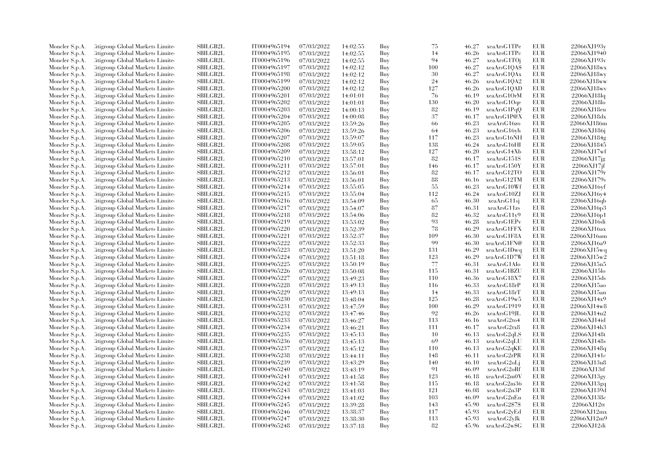| Moncler S.p.A. | Litigroup Global Markets Limite  | SBILGB2L                    | IT0004965194 | 07/03/2022 | 14:02:55 | Buy | 75  | 46.27 | xeaArsG1TPe   | EUR        | 22066XJ193y        |
|----------------|----------------------------------|-----------------------------|--------------|------------|----------|-----|-----|-------|---------------|------------|--------------------|
| Moncler S.p.A. | Litigroup Global Markets Limite  | <b>SBILGB2L</b>             | IT0004965195 | 07/03/2022 | 14:02:55 | Buy | 14  | 46.26 | xeaArsG1TPc   | EUR        | 22066XJ1940        |
|                |                                  |                             |              |            |          |     | 94  |       |               |            |                    |
| Moncler S.p.A. | Citigroup Global Markets Limite  | <b>SBILGB2L</b>             | IT0004965196 | 07/03/2022 | 14:02:55 | Buy |     | 46.27 | xeaArsG1TOj   | <b>EUR</b> | 22066XJ193v        |
| Moncler S.p.A. | Citigroup Global Markets Limite  | SBILGB2L                    | IT0004965197 | 07/03/2022 | 14:02:12 | Buy | 100 | 46.27 | xeaArsG1QAS   | EUR        | 22066XJ18wx        |
| Moncler S.p.A. | Citigroup Global Markets Limite  | <b>SBILGB2L</b>             | IT0004965198 | 07/03/2022 | 14:02:12 | Buy | 30  | 46.27 | xeaArsG1QAx   | EUR        | 22066XJ18wy        |
| Moncler S.p.A. | Citigroup Global Markets Limite  | SBILGB2L                    | IT0004965199 | 07/03/2022 | 14:02:12 | Buy | 24  | 46.26 | xeaArsG1QA2   | EUR        | 22066XJ18ww        |
| Moncler S.p.A. | Citigroup Global Markets Limite  | SBILGB2L                    | IT0004965200 | 07/03/2022 | 14:02:12 | Buy | 127 | 46.26 | xeaArsG1QAD   | <b>EUR</b> | 22066XJ18wv        |
| Moncler S.p.A. | Litigroup Global Markets Limite  | <b>SBILGB2L</b>             | IT0004965201 | 07/03/2022 | 14:01:01 | Buy | -76 | 46.19 | xeaArsG10rM   | EUR        | $22066$ XJ18lq     |
| Moncler S.p.A. | Litigroup Global Markets Limite  | <b>SBILGB2L</b>             | IT0004965202 | 07/03/2022 | 14:01:01 | Buy | 130 | 46.20 | xeaArsG1Oqe   | EUR        | 22066XJ18lo        |
| Moncler S.p.A. | Citigroup Global Markets Limite  | <b>SBILGB2L</b>             | IT0004965203 | 07/03/2022 | 14:00:13 | Buy | 82  | 46.19 | xeaArsG1PqQ   | EUR        | 22066XJ18eu        |
| Moncler S.p.A. | Citigroup Global Markets Limite  | <b>SBILGB2L</b>             | IT0004965204 | 07/03/2022 | 14:00:08 | Buy | 37  | 46.17 | xeaArsG1P@X   | EUR        | 22066XJ18dx        |
| Moncler S.p.A. | Litigroup Global Markets Limite  | SBILGB2L                    | IT0004965205 | 07/03/2022 | 13:59:26 | Buy | 66  | 46.23 | xeaArsG16zo   | EUR        | 22066XJ186m        |
| Moncler S.p.A. | Citigroup Global Markets Limite  | <b>SBILGB2L</b>             | IT0004965206 | 07/03/2022 | 13:59:26 | Buy | -64 | 46.23 | xeaArsG16yh   | EUR        | 22066XJ186j        |
| Moncler S.p.A. | Litigroup Global Markets Limite  | <b>SBILGB2L</b>             | IT0004965207 | 07/03/2022 | 13:59:07 | Buy | 117 | 46.23 | xeaArsG16NH   | EUR        | 22066XJ184g        |
| Moncler S.p.A. | Citigroup Global Markets Limite  | SBILGB2L                    | IT0004965208 | 07/03/2022 | 13:59:05 | Buy | 138 | 46.24 | xeaArsG16HI   | EUR        | 22066XJ1845        |
| Moncler S.p.A. | Citigroup Global Markets Limite  | SBILGB2L                    | IT0004965209 | 07/03/2022 | 13:58:12 | Buy | 127 | 46.20 | xeaArsG14Xb   | EUR        | 22066XJ17wf        |
| Moncler S.p.A. | Citigroup Global Markets Limite  | SBILGB2L                    | IT0004965210 | 07/03/2022 | 13:57:01 | Buy | 82  | 46.17 | xeaArsG151S   | EUR        | $22066$ XJ $17$ jg |
|                |                                  | <b>SBILGB2L</b>             |              |            |          |     |     | 46.17 |               | EUR        | 22066XJ17jf        |
| Moncler S.p.A. | Litigroup Global Markets Limite  |                             | IT0004965211 | 07/03/2022 | 13:57:01 | Buy | 146 |       | xeaArsG150Y   |            |                    |
| Moncler S.p.A. | Citigroup Global Markets Limite  | SBILGB2L                    | IT0004965212 | 07/03/2022 | 13:56:01 | Buy | 82  | 46.17 | xeaArsG12TO   | EUR        | 22066XJ179r        |
| Moncler S.p.A. | Citigroup Global Markets Limite  | <b>SBILGB2L</b>             | IT0004965213 | 07/03/2022 | 13:56:01 | Buy | 88  | 46.16 | xeaArsG12TM   | EUR        | 22066XJ179s        |
| Moncler S.p.A. | Litigroup Global Markets Limite  | <b>SBILGB2L</b>             | IT0004965214 | 07/03/2022 | 13:55:05 | Buy | 55  | 46.23 | xeaArsG10Wf   | <b>EUR</b> | 22066XJ16vf        |
| Moncler S.p.A. | Litigroup Global Markets Limite  | SBILGB2L                    | IT0004965215 | 07/03/2022 | 13:55:04 | Buy | 112 | 46.24 | xeaArsG10ZJ   | EUR        | 22066XJ16v4        |
| Moncler S.p.A. | Citigroup Global Markets Limite  | SBILGB2L                    | IT0004965216 | 07/03/2022 | 13:54:09 | Buy | 65  | 46.30 | xeaArsG11sj   | EUR        | 22066XJ16qb        |
| Moncler S.p.A. | Citigroup Global Markets Limite  | <b>SBILGB2L</b>             | IT0004965217 | 07/03/2022 | 13:54:07 | Buy | 87  | 46.31 | xeaArsG11zs   | EUR        | 22066XJ16p3        |
| Moncler S.p.A. | Citigroup Global Markets Limite  | <b>SBILGB2L</b>             | IT0004965218 | 07/03/2022 | 13:54:06 | Buy | 82  | 46.32 | xeaArsG11y9   | EUR        | 22066XJ16p1        |
| Moncler S.p.A. | Citigroup Global Markets Limite  | <b>SBILGB2L</b>             | IT0004965219 | 07/03/2022 | 13:53:02 | Buy | 93  | 46.28 | xeaArsG1EPv   | EUR        | 22066XJ16di        |
| Moncler S.p.A. | Citigroup Global Markets Limite  | <b>SBILGB2L</b>             | IT0004965220 | 07/03/2022 | 13:52:39 | Buy | 78  | 46.29 | xeaArsG1FFX   | <b>EUR</b> | 22066XJ16ax        |
| Moncler S.p.A. | Litigroup Global Markets Limite  | <b>SBILGB2L</b>             | IT0004965221 | 07/03/2022 | 13:52:37 | Buy | 109 | 46.30 | xeaArsG1F8A   | <b>EUR</b> | 22066XJ16am        |
| Moncler S.p.A. | Citigroup Global Markets Limite  | SBILGB2L                    | IT0004965222 | 07/03/2022 | 13:52:33 | Buy | 99  | 46.30 | xeaArsG1FN@   | EUR        | 22066XJ16a9        |
| Moncler S.p.A. | Citigroup Global Markets Limite  | SBILGB2L                    | IT0004965223 | 07/03/2022 | 13:51:20 | Buy | 131 | 46.29 | xeaArsG1Dwq   | EUR        | 22066XJ15wq        |
| Moncler S.p.A. | Citigroup Global Markets Limite  | SBILGB2L                    | IT0004965224 | 07/03/2022 | 13:51:18 | Buy | 123 | 46.29 | xeaArsG1D7W   | EUR        | 22066XJ15w2        |
| Moncler S.p.A. | Citigroup Global Markets Limite  | <b>SBILGB2L</b>             | IT0004965225 | 07/03/2022 | 13:50:19 | Buy | 77  | 46.31 | xeaArsG1AIo   | <b>EUR</b> | 22066XJ15n5        |
| Moncler S.p.A. | Citigroup Global Markets Limite  | <b>SBILGB2L</b>             | IT0004965226 | 07/03/2022 | 13:50:08 | Buy | 115 | 46.31 | xeaArsG1BZU   | EUR        | 22066XJ15lo        |
|                |                                  | SBILGB2L                    | IT0004965227 | 07/03/2022 |          | Buy | 110 | 46.36 | xeaArsG18X7   | <b>EUR</b> | 22066XJ15ds        |
| Moncler S.p.A. | Citigroup Global Markets Limite  | SBILGB2L                    | IT0004965228 |            | 13:49:23 |     | 116 |       |               | <b>EUR</b> |                    |
| Moncler S.p.A. | Citigroup Global Markets Limite  |                             |              | 07/03/2022 | 13:49:13 | Buy |     | 46.33 | xeaArsG18rP   |            | 22066XJ15ao        |
| Moncler S.p.A. | Citigroup Global Markets Limite  | <b>SBILGB2L</b>             | IT0004965229 | 07/03/2022 | 13:49:13 | Buy | -14 | 46.33 | xeaArsG18rT   | EUR        | 22066XJ15an        |
| Moncler S.p.A. | Citigroup Global Markets Limite  | SBILGB2L                    | IT0004965230 | 07/03/2022 | 13:48:04 | Buy | 125 | 46.28 | xeaArsG19w5   | EUR        | 22066XJ14x9        |
| Moncler S.p.A. | Citigroup Global Markets Limite  | SBILGB2L                    | IT0004965231 | 07/03/2022 | 13:47:59 | Buy | 100 | 46.29 | xeaArsG1919   | <b>EUR</b> | 22066XJ14w8        |
| Moncler S.p.A. | Citigroup Global Markets Limite  | <b>SBILGB2L</b>             | IT0004965232 | 07/03/2022 | 13:47:46 | Buy | 92  | 46.26 | xeaArsG19JL   | <b>EUR</b> | 22066XJ14u2        |
| Moncler S.p.A. | Litigroup Global Markets Limite  | <b>SBILGB2L</b>             | IT0004965233 | 07/03/2022 | 13:46:27 | Buy | 113 | 46.16 | xeaArsG2to4   | EUR        | 22066XJ14id        |
| Moncler S.p.A. | Citigroup Global Markets Limite  | <b>SBILGB2L</b>             | IT0004965234 | 07/03/2022 | 13:46:21 | Buy | 111 | 46.17 | xeaArsG2tx8   | EUR        | 22066XJ14h3        |
| Moncler S.p.A. | Citigroup Global Markets Limite  | SBILGB2L                    | IT0004965235 | 07/03/2022 | 13:45:13 | Buy | 10  | 46.13 | xeaArsG2qLS   | EUR        | 22066XJ148t        |
| Moncler S.p.A. | Citigroup Global Markets Limite  | SBILGB2L                    | IT0004965236 | 07/03/2022 | 13:45:13 | Buy | 69  | 46.13 | xeaArsG2qLU   | <b>EUR</b> | 22066XJ148s        |
| Moncler S.p.A. | Citigroup Global Markets Limite  | SBILGB2L                    | IT0004965237 | 07/03/2022 | 13:45:12 | Buy | 110 | 46.13 | xeaArsG2qKE   | EUR        | 22066XJ148q        |
| Moncler S.p.A. | Citigroup Global Markets Limite  | <b>SBILGB2L</b>             | IT0004965238 | 07/03/2022 | 13:44:11 | Buy | 148 | 46.11 | xeaArsG2rPR   | EUR        | 22066XJ141c        |
| Moncler S.p.A. | Citigroup Global Markets Limite  | SBILGB2L                    | IT0004965239 | 07/03/2022 | 13:43:29 | Buy | 140 | 46.10 | xeaArsG2oLj   | EUR        | 22066XJ13u8        |
| Moncler S.p.A. | Citigroup Global Markets Limite  | <b>SBILGB2L</b>             | IT0004965240 | 07/03/2022 | 13:43:19 | Buy | 91  | 46.09 | xeaArsG2oRf   | EUR        | 22066XJ13tf        |
| Moncler S.p.A. | Citigroup Global Markets Limite  | <b>SBILGB2L</b>             | IT0004965241 | 07/03/2022 | 13:41:58 | Buy | 123 | 46.18 | xeaArsG2m0V   | EUR        | 22066XJ13gy        |
| Moncler S.p.A. | Citigroup Global Markets Limite  | SBILGB2L                    | IT0004965242 | 07/03/2022 | 13:41:58 | Buy | 115 | 46.18 | xeaArsG2m36   | <b>EUR</b> | 22066XJ13gq        |
| Moncler S.p.A. | Citigroup Global Markets Limite  | SBILGB2L                    | IT0004965243 | 07/03/2022 | 13:41:03 | Buy | 121 | 46.08 | xeaArsG2n3P   | <b>EUR</b> | 22066XJ139d        |
| Moncler S.p.A. | Litigroup Global Markets Limite  | <b>SBILGB2L</b>             | IT0004965244 | 07/03/2022 | 13:41:02 | Buy | 103 | 46.09 | xeaArsG2nEn   | <b>EUR</b> | 22066XJ138c        |
| Moncler S.p.A. | Citigroup Global Markets Limite  | <b>SBILGB2L</b>             | IT0004965245 | 07/03/2022 | 13:39:28 | Buy | 143 | 45.90 | xeaArsG2\$7\$ | <b>EUR</b> | 22066XJ12tt        |
|                |                                  |                             |              |            |          |     | 117 | 45.93 |               |            | 22066XJ12mx        |
| Moncler S.p.A. | Citigroup Global Markets Limite  | SBILGB2L<br><b>SBILGB2L</b> | IT0004965246 | 07/03/2022 | 13:38:37 | Buy | 113 | 45.93 | xeaArsG2yEd   | EUR        |                    |
| Moncler S.p.A. | Citigroup Global Markets Limite  |                             | IT0004965247 | 07/03/2022 | 13:38:30 | Buy |     |       | xeaArsG2yJk   | <b>EUR</b> | 22066XJ12m9        |
| Moncler S.p.A. | Citigroup Global Markets Limited | SBILGB2L                    | IT0004965248 | 07/03/2022 | 13:37:18 | Buy | 82  | 45.96 | xeaArsG2w\$G  | <b>EUR</b> | 22066XJ12di        |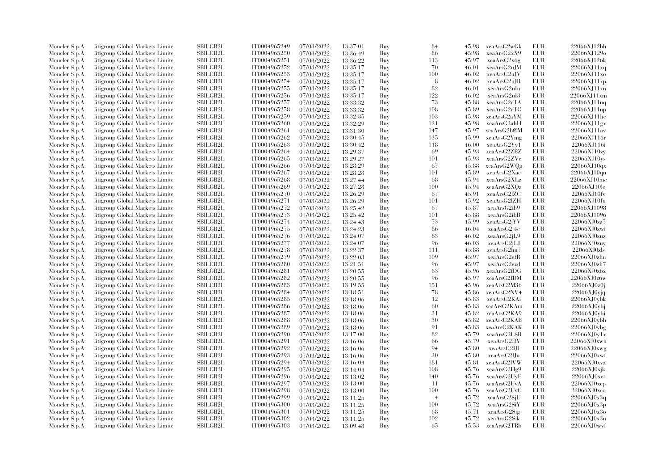| Moncler S.p.A. | Citigroup Global Markets Limite  | <b>SBILGB2L</b> | IT0004965249 | 07/03/2022 | 13:37:01 | Buy | 84             | 45.98 | xeaArsG2wGk | EUR        | 22066XJ12bh                   |
|----------------|----------------------------------|-----------------|--------------|------------|----------|-----|----------------|-------|-------------|------------|-------------------------------|
| Moncler S.p.A. | Citigroup Global Markets Limite  | <b>SBILGB2L</b> | IT0004965250 | 07/03/2022 | 13:36:49 | Buy | 86             | 45.98 | xeaArsG2xX9 | EUR        | 22066XJ129o                   |
| Moncler S.p.A. | Citigroup Global Markets Limited | <b>SBILGB2L</b> | IT0004965251 | 07/03/2022 | 13:36:22 | Buy | 113            | 45.97 | xeaArsG2x6g | <b>EUR</b> | 22066XJ126k                   |
| Moncler S.p.A. | Litigroup Global Markets Limite  | SBILGB2L        | IT0004965252 | 07/03/2022 | 13:35:17 | Buy | 70             | 46.01 | xeaArsG2uJM | EUR        | 22066XJ11xq                   |
| Moncler S.p.A. | Citigroup Global Markets Limite  | <b>SBILGB2L</b> | IT0004965253 | 07/03/2022 | 13:35:17 | Buy | 100            | 46.02 | xeaArsG2uJV | EUR        | 22066XJ11xo                   |
| Moncler S.p.A. | Litigroup Global Markets Limite  | SBILGB2L        | IT0004965254 | 07/03/2022 | 13:35:17 | Buy | 8              | 46.02 | xeaArsG2uJR | EUR        | $22066$ XJ11 $xp$             |
| Moncler S.p.A. | Citigroup Global Markets Limite  | SBILGB2L        | IT0004965255 | 07/03/2022 | 13:35:17 | Buy | 82             | 46.01 | xeaArsG2uIn | EUR        | 22066XJ11xn                   |
| Moncler S.p.A. | Citigroup Global Markets Limite  | <b>SBILGB2L</b> | IT0004965256 | 07/03/2022 | 13:35:17 | Buy | 122            | 46.02 | xeaArsG2uI3 | EUR        | 22066XJ11xm                   |
| Moncler S.p.A. | Litigroup Global Markets Limite  | <b>SBILGB2L</b> | IT0004965257 | 07/03/2022 | 13:33:32 | Buy | 73             | 45.88 | xeaArsG2cTA | EUR        | 22066XJ11nq                   |
| Moncler S.p.A. | Citigroup Global Markets Limited | SBILGB2L        | IT0004965258 | 07/03/2022 | 13:33:32 | Buy | 108            | 45.89 | xeaArsG2cTC | EUR        | 22066XJ11np                   |
| Moncler S.p.A. | Citigroup Global Markets Limite  | <b>SBILGB2L</b> | IT0004965259 | 07/03/2022 | 13:32:35 | Buy | 103            | 45.98 | xeaArsG2aYM | EUR        | 22066XJ11hc                   |
|                | Citigroup Global Markets Limite  | SBILGB2L        | IT0004965260 |            |          |     | 121            | 45.98 | xeaArsG2ahH | <b>EUR</b> | 22066XJ11gx                   |
| Moncler S.p.A. |                                  |                 | IT0004965261 | 07/03/2022 | 13:32:29 | Buy | 147            | 45.97 |             | EUR        |                               |
| Moncler S.p.A. | Citigroup Global Markets Limite  | <b>SBILGB2L</b> |              | 07/03/2022 | 13:31:30 | Buy |                |       | xeaArsG2b@M |            | 22066XJ11av                   |
| Moncler S.p.A. | Citigroup Global Markets Limite  | <b>SBILGB2L</b> | IT0004965262 | 07/03/2022 | 13:30:45 | Buy | 135            | 45.99 | xeaArsG2Ymg | EUR        | 22066XJ116r                   |
| Moncler S.p.A. | Litigroup Global Markets Limite  | <b>SBILGB2L</b> | IT0004965263 | 07/03/2022 | 13:30:42 | Buy | 118            | 46.00 | xeaArsG2Yy1 | EUR        | 22066XJ116i                   |
| Moncler S.p.A. | Citigroup Global Markets Limited | SBILGB2L        | IT0004965264 | 07/03/2022 | 13:29:37 | Buy | 69             | 45.93 | xeaArsG2ZBZ | <b>EUR</b> | 22066XJ10zy                   |
| Moncler S.p.A. | Litigroup Global Markets Limite  | <b>SBILGB2L</b> | IT0004965265 | 07/03/2022 | 13:29:27 | Buy | 101            | 45.93 | xeaArsG2ZVe | <b>EUR</b> | $22066$ XJ $10$ <sub>Vs</sub> |
| Moncler S.p.A. | Citigroup Global Markets Limite  | <b>SBILGB2L</b> | IT0004965266 | 07/03/2022 | 13:28:29 | Buy | 67             | 45.88 | xeaArsG2WQg | <b>EUR</b> | 22066XJ10qx                   |
| Moncler S.p.A. | Litigroup Global Markets Limite  | <b>SBILGB2L</b> | IT0004965267 | 07/03/2022 | 13:28:28 | Buy | 101            | 45.89 | xeaArsG2Xae | <b>EUR</b> | $22066$ XJ $10$ qn            |
| Moncler S.p.A. | Citigroup Global Markets Limite  | SBILGB2L        | IT0004965268 | 07/03/2022 | 13:27:44 | Buy | 68             | 45.94 | xeaArsG2XLz | EUR        | 22066XJ10mc                   |
| Moncler S.p.A. | Litigroup Global Markets Limite  | <b>SBILGB2L</b> | IT0004965269 | 07/03/2022 | 13:27:28 | Buy | 100            | 45.94 | xeaArsG2XQz | EUR        | 22066XJ10le                   |
| Moncler S.p.A. | Citigroup Global Markets Limite  | <b>SBILGB2L</b> | IT0004965270 | 07/03/2022 | 13:26:29 | Buy | 67             | 45.91 | xeaArsG2lZC | EUR        | 22066XJ10fv                   |
| Moncler S.p.A. | Litigroup Global Markets Limite  | <b>SBILGB2L</b> | IT0004965271 | 07/03/2022 | 13:26:29 | Buy | 101            | 45.92 | xeaArsG2lZH | EUR        | 22066XJ10fu                   |
| Moncler S.p.A. | Citigroup Global Markets Limited | <b>SBILGB2L</b> | IT0004965272 | 07/03/2022 | 13:25:42 | Buy | 67             | 45.87 | xeaArsG2ib9 | <b>EUR</b> | 22066XJ1098                   |
| Moncler S.p.A. | Citigroup Global Markets Limite  | SBILGB2L        | IT0004965273 | 07/03/2022 | 13:25:42 | Buy | 101            | 45.88 | xeaArsG2ibB | EUR        | 22066XJ1096                   |
| Moncler S.p.A. | Citigroup Global Markets Limite  | <b>SBILGB2L</b> | IT0004965274 | 07/03/2022 | 13:24:43 | Buy | 73             | 45.99 | xeaArsG2jYV | EUR        | 22066XJ0zz7                   |
| Moncler S.p.A. | Litigroup Global Markets Limite  | <b>SBILGB2L</b> | IT0004965275 | 07/03/2022 | 13:24:23 | Buy | 86             | 46.04 | xeaArsG2j4c | EUR        | 22066XJ0zwi                   |
| Moncler S.p.A. | Litigroup Global Markets Limite  | <b>SBILGB2L</b> | IT0004965276 | 07/03/2022 | 13:24:07 | Buy | 63             | 46.02 | xeaArsG2jL9 | EUR        | 22066XJ0zuz                   |
| Moncler S.p.A. | Litigroup Global Markets Limite  | <b>SBILGB2L</b> | IT0004965277 | 07/03/2022 | 13:24:07 | Buy | 96             | 46.03 | xeaArsG2jLJ | EUR        | 22066XJ0zuv                   |
| Moncler S.p.A. | Litigroup Global Markets Limite  | SBILGB2L        | IT0004965278 | 07/03/2022 | 13:22:37 | Buy | 111            | 45.88 | xeaArsG2hu7 | EUR        | 22066XJ0zls                   |
| Moncler S.p.A. | Citigroup Global Markets Limite  | <b>SBILGB2L</b> | IT0004965279 | 07/03/2022 | 13:22:03 | Buy | 109            | 45.97 | xeaArsG2efR | EUR        | 22066XJ0zhn                   |
| Moncler S.p.A. | Litigroup Global Markets Limite  | SBILGB2L        | IT0004965280 | 07/03/2022 | 13:21:51 | Buy | 96             | 45.97 | xeaArsG2ezd | <b>EUR</b> | 22066XJ0zh7                   |
| Moncler S.p.A. | Litigroup Global Markets Limite  | SBILGB2L        | IT0004965281 | 07/03/2022 | 13:20:55 | Buy | 63             | 45.96 | xeaArsG2fDG | EUR        | 22066XJ0z6x                   |
| Moncler S.p.A. | Citigroup Global Markets Limite  | <b>SBILGB2L</b> | IT0004965282 | 07/03/2022 | 13:20:55 | Buy | 96             | 45.97 | xeaArsG2fDM | EUR        | 22066XJ0z6w                   |
| Moncler S.p.A. | Litigroup Global Markets Limite  | SBILGB2L        | IT0004965283 | 07/03/2022 | 13:19:55 | Buy | 151            | 45.96 | xeaArsG2M36 | <b>EUR</b> | 22066XJ0z0j                   |
| Moncler S.p.A. | Litigroup Global Markets Limite  | <b>SBILGB2L</b> | IT0004965284 | 07/03/2022 | 13:18:51 | Buy | 78             | 45.86 | xeaArsG2NV4 | EUR        | 22066XJ0yjq                   |
| Moncler S.p.A. | Litigroup Global Markets Limite  | <b>SBILGB2L</b> | IT0004965285 | 07/03/2022 | 13:18:06 | Buy | 12             | 45.83 | xeaArsG2KAi | <b>EUR</b> | 22066XJ0vbk                   |
| Moncler S.p.A. | Litigroup Global Markets Limite  | SBILGB2L        | IT0004965286 | 07/03/2022 | 13:18:06 | Buy | 60             | 45.83 | xeaArsG2KAm | <b>EUR</b> | 22066XJ0vbi                   |
| Moncler S.p.A. | Citigroup Global Markets Limite  | <b>SBILGB2L</b> | IT0004965287 | 07/03/2022 | 13:18:06 | Buy | 31             | 45.82 | xeaArsG2KA9 | EUR        | 22066XJ0vbi                   |
| Moncler S.p.A. | Litigroup Global Markets Limite  | <b>SBILGB2L</b> | IT0004965288 | 07/03/2022 | 13:18:06 | Buy | 30             | 45.82 | xeaArsG2KAB | <b>EUR</b> | 22066XJ0ybh                   |
| Moncler S.p.A. | Litigroup Global Markets Limite  | <b>SBILGB2L</b> | IT0004965289 | 07/03/2022 | 13:18:06 | Buy | 91             | 45.83 | xeaArsG2KAK | EUR        | $22066$ XJ0ybg                |
|                | Litigroup Global Markets Limite  | <b>SBILGB2L</b> | IT0004965290 | 07/03/2022 |          | Buy | 82             | 45.79 | xeaArsG2LSB | EUR        | 22066XJ0v1x                   |
| Moncler S.p.A. |                                  |                 |              |            | 13:17:00 |     |                |       |             |            |                               |
| Moncler S.p.A. | Litigroup Global Markets Limite  | <b>SBILGB2L</b> | IT0004965291 | 07/03/2022 | 13:16:06 | Buy | 66             | 45.79 | xeaArsG2IJY | EUR        | $22066$ XJ0xwh                |
| Moncler S.p.A. | Litigroup Global Markets Limite  | <b>SBILGB2L</b> | IT0004965292 | 07/03/2022 | 13:16:06 | Buy | 94             | 45.80 | xeaArsG2IJI | <b>EUR</b> | $22066$ XJ0xwg                |
| Moncler S.p.A. | Citigroup Global Markets Limite  | SBILGB2L        | IT0004965293 | 07/03/2022 | 13:16:06 | Buy | 30             | 45.80 | xeaArsG2IJn | <b>EUR</b> | 22066XJ0xwf                   |
| Moncler S.p.A. | Litigroup Global Markets Limite  | SBILGB2L        | IT0004965294 | 07/03/2022 | 13:16:04 | Buy | 181            | 45.81 | xeaArsG2IVW | EUR        | 22066XJ0xvz                   |
| Moncler S.p.A. | Litigroup Global Markets Limite  | <b>SBILGB2L</b> | IT0004965295 | 07/03/2022 | 13:14:04 | Buy | 108            | 45.76 | xeaArsG2Hg9 | <b>EUR</b> | $22066$ XJ $0$ xjk            |
| Moncler S.p.A. | Litigroup Global Markets Limite  | SBILGB2L        | IT0004965296 | 07/03/2022 | 13:13:02 | Buy | 140            | 45.76 | xeaArsG2UyF | <b>EUR</b> | $22066$ XJ $0$ xct            |
| Moncler S.p.A. | Citigroup Global Markets Limite  | <b>SBILGB2L</b> | IT0004965297 | 07/03/2022 | 13:13:00 | Buy | -11            | 45.76 | xeaArsG2UvA | EUR        | 22066XJ0xcp                   |
| Moncler S.p.A. | Citigroup Global Markets Limite  | <b>SBILGB2L</b> | IT0004965298 | 07/03/2022 | 13:13:00 | Buy | 100            | 45.76 | xeaArsG2UvC | EUR        | 22066XJ0xco                   |
| Moncler S.p.A. | Citigroup Global Markets Limite  | SBILGB2L        | IT0004965299 | 07/03/2022 | 13:11:25 | Buy | $\overline{4}$ | 45.72 | xeaArsG2SjU | <b>EUR</b> | 22066XJ0x3q                   |
| Moncler S.p.A. | Citigroup Global Markets Limite  | <b>SBILGB2L</b> | IT0004965300 | 07/03/2022 | 13:11:25 | Buy | 100            | 45.72 | xeaArsG2SiY | EUR        | 22066XJ0x3p                   |
| Moncler S.p.A. | Litigroup Global Markets Limite  | SBILGB2L        | IT0004965301 | 07/03/2022 | 13:11:25 | Buy | -68            | 45.71 | xeaArsG2Sig | EUR        | 22066XJ0x3o                   |
| Moncler S.p.A. | Litigroup Global Markets Limite  | SBILGB2L        | IT0004965302 | 07/03/2022 | 13:11:25 | Buy | 102            | 45.72 | xeaArsG2Sik | EUR        | 22066XJ0x3n                   |
| Moncler S.p.A. | Citigroup Global Markets Limited | SBILGB2L        | IT0004965303 | 07/03/2022 | 13:09:48 | Buy | -65            | 45.53 | xeaArsG2TRb | <b>EUR</b> | 22066XJ0wvf                   |
|                |                                  |                 |              |            |          |     |                |       |             |            |                               |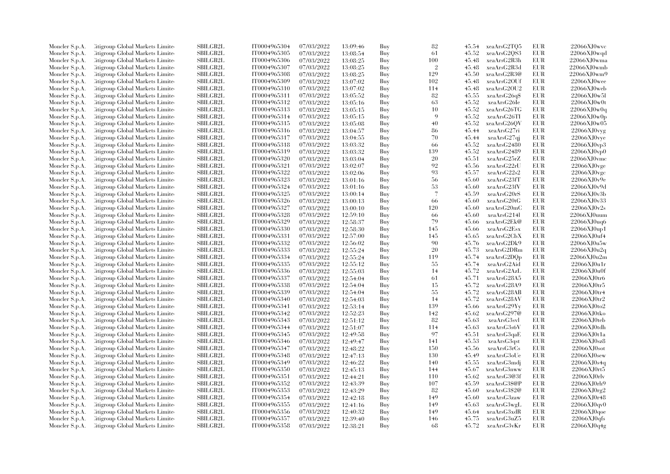| Moncler S.p.A. | Litigroup Global Markets Limite         | <b>SBILGB2L</b> | IT0004965304 | 07/03/2022 | 13:09:46 | Buy | 82                       | 45.54 | xeaArsG2TO5  | <b>EUR</b> | 22066XJ0wvc            |
|----------------|-----------------------------------------|-----------------|--------------|------------|----------|-----|--------------------------|-------|--------------|------------|------------------------|
| Moncler S.p.A. | Litigroup Global Markets Limite         | <b>SBILGB2L</b> | IT0004965305 | 07/03/2022 | 13:08:54 | Buy | 61                       | 45.52 | xeaArsG2QS3  | <b>EUR</b> | 22066XJ0wd             |
| Moncler S.p.A. | Citigroup Global Markets Limite         | SBILGB2L        | IT0004965306 | 07/03/2022 | 13:08:25 | Buy | 100                      | 45.48 | xeaArsG2R3h  | <b>EUR</b> | 22066XJ0wma            |
| Moncler S.p.A. | Litigroup Global Markets Limite         | SBILGB2L        | IT0004965307 | 07/03/2022 | 13:08:25 | Buy | $\overline{2}$           | 45.48 | xeaArsG2R3d  | <b>EUR</b> | 22066XJ0wmb            |
| Moncler S.p.A. | Citigroup Global Markets Limite         | <b>SBILGB2L</b> | IT0004965308 | 07/03/2022 | 13:08:25 | Buy | 129                      | 45.50 | xeaArsG2R3@  | <b>EUR</b> | 22066XJ0wm9            |
| Moncler S.p.A. | Citigroup Global Markets Limite         | SBILGB2L        | IT0004965309 | 07/03/2022 | 13:07:02 | Buy | 102                      | 45.48 | xeaArsG2OUf  | EUR        | $22066XJ0$ wee         |
| Moncler S.p.A. | Citigroup Global Markets Limite         | <b>SBILGB2L</b> | IT0004965310 | 07/03/2022 | 13:07:02 | Buy | 114                      | 45.48 | xeaArsG2OU2  | <b>EUR</b> | $22066XJ0$ web         |
| Moncler S.p.A. | Litigroup Global Markets Limite         | <b>SBILGB2L</b> | IT0004965311 | 07/03/2022 | 13:05:52 | Buy | 82                       | 45.55 | xeaArsG26q\$ | <b>EUR</b> | 22066XJ0w5l            |
|                |                                         |                 |              |            |          |     |                          |       |              | <b>EUR</b> | 22066XJ0w0t            |
| Moncler S.p.A. | Litigroup Global Markets Limite         | <b>SBILGB2L</b> | IT0004965312 | 07/03/2022 | 13:05:16 | Buy | 63                       | 45.52 | xeaArsG26Ie  |            |                        |
| Moncler S.p.A. | Citigroup Global Markets Limite         | <b>SBILGB2L</b> | IT0004965313 | 07/03/2022 | 13:05:15 | Buy | 10                       | 45.52 | xeaArsG26TG  | <b>EUR</b> | 22066XJ0w0q            |
| Moncler S.p.A. | Citigroup Global Markets Limite         | SBILGB2L        | IT0004965314 | 07/03/2022 | 13:05:15 | Buy | -9                       | 45.52 | xeaArsG26TI  | <b>EUR</b> | 22066XJ0w0p            |
| Moncler S.p.A. | Litigroup Global Markets Limite         | SBILGB2L        | IT0004965315 | 07/03/2022 | 13:05:08 | Buy | 40                       | 45.52 | xeaArsG26OV  | EUR        | 22066XJ0w05            |
| Moncler S.p.A. | Citigroup Global Markets Limite         | <b>SBILGB2L</b> | IT0004965316 | 07/03/2022 | 13:04:57 | Buy | 86                       | 45.44 | xeaArsG27ri  | <b>EUR</b> | 22066XJ0vyg            |
| Moncler S.p.A. | Litigroup Global Markets Limite         | <b>SBILGB2L</b> | IT0004965317 | 07/03/2022 | 13:04:55 | Buy | 70                       | 45.44 | xeaArsG27qj  | EUR        | 22066XJ0vye            |
| Moncler S.p.A. | Citigroup Global Markets Limite         | <b>SBILGB2L</b> | IT0004965318 | 07/03/2022 | 13:03:32 | Buy | 66                       | 45.52 | xeaArsG2480  | <b>EUR</b> | 22066XJ0vp3            |
| Moncler S.p.A. | Citigroup Global Markets Limite         | SBILGB2L        | IT0004965319 | 07/03/2022 | 13:03:32 | Buy | 139                      | 45.52 | xeaArsG2489  | <b>EUR</b> | 22066XJ0vp0            |
| Moncler S.p.A. | Citigroup Global Markets Limite         | <b>SBILGB2L</b> | IT0004965320 | 07/03/2022 | 13:03:04 | Buy | 20                       | 45.51 | xeaArsG25rZ  | EUR        | 22066XJ0vmc            |
| Moncler S.p.A. | Litigroup Global Markets Limite         | SBILGB2L        | IT0004965321 | 07/03/2022 | 13:02:07 | Buy | 92                       | 45.56 | xeaArsG22rU  | <b>EUR</b> | 22066XJ0vge            |
| Moncler S.p.A. | Citigroup Global Markets Limite         | SBILGB2L        | IT0004965322 | 07/03/2022 | 13:02:06 | Buy | 93                       | 45.57 | xeaArsG22s2  | <b>EUR</b> | 22066XJ0vgc            |
| Moncler S.p.A. | Citigroup Global Markets Limite         | <b>SBILGB2L</b> | IT0004965323 | 07/03/2022 | 13:01:16 | Buy | 56                       | 45.60 | xeaArsG23fT  | <b>EUR</b> | 22066XJ0v9e            |
| Moncler S.p.A. | Citigroup Global Markets Limite         | <b>SBILGB2L</b> | IT0004965324 | 07/03/2022 | 13:01:16 | Buy | 53                       | 45.60 | xeaArsG23fV  | <b>EUR</b> | 22066XJ0v9d            |
| Moncler S.p.A. | Litigroup Global Markets Limite         | <b>SBILGB2L</b> | IT0004965325 | 07/03/2022 | 13:00:14 | Buy | $\overline{\mathcal{L}}$ | 45.59 | xeaArsG20rS  | EUR        | $22066X$ J $0v3b$      |
| Moncler S.p.A. | Citigroup Global Markets Limite         | SBILGB2L        | IT0004965326 | 07/03/2022 | 13:00:13 | Buy | -66                      | 45.60 | xeaArsG20tG  | <b>EUR</b> | 22066XJ0v33            |
| Moncler S.p.A. | Citigroup Global Markets Limite         | <b>SBILGB2L</b> | IT0004965327 | 07/03/2022 | 13:00:10 | Buy | 120                      | 45.60 | xeaArsG20mC  | <b>EUR</b> | 22066XJ0v2s            |
| Moncler S.p.A. | <b>Citigroup Global Markets Limited</b> | <b>SBILGB2L</b> | IT0004965328 | 07/03/2022 | 12:59:10 | Buy | 66                       | 45.60 | xeaArsG214l  | <b>EUR</b> | 22066XJ0uum            |
| Moncler S.p.A. | Citigroup Global Markets Limite         | SBILGB2L        | IT0004965329 | 07/03/2022 | 12:58:37 | Buy | 79                       | 45.66 | xeaArsG2Ek@  | EUR        | 22066XJ0uq6            |
| Moncler S.p.A. | Citigroup Global Markets Limite         | <b>SBILGB2L</b> | IT0004965330 | 07/03/2022 | 12:58:30 | Buy | 145                      | 45.66 | xeaArsG2Esx  | <b>EUR</b> | 22066XJ0up1            |
| Moncler S.p.A. | Litigroup Global Markets Limite         | <b>SBILGB2L</b> | IT0004965331 | 07/03/2022 | 12:57:00 | Buy | 145                      | 45.65 | xeaArsG2CbX  | <b>EUR</b> | 22066XJ0uf4            |
|                | Citigroup Global Markets Limite         | SBILGB2L        | IT0004965332 | 07/03/2022 |          | Buy | 90                       | 45.76 | xeaArsG2Dk9  | <b>EUR</b> | 22066XJ0u5w            |
| Moncler S.p.A. |                                         | SBILGB2L        |              |            | 12:56:02 |     | 20                       |       |              | <b>EUR</b> |                        |
| Moncler S.p.A. | Citigroup Global Markets Limite         |                 | IT0004965333 | 07/03/2022 | 12:55:24 | Buy |                          | 45.73 | xeaArsG2DRm  |            | 22066XJ0u2q            |
| Moncler S.p.A. | Citigroup Global Markets Limite         | SBILGB2L        | IT0004965334 | 07/03/2022 | 12:55:24 | Buy | 119                      | 45.74 | xeaArsG2DQp  | <b>EUR</b> | 22066XJ0u2m            |
| Moncler S.p.A. | Citigroup Global Markets Limite         | <b>SBILGB2L</b> | IT0004965335 | 07/03/2022 | 12:55:12 | Buy | 55                       | 45.74 | xeaArsG2Aid  | <b>EUR</b> | 22066XJ0u1r            |
| Moncler S.p.A. | Citigroup Global Markets Limite         | <b>SBILGB2L</b> | IT0004965336 | 07/03/2022 | 12:55:03 | Buy | 14                       | 45.72 | xeaArsG2AzL  | <b>EUR</b> | 22066XJ0u0f            |
| Moncler S.p.A. | Citigroup Global Markets Limite         | SBILGB2L        | IT0004965337 | 07/03/2022 | 12:54:04 | Buy | 61                       | 45.71 | xeaArsG28A5  | <b>EUR</b> | 22066XJ0tr6            |
| Moncler S.p.A. | Citigroup Global Markets Limite         | <b>SBILGB2L</b> | IT0004965338 | 07/03/2022 | 12:54:04 | Buy | 15                       | 45.72 | xeaArsG28A9  | <b>EUR</b> | 22066XJ0tr5            |
| Moncler S.p.A. | Litigroup Global Markets Limite         | <b>SBILGB2L</b> | IT0004965339 | 07/03/2022 | 12:54:04 | Buy | 55                       | 45.72 | xeaArsG28AB  | <b>EUR</b> | 22066XJ0tr4            |
| Moncler S.p.A. | Litigroup Global Markets Limite         | SBILGB2L        | IT0004965340 | 07/03/2022 | 12:54:03 | Buy | 14                       | 45.72 | xeaArsG28AV  | EUR        | 22066XJ0tr2            |
| Moncler S.p.A. | Citigroup Global Markets Limite         | <b>SBILGB2L</b> | IT0004965341 | 07/03/2022 | 12:53:14 | Buy | 139                      | 45.66 | xeaArsG29Yy  | <b>EUR</b> | 22066XJ0to2            |
| Moncler S.p.A. | Citigroup Global Markets Limite         | <b>SBILGB2L</b> | IT0004965342 | 07/03/2022 | 12:52:23 | Buy | 142                      | 45.62 | xeaArsG297@  | <b>EUR</b> | 22066XJ0tko            |
| Moncler S.p.A. | Litigroup Global Markets Limite         | SBILGB2L        | IT0004965343 | 07/03/2022 | 12:51:12 | Buy | 82                       | 45.63 | xeaArsG3svl  | <b>EUR</b> | 22066XJ0teb            |
| Moncler S.p.A. | Citigroup Global Markets Limite         | <b>SBILGB2L</b> | IT0004965344 | 07/03/2022 | 12:51:07 | Buy | 114                      | 45.63 | xeaArsG3s6V  | <b>EUR</b> | 22066XJ0tdh            |
| Moncler S.p.A. | Citigroup Global Markets Limite         | SBILGB2L        | IT0004965345 | 07/03/2022 | 12:49:58 | Buy | 97                       | 45.51 | xeaArsG3qaE  | EUR        | 22066XJ0t1a            |
| Moncler S.p.A. | Citigroup Global Markets Limite         | SBILGB2L        | IT0004965346 | 07/03/2022 | 12:49:47 | Buy | 141                      | 45.53 | xeaArsG3qst  | <b>EUR</b> | 22066XJ0sz8            |
| Moncler S.p.A. | Citigroup Global Markets Limite         | <b>SBILGB2L</b> | IT0004965347 | 07/03/2022 | 12:48:22 | Buy | 150                      | 45.56 | xeaArsG3rCs  | EUR        | 22066XJ0 <sub>so</sub> |
| Moncler S.p.A. | Citigroup Global Markets Limite         | <b>SBILGB2L</b> | IT0004965348 | 07/03/2022 | 12:47:13 | Buy | 130                      | 45.49 | xeaArsG3oUe  | <b>EUR</b> | $22066XJ0$ sew         |
| Moncler S.p.A. | Citigroup Global Markets Limite         | SBILGB2L        | IT0004965349 | 07/03/2022 | 12:46:22 | Buy | 140                      | 45.55 | xeaArsG3mdj  | EUR        | 22066XJ0s4q            |
| Moncler S.p.A. | Citigroup Global Markets Limite         | SBILGB2L        | IT0004965350 | 07/03/2022 | 12:45:13 | Buy | 144                      | 45.67 | xeaArsG3nww  | <b>EUR</b> | 22066XJ0rt5            |
| Moncler S.p.A. | Citigroup Global Markets Limite         | SBILGB2L        | IT0004965351 | 07/03/2022 | 12:44:21 | Buy | 110                      | 45.62 | xeaArsG3@3f  | EUR        | $22066$ XJ0rlv         |
| Moncler S.p.A. | Citigroup Global Markets Limite         | <b>SBILGB2L</b> | IT0004965352 | 07/03/2022 | 12:43:39 | Buy | 107                      | 45.59 | xeaArsG3\$@P | <b>EUR</b> | 22066XJ0rh9            |
| Moncler S.p.A. | Citigroup Global Markets Limite         | SBILGB2L        | IT0004965353 | 07/03/2022 | 12:43:29 | Buy | 82                       | 45.60 | xeaArsG3\$2@ | <b>EUR</b> | 22066XJ0rg2            |
| Moncler S.p.A. | Litigroup Global Markets Limite         | <b>SBILGB2L</b> | IT0004965354 | 07/03/2022 | 12:42:18 | Buy | 149                      | 45.60 | xeaArsG3zaw  | <b>EUR</b> | 22066XJ0r48            |
| Moncler S.p.A. | Citigroup Global Markets Limite         | <b>SBILGB2L</b> | IT0004965355 | 07/03/2022 | 12:41:16 | Buy | 149                      | 45.63 | xeaArsG3wgL  | <b>EUR</b> | 22066XJ0qv0            |
| Moncler S.p.A. | Citigroup Global Markets Limite         | SBILGB2L        | IT0004965356 | 07/03/2022 | 12:40:32 | Buy | 149                      | 45.64 | xeaArsG3xdR  | EUR        | 22066XJ0qoe            |
| Moncler S.p.A. | Citigroup Global Markets Limite         | <b>SBILGB2L</b> | IT0004965357 | 07/03/2022 | 12:39:40 | Buy | 146                      | 45.75 | xeaArsG3uZ5  | <b>EUR</b> | 22066XJ0qfs            |
| Moncler S.p.A. | Citigroup Global Markets Limited        | SBILGB2L        | IT0004965358 | 07/03/2022 | 12:38:21 | Buy | 68                       | 45.72 | xeaArsG3vKr  | <b>EUR</b> | 22066XJ0q4g            |
|                |                                         |                 |              |            |          |     |                          |       |              |            |                        |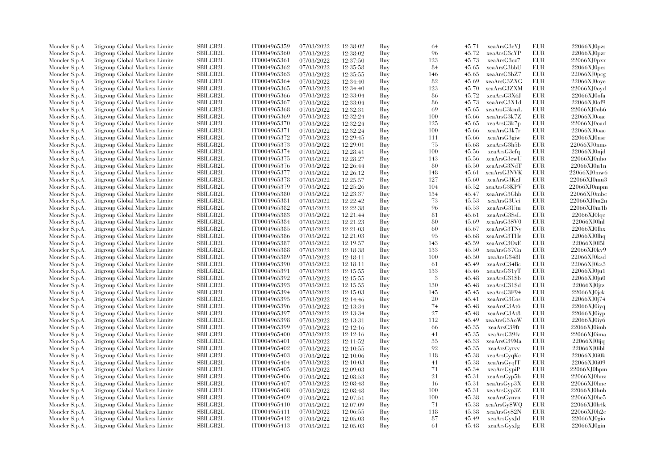| Moncler S.p.A. | Litigroup Global Markets Limite  | SBILGB2L                    | IT0004965359                 | 07/03/2022 | 12:38:02 | Buy | 64  | 45.71 | xeaArsG3cYJ  | EUR        | 22066XJ0pzs        |
|----------------|----------------------------------|-----------------------------|------------------------------|------------|----------|-----|-----|-------|--------------|------------|--------------------|
| Moncler S.p.A. | Litigroup Global Markets Limite  | <b>SBILGB2L</b>             | IT0004965360                 | 07/03/2022 | 12:38:02 | Buy | 96  | 45.72 | xeaArsG3cYP  | <b>EUR</b> | 22066XJ0pxr        |
| Moncler S.p.A. | Citigroup Global Markets Limite  | <b>SBILGB2L</b>             | IT0004965361                 | 07/03/2022 | 12:37:50 | Buy | 123 | 45.73 | xeaArsG3cz7  | <b>EUR</b> | 22066XJ0pxx        |
| Moncler S.p.A. | Litigroup Global Markets Limite  | SBILGB2L                    | IT0004965362                 | 07/03/2022 | 12:35:58 | Buy | 84  | 45.65 | xeaArsG3bbU  | EUR        | 22066XJ0pcs        |
| Moncler S.p.A. | Litigroup Global Markets Limite  | <b>SBILGB2L</b>             | IT0004965363                 | 07/03/2022 | 12:35:55 | Buy | 146 | 45.65 | xeaArsG3bZ7  | <b>EUR</b> | 22066XJ0pcg        |
| Moncler S.p.A. | Citigroup Global Markets Limite  | SBILGB2L                    | IT0004965364                 | 07/03/2022 | 12:34:40 | Buy | 82  | 45.69 | xeaArsG3ZXG  | EUR        | 22066XJ0oye        |
|                |                                  | SBILGB2L                    |                              |            |          |     |     | 45.70 |              | <b>EUR</b> |                    |
| Moncler S.p.A. | Citigroup Global Markets Limite  |                             | IT0004965365                 | 07/03/2022 | 12:34:40 | Buy | 123 |       | xeaArsG3ZXM  |            | 22066XJ0oyd        |
| Moncler S.p.A. | Litigroup Global Markets Limite  | <b>SBILGB2L</b>             | IT0004965366                 | 07/03/2022 | 12:33:04 | Buy | 86  | 45.72 | xeaArsG3X6J  | EUR        | 22066XJ0ofa        |
| Moncler S.p.A. | Litigroup Global Markets Limite  | <b>SBILGB2L</b>             | IT0004965367                 | 07/03/2022 | 12:33:04 | Buy | 86  | 45.73 | xeaArsG3X1d  | EUR        | 22066XJ0of9        |
| Moncler S.p.A. | Citigroup Global Markets Limite  | <b>SBILGB2L</b>             | IT0004965368                 | 07/03/2022 | 12:32:31 | Buy | 69  | 45.65 | xeaArsG3kmL  | <b>EUR</b> | 22066XJ0ob6        |
| Moncler S.p.A. | Citigroup Global Markets Limite  | <b>SBILGB2L</b>             | IT0004965369                 | 07/03/2022 | 12:32:24 | Buy | 100 | 45.66 | xeaArsG3k7Z  | EUR        | 22066XJ0oae        |
| Moncler S.p.A. | Litigroup Global Markets Limite  | <b>SBILGB2L</b>             | IT0004965370                 | 07/03/2022 | 12:32:24 | Buy | 125 | 45.65 | xeaArsG3k7p  | EUR        | 22066XJ0oad        |
| Moncler S.p.A. | Citigroup Global Markets Limite  | <b>SBILGB2L</b>             | IT0004965371                 | 07/03/2022 | 12:32:24 | Buy | 100 | 45.66 | xeaArsG3k7r  | EUR        | 22066XJ0oac        |
| Moncler S.p.A. | Litigroup Global Markets Limite  | <b>SBILGB2L</b>             | IT0004965372                 | 07/03/2022 | 12:29:45 | Buy | 111 | 45.66 | xeaArsG3giw  | EUR        | 22066XJ0nsr        |
| Moncler S.p.A. | Citigroup Global Markets Limite  | <b>SBILGB2L</b>             | IT0004965373                 | 07/03/2022 | 12:29:01 | Buy | 75  | 45.68 | xeaArsG3h5b  | EUR        | 22066XJ0nms        |
| Moncler S.p.A. | Citigroup Global Markets Limite  | SBILGB2L                    | IT0004965374                 | 07/03/2022 | 12:28:41 | Buy | 100 | 45.56 | xeaArsG3efq  | <b>EUR</b> | $22066$ XJ0 $n$ jd |
| Moncler S.p.A. | Citigroup Global Markets Limite  | SBILGB2L                    | IT0004965375                 | 07/03/2022 | 12:28:27 | Buy | 143 | 45.56 | xeaArsG3ewU  | EUR        | 22066XJ0nho        |
| Moncler S.p.A. | Litigroup Global Markets Limite  | <b>SBILGB2L</b>             | IT0004965376                 | 07/03/2022 | 12:26:44 | Buy | 80  | 45.50 | xeaArsG3NdT  | <b>EUR</b> | 22066XJ0n1n        |
| Moncler S.p.A. | Citigroup Global Markets Limite  | SBILGB2L                    | IT0004965377                 | 07/03/2022 | 12:26:12 | Buy | 148 | 45.61 | xeaArsG3NVK  | EUR        | 22066XJ0mw6        |
| Moncler S.p.A. | Litigroup Global Markets Limite  | <b>SBILGB2L</b>             | IT0004965378                 | 07/03/2022 | 12:25:57 | Buy | 127 | 45.60 | xeaArsG3KeJ  | <b>EUR</b> | 22066XJ0mu3        |
|                | Citigroup Global Markets Limite  | <b>SBILGB2L</b>             | IT0004965379                 |            |          |     | 104 | 45.52 | xeaArsG3KPV  | <b>EUR</b> |                    |
| Moncler S.p.A. |                                  |                             |                              | 07/03/2022 | 12:25:26 | Buy |     |       |              |            | 22066XJ0mpm        |
| Moncler S.p.A. | Litigroup Global Markets Limite  | <b>SBILGB2L</b>             | IT0004965380                 | 07/03/2022 | 12:23:37 | Buy | 134 | 45.47 | xeaArsG3Ghb  | EUR        | 22066XJ0mbc        |
| Moncler S.p.A. | Citigroup Global Markets Limite  | SBILGB2L                    | IT0004965381                 | 07/03/2022 | 12:22:42 | Buy | 73  | 45.53 | xeaArsG3Uci  | EUR        | 22066XJ0m2n        |
| Moncler S.p.A. | Citigroup Global Markets Limite  | <b>SBILGB2L</b>             | IT0004965382                 | 07/03/2022 | 12:22:38 | Buy | 96  | 45.53 | xeaArsG3Utu  | EUR        | 22066XJ0m1b        |
| Moncler S.p.A. | Citigroup Global Markets Limite  | <b>SBILGB2L</b>             | IT0004965383                 | 07/03/2022 | 12:21:44 | Buy | 81  | 45.61 | xeaArsG3SsL  | EUR        | $22066$ XJ0lqc     |
| Moncler S.p.A. | Citigroup Global Markets Limite  | SBILGB2L                    | IT0004965384                 | 07/03/2022 | 12:21:23 | Buy | 80  | 45.69 | xeaArsG3SV0  | EUR        | 22066XJ0lnl        |
| Moncler S.p.A. | Citigroup Global Markets Limite  | <b>SBILGB2L</b>             | IT0004965385                 | 07/03/2022 | 12:21:03 | Buy | 60  | 45.67 | xeaArsG3TNv  | EUR        | 22066XJ0lhx        |
| Moncler S.p.A. | Citigroup Global Markets Limite  | <b>SBILGB2L</b>             | IT0004965386                 | 07/03/2022 | 12:21:03 | Buy | 95  | 45.68 | xeaArsG3THe  | EUR        | 22066XJ0lhq        |
| Moncler S.p.A. | Citigroup Global Markets Limite  | SBILGB2L                    | IT0004965387                 | 07/03/2022 | 12:19:57 | Buy | 143 | 45.59 | xeaArsG3OxE  | EUR        | 22066XJ0151        |
| Moncler S.p.A. | Citigroup Global Markets Limite  | SBILGB2L                    | IT0004965388                 | 07/03/2022 | 12:18:38 | Buy | 133 | 45.50 | xeaArsG37Cn  | <b>EUR</b> | 22066XJ0kv9        |
| Moncler S.p.A. | Citigroup Global Markets Limite  | SBILGB2L                    | IT0004965389                 | 07/03/2022 | 12:18:11 | Buy | 100 | 45.50 | xeaArsG348l  | EUR        | 22066XJ0ksd        |
| Moncler S.p.A. | Citigroup Global Markets Limite  | <b>SBILGB2L</b>             | IT0004965390                 | 07/03/2022 | 12:18:11 | Buy | -61 | 45.49 | xeaArsG34Bc  | <b>EUR</b> | 22066XJ0ks3        |
| Moncler S.p.A. | Citigroup Global Markets Limite  | <b>SBILGB2L</b>             | IT0004965391                 | 07/03/2022 | 12:15:55 | Buy | 133 | 45.46 | xeaArsG31vT  | EUR        | $22066$ XJ $0$ ju1 |
| Moncler S.p.A. | Citigroup Global Markets Limite  | SBILGB2L                    | IT0004965392                 | 07/03/2022 | 12:15:55 | Buy | 3   | 45.48 | xeaArsG31\$b | EUR        | 22066XJ0ju0        |
| Moncler S.p.A. | Citigroup Global Markets Limite  | SBILGB2L                    | IT0004965393                 | 07/03/2022 | 12:15:55 | Buy | 130 | 45.48 | xeaArsG31\$d | EUR        | 22066XJ0jtz        |
| Moncler S.p.A. | Citigroup Global Markets Limite  | <b>SBILGB2L</b>             | IT0004965394                 | 07/03/2022 | 12:15:03 | Buy | 145 | 45.45 | xeaArsG3F94  | EUR        | 22066XJ0jck        |
|                |                                  |                             |                              |            |          |     |     |       |              |            |                    |
| Moncler S.p.A. | Citigroup Global Markets Limite  | SBILGB2L                    | IT0004965395                 | 07/03/2022 | 12:14:46 | Buy | 20  | 45.41 | xeaArsG3Cos  | EUR        | 22066XJ0j74        |
| Moncler S.p.A. | Citigroup Global Markets Limite  | SBILGB2L                    | IT0004965396                 | 07/03/2022 | 12:13:34 | Buy | 74  | 45.48 | xeaArsG3At6  | <b>EUR</b> | 22066XJ0iyq        |
| Moncler S.p.A. | Citigroup Global Markets Limite  | <b>SBILGB2L</b>             | IT0004965397                 | 07/03/2022 | 12:13:34 | Buy | 27  | 45.48 | xeaArsG3At8  | <b>EUR</b> | 22066XJ0iyp        |
| Moncler S.p.A. | Citigroup Global Markets Limite  | <b>SBILGB2L</b>             | IT0004965398                 | 07/03/2022 | 12:13:31 | Buy | 112 | 45.49 | xeaArsG3AoW  | EUR        | 22066XJ0iy6        |
| Moncler S.p.A. | Citigroup Global Markets Limite  | <b>SBILGB2L</b>             | IT0004965399                 | 07/03/2022 | 12:12:16 | Buy | -66 | 45.35 | xeaArsG39ft  | <b>EUR</b> | 22066XJ0imb        |
| Moncler S.p.A. | Citigroup Global Markets Limite  | SBILGB2L                    | IT0004965400                 | 07/03/2022 | 12:12:16 | Buy | 41  | 45.35 | xeaArsG39fv  | EUR        | 22066XJ0ima        |
| Moncler S.p.A. | Citigroup Global Markets Limite  | SBILGB2L                    | IT0004965401                 | 07/03/2022 | 12:11:52 | Buy | 35  | 45.33 | xeaArsG39Ma  | EUR        | $22066$ XJ0ijq     |
| Moncler S.p.A. | Citigroup Global Markets Limite  | SBILGB2L                    | IT0004965402                 | 07/03/2022 | 12:10:55 | Buy | 92  | 45.35 | xeaArsGytvv  | EUR        | 22066XJ0ibl        |
| Moncler S.p.A. | Citigroup Global Markets Limite  | <b>SBILGB2L</b>             | IT0004965403                 | 07/03/2022 | 12:10:06 | Buy | 118 | 45.38 | xeaArsGyqKc  | EUR        | 22066XJ0i0k        |
| Moncler S.p.A. | Citigroup Global Markets Limite  | SBILGB2L                    | IT0004965404                 | 07/03/2022 | 12:10:03 | Buy | 41  | 45.38 | xeaArsGyqIT  | EUR        | 22066XJ0i09        |
| Moncler S.p.A. | Citigroup Global Markets Limite  | <b>SBILGB2L</b>             | IT0004965405                 | 07/03/2022 | 12:09:03 | Buy | 71  | 45.34 | xeaArsGypiP  | EUR        | 22066XJ0hpm        |
| Moncler S.p.A. | Citigroup Global Markets Limite  | <b>SBILGB2L</b>             | IT0004965406                 | 07/03/2022 | 12:08:53 | Buy | 21  | 45.31 | xeaArsGyp5b  | EUR        | $22066$ XJ0hnz     |
| Moncler S.p.A. | Citigroup Global Markets Limite  | SBILGB2L                    | IT0004965407                 | 07/03/2022 | 12:08:48 | Buy | 16  | 45.31 | xeaArsGyp3X  | EUR        | 22066XJ0hnc        |
| Moncler S.p.A. | Citigroup Global Markets Limite  | SBILGB2L                    | IT0004965408                 | 07/03/2022 | 12:08:48 | Buy | 100 | 45.31 | xeaArsGyp3Z  | EUR        | 22066XJ0hnb        |
| Moncler S.p.A. | Citigroup Global Markets Limite  | <b>SBILGB2L</b>             | IT0004965409                 | 07/03/2022 | 12:07:51 | Buy | 100 | 45.38 | xeaArsGynvn  | EUR        | 22066XJ0he5        |
| Moncler S.p.A. | Citigroup Global Markets Limite  | <b>SBILGB2L</b>             | IT0004965410                 | 07/03/2022 | 12:07:09 | Buy | 71  | 45.38 | xeaArsGy\$WQ | EUR        | 22066XJ0h4k        |
|                |                                  |                             |                              |            |          |     | 118 |       |              |            | 22066XJ0h2e        |
| Moncler S.p.A. | Citigroup Global Markets Limite  | SBILGB2L<br><b>SBILGB2L</b> | IT0004965411<br>IT0004965412 | 07/03/2022 | 12:06:55 | Buy |     | 45.38 | xeaArsGy\$2N | EUR        |                    |
| Moncler S.p.A. | Citigroup Global Markets Limite  |                             |                              | 07/03/2022 | 12:05:03 | Buy | 87  | 45.49 | xeaArsGyxJd  | <b>EUR</b> | 22066XJ0gio        |
| Moncler S.p.A. | Citigroup Global Markets Limited | SBILGB2L                    | IT0004965413                 | 07/03/2022 | 12:05:03 | Buy | 61  | 45.48 | xeaArsGyxJg  | <b>EUR</b> | $22066$ XJ0gin     |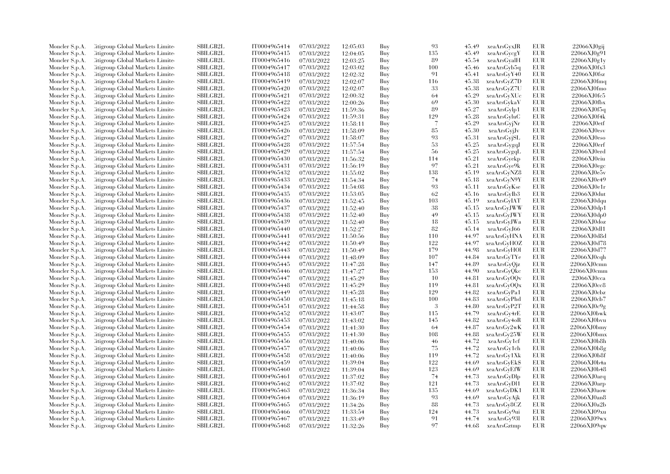| Moncler S.p.A. | Citigroup Global Markets Limite  | SBILGB2L        | IT0004965414 | 07/03/2022 | 12:05:03 | Buy | 93                       | 45.49 | xeaArsGyxJR  | EUR        | 22066XJ0gij        |
|----------------|----------------------------------|-----------------|--------------|------------|----------|-----|--------------------------|-------|--------------|------------|--------------------|
| Moncler S.p.A. | Citigroup Global Markets Limite  | <b>SBILGB2L</b> | IT0004965415 | 07/03/2022 | 12:04:05 | Buy | 135                      | 45.49 | xeaArsGycgY  | EUR        | 22066XJ0g91        |
| Moncler S.p.A. | Citigroup Global Markets Limite  | <b>SBILGB2L</b> | IT0004965416 | 07/03/2022 | 12:03:25 | Buy | 89                       | 45.54 | xeaArsGyalH  | EUR        | 22066XJ0g1y        |
| Moncler S.p.A. | Citigroup Global Markets Limite  | SBILGB2L        | IT0004965417 | 07/03/2022 | 12:03:02 | Buy | 100                      | 45.46 | xeaArsGyb5q  | EUR        | 22066XJ0fx3        |
| Moncler S.p.A. | Citigroup Global Markets Limite  | <b>SBILGB2L</b> | IT0004965418 | 07/03/2022 | 12:02:32 | Buy | 91                       | 45.41 | xeaArsGyY40  | EUR        | 22066XJ0fsz        |
| Moncler S.p.A. | Citigroup Global Markets Limite  | SBILGB2L        | IT0004965419 | 07/03/2022 | 12:02:07 | Buy | 116                      | 45.38 | xeaArsGyZ7D  | EUR        | $22066$ XJ0fmq     |
| Moncler S.p.A. | Citigroup Global Markets Limite  | SBILGB2L        | IT0004965420 | 07/03/2022 | 12:02:07 | Buy | 33                       | 45.38 | xeaArsGyZ7U  | EUR        | 22066XJ0fmo        |
| Moncler S.p.A. | Citigroup Global Markets Limite  | <b>SBILGB2L</b> | IT0004965421 | 07/03/2022 | 12:00:32 | Buy | 64                       | 45.29 | xeaArsGyXUc  | EUR        | 22066XJ0fc5        |
| Moncler S.p.A. | Citigroup Global Markets Limite  | <b>SBILGB2L</b> | IT0004965422 | 07/03/2022 | 12:00:26 | Buy | 69                       | 45.30 | xeaArsGykaV  | EUR        | 22066XJ0fbx        |
| Moncler S.p.A. | Citigroup Global Markets Limite  | SBILGB2L        | IT0004965423 | 07/03/2022 | 11:59:36 | Buy | 89                       | 45.27 | xeaArsGylp1  | <b>EUR</b> | 22066XJ0f5q        |
| Moncler S.p.A. | Citigroup Global Markets Limite  | <b>SBILGB2L</b> | IT0004965424 | 07/03/2022 | 11:59:31 | Buy | 129                      | 45.28 | xeaArsGyluC  | EUR        | 22066XJ0f4k        |
| Moncler S.p.A. | Citigroup Global Markets Limite  | SBILGB2L        | IT0004965425 | 07/03/2022 | 11:58:11 | Buy | $\overline{\mathcal{L}}$ | 45.29 | xeaArsGyjNr  | EUR        | 22066XJ0etf        |
| Moncler S.p.A. | Citigroup Global Markets Limite  | <b>SBILGB2L</b> | IT0004965426 | 07/03/2022 | 11:58:09 | Buy | 85                       | 45.30 | xeaArsGyjJv  | EUR        | 22066XJ0esv        |
|                | Citigroup Global Markets Limite  | <b>SBILGB2L</b> | IT0004965427 |            |          | Buy | 93                       | 45.31 |              | EUR        | 22066XJ0eso        |
| Moncler S.p.A. |                                  | <b>SBILGB2L</b> |              | 07/03/2022 | 11:58:07 |     | 53                       | 45.25 | xeaArsGyjSL  | EUR        | 22066XJ0erf        |
| Moncler S.p.A. | Citigroup Global Markets Limite  | SBILGB2L        | IT0004965428 | 07/03/2022 | 11:57:54 | Buy |                          |       | xeaArsGygqJ  |            |                    |
| Moncler S.p.A. | Citigroup Global Markets Limite  |                 | IT0004965429 | 07/03/2022 | 11:57:54 | Buy | 56                       | 45.25 | xeaArsGygqL  | EUR        | 22066XJ0erd        |
| Moncler S.p.A. | Citigroup Global Markets Limite  | SBILGB2L        | IT0004965430 | 07/03/2022 | 11:56:32 | Buy | 114                      | 45.21 | xeaArsGyekp  | EUR        | 22066XJ0eiu        |
| Moncler S.p.A. | Citigroup Global Markets Limite  | <b>SBILGB2L</b> | IT0004965431 | 07/03/2022 | 11:56:19 | Buy | 97                       | 45.21 | xeaArsGye9k  | EUR        | 22066XJ0egc        |
| Moncler S.p.A. | Citigroup Global Markets Limite  | SBILGB2L        | IT0004965432 | 07/03/2022 | 11:55:02 | Buy | 138                      | 45.19 | xeaArsGyNZ8  | EUR        | 22066XJ0e5v        |
| Moncler S.p.A. | Citigroup Global Markets Limite  | <b>SBILGB2L</b> | IT0004965433 | 07/03/2022 | 11:54:34 | Buy | 74                       | 45.18 | xeaArsGyN9Y  | EUR        | 22066XJ0e49        |
| Moncler S.p.A. | Citigroup Global Markets Limite  | <b>SBILGB2L</b> | IT0004965434 | 07/03/2022 | 11:54:08 | Buy | 93                       | 45.11 | xeaArsGyKse  | <b>EUR</b> | 22066XJ0e1r        |
| Moncler S.p.A. | Citigroup Global Markets Limite  | SBILGB2L        | IT0004965435 | 07/03/2022 | 11:53:05 | Buy | 62                       | 45.16 | xeaArsGyIb3  | EUR        | 22066XJ0dut        |
| Moncler S.p.A. | Citigroup Global Markets Limite  | SBILGB2L        | IT0004965436 | 07/03/2022 | 11:52:45 | Buy | 103                      | 45.19 | xeaArsGyIAT  | EUR        | $22066$ XJ $0$ dqu |
| Moncler S.p.A. | Citigroup Global Markets Limite  | <b>SBILGB2L</b> | IT0004965437 | 07/03/2022 | 11:52:40 | Buy | 38                       | 45.15 | xeaArsGyJWW  | EUR        | 22066XJ0dp1        |
| Moncler S.p.A. | Citigroup Global Markets Limite  | <b>SBILGB2L</b> | IT0004965438 | 07/03/2022 | 11:52:40 | Buy | 49                       | 45.15 | xeaArsGyJWY  | EUR        | 22066XJ0dp0        |
| Moncler S.p.A. | Citigroup Global Markets Limite  | SBILGB2L        | IT0004965439 | 07/03/2022 | 11:52:40 | Buy | 18                       | 45.15 | xeaArsGyJWa  | EUR        | 22066XJ0doz        |
| Moncler S.p.A. | Citigroup Global Markets Limite  | <b>SBILGB2L</b> | IT0004965440 | 07/03/2022 | 11:52:27 | Buy | 82                       | 45.14 | xeaArsGyJ66  | EUR        | 22066XJ0dl1        |
| Moncler S.p.A. | Citigroup Global Markets Limite  | <b>SBILGB2L</b> | IT0004965441 | 07/03/2022 | 11:50:56 | Buy | 110                      | 44.97 | xeaArsGyHNA  | EUR        | 22066XJ0d8d        |
| Moncler S.p.A. | Citigroup Global Markets Limite  | SBILGB2L        | IT0004965442 | 07/03/2022 | 11:50:49 | Buy | 122                      | 44.97 | xeaArsGyHOZ  | EUR        | 22066XJ0d78        |
| Moncler S.p.A. | Citigroup Global Markets Limite  | SBILGB2L        | IT0004965443 | 07/03/2022 | 11:50:49 | Buy | 179                      | 44.98 | xeaArsGyHOl  | EUR        | 22066XJ0d77        |
| Moncler S.p.A. | Citigroup Global Markets Limite  | SBILGB2L        | IT0004965444 | 07/03/2022 | 11:48:09 | Buy | 107                      | 44.84 | xeaArsGyTYe  | EUR        | 22066XJ0cqh        |
| Moncler S.p.A. | Citigroup Global Markets Limite  | <b>SBILGB2L</b> | IT0004965445 | 07/03/2022 | 11:47:28 | Buy | 147                      | 44.89 | xeaArsGyQjz  | <b>EUR</b> | 22066XJ0cmn        |
| Moncler S.p.A. | Citigroup Global Markets Limite  | <b>SBILGB2L</b> | IT0004965446 | 07/03/2022 | 11:47:27 | Buy | 153                      | 44.90 | xeaArsGyQkc  | EUR        | $22066$ XJ0cmm     |
| Moncler S.p.A. | Citigroup Global Markets Limite  | SBILGB2L        | IT0004965447 | 07/03/2022 | 11:45:29 | Buy | 10                       | 44.81 | xeaArsGyOQv  | EUR        | $22066$ XJ0 $cca$  |
| Moncler S.p.A. | Citigroup Global Markets Limite  | SBILGB2L        | IT0004965448 | 07/03/2022 | 11:45:29 | Buy | 119                      | 44.81 | xeaArsGyOQx  | EUR        | 22066XJ0cc8        |
| Moncler S.p.A. | Citigroup Global Markets Limite  | <b>SBILGB2L</b> | IT0004965449 | 07/03/2022 | 11:45:28 | Buy | 129                      | 44.82 | xeaArsGyPa1  | EUR        | 22066XJ0cbz        |
| Moncler S.p.A. | Citigroup Global Markets Limite  | SBILGB2L        | IT0004965450 | 07/03/2022 | 11:45:18 | Buy | 100                      | 44.83 | xeaArsGyPhd  | EUR        | 22066XJ0cb7        |
| Moncler S.p.A. | Citigroup Global Markets Limite  | SBILGB2L        | IT0004965451 | 07/03/2022 | 11:44:58 | Buy | -3                       | 44.80 | xeaArsGyP2T  | EUR        | 22066XJ0c9g        |
| Moncler S.p.A. | Citigroup Global Markets Limite  | <b>SBILGB2L</b> | IT0004965452 | 07/03/2022 | 11:43:07 | Buy | 115                      | 44.79 | xeaArsGy4rE  | <b>EUR</b> | 22066XJ0bwk        |
| Moncler S.p.A. | Citigroup Global Markets Limite  | <b>SBILGB2L</b> | IT0004965453 | 07/03/2022 | 11:43:02 | Buy | 145                      | 44.82 | xeaArsGy4oR  | EUR        | $22066X$ J $0$ bvu |
| Moncler S.p.A. | Citigroup Global Markets Limite  | <b>SBILGB2L</b> | IT0004965454 | 07/03/2022 | 11:41:30 | Buy | -64                      | 44.87 | xeaArsGy2wK  | <b>EUR</b> | 22066XJ0bmy        |
| Moncler S.p.A. | Citigroup Global Markets Limite  | SBILGB2L        | IT0004965455 | 07/03/2022 | 11:41:30 | Buy | 108                      | 44.88 | xeaArsGy25W  | EUR        | 22066XJ0bmx        |
| Moncler S.p.A. | Citigroup Global Markets Limite  | <b>SBILGB2L</b> | IT0004965456 | 07/03/2022 | 11:40:06 | Buy | 46                       | 44.72 | xeaArsGy1cf  | EUR        | 22066XJ0b8h        |
| Moncler S.p.A. | Citigroup Global Markets Limite  | SBILGB2L        | IT0004965457 | 07/03/2022 | 11:40:06 | Buy | 75                       | 44.72 | xeaArsGy1ch  | EUR        | 22066XJ0b8g        |
|                |                                  | <b>SBILGB2L</b> |              |            |          |     | 119                      | 44.72 |              |            |                    |
| Moncler S.p.A. | Citigroup Global Markets Limite  |                 | IT0004965458 | 07/03/2022 | 11:40:06 | Buy |                          |       | xeaArsGy1Xk  | EUR        | 22066XJ0b8f        |
| Moncler S.p.A. | Citigroup Global Markets Limite  | SBILGB2L        | IT0004965459 | 07/03/2022 | 11:39:04 | Buy | 122                      | 44.69 | xeaArsGyEk\$ | EUR        | 22066XJ0b4a        |
| Moncler S.p.A. | Citigroup Global Markets Limite  | <b>SBILGB2L</b> | IT0004965460 | 07/03/2022 | 11:39:04 | Buy | 123                      | 44.69 | xeaArsGyEfW  | EUR        | 22066XJ0b48        |
| Moncler S.p.A. | Citigroup Global Markets Limite  | <b>SBILGB2L</b> | IT0004965461 | 07/03/2022 | 11:37:02 | Buy | 74                       | 44.73 | xeaArsGyDlp  | EUR        | 22066XJ0arq        |
| Moncler S.p.A. | Citigroup Global Markets Limite  | SBILGB2L        | IT0004965462 | 07/03/2022 | 11:37:02 | Buy | 121                      | 44.73 | xeaArsGyD11  | EUR        | 22066XJ0arp        |
| Moncler S.p.A. | Citigroup Global Markets Limite  | SBILGB2L        | IT0004965463 | 07/03/2022 | 11:36:34 | Buy | 135                      | 44.69 | xeaArsGyDK1  | EUR        | $22066X$ J0aow     |
| Moncler S.p.A. | Citigroup Global Markets Limite  | <b>SBILGB2L</b> | IT0004965464 | 07/03/2022 | 11:36:19 | Buy | 93                       | 44.69 | xeaArsGyAjk  | <b>EUR</b> | 22066XJ0an8        |
| Moncler S.p.A. | Citigroup Global Markets Limite  | <b>SBILGB2L</b> | IT0004965465 | 07/03/2022 | 11:34:26 | Buy | 88                       | 44.73 | xeaArsGy8CZ  | <b>EUR</b> | 22066XJ0a2b        |
| Moncler S.p.A. | Citigroup Global Markets Limite  | SBILGB2L        | IT0004965466 | 07/03/2022 | 11:33:54 | Buy | 124                      | 44.73 | xeaArsGy9ui  | EUR        | 22066XJ09xu        |
| Moncler S.p.A. | Citigroup Global Markets Limite  | <b>SBILGB2L</b> | IT0004965467 | 07/03/2022 | 11:33:49 | Buy | 91                       | 44.74 | xeaArsGy931  | <b>EUR</b> | 22066XJ09wx        |
| Moncler S.p.A. | Citigroup Global Markets Limited | SBILGB2L        | IT0004965468 | 07/03/2022 | 11:32:26 | Buy | 97                       | 44.68 | xeaArsGztmp  | EUR        | 22066XJ09qw        |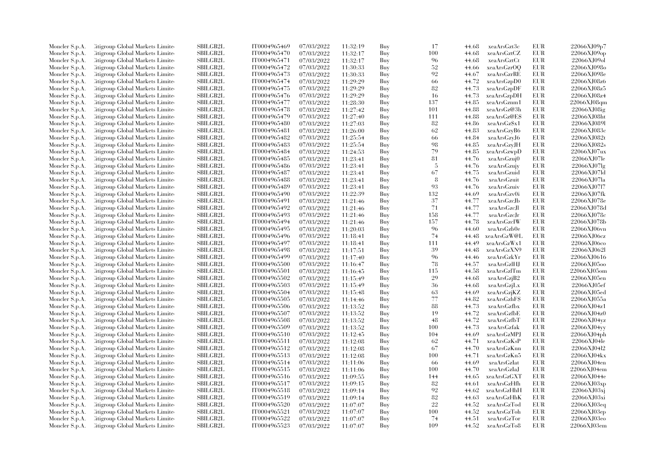| Moncler S.p.A. | Citigroup Global Markets Limite  | SBILGB2L             | IT0004965469 | 07/03/2022 | 11:32:19 | Buy | 17        | 44.68          | xeaArsGzt3c                | EUR        | 22066XJ09p7                |
|----------------|----------------------------------|----------------------|--------------|------------|----------|-----|-----------|----------------|----------------------------|------------|----------------------------|
| Moncler S.p.A. | Citigroup Global Markets Limite  | <b>SBILGB2L</b>      | IT0004965470 | 07/03/2022 | 11:32:17 | Buy | 100       | 44.68          | xeaArsGztCZ                | <b>EUR</b> | 22066XJ09op                |
| Moncler S.p.A. | Citigroup Global Markets Limite  | <b>SBILGB2L</b>      | IT0004965471 | 07/03/2022 | 11:32:17 | Buy | 96        | 44.68          | xeaArsGztCt                | <b>EUR</b> | 22066XJ09ol                |
| Moncler S.p.A. | Citigroup Global Markets Limite  | SBILGB2L             | IT0004965472 | 07/03/2022 | 11:30:33 | Buy | 52        | 44.66          | xeaArsGzrOQ                | EUR        | 22066XJ098o                |
| Moncler S.p.A. | Citigroup Global Markets Limite  | <b>SBILGB2L</b>      | IT0004965473 | 07/03/2022 | 11:30:33 | Buy | 92        | 44.67          | xeaArsGzrRE                | <b>EUR</b> | 22066XJ098e                |
| Moncler S.p.A. | Citigroup Global Markets Limite  | SBILGB2L             | IT0004965474 | 07/03/2022 | 11:29:29 | Buy | 66        | 44.72          | xeaArsGzpD0                | EUR        | 22066XJ08z6                |
| Moncler S.p.A. | Citigroup Global Markets Limite  | SBILGB2L             | IT0004965475 | 07/03/2022 | 11:29:29 | Buy | 82        | 44.73          | xeaArsGzpDF                | <b>EUR</b> | 22066XJ08z5                |
| Moncler S.p.A. | Citigroup Global Markets Limite  | <b>SBILGB2L</b>      | IT0004965476 | 07/03/2022 | 11:29:29 | Buy | 16        | 44.73          | xeaArsGzpDH                | EUR        | 22066XJ08z4                |
| Moncler S.p.A. | Citigroup Global Markets Limite  | <b>SBILGB2L</b>      | IT0004965477 | 07/03/2022 | 11:28:30 | Buy | 137       | 44.85          | xeaArsGznm1                | EUR        | 22066XJ08qm                |
| Moncler S.p.A. | Citigroup Global Markets Limite  | SBILGB2L             | IT0004965478 | 07/03/2022 | 11:27:42 | Buy | 101       | 44.88          | xeaArsGz@3h                | <b>EUR</b> | 22066XJ08ig                |
| Moncler S.p.A. | Citigroup Global Markets Limite  | <b>SBILGB2L</b>      | IT0004965479 | 07/03/2022 | 11:27:40 | Buy | 111       | 44.88          | xeaArsGz@ES                | EUR        | 22066XJ08ht                |
| Moncler S.p.A. | Citigroup Global Markets Limite  | <b>SBILGB2L</b>      | IT0004965480 | 07/03/2022 | 11:27:03 | Buy | 82        | 44.86          | xeaArsGz\$x1               | EUR        | 22066XJ089I                |
| Moncler S.p.A. | Citigroup Global Markets Limite  | <b>SBILGB2L</b>      | IT0004965481 | 07/03/2022 | 11:26:00 | Buy | 62        | 44.83          | xeaArsGzyB6                | EUR        | 22066XJ083c                |
| Moncler S.p.A. | Citigroup Global Markets Limite  | <b>SBILGB2L</b>      | IT0004965482 | 07/03/2022 | 11:25:54 | Buy | 66        | 44.84          | xeaArsGzyJ6                | EUR        | 22066XJ082t                |
| Moncler S.p.A. | Citigroup Global Markets Limite  | <b>SBILGB2L</b>      | IT0004965483 | 07/03/2022 | 11:25:54 | Buy | 98        | 44.85          | xeaArsGzyJH                | EUR        | 22066XJ082s                |
| Moncler S.p.A. | Citigroup Global Markets Limite  | SBILGB2L             | IT0004965484 | 07/03/2022 | 11:24:53 | Buy | 79        | 44.85          | xeaArsGzwpD                | EUR        | 22066XJ07ux                |
| Moncler S.p.A. | Citigroup Global Markets Limite  | SBILGB2L             | IT0004965485 | 07/03/2022 | 11:23:41 | Buy | 81        | 44.76          | xeaArsGzuj0                | EUR        | 22066XJ07le                |
| Moncler S.p.A. | Citigroup Global Markets Limite  | <b>SBILGB2L</b>      | IT0004965486 | 07/03/2022 | 11:23:41 | Buy | 5         | 44.76          | xeaArsGzujy                | EUR        | 22066XJ07lg                |
| Moncler S.p.A. | Citigroup Global Markets Limite  | SBILGB2L             | IT0004965487 | 07/03/2022 | 11:23:41 | Buy | 67        | 44.75          | xeaArsGzuid                | EUR        | 22066XJ07ld                |
| Moncler S.p.A. | Citigroup Global Markets Limite  | <b>SBILGB2L</b>      | IT0004965488 | 07/03/2022 | 11:23:41 | Buy | 8         | 44.76          | xeaArsGzuit                | <b>EUR</b> | 22066XJ07la                |
|                | Citigroup Global Markets Limite  | <b>SBILGB2L</b>      | IT0004965489 |            |          | Buy | 93        | 44.76          | xeaArsGzuiv                | <b>EUR</b> | 22066XJ0717                |
| Moncler S.p.A. |                                  |                      |              | 07/03/2022 | 11:23:41 |     |           |                |                            |            |                            |
| Moncler S.p.A. | Citigroup Global Markets Limite  | SBILGB2L<br>SBILGB2L | IT0004965490 | 07/03/2022 | 11:22:39 | Buy | 132<br>37 | 44.69<br>44.77 | xeaArsGzv0i<br>xeaArsGzcJb | EUR<br>EUR | 22066XJ07fk<br>22066XJ078e |
| Moncler S.p.A. | Citigroup Global Markets Limite  |                      | IT0004965491 | 07/03/2022 | 11:21:46 | Buy | 71        |                |                            |            |                            |
| Moncler S.p.A. | Citigroup Global Markets Limite  | <b>SBILGB2L</b>      | IT0004965492 | 07/03/2022 | 11:21:46 | Buy |           | 44.77          | xeaArsGzcJl                | EUR        | 22066XJ078d                |
| Moncler S.p.A. | Citigroup Global Markets Limite  | <b>SBILGB2L</b>      | IT0004965493 | 07/03/2022 | 11:21:46 | Buy | 158       | 44.77          | xeaArsGzcJr                | EUR        | 22066XJ078c                |
| Moncler S.p.A. | Citigroup Global Markets Limite  | SBILGB2L             | IT0004965494 | 07/03/2022 | 11:21:46 | Buy | 157       | 44.78          | xeaArsGzcIW                | EUR        | 22066XJ078b                |
| Moncler S.p.A. | Citigroup Global Markets Limite  | <b>SBILGB2L</b>      | IT0004965495 | 07/03/2022 | 11:20:03 | Buy | 96        | 44.60          | xeaArsGzb0e                | EUR        | 22066XJ06vn                |
| Moncler S.p.A. | Citigroup Global Markets Limite  | <b>SBILGB2L</b>      | IT0004965496 | 07/03/2022 | 11:18:41 | Buy | 74        | 44.48          | xeaArsGzW@L                | EUR        | 22066XJ06cz                |
| Moncler S.p.A. | Citigroup Global Markets Limite  | SBILGB2L             | IT0004965497 | 07/03/2022 | 11:18:41 | Buy | 111       | 44.49          | xeaArsGzWx1                | EUR        | 22066XJ06co                |
| Moncler S.p.A. | Citigroup Global Markets Limite  | SBILGB2L             | IT0004965498 | 07/03/2022 | 11:17:51 | Buy | 39        | 44.48          | xeaArsGzXN9                | EUR        | 22066XJ062l                |
| Moncler S.p.A. | Citigroup Global Markets Limite  | SBILGB2L             | IT0004965499 | 07/03/2022 | 11:17:40 | Buy | 96        | 44.46          | xeaArsGzkYr                | <b>EUR</b> | 22066XJ0616                |
| Moncler S.p.A. | Citigroup Global Markets Limite  | <b>SBILGB2L</b>      | IT0004965500 | 07/03/2022 | 11:16:47 | Buy | 78        | 44.57          | xeaArsGzlHJ                | <b>EUR</b> | 22066XJ0500                |
| Moncler S.p.A. | Citigroup Global Markets Limite  | <b>SBILGB2L</b>      | IT0004965501 | 07/03/2022 | 11:16:45 | Buy | 115       | 44.58          | xeaArsGzlTm                | EUR        | 22066XJ05om                |
| Moncler S.p.A. | Citigroup Global Markets Limite  | SBILGB2L             | IT0004965502 | 07/03/2022 | 11:15:49 | Buy | 29        | 44.68          | xeaArsGzjB2                | EUR        | 22066XJ05en                |
| Moncler S.p.A. | Citigroup Global Markets Limite  | SBILGB2L             | IT0004965503 | 07/03/2022 | 11:15:49 | Buy | 36        | 44.68          | xeaArsGzjLx                | EUR        | 22066XJ05ef                |
| Moncler S.p.A. | Citigroup Global Markets Limite  | <b>SBILGB2L</b>      | IT0004965504 | 07/03/2022 | 11:15:48 | Buy | 63        | 44.69          | xeaArsGzjKZ                | EUR        | 22066XJ05ed                |
| Moncler S.p.A. | Citigroup Global Markets Limite  | SBILGB2L             | IT0004965505 | 07/03/2022 | 11:14:46 | Buy | 77        | 44.82          | xeaArsGzhFS                | EUR        | 22066XJ055a                |
| Moncler S.p.A. | Citigroup Global Markets Limite  | SBILGB2L             | IT0004965506 | 07/03/2022 | 11:13:52 | Buy | 88        | 44.73          | xeaArsGzfbx                | EUR        | 22066XJ04z1                |
| Moncler S.p.A. | Citigroup Global Markets Limite  | <b>SBILGB2L</b>      | IT0004965507 | 07/03/2022 | 11:13:52 | Buy | 19        | 44.72          | xeaArsGzfbE                | <b>EUR</b> | 22066XJ04z0                |
| Moncler S.p.A. | Citigroup Global Markets Limite  | <b>SBILGB2L</b>      | IT0004965508 | 07/03/2022 | 11:13:52 | Buy | 48        | 44.72          | xeaArsGzfbT                | EUR        | 22066XJ04vz                |
| Moncler S.p.A. | Citigroup Global Markets Limite  | <b>SBILGB2L</b>      | IT0004965509 | 07/03/2022 | 11:13:52 | Buy | 100       | 44.73          | xeaArsGzfak                | <b>EUR</b> | 22066XJ04vv                |
| Moncler S.p.A. | Citigroup Global Markets Limite  | SBILGB2L             | IT0004965510 | 07/03/2022 | 11:12:45 | Buy | 104       | 44.69          | xeaArsGzMPJ                | EUR        | 22066XJ04ph                |
| Moncler S.p.A. | Citigroup Global Markets Limite  | <b>SBILGB2L</b>      | IT0004965511 | 07/03/2022 | 11:12:08 | Buy | 62        | 44.71          | xeaArsGzKsP                | <b>EUR</b> | 22066XJ04le                |
| Moncler S.p.A. | Citigroup Global Markets Limite  | SBILGB2L             | IT0004965512 | 07/03/2022 | 11:12:08 | Buy | -67       | 44.70          | xeaArsGzKnn                | EUR        | 22066XJ04l2                |
| Moncler S.p.A. | Citigroup Global Markets Limite  | <b>SBILGB2L</b>      | IT0004965513 | 07/03/2022 | 11:12:08 | Buy | 100       | 44.71          | xeaArsGzKn5                | EUR        | 22066XJ04kx                |
| Moncler S.p.A. | Citigroup Global Markets Limite  | SBILGB2L             | IT0004965514 | 07/03/2022 | 11:11:06 | Buy | 66        | 44.69          | xeaArsGzIat                | EUR        | 22066XJ04en                |
| Moncler S.p.A. | Citigroup Global Markets Limite  | <b>SBILGB2L</b>      | IT0004965515 | 07/03/2022 | 11:11:06 | Buy | 100       | 44.70          | xeaArsGzIaJ                | <b>EUR</b> | 22066XJ04em                |
| Moncler S.p.A. | Citigroup Global Markets Limite  | <b>SBILGB2L</b>      | IT0004965516 | 07/03/2022 | 11:09:55 | Buy | 144       | 44.65          | xeaArsGzGXT                | EUR        | 22066XJ044e                |
| Moncler S.p.A. | Citigroup Global Markets Limite  | SBILGB2L             | IT0004965517 | 07/03/2022 | 11:09:15 | Buy | 82        | 44.61          | xeaArsGzHfh                | EUR        | 22066XJ03xp                |
| Moncler S.p.A. | Citigroup Global Markets Limite  | SBILGB2L             | IT0004965518 | 07/03/2022 | 11:09:14 | Buy | 92        | 44.62          | xeaArsGzHhH                | EUR        | 22066XJ03xj                |
| Moncler S.p.A. | Citigroup Global Markets Limite  | <b>SBILGB2L</b>      | IT0004965519 | 07/03/2022 | 11:09:14 | Buy | 82        | 44.63          | xeaArsGzHhK                | EUR        | 22066XJ03xi                |
| Moncler S.p.A. | Citigroup Global Markets Limite  | <b>SBILGB2L</b>      | IT0004965520 | 07/03/2022 | 11:07:07 | Buy | 22        | 44.52          | xeaArsGzTod                | EUR        | 22066XJ03eq                |
| Moncler S.p.A. | Citigroup Global Markets Limite  | SBILGB2L             | IT0004965521 | 07/03/2022 | 11:07:07 | Buy | 100       | 44.52          | xeaArsGzToh                | EUR        | 22066XJ03ep                |
| Moncler S.p.A. | Citigroup Global Markets Limite  | <b>SBILGB2L</b>      | IT0004965522 | 07/03/2022 | 11:07:07 | Buy | 74        | 44.51          | xeaArsGzTor                | <b>EUR</b> | 22066XJ03eo                |
| Moncler S.p.A. | Citigroup Global Markets Limited | SBILGB2L             | IT0004965523 | 07/03/2022 | 11:07:07 | Buy | 109       | 44.52          | xeaArsGzTo8                | <b>EUR</b> | 22066XJ03em                |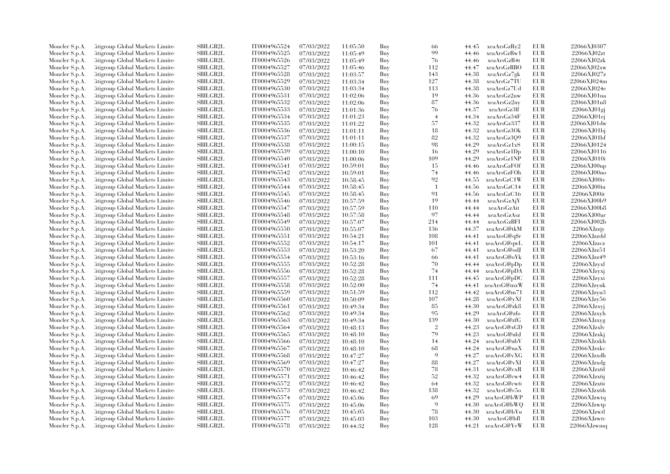| Moncler S.p.A. | Citigroup Global Markets Limite  | <b>SBILGB2L</b>           | IT0004965524 | 07/03/2022 | 11:05:50 | Buy | 66             | 44.45 | xeaArsGzRy2  | EUR        | 22066XJ0307            |
|----------------|----------------------------------|---------------------------|--------------|------------|----------|-----|----------------|-------|--------------|------------|------------------------|
| Moncler S.p.A. | Citigroup Global Markets Limite  | <b>SBILGB2L</b>           | IT0004965525 | 07/03/2022 | 11:05:49 | Buy | 99             | 44.46 | xeaArsGzRw1  | EUR        | 22066XJ02zt            |
| Moncler S.p.A. | Citigroup Global Markets Limite  | SBILGB2L                  | IT0004965526 | 07/03/2022 | 11:05:49 | Buy | 76             | 44.46 | xeaArsGzR4t  | <b>EUR</b> | 22066XJ02zk            |
| Moncler S.p.A. | Citigroup Global Markets Limite  | SBILGB2L                  | IT0004965527 | 07/03/2022 | 11:05:46 | Buy | 112            | 44.47 | xeaArsGzRBO  | EUR        | 22066XJ02xw            |
| Moncler S.p.A. | Citigroup Global Markets Limite  | <b>SBILGB2L</b>           | IT0004965528 | 07/03/2022 | 11:03:57 | Buy | 143            | 44.38 | xeaArsGz7gk  | <b>EUR</b> | 22066XJ027z            |
| Moncler S.p.A. | Citigroup Global Markets Limite  | SBILGB2L                  | IT0004965529 | 07/03/2022 | 11:03:34 | Buy | 127            | 44.38 | xeaArsGz7TU  | EUR        | 22066XJ024m            |
| Moncler S.p.A. | Citigroup Global Markets Limite  | SBILGB2L                  | IT0004965530 | 07/03/2022 | 11:03:34 | Buy | 113            | 44.38 | xeaArsGz7Ud  | <b>EUR</b> | 22066XJ024e            |
| Moncler S.p.A. | Citigroup Global Markets Limite  | <b>SBILGB2L</b>           | IT0004965531 | 07/03/2022 | 11:02:06 | Buy | 19             | 44.36 | xeaArsGz2nw  | EUR        | 22066XJ01na            |
| Moncler S.p.A. | Citigroup Global Markets Limite  | <b>SBILGB2L</b>           | IT0004965532 | 07/03/2022 | 11:02:06 | Buy | 87             | 44.36 | xeaArsGz2ny  | <b>EUR</b> | 22066XJ01n8            |
| Moncler S.p.A. | Citigroup Global Markets Limite  | <b>SBILGB2L</b>           | IT0004965533 | 07/03/2022 | 11:01:36 | Buy | 76             | 44.37 | xeaArsGz3lf  | EUR        | 22066XJ01gj            |
| Moncler S.p.A. | Citigroup Global Markets Limite  | <b>SBILGB2L</b>           | IT0004965534 | 07/03/2022 | 11:01:23 | Buy | $\overline{4}$ | 44.34 | xeaArsGz34F  | EUR        | 22066XJ01ej            |
| Moncler S.p.A. | Citigroup Global Markets Limite  | SBILGB2L                  | IT0004965535 | 07/03/2022 | 11:01:22 | Buy | 57             | 44.32 | xeaArsGz337  | <b>EUR</b> | 22066XJ01dw            |
| Moncler S.p.A. | Citigroup Global Markets Limite  | <b>SBILGB2L</b>           | IT0004965536 | 07/03/2022 | 11:01:11 | Buy | 18             | 44.32 | xeaArsGz30k  | EUR        | 22066XJ01bj            |
|                | Citigroup Global Markets Limite  | <b>SBILGB2L</b>           | IT0004965537 |            |          |     | 82             | 44.32 | xeaArsGz3Q9  | <b>EUR</b> | 22066XJ01bf            |
| Moncler S.p.A. |                                  | SBILGB2L                  | IT0004965538 | 07/03/2022 | 11:01:11 | Buy | 98             | 44.29 |              | EUR        | 22066XJ0124            |
| Moncler S.p.A. | Citigroup Global Markets Limite  | SBILGB2L                  |              | 07/03/2022 | 11:00:15 | Buy |                |       | xeaArsGz1xS  | <b>EUR</b> |                        |
| Moncler S.p.A. | Citigroup Global Markets Limite  |                           | IT0004965539 | 07/03/2022 | 11:00:10 | Buy | -16            | 44.29 | xeaArsGz1Dp  |            | 22066XJ0116            |
| Moncler S.p.A. | Citigroup Global Markets Limite  | SBILGB2L                  | IT0004965540 | 07/03/2022 | 11:00:06 | Buy | 109            | 44.29 | xeaArsGz1NP  | EUR        | 22066XJ010i            |
| Moncler S.p.A. | Citigroup Global Markets Limite  | <b>SBILGB2L</b>           | IT0004965541 | 07/03/2022 | 10:59:01 | Buy | 15             | 44.46 | xeaArsGzFOf  | EUR        | 22066XJ00np            |
| Moncler S.p.A. | Citigroup Global Markets Limite  | SBILGB2L                  | IT0004965542 | 07/03/2022 | 10:59:01 | Buy | 74             | 44.46 | xeaArsGzFOh  | EUR        | 22066XJ00no            |
| Moncler S.p.A. | Citigroup Global Markets Limite  | <b>SBILGB2L</b>           | IT0004965543 | 07/03/2022 | 10:58:45 | Buy | 92             | 44.55 | xeaArsGzC1W  | EUR        | 22066XJ00iv            |
| Moncler S.p.A. | Citigroup Global Markets Limite  | <b>SBILGB2L</b>           | IT0004965544 | 07/03/2022 | 10:58:45 | Buy | $\overline{1}$ | 44.56 | xeaArsGzC14  | <b>EUR</b> | 22066XJ00iu            |
| Moncler S.p.A. | Citigroup Global Markets Limite  | SBILGB2L                  | IT0004965545 | 07/03/2022 | 10:58:45 | Buy | 91             | 44.56 | xeaArsGzC16  | EUR        | 22066XJ00it            |
| Moncler S.p.A. | Citigroup Global Markets Limite  | SBILGB2L                  | IT0004965546 | 07/03/2022 | 10:57:59 | Buy | 19             | 44.44 | xeaArsGzAjY  | <b>EUR</b> | 22066XJ00b9            |
| Moncler S.p.A. | Citigroup Global Markets Limite  | <b>SBILGB2L</b>           | IT0004965547 | 07/03/2022 | 10:57:59 | Buy | 110            | 44.44 | xeaArsGzAit  | EUR        | 22066XJ00b8            |
| Moncler S.p.A. | Citigroup Global Markets Limite  | <b>SBILGB2L</b>           | IT0004965548 | 07/03/2022 | 10:57:58 | Buy | 97             | 44.44 | xeaArsGzAsz  | EUR        | 22066XJ00ar            |
| Moncler S.p.A. | Citigroup Global Markets Limite  | SBILGB2L                  | IT0004965549 | 07/03/2022 | 10:57:07 | Buy | 214            | 44.44 | xeaArsGzBFI  | EUR        | 22066XJ002b            |
| Moncler S.p.A. | Citigroup Global Markets Limite  | $\operatorname{SBILGB2L}$ | IT0004965550 | 07/03/2022 | 10:55:07 | Buy | 136            | 44.37 | xeaArsG@tkM  | <b>EUR</b> | $22066X$ Jzzjy         |
| Moncler S.p.A. | Citigroup Global Markets Limite  | <b>SBILGB2L</b>           | IT0004965551 | 07/03/2022 | 10:54:21 | Buy | 108            | 44.41 | xeaArsG@q\$r | EUR        | 22066XJzzdd            |
| Moncler S.p.A. | Citigroup Global Markets Limite  | SBILGB2L                  | IT0004965552 | 07/03/2022 | 10:54:17 | Buy | 101            | 44.41 | xeaArsG@qwL  | EUR        | 22066XJzzcz            |
| Moncler S.p.A. | Citigroup Global Markets Limite  | SBILGB2L                  | IT0004965553 | 07/03/2022 | 10:53:20 | Buy | 67             | 44.41 | xeaArsG@odJ  | <b>EUR</b> | 22066XJzz51            |
| Moncler S.p.A. | Citigroup Global Markets Limite  | <b>SBILGB2L</b>           | IT0004965554 | 07/03/2022 | 10:53:16 | Buy | 66             | 44.41 | xeaArsG@oYk  | EUR        | 22066XJzz49            |
| Moncler S.p.A. | Citigroup Global Markets Limite  | <b>SBILGB2L</b>           | IT0004965555 | 07/03/2022 | 10:52:28 | Buy | 70             | 44.44 | xeaArsG@pDp  | <b>EUR</b> | 22066XJzyxl            |
| Moncler S.p.A. | Citigroup Global Markets Limite  | <b>SBILGB2L</b>           | IT0004965556 | 07/03/2022 | 10:52:28 | Buy | 74             | 44.44 | xeaArsG@pDA  | EUR        | 22066XJzyxj            |
| Moncler S.p.A. | Citigroup Global Markets Limite  | SBILGB2L                  | IT0004965557 | 07/03/2022 | 10:52:28 | Buy | 111            | 44.45 | xeaArsG@pDC  | <b>EUR</b> | 22066XJzyxi            |
| Moncler S.p.A. | Citigroup Global Markets Limite  | <b>SBILGB2L</b>           | IT0004965558 | 07/03/2022 | 10:52:00 | Buy | 74             | 44.41 | xeaArsG@mxW  | EUR        | 22066XJzyuk            |
| Moncler S.p.A. | Citigroup Global Markets Limite  | <b>SBILGB2L</b>           | IT0004965559 | 07/03/2022 | 10:51:59 | Buy | 112            | 44.42 | xeaArsG@m71  | <b>EUR</b> | 22066XJzyu3            |
| Moncler S.p.A. | Citigroup Global Markets Limite  | SBILGB2L                  | IT0004965560 | 07/03/2022 | 10:50:09 | Buy | 107            | 44.28 | xeaArsG@yXf  | EUR        | 22066XJzy56            |
| Moncler S.p.A. | Citigroup Global Markets Limite  | SBILGB2L                  | IT0004965561 | 07/03/2022 | 10:49:34 | Buy | 85             | 44.30 | xeaArsG@zk8  | EUR        | 22066XJzxyj            |
| Moncler S.p.A. | Citigroup Global Markets Limite  | <b>SBILGB2L</b>           | IT0004965562 | 07/03/2022 | 10:49:34 | Buy | 95             | 44.29 | xeaArsG@zfo  | <b>EUR</b> | 22066XJzxyh            |
| Moncler S.p.A. | Citigroup Global Markets Limite  | <b>SBILGB2L</b>           | IT0004965563 | 07/03/2022 | 10:49:34 | Buy | 139            | 44.30 | xeaArsG@zfG  | EUR        | $22066X$ Jzxyg         |
| Moncler S.p.A. | Citigroup Global Markets Limite  | <b>SBILGB2L</b>           | IT0004965564 | 07/03/2022 | 10:48:13 | Buy | $\overline{2}$ | 44.23 | xeaArsG@xGD  | EUR        | $22066$ XJzxlv         |
| Moncler S.p.A. | Citigroup Global Markets Limite  | SBILGB2L                  | IT0004965565 | 07/03/2022 | 10:48:10 | Buy | 79             | 44.23 | xeaArsG@ubJ  | EUR        | 22066XJzxkj            |
| Moncler S.p.A. | Citigroup Global Markets Limite  | SBILGB2L                  | IT0004965566 | 07/03/2022 | 10:48:10 | Buy | 14             | 44.24 | xeaArsG@ubV  | <b>EUR</b> | 22066XJzxkh            |
| Moncler S.p.A. | Citigroup Global Markets Limite  | SBILGB2L                  | IT0004965567 | 07/03/2022 | 10:48:10 | Buy | 68             | 44.24 | xeaArsG@uaX  | EUR        | 22066XJzxkc            |
|                |                                  | <b>SBILGB2L</b>           |              |            |          |     | $\Omega$       | 44.27 |              | <b>EUR</b> | 22066XJzxdh            |
| Moncler S.p.A. | Citigroup Global Markets Limite  |                           | IT0004965568 | 07/03/2022 | 10:47:27 | Buy |                |       | xeaArsG@vXG  |            |                        |
| Moncler S.p.A. | Citigroup Global Markets Limite  | SBILGB2L                  | IT0004965569 | 07/03/2022 | 10:47:27 | Buy | 88             | 44.27 | xeaArsG@vXI  | EUR        | 22066XJzxdg            |
| Moncler S.p.A. | Citigroup Global Markets Limite  | SBILGB2L                  | IT0004965570 | 07/03/2022 | 10:46:42 | Buy | 78             | 44.31 | xeaArsG@cxR  | EUR        | 22066XJzx6l            |
| Moncler S.p.A. | Citigroup Global Markets Limite  | <b>SBILGB2L</b>           | IT0004965571 | 07/03/2022 | 10:46:42 | Buy | 52             | 44.32 | xeaArsG@cw4  | EUR        | $22066$ XJ $z$ x $6$ j |
| Moncler S.p.A. | Citigroup Global Markets Limite  | <b>SBILGB2L</b>           | IT0004965572 | 07/03/2022 | 10:46:42 | Buy | 64             | 44.32 | xeaArsG@cw6  | EUR        | $22066$ XJzx $6i$      |
| Moncler S.p.A. | Citigroup Global Markets Limite  | SBILGB2L                  | IT0004965573 | 07/03/2022 | 10:46:42 | Buy | 138            | 44.32 | xeaArsG@c5o  | <b>EUR</b> | 22066XJzx6h            |
| Moncler S.p.A. | Citigroup Global Markets Limite  | SBILGB2L                  | IT0004965574 | 07/03/2022 | 10:45:06 | Buy | 69             | 44.29 | xeaArsG@bWP  | EUR        | 22066XJzwtq            |
| Moncler S.p.A. | Citigroup Global Markets Limite  | <b>SBILGB2L</b>           | IT0004965575 | 07/03/2022 | 10:45:06 | Buy | 9              | 44.30 | xeaArsG@bWQ  | EUR        | 22066XJzwtp            |
| Moncler S.p.A. | Citigroup Global Markets Limite  | SBILGB2L                  | IT0004965576 | 07/03/2022 | 10:45:05 | Buy | 78             | 44.30 | xeaArsG@bYu  | EUR        | 22066XJzwtl            |
| Moncler S.p.A. | Citigroup Global Markets Limite  | <b>SBILGB2L</b>           | IT0004965577 | 07/03/2022 | 10:45:03 | Buy | 103            | 44.30 | xeaArsG@bfl  | <b>EUR</b> | 22066XJzwtc            |
| Moncler S.p.A. | Citigroup Global Markets Limited | SBILGB2L                  | IT0004965578 | 07/03/2022 | 10:44:32 | Buy | 128            | 44.21 | xeaArsG@YeW  | EUR        | $22066$ XJzwmq         |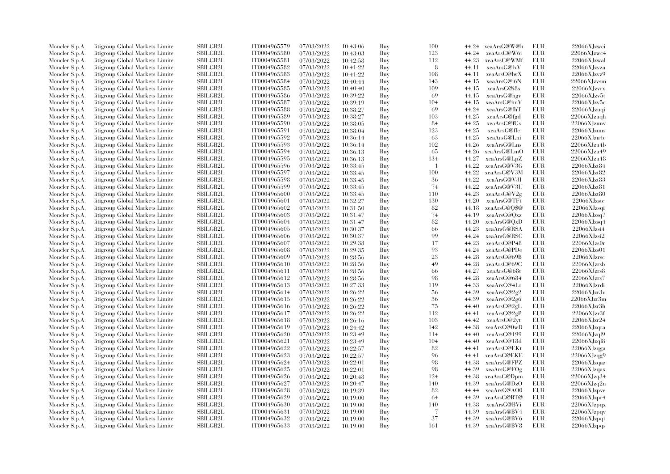| Moncler S.p.A. | Citigroup Global Markets Limite  | SBILGB2L        | IT0004965579 | 07/03/2022 | 10:43:06 | Buy | 100            |       | 44.24 xeaArsG@W@h | EUR        | 22066XJzwci                                 |
|----------------|----------------------------------|-----------------|--------------|------------|----------|-----|----------------|-------|-------------------|------------|---------------------------------------------|
| Moncler S.p.A. | Citigroup Global Markets Limite  | SBILGB2L        | IT0004965580 | 07/03/2022 | 10:43:03 | Buy | 123            | 44.24 | xeaArsG@W6i       | EUR        | 22066XJzwc4                                 |
| Moncler S.p.A. | Citigroup Global Markets Limited | SBILGB2L        | IT0004965581 | 07/03/2022 | 10:42:58 | Buy | 112            | 44.23 | xeaArsG@WMf       | <b>EUR</b> | 22066XJzwal                                 |
| Moncler S.p.A. | Litigroup Global Markets Limite  | SBILGB2L        | IT0004965582 | 07/03/2022 | 10:41:22 | Buy | 8              | 44.11 | xeaArsG@lxV       | EUR        | 22066XJzvza                                 |
| Moncler S.p.A. | Citigroup Global Markets Limite  | <b>SBILGB2L</b> | IT0004965583 | 07/03/2022 | 10:41:22 | Buy | 108            | 44.11 | xeaArsG@lwX       | EUR        | 22066XJzvz9                                 |
| Moncler S.p.A. | Citigroup Global Markets Limite  | SBILGB2L        | IT0004965584 | 07/03/2022 | 10:40:44 | Buy | 143            | 44.15 | xeaArsG@i6N       | <b>EUR</b> | 22066XJzvsm                                 |
| Moncler S.p.A. | Citigroup Global Markets Limited | <b>SBILGB2L</b> | IT0004965585 | 07/03/2022 | 10:40:40 | Buy | 109            | 44.15 | xeaArsG@i8x       | EUR        | 22066XJzvrx                                 |
| Moncler S.p.A. | Litigroup Global Markets Limite  | <b>SBILGB2L</b> | IT0004965586 | 07/03/2022 | 10:39:22 | Buy | 69             | 44.15 | xeaArsG@hgv       | EUR        | $22066$ XJzv $5t$                           |
| Moncler S.p.A. | Citigroup Global Markets Limite  | SBILGB2L        | IT0004965587 | 07/03/2022 | 10:39:19 | Buy | 104            | 44.15 | xeaArsG@hnV       | EUR        | 22066XJzv5c                                 |
| Moncler S.p.A. | Citigroup Global Markets Limite  | SBILGB2L        | IT0004965588 | 07/03/2022 | 10:38:27 | Buy | 69             | 44.24 | xeaArsG@fhT       | <b>EUR</b> | 22066XJzuqi                                 |
| Moncler S.p.A. | Citigroup Global Markets Limite  | <b>SBILGB2L</b> | IT0004965589 | 07/03/2022 | 10:38:27 | Buy | 103            | 44.25 | xeaArsG@fgd       | EUR        | 22066XJzuqh                                 |
| Moncler S.p.A. | Litigroup Global Markets Limite  | <b>SBILGB2L</b> | IT0004965590 | 07/03/2022 | 10:38:05 | Buy | 84             | 44.25 | xeaArsG@fGs       | <b>EUR</b> | 22066XJzunv                                 |
| Moncler S.p.A. | Citigroup Global Markets Limite  | SBILGB2L        | IT0004965591 | 07/03/2022 | 10:38:04 | Buy | 123            | 44.25 | xeaArsG@fIc       | <b>EUR</b> | 22066XJzuns                                 |
| Moncler S.p.A. | Citigroup Global Markets Limited | SBILGB2L        | IT0004965592 | 07/03/2022 | 10:36:14 | Buy | 63             | 44.25 | xeaArsG@Lni       | <b>EUR</b> | 22066XJzu4c                                 |
| Moncler S.p.A. | Litigroup Global Markets Limite  | SBILGB2L        | IT0004965593 | 07/03/2022 | 10:36:14 | Buy | 102            | 44.26 | xeaArsG@Lns       | EUR        | 22066XJzu4b                                 |
|                |                                  |                 |              |            |          |     |                |       |                   | EUR        |                                             |
| Moncler S.p.A. | Litigroup Global Markets Limite  | <b>SBILGB2L</b> | IT0004965594 | 07/03/2022 | 10:36:13 | Buy | 65             | 44.26 | xeaArsG@LmO       |            | 22066XJzu49                                 |
| Moncler S.p.A. | Citigroup Global Markets Limite  | SBILGB2L        | IT0004965595 | 07/03/2022 | 10:36:13 | Buy | 134            | 44.27 | xeaArsG@LpZ       | EUR        | 22066XJzu48                                 |
| Moncler S.p.A. | Citigroup Global Markets Limite  | <b>SBILGB2L</b> | IT0004965596 | 07/03/2022 | 10:33:45 | Buy | $\overline{1}$ | 44.22 | xeaArsG@V3G       | EUR        | 22066XJzt84                                 |
| Moncler S.p.A. | Citigroup Global Markets Limite  | <b>SBILGB2L</b> | IT0004965597 | 07/03/2022 | 10:33:45 | Buy | 100            | 44.22 | xeaArsG@V3M       | EUR        | 22066XJzt82                                 |
| Moncler S.p.A. | Litigroup Global Markets Limite  | <b>SBILGB2L</b> | IT0004965598 | 07/03/2022 | 10:33:45 | Buy | -36            | 44.22 | xeaArsG@V3I       | <b>EUR</b> | 22066XJzt83                                 |
| Moncler S.p.A. | Citigroup Global Markets Limite  | SBILGB2L        | IT0004965599 | 07/03/2022 | 10:33:45 | Buy | 74             | 44.22 | xeaArsG@V3U       | <b>EUR</b> | 22066XJzt81                                 |
| Moncler S.p.A. | Citigroup Global Markets Limite  | SBILGB2L        | IT0004965600 | 07/03/2022 | 10:33:45 | Buy | 110            | 44.23 | xeaArsG@V2g       | EUR        | 22066XJzt80                                 |
| Moncler S.p.A. | Citigroup Global Markets Limite  | <b>SBILGB2L</b> | IT0004965601 | 07/03/2022 | 10:32:27 | Buy | 130            | 44.20 | xeaArsG@TFt       | EUR        | 22066XJzstc                                 |
| Moncler S.p.A. | Citigroup Global Markets Limite  | SBILGB2L        | IT0004965602 | 07/03/2022 | 10:31:50 | Buy | 82             | 44.18 | xeaArsG@Q\$@      | <b>EUR</b> | $22066X$ Jzsqi                              |
| Moncler S.p.A. | Citigroup Global Markets Limite  | <b>SBILGB2L</b> | IT0004965603 | 07/03/2022 | 10:31:47 | Buy | 74             | 44.19 | xeaArsG@Qxz       | EUR        | 22066XJzsq7                                 |
| Moncler S.p.A. | Litigroup Global Markets Limite  | <b>SBILGB2L</b> | IT0004965604 | 07/03/2022 | 10:31:47 | Buy | 82             | 44.20 | xeaArsG@QxD       | EUR        | $22066X$ Jzsq $4$                           |
| Moncler S.p.A. | Citigroup Global Markets Limite  | <b>SBILGB2L</b> | IT0004965605 | 07/03/2022 | 10:30:37 | Buy | 66             | 44.23 | xeaArsG@RSA       | EUR        | 22066XJzsi4                                 |
| Moncler S.p.A. | Citigroup Global Markets Limite  | SBILGB2L        | IT0004965606 | 07/03/2022 | 10:30:37 | Buy | 99             | 44.24 | xeaArsG@RSC       | <b>EUR</b> | $22066\mbox{XJ}\mbox{z}\mbox{s} \mbox{i} 2$ |
| Moncler S.p.A. | Litigroup Global Markets Limite  | SBILGB2L        | IT0004965607 | 07/03/2022 | 10:29:38 | Buy | 17             | 44.23 | xeaArsG@P48       | EUR        | $22066X$ Jzs0r                              |
| Moncler S.p.A. | Litigroup Global Markets Limite  | <b>SBILGB2L</b> | IT0004965608 | 07/03/2022 | 10:29:35 | Buy | 93             | 44.24 | xeaArsG@PDe       | EUR        | 22066XJzs01                                 |
| Moncler S.p.A. | Litigroup Global Markets Limite  | <b>SBILGB2L</b> | IT0004965609 | 07/03/2022 | 10:28:56 | Buy | 23             | 44.28 | xeaArsG@69B       | <b>EUR</b> | $22066X$ Jzrsc                              |
| Moncler S.p.A. | Citigroup Global Markets Limite  | SBILGB2L        | IT0004965610 | 07/03/2022 | 10:28:56 | Buy | 49             | 44.28 | xeaArsG@69C       | <b>EUR</b> | $22066X$ Jzrsb                              |
| Moncler S.p.A. | Citigroup Global Markets Limite  | SBILGB2L        | IT0004965611 | 07/03/2022 | 10:28:56 | Buy | 66             | 44.27 | xeaArsG@68t       | EUR        | 22066XJzrs8                                 |
| Moncler S.p.A. | Citigroup Global Markets Limite  | <b>SBILGB2L</b> | IT0004965612 | 07/03/2022 | 10:28:56 | Buy | 98             | 44.28 | xeaArsG@684       | EUR        | 22066XJzrs7                                 |
| Moncler S.p.A. | Citigroup Global Markets Limite  | SBILGB2L        | IT0004965613 | 07/03/2022 | 10:27:33 | Buy | 119            | 44.33 | xeaArsG@4Lr       | <b>EUR</b> | 22066XJzrdi                                 |
| Moncler S.p.A. | Citigroup Global Markets Limite  | <b>SBILGB2L</b> | IT0004965614 | 07/03/2022 | 10:26:22 | Buy | 56             | 44.39 | xeaArsG@2g2       | EUR        | 22066XJzr3v                                 |
| Moncler S.p.A. | Litigroup Global Markets Limite  | <b>SBILGB2L</b> | IT0004965615 | 07/03/2022 | 10:26:22 | Buy | 36             | 44.39 | xeaArsG@2g6       | EUR        | 22066XJzr3m                                 |
| Moncler S.p.A. | Citigroup Global Markets Limite  | <b>SBILGB2L</b> | IT0004965616 | 07/03/2022 | 10:26:22 | Buy | 75             | 44.40 | xeaArsG@2gL       | EUR        | $22066X$ Jzr $3h$                           |
| Moncler S.p.A. | Citigroup Global Markets Limite  | <b>SBILGB2L</b> | IT0004965617 | 07/03/2022 | 10:26:22 | Buy | 112            | 44.41 | xeaArsG@2gP       | <b>EUR</b> | 22066XJzr3f                                 |
| Moncler S.p.A. | Litigroup Global Markets Limite  | SBILGB2L        | IT0004965618 | 07/03/2022 | 10:26:16 | Buy | 103            | 44.42 | xeaArsG@2yt       | EUR        | 22066XJzr24                                 |
| Moncler S.p.A. | Litigroup Global Markets Limite  | <b>SBILGB2L</b> | IT0004965619 | 07/03/2022 | 10:24:42 | Buy | 142            | 44.38 | xeaArsG@0wD       | EUR        | $22066$ XJzqra                              |
| Moncler S.p.A. | Citigroup Global Markets Limite  | SBILGB2L        | IT0004965620 | 07/03/2022 | 10:23:49 | Buy | 114            | 44.40 | xeaArsG@199       | EUR        | $22066$ XJzql9                              |
| Moncler S.p.A. | Citigroup Global Markets Limite  | SBILGB2L        | IT0004965621 | 07/03/2022 | 10:23:49 | Buy | 104            | 44.40 | xeaArsG@18d       | <b>EUR</b> | 22066XJzql8                                 |
| Moncler S.p.A. | Litigroup Global Markets Limite  | <b>SBILGB2L</b> | IT0004965622 | 07/03/2022 | 10:22:57 | Buy | 82             | 44.41 | xeaArsG@EKt       | EUR        | 22066XJzqga                                 |
|                |                                  | <b>SBILGB2L</b> |              |            |          |     | 96             | 44.41 |                   | EUR        | 22066XJzqg9                                 |
| Moncler S.p.A. | Litigroup Global Markets Limite  |                 | IT0004965623 | 07/03/2022 | 10:22:57 | Buy | 98             |       | xeaArsG@EKE       | <b>EUR</b> |                                             |
| Moncler S.p.A. | Citigroup Global Markets Limite  | <b>SBILGB2L</b> | IT0004965624 | 07/03/2022 | 10:22:01 | Buy |                | 44.38 | xeaArsG@FPZ       |            | 22066XJzqaz                                 |
| Moncler S.p.A. | Citigroup Global Markets Limite  | <b>SBILGB2L</b> | IT0004965625 | 07/03/2022 | 10:22:01 | Buy | 98             | 44.39 | xeaArsG@FOg       | EUR        | $22066X$ Jzqax                              |
| Moncler S.p.A. | Litigroup Global Markets Limite  | <b>SBILGB2L</b> | IT0004965626 | 07/03/2022 | 10:20:48 | Buy | 124            | 44.38 | xeaArsG@Dpm       | EUR        | 22066XJzq34                                 |
| Moncler S.p.A. | Citigroup Global Markets Limite  | <b>SBILGB2L</b> | IT0004965627 | 07/03/2022 | 10:20:47 | Buy | 140            | 44.39 | xeaArsG@DzO       | EUR        | 22066XJzq2n                                 |
| Moncler S.p.A. | Citigroup Global Markets Limite  | <b>SBILGB2L</b> | IT0004965628 | 07/03/2022 | 10:19:39 | Buy | 82             | 44.44 | xeaArsG@AO0       | <b>EUR</b> | 22066XJzpve                                 |
| Moncler S.p.A. | Litigroup Global Markets Limite  | <b>SBILGB2L</b> | IT0004965629 | 07/03/2022 | 10:19:00 | Buy | 64             | 44.39 | xeaArsG@BT@       | EUR        | 22066XJzpr4                                 |
| Moncler S.p.A. | Litigroup Global Markets Limite  | <b>SBILGB2L</b> | IT0004965630 | 07/03/2022 | 10:19:00 | Buy | 140            | 44.38 | xeaArsG@BVi       | <b>EUR</b> | 22066XJzpqx                                 |
| Moncler S.p.A. | Citigroup Global Markets Limite  | SBILGB2L        | IT0004965631 | 07/03/2022 | 10:19:00 | Buy | $\overline{7}$ | 44.39 | xeaArsG@BV4       | EUR        | 22066XJzpqv                                 |
| Moncler S.p.A. | Citigroup Global Markets Limite  | <b>SBILGB2L</b> | IT0004965632 | 07/03/2022 | 10:19:00 | Buy | 37             | 44.39 | xeaArsG@BV6       | <b>EUR</b> | 22066XJzpqt                                 |
| Moncler S.p.A. | Citigroup Global Markets Limited | SBILGB2L        | IT0004965633 | 07/03/2022 | 10:19:00 | Buy | 161            | 44.39 | xeaArsG@BV8       | EUR        | 22066XJzpqs                                 |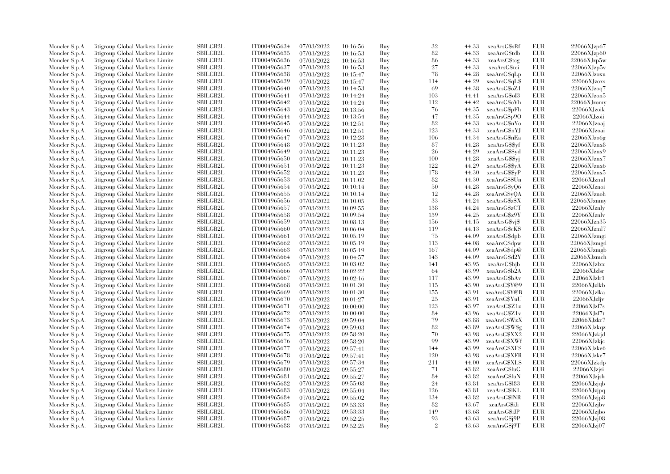| Moncler S.p.A. | Citigroup Global Markets Limite         | <b>SBILGB2L</b> | IT0004965634 | 07/03/2022 | 10:16:56 | Buy | 32             | 44.33 | xeaArsG\$sRf  | EUR        | 22066XJzp67       |
|----------------|-----------------------------------------|-----------------|--------------|------------|----------|-----|----------------|-------|---------------|------------|-------------------|
| Moncler S.p.A. | Citigroup Global Markets Limite         | <b>SBILGB2L</b> | IT0004965635 | 07/03/2022 | 10:16:53 | Buy | 82             | 44.33 | xeaArsG\$tdb  | <b>EUR</b> | 22066XJzp60       |
| Moncler S.p.A. | <b>Citigroup Global Markets Limited</b> | SBILGB2L        | IT0004965636 |            |          |     | 86             |       |               | EUR        | 22066XJzp5w       |
|                |                                         |                 |              | 07/03/2022 | 10:16:53 | Buy | 27             | 44.33 | xeaArsG\$tcg  |            |                   |
| Moncler S.p.A. | Citigroup Global Markets Limite         | <b>SBILGB2L</b> | IT0004965637 | 07/03/2022 | 10:16:53 | Buy |                | 44.33 | xeaArsG\$tci  | <b>EUR</b> | 22066XJzp5v       |
| Moncler S.p.A. | Citigroup Global Markets Limite         | <b>SBILGB2L</b> | IT0004965638 | 07/03/2022 | 10:15:47 | Buy | 78             | 44.28 | xeaArsG\$qLp  | <b>EUR</b> | 22066XJzoxu       |
| Moncler S.p.A. | Citigroup Global Markets Limite         | SBILGB2L        | IT0004965639 | 07/03/2022 | 10:15:47 | Buy | 114            | 44.29 | xeaArsG\$qL\$ | EUR        | 22066XJzoxs       |
| Moncler S.p.A. | <b>Citigroup Global Markets Limited</b> | SBILGB2L        | IT0004965640 | 07/03/2022 | 10:14:53 | Buy | 69             | 44.38 | xeaArsG\$oZ1  | <b>EUR</b> | 22066XJzoq7       |
| Moncler S.p.A. | Citigroup Global Markets Limite         | <b>SBILGB2L</b> | IT0004965641 | 07/03/2022 | 10:14:24 | Buy | 103            | 44.41 | xeaArsGSoI3   | <b>EUR</b> | 22066XJzon5       |
| Moncler S.p.A. | Citigroup Global Markets Limited        | <b>SBILGB2L</b> | IT0004965642 | 07/03/2022 | 10:14:24 | Buy | 112            | 44.42 | xeaArsG\$oVh  | <b>EUR</b> | 22066XJzomy       |
| Moncler S.p.A. | Citigroup Global Markets Limite         | <b>SBILGB2L</b> | IT0004965643 | 07/03/2022 | 10:13:56 | Buy | 76             | 44.35 | xeaArsG\$pFh  | EUR        | 22066XJzoik       |
| Moncler S.p.A. | <b>Citigroup Global Markets Limited</b> | SBILGB2L        | IT0004965644 | 07/03/2022 | 10:13:54 | Buy | 47             | 44.35 | xeaArsG\$p9O  | <b>EUR</b> | 22066XJzoii       |
| Moncler S.p.A. | Citigroup Global Markets Limite         | <b>SBILGB2L</b> | IT0004965645 | 07/03/2022 | 10:12:51 | Buy | 82             | 44.33 | xeaArsG\$nYo  | <b>EUR</b> | 22066XJzoaj       |
| Moncler S.p.A. | Citigroup Global Markets Limite         | <b>SBILGB2L</b> | IT0004965646 | 07/03/2022 | 10:12:51 | Buy | 123            | 44.33 | xeaArsG\$nYJ  | <b>EUR</b> | 22066XJzoai       |
| Moncler S.p.A. | Citigroup Global Markets Limite         | <b>SBILGB2L</b> | IT0004965647 | 07/03/2022 | 10:12:28 | Buy | 106            | 44.34 | xeaArsG\$nEa  | <b>EUR</b> | 22066XJzo6g       |
| Moncler S.p.A. | Citigroup Global Markets Limite         | <b>SBILGB2L</b> | IT0004965648 | 07/03/2022 | 10:11:23 | Buy | 87             | 44.28 | xeaArsG\$\$yf | <b>EUR</b> | 22066XJznx8       |
| Moncler S.p.A. | Citigroup Global Markets Limite         | SBILGB2L        | IT0004965649 | 07/03/2022 | 10:11:23 | Buy | 26             | 44.29 | xeaArsG\$\$yd | <b>EUR</b> | 22066XJznx9       |
| Moncler S.p.A. | Citigroup Global Markets Limite         | <b>SBILGB2L</b> | IT0004965650 | 07/03/2022 | 10:11:23 | Buy | 100            | 44.28 | xeaArsG\$\$yj | EUR        | 22066XJznx7       |
| Moncler S.p.A. | Citigroup Global Markets Limite         | <b>SBILGB2L</b> | IT0004965651 | 07/03/2022 |          | Buy | 122            | 44.29 | xeaArsG\$\$yA | EUR        | 22066XJznx6       |
|                |                                         | SBILGB2L        |              |            | 10:11:23 |     | 178            |       |               | EUR        | 22066XJznx5       |
| Moncler S.p.A. | Citigroup Global Markets Limite         |                 | IT0004965652 | 07/03/2022 | 10:11:23 | Buy |                | 44.30 | xeaArsG\$\$yP |            |                   |
| Moncler S.p.A. | Citigroup Global Markets Limite         | <b>SBILGB2L</b> | IT0004965653 | 07/03/2022 | 10:11:02 | Buy | 82             | 44.30 | xeaArsG\$\$Un | <b>EUR</b> | 22066XJznul       |
| Moncler S.p.A. | Citigroup Global Markets Limite         | <b>SBILGB2L</b> | IT0004965654 | 07/03/2022 | 10:10:14 | Buy | 50             | 44.28 | xeaArsG\$yQ6  | EUR        | 22066XJznoi       |
| Moncler S.p.A. | Citigroup Global Markets Limite         | SBILGB2L        | IT0004965655 | 07/03/2022 | 10:10:14 | Buy | 12             | 44.28 | xeaArsG\$yQA  | <b>EUR</b> | 22066XJznoh       |
| Moncler S.p.A. | Citigroup Global Markets Limite         | SBILGB2L        | IT0004965656 | 07/03/2022 | 10:10:05 | Buy | 33             | 44.24 | xeaArsG\$z\$X | EUR        | 22066XJznmy       |
| Moncler S.p.A. | <b>Eitigroup Global Markets Limited</b> | <b>SBILGB2L</b> | IT0004965657 | 07/03/2022 | 10:09:55 | Buy | 138            | 44.24 | xeaArsG\$zCT  | <b>EUR</b> | 22066XJznly       |
| Moncler S.p.A. | Citigroup Global Markets Limite         | <b>SBILGB2L</b> | IT0004965658 | 07/03/2022 | 10:09:54 | Buy | 139            | 44.25 | xeaArsG\$z9Y  | <b>EUR</b> | 22066XJznlv       |
| Moncler S.p.A. | Citigroup Global Markets Limited        | SBILGB2L        | IT0004965659 | 07/03/2022 | 10:08:13 | Buy | 156            | 44.15 | xeaArsG\$vj\$ | EUR        | 22066XJzn35       |
| Moncler S.p.A. | Citigroup Global Markets Limite         | SBILGB2L        | IT0004965660 | 07/03/2022 | 10:06:04 | Buy | 119            | 44.13 | xeaArsG\$cKS  | <b>EUR</b> | 22066XJzml7       |
| Moncler S.p.A. | Citigroup Global Markets Limite         | <b>SBILGB2L</b> | IT0004965661 | 07/03/2022 | 10:05:19 | Buy | 75             | 44.09 | xeaArsG\$dpb  | EUR        | 22066XJzmgi       |
| Moncler S.p.A. | Citigroup Global Markets Limite         | <b>SBILGB2L</b> | IT0004965662 | 07/03/2022 | 10:05:19 | Buy | 113            | 44.08 | xeaArsG\$dpw  | <b>EUR</b> | 22066XJzmgd       |
| Moncler S.p.A. | <b>Citigroup Global Markets Limited</b> | SBILGB2L        | IT0004965663 | 07/03/2022 | 10:05:19 | Buy | 167            | 44.09 | xeaArsG\$dp@  | <b>EUR</b> | 22066XJzmgb       |
| Moncler S.p.A. | <b>Citigroup Global Markets Limited</b> | SBILGB2L        | IT0004965664 | 07/03/2022 | 10:04:57 | Buy | 143            | 44.09 | xeaArsG\$d2Y  | <b>EUR</b> | 22066XJzmch       |
| Moncler S.p.A. | Citigroup Global Markets Limite         | <b>SBILGB2L</b> | IT0004965665 | 07/03/2022 | 10:03:02 | Buy | 141            | 43.95 | xeaArsG\$bjb  | <b>EUR</b> | $22066$ XJzlxx    |
| Moncler S.p.A. | Citigroup Global Markets Limite         | <b>SBILGB2L</b> | IT0004965666 | 07/03/2022 | 10:02:22 | Buy | -64            | 43.99 | xeaArsG\$b2A  | <b>EUR</b> | 22066XJzlsr       |
| Moncler S.p.A. | Citigroup Global Markets Limite         | SBILGB2L        | IT0004965667 | 07/03/2022 | 10:02:16 | Buy | 117            | 43.99 | xeaArsG\$bAv  | <b>EUR</b> | 22066XJzlr1       |
| Moncler S.p.A. | <b>Eitigroup Global Markets Limited</b> | <b>SBILGB2L</b> | IT0004965668 | 07/03/2022 | 10:01:30 | Buy | 115            | 43.90 | xeaArsG\$Y@9  | <b>EUR</b> | 22066XJzlkb       |
|                | Citigroup Global Markets Limite         | <b>SBILGB2L</b> | IT0004965669 |            |          | Buy | 155            | 43.91 | xeaArsG\$Y@B  | EUR        | 22066XJzlka       |
| Moncler S.p.A. |                                         |                 |              | 07/03/2022 | 10:01:30 |     |                |       |               |            |                   |
| Moncler S.p.A. | Citigroup Global Markets Limite         | SBILGB2L        | IT0004965670 | 07/03/2022 | 10:01:27 | Buy | 25             | 43.91 | xeaArsG\$YuU  | <b>EUR</b> | $22066$ XJzljv    |
| Moncler S.p.A. | <b>Citigroup Global Markets Limited</b> | SBILGB2L        | IT0004965671 | 07/03/2022 | 10:00:00 | Buy | 123            | 43.97 | xeaArsG\$Z1z  | <b>EUR</b> | 22066XJzl7s       |
| Moncler S.p.A. | Citigroup Global Markets Limite         | <b>SBILGB2L</b> | IT0004965672 | 07/03/2022 | 10:00:00 | Buy | 84             | 43.96 | xeaArsG\$Z1v  | EUR        | 22066XJzl7t       |
| Moncler S.p.A. | Citigroup Global Markets Limite         | <b>SBILGB2L</b> | IT0004965673 | 07/03/2022 | 09:59:04 | Buy | 79             | 43.88 | xeaArsGSWzX   | <b>EUR</b> | 22066XJzkr7       |
| Moncler S.p.A. | Citigroup Global Markets Limited        | <b>SBILGB2L</b> | IT0004965674 | 07/03/2022 | 09:59:03 | Buy | 82             | 43.89 | xeaArsGSW\$g  | <b>EUR</b> | 22066XJzkqz       |
| Moncler S.p.A. | Citigroup Global Markets Limite         | SBILGB2L        | IT0004965675 | 07/03/2022 | 09:58:20 | Buy | 70             | 43.98 | xeaArsG\$XX2  | EUR        | 22066XJzkjd       |
| Moncler S.p.A. | <b>Citigroup Global Markets Limited</b> | SBILGB2L        | IT0004965676 | 07/03/2022 | 09:58:20 | Buy | 99             | 43.99 | xeaArsGSXWf   | <b>EUR</b> | 22066XJzkjc       |
| Moncler S.p.A. | Citigroup Global Markets Limite         | <b>SBILGB2L</b> | IT0004965677 | 07/03/2022 | 09:57:41 | Buy | 144            | 43.99 | xeaArsG\$XFS  | <b>EUR</b> | 22066XJzke6       |
| Moncler S.p.A. | <b>Citigroup Global Markets Limited</b> | <b>SBILGB2L</b> | IT0004965678 | 07/03/2022 | 09:57:41 | Buy | 120            | 43.98 | xeaArsG\$XFR  | <b>EUR</b> | 22066XJzke7       |
| Moncler S.p.A. | Citigroup Global Markets Limite         | SBILGB2L        | IT0004965679 | 07/03/2022 | 09:57:34 | Buy | 211            | 44.00 | xeaArsG\$XLS  | EUR        | 22066XJzkdp       |
| Moncler S.p.A. | <b>Eitigroup Global Markets Limited</b> | <b>SBILGB2L</b> | IT0004965680 | 07/03/2022 | 09:55:27 | Buy | 71             | 43.82 | xeaArsG\$luG  | <b>EUR</b> | 22066XJzjsi       |
| Moncler S.p.A. | Citigroup Global Markets Limited        | <b>SBILGB2L</b> | IT0004965681 | 07/03/2022 | 09:55:27 | Buy | 84             | 43.82 | xeaArsG\$luN  | <b>EUR</b> | 22066XJzish       |
| Moncler S.p.A. | Citigroup Global Markets Limite         | <b>SBILGB2L</b> | IT0004965682 | 07/03/2022 | 09:55:08 | Buy | 24             | 43.81 | xeaArsG\$183  | <b>EUR</b> | $22066$ XJzjqb    |
| Moncler S.p.A. | <b>Citigroup Global Markets Limited</b> | SBILGB2L        | IT0004965683 | 07/03/2022 | 09:55:04 | Buy | 126            | 43.81 | xeaArsG\$IKL  | <b>EUR</b> | 22066XJzjpq       |
| Moncler S.p.A. | Citigroup Global Markets Limite         | <b>SBILGB2L</b> | IT0004965684 | 07/03/2022 | 09:55:02 | Buy | 134            | 43.82 | xeaArsG\$lNR  | <b>EUR</b> | 22066XJzjp8       |
| Moncler S.p.A. | Citigroup Global Markets Limite         | <b>SBILGB2L</b> | IT0004965685 | 07/03/2022 | 09:53:33 | Buy | 82             | 43.67 | xeaArsGSiJi   | <b>EUR</b> | $22066$ XJzjbv    |
| Moncler S.p.A. | Citigroup Global Markets Limite         | SBILGB2L        | IT0004965686 | 07/03/2022 | 09:53:33 | Buy | 149            | 43.68 | xeaArsG\$iJP  | EUR        | 22066XJzjbo       |
| Moncler S.p.A. | <b>Citigroup Global Markets Limited</b> | SBILGB2L        | IT0004965687 | 07/03/2022 | 09:52:25 | Buy | 93             | 43.63 | xeaArsG\$j9P  | <b>EUR</b> | 22066XJzj08       |
|                |                                         | SBILGB2L        | IT0004965688 | 07/03/2022 |          | Buy | $\mathfrak{D}$ | 43.63 |               | <b>EUR</b> | $22066$ XJzj $07$ |
| Moncler S.p.A. | Citigroup Global Markets Limited        |                 |              |            | 09:52:25 |     |                |       | xeaArsG\$j9T  |            |                   |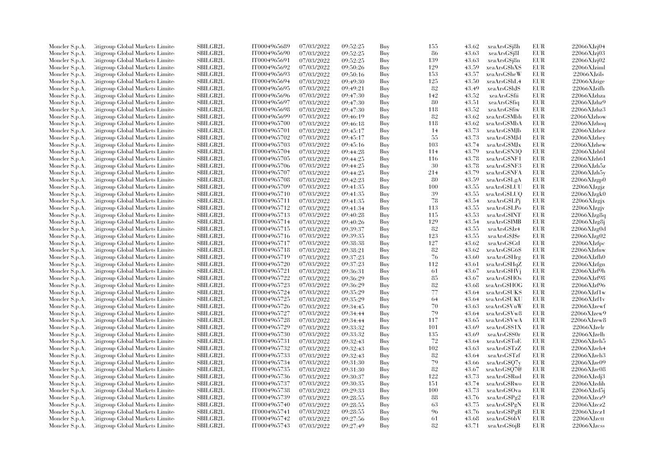| Moncler S.p.A.                   | <b>Citigroup Global Markets Limited</b>                                    | <b>SBILGB2L</b> | IT0004965689 | 07/03/2022               | 09:52:25             | Buy        | 155    | 43.62 | xeaArsG\$j8h                  | EUR               | $22066$ XJzj $04$    |
|----------------------------------|----------------------------------------------------------------------------|-----------------|--------------|--------------------------|----------------------|------------|--------|-------|-------------------------------|-------------------|----------------------|
| Moncler S.p.A.                   | Citigroup Global Markets Limite                                            | SBILGB2L        | IT0004965690 | 07/03/2022               | 09:52:25             | Buy        | 86     | 43.63 | xeaArsG\$j8l                  | EUR               | 22066XJzj03          |
| Moncler S.p.A.                   | <b>Citigroup Global Markets Limited</b>                                    | SBILGB2L        | IT0004965691 | 07/03/2022               | 09:52:25             | Buy        | 139    | 43.63 | xeaArsG\$j8n                  | <b>EUR</b>        | 22066XJzj02          |
| Moncler S.p.A.                   | Citigroup Global Markets Limite                                            | <b>SBILGB2L</b> | IT0004965692 | 07/03/2022               | 09:50:26             | Buy        | 129    | 43.59 | xeaArsGShXS                   | EUR               | 22066XJziml          |
| Moncler S.p.A.                   | Citigroup Global Markets Limited                                           | <b>SBILGB2L</b> | IT0004965693 | 07/03/2022               | 09:50:16             | Buy        | 153    | 43.57 | xeaArsG\$heW                  | <b>EUR</b>        | 22066XJzils          |
| Moncler S.p.A.                   | Citigroup Global Markets Limite                                            | SBILGB2L        | IT0004965694 | 07/03/2022               | 09:49:30             | Buy        | 125    | 43.50 | xeaArsG\$hL4                  | EUR               | 22066XJzige          |
| Moncler S.p.A.                   | <b>Citigroup Global Markets Limited</b>                                    | <b>SBILGB2L</b> | IT0004965695 | 07/03/2022               | 09:49:21             | Buy        | 82     | 43.49 | xeaArsGShJS                   | <b>EUR</b>        | 22066XJzifh          |
| Moncler S.p.A.                   | Citigroup Global Markets Limite                                            | <b>SBILGB2L</b> | IT0004965696 | 07/03/2022               | 09:47:30             | Buy        | 142    | 43.52 | xeaArsG\$fii                  | <b>EUR</b>        | 22066XJzhza          |
| Moncler S.p.A.                   | Citigroup Global Markets Limited                                           | <b>SBILGB2L</b> | IT0004965697 | 07/03/2022               | 09:47:30             | Buy        | 80     | 43.51 | xeaArsG\$fiq                  | EUR               | 22066XJzhz9          |
| Moncler S.p.A.                   | <b>Citigroup Global Markets Limited</b>                                    | SBILGB2L        | IT0004965698 | 07/03/2022               | 09:47:30             | Buy        | 118    | 43.52 | xeaArsG\$fiw                  | <b>EUR</b>        | 22066XJzhz3          |
| Moncler S.p.A.                   | Citigroup Global Markets Limite                                            | <b>SBILGB2L</b> | IT0004965699 | 07/03/2022               | 09:46:19             | Buy        | 82     | 43.62 | xeaArsG\$Mbh                  | <b>EUR</b>        | 22066XJzhow          |
| Moncler S.p.A.                   | Citigroup Global Markets Limite                                            | <b>SBILGB2L</b> | IT0004965700 | 07/03/2022               | 09:46:18             | Buy        | 118    | 43.62 | xeaArsG\$MbA                  | <b>EUR</b>        | $22066X$ Jzhoq       |
| Moncler S.p.A.                   | Citigroup Global Markets Limite                                            | SBILGB2L        | IT0004965701 | 07/03/2022               | 09:45:17             | Buy        | 14     | 43.73 | xeaArsG\$MJb                  | EUR               | $22066X$ Jzhez       |
| Moncler S.p.A.                   | <b>Citigroup Global Markets Limited</b>                                    | SBILGB2L        | IT0004965702 | 07/03/2022               | 09:45:17             | Buy        | 55     | 43.73 | xeaArsG\$MJd                  | <b>EUR</b>        | 22066XJzhey          |
| Moncler S.p.A.                   | Citigroup Global Markets Limite                                            | <b>SBILGB2L</b> | IT0004965703 | 07/03/2022               | 09:45:16             | Buy        | 103    | 43.74 | xeaArsG\$MJx                  | <b>EUR</b>        | 22066XJzhew          |
| Moncler S.p.A.                   | Citigroup Global Markets Limited                                           | <b>SBILGB2L</b> | IT0004965704 | 07/03/2022               | 09:44:28             | Buy        | 114    | 43.79 | xeaArsG\$N3Q                  | <b>EUR</b>        | 22066XJzh6l          |
| Moncler S.p.A.                   | Citigroup Global Markets Limite                                            | SBILGB2L        | IT0004965705 | 07/03/2022               | 09:44:25             | Buy        | 116    | 43.78 | xeaArsG\$NF1                  | <b>EUR</b>        | 22066XJzh61          |
| Moncler S.p.A.                   | <b>Citigroup Global Markets Limited</b>                                    | <b>SBILGB2L</b> | IT0004965706 | 07/03/2022               | 09:44:25             | Buy        | 30     | 43.78 | xeaArsG\$NF3                  | <b>EUR</b>        | 22066XJzh5z          |
| Moncler S.p.A.                   | Citigroup Global Markets Limite                                            | <b>SBILGB2L</b> | IT0004965707 | 07/03/2022               | 09:44:25             | Buy        | 214    | 43.79 | xeaArsG\$NFA                  | <b>EUR</b>        | 22066XJzh5v          |
| Moncler S.p.A.                   | Citigroup Global Markets Limite                                            | <b>SBILGB2L</b> | IT0004965708 | 07/03/2022               | 09:42:23             | Buy        | 80     | 43.59 | xeaArsGSLgA                   | <b>EUR</b>        | 22066XJzgp0          |
| Moncler S.p.A.                   | Citigroup Global Markets Limite                                            | SBILGB2L        | IT0004965709 | 07/03/2022               | 09:41:35             | Buy        | 100    | 43.55 | xeaArsG\$LUU                  | <b>EUR</b>        | 22066XJzgjz          |
| Moncler S.p.A.                   | <b>Eitigroup Global Markets Limited</b>                                    | SBILGB2L        | IT0004965710 | 07/03/2022               | 09:41:35             | Buy        | 39     | 43.55 | xeaArsGSLUQ                   | <b>EUR</b>        | 22066XJzgk0          |
| Moncler S.p.A.                   | Citigroup Global Markets Limite                                            | <b>SBILGB2L</b> | IT0004965711 | 07/03/2022               | 09:41:35             | Buy        | 78     | 43.54 | xeaArsG\$LPj                  | <b>EUR</b>        | 22066XJzgjx          |
| Moncler S.p.A.                   | Citigroup Global Markets Limite                                            | SBILGB2L        | IT0004965712 | 07/03/2022               | 09:41:34             | Buy        | 113    | 43.55 | xeaArsG\$LPo                  | EUR               | 22066XJzgjv          |
| Moncler S.p.A.                   | <b>Eitigroup Global Markets Limited</b>                                    | <b>SBILGB2L</b> | IT0004965713 | 07/03/2022               | 09:40:28             | Buy        | 115    | 43.53 | xeaArsG\$INT                  | <b>EUR</b>        | $22066$ XJzg $8q$    |
|                                  | Citigroup Global Markets Limite                                            | <b>SBILGB2L</b> | IT0004965714 | 07/03/2022               | 09:40:26             | Buy        | 129    | 43.54 | xeaArsGSIMB                   | <b>EUR</b>        | $22066$ XJzg $8$ j   |
| Moncler S.p.A.                   | Citigroup Global Markets Limite                                            | <b>SBILGB2L</b> | IT0004965715 | 07/03/2022               | 09:39:37             | Buy        | 82     | 43.55 | xeaArsG\$Jz4                  | <b>EUR</b>        | $22066$ XJzg $0d$    |
| Moncler S.p.A.                   |                                                                            | SBILGB2L        | IT0004965716 |                          |                      |            | 123    | 43.55 |                               |                   | 22066XJzg02          |
| Moncler S.p.A.<br>Moncler S.p.A. | <b>Citigroup Global Markets Limited</b><br>Citigroup Global Markets Limite | <b>SBILGB2L</b> |              | 07/03/2022<br>07/03/2022 | 09:39:35<br>09:38:38 | Buy<br>Buy | 127    | 43.62 | xeaArsG\$J\$e<br>xeaArsG\$GtI | EUR<br><b>EUR</b> | $22066XJz$ fpc       |
|                                  |                                                                            |                 | IT0004965717 |                          |                      |            | 82     | 43.62 |                               | <b>EUR</b>        |                      |
| Moncler S.p.A.                   | Citigroup Global Markets Limite                                            | <b>SBILGB2L</b> | IT0004965718 | 07/03/2022               | 09:38:21             | Buy        |        |       | xeaArsG\$G6\$                 |                   | 22066XJzfnw          |
| Moncler S.p.A.                   | Citigroup Global Markets Limite                                            | <b>SBILGB2L</b> | IT0004965719 | 07/03/2022               | 09:37:23             | Buy        | 76     | 43.60 | xeaArsG\$Hrg                  | <b>EUR</b>        | 22066XJzfh0          |
| Moncler S.p.A.                   | <b>Citigroup Global Markets Limited</b>                                    | SBILGB2L        | IT0004965720 | 07/03/2022               | 09:37:23             | Buy        | 112    | 43.61 | xeaArsG\$HqZ                  | <b>EUR</b>        | 22066XJzfgn          |
| Moncler S.p.A.                   | <b>Eitigroup Global Markets Limited</b>                                    | <b>SBILGB2L</b> | IT0004965721 | 07/03/2022               | 09:36:31             | Buy        | 61     | 43.67 | xeaArsG\$HVi                  | <b>EUR</b>        | 22066XJzf9h          |
| Moncler S.p.A.                   | Citigroup Global Markets Limited                                           | <b>SBILGB2L</b> | IT0004965722 | 07/03/2022               | 09:36:29             | Buy        | 85     | 43.67 | xeaArsG\$HOs                  | <b>EUR</b>        | 22066XJzf98          |
| Moncler S.p.A.                   | Citigroup Global Markets Limite                                            | SBILGB2L        | IT0004965723 | 07/03/2022               | 09:36:29             | Buy        | $82\,$ | 43.68 | xeaArsG\$HOG                  | EUR               | 22066XJzf96          |
| Moncler S.p.A.                   | <b>Eitigroup Global Markets Limited</b>                                    | <b>SBILGB2L</b> | IT0004965724 | 07/03/2022               | 09:35:29             | Buy        | 77     | 43.64 | xeaArsG\$UKS                  | <b>EUR</b>        | 22066XJzf1w          |
| Moncler S.p.A.                   | Citigroup Global Markets Limite                                            | <b>SBILGB2L</b> | IT0004965725 | 07/03/2022               | 09:35:29             | Buy        | 64     | 43.64 | xeaArsGSUKU                   | <b>EUR</b>        | $22066$ XJzf1v       |
| Moncler S.p.A.                   | Citigroup Global Markets Limite                                            | <b>SBILGB2L</b> | IT0004965726 | 07/03/2022               | 09:34:45             | Buy        | 70     | 43.63 | xeaArsG\$VuW                  | <b>EUR</b>        | 22066XJzewf          |
| Moncler S.p.A.                   | <b>Citigroup Global Markets Limited</b>                                    | SBILGB2L        | IT0004965727 | 07/03/2022               | 09:34:44             | Buy        | 79     | 43.64 | xeaArsG\$Vw8                  | <b>EUR</b>        | 22066XJzew9          |
| Moncler S.p.A.                   | Citigroup Global Markets Limite                                            | <b>SBILGB2L</b> | IT0004965728 | 07/03/2022               | 09:34:44             | Buy        | 117    | 43.65 | xeaArsG\$VwA                  | <b>EUR</b>        | $22066X$ Jzew $8$    |
| Moncler S.p.A.                   | Citigroup Global Markets Limite                                            | SBILGB2L        | IT0004965729 | 07/03/2022               | 09:33:32             | Buy        | 101    | 43.69 | xeaArsG\$S1X                  | <b>EUR</b>        | 22066XJzelr          |
| Moncler S.p.A.                   | Citigroup Global Markets Limite                                            | SBILGB2L        | IT0004965730 | 07/03/2022               | 09:33:32             | Buy        | 135    | 43.69 | xeaArsG\$S0r                  | EUR               | 22066XJzelh          |
| Moncler S.p.A.                   | <b>Citigroup Global Markets Limited</b>                                    | SBILGB2L        | IT0004965731 | 07/03/2022               | 09:32:43             | Buy        | 72     | 43.64 | xeaArsG\$ToE                  | <b>EUR</b>        | 22066XJzeh5          |
| Moncler S.p.A.                   | Citigroup Global Markets Limite                                            | <b>SBILGB2L</b> | IT0004965732 | 07/03/2022               | 09:32:43             | Buy        | 102    | 43.63 | xeaArsG\$TzZ                  | <b>EUR</b>        | $22066X$ Jzeh4       |
| Moncler S.p.A.                   | Citigroup Global Markets Limited                                           | <b>SBILGB2L</b> | IT0004965733 | 07/03/2022               | 09:32:43             | Buy        | 82     | 43.64 | xeaArsG\$Tzf                  | <b>EUR</b>        | $22066\mbox{XJzeh3}$ |
| Moncler S.p.A.                   | Citigroup Global Markets Limite                                            | SBILGB2L        | IT0004965734 | 07/03/2022               | 09:31:30             | Buy        | 79     | 43.66 | xeaArsG\$Q7y                  | EUR               | 22066XJze09          |
| Moncler S.p.A.                   | <b>Eitigroup Global Markets Limited</b>                                    | <b>SBILGB2L</b> | IT0004965735 | 07/03/2022               | 09:31:30             | Buy        | 82     | 43.67 | xeaArsG\$Q7@                  | <b>EUR</b>        | 22066XJze08          |
| Moncler S.p.A.                   | Citigroup Global Markets Limited                                           | <b>SBILGB2L</b> | IT0004965736 | 07/03/2022               | 09:30:37             | Buy        | 122    | 43.73 | xeaArsG\$Rud                  | <b>EUR</b>        | 22066XJzd3           |
| Moncler S.p.A.                   | Citigroup Global Markets Limite                                            | <b>SBILGB2L</b> | IT0004965737 | 07/03/2022               | 09:30:35             | Buy        | 151    | 43.74 | xeaArsG\$Rwo                  | <b>EUR</b>        | 22066XJzdih          |
| Moncler S.p.A.                   | Citigroup Global Markets Limited                                           | SBILGB2L        | IT0004965738 | 07/03/2022               | 09:29:33             | Buy        | 100    | 43.73 | xeaArsG\$Ova                  | <b>EUR</b>        | $22066$ XJzd5j       |
| Moncler S.p.A.                   | Citigroup Global Markets Limite                                            | <b>SBILGB2L</b> | IT0004965739 | 07/03/2022               | 09:28:55             | Buy        | 88     | 43.76 | xeaArsG\$Pg2                  | <b>EUR</b>        | 22066XJzcz9          |
| Moncler S.p.A.                   | Citigroup Global Markets Limite                                            | <b>SBILGB2L</b> | IT0004965740 | 07/03/2022               | 09:28:55             | Buy        | 63     | 43.75 | xeaArsGSPgN                   | <b>EUR</b>        | 22066XJzcz2          |
| Moncler S.p.A.                   | Citigroup Global Markets Limite                                            | SBILGB2L        | IT0004965741 | 07/03/2022               | 09:28:55             | Buy        | 96     | 43.76 | xeaArsG\$PgR                  | EUR               | 22066XJzcz1          |
| Moncler S.p.A.                   | <b>Eitigroup Global Markets Limited</b>                                    | <b>SBILGB2L</b> | IT0004965742 | 07/03/2022               | 09:27:56             | Buy        | 61     | 43.68 | xeaArsG\$6bV                  | <b>EUR</b>        | 22066XJzctt          |
| Moncler S.p.A.                   | Citigroup Global Markets Limited                                           | SBILGB2L        | IT0004965743 | 07/03/2022               | 09:27:49             | Buy        | 82     | 43.71 | xeaArsG\$6jB                  | <b>EUR</b>        | 22066XJzcs           |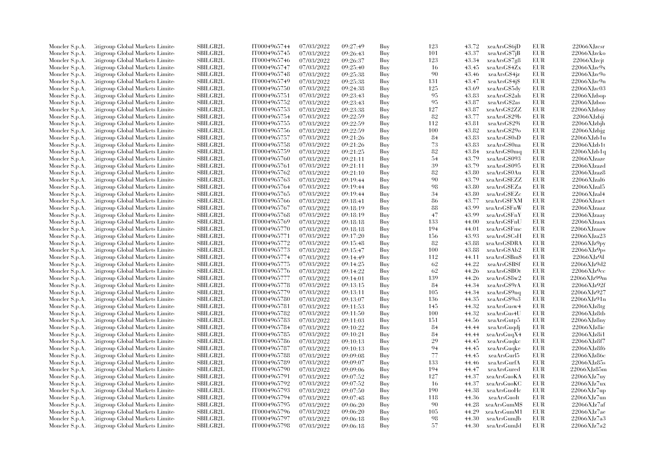| Moncler S.p.A. | Citigroup Global Markets Limite         | <b>SBILGB2L</b> | IT0004965744 | 07/03/2022 | 09:27:49 | Buy | 123 | 43.72 | xeaArsG\$6jD  | EUR        | 22066XJzcsr        |
|----------------|-----------------------------------------|-----------------|--------------|------------|----------|-----|-----|-------|---------------|------------|--------------------|
| Moncler S.p.A. | Citigroup Global Markets Limite         | <b>SBILGB2L</b> | IT0004965745 | 07/03/2022 | 09:26:43 | Buy | 101 | 43.37 | xeaArsG\$7jB  | <b>EUR</b> | 22066XJzcko        |
| Moncler S.p.A. | <b>Citigroup Global Markets Limited</b> | SBILGB2L        | IT0004965746 | 07/03/2022 | 09:26:37 | Buy | 123 | 43.34 | xeaArsG\$7g8  | EUR        | 22066XJzcjt        |
| Moncler S.p.A. | Citigroup Global Markets Limite         | <b>SBILGB2L</b> | IT0004965747 | 07/03/2022 | 09:25:40 | Buy | 16  | 43.45 | xeaArsG\$4Zx  | <b>EUR</b> | $22066$ XJzc $9x$  |
| Moncler S.p.A. | Citigroup Global Markets Limite         | <b>SBILGB2L</b> | IT0004965748 | 07/03/2022 | 09:25:38 | Buy | 90  | 43.46 | xeaArsG\$4jz  | <b>EUR</b> | 22066XJzc9o        |
| Moncler S.p.A. | Citigroup Global Markets Limite         | SBILGB2L        | IT0004965749 | 07/03/2022 | 09:25:38 | Buy | 131 | 43.47 | xeaArsG\$4j\$ | EUR        | $22066X$ Jzc $9n$  |
| Moncler S.p.A. | <b>Eitigroup Global Markets Limited</b> | SBILGB2L        | IT0004965750 | 07/03/2022 | 09:24:38 | Buy | 125 | 43.69 | xeaArsG\$5dy  | <b>EUR</b> | 22066XJzc03        |
| Moncler S.p.A. | Citigroup Global Markets Limite         | <b>SBILGB2L</b> | IT0004965751 | 07/03/2022 | 09:23:43 | Buy | 95  | 43.83 | xeaArsG\$2ah  | <b>EUR</b> | 22066XJzbop        |
|                |                                         |                 |              |            |          |     | 95  |       |               |            |                    |
| Moncler S.p.A. | Citigroup Global Markets Limited        | <b>SBILGB2L</b> | IT0004965752 | 07/03/2022 | 09:23:43 | Buy |     | 43.87 | xeaArsG\$2as  | <b>EUR</b> | 22066XJzboo        |
| Moncler S.p.A. | Citigroup Global Markets Limite         | <b>SBILGB2L</b> | IT0004965753 | 07/03/2022 | 09:23:38 | Buy | 127 | 43.87 | xeaArsG\$2ZZ  | EUR        | 22066XJzbny        |
| Moncler S.p.A. | <b>Citigroup Global Markets Limited</b> | SBILGB2L        | IT0004965754 | 07/03/2022 | 09:22:59 | Buy | 82  | 43.77 | xeaArsG\$29b  | <b>EUR</b> | 22066XJzbji        |
| Moncler S.p.A. | Citigroup Global Markets Limite         | <b>SBILGB2L</b> | IT0004965755 | 07/03/2022 | 09:22:59 | Buy | 112 | 43.81 | xeaArsG\$29i  | <b>EUR</b> | 22066XJzbjh        |
| Moncler S.p.A. | Citigroup Global Markets Limite         | <b>SBILGB2L</b> | IT0004965756 | 07/03/2022 | 09:22:59 | Buy | 100 | 43.82 | xeaArsG\$29o  | <b>EUR</b> | 22066XJzbjg        |
| Moncler S.p.A. | Citigroup Global Markets Limite         | <b>SBILGB2L</b> | IT0004965757 | 07/03/2022 | 09:21:26 | Buy | 84  | 43.83 | xeaArsG\$0sD  | <b>EUR</b> | 22066XJzb1u        |
| Moncler S.p.A. | Citigroup Global Markets Limite         | <b>SBILGB2L</b> | IT0004965758 | 07/03/2022 | 09:21:26 | Buy | 73  | 43.83 | xeaArsG\$0na  | <b>EUR</b> | 22066XJzblt        |
| Moncler S.p.A. | Citigroup Global Markets Limite         | SBILGB2L        | IT0004965759 | 07/03/2022 | 09:21:25 | Buy | 82  | 43.84 | xeaArsG\$0mq  | <b>EUR</b> | 22066XJzb1q        |
| Moncler S.p.A. | Citigroup Global Markets Limite         | <b>SBILGB2L</b> | IT0004965760 | 07/03/2022 | 09:21:11 | Buy | 54  | 43.79 | xeaArsG\$093  | EUR        | $22066X$ Jzaze     |
| Moncler S.p.A. | Citigroup Global Markets Limite         | SBILGB2L        | IT0004965761 | 07/03/2022 | 09:21:11 | Buy | 39  | 43.79 | xeaArsG\$095  | <b>EUR</b> | 22066XJzazd        |
| Moncler S.p.A. | Citigroup Global Markets Limite         | SBILGB2L        | IT0004965762 | 07/03/2022 | 09:21:10 | Buy | 82  | 43.80 | xeaArsG\$0Au  | <b>EUR</b> | 22066XJzaz8        |
| Moncler S.p.A. | Citigroup Global Markets Limite         | <b>SBILGB2L</b> | IT0004965763 | 07/03/2022 | 09:19:44 | Buy | 90  | 43.79 | xeaArsGSEZZ   | <b>EUR</b> | 22066XJzal6        |
| Moncler S.p.A. | Citigroup Global Markets Limite         | <b>SBILGB2L</b> | IT0004965764 | 07/03/2022 | 09:19:44 | Buy | 98  | 43.80 | xeaArsG\$EZa  | <b>EUR</b> | 22066XJzal5        |
| Moncler S.p.A. | Citigroup Global Markets Limite         | SBILGB2L        | IT0004965765 | 07/03/2022 | 09:19:44 | Buy | 34  | 43.80 | xeaArsG\$EZc  | <b>EUR</b> | 22066XJzal4        |
| Moncler S.p.A. | Citigroup Global Markets Limite         | SBILGB2L        | IT0004965766 | 07/03/2022 | 09:18:41 | Buy | 86  | 43.77 | xeaArsG\$FXM  | <b>EUR</b> | 22066XJzact        |
| Moncler S.p.A. | <b>Eitigroup Global Markets Limited</b> | <b>SBILGB2L</b> | IT0004965767 | 07/03/2022 | 09:18:19 | Buy | 88  | 43.99 | xeaArsG\$FnW  | <b>EUR</b> | 22066XJzaaz        |
| Moncler S.p.A. | Citigroup Global Markets Limite         | <b>SBILGB2L</b> | IT0004965768 | 07/03/2022 | 09:18:19 | Buy | 47  | 43.99 | xeaArsG\$FnY  | <b>EUR</b> | 22066XJzaay        |
| Moncler S.p.A. | Citigroup Global Markets Limited        | <b>SBILGB2L</b> | IT0004965769 | 07/03/2022 | 09:18:18 | Buy | 133 | 44.00 | xeaArsG\$FnU  | EUR        | 22066XJzaax        |
| Moncler S.p.A. | Citigroup Global Markets Limite         | SBILGB2L        | IT0004965770 | 07/03/2022 | 09:18:18 | Buy | 194 | 44.01 | xeaArsG\$Fmc  | <b>EUR</b> | 22066XJzaaw        |
| Moncler S.p.A. | Citigroup Global Markets Limite         | <b>SBILGB2L</b> | IT0004965771 | 07/03/2022 | 09:17:20 | Buy | 156 | 43.93 | xeaArsG\$CsH  | <b>EUR</b> | 22066XJza23        |
|                | Citigroup Global Markets Limite         | <b>SBILGB2L</b> | IT0004965772 | 07/03/2022 |          | Buy | 82  | 43.88 | xeaArsG\$DRA  | <b>EUR</b> | 22066XJz9py        |
| Moncler S.p.A. |                                         | SBILGB2L        |              |            | 09:15:48 |     | 100 |       |               | <b>EUR</b> |                    |
| Moncler S.p.A. | <b>Citigroup Global Markets Limited</b> |                 | IT0004965773 | 07/03/2022 | 09:15:47 | Buy |     | 43.88 | xeaArsG\$Ab2  |            | 22066XJz9ps        |
| Moncler S.p.A. | <b>Eitigroup Global Markets Limited</b> | SBILGB2L        | IT0004965774 | 07/03/2022 | 09:14:49 | Buy | 112 | 44.11 | xeaArsGSBmS   | <b>EUR</b> | 22066XJz9il        |
| Moncler S.p.A. | Citigroup Global Markets Limite         | <b>SBILGB2L</b> | IT0004965775 | 07/03/2022 | 09:14:25 | Buy | 62  | 44.22 | xeaArsG\$BSf  | <b>EUR</b> | 22066XJz9d2        |
| Moncler S.p.A. | Citigroup Global Markets Limite         | <b>SBILGB2L</b> | IT0004965776 | 07/03/2022 | 09:14:22 | Buy | 62  | 44.26 | xeaArsG\$BOt  | <b>EUR</b> | 22066XJz9cc        |
| Moncler S.p.A. | Citigroup Global Markets Limite         | SBILGB2L        | IT0004965777 | 07/03/2022 | 09:14:01 | Buy | 139 | 44.26 | xeaArsG\$8w2  | <b>EUR</b> | 22066XJz99m        |
| Moncler S.p.A. | <b>Eitigroup Global Markets Limited</b> | <b>SBILGB2L</b> | IT0004965778 | 07/03/2022 | 09:13:15 | Buy | 84  | 44.34 | xeaArsG\$9rA  | <b>EUR</b> | 22066XJz92f        |
| Moncler S.p.A. | Citigroup Global Markets Limite         | <b>SBILGB2L</b> | IT0004965779 | 07/03/2022 | 09:13:11 | Buy | 105 | 44.34 | xeaArsG\$9nq  | EUR        | 22066XJz927        |
| Moncler S.p.A. | Citigroup Global Markets Limite         | SBILGB2L        | IT0004965780 | 07/03/2022 | 09:13:07 | Buy | 136 | 44.35 | xeaArsG\$9o3  | EUR        | 22066XJz91n        |
| Moncler S.p.A. | <b>Citigroup Global Markets Limited</b> | SBILGB2L        | IT0004965781 | 07/03/2022 | 09:11:53 | Buy | 145 | 44.32 | xeaArsGusw4   | <b>EUR</b> | $22066$ XJz $8$ tg |
| Moncler S.p.A. | Citigroup Global Markets Limite         | <b>SBILGB2L</b> | IT0004965782 | 07/03/2022 | 09:11:50 | Buy | 100 | 44.32 | xeaArsGus4U   | EUR        | 22066XJz8tb        |
| Moncler S.p.A. | Citigroup Global Markets Limite         | <b>SBILGB2L</b> | IT0004965783 | 07/03/2022 | 09:11:03 | Buy | 151 | 44.56 | xeaArsGutp5   | <b>EUR</b> | 22066XJz8ny        |
| Moncler S.p.A. | Citigroup Global Markets Limite         | <b>SBILGB2L</b> | IT0004965784 | 07/03/2022 | 09:10:22 | Buy | 84  | 44.44 | xeaArsGuqdj   | <b>EUR</b> | 22066XJz8ic        |
| Moncler S.p.A. | Citigroup Global Markets Limite         | SBILGB2L        | IT0004965785 | 07/03/2022 | 09:10:21 | Buy | 84  | 44.44 | xeaArsGuqX4   | EUR        | 22066XJz8i1        |
| Moncler S.p.A. | <b>Citigroup Global Markets Limited</b> | SBILGB2L        | IT0004965786 | 07/03/2022 | 09:10:13 | Buy | 29  | 44.45 | xeaArsGuqkc   | <b>EUR</b> | 22066XJz8f7        |
| Moncler S.p.A. | Citigroup Global Markets Limite         | <b>SBILGB2L</b> | IT0004965787 | 07/03/2022 | 09:10:13 | Buy | 94  | 44.45 | xeaArsGuqke   | EUR        | 22066XJz8f6        |
| Moncler S.p.A. | <b>Citigroup Global Markets Limited</b> | <b>SBILGB2L</b> | IT0004965788 | 07/03/2022 | 09:09:08 | Buy | 77  | 44.45 | xeaArsGurl5   | EUR        | 22066XJz86c        |
| Moncler S.p.A. | Citigroup Global Markets Limite         | SBILGB2L        | IT0004965789 | 07/03/2022 | 09:09:07 | Buy | 133 | 44.46 | xeaArsGurfA   | EUR        | 22066XJz85s        |
| Moncler S.p.A. | <b>Eitigroup Global Markets Limited</b> | <b>SBILGB2L</b> | IT0004965790 | 07/03/2022 | 09:09:06 | Buy | 194 | 44.47 | xeaArsGured   | <b>EUR</b> | 22066XJz85m        |
| Moncler S.p.A. | Citigroup Global Markets Limited        | <b>SBILGB2L</b> | IT0004965791 | 07/03/2022 | 09:07:52 | Buy | 127 | 44.37 | xeaArsGuoKA   | EUR        | 22066XJz7uv        |
| Moncler S.p.A. | Citigroup Global Markets Limite         | <b>SBILGB2L</b> | IT0004965792 | 07/03/2022 | 09:07:52 | Buy | 16  | 44.37 | xeaArsGuoKC   | <b>EUR</b> | 22066XJz7ux        |
| Moncler S.p.A. | <b>Citigroup Global Markets Limited</b> | SBILGB2L        | IT0004965793 | 07/03/2022 | 09:07:50 | Buy | 190 | 44.38 | xeaArsGuoHc   | EUR        | 22066XJz7up        |
| Moncler S.p.A. | Citigroup Global Markets Limite         | <b>SBILGB2L</b> | IT0004965794 | 07/03/2022 | 09:07:48 | Buy | 118 | 44.36 | xeaArsGuoIt   | <b>EUR</b> | 22066XJz7un        |
| Moncler S.p.A. | Citigroup Global Markets Limite         | <b>SBILGB2L</b> | IT0004965795 | 07/03/2022 | 09:06:20 | Buy | 90  | 44.28 | xeaArsGumM\$  | <b>EUR</b> | 22066XJz7af        |
| Moncler S.p.A. | Citigroup Global Markets Limite         | SBILGB2L        | IT0004965796 | 07/03/2022 | 09:06:20 | Buy | 105 | 44.29 | xeaArsGumM1   | EUR        | 22066XJz7ae        |
| Moncler S.p.A. | <b>Citigroup Global Markets Limited</b> | <b>SBILGB2L</b> | IT0004965797 | 07/03/2022 | 09:06:18 | Buy | 98  | 44.30 | xeaArsGumJb   | <b>EUR</b> | 22066XJz7a3        |
| Moncler S.p.A. | Citigroup Global Markets Limited        | SBILGB2L        | IT0004965798 | 07/03/2022 | 09:06:18 | Buy | 57  | 44.30 | xeaArsGumJd   | <b>EUR</b> | 22066XJz7a2        |
|                |                                         |                 |              |            |          |     |     |       |               |            |                    |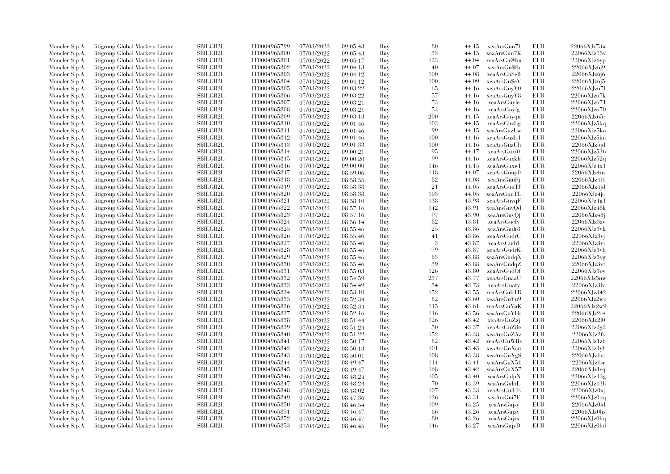| Moncler S.p.A. | Citigroup Global Markets Limite  | SBILGB2L        | IT0004965799 | 07/03/2022 | 09:05:43 | Buy | 80  | 44.15 | xeaArsGun7I  | EUR        | 22066XJz73w        |
|----------------|----------------------------------|-----------------|--------------|------------|----------|-----|-----|-------|--------------|------------|--------------------|
| Moncler S.p.A. | Citigroup Global Markets Limite  | <b>SBILGB2L</b> | IT0004965800 | 07/03/2022 | 09:05:43 | Buy | 33  | 44.15 | xeaArsGun7K  | <b>EUR</b> | 22066XJz73v        |
| Moncler S.p.A. | Citigroup Global Markets Limite  | <b>SBILGB2L</b> | IT0004965801 | 07/03/2022 | 09:05:17 | Buy | 123 | 44.04 | xeaArsGu@bu  | <b>EUR</b> | $22066$ XJz6yp     |
| Moncler S.p.A. | Citigroup Global Markets Limite  | SBILGB2L        | IT0004965802 | 07/03/2022 | 09:04:13 | Buy | 40  | 44.07 | xeaArsGu\$fh | <b>EUR</b> | 22066XJz6j9        |
| Moncler S.p.A. | Citigroup Global Markets Limite  | <b>SBILGB2L</b> | IT0004965803 | 07/03/2022 | 09:04:12 | Buy | 100 | 44.08 | xeaArsGu\$eB | <b>EUR</b> | 22066XJz6j6        |
| Moncler S.p.A. | Citigroup Global Markets Limite  | SBILGB2L        | IT0004965804 | 07/03/2022 | 09:04:12 | Buy | 100 | 44.09 | xeaArsGuSeV  | EUR        | 22066XJz6j5        |
| Moncler S.p.A. | Citigroup Global Markets Limite  | SBILGB2L        | IT0004965805 | 07/03/2022 | 09:03:22 | Buy | 65  | 44.16 | xeaArsGuyY0  | <b>EUR</b> | 22066XJz671        |
| Moncler S.p.A. | Citigroup Global Markets Limite  | <b>SBILGB2L</b> | IT0004965806 | 07/03/2022 | 09:03:22 | Buy | 57  | 44.16 | xeaArsGuyY8  | <b>EUR</b> | 22066XJz67k        |
|                |                                  |                 |              |            |          |     | 73  |       |              |            |                    |
| Moncler S.p.A. | Citigroup Global Markets Limite  | <b>SBILGB2L</b> | IT0004965807 | 07/03/2022 | 09:03:21 | Buy |     | 44.16 | xeaArsGuyle  | <b>EUR</b> | 22066XJz671        |
| Moncler S.p.A. | Citigroup Global Markets Limite  | <b>SBILGB2L</b> | IT0004965808 | 07/03/2022 | 09:03:21 | Buy | 53  | 44.16 | xeaArsGuylg  | <b>EUR</b> | 22066XJz670        |
| Moncler S.p.A. | Citigroup Global Markets Limite  | <b>SBILGB2L</b> | IT0004965809 | 07/03/2022 | 09:03:13 | Buy | 200 | 44.15 | xeaArsGuyqu  | <b>EUR</b> | 22066XJz65r        |
| Moncler S.p.A. | Citigroup Global Markets Limite  | SBILGB2L        | IT0004965810 | 07/03/2022 | 09:01:46 | Buy | 103 | 44.15 | xeaArsGuzLg  | <b>EUR</b> | 22066XJz5kq        |
| Moncler S.p.A. | Citigroup Global Markets Limite  | <b>SBILGB2L</b> | IT0004965811 | 07/03/2022 | 09:01:46 | Buy | 99  | 44.15 | xeaArsGuzLw  | <b>EUR</b> | 22066XJz5ko        |
| Moncler S.p.A. | Citigroup Global Markets Limite  | <b>SBILGB2L</b> | IT0004965812 | 07/03/2022 | 09:01:46 | Buy | 100 | 44.16 | xeaArsGuzL1  | <b>EUR</b> | 22066XJz5kn        |
| Moncler S.p.A. | Citigroup Global Markets Limite  | <b>SBILGB2L</b> | IT0004965813 | 07/03/2022 | 09:01:33 | Buy | 100 | 44.16 | xeaArsGuzUh  | <b>EUR</b> | $22066$ XJz $5$ jd |
| Moncler S.p.A. | Citigroup Global Markets Limite  | SBILGB2L        | IT0004965814 | 07/03/2022 | 09:00:21 | Buy | 95  | 44.17 | xeaArsGuxi0  | <b>EUR</b> | 22066XJz536        |
| Moncler S.p.A. | Citigroup Global Markets Limite  | SBILGB2L        | IT0004965815 | 07/03/2022 | 09:00:20 | Buy | 99  | 44.16 | xeaArsGuxkh  | EUR        | 22066XJz52q        |
| Moncler S.p.A. | Citigroup Global Markets Limite  | <b>SBILGB2L</b> | IT0004965816 | 07/03/2022 | 09:00:00 | Buy | 146 | 44.15 | xeaArsGuxwI  | <b>EUR</b> | 22066XJz4x1        |
| Moncler S.p.A. | Citigroup Global Markets Limite  | SBILGB2L        | IT0004965817 | 07/03/2022 | 08:59:06 | Buy | 118 | 44.07 | xeaArsGuup0  | <b>EUR</b> | 22066XJz4ns        |
| Moncler S.p.A. | Citigroup Global Markets Limite  | <b>SBILGB2L</b> | IT0004965818 | 07/03/2022 | 08:58:55 | Buy | 82  | 44.08 | xeaArsGuuFi  | <b>EUR</b> | 22066XJz4l4        |
| Moncler S.p.A. | Citigroup Global Markets Limite  | <b>SBILGB2L</b> | IT0004965819 | 07/03/2022 | 08:58:38 | Buy | 21  | 44.05 | xeaArsGuuTJ  | <b>EUR</b> | $22066$ XJz4jd     |
| Moncler S.p.A. | Citigroup Global Markets Limite  | SBILGB2L        | IT0004965820 | 07/03/2022 | 08:58:38 | Buy | 103 | 44.05 | xeaArsGuuTL  | <b>EUR</b> | 22066XJz4jc        |
| Moncler S.p.A. | Citigroup Global Markets Limite  | SBILGB2L        | IT0004965821 | 07/03/2022 | 08:58:10 | Buy | 138 | 43.98 | xeaArsGuvqF  | <b>EUR</b> | 22066XJz4g1        |
| Moncler S.p.A. | Citigroup Global Markets Limite  | <b>SBILGB2L</b> | IT0004965822 | 07/03/2022 | 08:57:16 | Buy | 142 | 43.91 | xeaArsGuvQd  | <b>EUR</b> | 22066XJz48k        |
| Moncler S.p.A. | Citigroup Global Markets Limite  | <b>SBILGB2L</b> | IT0004965823 | 07/03/2022 | 08:57:16 | Buy | 97  | 43.90 | xeaArsGuvOj  | <b>EUR</b> | 22066XJz48j        |
| Moncler S.p.A. | Citigroup Global Markets Limite  | SBILGB2L        | IT0004965824 | 07/03/2022 | 08:56:14 | Buy | 82  | 43.81 | xeaArsGucIv  | EUR        | 22066XJz3zv        |
| Moncler S.p.A. | Citigroup Global Markets Limite  | <b>SBILGB2L</b> | IT0004965825 | 07/03/2022 | 08:55:46 | Buy | 25  | 43.86 | xeaArsGudr8  | <b>EUR</b> | 22066XJz3vk        |
| Moncler S.p.A. | Citigroup Global Markets Limite  | <b>SBILGB2L</b> | IT0004965826 | 07/03/2022 | 08:55:46 | Buy | 41  | 43.86 | xeaArsGudrC  | <b>EUR</b> | $22066XJz3$ vj     |
|                | Citigroup Global Markets Limite  | SBILGB2L        | IT0004965827 | 07/03/2022 |          | Buy | -3  | 43.87 | xeaArsGudrI  | <b>EUR</b> | 22066XJz3vi        |
| Moncler S.p.A. |                                  | SBILGB2L        |              |            | 08:55:46 |     | 79  |       |              | <b>EUR</b> |                    |
| Moncler S.p.A. | Citigroup Global Markets Limite  |                 | IT0004965828 | 07/03/2022 | 08:55:46 | Buy |     | 43.87 | xeaArsGudrK  |            | 22066XJz3vh        |
| Moncler S.p.A. | Citigroup Global Markets Limite  | <b>SBILGB2L</b> | IT0004965829 | 07/03/2022 | 08:55:46 | Buy | 63  | 43.88 | xeaArsGudqX  | <b>EUR</b> | 22066XJz3vg        |
| Moncler S.p.A. | Citigroup Global Markets Limite  | <b>SBILGB2L</b> | IT0004965830 | 07/03/2022 | 08:55:46 | Buy | 39  | 43.88 | xeaArsGudqZ  | <b>EUR</b> | 22066XJz3v         |
| Moncler S.p.A. | Citigroup Global Markets Limite  | <b>SBILGB2L</b> | IT0004965831 | 07/03/2022 | 08:55:03 | Buy | 126 | 43.80 | xeaArsGudOf  | <b>EUR</b> | 22066XJz3ov        |
| Moncler S.p.A. | Citigroup Global Markets Limite  | SBILGB2L        | IT0004965832 | 07/03/2022 | 08:54:59 | Buy | 237 | 43.77 | xeaArsGuaaU  | <b>EUR</b> | 22066XJz3nw        |
| Moncler S.p.A. | Citigroup Global Markets Limite  | SBILGB2L        | IT0004965833 | 07/03/2022 | 08:54:49 | Buy | 54  | 43.73 | xeaArsGuafy  | <b>EUR</b> | 22066XJz3lv        |
| Moncler S.p.A. | Citigroup Global Markets Limite  | <b>SBILGB2L</b> | IT0004965834 | 07/03/2022 | 08:53:10 | Buy | 152 | 43.55 | xeaArsGubTD  | <b>EUR</b> | 22066XJz342        |
| Moncler S.p.A. | Citigroup Global Markets Limite  | SBILGB2L        | IT0004965835 | 07/03/2022 | 08:52:34 | Buy | 82  | 43.60 | xeaArsGuYu9  | <b>EUR</b> | 22066XJz2wc        |
| Moncler S.p.A. | Citigroup Global Markets Limite  | SBILGB2L        | IT0004965836 | 07/03/2022 | 08:52:34 | Buy | 115 | 43.61 | xeaArsGuYuK  | <b>EUR</b> | 22066XJz2w9        |
| Moncler S.p.A. | Citigroup Global Markets Limite  | <b>SBILGB2L</b> | IT0004965837 | 07/03/2022 | 08:52:16 | Buy | 116 | 43.56 | xeaArsGuYHr  | <b>EUR</b> | 22066XJz2t4        |
| Moncler S.p.A. | Citigroup Global Markets Limite  | <b>SBILGB2L</b> | IT0004965838 | 07/03/2022 | 08:51:44 | Buy | 126 | 43.42 | xeaArsGuZzj  | <b>EUR</b> | 22066XJz2l0        |
| Moncler S.p.A. | Citigroup Global Markets Limite  | <b>SBILGB2L</b> | IT0004965839 | 07/03/2022 | 08:51:24 | Buy | 50  | 43.37 | xeaArsGuZ8e  | <b>EUR</b> | 22066XJz2g2        |
| Moncler S.p.A. | Citigroup Global Markets Limite  | SBILGB2L        | IT0004965840 | 07/03/2022 | 08:51:22 | Buy | 152 | 43.38 | xeaArsGuZAz  | EUR        | 22066XJz2fs        |
| Moncler S.p.A. | Citigroup Global Markets Limite  | <b>SBILGB2L</b> | IT0004965841 | 07/03/2022 | 08:50:17 | Buy | 82  | 43.42 | xeaArsGuWRs  | <b>EUR</b> | 22066XJz1zb        |
| Moncler S.p.A. | Citigroup Global Markets Limite  | SBILGB2L        | IT0004965842 | 07/03/2022 | 08:50:13 | Buy | 101 | 43.43 | xeaArsGuXcu  | <b>EUR</b> | $22066$ XJz1yh     |
| Moncler S.p.A. | Citigroup Global Markets Limite  | <b>SBILGB2L</b> | IT0004965843 | 07/03/2022 | 08:50:01 | Buy | 108 | 43.38 | xeaArsGuXgS  | <b>EUR</b> | $22066$ XJz1vt     |
| Moncler S.p.A. | Citigroup Global Markets Limite  | SBILGB2L        | IT0004965844 | 07/03/2022 | 08:49:47 | Buy | 114 | 43.41 | xeaArsGuX51  | <b>EUR</b> | 22066XJz1sr        |
| Moncler S.p.A. | Citigroup Global Markets Limite  | <b>SBILGB2L</b> | IT0004965845 | 07/03/2022 | 08:49:47 | Buy | 168 | 43.42 | xeaArsGuX57  | <b>EUR</b> | 22066XJz1sq        |
| Moncler S.p.A. | Citigroup Global Markets Limite  | <b>SBILGB2L</b> | IT0004965846 | 07/03/2022 | 08:48:24 | Buy | 105 | 43.40 | xeaArsGulpN  | <b>EUR</b> | $22066$ XJz $13g$  |
| Moncler S.p.A. | Citigroup Global Markets Limite  | <b>SBILGB2L</b> | IT0004965847 | 07/03/2022 | 08:48:24 | Buy | 70  | 43.39 | xeaArsGulpL  | <b>EUR</b> | 22066XJz13h        |
| Moncler S.p.A. | Citigroup Global Markets Limite  | SBILGB2L        | IT0004965848 | 07/03/2022 | 08:48:02 | Buy | 107 | 43.33 | xeaArsGulUE  | <b>EUR</b> | $22066$ XJz $0x$ j |
| Moncler S.p.A. | Citigroup Global Markets Limite  | <b>SBILGB2L</b> | IT0004965849 | 07/03/2022 | 08:47:36 | Buy | 126 | 43.31 | xeaArsGui7F  | EUR        | 22066XJz0qq        |
| Moncler S.p.A. | Citigroup Global Markets Limite  | SBILGB2L        | IT0004965850 | 07/03/2022 | 08:46:54 | Buy | 109 | 43.25 | xeaArsGujsy  | <b>EUR</b> | 22066XJz0id        |
| Moncler S.p.A. | Citigroup Global Markets Limite  | SBILGB2L        | IT0004965851 | 07/03/2022 | 08:46:47 | Buy | 66  | 43.26 | xeaArsGujzv  | EUR        | 22066XJz0hs        |
| Moncler S.p.A. | Citigroup Global Markets Limite  | <b>SBILGB2L</b> | IT0004965852 | 07/03/2022 | 08:46:47 | Buy | 80  | 43.26 | xeaArsGujzx  | <b>EUR</b> | 22066XJz0hq        |
| Moncler S.p.A. | Citigroup Global Markets Limited | SBILGB2L        | IT0004965853 | 07/03/2022 | 08:46:45 | Buv | 146 | 43.27 | xeaArsGujyD  | <b>EUR</b> | 22066XJz0hd        |
|                |                                  |                 |              |            |          |     |     |       |              |            |                    |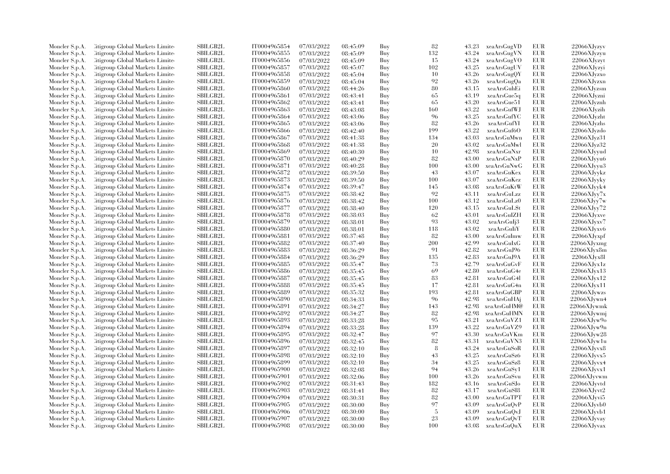| Moncler S.p.A. | Citigroup Global Markets Limite  | SBILGB2L                    | IT0004965854 | 07/03/2022 | 08:45:09 | Buy | 82  | 43.23 | xeaArsGugVD  | EUR        | 22066XJvzyv       |
|----------------|----------------------------------|-----------------------------|--------------|------------|----------|-----|-----|-------|--------------|------------|-------------------|
| Moncler S.p.A. | Citigroup Global Markets Limite  | <b>SBILGB2L</b>             | IT0004965855 | 07/03/2022 | 08:45:09 | Buy | 132 | 43.24 | xeaArsGugVN  | EUR        | 22066XJyzyu       |
| Moncler S.p.A. | Citigroup Global Markets Limite  | <b>SBILGB2L</b>             | IT0004965856 | 07/03/2022 | 08:45:09 | Buy | 15  | 43.24 | xeaArsGugVO  | <b>EUR</b> | 22066XJyzyt       |
| Moncler S.p.A. | Citigroup Global Markets Limite  | SBILGB2L                    | IT0004965857 | 07/03/2022 | 08:45:07 | Buy | 102 | 43.25 | xeaArsGugUV  | EUR        | 22066XJyzyi       |
| Moncler S.p.A. | Citigroup Global Markets Limite  | <b>SBILGB2L</b>             | IT0004965858 | 07/03/2022 | 08:45:04 | Buy | 10  | 43.26 | xeaArsGugQY  | EUR        | 22066XJvzxo       |
| Moncler S.p.A. | Citigroup Global Markets Limite  | SBILGB2L                    | IT0004965859 | 07/03/2022 | 08:45:04 | Buy | 92  | 43.26 | xeaArsGugQa  | EUR        | 22066XJyzxn       |
|                |                                  | SBILGB2L                    |              |            |          |     | 80  |       |              |            |                   |
| Moncler S.p.A. | Citigroup Global Markets Limite  |                             | IT0004965860 | 07/03/2022 | 08:44:26 | Buy |     | 43.15 | xeaArsGuhEi  | EUR        | 22066XJyzsm       |
| Moncler S.p.A. | Citigroup Global Markets Limite  | <b>SBILGB2L</b>             | IT0004965861 | 07/03/2022 | 08:43:41 | Buy | 65  | 43.19 | xeaArsGue5q  | EUR        | 22066XJyzni       |
| Moncler S.p.A. | Citigroup Global Markets Limite  | <b>SBILGB2L</b>             | IT0004965862 | 07/03/2022 | 08:43:41 | Buy | 65  | 43.20 | xeaArsGue51  | EUR        | 22066XJyznh       |
| Moncler S.p.A. | Citigroup Global Markets Limite  | SBILGB2L                    | IT0004965863 | 07/03/2022 | 08:43:08 | Buy | 160 | 43.22 | xeaArsGufWJ  | <b>EUR</b> | 22066XJvzih       |
| Moncler S.p.A. | Citigroup Global Markets Limite  | <b>SBILGB2L</b>             | IT0004965864 | 07/03/2022 | 08:43:06 | Buy | 96  | 43.25 | xeaArsGufYC  | EUR        | 22066XJyzht       |
| Moncler S.p.A. | Citigroup Global Markets Limite  | <b>SBILGB2L</b>             | IT0004965865 | 07/03/2022 | 08:43:06 | Buy | 82  | 43.26 | xeaArsGufYI  | EUR        | 22066XJyzhs       |
| Moncler S.p.A. | Citigroup Global Markets Limite  | <b>SBILGB2L</b>             | IT0004965866 | 07/03/2022 | 08:42:40 | Buy | 199 | 43.22 | xeaArsGuf6O  | EUR        | 22066XJyzdo       |
| Moncler S.p.A. | Citigroup Global Markets Limite  | <b>SBILGB2L</b>             | IT0004965867 | 07/03/2022 | 08:41:38 | Buy | 134 | 43.03 | xeaArsGuMwn  | EUR        | 22066XJvz31       |
| Moncler S.p.A. | Citigroup Global Markets Limite  | <b>SBILGB2L</b>             | IT0004965868 | 07/03/2022 | 08:41:38 | Buy | 20  | 43.02 | xeaArsGuMwl  | EUR        | 22066XJyz32       |
| Moncler S.p.A. | Litigroup Global Markets Limite  | SBILGB2L                    | IT0004965869 | 07/03/2022 | 08:40:30 | Buy | 10  | 42.98 | xeaArsGuNxr  | <b>EUR</b> | 22066XJyyud       |
| Moncler S.p.A. | Citigroup Global Markets Limite  | SBILGB2L                    | IT0004965870 | 07/03/2022 | 08:40:29 | Buy | 82  | 43.00 | xeaArsGuNxP  | EUR        | 22066XJyyu6       |
| Moncler S.p.A. | Litigroup Global Markets Limite  | <b>SBILGB2L</b>             | IT0004965871 | 07/03/2022 | 08:40:28 | Buy | 100 | 43.00 | xeaArsGuNwG  | EUR        | 22066XJyyu3       |
| Moncler S.p.A. | Citigroup Global Markets Limite  | SBILGB2L                    | IT0004965872 | 07/03/2022 | 08:39:50 | Buy | 43  | 43.07 | xeaArsGuKex  | EUR        | 22066XJyykz       |
| Moncler S.p.A. | Litigroup Global Markets Limite  | <b>SBILGB2L</b>             | IT0004965873 | 07/03/2022 | 08:39:50 | Buy | 100 | 43.07 | xeaArsGuKez  | <b>EUR</b> | 22066XJyyky       |
|                | Citigroup Global Markets Limite  | <b>SBILGB2L</b>             | IT0004965874 |            |          |     | 145 | 43.08 | xeaArsGuKtW  | EUR        | 22066XJyyk4       |
| Moncler S.p.A. |                                  |                             |              | 07/03/2022 | 08:39:47 | Buy |     |       |              |            |                   |
| Moncler S.p.A. | Litigroup Global Markets Limite  | SBILGB2L                    | IT0004965875 | 07/03/2022 | 08:38:42 | Buy | 92  | 43.11 | xeaArsGuLzz  | EUR        | $22066X$ Jyy $7x$ |
| Moncler S.p.A. | Citigroup Global Markets Limite  | SBILGB2L                    | IT0004965876 | 07/03/2022 | 08:38:42 | Buy | 100 | 43.12 | xeaArsGuLz0  | EUR        | 22066XJyy7w       |
| Moncler S.p.A. | Citigroup Global Markets Limite  | <b>SBILGB2L</b>             | IT0004965877 | 07/03/2022 | 08:38:40 | Buy | 120 | 43.15 | xeaArsGuL\$t | EUR        | 22066XJvv72       |
| Moncler S.p.A. | Citigroup Global Markets Limite  | <b>SBILGB2L</b>             | IT0004965878 | 07/03/2022 | 08:38:03 | Buy | 62  | 43.01 | xeaArsGuIZH  | EUR        | 22066XJyxve       |
| Moncler S.p.A. | Citigroup Global Markets Limite  | SBILGB2L                    | IT0004965879 | 07/03/2022 | 08:38:01 | Buy | 93  | 43.02 | xeaArsGuIj3  | EUR        | 22066XJyxv7       |
| Moncler S.p.A. | Litigroup Global Markets Limite  | <b>SBILGB2L</b>             | IT0004965880 | 07/03/2022 | 08:38:01 | Buy | 118 | 43.02 | xeaArsGuIiY  | EUR        | 22066XJvxv6       |
| Moncler S.p.A. | Litigroup Global Markets Limite  | <b>SBILGB2L</b>             | IT0004965881 | 07/03/2022 | 08:37:48 | Buy | 82  | 43.00 | xeaArsGuImw  | EUR        | 22066XJyxpf       |
| Moncler S.p.A. | Citigroup Global Markets Limite  | SBILGB2L                    | IT0004965882 | 07/03/2022 | 08:37:40 | Buy | 200 | 42.99 | xeaArsGuIxG  | EUR        | 22066XJyxmg       |
| Moncler S.p.A. | Citigroup Global Markets Limite  | SBILGB2L                    | IT0004965883 | 07/03/2022 | 08:36:29 | Buy | 91  | 42.82 | xeaArsGuJ96  | EUR        | 22066XJyx8m       |
| Moncler S.p.A. | Citigroup Global Markets Limite  | SBILGB2L                    | IT0004965884 | 07/03/2022 | 08:36:29 | Buy | 135 | 42.83 | xeaArsGuJ9A  | EUR        | 22066XJyx8l       |
| Moncler S.p.A. | Citigroup Global Markets Limite  | <b>SBILGB2L</b>             | IT0004965885 | 07/03/2022 | 08:35:47 | Buy | 73  | 42.79 | xeaArsGuGvF  | <b>EUR</b> | 22066XJyx1z       |
| Moncler S.p.A. | Citigroup Global Markets Limite  | <b>SBILGB2L</b>             | IT0004965886 | 07/03/2022 | 08:35:45 | Buy | 69  | 42.80 | xeaArsGuG4e  | EUR        | 22066XJyx13       |
| Moncler S.p.A. | Citigroup Global Markets Limite  | SBILGB2L                    | IT0004965887 | 07/03/2022 | 08:35:45 | Buy | 83  | 42.81 | xeaArsGuG4l  | EUR        | 22066XJyx12       |
| Moncler S.p.A. | Citigroup Global Markets Limite  | SBILGB2L                    | IT0004965888 | 07/03/2022 | 08:35:45 | Buy | 17  | 42.81 | xeaArsGuG4n  | EUR        | 22066XJyx11       |
| Moncler S.p.A. | Citigroup Global Markets Limite  | <b>SBILGB2L</b>             | IT0004965889 | 07/03/2022 | 08:35:32 | Buy | 193 | 42.81 | xeaArsGuGBP  | EUR        | 22066XJvwzs       |
|                |                                  |                             |              |            |          |     |     |       |              |            |                   |
| Moncler S.p.A. | Citigroup Global Markets Limite  | SBILGB2L                    | IT0004965890 | 07/03/2022 | 08:34:33 | Buy | 96  | 42.98 | xeaArsGuHAj  | EUR        | 22066XJvwn4       |
| Moncler S.p.A. | Citigroup Global Markets Limite  | SBILGB2L                    | IT0004965891 | 07/03/2022 | 08:34:27 | Buy | 143 | 42.98 | xeaArsGuHM@  | <b>EUR</b> | 22066XJywmk       |
| Moncler S.p.A. | Citigroup Global Markets Limite  | <b>SBILGB2L</b>             | IT0004965892 | 07/03/2022 | 08:34:27 | Buy | 82  | 42.98 | xeaArsGuHMN  | <b>EUR</b> | 22066XJvwmj       |
| Moncler S.p.A. | Citigroup Global Markets Limite  | <b>SBILGB2L</b>             | IT0004965893 | 07/03/2022 | 08:33:28 | Buy | 95  | 43.21 | xeaArsGuVZ1  | EUR        | 22066XJvw9o       |
| Moncler S.p.A. | Citigroup Global Markets Limite  | <b>SBILGB2L</b>             | IT0004965894 | 07/03/2022 | 08:33:28 | Buy | 139 | 43.22 | xeaArsGuVZ9  | <b>EUR</b> | 22066XJvw9n       |
| Moncler S.p.A. | Citigroup Global Markets Limite  | SBILGB2L                    | IT0004965895 | 07/03/2022 | 08:32:47 | Buy | 97  | 43.30 | xeaArsGuVKm  | EUR        | 22066XJyw28       |
| Moncler S.p.A. | Citigroup Global Markets Limite  | <b>SBILGB2L</b>             | IT0004965896 | 07/03/2022 | 08:32:45 | Buy | 82  | 43.31 | xeaArsGuVN3  | EUR        | 22066XJvw1u       |
| Moncler S.p.A. | Citigroup Global Markets Limite  | SBILGB2L                    | IT0004965897 | 07/03/2022 | 08:32:10 | Buy | 8   | 43.24 | xeaArsGuSoR  | EUR        | 22066XJvvx8       |
| Moncler S.p.A. | Citigroup Global Markets Limite  | <b>SBILGB2L</b>             | IT0004965898 | 07/03/2022 | 08:32:10 | Buy | 43  | 43.25 | xeaArsGuSz6  | EUR        | 22066XJvvx5       |
| Moncler S.p.A. | Citigroup Global Markets Limite  | SBILGB2L                    | IT0004965899 | 07/03/2022 | 08:32:10 | Buy | 34  | 43.25 | xeaArsGuSz8  | EUR        | 22066XJvvx4       |
| Moncler S.p.A. | Citigroup Global Markets Limite  | <b>SBILGB2L</b>             | IT0004965900 | 07/03/2022 | 08:32:08 | Buy | 94  | 43.26 | xeaArsGuSy1  | EUR        | 22066XJvvx1       |
| Moncler S.p.A. | Citigroup Global Markets Limite  | <b>SBILGB2L</b>             | IT0004965901 | 07/03/2022 | 08:32:06 | Buy | 100 | 43.26 | xeaArsGuSvu  | EUR        | 22066XJyvwm       |
| Moncler S.p.A. | Citigroup Global Markets Limite  | SBILGB2L                    | IT0004965902 | 07/03/2022 | 08:31:43 | Buy | 182 | 43.16 | xeaArsGuSJo  | EUR        | 22066XJyvtd       |
| Moncler S.p.A. | Citigroup Global Markets Limite  | SBILGB2L                    | IT0004965903 | 07/03/2022 | 08:31:41 | Buy | 82  | 43.17 | xeaArsGuSI8  | EUR        | 22066XJyvt2       |
| Moncler S.p.A. | Citigroup Global Markets Limite  | <b>SBILGB2L</b>             | IT0004965904 | 07/03/2022 | 08:30:31 | Buy | 82  | 43.00 | xeaArsGuTPT  | EUR        | 22066XJvvi5       |
| Moncler S.p.A. | Citigroup Global Markets Limite  | <b>SBILGB2L</b>             | IT0004965905 | 07/03/2022 | 08:30:00 | Buy | 97  | 43.09 | xeaArsGuQvP  | EUR        | 22066XJvvb0       |
|                |                                  |                             |              |            |          |     | 5   | 43.09 |              |            |                   |
| Moncler S.p.A. | Citigroup Global Markets Limite  | SBILGB2L<br><b>SBILGB2L</b> | IT0004965906 | 07/03/2022 | 08:30:00 | Buy | 23  | 43.09 | xeaArsGuQvJ  | EUR        | 22066XJyvb1       |
| Moncler S.p.A. | Citigroup Global Markets Limite  |                             | IT0004965907 | 07/03/2022 | 08:30:00 | Buy |     |       | xeaArsGuQvT  | <b>EUR</b> | 22066XJyvay       |
| Moncler S.p.A. | Citigroup Global Markets Limited | SBILGB2L                    | IT0004965908 | 07/03/2022 | 08:30:00 | Buy | 100 | 43.08 | xeaArsGuQuX  | <b>EUR</b> | 22066XJyvax       |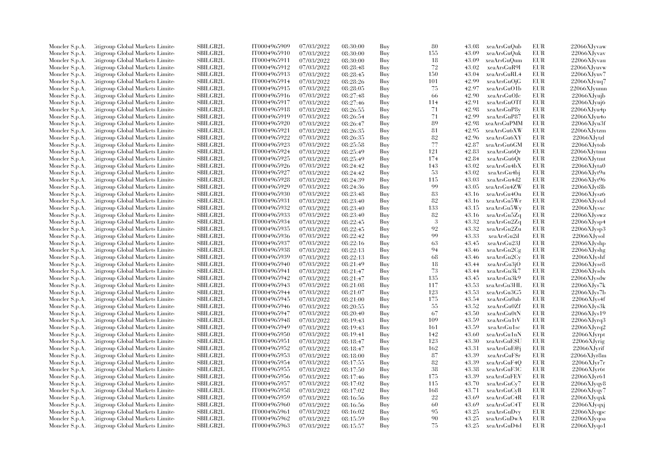| Moncler S.p.A. | Citigroup Global Markets Limite  | SBILGB2L        | IT0004965909 | 07/03/2022 | 08:30:00 | Buy | 80     | 43.08 | xeaArsGuQub  | EUR        | 22066XJyvaw       |
|----------------|----------------------------------|-----------------|--------------|------------|----------|-----|--------|-------|--------------|------------|-------------------|
| Moncler S.p.A. | Citigroup Global Markets Limite  | <b>SBILGB2L</b> | IT0004965910 | 07/03/2022 | 08:30:00 | Buy | 155    | 43.09 | xeaArsGuQuk  | EUR        | 22066XJyvav       |
| Moncler S.p.A. | Citigroup Global Markets Limite  | SBILGB2L        | IT0004965911 | 07/03/2022 | 08:30:00 | Buy | 18     | 43.09 | xeaArsGuQum  | EUR        | 22066XJyvau       |
| Moncler S.p.A. | Citigroup Global Markets Limite  | SBILGB2L        | IT0004965912 | 07/03/2022 | 08:28:48 | Buy | 72     | 43.02 | xeaArsGuR9I  | EUR        | 22066XJyuvw       |
|                |                                  | <b>SBILGB2L</b> |              |            |          |     |        |       |              |            |                   |
| Moncler S.p.A. | Citigroup Global Markets Limite  |                 | IT0004965913 | 07/03/2022 | 08:28:45 | Buy | 150    | 43.04 | xeaArsGuRL4  | <b>EUR</b> | 22066XJyuv7       |
| Moncler S.p.A. | Citigroup Global Markets Limite  | SBILGB2L        | IT0004965914 | 07/03/2022 | 08:28:26 | Buy | 101    | 42.99 | xeaArsGuOjG  | EUR        | 22066XJyuq7       |
| Moncler S.p.A. | Citigroup Global Markets Limite  | SBILGB2L        | IT0004965915 | 07/03/2022 | 08:28:05 | Buy | 75     | 42.97 | xeaArsGuO1b  | <b>EUR</b> | 22066XJyumn       |
| Moncler S.p.A. | Citigroup Global Markets Limite  | <b>SBILGB2L</b> | IT0004965916 | 07/03/2022 | 08:27:48 | Buy | -66    | 42.90 | xeaArsGuOJc  | EUR        | 22066XJyujb       |
| Moncler S.p.A. | Citigroup Global Markets Limite  | <b>SBILGB2L</b> | IT0004965917 | 07/03/2022 | 08:27:46 | Buy | 114    | 42.91 | xeaArsGuOTf  | EUR        | 22066XJvuj6       |
| Moncler S.p.A. | Citigroup Global Markets Limite  | SBILGB2L        | IT0004965918 | 07/03/2022 | 08:26:55 | Buy | 71     | 42.98 | xeaArsGuP8y  | <b>EUR</b> | 22066XJyu4p       |
| Moncler S.p.A. | Citigroup Global Markets Limite  | <b>SBILGB2L</b> | IT0004965919 | 07/03/2022 | 08:26:54 | Buy | 71     | 42.99 | xeaArsGuP87  | EUR        | 22066XJvu4o       |
| Moncler S.p.A. | Citigroup Global Markets Limite  | <b>SBILGB2L</b> | IT0004965920 | 07/03/2022 | 08:26:47 | Buy | 89     | 42.98 | xeaArsGuPMM  | EUR        | $22066$ XJyu3f    |
| Moncler S.p.A. | Citigroup Global Markets Limite  | <b>SBILGB2L</b> | IT0004965921 | 07/03/2022 | 08:26:35 | Buy | 81     | 42.95 | xeaArsGu6XW  | <b>EUR</b> | 22066XJytzm       |
| Moncler S.p.A. | Citigroup Global Markets Limite  | <b>SBILGB2L</b> | IT0004965922 | 07/03/2022 | 08:26:35 | Buy | 82     | 42.96 | xeaArsGu6XY  | <b>EUR</b> | 22066XJytzl       |
| Moncler S.p.A. | Citigroup Global Markets Limite  | <b>SBILGB2L</b> | IT0004965923 | 07/03/2022 | 08:25:58 | Buy | $77\,$ | 42.87 | xeaArsGu6GM  | <b>EUR</b> | 22066XJytob       |
| Moncler S.p.A. | Citigroup Global Markets Limite  | SBILGB2L        | IT0004965924 | 07/03/2022 | 08:25:49 | Buy | 121    | 42.83 | xeaArsGu6Or  | EUR        | 22066XJytmu       |
| Moncler S.p.A. | Citigroup Global Markets Limite  | SBILGB2L        | IT0004965925 | 07/03/2022 | 08:25:49 | Buy | 174    | 42.84 | xeaArsGu6Qt  | EUR        | 22066XJytmt       |
|                | Citigroup Global Markets Limite  | <b>SBILGB2L</b> | IT0004965926 |            |          |     | 143    | 43.02 | xeaArsGu4bX  | <b>EUR</b> | 22066XJyta0       |
| Moncler S.p.A. |                                  |                 |              | 07/03/2022 | 08:24:42 | Buy | 53     |       |              |            |                   |
| Moncler S.p.A. | Citigroup Global Markets Limite  | SBILGB2L        | IT0004965927 | 07/03/2022 | 08:24:42 | Buy |        | 43.02 | xeaArsGu4bj  | EUR        | 22066XJyt9u       |
| Moncler S.p.A. | Citigroup Global Markets Limite  | <b>SBILGB2L</b> | IT0004965928 | 07/03/2022 | 08:24:39 | Buy | 115    | 43.03 | xeaArsGu4d2  | <b>EUR</b> | 22066XJvt96       |
| Moncler S.p.A. | Citigroup Global Markets Limite  | <b>SBILGB2L</b> | IT0004965929 | 07/03/2022 | 08:24:36 | Buy | 99     | 43.05 | xeaArsGu4ZW  | <b>EUR</b> | 22066XJyt8b       |
| Moncler S.p.A. | Citigroup Global Markets Limite  | SBILGB2L        | IT0004965930 | 07/03/2022 | 08:23:48 | Buy | 83     | 43.16 | xeaArsGu4Ou  | EUR        | 22066XJysz6       |
| Moncler S.p.A. | Citigroup Global Markets Limite  | SBILGB2L        | IT0004965931 | 07/03/2022 | 08:23:40 | Buy | 82     | 43.16 | xeaArsGu5Wr  | EUR        | 22066XJysxd       |
| Moncler S.p.A. | Citigroup Global Markets Limite  | <b>SBILGB2L</b> | IT0004965932 | 07/03/2022 | 08:23:40 | Buy | 133    | 43.15 | xeaArsGu5Wy  | <b>EUR</b> | 22066XJysxc       |
| Moncler S.p.A. | Citigroup Global Markets Limite  | <b>SBILGB2L</b> | IT0004965933 | 07/03/2022 | 08:23:40 | Buy | 82     | 43.16 | xeaArsGu5Zq  | <b>EUR</b> | 22066XJyswz       |
| Moncler S.p.A. | Citigroup Global Markets Limite  | SBILGB2L        | IT0004965934 | 07/03/2022 | 08:22:45 | Buy | 3      | 43.32 | xeaArsGu2Zq  | EUR        | $22066X$ Jysp $4$ |
| Moncler S.p.A. | Citigroup Global Markets Limite  | <b>SBILGB2L</b> | IT0004965935 | 07/03/2022 | 08:22:45 | Buy | 92     | 43.32 | xeaArsGu2Zu  | <b>EUR</b> | 22066XJysp3       |
| Moncler S.p.A. | Citigroup Global Markets Limite  | <b>SBILGB2L</b> | IT0004965936 | 07/03/2022 | 08:22:42 | Buy | 99     | 43.33 | xeaArsGu2il  | <b>EUR</b> | $22066X$ Jysol    |
| Moncler S.p.A. | Citigroup Global Markets Limite  | SBILGB2L        | IT0004965937 | 07/03/2022 | 08:22:16 | Buy | 63     | 43.45 | xeaArsGu23J  | <b>EUR</b> | 22066XJyshp       |
| Moncler S.p.A. | Citigroup Global Markets Limite  | SBILGB2L        | IT0004965938 | 07/03/2022 | 08:22:13 | Buy | 94     | 43.46 | xeaArsGu2Cg  | <b>EUR</b> | 22066XJyshg       |
| Moncler S.p.A. | Citigroup Global Markets Limite  | SBILGB2L        | IT0004965939 | 07/03/2022 | 08:22:13 | Buy | 68     | 43.46 | xeaArsGu2Cy  | EUR        | 22066XJyshf       |
| Moncler S.p.A. | Citigroup Global Markets Limite  | <b>SBILGB2L</b> | IT0004965940 | 07/03/2022 | 08:21:49 | Buy | 18     | 43.44 | xeaArsGu3jO  | <b>EUR</b> | 22066XJyse8       |
|                | Citigroup Global Markets Limite  | <b>SBILGB2L</b> | IT0004965941 | 07/03/2022 |          | Buy | 73     | 43.44 | xeaArsGu3k7  | <b>EUR</b> | 22066XJysdx       |
| Moncler S.p.A. |                                  |                 |              |            | 08:21:47 |     |        |       |              |            |                   |
| Moncler S.p.A. | Citigroup Global Markets Limite  | SBILGB2L        | IT0004965942 | 07/03/2022 | 08:21:47 | Buy | 135    | 43.45 | xeaArsGu3k9  | <b>EUR</b> | 22066XJysdw       |
| Moncler S.p.A. | Citigroup Global Markets Limite  | SBILGB2L        | IT0004965943 | 07/03/2022 | 08:21:08 | Buy | 117    | 43.53 | xeaArsGu3HL  | EUR        | 22066XJys7k       |
| Moncler S.p.A. | Citigroup Global Markets Limite  | <b>SBILGB2L</b> | IT0004965944 | 07/03/2022 | 08:21:07 | Buy | 123    | 43.53 | xeaArsGu3G5  | <b>EUR</b> | $22066X$ Jys7b    |
| Moncler S.p.A. | Citigroup Global Markets Limite  | SBILGB2L        | IT0004965945 | 07/03/2022 | 08:21:00 | Buy | 175    | 43.54 | xeaArsGu0ab  | EUR        | $22066X$ Jys4f    |
| Moncler S.p.A. | Citigroup Global Markets Limite  | SBILGB2L        | IT0004965946 | 07/03/2022 | 08:20:55 | Buy | 55     | 43.52 | xeaArsGu0Zf  | <b>EUR</b> | 22066XJys3k       |
| Moncler S.p.A. | Litigroup Global Markets Limite  | <b>SBILGB2L</b> | IT0004965947 | 07/03/2022 | 08:20:40 | Buy | 67     | 43.50 | xeaArsGu0tN  | <b>EUR</b> | 22066XJvs19       |
| Moncler S.p.A. | Litigroup Global Markets Limite  | <b>SBILGB2L</b> | IT0004965948 | 07/03/2022 | 08:19:43 | Buy | 109    | 43.59 | xeaArsGu1tV  | <b>EUR</b> | 22066XJyrq3       |
| Moncler S.p.A. | Citigroup Global Markets Limite  | <b>SBILGB2L</b> | IT0004965949 | 07/03/2022 | 08:19:43 | Buy | 161    | 43.59 | xeaArsGu1sc  | <b>EUR</b> | 22066XJyrq2       |
| Moncler S.p.A. | Citigroup Global Markets Limite  | SBILGB2L        | IT0004965950 | 07/03/2022 | 08:19:41 | Buy | 142    | 43.60 | xeaArsGu1nN  | <b>EUR</b> | 22066XJyrpt       |
| Moncler S.p.A. | Citigroup Global Markets Limite  | SBILGB2L        | IT0004965951 | 07/03/2022 | 08:18:47 | Buy | 123    | 43.30 | xeaArsGuESU  | <b>EUR</b> | $22066X$ Jyrig    |
| Moncler S.p.A. | Citigroup Global Markets Limite  | SBILGB2L        | IT0004965952 | 07/03/2022 | 08:18:47 | Buy | 162    | 43.31 | xeaArsGuE@j  | EUR        | 22066XJyrif       |
| Moncler S.p.A. | Citigroup Global Markets Limite  | <b>SBILGB2L</b> | IT0004965953 | 07/03/2022 | 08:18:00 | Buy | 87     | 43.39 | xeaArsGuF\$r | EUR        | 22066XJyr8m       |
| Moncler S.p.A. | Citigroup Global Markets Limite  | SBILGB2L        | IT0004965954 | 07/03/2022 | 08:17:55 | Buy | 82     | 43.39 | xeaArsGuF4Q  | EUR        | 22066XJyr7r       |
| Moncler S.p.A. | Citigroup Global Markets Limite  | <b>SBILGB2L</b> | IT0004965955 | 07/03/2022 | 08:17:50 | Buy | 38     | 43.38 | xeaArsGuF3C  | <b>EUR</b> | $22066X$ Jyr $6t$ |
| Moncler S.p.A. | Citigroup Global Markets Limite  | <b>SBILGB2L</b> | IT0004965956 | 07/03/2022 | 08:17:46 | Buy | 175    | 43.39 | xeaArsGuFEV  | EUR        | 22066XJyr61       |
|                |                                  | SBILGB2L        | IT0004965957 | 07/03/2022 |          |     | 115    | 43.70 |              | EUR        |                   |
| Moncler S.p.A. | Citigroup Global Markets Limite  |                 |              |            | 08:17:02 | Buy |        |       | xeaArsGuCy7  |            | 22066XJyqy8       |
| Moncler S.p.A. | Citigroup Global Markets Limite  | SBILGB2L        | IT0004965958 | 07/03/2022 | 08:17:02 | Buy | 168    | 43.71 | xeaArsGuCyB  | EUR        | 22066XJyqy7       |
| Moncler S.p.A. | Litigroup Global Markets Limite  | <b>SBILGB2L</b> | IT0004965959 | 07/03/2022 | 08:16:56 | Buy | 22     | 43.69 | xeaArsGuC4R  | EUR        | 22066XJyqxk       |
| Moncler S.p.A. | Litigroup Global Markets Limite  | <b>SBILGB2L</b> | IT0004965960 | 07/03/2022 | 08:16:56 | Buy | 60     | 43.69 | xeaArsGuC4T  | EUR        | $22066$ XJyqxj    |
| Moncler S.p.A. | Citigroup Global Markets Limite  | SBILGB2L        | IT0004965961 | 07/03/2022 | 08:16:02 | Buy | 95     | 43.25 | xeaArsGuDvy  | EUR        | 22066XJyqpc       |
| Moncler S.p.A. | Citigroup Global Markets Limite  | <b>SBILGB2L</b> | IT0004965962 | 07/03/2022 | 08:15:59 | Buy | 90     | 43.25 | xeaArsGuDwA  | <b>EUR</b> | 22066XJyqoa       |
| Moncler S.p.A. | Citigroup Global Markets Limited | SBILGB2L        | IT0004965963 | 07/03/2022 | 08:15:57 | Buy | 75     | 43.25 | xeaArsGuD4d  | <b>EUR</b> | 22066XJyqo1       |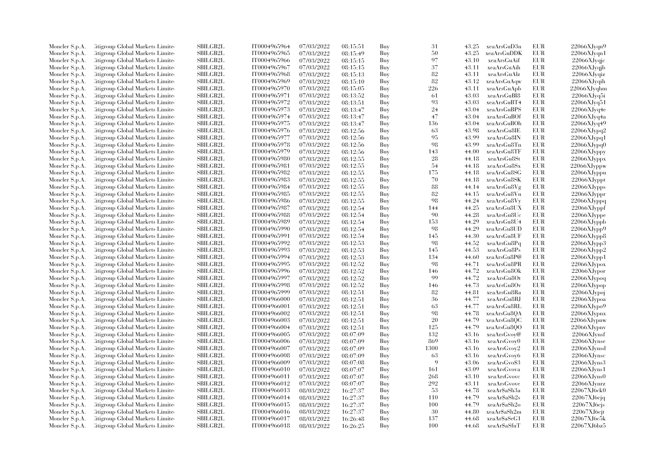| Moncler S.p.A. | Litigroup Global Markets Limite  | SBILGB2L        | IT0004965964 | 07/03/2022 | 08:15:51 | Buy | 31   | 43.25 | xeaArsGuD3n  | EUR        | 22066XJyqn9    |
|----------------|----------------------------------|-----------------|--------------|------------|----------|-----|------|-------|--------------|------------|----------------|
| Moncler S.p.A. | Litigroup Global Markets Limite  | <b>SBILGB2L</b> | IT0004965965 | 07/03/2022 | 08:15:49 | Buy | 50   | 43.25 | xeaArsGuDDK  | EUR        | 22066XJyqn1    |
| Moncler S.p.A. | Citigroup Global Markets Limite  | SBILGB2L        | IT0004965966 | 07/03/2022 | 08:15:15 | Buy | 97   | 43.10 | xeaArsGuAif  | <b>EUR</b> | $22066X$ Jyqjc |
| Moncler S.p.A. | Litigroup Global Markets Limite  | SBILGB2L        | IT0004965967 | 07/03/2022 | 08:15:15 | Buy | 37   | 43.11 | xeaArsGuAih  | EUR        | $22066$ XJyqjb |
| Moncler S.p.A. | Litigroup Global Markets Limite  | <b>SBILGB2L</b> | IT0004965968 | 07/03/2022 | 08:15:13 | Buy | 82   | 43.11 | xeaArsGuAlz  | <b>EUR</b> | $22066X$ Jyqiz |
| Moncler S.p.A. | Citigroup Global Markets Limite  | SBILGB2L        | IT0004965969 | 07/03/2022 | 08:15:10 | Buy | 82   | 43.12 | xeaArsGuAqw  | EUR        | $22066X$ Jyqih |
| Moncler S.p.A. | Citigroup Global Markets Limite  | SBILGB2L        | IT0004965970 | 07/03/2022 | 08:15:05 | Buy | 226  | 43.11 | xeaArsGuApb  | EUR        | $22066X$ Jyqhm |
| Moncler S.p.A. | Litigroup Global Markets Limite  | <b>SBILGB2L</b> | IT0004965971 | 07/03/2022 | 08:13:52 | Buy | -61  | 43.03 | xeaArsGuBI8  | EUR        | $22066X$ Jyq5i |
|                |                                  |                 |              |            |          |     | 93   |       |              | EUR        |                |
| Moncler S.p.A. | Litigroup Global Markets Limite  | <b>SBILGB2L</b> | IT0004965972 | 07/03/2022 | 08:13:51 | Buy |      | 43.03 | xeaArsGuBT4  |            | 22066XJyq51    |
| Moncler S.p.A. | Citigroup Global Markets Limite  | SBILGB2L        | IT0004965973 | 07/03/2022 | 08:13:47 | Buy | 24   | 43.04 | xeaArsGuBPS  | <b>EUR</b> | 22066XJyq4e    |
| Moncler S.p.A. | Citigroup Global Markets Limite  | <b>SBILGB2L</b> | IT0004965974 | 07/03/2022 | 08:13:47 | Buy | 47   | 43.04 | xeaArsGuBOf  | EUR        | 22066XJyq4a    |
| Moncler S.p.A. | Litigroup Global Markets Limite  | <b>SBILGB2L</b> | IT0004965975 | 07/03/2022 | 08:13:47 | Buy | 136  | 43.04 | xeaArsGuBOh  | EUR        | 22066XJyq49    |
| Moncler S.p.A. | Citigroup Global Markets Limite  | <b>SBILGB2L</b> | IT0004965976 | 07/03/2022 | 08:12:56 | Buy | 63   | 43.98 | xeaArsGu8IE  | EUR        | 22066XJypq2    |
| Moncler S.p.A. | Litigroup Global Markets Limite  | <b>SBILGB2L</b> | IT0004965977 | 07/03/2022 | 08:12:56 | Buy | 95   | 43.99 | xeaArsGu8IN  | EUR        | 22066XJypq1    |
| Moncler S.p.A. | Citigroup Global Markets Limite  | <b>SBILGB2L</b> | IT0004965978 | 07/03/2022 | 08:12:56 | Buy | 98   | 43.99 | xeaArsGu8Tn  | EUR        | 22066XJypq0    |
| Moncler S.p.A. | Litigroup Global Markets Limite  | SBILGB2L        | IT0004965979 | 07/03/2022 | 08:12:56 | Buy | 143  | 44.00 | xeaArsGu8TF  | EUR        | 22066XJyppy    |
| Moncler S.p.A. | Citigroup Global Markets Limite  | SBILGB2L        | IT0004965980 | 07/03/2022 | 08:12:55 | Buy | 28   | 44.18 | xeaArsGu8St  | EUR        | 22066XJyppx    |
| Moncler S.p.A. | Litigroup Global Markets Limite  | <b>SBILGB2L</b> | IT0004965981 | 07/03/2022 | 08:12:55 | Buy | -54  | 44.18 | xeaArsGu8Sx  | EUR        | 22066XJyppw    |
| Moncler S.p.A. | Citigroup Global Markets Limite  | SBILGB2L        | IT0004965982 | 07/03/2022 | 08:12:55 | Buy | 175  | 44.18 | xeaArsGu8SG  | EUR        | 22066XJyppu    |
| Moncler S.p.A. | Litigroup Global Markets Limite  | <b>SBILGB2L</b> | IT0004965983 | 07/03/2022 | 08:12:55 | Buy | 70   | 44.18 | xeaArsGu8SK  | EUR        | 22066XJyppt    |
| Moncler S.p.A. | Citigroup Global Markets Limite  | <b>SBILGB2L</b> | IT0004965984 | 07/03/2022 | 08:12:55 | Buy | 88   | 44.14 | xeaArsGu8Vg  | EUR        | 22066XJypps    |
| Moncler S.p.A. | Litigroup Global Markets Limite  | SBILGB2L        | IT0004965985 | 07/03/2022 | 08:12:55 | Buy | 82   | 44.15 | xeaArsGu8Vn  | EUR        | 22066XJyppr    |
| Moncler S.p.A. | Citigroup Global Markets Limite  | SBILGB2L        | IT0004965986 | 07/03/2022 | 08:12:55 | Buy | 98   | 44.24 | xeaArsGu8Vy  | EUR        | 22066XJyppq    |
| Moncler S.p.A. | Citigroup Global Markets Limite  | <b>SBILGB2L</b> | IT0004965987 | 07/03/2022 | 08:12:54 | Buy | 144  | 44.25 | xeaArsGu8UX  | EUR        | 22066XJyppf    |
| Moncler S.p.A. | Citigroup Global Markets Limite  | <b>SBILGB2L</b> | IT0004965988 | 07/03/2022 | 08:12:54 | Buy | 90   | 44.28 | xeaArsGu8Uc  | EUR        | 22066XJyppe    |
| Moncler S.p.A. | Citigroup Global Markets Limite  | SBILGB2L        | IT0004965989 | 07/03/2022 | 08:12:54 | Buy | 153  | 44.29 | xeaArsGu8U4  | EUR        | 22066XJyppb    |
| Moncler S.p.A. | Litigroup Global Markets Limite  | <b>SBILGB2L</b> | IT0004965990 | 07/03/2022 | 08:12:54 | Buy | 98   | 44.29 | xeaArsGu8UD  | EUR        | 22066XJypp9    |
| Moncler S.p.A. | Litigroup Global Markets Limite  | <b>SBILGB2L</b> | IT0004965991 | 07/03/2022 | 08:12:54 | Buy | 145  | 44.30 | xeaArsGu8UF  | EUR        | $22066$ XJypp8 |
|                | Citigroup Global Markets Limite  | SBILGB2L        | IT0004965992 | 07/03/2022 |          | Buy | 98   | 44.52 | xeaArsGu8Pq  | EUR        |                |
| Moncler S.p.A. |                                  | SBILGB2L        |              |            | 08:12:53 |     |      |       |              |            | 22066XJypp3    |
| Moncler S.p.A. | Citigroup Global Markets Limite  |                 | IT0004965993 | 07/03/2022 | 08:12:53 | Buy | 145  | 44.53 | xeaArsGu8Ps  | EUR        | 22066XJypp2    |
| Moncler S.p.A. | Citigroup Global Markets Limite  | SBILGB2L        | IT0004965994 | 07/03/2022 | 08:12:53 | Buy | 134  | 44.60 | xeaArsGu8P@  | EUR        | 22066XJypp1    |
| Moncler S.p.A. | Litigroup Global Markets Limite  | <b>SBILGB2L</b> | IT0004965995 | 07/03/2022 | 08:12:52 | Buy | 98   | 44.71 | xeaArsGu8PR  | EUR        | 22066XJypox    |
| Moncler S.p.A. | Litigroup Global Markets Limite  | <b>SBILGB2L</b> | IT0004965996 | 07/03/2022 | 08:12:52 | Buy | 146  | 44.72 | xeaArsGu8Ok  | EUR        | 22066XJypor    |
| Moncler S.p.A. | Citigroup Global Markets Limite  | SBILGB2L        | IT0004965997 | 07/03/2022 | 08:12:52 | Buy | 99   | 44.72 | xeaArsGu8Ot  | EUR        | 22066XJypoq    |
| Moncler S.p.A. | Citigroup Global Markets Limite  | SBILGB2L        | IT0004965998 | 07/03/2022 | 08:12:52 | Buy | 146  | 44.73 | xeaArsGu8Ov  | EUR        | 22066XJypop    |
| Moncler S.p.A. | Litigroup Global Markets Limite  | <b>SBILGB2L</b> | IT0004965999 | 07/03/2022 | 08:12:51 | Buy | 82   | 44.81 | xeaArsGu8Ra  | EUR        | 22066XJypoj    |
| Moncler S.p.A. | Citigroup Global Markets Limite  | SBILGB2L        | IT0004966000 | 07/03/2022 | 08:12:51 | Buy | 36   | 44.77 | xeaArsGu8RJ  | EUR        | 22066XJypoa    |
| Moncler S.p.A. | Citigroup Global Markets Limite  | SBILGB2L        | IT0004966001 | 07/03/2022 | 08:12:51 | Buy | 63   | 44.77 | xeaArsGu8RL  | <b>EUR</b> | 22066XJypo9    |
| Moncler S.p.A. | Litigroup Global Markets Limite  | <b>SBILGB2L</b> | IT0004966002 | 07/03/2022 | 08:12:51 | Buy | 98   | 44.78 | xeaArsGu8QA  | <b>EUR</b> | 22066XJypnx    |
| Moncler S.p.A. | Litigroup Global Markets Limite  | <b>SBILGB2L</b> | IT0004966003 | 07/03/2022 | 08:12:51 | Buy | 20   | 44.79 | xeaArsGu8QC  | EUR        | 22066XJypnw    |
| Moncler S.p.A. | Citigroup Global Markets Limite  | <b>SBILGB2L</b> | IT0004966004 | 07/03/2022 | 08:12:51 | Buy | 125  | 44.79 | xeaArsGu8OO  | EUR        | 22066XJypnv    |
| Moncler S.p.A. | Citigroup Global Markets Limite  | SBILGB2L        | IT0004966005 | 07/03/2022 | 08:07:09 | Buy | 132  | 43.16 | xeaArsGvoy@  | EUR        | $22066X$ Jynsf |
| Moncler S.p.A. | Citigroup Global Markets Limite  | <b>SBILGB2L</b> | IT0004966006 | 07/03/2022 | 08:07:09 | Buy | 869  | 43.16 | xeaArsGvoy0  | EUR        | 22066XJynse    |
| Moncler S.p.A. | Citigroup Global Markets Limite  | SBILGB2L        | IT0004966007 | 07/03/2022 | 08:07:09 | Buy | 1300 | 43.16 | xeaArsGvoy2  | EUR        | 22066XJynsd    |
| Moncler S.p.A. | Citigroup Global Markets Limite  | <b>SBILGB2L</b> | IT0004966008 | 07/03/2022 | 08:07:09 | Buy | 63   | 43.16 | xeaArsGvoy6  | EUR        | $22066XJ$ ynsc |
| Moncler S.p.A. | Citigroup Global Markets Limite  | SBILGB2L        | IT0004966009 | 07/03/2022 | 08:07:08 | Buy | 9    | 43.06 | xeaArsGvo\$3 | EUR        | 22066XJyns3    |
| Moncler S.p.A. | Citigroup Global Markets Limite  | <b>SBILGB2L</b> | IT0004966010 | 07/03/2022 | 08:07:07 | Buy | 161  | 43.09 | xeaArsGvova  | EUR        | 22066XJyns1    |
| Moncler S.p.A. | Citigroup Global Markets Limite  | <b>SBILGB2L</b> | IT0004966011 | 07/03/2022 | 08:07:07 | Buy | 268  | 43.10 | xeaArsGvovc  | EUR        | $22066X$ Jyns0 |
| Moncler S.p.A. | Citigroup Global Markets Limite  | SBILGB2L        | IT0004966012 | 07/03/2022 | 08:07:07 | Buy | 292  | 43.11 | xeaArsGvove  | EUR        | $22066$ XJynrz |
| Moncler S.p.A. | Citigroup Global Markets Limite  | SBILGB2L        | IT0004966013 | 08/03/2022 | 16:27:37 | Buy | 53   | 44.78 | xeaAr\$aSh3a | EUR        | 22067XJ6ck0    |
| Moncler S.p.A. | Litigroup Global Markets Limite  | <b>SBILGB2L</b> | IT0004966014 | 08/03/2022 | 16:27:37 | Buy | 110  | 44.79 | xeaAr\$aSh2s | EUR        | $22067XJ6c$ iq |
| Moncler S.p.A. | Litigroup Global Markets Limite  | <b>SBILGB2L</b> | IT0004966015 | 08/03/2022 | 16:27:37 | Buy | 100  | 44.79 | xeaAr\$aSh2o | EUR        | 22067XJ6cjs    |
| Moncler S.p.A. | Citigroup Global Markets Limite  | SBILGB2L        | IT0004966016 | 08/03/2022 | 16:27:37 |     | 30   | 44.80 | xeaAr\$aSh2m | EUR        | 22067XJ6cjt    |
|                | Citigroup Global Markets Limite  | <b>SBILGB2L</b> | IT0004966017 |            |          | Buy | 137  | 44.68 | xeaAr\$aSeG1 | <b>EUR</b> | 22067XJ6c5k    |
| Moncler S.p.A. |                                  |                 |              | 08/03/2022 | 16:26:48 | Buy | 100  |       |              |            |                |
| Moncler S.p.A. | Citigroup Global Markets Limited | SBILGB2L        | IT0004966018 | 08/03/2022 | 16:26:25 | Buy |      | 44.68 | xeaAr\$aSfuT | EUR        | 22067XJ6bz5    |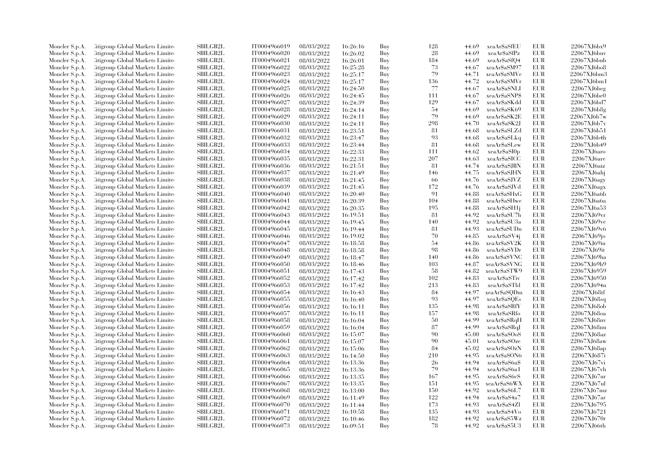| Moncler S.p.A.                   | Litigroup Global Markets Limite  | <b>SBILGB2L</b> | IT0004966019 | 08/03/2022               | 16:26:16             | Buy | 128 | 44.69 | xeaAr\$aSfEU  | EUR        | 22067XJ6bx9 |
|----------------------------------|----------------------------------|-----------------|--------------|--------------------------|----------------------|-----|-----|-------|---------------|------------|-------------|
| Moncler S.p.A.                   | Litigroup Global Markets Limite  | <b>SBILGB2L</b> | IT0004966020 | 08/03/2022               | 16:26:02             | Buy | 28  | 44.69 | xeaAr\$aSfPz  | <b>EUR</b> | 22067XJ6buv |
| Moncler S.p.A.                   | Citigroup Global Markets Limite  | <b>SBILGB2L</b> | IT0004966021 | 08/03/2022               | 16:26:01             | Buy | 184 | 44.69 | xeaAr\$aSfQ4  | <b>EUR</b> | 22067XJ6bub |
| Moncler S.p.A.                   | Litigroup Global Markets Limite  | SBILGB2L        | IT0004966022 | 08/03/2022               | 16:25:28             | Buy | 73  | 44.67 | xeaAr\$aSM97  | EUR        | 22067XJ6bo8 |
| Moncler S.p.A.                   | Litigroup Global Markets Limite  | <b>SBILGB2L</b> | IT0004966023 | 08/03/2022               | 16:25:17             | Buy | 79  | 44.71 | xeaAr\$aSMVe  | <b>EUR</b> | 22067XJ6bm3 |
| Moncler S.p.A.                   | Citigroup Global Markets Limite  | SBILGB2L        | IT0004966024 | 08/03/2022               | 16:25:17             | Buy | 136 | 44.72 | xeaAr\$aSMVr  | EUR        | 22067XJ6bm1 |
| Moncler S.p.A.                   | Citigroup Global Markets Limite  | SBILGB2L        | IT0004966025 | 08/03/2022               | 16:24:50             | Buy | 77  | 44.67 | xeaAr\$aSNLI  | <b>EUR</b> | 22067XJ6beg |
| Moncler S.p.A.                   | Litigroup Global Markets Limite  | <b>SBILGB2L</b> | IT0004966026 | 08/03/2022               | 16:24:45             | Buy | 111 | 44.67 | xeaAr\$aSNP\$ | EUR        | 22067XJ6be0 |
| Moncler S.p.A.                   | Litigroup Global Markets Limite  | <b>SBILGB2L</b> | IT0004966027 | 08/03/2022               | 16:24:39             | Buy | 129 | 44.67 | xeaAr\$aSKdd  | EUR        | 22067XJ6bd7 |
| Moncler S.p.A.                   | Citigroup Global Markets Limite  | SBILGB2L        | IT0004966028 | 08/03/2022               | 16:24:14             | Buy | 54  | 44.69 | xeaAr\$aSK69  | <b>EUR</b> | 22067XJ6b8g |
| Moncler S.p.A.                   | Citigroup Global Markets Limite  | <b>SBILGB2L</b> | IT0004966029 | 08/03/2022               | 16:24:11             | Buy | 79  | 44.69 | xeaAr\$aSK2E  | EUR        | 22067XJ6b7w |
|                                  | Litigroup Global Markets Limite  | <b>SBILGB2L</b> | IT0004966030 | 08/03/2022               | 16:24:11             | Buy | 298 | 44.70 | xeaAr\$aSK2J  | EUR        | 22067XJ6b7v |
| Moncler S.p.A.                   |                                  | <b>SBILGB2L</b> |              |                          |                      |     |     |       |               | EUR        | 22067XJ6b51 |
| Moncler S.p.A.                   | Citigroup Global Markets Limite  |                 | IT0004966031 | 08/03/2022               | 16:23:51             | Buy | 81  | 44.68 | xeaAr\$aSLZd  |            | 22067XJ6b4h |
| Moncler S.p.A.                   | Litigroup Global Markets Limite  | <b>SBILGB2L</b> | IT0004966032 | 08/03/2022               | 16:23:47             | Buy | 93  | 44.68 | xeaAr\$aSLkq  | EUR        |             |
| Moncler S.p.A.                   | Citigroup Global Markets Limite  | SBILGB2L        | IT0004966033 | 08/03/2022               | 16:23:44             | Buy | 81  | 44.68 | xeaAr\$aSLew  | EUR        | 22067XJ6b49 |
| Moncler S.p.A.                   | Citigroup Global Markets Limite  | SBILGB2L        | IT0004966034 | 08/03/2022               | 16:22:33             | Buy | 111 | 44.62 | xeaAr\$aSI0p  | EUR        | 22067XJ6aro |
| Moncler S.p.A.                   | Citigroup Global Markets Limite  | SBILGB2L        | IT0004966035 | 08/03/2022               | 16:22:31             | Buy | 207 | 44.63 | xeaAr\$aSICC  | EUR        | 22067XJ6are |
| Moncler S.p.A.                   | Litigroup Global Markets Limite  | <b>SBILGB2L</b> | IT0004966036 | 08/03/2022               | 16:21:51             | Buy | -81 | 44.74 | xeaAr\$aSJBN  | EUR        | 22067XJ6aiz |
| Moncler S.p.A.                   | Citigroup Global Markets Limite  | SBILGB2L        | IT0004966037 | 08/03/2022               | 16:21:49             | Buy | 146 | 44.75 | xeaArSaSJHN   | <b>EUR</b> | 22067XJ6ahj |
| Moncler S.p.A.                   | Citigroup Global Markets Limite  | <b>SBILGB2L</b> | IT0004966038 | 08/03/2022               | 16:21:45             | Buy | -66 | 44.76 | xeaArSaSJVZ   | <b>EUR</b> | 22067XJ6agy |
| Moncler S.p.A.                   | Litigroup Global Markets Limite  | <b>SBILGB2L</b> | IT0004966039 | 08/03/2022               | 16:21:45             | Buy | 172 | 44.76 | xeaAr\$aSJVd  | <b>EUR</b> | 22067XJ6agx |
| Moncler S.p.A.                   | Litigroup Global Markets Limite  | SBILGB2L        | IT0004966040 | 08/03/2022               | 16:20:40             | Buy | 91  | 44.88 | xeaAr\$aSHxG  | <b>EUR</b> | 22067XJ6a6b |
| Moncler S.p.A.                   | Citigroup Global Markets Limite  | <b>SBILGB2L</b> | IT0004966041 | 08/03/2022               | 16:20:39             | Buy | 104 | 44.88 | xeaAr\$aSHwe  | EUR        | 22067XJ6a6a |
| Moncler S.p.A.                   | Citigroup Global Markets Limite  | <b>SBILGB2L</b> | IT0004966042 | 08/03/2022               | 16:20:35             | Buy | 195 | 44.88 | xeaAr\$aSH1j  | EUR        | 22067XJ6a53 |
| Moncler S.p.A.                   | Citigroup Global Markets Limite  | <b>SBILGB2L</b> | IT0004966043 | 08/03/2022               | 16:19:51             | Buy | -81 | 44.92 | xeaAr\$aSU7h  | EUR        | 22067XJ69vr |
| Moncler S.p.A.                   | Citigroup Global Markets Limite  | SBILGB2L        | IT0004966044 | 08/03/2022               | 16:19:45             | Buy | 140 | 44.92 | xeaAr\$aSU3a  | EUR        | 22067XJ69ve |
| Moncler S.p.A.                   | Citigroup Global Markets Limite  | <b>SBILGB2L</b> | IT0004966045 | 08/03/2022               | 16:19:44             | Buy | 81  | 44.93 | xeaAr\$aSUDn  | EUR        | 22067XJ69v6 |
| Moncler S.p.A.                   | Litigroup Global Markets Limite  | <b>SBILGB2L</b> | IT0004966046 | 08/03/2022               | 16:19:02             | Buy | 70  | 44.85 | xeaAr\$aSV4j  | <b>EUR</b> | 22067XJ69jo |
| Moncler S.p.A.                   | Citigroup Global Markets Limite  | SBILGB2L        | IT0004966047 | 08/03/2022               | 16:18:58             | Buy | 54  | 44.86 | xeaAr\$aSV2K  | EUR        | 22067XJ69iu |
| Moncler S.p.A.                   | Citigroup Global Markets Limite  | SBILGB2L        | IT0004966048 | 08/03/2022               | 16:18:58             | Buy | 98  | 44.86 | xeaAr\$aSVDr  | <b>EUR</b> | 22067XJ69it |
| Moncler S.p.A.                   | Citigroup Global Markets Limite  | <b>SBILGB2L</b> | IT0004966049 | 08/03/2022               | 16:18:47             | Buy | 140 | 44.86 | xeaAr\$aSVNC  | EUR        | 22067XJ69ha |
| Moncler S.p.A.                   | Litigroup Global Markets Limite  | <b>SBILGB2L</b> | IT0004966050 | 08/03/2022               | 16:18:46             | Buy | 103 | 44.87 | xeaAr\$aSVNG  | <b>EUR</b> | 22067XJ69h9 |
| Moncler S.p.A.                   | Citigroup Global Markets Limite  | <b>SBILGB2L</b> | IT0004966051 | 08/03/2022               | 16:17:43             | Buy | -58 | 44.82 | xeaAr\$aSTW9  | EUR        | 22067XJ6959 |
| Moncler S.p.A.                   | Citigroup Global Markets Limite  | SBILGB2L        | IT0004966052 | 08/03/2022               | 16:17:42             | Buy | 102 | 44.83 | xeaAr\$aSTiv  | <b>EUR</b> | 22067XJ6950 |
| Moncler S.p.A.                   | Citigroup Global Markets Limite  | SBILGB2L        | IT0004966053 | 08/03/2022               | 16:17:42             | Buy | 213 | 44.83 | xeaAr\$aSTld  | EUR        | 22067XJ694n |
| Moncler S.p.A.                   | Litigroup Global Markets Limite  | <b>SBILGB2L</b> | IT0004966054 | 08/03/2022               | 16:16:43             | Buy | 84  | 44.97 | xeaAr\$aSQDm  | EUR        | 22067XJ68tf |
| Moncler S.p.A.                   | Citigroup Global Markets Limite  | SBILGB2L        | IT0004966055 | 08/03/2022               | 16:16:40             | Buy | 93  | 44.97 | xeaAr\$aSQEs  | EUR        | 22067XJ68sq |
| Moncler S.p.A.                   | Citigroup Global Markets Limite  | SBILGB2L        | IT0004966056 | 08/03/2022               | 16:16:11             | Buy | 135 | 44.98 | xeaAr\$aSRfY  | <b>EUR</b> | 22067XJ68ob |
| Moncler S.p.A.                   | Litigroup Global Markets Limite  | <b>SBILGB2L</b> | IT0004966057 | 08/03/2022               | 16:16:11             | Buy | 157 | 44.98 | xeaAr\$aSRfo  | <b>EUR</b> | 22067XJ68oa |
| Moncler S.p.A.                   | Litigroup Global Markets Limite  | <b>SBILGB2L</b> | IT0004966058 | 08/03/2022               | 16:16:04             | Buy | 50  | 44.99 | xeaAr\$aSRqH  | EUR        | 22067XJ68nv |
| Moncler S.p.A.                   | Citigroup Global Markets Limite  | <b>SBILGB2L</b> | IT0004966059 | 08/03/2022               | 16:16:04             | Buy | 87  | 44.99 | xeaAr\$aSRqJ  | <b>EUR</b> | 22067XJ68nu |
| Moncler S.p.A.                   | Citigroup Global Markets Limite  | SBILGB2L        | IT0004966060 | 08/03/2022               | 16:15:07             | Buy | 90  | 45.00 | xeaAr\$aSOoS  | EUR        | 22067XJ68az |
| Moncler S.p.A.                   | Citigroup Global Markets Limite  | <b>SBILGB2L</b> | IT0004966061 | 08/03/2022               | 16:15:07             | Buy | 90  | 45.01 | xeaAr\$aSOze  | EUR        | 22067XJ68aw |
| Moncler S.p.A.                   | Citigroup Global Markets Limite  | SBILGB2L        | IT0004966062 | 08/03/2022               | 16:15:06             | Buy | 84  | 45.02 | xeaAr\$aSOzN  | EUR        | 22067XJ68ap |
| Moncler S.p.A.                   | Citigroup Global Markets Limite  | <b>SBILGB2L</b> | IT0004966063 | 08/03/2022               | 16:14:50             | Buy | 210 | 44.95 | xeaAr\$aSON6  | EUR        | 22067XJ687i |
| Moncler S.p.A.                   | Citigroup Global Markets Limite  | SBILGB2L        | IT0004966064 | 08/03/2022               | 16:13:36             | Buy | 26  | 44.94 | xeaAr\$aS6a\$ | <b>EUR</b> | 22067XJ67vi |
| Moncler S.p.A.                   | Citigroup Global Markets Limite  | <b>SBILGB2L</b> | IT0004966065 | 08/03/2022               | 16:13:36             | Buy | 79  | 44.94 | xeaAr\$aS6a1  | EUR        | 22067XJ67vh |
| Moncler S.p.A.                   | Citigroup Global Markets Limite  | <b>SBILGB2L</b> | IT0004966066 | 08/03/2022               | 16:13:35             | Buy | 167 | 44.95 | xeaAr\$aS6cS  | EUR        | 22067XJ67ur |
| Moncler S.p.A.                   | Citigroup Global Markets Limite  | SBILGB2L        | IT0004966067 | 08/03/2022               | 16:13:35             | Buy | 151 | 44.95 | xeaAr\$aS6WX  | EUR        | 22067XJ67ul |
| Moncler S.p.A.                   | Citigroup Global Markets Limite  | SBILGB2L        | IT0004966068 | 08/03/2022               | 16:13:00             | Buy | 150 | 44.92 | xeaAr\$aS6L7  | <b>EUR</b> | 22067XJ67mz |
| Moncler S.p.A.                   | Litigroup Global Markets Limite  | <b>SBILGB2L</b> | IT0004966069 | 08/03/2022               | 16:11:49             | Buy | 122 | 44.94 | xeaAr\$aS4a7  | EUR        | 22067XJ67ar |
|                                  | Litigroup Global Markets Limite  | <b>SBILGB2L</b> | IT0004966070 | 08/03/2022               |                      | Buy | 173 | 44.93 | xeaAr\$aS4Zl  | EUR        | 22067XJ6795 |
| Moncler S.p.A.                   | Citigroup Global Markets Limite  | SBILGB2L        | IT0004966071 |                          | 16:11:44             | Buy | 135 | 44.93 | xeaAr\$aS4Vo  | EUR        | 22067XJ6721 |
| Moncler S.p.A.                   | Citigroup Global Markets Limite  | <b>SBILGB2L</b> | IT0004966072 | 08/03/2022               | 16:10:58             | Buy | 182 | 44.92 | xeaAr\$aS5Wz  | <b>EUR</b> | 22067XJ670r |
| Moncler S.p.A.<br>Moncler S.p.A. | Citigroup Global Markets Limited | SBILGB2L        | IT0004966073 | 08/03/2022<br>08/03/2022 | 16:10:46<br>16:09:51 | Buy | 78  | 44.92 | xeaAr\$aS5U3  | <b>EUR</b> | 22067XJ66th |
|                                  |                                  |                 |              |                          |                      |     |     |       |               |            |             |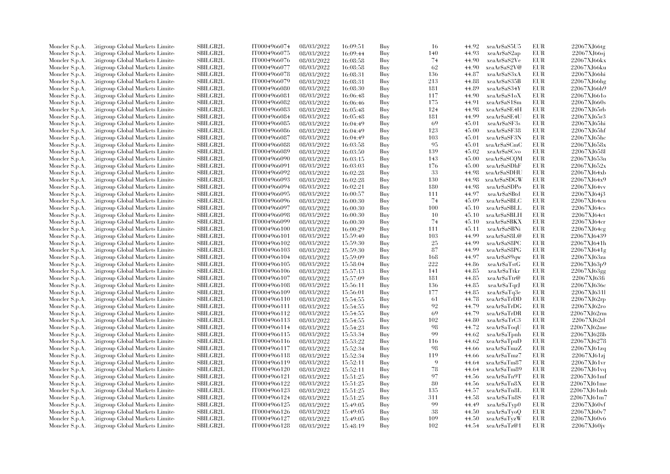| Moncler S.p.A. | Citigroup Global Markets Limite  | SBILGB2L        | IT0004966074 | 08/03/2022 | 16:09:51 | Buy | 16  | 44.92 | xeaAr\$aS5U5  | EUR        | 22067XJ66tg |
|----------------|----------------------------------|-----------------|--------------|------------|----------|-----|-----|-------|---------------|------------|-------------|
| Moncler S.p.A. | Citigroup Global Markets Limite  | SBILGB2L        | IT0004966075 | 08/03/2022 | 16:09:44 | Buy | 140 | 44.93 | xeaAr\$aS2ap  | EUR        | 22067XJ66sj |
| Moncler S.p.A. | Citigroup Global Markets Limited | <b>SBILGB2L</b> | IT0004966076 | 08/03/2022 | 16:08:58 | Buy | 74  | 44.90 | xeaAr\$aS2Ve  | EUR        | 22067XJ66kx |
| Moncler S.p.A. | Litigroup Global Markets Limite  | SBILGB2L        | IT0004966077 | 08/03/2022 | 16:08:58 | Buy | 62  | 44.90 | xeaAr\$aS2V@  | EUR        | 22067XJ66ku |
| Moncler S.p.A. | Citigroup Global Markets Limite  | <b>SBILGB2L</b> | IT0004966078 | 08/03/2022 | 16:08:31 | Buy | 136 | 44.87 | xeaAr\$aS3xA  | <b>EUR</b> | 22067XJ66hi |
| Moncler S.p.A. | Citigroup Global Markets Limite  | SBILGB2L        | IT0004966079 | 08/03/2022 | 16:08:31 | Buy | 213 | 44.88 | xeaAr\$aS35B  | <b>EUR</b> | 22067XJ66hg |
| Moncler S.p.A. | Citigroup Global Markets Limited | <b>SBILGB2L</b> | IT0004966080 | 08/03/2022 | 16:08:30 | Buy | 181 | 44.89 | xeaAr\$aS34Y  | EUR        | 22067XJ66h9 |
| Moncler S.p.A. | Litigroup Global Markets Limite  | <b>SBILGB2L</b> | IT0004966081 | 08/03/2022 | 16:06:48 | Buy | 117 | 44.90 | xeaAr\$aS1oX  | EUR        | 22067XJ661o |
| Moncler S.p.A. | Citigroup Global Markets Limite  | SBILGB2L        | IT0004966082 | 08/03/2022 | 16:06:46 | Buy | 175 | 44.91 | xeaAr\$aS1\$m | <b>EUR</b> | 22067XJ660s |
| Moncler S.p.A. | Citigroup Global Markets Limite  | SBILGB2L        | IT0004966083 | 08/03/2022 | 16:05:48 | Buy | 124 | 44.98 | xeaAr\$aSE4H  | <b>EUR</b> | 22067XJ65rb |
| Moncler S.p.A. | Citigroup Global Markets Limite  | <b>SBILGB2L</b> | IT0004966084 | 08/03/2022 | 16:05:48 | Buy | 181 | 44.99 | xeaAr\$aSE4U  | EUR        | 22067XJ65r3 |
| Moncler S.p.A. | Litigroup Global Markets Limite  | <b>SBILGB2L</b> | IT0004966085 | 08/03/2022 | 16:04:49 | Buy | 69  | 45.01 | xeaAr\$aSF3s  | <b>EUR</b> | 22067XJ65hi |
| Moncler S.p.A. | Citigroup Global Markets Limite  | SBILGB2L        | IT0004966086 | 08/03/2022 | 16:04:49 | Buy | 123 | 45.00 | xeaAr\$aSF38  | <b>EUR</b> | 22067XJ65hf |
| Moncler S.p.A. | Citigroup Global Markets Limited | SBILGB2L        | IT0004966087 | 08/03/2022 |          | Buy | 103 | 45.01 | xeaAr\$aSF3N  | <b>EUR</b> | 22067XJ65hc |
| Moncler S.p.A. | Litigroup Global Markets Limite  | SBILGB2L        | IT0004966088 | 08/03/2022 | 16:04:49 | Buy | 95  | 45.01 | xeaAr\$aSCmC  | EUR        | 22067XJ658x |
|                |                                  |                 |              |            | 16:03:58 |     | 139 | 45.02 |               |            |             |
| Moncler S.p.A. | Litigroup Global Markets Limite  | <b>SBILGB2L</b> | IT0004966089 | 08/03/2022 | 16:03:50 | Buy |     |       | xeaAr\$aSCvo  | <b>EUR</b> | 22067XJ658I |
| Moncler S.p.A. | Citigroup Global Markets Limite  | SBILGB2L        | IT0004966090 | 08/03/2022 | 16:03:15 | Buy | 143 | 45.00 | xeaAr\$aSCQM  | EUR        | 22067XJ653n |
| Moncler S.p.A. | Citigroup Global Markets Limite  | SBILGB2L        | IT0004966091 | 08/03/2022 | 16:03:03 | Buy | 176 | 45.00 | xeaAr\$aSDhF  | EUR        | 22067XJ652x |
| Moncler S.p.A. | Citigroup Global Markets Limite  | <b>SBILGB2L</b> | IT0004966092 | 08/03/2022 | 16:02:28 | Buy | -33 | 44.98 | xeaAr\$aSDHU  | <b>EUR</b> | 22067XJ64xb |
| Moncler S.p.A. | Litigroup Global Markets Limite  | <b>SBILGB2L</b> | IT0004966093 | 08/03/2022 | 16:02:28 | Buy | 130 | 44.98 | xeaAr\$aSDGW  | EUR        | 22067XJ64x9 |
| Moncler S.p.A. | Citigroup Global Markets Limite  | SBILGB2L        | IT0004966094 | 08/03/2022 | 16:02:21 | Buy | 180 | 44.98 | xeaAr\$aSDPo  | <b>EUR</b> | 22067XJ64vv |
| Moncler S.p.A. | Citigroup Global Markets Limite  | SBILGB2L        | IT0004966095 | 08/03/2022 | 16:00:57 | Buy | 111 | 44.97 | xeaAr\$aSBtd  | EUR        | 22067XJ64j3 |
| Moncler S.p.A. | Citigroup Global Markets Limite  | <b>SBILGB2L</b> | IT0004966096 | 08/03/2022 | 16:00:30 | Buy | 74  | 45.09 | xeaAr\$aSBLC  | EUR        | 22067XJ64cu |
| Moncler S.p.A. | Citigroup Global Markets Limite  | SBILGB2L        | IT0004966097 | 08/03/2022 | 16:00:30 | Buy | 100 | 45.10 | xeaAr\$aSBLL  | <b>EUR</b> | 22067XJ64cs |
| Moncler S.p.A. | Citigroup Global Markets Limite  | <b>SBILGB2L</b> | IT0004966098 | 08/03/2022 | 16:00:30 | Buy | 10  | 45.10 | xeaAr\$aSBLH  | EUR        | 22067XJ64ct |
| Moncler S.p.A. | Litigroup Global Markets Limite  | <b>SBILGB2L</b> | IT0004966099 | 08/03/2022 | 16:00:30 | Buy | 74  | 45.10 | xeaAr\$aSBKX  | EUR        | 22067XJ64cr |
| Moncler S.p.A. | Citigroup Global Markets Limite  | <b>SBILGB2L</b> | IT0004966100 | 08/03/2022 | 16:00:29 | Buy | 111 | 45.11 | xeaAr\$aSBNi  | EUR        | 22067XJ64cg |
| Moncler S.p.A. | Citigroup Global Markets Limite  | SBILGB2L        | IT0004966101 | 08/03/2022 | 15:59:40 | Buy | 103 | 44.99 | xeaAr\$aS8L@  | <b>EUR</b> | 22067XJ6439 |
| Moncler S.p.A. | Litigroup Global Markets Limite  | SBILGB2L        | IT0004966102 | 08/03/2022 | 15:59:30 | Buy | 25  | 44.99 | xeaAr\$aS8PC  | EUR        | 22067XJ641h |
| Moncler S.p.A. | Litigroup Global Markets Limite  | <b>SBILGB2L</b> | IT0004966103 | 08/03/2022 | 15:59:30 | Buy | 87  | 44.99 | xeaAr\$aS8PG  | EUR        | 22067XJ641g |
| Moncler S.p.A. | Litigroup Global Markets Limite  | <b>SBILGB2L</b> | IT0004966104 | 08/03/2022 | 15:59:09 | Buy | 168 | 44.97 | xeaAr\$aS9qw  | EUR        | 22067XJ63za |
| Moncler S.p.A. | Citigroup Global Markets Limite  | SBILGB2L        | IT0004966105 | 08/03/2022 | 15:58:04 | Buy | 222 | 44.86 | xeaAr\$aTstG  | EUR        | 22067XJ63p9 |
| Moncler S.p.A. | Citigroup Global Markets Limite  | SBILGB2L        | IT0004966106 | 08/03/2022 | 15:57:13 | Buy | 141 | 44.85 | xeaAr\$aTtkr  | EUR        | 22067XJ63gg |
| Moncler S.p.A. | Citigroup Global Markets Limite  | <b>SBILGB2L</b> | IT0004966107 | 08/03/2022 | 15:57:09 | Buy | 181 | 44.85 | xeaAr\$aTtr@  | EUR        | 22067XJ63fi |
| Moncler S.p.A. | Citigroup Global Markets Limite  | SBILGB2L        | IT0004966108 | 08/03/2022 | 15:56:11 | Buy | 136 | 44.85 | xeaAr\$aTqrJ  | EUR        | 22067XJ636c |
| Moncler S.p.A. | Citigroup Global Markets Limite  | <b>SBILGB2L</b> | IT0004966109 | 08/03/2022 | 15:56:01 | Buy | 177 | 44.85 | xeaAr\$aTq3e  | EUR        | 22067XJ631l |
| Moncler S.p.A. | Litigroup Global Markets Limite  | SBILGB2L        | IT0004966110 | 08/03/2022 | 15:54:55 | Buy | -61 | 44.78 | xeaAr\$aTrDD  | EUR        | 22067XJ62rp |
| Moncler S.p.A. | Citigroup Global Markets Limite  | <b>SBILGB2L</b> | IT0004966111 | 08/03/2022 | 15:54:55 | Buy | 92  | 44.79 | xeaAr\$aTrDG  | EUR        | 22067XJ62ro |
| Moncler S.p.A. | Citigroup Global Markets Limite  | <b>SBILGB2L</b> | IT0004966112 | 08/03/2022 | 15:54:55 | Buy | 69  | 44.79 | xeaAr\$aTrDR  | <b>EUR</b> | 22067XJ62rm |
| Moncler S.p.A. | Litigroup Global Markets Limite  | SBILGB2L        | IT0004966113 | 08/03/2022 | 15:54:55 | Buy | 102 | 44.80 | xeaAr\$aTrC3  | EUR        | 22067XJ62rl |
| Moncler S.p.A. | Litigroup Global Markets Limite  | <b>SBILGB2L</b> | IT0004966114 | 08/03/2022 | 15:54:23 | Buy | 98  | 44.72 | xeaAr\$aToqU  | <b>EUR</b> | 22067XJ62me |
| Moncler S.p.A. | Citigroup Global Markets Limite  | SBILGB2L        | IT0004966115 | 08/03/2022 | 15:53:34 | Buy | 99  | 44.62 | xeaAr\$aTpnh  | EUR        | 22067XJ628b |
| Moncler S.p.A. | Citigroup Global Markets Limite  | SBILGB2L        | IT0004966116 | 08/03/2022 | 15:53:22 | Buy | 116 | 44.62 | xeaAr\$aTpuD  | <b>EUR</b> | 22067XJ6278 |
| Moncler S.p.A. | Litigroup Global Markets Limite  | <b>SBILGB2L</b> | IT0004966117 | 08/03/2022 | 15:52:34 | Buy | 98  | 44.66 | xeaAr\$aTmzZ  | EUR        | 22067XJ61zq |
|                | Litigroup Global Markets Limite  | <b>SBILGB2L</b> | IT0004966118 | 08/03/2022 |          | Buy | 119 | 44.66 | xeaAr\$aTmz7  | <b>EUR</b> | 22067XJ61zj |
| Moncler S.p.A. |                                  | <b>SBILGB2L</b> | IT0004966119 |            | 15:52:34 |     | 9   |       |               | <b>EUR</b> | 22067XJ61vr |
| Moncler S.p.A. | Citigroup Global Markets Limite  |                 |              | 08/03/2022 | 15:52:11 | Buy |     | 44.64 | xeaAr\$aTm87  |            |             |
| Moncler S.p.A. | Citigroup Global Markets Limite  | <b>SBILGB2L</b> | IT0004966120 | 08/03/2022 | 15:52:11 | Buy | 78  | 44.64 | xeaAr\$aTm89  | EUR        | 22067XJ61vq |
| Moncler S.p.A. | Citigroup Global Markets Limite  | <b>SBILGB2L</b> | IT0004966121 | 08/03/2022 | 15:51:25 | Buy | 97  | 44.56 | xeaAr\$aTn9T  | EUR        | 22067XJ61mf |
| Moncler S.p.A. | Citigroup Global Markets Limite  | SBILGB2L        | IT0004966122 | 08/03/2022 | 15:51:25 | Buy | 80  | 44.56 | xeaAr\$aTn8X  | EUR        | 22067XJ61me |
| Moncler S.p.A. | Citigroup Global Markets Limite  | SBILGB2L        | IT0004966123 | 08/03/2022 | 15:51:25 | Buy | 135 | 44.57 | xeaAr\$aTn8L  | <b>EUR</b> | 22067XJ61mb |
| Moncler S.p.A. | Litigroup Global Markets Limite  | <b>SBILGB2L</b> | IT0004966124 | 08/03/2022 | 15:51:25 | Buy | 311 | 44.58 | xeaAr\$aTn8S  | EUR        | 22067XJ61m7 |
| Moncler S.p.A. | Litigroup Global Markets Limite  | <b>SBILGB2L</b> | IT0004966125 | 08/03/2022 | 15:49:05 | Buy | 99  | 44.49 | xeaAr\$aTyp0  | EUR        | 22067XJ60vf |
| Moncler S.p.A. | Citigroup Global Markets Limite  | SBILGB2L        | IT0004966126 | 08/03/2022 | 15:49:05 | Buy | 38  | 44.50 | xeaAr\$aTyoQ  | EUR        | 22067XJ60v7 |
| Moncler S.p.A. | Citigroup Global Markets Limite  | <b>SBILGB2L</b> | IT0004966127 | 08/03/2022 | 15:49:05 | Buy | 109 | 44.50 | xeaAr\$aTvzW  | <b>EUR</b> | 22067XJ60v6 |
| Moncler S.p.A. | Citigroup Global Markets Limited | SBILGB2L        | IT0004966128 | 08/03/2022 | 15:48:19 | Buy | 102 | 44.54 | xeaAr\$aTz@1  | <b>EUR</b> | 22067XJ60jv |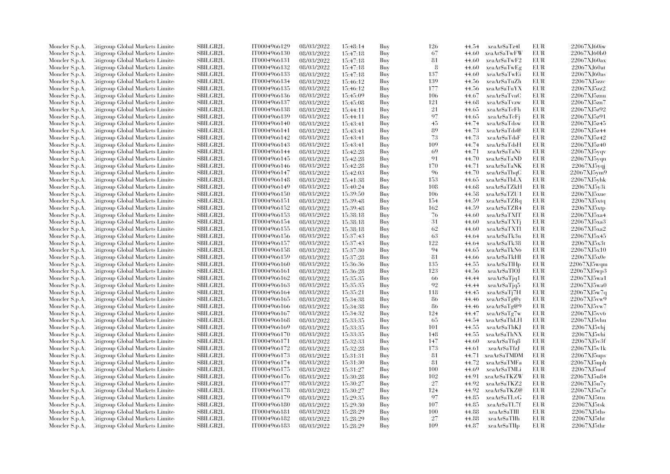| Moncler S.p.A. | Litigroup Global Markets Limite  | SBILGB2L        | IT0004966129 | 08/03/2022 | 15:48:14             | Buy        | 126      | 44.54 | xeaAr\$aTz4l | EUR        | 22067XJ60iw                |
|----------------|----------------------------------|-----------------|--------------|------------|----------------------|------------|----------|-------|--------------|------------|----------------------------|
| Moncler S.p.A. | Litigroup Global Markets Limite  | <b>SBILGB2L</b> | IT0004966130 | 08/03/2022 | 15:47:18             | Buy        | 67       | 44.60 | xeaAr\$aTwFW | EUR        | 22067XJ60b0                |
| Moncler S.p.A. | Citigroup Global Markets Limite  | <b>SBILGB2L</b> | IT0004966131 | 08/03/2022 | 15:47:18             | Buy        | 81       | 44.60 | xeaAr\$aTwF2 | <b>EUR</b> | 22067XJ60ax                |
| Moncler S.p.A. | Litigroup Global Markets Limite  | SBILGB2L        | IT0004966132 | 08/03/2022 | 15:47:18             | Buy        | 8        | 44.60 | xeaAr\$aTwEg | EUR        | 22067XJ60at                |
| Moncler S.p.A. | Litigroup Global Markets Limite  | <b>SBILGB2L</b> | IT0004966133 | 08/03/2022 | 15:47:18             | Buy        | 137      | 44.60 | xeaArSaTwEi  | <b>EUR</b> | 22067XJ60as                |
| Moncler S.p.A. | Citigroup Global Markets Limite  | SBILGB2L        | IT0004966134 | 08/03/2022 | 15:46:12             | Buy        | 139      | 44.56 | xeaAr\$aTuZh | EUR        | 22067XJ5zzc                |
| Moncler S.p.A. | Citigroup Global Markets Limite  | SBILGB2L        | IT0004966135 | 08/03/2022 | 15:46:12             | Buy        | 177      | 44.56 | xeaAr\$aTuYX | <b>EUR</b> | 22067XJ5zz2                |
| Moncler S.p.A. | Litigroup Global Markets Limite  | <b>SBILGB2L</b> | IT0004966136 | 08/03/2022 | 15:45:09             | Buy        | 106      | 44.67 | xeaAr\$aTvnC | EUR        | 22067XJ5znu                |
| Moncler S.p.A. | Litigroup Global Markets Limite  | <b>SBILGB2L</b> | IT0004966137 | 08/03/2022 | 15:45:08             | Buy        | 121      | 44.68 | xeaArSaTvzw  | EUR        | 22067XJ5zn7                |
| Moncler S.p.A. | Citigroup Global Markets Limite  | SBILGB2L        | IT0004966138 | 08/03/2022 | 15:44:11             | Buy        | 21       | 44.65 | xeaAr\$aTcFh | EUR        | 22067XJ5z92                |
| Moncler S.p.A. | Citigroup Global Markets Limite  | <b>SBILGB2L</b> | IT0004966139 | 08/03/2022 | 15:44:11             | Buy        | 97       | 44.65 | xeaAr\$aTcFj | EUR        | 22067XJ5z91                |
| Moncler S.p.A. | Litigroup Global Markets Limite  | <b>SBILGB2L</b> | IT0004966140 | 08/03/2022 | 15:43:41             | Buy        | 45       | 44.74 | xeaArSaTdsw  | EUR        | 22067XJ5z45                |
| Moncler S.p.A. | Citigroup Global Markets Limite  | <b>SBILGB2L</b> | IT0004966141 | 08/03/2022 | 15:43:41             | Buy        | 89       | 44.73 | xeaAr\$aTds@ | EUR        | 22067XJ5z44                |
| Moncler S.p.A. | Litigroup Global Markets Limite  | <b>SBILGB2L</b> | IT0004966142 | 08/03/2022 | 15:43:41             | Buy        | 73       | 44.73 | xeaAr\$aTdsF | <b>EUR</b> | 22067XJ5z42                |
| Moncler S.p.A. | Citigroup Global Markets Limite  | SBILGB2L        | IT0004966143 | 08/03/2022 | 15:43:41             | Buy        | 109      | 44.74 | xeaAr\$aTdsH | EUR        | 22067XJ5z40                |
| Moncler S.p.A. | Litigroup Global Markets Limite  | SBILGB2L        | IT0004966144 | 08/03/2022 | 15:42:28             | Buy        | 69       | 44.71 | xeaAr\$aTaNi | <b>EUR</b> | 22067XJ5yqv                |
| Moncler S.p.A. | Citigroup Global Markets Limite  | SBILGB2L        | IT0004966145 | 08/03/2022 | 15:42:28             | Buy        | 91       | 44.70 | xeaAr\$aTaND | EUR        | 22067XJ5yqn                |
| Moncler S.p.A. | Litigroup Global Markets Limite  | <b>SBILGB2L</b> | IT0004966146 | 08/03/2022 | 15:42:28             | Buy        | 170      | 44.71 | xeaAr\$aTaNK | <b>EUR</b> | 22067XJ5yqj                |
| Moncler S.p.A. | Citigroup Global Markets Limite  | SBILGB2L        | IT0004966147 | 08/03/2022 | 15:42:03             | Buy        | 96       | 44.70 | xeaAr\$aTbqC | EUR        | 22067XJ5ym9                |
| Moncler S.p.A. | Litigroup Global Markets Limite  | <b>SBILGB2L</b> | IT0004966148 | 08/03/2022 | 15:41:38             | Buy        | 153      | 44.65 | xeaAr\$aTbLX | EUR        | 22067XJ5yhk                |
| Moncler S.p.A. | Litigroup Global Markets Limite  | <b>SBILGB2L</b> | IT0004966149 | 08/03/2022 | 15:40:24             | Buy        | 108      | 44.68 | xeaAr\$aTZkH | <b>EUR</b> | 22067XJ5y3i                |
| Moncler S.p.A. | Litigroup Global Markets Limite  | SBILGB2L        | IT0004966150 | 08/03/2022 | 15:39:50             | Buy        | 106      | 44.58 | xeaAr\$aTZU1 | EUR        | 22067XJ5xue                |
| Moncler S.p.A. | Citigroup Global Markets Limite  | <b>SBILGB2L</b> | IT0004966151 | 08/03/2022 |                      | Buy        | 154      | 44.59 | xeaAr\$aTZRq | <b>EUR</b> | 22067XJ5xtq                |
| Moncler S.p.A. | Citigroup Global Markets Limite  | <b>SBILGB2L</b> | IT0004966152 | 08/03/2022 | 15:39:48<br>15:39:48 |            | 162      | 44.59 | xeaAr\$aTZR4 | <b>EUR</b> | 22067XJ5xtp                |
|                |                                  | <b>SBILGB2L</b> | IT0004966153 |            |                      | Buy<br>Buy | 76       |       | xeaAr\$aTXIT | <b>EUR</b> | 22067XJ5xa4                |
| Moncler S.p.A. | Citigroup Global Markets Limite  |                 |              | 08/03/2022 | 15:38:18             |            |          | 44.60 |              |            |                            |
| Moncler S.p.A. | Citigroup Global Markets Limite  | SBILGB2L        | IT0004966154 | 08/03/2022 | 15:38:18             | Buy        | 31<br>62 | 44.60 | xeaArSaTXTi  | EUR<br>EUR | 22067XJ5xa3<br>22067XJ5xa2 |
| Moncler S.p.A. | Litigroup Global Markets Limite  | <b>SBILGB2L</b> | IT0004966155 | 08/03/2022 | 15:38:18             | Buy        |          | 44.60 | xeaAr\$aTXTl |            |                            |
| Moncler S.p.A. | Litigroup Global Markets Limite  | <b>SBILGB2L</b> | IT0004966156 | 08/03/2022 | 15:37:43             | Buy        | 63       | 44.64 | xeaAr\$aTk3u | <b>EUR</b> | 22067XJ5x45                |
| Moncler S.p.A. | Citigroup Global Markets Limite  | SBILGB2L        | IT0004966157 | 08/03/2022 | 15:37:43             | Buy        | 122      | 44.64 | xeaAr\$aTk38 | EUR        | 22067XJ5x3t                |
| Moncler S.p.A. | Citigroup Global Markets Limite  | SBILGB2L        | IT0004966158 | 08/03/2022 | 15:37:30             | Buy        | 94       | 44.65 | xeaAr\$aTkN6 | <b>EUR</b> | 22067XJ5x10                |
| Moncler S.p.A. | Citigroup Global Markets Limite  | <b>SBILGB2L</b> | IT0004966159 | 08/03/2022 | 15:37:28             | Buy        | 81       | 44.66 | xeaArSaTkHI  | EUR        | 22067XJ5x0e                |
| Moncler S.p.A. | Litigroup Global Markets Limite  | <b>SBILGB2L</b> | IT0004966160 | 08/03/2022 | 15:36:36             | Buy        | 135      | 44.55 | xeaAr\$aTlHp | <b>EUR</b> | 22067XJ5wqm                |
| Moncler S.p.A. | Litigroup Global Markets Limite  | <b>SBILGB2L</b> | IT0004966161 | 08/03/2022 | 15:36:28             | Buy        | 123      | 44.56 | xeaAr\$aTlOJ | <b>EUR</b> | 22067XJ5wp3                |
| Moncler S.p.A. | Citigroup Global Markets Limite  | SBILGB2L        | IT0004966162 | 08/03/2022 | 15:35:35             | Buy        | -66      | 44.44 | xeaAr\$aTjq1 | EUR        | 22067XJ5wa1                |
| Moncler S.p.A. | Citigroup Global Markets Limite  | SBILGB2L        | IT0004966163 | 08/03/2022 | 15:35:35             | Buy        | 92       | 44.44 | xeaAr\$aTjq5 | EUR        | 22067XJ5wa0                |
| Moncler S.p.A. | Litigroup Global Markets Limite  | <b>SBILGB2L</b> | IT0004966164 | 08/03/2022 | 15:35:21             | Buy        | 118      | 44.45 | xeaAr\$aTj7H | EUR        | 22067XJ5w7q                |
| Moncler S.p.A. | Citigroup Global Markets Limite  | SBILGB2L        | IT0004966165 | 08/03/2022 | 15:34:38             | Buy        | 86       | 44.46 | xeaAr\$aTg@y | EUR        | 22067XJ5vw9                |
| Moncler S.p.A. | Citigroup Global Markets Limite  | SBILGB2L        | IT0004966166 | 08/03/2022 | 15:34:38             | Buy        | 86       | 44.46 | xeaAr\$aTg@9 | <b>EUR</b> | 22067XJ5vw7                |
| Moncler S.p.A. | Litigroup Global Markets Limite  | <b>SBILGB2L</b> | IT0004966167 | 08/03/2022 | 15:34:32             | Buy        | 124      | 44.47 | xeaAr\$aTg7w | <b>EUR</b> | 22067XJ5vv6                |
| Moncler S.p.A. | Litigroup Global Markets Limite  | <b>SBILGB2L</b> | IT0004966168 | 08/03/2022 | 15:33:35             | Buy        | 65       | 44.54 | xeaAr\$aThLH | EUR        | 22067XJ5vhu                |
| Moncler S.p.A. | Citigroup Global Markets Limite  | <b>SBILGB2L</b> | IT0004966169 | 08/03/2022 | 15:33:35             | Buy        | 101      | 44.55 | xeaArSaThKJ  | <b>EUR</b> | 22067XJ5vhi                |
| Moncler S.p.A. | Citigroup Global Markets Limite  | SBILGB2L        | IT0004966170 | 08/03/2022 | 15:33:35             | Buy        | 148      | 44.55 | xeaAr\$aThNX | EUR        | 22067XJ5vhi                |
| Moncler S.p.A. | Citigroup Global Markets Limite  | <b>SBILGB2L</b> | IT0004966171 | 08/03/2022 | 15:32:33             | Buy        | 147      | 44.60 | xeaAr\$aTfq8 | EUR        | 22067XJ5v3f                |
| Moncler S.p.A. | Citigroup Global Markets Limite  | SBILGB2L        | IT0004966172 | 08/03/2022 | 15:32:28             | Buy        | 173      | 44.61 | xeaAr\$aTfzJ | EUR        | 22067XJ5v1k                |
| Moncler S.p.A. | Citigroup Global Markets Limite  | <b>SBILGB2L</b> | IT0004966173 | 08/03/2022 | 15:31:31             | Buy        | 81       | 44.71 | xeaAr\$aTMDM | EUR        | 22067XJ5ups                |
| Moncler S.p.A. | Citigroup Global Markets Limite  | SBILGB2L        | IT0004966174 | 08/03/2022 | 15:31:30             | Buy        | 81       | 44.72 | xeaAr\$aTMFa | EUR        | 22067XJ5uph                |
| Moncler S.p.A. | Citigroup Global Markets Limite  | <b>SBILGB2L</b> | IT0004966175 | 08/03/2022 | 15:31:27             | Buy        | 100      | 44.69 | xeaAr\$aTMLi | <b>EUR</b> | 22067XJ5uof                |
| Moncler S.p.A. | Citigroup Global Markets Limite  | <b>SBILGB2L</b> | IT0004966176 | 08/03/2022 | 15:30:28             | Buy        | 102      | 44.91 | xeaAr\$aTKZW | EUR        | 22067XJ5u84                |
| Moncler S.p.A. | Citigroup Global Markets Limite  | SBILGB2L        | IT0004966177 | 08/03/2022 | 15:30:27             | Buy        | 27       | 44.92 | xeaAr\$aTKZ2 | EUR        | 22067XJ5u7y                |
| Moncler S.p.A. | Citigroup Global Markets Limite  | SBILGB2L        | IT0004966178 | 08/03/2022 | 15:30:27             | Buy        | 124      | 44.92 | xeaAr\$aTKZ@ | <b>EUR</b> | 22067XJ5u7z                |
| Moncler S.p.A. | Litigroup Global Markets Limite  | <b>SBILGB2L</b> | IT0004966179 | 08/03/2022 | 15:29:35             | Buy        | 97       | 44.85 | xeaAr\$aTLvG | EUR        | 22067XJ5ttn                |
| Moncler S.p.A. | Litigroup Global Markets Limite  | <b>SBILGB2L</b> | IT0004966180 | 08/03/2022 | 15:29:30             | Buy        | 107      | 44.85 | xeaAr\$aTL7f | EUR        | 22067XJ5tsk                |
| Moncler S.p.A. | Citigroup Global Markets Limite  | SBILGB2L        | IT0004966181 | 08/03/2022 | 15:28:29             | Buy        | 100      | 44.88 | xeaAr\$aTIII | EUR        | $22067XJ5$ ths             |
| Moncler S.p.A. | Citigroup Global Markets Limite  | <b>SBILGB2L</b> | IT0004966182 | 08/03/2022 | 15:28:29             | Buy        | 27       | 44.88 | xeaAr\$aTIIh | <b>EUR</b> | 22067XJ5tht                |
| Moncler S.p.A. | Citigroup Global Markets Limited | SBILGB2L        | IT0004966183 | 08/03/2022 | 15:28:29             | Buy        | 109      | 44.87 | xeaAr\$aTIIp | EUR        | 22067XJ5thr                |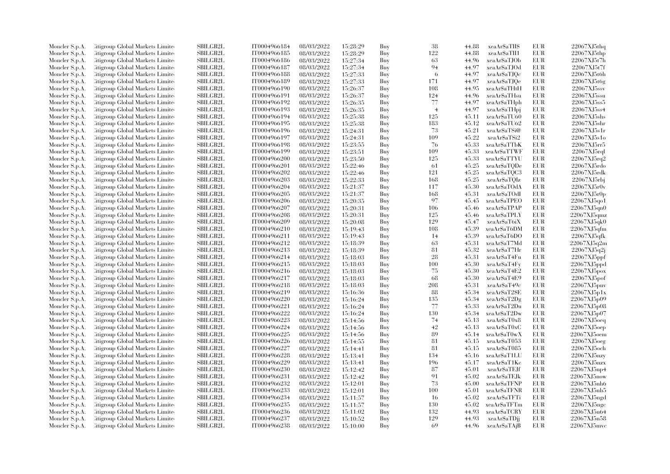| Moncler S.p.A. | Litigroup Global Markets Limite  | SBILGB2L        | IT0004966184 | 08/03/2022 | 15:28:29 | Buy | 38             | 44.88 | xeaAr\$aTII\$ | EUR        | 22067XJ5 <sub>thq</sub> |
|----------------|----------------------------------|-----------------|--------------|------------|----------|-----|----------------|-------|---------------|------------|-------------------------|
| Moncler S.p.A. | Litigroup Global Markets Limite  | <b>SBILGB2L</b> | IT0004966185 | 08/03/2022 | 15:28:29 | Buy | 122            | 44.88 | xeaAr\$aTII1  | <b>EUR</b> | 22067XJ5thp             |
| Moncler S.p.A. | Citigroup Global Markets Limite  | <b>SBILGB2L</b> | IT0004966186 | 08/03/2022 | 15:27:34 | Buy | 63             | 44.96 | xeaAr\$aTJOb  | <b>EUR</b> | 22067XJ5t7h             |
| Moncler S.p.A. | Litigroup Global Markets Limite  | SBILGB2L        | IT0004966187 | 08/03/2022 | 15:27:34 | Buy | 94             | 44.97 | xeaAr\$aTJOd  | EUR        | 22067XJ5t7f             |
| Moncler S.p.A. | Litigroup Global Markets Limite  | <b>SBILGB2L</b> | IT0004966188 | 08/03/2022 | 15:27:33 | Buy | -6             | 44.97 | xeaAr\$aTJQc  | EUR        | 22067XJ5t6h             |
| Moncler S.p.A. | Citigroup Global Markets Limite  | SBILGB2L        | IT0004966189 | 08/03/2022 | 15:27:33 | Buy | 171            | 44.97 | xeaAr\$aTJQe  | EUR        | 22067XJ5t6g             |
| Moncler S.p.A. | Citigroup Global Markets Limite  | SBILGB2L        | IT0004966190 | 08/03/2022 | 15:26:37 | Buy | 108            | 44.95 | xeaAr\$aTHtH  | <b>EUR</b> | 22067XJ5ssv             |
| Moncler S.p.A. | Litigroup Global Markets Limite  | <b>SBILGB2L</b> | IT0004966191 | 08/03/2022 | 15:26:37 | Buy | 124            | 44.96 | xeaAr\$aTHsu  | EUR        | 22067XJ5ssu             |
|                |                                  |                 |              |            |          |     |                |       |               | EUR        | 22067XJ5ss5             |
| Moncler S.p.A. | Litigroup Global Markets Limite  | <b>SBILGB2L</b> | IT0004966192 | 08/03/2022 | 15:26:35 | Buy | 77             | 44.97 | xeaAr\$aTHph  |            |                         |
| Moncler S.p.A. | Citigroup Global Markets Limite  | SBILGB2L        | IT0004966193 | 08/03/2022 | 15:26:35 | Buy | $\overline{4}$ | 44.97 | xeaAr\$aTHpj  | <b>EUR</b> | 22067XJ5ss4             |
| Moncler S.p.A. | Citigroup Global Markets Limite  | <b>SBILGB2L</b> | IT0004966194 | 08/03/2022 | 15:25:38 | Buy | 125            | 45.11 | xeaAr\$aTU60  | <b>EUR</b> | 22067XJ5shs             |
| Moncler S.p.A. | Litigroup Global Markets Limite  | <b>SBILGB2L</b> | IT0004966195 | 08/03/2022 | 15:25:38 | Buy | 183            | 45.12 | xeaAr\$aTU62  | EUR        | 22067XJ5shr             |
| Moncler S.p.A. | Citigroup Global Markets Limite  | <b>SBILGB2L</b> | IT0004966196 | 08/03/2022 | 15:24:31 | Buy | 73             | 45.21 | xeaAr\$aTSi@  | <b>EUR</b> | 22067XJ5s1r             |
| Moncler S.p.A. | Litigroup Global Markets Limite  | <b>SBILGB2L</b> | IT0004966197 | 08/03/2022 | 15:24:31 | Buy | 109            | 45.22 | xeaAr\$aTSi2  | <b>EUR</b> | 22067XJ5s1o             |
| Moncler S.p.A. | Citigroup Global Markets Limite  | SBILGB2L        | IT0004966198 | 08/03/2022 | 15:23:55 | Buy | 76             | 45.33 | xeaAr\$aTTbK  | <b>EUR</b> | 22067XJ5rr5             |
| Moncler S.p.A. | Litigroup Global Markets Limite  | SBILGB2L        | IT0004966199 | 08/03/2022 | 15:23:51 | Buy | 109            | 45.33 | xeaArSaTTWF   | EUR        | $22067X$ J $5$ rql      |
| Moncler S.p.A. | Citigroup Global Markets Limite  | SBILGB2L        | IT0004966200 | 08/03/2022 | 15:23:50 | Buy | 125            | 45.33 | xeaAr\$aTTYU  | EUR        | 22067XJ5rq2             |
| Moncler S.p.A. | Litigroup Global Markets Limite  | <b>SBILGB2L</b> | IT0004966201 | 08/03/2022 | 15:22:46 | Buy | -61            | 45.25 | xeaAr\$aTQDe  | <b>EUR</b> | 22067XJ5rdo             |
| Moncler S.p.A. | Citigroup Global Markets Limite  | SBILGB2L        | IT0004966202 | 08/03/2022 | 15:22:46 | Buy | 121            | 45.25 | xeaAr\$aTQC3  | EUR        | 22067XJ5rdk             |
| Moncler S.p.A. | Litigroup Global Markets Limite  | <b>SBILGB2L</b> | IT0004966203 | 08/03/2022 | 15:22:33 | Buy | 168            | 45.25 | xeaAr\$aTQIz  | <b>EUR</b> | 22067XJ5rbj             |
| Moncler S.p.A. | Litigroup Global Markets Limite  | <b>SBILGB2L</b> | IT0004966204 | 08/03/2022 | 15:21:37 | Buy | 117            | 45.30 | xeaAr\$aTOdA  | <b>EUR</b> | 22067XJ5r0v             |
| Moncler S.p.A. | Litigroup Global Markets Limite  | SBILGB2L        | IT0004966205 | 08/03/2022 | 15:21:37 | Buy | 168            | 45.31 | xeaAr\$aTOdI  | EUR        | 22067XJ5r0p             |
| Moncler S.p.A. | Citigroup Global Markets Limite  | <b>SBILGB2L</b> | IT0004966206 | 08/03/2022 | 15:20:35 | Buy | 97             | 45.45 | xeaAr\$aTPEO  | EUR        | 22067XJ5qo1             |
| Moncler S.p.A. | Citigroup Global Markets Limite  | <b>SBILGB2L</b> | IT0004966207 | 08/03/2022 | 15:20:31 | Buy | 106            | 45.46 | xeaAr\$aTPAP  | EUR        | 22067XJ5qn0             |
| Moncler S.p.A. | Citigroup Global Markets Limite  | <b>SBILGB2L</b> | IT0004966208 | 08/03/2022 | 15:20:31 | Buy | 125            | 45.46 | xeaAr\$aTPLY  | <b>EUR</b> | 22067XJ5qmz             |
| Moncler S.p.A. | Citigroup Global Markets Limite  | SBILGB2L        | IT0004966209 | 08/03/2022 | 15:20:08 | Buy | 129            | 45.47 | xeaAr\$aT6iX  | EUR        | 22067XJ5qk0             |
| Moncler S.p.A. | Litigroup Global Markets Limite  | <b>SBILGB2L</b> | IT0004966210 | 08/03/2022 | 15:19:43 | Buy | 108            | 45.39 | xeaAr\$aT6DM  | EUR        | 22067XJ5qfm             |
|                |                                  | <b>SBILGB2L</b> |              |            |          |     |                |       | xeaAr\$aT6DO  | <b>EUR</b> | 22067XJ5qfk             |
| Moncler S.p.A. | Litigroup Global Markets Limite  |                 | IT0004966211 | 08/03/2022 | 15:19:43 | Buy | 14             | 45.39 |               |            |                         |
| Moncler S.p.A. | Citigroup Global Markets Limite  | SBILGB2L        | IT0004966212 | 08/03/2022 | 15:18:39 | Buy | 63             | 45.31 | xeaAr\$aT7Md  | EUR        | 22067XJ5q2m             |
| Moncler S.p.A. | Citigroup Global Markets Limite  | SBILGB2L        | IT0004966213 | 08/03/2022 | 15:18:39 | Buy | 81             | 45.32 | xeaAr\$aT7Hr  | <b>EUR</b> | 22067XJ5q2j             |
| Moncler S.p.A. | Citigroup Global Markets Limite  | <b>SBILGB2L</b> | IT0004966214 | 08/03/2022 | 15:18:03 | Buy | 28             | 45.31 | xeaAr\$aT4Fu  | <b>EUR</b> | 22067XJ5ppf             |
| Moncler S.p.A. | Litigroup Global Markets Limite  | <b>SBILGB2L</b> | IT0004966215 | 08/03/2022 | 15:18:03 | Buy | 100            | 45.30 | xeaAr\$aT4Fy  | <b>EUR</b> | 22067XJ5ppd             |
| Moncler S.p.A. | Litigroup Global Markets Limite  | <b>SBILGB2L</b> | IT0004966216 | 08/03/2022 | 15:18:03 | Buy | 75             | 45.30 | xeaAr\$aT4E2  | <b>EUR</b> | 22067XJ5pox             |
| Moncler S.p.A. | Citigroup Global Markets Limite  | SBILGB2L        | IT0004966217 | 08/03/2022 | 15:18:03 | Buy | 68             | 45.30 | xeaAr\$aT4E9  | <b>EUR</b> | 22067XJ5pof             |
| Moncler S.p.A. | Citigroup Global Markets Limite  | SBILGB2L        | IT0004966218 | 08/03/2022 | 15:18:03 | Buy | 208            | 45.31 | xeaAr\$aT49c  | EUR        | 22067XJ5pnv             |
| Moncler S.p.A. | Litigroup Global Markets Limite  | <b>SBILGB2L</b> | IT0004966219 | 08/03/2022 | 15:16:36 | Buy | 88             | 45.34 | xeaAr\$aT2\$E | <b>EUR</b> | 22067XJ5p1x             |
| Moncler S.p.A. | Citigroup Global Markets Limite  | SBILGB2L        | IT0004966220 | 08/03/2022 | 15:16:24 | Buy | 135            | 45.34 | xeaAr\$aT2Dg  | EUR        | 22067XJ5p09             |
| Moncler S.p.A. | Citigroup Global Markets Limite  | SBILGB2L        | IT0004966221 | 08/03/2022 | 15:16:24 | Buy | 77             | 45.33 | xeaAr\$aT2Du  | EUR        | 22067XJ5p08             |
| Moncler S.p.A. | Litigroup Global Markets Limite  | <b>SBILGB2L</b> | IT0004966222 | 08/03/2022 | 15:16:24 | Buy | 130            | 45.34 | xeaAr\$aT2Dw  | <b>EUR</b> | 22067XJ5p07             |
| Moncler S.p.A. | Litigroup Global Markets Limite  | <b>SBILGB2L</b> | IT0004966223 | 08/03/2022 | 15:14:56 | Buy | 74             | 45.13 | xeaAr\$aT0x8  | EUR        | $22067XJ5$ oeq          |
| Moncler S.p.A. | Citigroup Global Markets Limite  | <b>SBILGB2L</b> | IT0004966224 | 08/03/2022 | 15:14:56 | Buy | 42             | 45.13 | xeaAr\$aT0xC  | <b>EUR</b> | 22067XJ5oep             |
| Moncler S.p.A. | Citigroup Global Markets Limite  | SBILGB2L        | IT0004966225 | 08/03/2022 | 15:14:56 | Buy | 89             | 45.14 | xeaAr\$aT0wX  | EUR        | 22067XJ5oem             |
| Moncler S.p.A. | Citigroup Global Markets Limite  | <b>SBILGB2L</b> | IT0004966226 | 08/03/2022 | 15:14:55 | Buy | 81             | 45.15 | xeaArSaT053   | EUR        | 22067XJ5oeg             |
| Moncler S.p.A. | Citigroup Global Markets Limite  | SBILGB2L        | IT0004966227 | 08/03/2022 | 15:14:41 | Buy | 81             | 45.15 | xeaAr\$aT085  | EUR        | 22067XJ5och             |
| Moncler S.p.A. | Citigroup Global Markets Limite  | <b>SBILGB2L</b> | IT0004966228 | 08/03/2022 | 15:13:41 | Buy | 134            | 45.16 | xeaAr\$aT1LU  | EUR        | 22067XJ5nzy             |
| Moncler S.p.A. | Citigroup Global Markets Limite  | SBILGB2L        | IT0004966229 | 08/03/2022 | 15:13:41 | Buy | 196            | 45.17 | xeaAr\$aT1Kc  | EUR        | 22067XJ5nzx             |
| Moncler S.p.A. | Citigroup Global Markets Limite  | <b>SBILGB2L</b> | IT0004966230 | 08/03/2022 | 15:12:42 | Buy | 87             | 45.01 | xeaArSaTEJf   | EUR        | 22067XJ5np4             |
| Moncler S.p.A. | Citigroup Global Markets Limite  | <b>SBILGB2L</b> | IT0004966231 | 08/03/2022 | 15:12:42 | Buy | 91             | 45.02 | xeaAr\$aTEJk  | EUR        | 22067XJ5now             |
| Moncler S.p.A. | Citigroup Global Markets Limite  | SBILGB2L        | IT0004966232 | 08/03/2022 | 15:12:01 | Buy | 73             | 45.00 | xeaAr\$aTFNP  | EUR        | 22067XJ5nh6             |
|                | Citigroup Global Markets Limite  | SBILGB2L        | IT0004966233 | 08/03/2022 | 15:12:01 |     | 100            | 45.01 | xeaAr\$aTFNR  | <b>EUR</b> | 22067XJ5nh5             |
| Moncler S.p.A. |                                  | <b>SBILGB2L</b> |              |            |          | Buy |                | 45.02 |               | EUR        |                         |
| Moncler S.p.A. | Litigroup Global Markets Limite  |                 | IT0004966234 | 08/03/2022 | 15:11:57 | Buy | -16            |       | xeaAr\$aTFTi  |            | 22067XJ5ngd             |
| Moncler S.p.A. | Litigroup Global Markets Limite  | <b>SBILGB2L</b> | IT0004966235 | 08/03/2022 | 15:11:57 | Buy | 130            | 45.02 | xeaAr\$aTFTm  | EUR        | 22067XJ5ngc             |
| Moncler S.p.A. | Citigroup Global Markets Limite  | SBILGB2L        | IT0004966236 | 08/03/2022 | 15:11:02 | Buy | 132            | 44.93 | xeaAr\$aTCRY  | EUR        | 22067XJ5n64             |
| Moncler S.p.A. | Citigroup Global Markets Limite  | <b>SBILGB2L</b> | IT0004966237 | 08/03/2022 | 15:10:52 | Buy | 129            | 44.93 | xeaAr\$aTDjj  | <b>EUR</b> | 22067XJ5n58             |
| Moncler S.p.A. | Citigroup Global Markets Limited | SBILGB2L        | IT0004966238 | 08/03/2022 | 15:10:00 | Buy | 69             | 44.96 | xeaAr\$aTAjB  | <b>EUR</b> | 22067XJ5mvc             |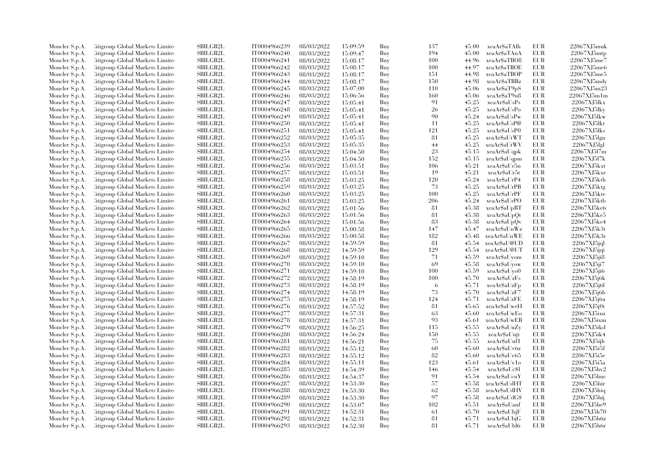| Moncler S.p.A. | Citigroup Global Markets Limite  | <b>SBILGB2L</b>      | IT0004966239 | 08/03/2022               | 15:09:59 | Buy        | 137 | 45.00 | xeaAr\$aTAlh  | <b>EUR</b> | 22067XJ5muk                |
|----------------|----------------------------------|----------------------|--------------|--------------------------|----------|------------|-----|-------|---------------|------------|----------------------------|
| Moncler S.p.A. | Citigroup Global Markets Limite  | SBILGB2L             | IT0004966240 | 08/03/2022               | 15:09:47 | Buy        | 194 | 45.00 | xeaAr\$aTAnA  | <b>EUR</b> | 22067XJ5mtp                |
| Moncler S.p.A. | Citigroup Global Markets Limited | SBILGB2L             | IT0004966241 | 08/03/2022               | 15:08:17 | Buy        | 100 | 44.96 | xeaAr\$aTBO8  | <b>EUR</b> | 22067XJ5me7                |
| Moncler S.p.A. | Litigroup Global Markets Limite  | SBILGB2L             | IT0004966242 | 08/03/2022               | 15:08:17 | Buy        | 100 | 44.97 | xeaAr\$aTBOE  | EUR        | 22067XJ5me6                |
| Moncler S.p.A. | Citigroup Global Markets Limite  | <b>SBILGB2L</b>      | IT0004966243 | 08/03/2022               | 15:08:17 | Buy        | 151 | 44.98 | xeaAr\$aTBOP  | EUR        | 22067XJ5me5                |
| Moncler S.p.A. | Citigroup Global Markets Limite  | SBILGB2L             | IT0004966244 | 08/03/2022               | 15:08:17 | Buy        | 150 | 44.98 | xeaAr\$aTBRz  | <b>EUR</b> | $22067XJ5m$ dy             |
| Moncler S.p.A. | Citigroup Global Markets Limite  | SBILGB2L             | IT0004966245 | 08/03/2022               | 15:07:00 | Buy        | 110 | 45.06 | xeaAr\$aT9pS  | EUR        | 22067XJ5m23                |
| Moncler S.p.A. | Litigroup Global Markets Limite  | <b>SBILGB2L</b>      | IT0004966246 | 08/03/2022               | 15:06:56 | Buy        | 160 | 45.06 | xeaAr\$aT9u8  | EUR        | 22067XJ5m1m                |
| Moncler S.p.A. | Citigroup Global Markets Limite  | SBILGB2L             | IT0004966247 | 08/03/2022               | 15:05:41 | Buy        | 91  | 45.25 | xeaAr\$aUsPs  | EUR        | 22067XJ5lkx                |
| Moncler S.p.A. | Citigroup Global Markets Limite  | SBILGB2L             | IT0004966248 | 08/03/2022               | 15:05:41 | Buy        | 26  | 45.25 | xeaAr\$aUsPo  | <b>EUR</b> | 22067XJ5lky                |
| Moncler S.p.A. | Citigroup Global Markets Limite  | <b>SBILGB2L</b>      | IT0004966249 | 08/03/2022               | 15:05:41 | Buy        | 90  | 45.24 | xeaAr\$aUsPw  | EUR        | 22067XJ5lkw                |
| Moncler S.p.A. | Litigroup Global Markets Limite  | <b>SBILGB2L</b>      | IT0004966250 | 08/03/2022               | 15:05:41 | Buy        | -11 | 45.25 | xeaAr\$aUsP@  | <b>EUR</b> | 22067XJ5lkt                |
| Moncler S.p.A. | Citigroup Global Markets Limite  | SBILGB2L             | IT0004966251 | 08/03/2022               | 15:05:41 | Buy        | 121 | 45.25 | xeaAr\$aUsP0  | <b>EUR</b> | 22067XJ5lks                |
| Moncler S.p.A. | Citigroup Global Markets Limited | SBILGB2L             | IT0004966252 |                          |          |            | 81  | 45.25 | xeaAr\$aUtWT  | <b>EUR</b> | 22067XJ5lgn                |
|                | Litigroup Global Markets Limite  | SBILGB2L             | IT0004966253 | 08/03/2022<br>08/03/2022 | 15:05:35 | Buy<br>Buy | 44  | 45.25 | xeaAr\$aUtWV  | EUR        | 22067XJ51g1                |
| Moncler S.p.A. |                                  |                      |              |                          | 15:05:35 |            | 23  |       |               |            |                            |
| Moncler S.p.A. | Litigroup Global Markets Limite  | <b>SBILGB2L</b>      | IT0004966254 | 08/03/2022               | 15:04:50 | Buy        |     | 45.15 | xeaAr\$aUqpk  | EUR        | 22067XJ5l7m                |
| Moncler S.p.A. | Citigroup Global Markets Limite  | SBILGB2L             | IT0004966255 | 08/03/2022               | 15:04:50 | Buy        | 152 | 45.15 | xeaAr\$aUqpm  | EUR        | 22067XJ5l7k                |
| Moncler S.p.A. | Citigroup Global Markets Limite  | SBILGB2L             | IT0004966256 | 08/03/2022               | 15:03:51 | Buy        | 106 | 45.21 | xeaAr\$aUr5n  | EUR        | 22067XJ5kxt                |
| Moncler S.p.A. | Citigroup Global Markets Limite  | <b>SBILGB2L</b>      | IT0004966257 | 08/03/2022               | 15:03:51 | Buy        | 19  | 45.21 | xeaAr\$aUr5t  | <b>EUR</b> | 22067XJ5kxr                |
| Moncler S.p.A. | Litigroup Global Markets Limite  | <b>SBILGB2L</b>      | IT0004966258 | 08/03/2022               | 15:03:25 | Buy        | 120 | 45.24 | xeaAr\$aUrP4  | EUR        | 22067XJ5kth                |
| Moncler S.p.A. | Citigroup Global Markets Limite  | SBILGB2L             | IT0004966259 | 08/03/2022               | 15:03:25 | Buy        | 73  | 45.25 | xeaAr\$aUrPB  | <b>EUR</b> | 22067XJ5ktg                |
| Moncler S.p.A. | Citigroup Global Markets Limite  | SBILGB2L             | IT0004966260 | 08/03/2022               | 15:03:25 | Buy        | 100 | 45.25 | xeaAr\$aUrPF  | <b>EUR</b> | 22067XJ5kte                |
| Moncler S.p.A. | Citigroup Global Markets Limite  | <b>SBILGB2L</b>      | IT0004966261 | 08/03/2022               | 15:03:25 | Buy        | 206 | 45.24 | xeaAr\$aUrPO  | EUR        | 22067XJ5ktb                |
| Moncler S.p.A. | Citigroup Global Markets Limite  | SBILGB2L             | IT0004966262 | 08/03/2022               | 15:01:56 | Buy        | -81 | 45.38 | xeaAr\$aUpRT  | <b>EUR</b> | 22067XJ5ke6                |
| Moncler S.p.A. | Citigroup Global Markets Limite  | SBILGB2L             | IT0004966263 | 08/03/2022               | 15:01:56 | Buy        | 81  | 45.38 | xeaAr\$aUpQt  | EUR        | 22067XJ5ke5                |
| Moncler S.p.A. | Litigroup Global Markets Limite  | <b>SBILGB2L</b>      | IT0004966264 | 08/03/2022               | 15:01:56 | Buy        | 83  | 45.38 | xeaAr\$aUpQv  | EUR        | 22067XJ5ke4                |
| Moncler S.p.A. | Citigroup Global Markets Limite  | <b>SBILGB2L</b>      | IT0004966265 | 08/03/2022               | 15:00:58 | Buy        | 147 | 45.47 | xeaAr\$aUnWz  | EUR        | 22067XJ5k3t                |
| Moncler S.p.A. | Citigroup Global Markets Limite  | SBILGB2L             | IT0004966266 | 08/03/2022               | 15:00:58 | Buy        | 182 | 45.48 | xeaAr\$aUnWE  | <b>EUR</b> | 22067XJ5k3r                |
| Moncler S.p.A. | Litigroup Global Markets Limite  | SBILGB2L             | IT0004966267 | 08/03/2022               | 14:59:59 | Buy        | 81  | 45.54 | xeaAr\$aU@UD  | EUR        | 22067XJ5jql                |
| Moncler S.p.A. | Litigroup Global Markets Limite  | <b>SBILGB2L</b>      | IT0004966268 | 08/03/2022               | 14:59:59 | Buy        | 129 | 45.54 | xeaAr\$aU@UT  | <b>EUR</b> | $22067XJ5$ jqi             |
| Moncler S.p.A. | Litigroup Global Markets Limite  | <b>SBILGB2L</b>      | IT0004966269 | 08/03/2022               | 14:59:10 | Buy        | 71  | 45.59 | xeaAr\$aUyom  | EUR        | 22067XJ5ji8                |
| Moncler S.p.A. | Citigroup Global Markets Limite  | SBILGB2L             | IT0004966270 | 08/03/2022               | 14:59:10 | Buy        | 69  | 45.58 | xeaAr\$aUyow  | <b>EUR</b> | 22067XJ5ji7                |
| Moncler S.p.A. | Citigroup Global Markets Limite  | SBILGB2L             | IT0004966271 | 08/03/2022               | 14:59:10 | Buy        | 100 | 45.59 | xeaAr\$aUyo0  | EUR        | 22067XJ5ji6                |
| Moncler S.p.A. | Citigroup Global Markets Limite  | <b>SBILGB2L</b>      | IT0004966272 | 08/03/2022               | 14:58:19 | Buy        | 100 | 45.70 | xeaAr\$aUzFs  | <b>EUR</b> | 22067XJ5j6k                |
| Moncler S.p.A. | Citigroup Global Markets Limite  | SBILGB2L             | IT0004966273 | 08/03/2022               | 14:58:19 | Buy        | -6  | 45.71 | xeaAr\$aUzFp  | <b>EUR</b> | 22067XJ5j6l                |
| Moncler S.p.A. | Citigroup Global Markets Limite  | <b>SBILGB2L</b>      | IT0004966274 | 08/03/2022               | 14:58:19 | Buy        | 73  | 45.70 | xeaAr\$aUzF7  | EUR        | 22067XJ5j6b                |
| Moncler S.p.A. | Litigroup Global Markets Limite  | SBILGB2L             | IT0004966275 | 08/03/2022               | 14:58:19 | Buy        | 124 | 45.71 | xeaArSaUzFE   | EUR        | 22067XJ5j6a                |
| Moncler S.p.A. | Citigroup Global Markets Limite  | <b>SBILGB2L</b>      | IT0004966276 | 08/03/2022               | 14:57:52 | Buy        | 81  | 45.65 | xeaAr\$aUweH  | EUR        | 22067XJ5j0t                |
| Moncler S.p.A. | Citigroup Global Markets Limite  | SBILGB2L             | IT0004966277 | 08/03/2022               | 14:57:31 | Buy        | 63  | 45.60 | xeaAr\$aUwEo  | <b>EUR</b> | 22067XJ5ixn                |
| Moncler S.p.A. | Litigroup Global Markets Limite  | SBILGB2L             | IT0004966278 | 08/03/2022               | 14:57:31 | Buy        | 93  | 45.61 | xeaAr\$aUwEB  | EUR        | 22067XJ5ixm                |
| Moncler S.p.A. | Litigroup Global Markets Limite  | <b>SBILGB2L</b>      | IT0004966279 | 08/03/2022               | 14:56:25 | Buy        | 115 | 45.55 | xeaAr\$aUuZy  | <b>EUR</b> | 22067XJ5ikd                |
| Moncler S.p.A. | Citigroup Global Markets Limite  | SBILGB2L             | IT0004966280 | 08/03/2022               | 14:56:24 | Buy        | 150 | 45.55 | xeaAr\$aUujt  | EUR        | 22067XJ5ik4                |
| Moncler S.p.A. | Citigroup Global Markets Limite  | SBILGB2L             | IT0004966281 | 08/03/2022               | 14:56:21 | Buy        | 75  | 45.55 | xeaAr\$aUuf1  | EUR        | 22067XJ5ijh                |
| Moncler S.p.A. | Litigroup Global Markets Limite  | <b>SBILGB2L</b>      | IT0004966282 | 08/03/2022               | 14:55:12 | Buy        | 60  | 45.60 | xeaAr\$aUv6z  | EUR        | 22067XJ5i5f                |
| Moncler S.p.A. | Litigroup Global Markets Limite  | <b>SBILGB2L</b>      | IT0004966283 | 08/03/2022               | 14:55:12 | Buy        | 82  | 45.60 | xeaAr\$aUv65  | EUR        | 22067XJ5i5e                |
| Moncler S.p.A. | Citigroup Global Markets Limite  | <b>SBILGB2L</b>      | IT0004966284 | 08/03/2022               | 14:55:11 | Buy        | 123 | 45.61 | xeaAr\$aUv1o  | EUR        | 22067XJ5i5a                |
| Moncler S.p.A. | Citigroup Global Markets Limite  | SBILGB2L             | IT0004966285 | 08/03/2022               | 14:54:39 | Buy        | 146 | 45.54 | xeaAr\$aUc\$l | <b>EUR</b> | 22067XJ5hv2                |
| Moncler S.p.A. | Litigroup Global Markets Limite  | <b>SBILGB2L</b>      | IT0004966286 | 08/03/2022               | 14:54:37 | Buy        | 91  | 45.54 | xeaAr\$aUcuY  | <b>EUR</b> | 22067XJ5huc                |
|                |                                  | SBILGB2L             | IT0004966287 | 08/03/2022               |          |            | 57  | 45.58 | xeaAr\$aUdHT  | EUR        | 22067XJ5hir                |
| Moncler S.p.A. | Citigroup Global Markets Limite  | SBILGB2L             | IT0004966288 |                          | 14:53:30 | Buy        | 62  | 45.58 | xeaAr\$aUdHV  | <b>EUR</b> |                            |
| Moncler S.p.A. | Citigroup Global Markets Limite  | SBILGB2L             |              | 08/03/2022               | 14:53:30 | Buy<br>Buy | 97  | 45.58 |               | EUR        | 22067XJ5hiq<br>22067XJ5hij |
| Moncler S.p.A. | Litigroup Global Markets Limite  |                      | IT0004966289 | 08/03/2022               | 14:53:30 |            |     |       | xeaAr\$aUdG\$ | <b>EUR</b> | 22067XJ5he9                |
| Moncler S.p.A. | Litigroup Global Markets Limite  | <b>SBILGB2L</b>      | IT0004966290 | 08/03/2022               | 14:53:07 | Buy        | 102 | 45.51 | xeaAr\$aUanf  |            |                            |
| Moncler S.p.A. | Citigroup Global Markets Limite  | SBILGB2L<br>SBILGB2L | IT0004966291 | 08/03/2022               | 14:52:31 | Buy        | 61  | 45.70 | xeaAr\$aUbjF  | EUR        | 22067XJ5h70                |
| Moncler S.p.A. | Citigroup Global Markets Limite  |                      | IT0004966292 | 08/03/2022               | 14:52:31 | Buy        | 81  | 45.71 | xeaAr\$aUbjG  | <b>EUR</b> | 22067XJ5h6z                |
| Moncler S.p.A. | Citigroup Global Markets Limited | SBILGB2L             | IT0004966293 | 08/03/2022               | 14:52:30 | Buy        | 81  | 45.71 | xeaAr\$aUbl6  | <b>EUR</b> | 22067XJ5h6r                |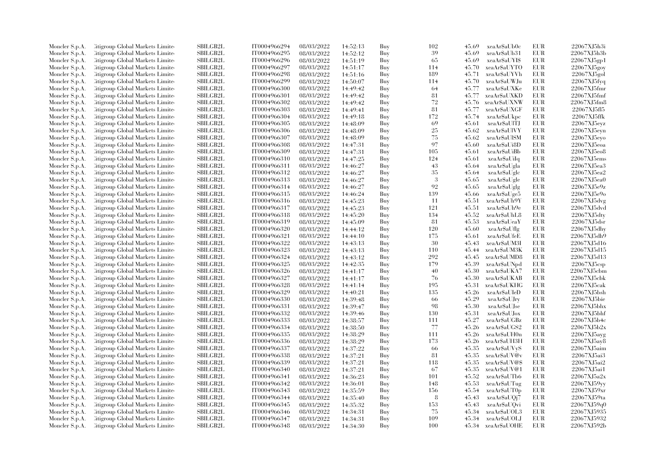| Moncler S.p.A.                   | Citigroup Global Markets Limite                                    | SBILGB2L                    | IT0004966294 | 08/03/2022               | 14:52:13             | Buy        | 102 | 45.69 | xeaAr\$aUb0c       | <b>EUR</b> | 22067XJ5h3i             |
|----------------------------------|--------------------------------------------------------------------|-----------------------------|--------------|--------------------------|----------------------|------------|-----|-------|--------------------|------------|-------------------------|
| Moncler S.p.A.                   | Citigroup Global Markets Limite                                    | SBILGB2L                    | IT0004966295 | 08/03/2022               | 14:52:12             | Buy        | 39  | 45.69 | xeaAr\$aUb31       | EUR        | 22067XJ5h3b             |
| Moncler S.p.A.                   | Citigroup Global Markets Limited                                   | SBILGB2L                    | IT0004966296 | 08/03/2022               | 14:51:19             | Buy        | 65  | 45.69 | xeaAr\$aUYI\$      | <b>EUR</b> | 22067XJ5gp1             |
| Moncler S.p.A.                   | Litigroup Global Markets Limite                                    | SBILGB2L                    | IT0004966297 | 08/03/2022               | 14:51:17             | Buy        | 114 | 45.70 | xeaAr\$aUYTO       | <b>EUR</b> | 22067XJ5gov             |
| Moncler S.p.A.                   | Citigroup Global Markets Limite                                    | <b>SBILGB2L</b>             | IT0004966298 | 08/03/2022               | 14:51:16             | Buy        | 189 | 45.71 | xeaAr\$aUYVh       | <b>EUR</b> | 22067XJ5gol             |
| Moncler S.p.A.                   | Citigroup Global Markets Limite                                    | SBILGB2L                    | IT0004966299 | 08/03/2022               | 14:50:07             | Buy        | 114 | 45.70 | xeaAr\$aUWJu       | <b>EUR</b> | 22067XJ5f <sub>Vq</sub> |
| Moncler S.p.A.                   | Citigroup Global Markets Limited                                   | <b>SBILGB2L</b>             | IT0004966300 | 08/03/2022               | 14:49:42             | Buy        | 64  | 45.77 | xeaAr\$aUXKe       | <b>EUR</b> | 22067XJ5fmr             |
| Moncler S.p.A.                   | Litigroup Global Markets Limite                                    | <b>SBILGB2L</b>             | IT0004966301 | 08/03/2022               | 14:49:42             | Buy        | 81  | 45.77 | xeaAr\$aUXKD       | <b>EUR</b> | 22067XJ5fmf             |
| Moncler S.p.A.                   | Citigroup Global Markets Limite                                    | SBILGB2L                    | IT0004966302 | 08/03/2022               | 14:49:42             | Buy        | 72  | 45.76 | xeaAr\$aUXNW       | <b>EUR</b> | 22067XJ5fm8             |
| Moncler S.p.A.                   | Citigroup Global Markets Limite                                    | <b>SBILGB2L</b>             | IT0004966303 | 08/03/2022               | 14:49:41             | Buy        | 81  | 45.77 | xeaAr\$aUXGF       | <b>EUR</b> | 22067XJ5fl5             |
| Moncler S.p.A.                   | Litigroup Global Markets Limite                                    | <b>SBILGB2L</b>             | IT0004966304 | 08/03/2022               | 14:49:18             | Buy        | 172 | 45.74 | xeaAr\$aUkpc       | EUR        | 22067XJ5ffk             |
| Moncler S.p.A.                   | Litigroup Global Markets Limite                                    | <b>SBILGB2L</b>             | IT0004966305 | 08/03/2022               | 14:48:09             | Buy        | 69  | 45.61 | xeaAr\$aUITJ       | <b>EUR</b> | 22067XJ5evz             |
| Moncler S.p.A.                   | Citigroup Global Markets Limite                                    | SBILGB2L                    | IT0004966306 | 08/03/2022               | 14:48:09             | Buy        | 25  | 45.62 | xeaAr\$aUlVY       | <b>EUR</b> | 22067XJ5eyn             |
| Moncler S.p.A.                   | Citigroup Global Markets Limited                                   | SBILGB2L                    | IT0004966307 | 08/03/2022               | 14:48:09             | Buy        | 75  | 45.62 | xeaAr\$aUlSM       | <b>EUR</b> | 22067XJ5evo             |
| Moncler S.p.A.                   | Litigroup Global Markets Limite                                    | SBILGB2L                    | IT0004966308 | 08/03/2022               | 14:47:31             | Buy        | 97  | 45.60 | xeaAr\$aUi8D       | <b>EUR</b> | $22067XJ5e$ oa          |
| Moncler S.p.A.                   | Citigroup Global Markets Limite                                    | <b>SBILGB2L</b>             | IT0004966309 | 08/03/2022               | 14:47:31             | Buy        | 105 | 45.61 | xeaAr\$aUiBb       | <b>EUR</b> | 22067XJ5eo8             |
| Moncler S.p.A.                   | Citigroup Global Markets Limite                                    | SBILGB2L                    | IT0004966310 | 08/03/2022               | 14:47:25             | Buy        | 124 | 45.61 | xeaAr\$aUiIq       | <b>EUR</b> | 22067XJ5ems             |
| Moncler S.p.A.                   | Citigroup Global Markets Limite                                    | <b>SBILGB2L</b>             | IT0004966311 | 08/03/2022               | 14:46:27             | Buy        | 43  | 45.64 | xeaAr\$aUgla       | <b>EUR</b> | 22067XJ5ea3             |
| Moncler S.p.A.                   | Litigroup Global Markets Limite                                    | <b>SBILGB2L</b>             | IT0004966312 | 08/03/2022               | 14:46:27             | Buy        | 35  | 45.64 | xeaAr\$aUglc       | <b>EUR</b> | 22067XJ5ea2             |
| Moncler S.p.A.                   | Litigroup Global Markets Limite                                    | <b>SBILGB2L</b>             | IT0004966313 | 08/03/2022               | 14:46:27             | Buy        | -3  | 45.65 | xeaAr\$aUgle       | EUR        | 22067XJ5ea0             |
| Moncler S.p.A.                   | Citigroup Global Markets Limite                                    | <b>SBILGB2L</b>             | IT0004966314 | 08/03/2022               | 14:46:27             | Buy        | 92  | 45.65 | xeaAr\$aUglg       | <b>EUR</b> | 22067XJ5e9z             |
| Moncler S.p.A.                   | Citigroup Global Markets Limite                                    | SBILGB2L                    | IT0004966315 | 08/03/2022               | 14:46:24             | Buy        | 139 | 45.66 | xeaAr\$aUge5       | <b>EUR</b> | 22067XJ5e9o             |
| Moncler S.p.A.                   | Citigroup Global Markets Limite                                    | <b>SBILGB2L</b>             | IT0004966316 | 08/03/2022               | 14:45:23             | Buy        | -11 | 45.51 | xeaAr\$aUh9Y       | EUR        | 22067XJ5dvg             |
| Moncler S.p.A.                   | Citigroup Global Markets Limite                                    | SBILGB2L                    | IT0004966317 | 08/03/2022               | 14:45:23             | Buy        | 121 | 45.51 | xeaAr\$aUh9e       | <b>EUR</b> | 22067XJ5dvd             |
| Moncler S.p.A.                   | Citigroup Global Markets Limite                                    | <b>SBILGB2L</b>             | IT0004966318 | 08/03/2022               | 14:45:20             | Buy        | 134 | 45.52 | xeaAr\$aUhL8       | <b>EUR</b> | 22067XJ5dty             |
| Moncler S.p.A.                   | Litigroup Global Markets Limite                                    | <b>SBILGB2L</b>             | IT0004966319 | 08/03/2022               | 14:45:09             | Buy        | 81  | 45.53 | xeaAr\$aUeaY       | <b>EUR</b> | 22067XJ5ds              |
|                                  | Citigroup Global Markets Limite                                    | <b>SBILGB2L</b>             | IT0004966320 | 08/03/2022               |                      | Buy        | 120 | 45.60 | xeaAr\$aUflg       | <b>EUR</b> | 22067XJ5dhy             |
| Moncler S.p.A.                   |                                                                    |                             | IT0004966321 |                          | 14:44:12             |            | 175 | 45.61 | xeaAr\$aUfeE       | EUR        | 22067XJ5dh9             |
| Moncler S.p.A.<br>Moncler S.p.A. | Citigroup Global Markets Limite<br>Litigroup Global Markets Limite | SBILGB2L<br><b>SBILGB2L</b> | IT0004966322 | 08/03/2022<br>08/03/2022 | 14:44:10<br>14:43:13 | Buy<br>Buy | 30  | 45.43 | xeaAr\$aUM3I       | <b>EUR</b> | 22067XJ5d16             |
|                                  |                                                                    |                             |              |                          |                      |            |     |       |                    | <b>EUR</b> |                         |
| Moncler S.p.A.                   | Litigroup Global Markets Limite                                    | <b>SBILGB2L</b>             | IT0004966323 | 08/03/2022               | 14:43:13             | Buy        | 110 | 45.44 | xeaAr\$aUM3K       |            | 22067XJ5d15             |
| Moncler S.p.A.                   | Litigroup Global Markets Limite                                    | <b>SBILGB2L</b><br>SBILGB2L | IT0004966324 | 08/03/2022               | 14:43:12             | Buy        | 292 | 45.45 | xeaAr\$aUMD8       | <b>EUR</b> | 22067XJ5d13             |
| Moncler S.p.A.                   | Citigroup Global Markets Limite                                    |                             | IT0004966325 | 08/03/2022               | 14:42:35             | Buy        | 179 | 45.39 | xeaAr\$aUNpd       | <b>EUR</b> | 22067XJ5csp             |
| Moncler S.p.A.                   | Citigroup Global Markets Limite                                    | <b>SBILGB2L</b>             | IT0004966326 | 08/03/2022               | 14:41:17             | Buy        | 40  | 45.30 | xeaAr\$aUKA7       | <b>EUR</b> | 22067XJ5cbm             |
| Moncler S.p.A.                   | Citigroup Global Markets Limite                                    | <b>SBILGB2L</b>             | IT0004966327 | 08/03/2022               | 14:41:17             | Buy        | 76  | 45.30 | xeaAr\$aUKAB       | <b>EUR</b> | 22067XJ5cbk             |
| Moncler S.p.A.                   | Citigroup Global Markets Limite                                    | SBILGB2L                    | IT0004966328 | 08/03/2022               | 14:41:14             | Buy        | 195 | 45.31 | xeaAr\$aUKHG       | <b>EUR</b> | 22067XJ5cak             |
| Moncler S.p.A.                   | Citigroup Global Markets Limite                                    | <b>SBILGB2L</b>             | IT0004966329 | 08/03/2022               | 14:40:21             | Buy        | 135 | 45.26 | xeaAr\$aUIeD       | <b>EUR</b> | 22067XJ5bsh             |
| Moncler S.p.A.                   | Litigroup Global Markets Limite                                    | <b>SBILGB2L</b>             | IT0004966330 | 08/03/2022               | 14:39:48             | Buy        | 66  | 45.29 | xeaAr\$aUJry       | EUR        | 22067XJ5bie             |
| Moncler S.p.A.                   | Citigroup Global Markets Limite                                    | <b>SBILGB2L</b>             | IT0004966331 | 08/03/2022               | 14:39:47             | Buy        | 98  | 45.30 | xeaAr\$aUJse       | <b>EUR</b> | 22067XJ5bhx             |
| Moncler S.p.A.                   | Citigroup Global Markets Limite                                    | <b>SBILGB2L</b>             | IT0004966332 | 08/03/2022               | 14:39:46             | Buy        | 130 | 45.31 | xeaAr\$aUJox       | <b>EUR</b> | 22067XJ5bhf             |
| Moncler S.p.A.                   | Litigroup Global Markets Limite                                    | <b>SBILGB2L</b>             | IT0004966333 | 08/03/2022               | 14:38:57             | Buy        | 111 | 45.27 | xeaAr\$aUGBz       | <b>EUR</b> | 22067XJ5b4c             |
| Moncler S.p.A.                   | Litigroup Global Markets Limite                                    | <b>SBILGB2L</b>             | IT0004966334 | 08/03/2022               | 14:38:50             | Buy        | 77  | 45.26 | xeaAr\$aUGS2       | <b>EUR</b> | 22067XJ5b2x             |
| Moncler S.p.A.                   | Citigroup Global Markets Limite                                    | SBILGB2L                    | IT0004966335 | 08/03/2022               | 14:38:29             | Buy        | 111 | 45.26 | xeaAr\$aUH0n       | EUR        | 22067XJ5avg             |
| Moncler S.p.A.                   | Citigroup Global Markets Limite                                    | <b>SBILGB2L</b>             | IT0004966336 | 08/03/2022               | 14:38:29             | Buy        | 173 | 45.26 | xeaAr\$aUH3H       | <b>EUR</b> | 22067XJ5ay8             |
| Moncler S.p.A.                   | Litigroup Global Markets Limite                                    | <b>SBILGB2L</b>             | IT0004966337 | 08/03/2022               | 14:37:22             | Buy        | -66 | 45.35 | xeaAr\$aUVyS       | EUR        | 22067XJ5aim             |
| Moncler S.p.A.                   | Citigroup Global Markets Limite                                    | <b>SBILGB2L</b>             | IT0004966338 | 08/03/2022               | 14:37:21             | Buy        | 81  | 45.35 | xeaAr\$aUV@v       | <b>EUR</b> | 22067XJ5ai3             |
| Moncler S.p.A.                   | Citigroup Global Markets Limite                                    | <b>SBILGB2L</b>             | IT0004966339 | 08/03/2022               | 14:37:21             | Buy        | 118 | 45.35 | xeaAr\$aUV@\$      | <b>EUR</b> | 22067XJ5ai2             |
| Moncler S.p.A.                   | Citigroup Global Markets Limite                                    | <b>SBILGB2L</b>             | IT0004966340 | 08/03/2022               | 14:37:21             | Buy        | 67  | 45.35 | xeaAr\$aUV@1       | <b>EUR</b> | 22067XJ5ai1             |
| Moncler S.p.A.                   | Citigroup Global Markets Limite                                    | <b>SBILGB2L</b>             | IT0004966341 | 08/03/2022               | 14:36:23             | Buy        | 101 | 45.52 | xeaAr\$aUTb6       | <b>EUR</b> | 22067XJ5a2x             |
| Moncler S.p.A.                   | Citigroup Global Markets Limite                                    | <b>SBILGB2L</b>             | IT0004966342 | 08/03/2022               | 14:36:01             | Buy        | 148 | 45.53 | xeaAr\$aUTug       | <b>EUR</b> | 22067XJ59yy             |
| Moncler S.p.A.                   | Citigroup Global Markets Limite                                    | <b>SBILGB2L</b>             | IT0004966343 | 08/03/2022               | 14:35:59             | Buy        | 156 | 45.54 | xeaAr\$aUT0p       | EUR        | 22067XJ59xr             |
| Moncler S.p.A.                   | Litigroup Global Markets Limite                                    | <b>SBILGB2L</b>             | IT0004966344 | 08/03/2022               | 14:35:40             | Buy        | 8   | 45.43 | xeaAr\$aUQj7       | <b>EUR</b> | 22067XJ59ta             |
| Moncler S.p.A.                   | Litigroup Global Markets Limite                                    | SBILGB2L                    | IT0004966345 | 08/03/2022               | 14:35:32             | Buy        | 153 | 45.43 | xeaAr\$aUQvi       | <b>EUR</b> | 22067XJ59q0             |
| Moncler S.p.A.                   | Citigroup Global Markets Limite                                    | SBILGB2L                    | IT0004966346 | 08/03/2022               | 14:34:31             | Buy        | 75  | 45.34 | xeaAr\$aUOL3       | EUR        | 22067XJ5935             |
| Moncler S.p.A.                   | Citigroup Global Markets Limite                                    | <b>SBILGB2L</b>             | IT0004966347 | 08/03/2022               | 14:34:31             | Buy        | 109 | 45.34 | xeaAr\$aUOLJ       | <b>EUR</b> | 22067XJ5932             |
| Moncler S.p.A.                   | Citigroup Global Markets Limited                                   | SBILGB2L                    | IT0004966348 | 08/03/2022               | 14:34:30             | Buv        | 100 |       | 45.34 xeaAr\$aUOHE | <b>EUR</b> | 22067XJ592b             |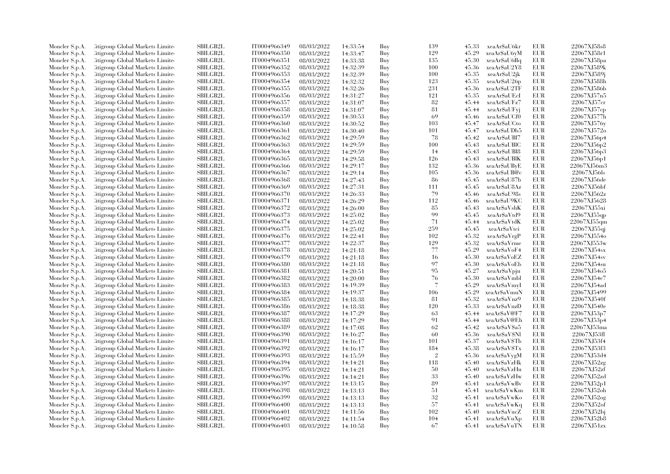| Moncler S.p.A. | Litigroup Global Markets Limite  | SBILGB2L        | IT0004966349 | 08/03/2022 | 14:33:54 | Buy | 139                      | 45.33 | xeaAr\$aU6kr  | EUR        | 22067XJ58s8 |
|----------------|----------------------------------|-----------------|--------------|------------|----------|-----|--------------------------|-------|---------------|------------|-------------|
| Moncler S.p.A. | Litigroup Global Markets Limite  | <b>SBILGB2L</b> | IT0004966350 | 08/03/2022 | 14:33:47 | Buy | 129                      | 45.29 | xeaAr\$aU6yM  | EUR        | 22067XJ58r1 |
| Moncler S.p.A. | Citigroup Global Markets Limite  | <b>SBILGB2L</b> | IT0004966351 | 08/03/2022 | 14:33:38 | Buy | 135                      | 45.30 | xeaAr\$aU6Bq  | <b>EUR</b> | 22067XJ58pa |
| Moncler S.p.A. | Litigroup Global Markets Limite  | SBILGB2L        | IT0004966352 | 08/03/2022 | 14:32:39 | Buy | 100                      | 45.36 | xeaAr\$aU2Y8  | EUR        | 22067XJ589k |
| Moncler S.p.A. | Litigroup Global Markets Limite  | <b>SBILGB2L</b> | IT0004966353 | 08/03/2022 | 14:32:39 | Buy | 100                      | 45.35 | xeaAr\$aU2jk  | <b>EUR</b> | 22067XJ589j |
| Moncler S.p.A. | Citigroup Global Markets Limite  | SBILGB2L        | IT0004966354 | 08/03/2022 | 14:32:32 | Buy | 123                      | 45.35 | xeaAr\$aU26p  | EUR        | 22067XJ588h |
| Moncler S.p.A. | Citigroup Global Markets Limite  | SBILGB2L        | IT0004966355 | 08/03/2022 | 14:32:26 | Buy | 231                      | 45.36 | xeaAr\$aU2TF  | EUR        | 22067XJ586b |
| Moncler S.p.A. | Litigroup Global Markets Limite  | <b>SBILGB2L</b> | IT0004966356 | 08/03/2022 | 14:31:27 | Buy | 121                      | 45.35 | xeaAr\$aUEcI  | EUR        | 22067XJ57n5 |
|                |                                  |                 |              |            |          |     |                          |       |               | EUR        | 22067XJ57cr |
| Moncler S.p.A. | Litigroup Global Markets Limite  | <b>SBILGB2L</b> | IT0004966357 | 08/03/2022 | 14:31:07 | Buy | 82                       | 45.44 | xeaAr\$aUFz7  |            |             |
| Moncler S.p.A. | Citigroup Global Markets Limite  | SBILGB2L        | IT0004966358 | 08/03/2022 | 14:31:07 | Buy | 81                       | 45.44 | xeaAr\$aUFyj  | <b>EUR</b> | 22067XJ57cp |
| Moncler S.p.A. | Citigroup Global Markets Limite  | <b>SBILGB2L</b> | IT0004966359 | 08/03/2022 | 14:30:53 | Buy | 69                       | 45.46 | xeaAr\$aUCf0  | EUR        | 22067XJ577h |
| Moncler S.p.A. | Litigroup Global Markets Limite  | <b>SBILGB2L</b> | IT0004966360 | 08/03/2022 | 14:30:52 | Buy | 103                      | 45.47 | xeaAr\$aUCto  | EUR        | 22067XJ576y |
| Moncler S.p.A. | Citigroup Global Markets Limite  | <b>SBILGB2L</b> | IT0004966361 | 08/03/2022 | 14:30:40 | Buy | 101                      | 45.47 | xeaAr\$aUDb5  | EUR        | 22067XJ572o |
| Moncler S.p.A. | Litigroup Global Markets Limite  | <b>SBILGB2L</b> | IT0004966362 | 08/03/2022 | 14:29:59 | Buy | 78                       | 45.42 | xeaAr\$aUBI7  | <b>EUR</b> | 22067XJ56p4 |
| Moncler S.p.A. | Citigroup Global Markets Limite  | SBILGB2L        | IT0004966363 | 08/03/2022 | 14:29:59 | Buy | 100                      | 45.43 | xeaAr\$aUBIC  | EUR        | 22067XJ56p2 |
| Moncler S.p.A. | Litigroup Global Markets Limite  | SBILGB2L        | IT0004966364 | 08/03/2022 | 14:29:59 | Buy | -14                      | 45.43 | xeaAr\$aUBl8  | EUR        | 22067XJ56p3 |
| Moncler S.p.A. | Citigroup Global Markets Limite  | SBILGB2L        | IT0004966365 | 08/03/2022 | 14:29:58 | Buy | 126                      | 45.43 | xeaAr\$aUBlK  | EUR        | 22067XJ56p1 |
| Moncler S.p.A. | Litigroup Global Markets Limite  | <b>SBILGB2L</b> | IT0004966366 | 08/03/2022 | 14:29:17 | Buy | 132                      | 45.36 | xeaAr\$aUByE  | EUR        | 22067XJ56m3 |
| Moncler S.p.A. | Citigroup Global Markets Limite  | SBILGB2L        | IT0004966367 | 08/03/2022 | 14:29:14 | Buy | 105                      | 45.36 | xeaAr\$aUB@c  | EUR        | 22067XJ56ls |
| Moncler S.p.A. | Litigroup Global Markets Limite  | <b>SBILGB2L</b> | IT0004966368 | 08/03/2022 | 14:27:43 | Buy | 86                       | 45.45 | xeaAr\$aU87b  | <b>EUR</b> | 22067XJ56de |
| Moncler S.p.A. | Litigroup Global Markets Limite  | <b>SBILGB2L</b> | IT0004966369 | 08/03/2022 | 14:27:31 | Buy | 111                      | 45.45 | xeaAr\$aU8Az  | <b>EUR</b> | 22067XJ56bf |
| Moncler S.p.A. | Litigroup Global Markets Limite  | SBILGB2L        | IT0004966370 | 08/03/2022 | 14:26:33 | Buy | 79                       | 45.46 | xeaAr\$aU98s  | <b>EUR</b> | 22067XJ562z |
| Moncler S.p.A. | Citigroup Global Markets Limite  | <b>SBILGB2L</b> | IT0004966371 | 08/03/2022 | 14:26:29 | Buy | 112                      | 45.46 | xeaAr\$aU9KC  | EUR        | 22067XJ5628 |
| Moncler S.p.A. | Citigroup Global Markets Limite  | <b>SBILGB2L</b> | IT0004966372 | 08/03/2022 | 14:26:00 | Buy | 85                       | 45.43 | xeaAr\$aVshK  | EUR        | 22067XJ55xi |
| Moncler S.p.A. | Citigroup Global Markets Limite  | <b>SBILGB2L</b> | IT0004966373 | 08/03/2022 | 14:25:02 | Buy | 99                       | 45.45 | xeaAr\$aVtd9  | EUR        | 22067XJ55qp |
| Moncler S.p.A. | Citigroup Global Markets Limite  | SBILGB2L        | IT0004966374 | 08/03/2022 | 14:25:02 | Buy | 71                       | 45.44 | xeaAr\$aVtdK  | EUR        | 22067XJ55qm |
| Moncler S.p.A. | Citigroup Global Markets Limite  | <b>SBILGB2L</b> | IT0004966375 | 08/03/2022 | 14:25:02 | Buy | 259                      | 45.45 | xeaAr\$aVtci  | <b>EUR</b> | 22067XJ55qj |
|                |                                  | <b>SBILGB2L</b> |              |            |          |     | 102                      |       |               | <b>EUR</b> | 22067XJ554o |
| Moncler S.p.A. | Litigroup Global Markets Limite  |                 | IT0004966376 | 08/03/2022 | 14:22:41 | Buy |                          | 45.32 | xeaAr\$aVrgP  |            |             |
| Moncler S.p.A. | Citigroup Global Markets Limite  | SBILGB2L        | IT0004966377 | 08/03/2022 | 14:22:37 | Buy | 129                      | 45.32 | xeaAr\$aVrme  | EUR        | 22067XJ553w |
| Moncler S.p.A. | Citigroup Global Markets Limite  | SBILGB2L        | IT0004966378 | 08/03/2022 | 14:21:18 | Buy | 77                       | 45.29 | xeaAr\$aVoF4  | <b>EUR</b> | 22067XJ54sx |
| Moncler S.p.A. | Citigroup Global Markets Limite  | <b>SBILGB2L</b> | IT0004966379 | 08/03/2022 | 14:21:18 | Buy | 16                       | 45.30 | xeaAr\$aVoEZ  | EUR        | 22067XJ54sv |
| Moncler S.p.A. | Litigroup Global Markets Limite  | <b>SBILGB2L</b> | IT0004966380 | 08/03/2022 | 14:21:18 | Buy | 97                       | 45.30 | xeaAr\$aVoEb  | <b>EUR</b> | 22067XJ54su |
| Moncler S.p.A. | Litigroup Global Markets Limite  | <b>SBILGB2L</b> | IT0004966381 | 08/03/2022 | 14:20:51 | Buy | 95                       | 45.27 | xeaAr\$aVpju  | EUR        | 22067XJ54o5 |
| Moncler S.p.A. | Citigroup Global Markets Limite  | SBILGB2L        | IT0004966382 | 08/03/2022 | 14:20:00 | Buy | 76                       | 45.30 | xeaAr\$aVmbl  | EUR        | 22067XJ54e7 |
| Moncler S.p.A. | Citigroup Global Markets Limite  | SBILGB2L        | IT0004966383 | 08/03/2022 | 14:19:39 | Buy | $\overline{\mathcal{L}}$ | 45.29 | xeaAr\$aVmyI  | EUR        | 22067XJ54ad |
| Moncler S.p.A. | Litigroup Global Markets Limite  | <b>SBILGB2L</b> | IT0004966384 | 08/03/2022 | 14:19:37 | Buy | 106                      | 45.29 | xeaAr\$aVmuN  | EUR        | 22067XJ5499 |
| Moncler S.p.A. | Citigroup Global Markets Limite  | SBILGB2L        | IT0004966385 | 08/03/2022 | 14:18:38 | Buy | 81                       | 45.32 | xeaAr\$aVnz9  | EUR        | 22067XJ540f |
| Moncler S.p.A. | Citigroup Global Markets Limite  | SBILGB2L        | IT0004966386 | 08/03/2022 | 14:18:38 | Buy | 120                      | 45.33 | xeaAr\$aVnzD  | <b>EUR</b> | 22067XJ540e |
| Moncler S.p.A. | Litigroup Global Markets Limite  | <b>SBILGB2L</b> | IT0004966387 | 08/03/2022 | 14:17:29 | Buy | 63                       | 45.44 | xeaAr\$aV@F7  | <b>EUR</b> | 22067XJ53p7 |
| Moncler S.p.A. | Litigroup Global Markets Limite  | <b>SBILGB2L</b> | IT0004966388 | 08/03/2022 | 14:17:29 | Buy | 91                       | 45.44 | xeaAr\$aV@Eh  | EUR        | 22067XJ53p4 |
| Moncler S.p.A. | Litigroup Global Markets Limite  | <b>SBILGB2L</b> | IT0004966389 | 08/03/2022 | 14:17:08 | Buy | 62                       | 45.42 | xeaAr\$aV\$a5 | <b>EUR</b> | 22067XJ53ma |
| Moncler S.p.A. | Citigroup Global Markets Limite  | SBILGB2L        | IT0004966390 | 08/03/2022 | 14:16:27 | Buy | 60                       | 45.36 | xeaAr\$aV\$Nl | EUR        | 22067XJ53fl |
| Moncler S.p.A. | Citigroup Global Markets Limite  | <b>SBILGB2L</b> | IT0004966391 | 08/03/2022 | 14:16:17 | Buy | 101                      | 45.37 | xeaArSaVSTb   | EUR        | 22067XJ53f4 |
| Moncler S.p.A. | Citigroup Global Markets Limite  | SBILGB2L        | IT0004966392 | 08/03/2022 | 14:16:17 | Buy | 184                      | 45.38 | xeaAr\$aV\$Tx | EUR        | 22067XJ53f3 |
| Moncler S.p.A. | Citigroup Global Markets Limite  | <b>SBILGB2L</b> | IT0004966393 | 08/03/2022 | 14:15:59 | Buy | $\overline{2}$           | 45.36 | xeaAr\$aVygM  | <b>EUR</b> | 22067XJ53d4 |
| Moncler S.p.A. | Citigroup Global Markets Limite  | SBILGB2L        | IT0004966394 | 08/03/2022 | 14:14:21 | Buy | 118                      | 45.40 | xeaAr\$aVzHk  | EUR        | 22067XJ52zg |
| Moncler S.p.A. | Citigroup Global Markets Limite  | <b>SBILGB2L</b> | IT0004966395 | 08/03/2022 | 14:14:21 | Buy | 50                       | 45.40 | xeaAr\$aVzHu  | EUR        | 22067XJ52zf |
| Moncler S.p.A. | Citigroup Global Markets Limite  | <b>SBILGB2L</b> | IT0004966396 | 08/03/2022 | 14:14:21 | Buy | 33                       | 45.40 | xeaAr\$aVzHw  | EUR        | 22067XJ52zd |
| Moncler S.p.A. | Citigroup Global Markets Limite  | SBILGB2L        | IT0004966397 | 08/03/2022 | 14:13:15 | Buy | 89                       | 45.41 | xeaAr\$aVwBv  | EUR        | 22067XJ52p1 |
| Moncler S.p.A. | Citigroup Global Markets Limite  | SBILGB2L        | IT0004966398 | 08/03/2022 | 14:13:13 | Buy | 51                       | 45.41 | xeaAr\$aVwKm  | <b>EUR</b> | 22067XJ52oh |
| Moncler S.p.A. | Litigroup Global Markets Limite  | <b>SBILGB2L</b> | IT0004966399 | 08/03/2022 | 14:13:13 | Buy | 32                       | 45.41 | xeaAr\$aVwKo  | EUR        | 22067XJ52og |
|                |                                  |                 |              |            |          |     |                          |       |               |            |             |
| Moncler S.p.A. | Litigroup Global Markets Limite  | <b>SBILGB2L</b> | IT0004966400 | 08/03/2022 | 14:13:13 | Buy | 57                       | 45.41 | xeaAr\$aVwKq  | EUR        | 22067XJ52of |
| Moncler S.p.A. | Citigroup Global Markets Limite  | SBILGB2L        | IT0004966401 | 08/03/2022 | 14:11:56 | Buy | 102                      | 45.40 | xeaAr\$aVucZ  | EUR        | 22067XJ52bj |
| Moncler S.p.A. | Citigroup Global Markets Limite  | <b>SBILGB2L</b> | IT0004966402 | 08/03/2022 | 14:11:54 | Buy | 104                      | 45.41 | xeaAr\$aVuXp  | <b>EUR</b> | 22067XJ52b8 |
| Moncler S.p.A. | Citigroup Global Markets Limited | SBILGB2L        | IT0004966403 | 08/03/2022 | 14:10:58 | Buy | -67                      | 45.41 | xeaAr\$aVuTN  | EUR        | 22067XJ51zx |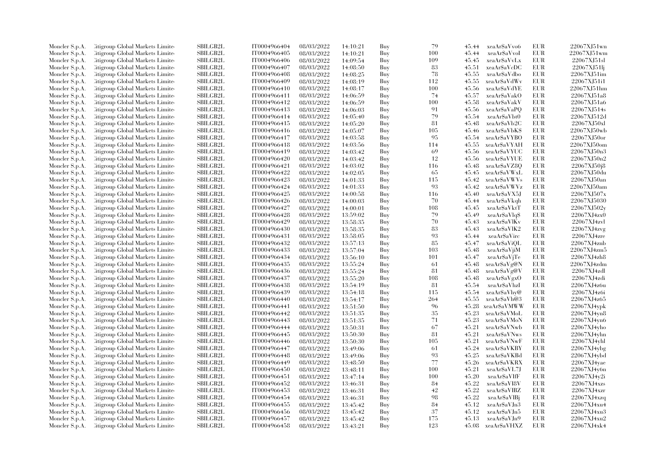| Moncler S.p.A. | Citigroup Global Markets Limite  | <b>SBILGB2L</b> | IT0004966404 | 08/03/2022 | 14:10:21 | Buy | 79       | 45.44 | xeaAr\$aVvo6       | <b>EUR</b> | 22067XJ51wn    |
|----------------|----------------------------------|-----------------|--------------|------------|----------|-----|----------|-------|--------------------|------------|----------------|
| Moncler S.p.A. | Citigroup Global Markets Limite  | SBILGB2L        | IT0004966405 | 08/03/2022 | 14:10:21 | Buy | 100      | 45.44 | xeaAr\$aVvoI       | EUR        | 22067XJ51wm    |
| Moncler S.p.A. | Citigroup Global Markets Limited | SBILGB2L        | IT0004966406 | 08/03/2022 | 14:09:54 | Buy | 109      | 45.45 | xeaAr\$aVvLx       | <b>EUR</b> | 22067XJ51sl    |
| Moncler S.p.A. | Litigroup Global Markets Limite  | SBILGB2L        | IT0004966407 | 08/03/2022 | 14:08:50 | Buy | 83       | 45.51 | xeaAr\$aVcDC       | EUR        | 22067XJ51lj    |
| Moncler S.p.A. | Litigroup Global Markets Limite  | <b>SBILGB2L</b> | IT0004966408 | 08/03/2022 | 14:08:25 | Buy | 78       | 45.55 | xeaAr\$aVdbo       | <b>EUR</b> | 22067XJ51im    |
| Moncler S.p.A. | Citigroup Global Markets Limite  | SBILGB2L        | IT0004966409 | 08/03/2022 | 14:08:19 | Buy | 112      | 45.55 | xeaAr\$aVdWv       | <b>EUR</b> | 22067XJ51i1    |
| Moncler S.p.A. | Citigroup Global Markets Limite  | SBILGB2L        | IT0004966410 | 08/03/2022 | 14:08:17 | Buy | 100      | 45.56 | xeaAr\$aVdYE       | <b>EUR</b> | 22067XJ51hm    |
| Moncler S.p.A. | Litigroup Global Markets Limite  | <b>SBILGB2L</b> | IT0004966411 | 08/03/2022 | 14:06:59 | Buy | 74       | 45.57 | xeaAr\$aVakO       | <b>EUR</b> | 22067XJ51a8    |
| Moncler S.p.A. | Citigroup Global Markets Limite  | <b>SBILGB2L</b> | IT0004966412 | 08/03/2022 | 14:06:59 | Buy | 100      | 45.58 | xeaAr\$aVakV       | <b>EUR</b> | 22067XJ51a6    |
| Moncler S.p.A. | Citigroup Global Markets Limite  | <b>SBILGB2L</b> | IT0004966413 | 08/03/2022 | 14:06:03 | Buy | 91       | 45.56 | xeaAr\$aVaPQ       | <b>EUR</b> | 22067XJ514s    |
| Moncler S.p.A. | Citigroup Global Markets Limite  | <b>SBILGB2L</b> | IT0004966414 | 08/03/2022 | 14:05:40 | Buy | 79       | 45.54 | xeaAr\$aVbt0       | <b>EUR</b> | 22067XJ512d    |
| Moncler S.p.A. | Litigroup Global Markets Limite  | <b>SBILGB2L</b> | IT0004966415 | 08/03/2022 | 14:05:20 | Buy | 81       | 45.48 | xeaAr\$aVb2C       | <b>EUR</b> | 22067XJ50xl    |
| Moncler S.p.A. | Citigroup Global Markets Limite  | SBILGB2L        | IT0004966416 | 08/03/2022 | 14:05:07 | Buy | 105      | 45.46 | xeaAr\$aVbK\$      | EUR        | 22067XJ50wb    |
| Moncler S.p.A. | Citigroup Global Markets Limited | SBILGB2L        | IT0004966417 | 08/03/2022 | 14:03:58 | Buy | 95       | 45.54 | xeaAr\$aVYBO       | <b>EUR</b> | 22067XJ50or    |
| Moncler S.p.A. | Litigroup Global Markets Limite  | SBILGB2L        | IT0004966418 | 08/03/2022 |          | Buy | 114      | 45.55 | xeaAr\$aVYAH       | EUR        | 22067XJ50om    |
|                |                                  |                 |              |            | 14:03:56 |     |          |       |                    | <b>EUR</b> |                |
| Moncler S.p.A. | Litigroup Global Markets Limite  | <b>SBILGB2L</b> | IT0004966419 | 08/03/2022 | 14:03:42 | Buy | 69<br>12 | 45.56 | xeaAr\$aVYUC       |            | 22067XJ50n3    |
| Moncler S.p.A. | Citigroup Global Markets Limite  | SBILGB2L        | IT0004966420 | 08/03/2022 | 14:03:42 | Buy |          | 45.56 | xeaAr\$aVYUE       | <b>EUR</b> | 22067XJ50n2    |
| Moncler S.p.A. | Citigroup Global Markets Limite  | SBILGB2L        | IT0004966421 | 08/03/2022 | 14:03:02 | Buy | 116      | 45.48 | xeaAr\$aVZ8O       | <b>EUR</b> | 22067XJ50j8    |
| Moncler S.p.A. | Citigroup Global Markets Limite  | <b>SBILGB2L</b> | IT0004966422 | 08/03/2022 | 14:02:05 | Buy | -65      | 45.45 | xeaAr\$aVWxL       | <b>EUR</b> | 22067XJ50du    |
| Moncler S.p.A. | Litigroup Global Markets Limite  | SBILGB2L        | IT0004966423 | 08/03/2022 | 14:01:33 | Buy | 115      | 45.42 | xeaAr\$aVWVs       | <b>EUR</b> | 22067XJ50an    |
| Moncler S.p.A. | Citigroup Global Markets Limite  | SBILGB2L        | IT0004966424 | 08/03/2022 | 14:01:33 | Buy | 93       | 45.42 | xeaAr\$aVWVz       | <b>EUR</b> | 22067XJ50am    |
| Moncler S.p.A. | Citigroup Global Markets Limite  | SBILGB2L        | IT0004966425 | 08/03/2022 | 14:00:58 | Buy | 116      | 45.40 | xeaAr\$aVX5J       | <b>EUR</b> | 22067XJ507x    |
| Moncler S.p.A. | litigroup Global Markets Limite  | <b>SBILGB2L</b> | IT0004966426 | 08/03/2022 | 14:00:03 | Buy | 70       | 45.44 | xeaAr\$aVkqh       | <b>EUR</b> | 22067XJ5030    |
| Moncler S.p.A. | Citigroup Global Markets Limite  | SBILGB2L        | IT0004966427 | 08/03/2022 | 14:00:01 | Buy | 108      | 45.45 | xeaAr\$aVktT       | EUR        | 22067XJ502y    |
| Moncler S.p.A. | Citigroup Global Markets Limite  | SBILGB2L        | IT0004966428 | 08/03/2022 | 13:59:02 | Buy | 79       | 45.49 | xeaAr\$aVlq\$      | <b>EUR</b> | 22067XJ4zx0    |
| Moncler S.p.A. | Litigroup Global Markets Limite  | SBILGB2L        | IT0004966429 | 08/03/2022 | 13:58:35 | Buy | 70       | 45.43 | xeaAr\$aVlKv       | EUR        | 22067XJ4zvl    |
| Moncler S.p.A. | Citigroup Global Markets Limite  | <b>SBILGB2L</b> | IT0004966430 | 08/03/2022 | 13:58:35 | Buy | 83       | 45.43 | xeaAr\$aVlK2       | <b>EUR</b> | 22067XJ4zvg    |
| Moncler S.p.A. | Citigroup Global Markets Limite  | SBILGB2L        | IT0004966431 | 08/03/2022 | 13:58:05 | Buy | 93       | 45.44 | xeaAr\$aVirc       | <b>EUR</b> | 22067XJ4zre    |
| Moncler S.p.A. | Litigroup Global Markets Limite  | SBILGB2L        | IT0004966432 | 08/03/2022 | 13:57:13 | Buy | 85       | 45.47 | xeaAr\$aViOL       | <b>EUR</b> | 22067XJ4znb    |
| Moncler S.p.A. | Citigroup Global Markets Limite  | <b>SBILGB2L</b> | IT0004966433 | 08/03/2022 | 13:57:04 | Buy | 103      | 45.48 | xeaAr\$aVjiM       | <b>EUR</b> | 22067XJ4zm5    |
| Moncler S.p.A. | Litigroup Global Markets Limite  | SBILGB2L        | IT0004966434 | 08/03/2022 | 13:56:10 | Buy | 101      | 45.47 | xeaAr\$aVjTe       | EUR        | 22067XJ4zh8    |
| Moncler S.p.A. | Citigroup Global Markets Limite  | <b>SBILGB2L</b> | IT0004966435 | 08/03/2022 | 13:55:24 | Buy | 61       | 45.48 | xeaAr\$aVg@N       | <b>EUR</b> | 22067XJ4zdm    |
| Moncler S.p.A. | Citigroup Global Markets Limite  | SBILGB2L        | IT0004966436 | 08/03/2022 | 13:55:24 | Buy | 81       | 45.48 | xeaAr\$aVg@V       | <b>EUR</b> | 22067XJ4zdl    |
| Moncler S.p.A. | Litigroup Global Markets Limite  | <b>SBILGB2L</b> | IT0004966437 | 08/03/2022 | 13:55:20 | Buy | 108      | 45.48 | xeaAr\$aVgxO       | <b>EUR</b> | 22067XJ4zdi    |
| Moncler S.p.A. | Citigroup Global Markets Limite  | SBILGB2L        | IT0004966438 | 08/03/2022 | 13:54:19 | Buy | 81       | 45.54 | xeaAr\$aVhzI       | EUR        | 22067XJ4z6u    |
| Moncler S.p.A. | Citigroup Global Markets Limite  | SBILGB2L        | IT0004966439 | 08/03/2022 | 13:54:18 | Buy | 115      | 45.54 | xeaAr\$aVhy@       | <b>EUR</b> | 22067XJ4z6i    |
| Moncler S.p.A. | Litigroup Global Markets Limite  | SBILGB2L        | IT0004966440 | 08/03/2022 | 13:54:17 | Buy | 264      | 45.55 | xeaAr\$aVh@3       | <b>EUR</b> | 22067XJ4z65    |
| Moncler S.p.A. | Citigroup Global Markets Limite  | <b>SBILGB2L</b> | IT0004966441 | 08/03/2022 | 13:51:50 | Buy | 96       | 45.28 | xeaAr\$aVMWW       | <b>EUR</b> | 22067XJ4ypk    |
| Moncler S.p.A. | Citigroup Global Markets Limite  | SBILGB2L        | IT0004966442 | 08/03/2022 | 13:51:35 | Buy | 35       | 45.23 | xeaAr\$aVMoL       | <b>EUR</b> | 22067XJ4yn8    |
| Moncler S.p.A. | Litigroup Global Markets Limite  | SBILGB2L        | IT0004966443 | 08/03/2022 | 13:51:35 | Buy | 71       | 45.23 | xeaAr\$aVMoN       | <b>EUR</b> | 22067XJ4yn6    |
| Moncler S.p.A. | Litigroup Global Markets Limite  | <b>SBILGB2L</b> | IT0004966444 | 08/03/2022 | 13:50:31 | Buy | 67       | 45.21 | xeaAr\$aVNwb       | <b>EUR</b> | 22067XJ4vho    |
| Moncler S.p.A. | Citigroup Global Markets Limite  | SBILGB2L        | IT0004966445 | 08/03/2022 | 13:50:30 | Buy | 81       | 45.21 | xeaAr\$aVNws       | EUR        | 22067XJ4yhn    |
| Moncler S.p.A. | Citigroup Global Markets Limite  | SBILGB2L        | IT0004966446 | 08/03/2022 | 13:50:30 | Buy | 105      | 45.21 | xeaAr\$aVNwF       | <b>EUR</b> | 22067XJ4vhl    |
| Moncler S.p.A. | Litigroup Global Markets Limite  | <b>SBILGB2L</b> | IT0004966447 | 08/03/2022 | 13:49:06 | Buy | 61       | 45.24 | xeaAr\$aVKBY       | <b>EUR</b> | 22067XJ4vbg    |
|                |                                  | <b>SBILGB2L</b> | IT0004966448 |            |          |     | 93       | 45.25 |                    | <b>EUR</b> | 22067XJ4vbd    |
| Moncler S.p.A. | Litigroup Global Markets Limite  |                 |              | 08/03/2022 | 13:49:06 | Buy | 77       |       | xeaAr\$aVKBd       |            |                |
| Moncler S.p.A. | Citigroup Global Markets Limite  | <b>SBILGB2L</b> | IT0004966449 | 08/03/2022 | 13:48:50 | Buy |          | 45.26 | xeaAr\$aVKRX       | <b>EUR</b> | $22067XJ4$ yae |
| Moncler S.p.A. | Citigroup Global Markets Limite  | SBILGB2L        | IT0004966450 | 08/03/2022 | 13:48:11 | Buy | 100      | 45.21 | xeaAr\$aVL7J       | <b>EUR</b> | 22067XJ4y6n    |
| Moncler S.p.A. | Litigroup Global Markets Limite  | <b>SBILGB2L</b> | IT0004966451 | 08/03/2022 | 13:47:14 | Buy | 100      | 45.20 | xeaAr\$aVIfF       | EUR        | 22067XJ4y2i    |
| Moncler S.p.A. | Citigroup Global Markets Limite  | <b>SBILGB2L</b> | IT0004966452 | 08/03/2022 | 13:46:31 | Buy | 84       | 45.22 | xeaAr\$aVI8V       | <b>EUR</b> | 22067XJ4xzs    |
| Moncler S.p.A. | Citigroup Global Markets Limite  | SBILGB2L        | IT0004966453 | 08/03/2022 | 13:46:31 | Buy | 42       | 45.22 | xeaAr\$aVIBZ       | <b>EUR</b> | 22067XJ4xzr    |
| Moncler S.p.A. | Litigroup Global Markets Limite  | <b>SBILGB2L</b> | IT0004966454 | 08/03/2022 | 13:46:31 | Buy | 98       | 45.22 | xeaAr\$aVIBj       | <b>EUR</b> | 22067XJ4xzq    |
| Moncler S.p.A. | Citigroup Global Markets Limite  | <b>SBILGB2L</b> | IT0004966455 | 08/03/2022 | 13:45:42 | Buy | 84       | 45.12 | xeaAr\$aVJn3       | <b>EUR</b> | 22067XJ4xu4    |
| Moncler S.p.A. | Citigroup Global Markets Limite  | SBILGB2L        | IT0004966456 | 08/03/2022 | 13:45:42 | Buy | 37       | 45.12 | xeaAr\$aVJn5       | EUR        | 22067XJ4xu3    |
| Moncler S.p.A. | Citigroup Global Markets Limite  | <b>SBILGB2L</b> | IT0004966457 | 08/03/2022 | 13:45:42 | Buy | 175      | 45.13 | xeaAr\$aVJn9       | <b>EUR</b> | 22067XJ4xu2    |
| Moncler S.p.A. | Citigroup Global Markets Limited | SBILGB2L        | IT0004966458 | 08/03/2022 | 13:43:21 | Buy | 123      |       | 45.08 xeaAr\$aVHXZ | <b>EUR</b> | 22067XJ4xk4    |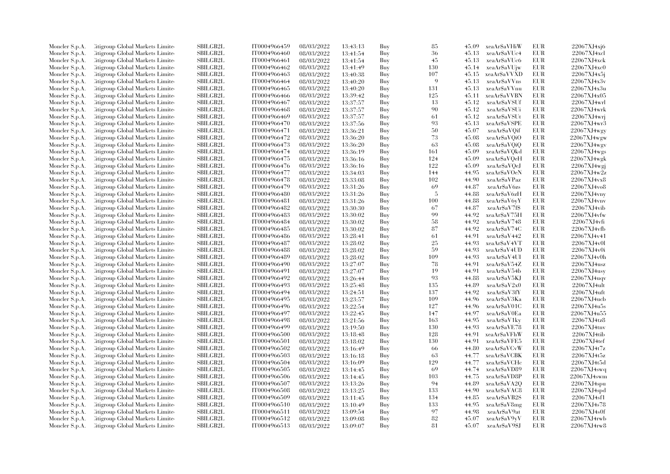| Moncler S.p.A. | Citigroup Global Markets Limite  | SBILGB2L        | IT0004966459 | 08/03/2022 | 13:43:13 | Buy | 85  | 45.09 | xeaAr\$aVHiW  | <b>EUR</b> | 22067XJ4xj6        |
|----------------|----------------------------------|-----------------|--------------|------------|----------|-----|-----|-------|---------------|------------|--------------------|
| Moncler S.p.A. | Citigroup Global Markets Limite  | SBILGB2L        | IT0004966460 | 08/03/2022 | 13:41:54 | Buy | 36  | 45.13 | xeaAr\$aVUc4  | EUR        | 22067XJ4xcl        |
| Moncler S.p.A. | Citigroup Global Markets Limited | SBILGB2L        | IT0004966461 | 08/03/2022 | 13:41:54 | Buy | 45  | 45.13 | xeaAr\$aVUc6  | <b>EUR</b> | 22067XJ4xck        |
| Moncler S.p.A. | Litigroup Global Markets Limite  | SBILGB2L        | IT0004966462 | 08/03/2022 | 13:41:49 | Buy | 130 | 45.14 | xeaAr\$aVUjw  | <b>EUR</b> | 22067XJ4xc0        |
| Moncler S.p.A. | Citigroup Global Markets Limite  | <b>SBILGB2L</b> | IT0004966463 | 08/03/2022 | 13:40:38 | Buy | 107 | 45.15 | xeaAr\$aVVXD  | EUR        | 22067XJ4x5j        |
| Moncler S.p.A. | Citigroup Global Markets Limite  | SBILGB2L        | IT0004966464 | 08/03/2022 | 13:40:20 | Buy | 9   | 45.13 | xeaAr\$aVVns  | <b>EUR</b> | 22067XJ4x3v        |
| Moncler S.p.A. | Citigroup Global Markets Limited | <b>SBILGB2L</b> | IT0004966465 | 08/03/2022 | 13:40:20 | Buy | 131 | 45.13 | xeaAr\$aVVnu  | <b>EUR</b> | 22067XJ4x3u        |
| Moncler S.p.A. | Litigroup Global Markets Limite  | <b>SBILGB2L</b> | IT0004966466 | 08/03/2022 | 13:39:42 | Buy | 125 | 45.11 | xeaAr\$aVVBN  | <b>EUR</b> | 22067XJ4x05        |
| Moncler S.p.A. | Citigroup Global Markets Limite  | SBILGB2L        | IT0004966467 | 08/03/2022 | 13:37:57 | Buy | 13  | 45.12 | xeaArSaVSUf   | <b>EUR</b> | 22067XJ4wrl        |
| Moncler S.p.A. | Citigroup Global Markets Limite  | <b>SBILGB2L</b> | IT0004966468 | 08/03/2022 | 13:37:57 | Buy | 90  | 45.12 | xeaAr\$aVSUi  | <b>EUR</b> | 22067XJ4wrk        |
| Moncler S.p.A. | Litigroup Global Markets Limite  | <b>SBILGB2L</b> | IT0004966469 | 08/03/2022 | 13:37:57 | Buy | 61  | 45.12 | xeaAr\$aVSUt  | <b>EUR</b> | 22067XJ4wr         |
| Moncler S.p.A. | Litigroup Global Markets Limite  | <b>SBILGB2L</b> | IT0004966470 | 08/03/2022 | 13:37:56 | Buy | 93  | 45.13 | xeaAr\$aVSPE  | <b>EUR</b> | 22067XJ4wr3        |
| Moncler S.p.A. | Citigroup Global Markets Limite  | SBILGB2L        | IT0004966471 | 08/03/2022 | 13:36:21 | Buy | 50  | 45.07 | xeaAr\$aVQif  | <b>EUR</b> | 22067XJ4wgy        |
| Moncler S.p.A. | Citigroup Global Markets Limited | SBILGB2L        | IT0004966472 | 08/03/2022 | 13:36:20 | Buy | 73  | 45.08 | xeaAr\$aVQiO  | <b>EUR</b> | 22067XJ4wgw        |
| Moncler S.p.A. | Litigroup Global Markets Limite  | SBILGB2L        | IT0004966473 | 08/03/2022 | 13:36:20 | Buy | 63  | 45.08 | xeaAr\$aVQiQ  | <b>EUR</b> | 22067XJ4wgv        |
| Moncler S.p.A. | Citigroup Global Markets Limite  | <b>SBILGB2L</b> | IT0004966474 | 08/03/2022 | 13:36:19 | Buy | 161 | 45.09 | xeaAr\$aVQkd  | <b>EUR</b> | 22067XJ4wgs        |
| Moncler S.p.A. | Citigroup Global Markets Limite  | SBILGB2L        | IT0004966475 | 08/03/2022 | 13:36:16 | Buy | 124 | 45.09 | xeaAr\$aVQeH  | <b>EUR</b> | 22067XJ4wgk        |
| Moncler S.p.A. | Citigroup Global Markets Limite  | SBILGB2L        | IT0004966476 | 08/03/2022 | 13:36:16 | Buy | 122 | 45.09 | xeaArSaVOeJ   | <b>EUR</b> | 22067XJ4wgj        |
| Moncler S.p.A. | Litigroup Global Markets Limite  | <b>SBILGB2L</b> | IT0004966477 | 08/03/2022 | 13:34:03 | Buy | 144 | 44.95 | xeaAr\$aVOeN  | <b>EUR</b> | 22067XJ4w2z        |
| Moncler S.p.A. | Litigroup Global Markets Limite  | <b>SBILGB2L</b> | IT0004966478 | 08/03/2022 |          | Buy | 102 | 44.90 | xeaAr\$aVPaz  | <b>EUR</b> | 22067XJ4vx8        |
|                |                                  | SBILGB2L        | IT0004966479 |            | 13:33:08 | Buy | 69  | 44.87 | xeaAr\$aV6zs  | <b>EUR</b> | 22067XJ4vo8        |
| Moncler S.p.A. | Citigroup Global Markets Limite  | SBILGB2L        | IT0004966480 | 08/03/2022 | 13:31:26 |     | -5  |       |               | <b>EUR</b> |                    |
| Moncler S.p.A. | Citigroup Global Markets Limite  |                 |              | 08/03/2022 | 13:31:26 | Buy |     | 44.88 | xeaAr\$aV6zH  |            | 22067XJ4vny        |
| Moncler S.p.A. | Citigroup Global Markets Limite  | <b>SBILGB2L</b> | IT0004966481 | 08/03/2022 | 13:31:26 | Buy | 100 | 44.88 | xeaAr\$aV6yY  | <b>EUR</b> | 22067XJ4vnv        |
| Moncler S.p.A. | Citigroup Global Markets Limite  | SBILGB2L        | IT0004966482 | 08/03/2022 | 13:30:30 | Buy | 67  | 44.87 | xeaAr\$aV7f\$ | <b>EUR</b> | 22067XJ4vib        |
| Moncler S.p.A. | Citigroup Global Markets Limite  | <b>SBILGB2L</b> | IT0004966483 | 08/03/2022 | 13:30:02 | Buy | 99  | 44.92 | xeaAr\$aV75H  | <b>EUR</b> | 22067XJ4vfw        |
| Moncler S.p.A. | Litigroup Global Markets Limite  | <b>SBILGB2L</b> | IT0004966484 | 08/03/2022 | 13:30:02 | Buy | 58  | 44.92 | xeaAr\$aV748  | <b>EUR</b> | 22067XJ4vfi        |
| Moncler S.p.A. | Citigroup Global Markets Limite  | <b>SBILGB2L</b> | IT0004966485 | 08/03/2022 | 13:30:02 | Buy | 87  | 44.92 | xeaAr\$aV74C  | <b>EUR</b> | 22067XJ4vfb        |
| Moncler S.p.A. | Citigroup Global Markets Limite  | SBILGB2L        | IT0004966486 | 08/03/2022 | 13:28:41 | Buy | 61  | 44.91 | xeaAr\$aV442  | <b>EUR</b> | 22067XJ4v41        |
| Moncler S.p.A. | Litigroup Global Markets Limite  | <b>SBILGB2L</b> | IT0004966487 | 08/03/2022 | 13:28:02 | Buy | 25  | 44.93 | xeaAr\$aV4VT  | <b>EUR</b> | 22067XJ4v0l        |
| Moncler S.p.A. | Litigroup Global Markets Limite  | <b>SBILGB2L</b> | IT0004966488 | 08/03/2022 | 13:28:02 | Buy | 59  | 44.93 | xeaAr\$aV4UD  | <b>EUR</b> | 22067XJ4v0i        |
| Moncler S.p.A. | Litigroup Global Markets Limite  | <b>SBILGB2L</b> | IT0004966489 | 08/03/2022 | 13:28:02 | Buy | 109 | 44.93 | xeaAr\$aV4UI  | <b>EUR</b> | 22067XJ4v0h        |
| Moncler S.p.A. | Citigroup Global Markets Limite  | SBILGB2L        | IT0004966490 | 08/03/2022 | 13:27:07 | Buy | 78  | 44.91 | xeaAr\$aV54Z  | <b>EUR</b> | 22067XJ4usz        |
| Moncler S.p.A. | Citigroup Global Markets Limite  | <b>SBILGB2L</b> | IT0004966491 | 08/03/2022 | 13:27:07 | Buy | 19  | 44.91 | xeaAr\$aV54b  | <b>EUR</b> | $22067X$ J $4$ usy |
| Moncler S.p.A. | Citigroup Global Markets Limite  | <b>SBILGB2L</b> | IT0004966492 | 08/03/2022 | 13:26:44 | Buy | 93  | 44.88 | xeaAr\$aV5KJ  | <b>EUR</b> | 22067XJ4uqv        |
| Moncler S.p.A. | Citigroup Global Markets Limite  | SBILGB2L        | IT0004966493 | 08/03/2022 | 13:25:48 | Buy | 135 | 44.89 | xeaAr\$aV2x0  | <b>EUR</b> | 22067XJ4ult        |
| Moncler S.p.A. | Citigroup Global Markets Limite  | <b>SBILGB2L</b> | IT0004966494 | 08/03/2022 | 13:24:51 | Buy | 137 | 44.92 | xeaAr\$aV3fY  | <b>EUR</b> | 22067XJ4uft        |
| Moncler S.p.A. | Litigroup Global Markets Limite  | <b>SBILGB2L</b> | IT0004966495 | 08/03/2022 | 13:23:57 | Buy | 109 | 44.96 | xeaAr\$aV3Ka  | <b>EUR</b> | 22067XJ4ucb        |
| Moncler S.p.A. | Citigroup Global Markets Limite  | <b>SBILGB2L</b> | IT0004966496 | 08/03/2022 | 13:22:54 | Buy | 127 | 44.96 | xeaAr\$aV01C  | EUR        | 22067XJ4u5s        |
| Moncler S.p.A. | Citigroup Global Markets Limite  | SBILGB2L        | IT0004966497 | 08/03/2022 | 13:22:45 | Buy | 147 | 44.97 | xeaAr\$aV0Ea  | <b>EUR</b> | 22067XJ4u55        |
| Moncler S.p.A. | Litigroup Global Markets Limite  | <b>SBILGB2L</b> | IT0004966498 | 08/03/2022 | 13:21:56 | Buy | 163 | 44.95 | xeaAr\$aV1ky  | <b>EUR</b> | 22067XJ4tz8        |
| Moncler S.p.A. | Litigroup Global Markets Limite  | SBILGB2L        | IT0004966499 | 08/03/2022 | 13:19:50 | Buy | 130 | 44.93 | xeaAr\$aVE78  | <b>EUR</b> | 22067XJ4tnv        |
| Moncler S.p.A. | Citigroup Global Markets Limite  | SBILGB2L        | IT0004966500 | 08/03/2022 | 13:18:48 | Buy | 128 | 44.91 | xeaAr\$aVFhW  | EUR        | 22067XJ4tib        |
| Moncler S.p.A. | Citigroup Global Markets Limite  | SBILGB2L        | IT0004966501 | 08/03/2022 | 13:18:02 | Buy | 130 | 44.91 | xeaAr\$aVFE5  | <b>EUR</b> | 22067XJ4tef        |
| Moncler S.p.A. | Litigroup Global Markets Limite  | <b>SBILGB2L</b> | IT0004966502 | 08/03/2022 | 13:16:49 | Buy | -66 | 44.80 | xeaAr\$aVCvW  | <b>EUR</b> | 22067XJ4t7z        |
| Moncler S.p.A. | Citigroup Global Markets Limite  | <b>SBILGB2L</b> | IT0004966503 | 08/03/2022 | 13:16:18 | Buy | 63  | 44.77 | xeaAr\$aVCBK  | <b>EUR</b> | 22067XJ4t5z        |
| Moncler S.p.A. | Citigroup Global Markets Limite  | <b>SBILGB2L</b> | IT0004966504 | 08/03/2022 | 13:16:09 | Buy | 129 | 44.77 | xeaAr\$aVCHc  | <b>EUR</b> | 22067XJ4t5d        |
| Moncler S.p.A. | Citigroup Global Markets Limite  | <b>SBILGB2L</b> | IT0004966505 | 08/03/2022 | 13:14:45 | Buy | 69  | 44.74 | xeaAr\$aVD89  | <b>EUR</b> | 22067XJ4swq        |
| Moncler S.p.A. | Litigroup Global Markets Limite  | <b>SBILGB2L</b> | IT0004966506 | 08/03/2022 | 13:14:45 | Buy | 103 | 44.75 | xeaAr\$aVD8P  | <b>EUR</b> | 22067XJ4swm        |
| Moncler S.p.A. | Citigroup Global Markets Limite  | <b>SBILGB2L</b> | IT0004966507 | 08/03/2022 | 13:13:26 | Buy | 94  | 44.89 | xeaAr\$aVA2Q  | <b>EUR</b> | 22067XJ4spu        |
| Moncler S.p.A. | Citigroup Global Markets Limite  | SBILGB2L        | IT0004966508 | 08/03/2022 | 13:13:25 | Buy | 133 | 44.90 | xeaAr\$aVAC8  | <b>EUR</b> | 22067XJ4spd        |
| Moncler S.p.A. | Litigroup Global Markets Limite  | <b>SBILGB2L</b> | IT0004966509 | 08/03/2022 | 13:11:45 | Buy | 134 | 44.85 | xeaAr\$aVB2S  | <b>EUR</b> | 22067XJ4sf1        |
| Moncler S.p.A. | Litigroup Global Markets Limite  | SBILGB2L        | IT0004966510 | 08/03/2022 | 13:10:49 | Buy | 133 | 44.95 | xeaAr\$aV8mg  | <b>EUR</b> | 22067XJ4s78        |
| Moncler S.p.A. | Citigroup Global Markets Limite  | SBILGB2L        | IT0004966511 | 08/03/2022 | 13:09:54 | Buy | 97  | 44.98 | xeaAr\$aV9at  | EUR        | 22067XJ4s0f        |
| Moncler S.p.A. | Citigroup Global Markets Limite  | <b>SBILGB2L</b> | IT0004966512 | 08/03/2022 | 13:09:08 | Buy | 82  | 45.07 | xeaAr\$aV9yV  | <b>EUR</b> | 22067XJ4rwb        |
| Moncler S.p.A. | Citigroup Global Markets Limited | SBILGB2L        | IT0004966513 | 08/03/2022 | 13:09:07 | Buv | 81  | 45.07 | xeaAr\$aV9\$J | <b>EUR</b> | 22067XJ4rw8        |
|                |                                  |                 |              |            |          |     |     |       |               |            |                    |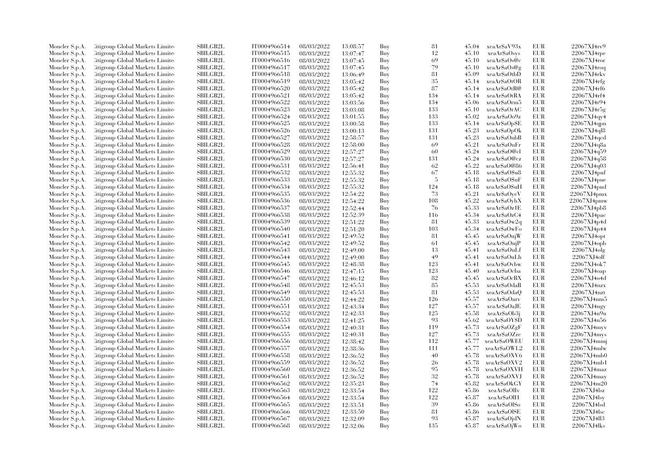| Moncler S.p.A. | Litigroup Global Markets Limite                                    | <b>SBILGB2L</b> | IT0004966514 | 08/03/2022               | 13:08:57             | Buy        | 81  | 45.04          | xeaAr\$aV93x                  | EUR        | 22067XJ4rv9          |
|----------------|--------------------------------------------------------------------|-----------------|--------------|--------------------------|----------------------|------------|-----|----------------|-------------------------------|------------|----------------------|
| Moncler S.p.A. | Litigroup Global Markets Limite                                    | <b>SBILGB2L</b> | IT0004966515 | 08/03/2022               | 13:07:47             | Buy        | 12  | 45.10          | xeaAr\$aOsys                  | EUR        | $22067XJ4$ rpe       |
| Moncler S.p.A. | Citigroup Global Markets Limite                                    | <b>SBILGB2L</b> | IT0004966516 | 08/03/2022               | 13:07:45             | Buy        | 69  | 45.10          | xeaAr\$aOs@c                  | <b>EUR</b> | 22067XJ4ror          |
| Moncler S.p.A. | Litigroup Global Markets Limite                                    | SBILGB2L        | IT0004966517 | 08/03/2022               | 13:07:45             | Buy        | 79  | 45.10          | xeaAr\$aOs@g                  | EUR        | 22067XJ4roq          |
| Moncler S.p.A. | Litigroup Global Markets Limite                                    | <b>SBILGB2L</b> | IT0004966518 | 08/03/2022               | 13:06:49             | Buy        | 81  | 45.09          | xeaAr\$aOtbD                  | EUR        | 22067XJ4rkv          |
| Moncler S.p.A. | Citigroup Global Markets Limite                                    | SBILGB2L        | IT0004966519 | 08/03/2022               | 13:05:42             | Buy        | 35  | 45.14          | xeaAr\$aOtOR                  | EUR        | 22067XJ4rfg          |
| Moncler S.p.A. | Citigroup Global Markets Limite                                    | SBILGB2L        | IT0004966520 | 08/03/2022               | 13:05:42             | Buy        | 87  | 45.14          | xeaAr\$aOtR@                  | <b>EUR</b> | 22067XJ4rf6          |
| Moncler S.p.A. | Litigroup Global Markets Limite                                    | <b>SBILGB2L</b> | IT0004966521 | 08/03/2022               | 13:05:42             | Buy        | 134 | 45.14          | xeaAr\$aOtRA                  | EUR        | 22067XJ4rf4          |
| Moncler S.p.A. | Litigroup Global Markets Limite                                    | <b>SBILGB2L</b> | IT0004966522 | 08/03/2022               | 13:03:56             | Buy        | 134 | 45.06          | xeaAr\$aOrm5                  | EUR        | 22067XJ4r94          |
|                |                                                                    | <b>SBILGB2L</b> |              |                          |                      |            | 133 |                |                               | <b>EUR</b> | 22067XJ4r5g          |
| Moncler S.p.A. | Citigroup Global Markets Limite                                    |                 | IT0004966523 | 08/03/2022               | 13:03:08             | Buy        |     | 45.10          | xeaAr\$aOrAC                  |            |                      |
| Moncler S.p.A. | Citigroup Global Markets Limite                                    | <b>SBILGB2L</b> | IT0004966524 | 08/03/2022               | 13:01:55             | Buy        | 133 | 45.02          | xeaAr\$aOo9z                  | EUR        | 22067XJ4qy4          |
| Moncler S.p.A. | Litigroup Global Markets Limite                                    | <b>SBILGB2L</b> | IT0004966525 | 08/03/2022               | 13:00:58             | Buy        | 133 | 45.14          | xeaAr\$aOp\$E                 | EUR        | 22067XJ4qpn          |
| Moncler S.p.A. | Citigroup Global Markets Limite                                    | <b>SBILGB2L</b> | IT0004966526 | 08/03/2022               | 13:00:13             | Buy        | 131 | 45.23          | xeaAr\$aOpOk                  | EUR        | 22067XJ4q18          |
| Moncler S.p.A. | Litigroup Global Markets Limite                                    | <b>SBILGB2L</b> | IT0004966527 | 08/03/2022               | 12:58:57             | Buy        | 131 | 45.23          | xeaAr\$aOnbB                  | EUR        | 22067XJ4qcd          |
| Moncler S.p.A. | Citigroup Global Markets Limite                                    | SBILGB2L        | IT0004966528 | 08/03/2022               | 12:58:00             | Buy        | 69  | 45.21          | xeaAr\$aOnFr                  | EUR        | 22067XJ4q8a          |
| Moncler S.p.A. | Citigroup Global Markets Limite                                    | SBILGB2L        | IT0004966529 | 08/03/2022               | 12:57:27             | Buy        | 60  | 45.24          | xeaAr\$a0@cl                  | EUR        | 22067XJ4q59          |
| Moncler S.p.A. | Citigroup Global Markets Limite                                    | SBILGB2L        | IT0004966530 | 08/03/2022               | 12:57:27             | Buy        | 131 | 45.24          | xeaAr\$a0@cz                  | <b>EUR</b> | 22067XJ4q58          |
| Moncler S.p.A. | Litigroup Global Markets Limite                                    | <b>SBILGB2L</b> | IT0004966531 | 08/03/2022               | 12:56:41             | Buy        | 62  | 45.22          | xeaAr\$a0@86                  | EUR        | 22067XJ4q03          |
| Moncler S.p.A. | Citigroup Global Markets Limite                                    | SBILGB2L        | IT0004966532 | 08/03/2022               | 12:55:32             | Buy        | 67  | 45.18          | xeaAr\$aO\$u8                 | EUR        | 22067XJ4puf          |
| Moncler S.p.A. | Litigroup Global Markets Limite                                    | <b>SBILGB2L</b> | IT0004966533 | 08/03/2022               | 12:55:32             | Buy        | 5   | 45.18          | xeaArSaOSuF                   | <b>EUR</b> | 22067XJ4pue          |
| Moncler S.p.A. | Litigroup Global Markets Limite                                    | <b>SBILGB2L</b> | IT0004966534 | 08/03/2022               | 12:55:32             | Buy        | 124 | 45.18          | xeaAr\$aO\$uH                 | <b>EUR</b> | 22067XJ4pud          |
| Moncler S.p.A. | Litigroup Global Markets Limite                                    | SBILGB2L        | IT0004966535 | 08/03/2022               | 12:54:22             | Buy        | 73  | 45.21          | xeaAr\$aOyeV                  | EUR        | 22067XJ4pmx          |
| Moncler S.p.A. | Citigroup Global Markets Limite                                    | SBILGB2L        | IT0004966536 | 08/03/2022               | 12:54:22             | Buy        | 108 | 45.22          | xeaAr\$aOyhX                  | EUR        | 22067XJ4pmw          |
| Moncler S.p.A. | Citigroup Global Markets Limite                                    | <b>SBILGB2L</b> | IT0004966537 | 08/03/2022               | 12:52:44             | Buy        | 76  | 45.33          | xeaAr\$aOz1E                  | EUR        | 22067XJ4pb8          |
| Moncler S.p.A. | Citigroup Global Markets Limite                                    | <b>SBILGB2L</b> | IT0004966538 | 08/03/2022               | 12:52:39             | Buy        | 116 | 45.34          | xeaAr\$aOzC4                  | EUR        | 22067XJ4pac          |
| Moncler S.p.A. | Citigroup Global Markets Limite                                    | SBILGB2L        | IT0004966539 | 08/03/2022               | 12:51:22             | Buy        | 81  | 45.33          | xeaAr\$aOw2q                  | EUR        | 22067XJ4p4d          |
| Moncler S.p.A. | Citigroup Global Markets Limite                                    | <b>SBILGB2L</b> | IT0004966540 | 08/03/2022               | 12:51:20             | Buy        | 103 | 45.34          | xeaAr\$aOwFo                  | EUR        | 22067XJ4p44          |
| Moncler S.p.A. | Litigroup Global Markets Limite                                    | <b>SBILGB2L</b> | IT0004966541 | 08/03/2022               | 12:49:52             | Buy        | 81  | 45.45          | xeaAr\$aOujW                  | EUR        | 22067XJ4opt          |
| Moncler S.p.A. | Citigroup Global Markets Limite                                    | SBILGB2L        | IT0004966542 | 08/03/2022               | 12:49:52             | Buy        | 61  | 45.45          | xeaAr\$aOujP                  | EUR        | 22067XJ4opb          |
| Moncler S.p.A. | Citigroup Global Markets Limite                                    | SBILGB2L        | IT0004966543 | 08/03/2022               | 12:49:00             | Buy        | 13  | 45.41          | xeaAr\$aOuLf                  | EUR        | 22067XJ4olg          |
| Moncler S.p.A. | Citigroup Global Markets Limite                                    | <b>SBILGB2L</b> | IT0004966544 | 08/03/2022               | 12:49:00             | Buy        | 49  | 45.41          | xeaAr\$aOuLh                  | EUR        | 22067XJ4olf          |
| Moncler S.p.A. | Litigroup Global Markets Limite                                    | <b>SBILGB2L</b> | IT0004966545 | 08/03/2022               | 12:48:38             | Buy        | 123 | 45.41          | xeaAr\$aOvbw                  | EUR        | 22067XJ4ok7          |
| Moncler S.p.A. | Litigroup Global Markets Limite                                    | <b>SBILGB2L</b> | IT0004966546 | 08/03/2022               | 12:47:15             | Buy        | 123 | 45.40          | xeaAr\$aOcba                  | EUR        | 22067XJ4oap          |
| Moncler S.p.A. | Citigroup Global Markets Limite                                    | SBILGB2L        | IT0004966547 | 08/03/2022               | 12:46:12             | Buy        | 82  | 45.45          | xeaAr\$aOcBX                  | EUR        | 22067XJ4o4d          |
| Moncler S.p.A. | Citigroup Global Markets Limite                                    | SBILGB2L        | IT0004966548 | 08/03/2022               | 12:45:53             | Buy        | 85  | 45.53          | xeaAr\$aOdaB                  | EUR        | 22067XJ4nzx          |
| Moncler S.p.A. | Citigroup Global Markets Limite                                    | <b>SBILGB2L</b> | IT0004966549 | 08/03/2022               | 12:45:53             | Buy        | 81  | 45.53          | xeaAr\$aOdaQ                  | EUR        | 22067XJ4nzt          |
|                | Citigroup Global Markets Limite                                    | SBILGB2L        | IT0004966550 | 08/03/2022               |                      |            | 126 | 45.57          | xeaAr\$aOarv                  | EUR        | 22067XJ4nm5          |
| Moncler S.p.A. | Citigroup Global Markets Limite                                    | SBILGB2L        | IT0004966551 | 08/03/2022               | 12:44:22<br>12:43:34 | Buy<br>Buy | 127 | 45.57          | xeaAr\$aOaJE                  | EUR        | 22067XJ4ngy          |
| Moncler S.p.A. |                                                                    | <b>SBILGB2L</b> | IT0004966552 |                          |                      |            | 125 |                |                               | <b>EUR</b> | 22067XJ4n9u          |
| Moncler S.p.A. | Litigroup Global Markets Limite<br>Litigroup Global Markets Limite | <b>SBILGB2L</b> | IT0004966553 | 08/03/2022<br>08/03/2022 | 12:42:33             | Buy<br>Buy | 93  | 45.58<br>45.62 | xeaAr\$aOb3j<br>xeaAr\$aOY\$D | EUR        | 22067XJ4n56          |
| Moncler S.p.A. |                                                                    |                 |              |                          | 12:41:25             |            | 119 |                |                               |            |                      |
| Moncler S.p.A. | Citigroup Global Markets Limite                                    | <b>SBILGB2L</b> | IT0004966554 | 08/03/2022               | 12:40:31             | Buy        |     | 45.73          | xeaAr\$aOZgF                  | EUR        | 22067XJ4myv          |
| Moncler S.p.A. | Citigroup Global Markets Limite                                    | SBILGB2L        | IT0004966555 | 08/03/2022               | 12:40:31             | Buy        | 127 | 45.73          | xeaAr\$aOZre                  | EUR        | 22067XJ4mys          |
| Moncler S.p.A. | Citigroup Global Markets Limite                                    | SBILGB2L        | IT0004966556 | 08/03/2022               | 12:38:42             | Buy        | 112 | 45.77          | xeaArSaOWEU                   | <b>EUR</b> | 22067XJ4mmj          |
| Moncler S.p.A. | Citigroup Global Markets Limite                                    | SBILGB2L        | IT0004966557 | 08/03/2022               | 12:38:36             | Buy        | 111 | 45.77          | xeaAr\$aOWL2                  | EUR        | 22067XJ4mlw          |
| Moncler S.p.A. | Citigroup Global Markets Limite                                    | <b>SBILGB2L</b> | IT0004966558 | 08/03/2022               | 12:36:52             | Buy        | 40  | 45.78          | xeaAr\$aOXV6                  | EUR        | 22067XJ4mb0          |
| Moncler S.p.A. | Citigroup Global Markets Limite                                    | SBILGB2L        | IT0004966559 | 08/03/2022               | 12:36:52             | Buy        | 26  | 45.78          | xeaAr\$aOXV2                  | <b>EUR</b> | 22067XJ4mb1          |
| Moncler S.p.A. | Citigroup Global Markets Limite                                    | <b>SBILGB2L</b> | IT0004966560 | 08/03/2022               | 12:36:52             | Buy        | 95  | 45.78          | xeaAr\$aOXVH                  | EUR        | 22067XJ4maz          |
| Moncler S.p.A. | Citigroup Global Markets Limite                                    | <b>SBILGB2L</b> | IT0004966561 | 08/03/2022               | 12:36:52             | Buy        | 32  | 45.78          | xeaAr\$aOXVJ                  | EUR        | $22067XJ4$ may       |
| Moncler S.p.A. | Citigroup Global Markets Limite                                    | SBILGB2L        | IT0004966562 | 08/03/2022               | 12:35:23             | Buy        | 74  | 45.82          | xeaAr\$aOkGY                  | EUR        | 22067XJ4m20          |
| Moncler S.p.A. | Citigroup Global Markets Limite                                    | SBILGB2L        | IT0004966563 | 08/03/2022               | 12:33:54             | Buy        | 122 | 45.86          | xeaAr\$aOlIv                  | <b>EUR</b> | 22067XJ4lsz          |
| Moncler S.p.A. | Litigroup Global Markets Limite                                    | <b>SBILGB2L</b> | IT0004966564 | 08/03/2022               | 12:33:54             | Buy        | 122 | 45.87          | xeaAr\$aOlI1                  | EUR        | 22067XJ4lsv          |
| Moncler S.p.A. | Litigroup Global Markets Limite                                    | <b>SBILGB2L</b> | IT0004966565 | 08/03/2022               | 12:33:51             | Buy        | 39  | 45.86          | xeaAr\$aOlSo                  | EUR        | 22067XJ4lsd          |
| Moncler S.p.A. | Citigroup Global Markets Limite                                    | SBILGB2L        | IT0004966566 | 08/03/2022               | 12:33:50             | Buy        | 81  | 45.86          | xeaArSaOISE                   | EUR        | $22067XJ4\text{lsc}$ |
| Moncler S.p.A. | Citigroup Global Markets Limite                                    | <b>SBILGB2L</b> | IT0004966567 | 08/03/2022               | 12:32:09             | Buy        | 93  | 45.87          | xeaAr\$aOjdN                  | <b>EUR</b> | 22067XJ4ll3          |
| Moncler S.p.A. | Citigroup Global Markets Limited                                   | SBILGB2L        | IT0004966568 | 08/03/2022               | 12:32:06             | Buy        | 135 | 45.87          | xeaAr\$aOjWo                  | <b>EUR</b> | 22067XJ4lks          |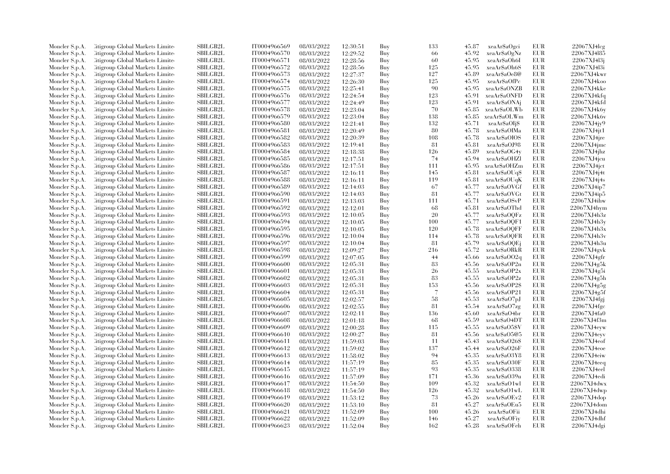| Moncler S.p.A. | Citigroup Global Markets Limite  | SBILGB2L        | IT0004966569 | 08/03/2022               | 12:30:51 | Buy | 133                      | 45.87 | xeaAr\$aOgci  | EUR        | 22067XJ4leg        |
|----------------|----------------------------------|-----------------|--------------|--------------------------|----------|-----|--------------------------|-------|---------------|------------|--------------------|
| Moncler S.p.A. | Citigroup Global Markets Limite  | SBILGB2L        | IT0004966570 | 08/03/2022               | 12:29:52 | Buy | 66                       | 45.92 | xeaAr\$aOgNz  | EUR        | 22067XJ4l85        |
| Moncler S.p.A. | Citigroup Global Markets Limited | <b>SBILGB2L</b> | IT0004966571 | 08/03/2022               | 12:28:56 | Buy | 60                       | 45.95 | xeaAr\$aOh6I  | <b>EUR</b> | 22067XJ4l3j        |
| Moncler S.p.A. | Litigroup Global Markets Limite  | SBILGB2L        | IT0004966572 | 08/03/2022               | 12:28:56 | Buy | 125                      | 45.95 | xeaAr\$aOh6S  | <b>EUR</b> | 22067XJ4l3i        |
| Moncler S.p.A. | Citigroup Global Markets Limite  | <b>SBILGB2L</b> | IT0004966573 | 08/03/2022               | 12:27:37 | Buy | 127                      | 45.89 | xeaAr\$aOe8@  | EUR        | 22067XJ4kwr        |
| Moncler S.p.A. | Citigroup Global Markets Limite  | SBILGB2L        | IT0004966574 | 08/03/2022               | 12:26:30 | Buy | 125                      | 45.95 | xeaAr\$aOfPc  | EUR        | 22067XJ4koo        |
| Moncler S.p.A. | Citigroup Global Markets Limited | <b>SBILGB2L</b> | IT0004966575 | 08/03/2022               | 12:25:41 | Buy | 90                       | 45.95 | xeaAr\$aONZB  | <b>EUR</b> | 22067XJ4kke        |
| Moncler S.p.A. | Litigroup Global Markets Limite  | <b>SBILGB2L</b> | IT0004966576 | 08/03/2022               | 12:24:54 | Buy | 123                      | 45.91 | xeaAr\$aONFD  | <b>EUR</b> | 22067XJ4kfq        |
| Moncler S.p.A. | Citigroup Global Markets Limite  | <b>SBILGB2L</b> | IT0004966577 | 08/03/2022               | 12:24:49 | Buy | 123                      | 45.91 | xeaAr\$aONAj  | <b>EUR</b> | 22067XJ4kfd        |
| Moncler S.p.A. | Citigroup Global Markets Limite  | SBILGB2L        | IT0004966578 | 08/03/2022               | 12:23:04 | Buy | 70                       | 45.85 | xeaAr\$aOLWb  | <b>EUR</b> | 22067XJ4k6y        |
| Moncler S.p.A. | Litigroup Global Markets Limite  | <b>SBILGB2L</b> | IT0004966579 | 08/03/2022               | 12:23:04 | Buy | 138                      | 45.85 | xeaAr\$aOLWm  | EUR        | 22067XJ4k6v        |
| Moncler S.p.A. | Litigroup Global Markets Limite  | <b>SBILGB2L</b> | IT0004966580 | 08/03/2022               | 12:21:41 | Buy | 132                      | 45.71 | xeaAr\$aOIj\$ | <b>EUR</b> | 22067XJ4jy9        |
|                | Citigroup Global Markets Limite  | SBILGB2L        | IT0004966581 | 08/03/2022               | 12:20:49 | Buy | 80                       | 45.78 | xeaAr\$aOIMa  | <b>EUR</b> | $22067XJ4$ jt1     |
| Moncler S.p.A. | Citigroup Global Markets Limited | SBILGB2L        | IT0004966582 |                          |          |     | 108                      | 45.78 | xeaArSaOIOS   | <b>EUR</b> | 22067XJ4jre        |
| Moncler S.p.A. |                                  |                 |              | 08/03/2022               | 12:20:39 | Buy |                          |       |               |            |                    |
| Moncler S.p.A. | Litigroup Global Markets Limite  | SBILGB2L        | IT0004966583 | 08/03/2022               | 12:19:41 | Buy | 81                       | 45.81 | xeaAr\$aOJ98  | <b>EUR</b> | 22067XJ4jmc        |
| Moncler S.p.A. | Citigroup Global Markets Limite  | <b>SBILGB2L</b> | IT0004966584 | 08/03/2022               | 12:18:38 | Buy | 126                      | 45.89 | xeaAr\$aOG4y  | <b>EUR</b> | $22067XJ4$ jhz     |
| Moncler S.p.A. | Citigroup Global Markets Limite  | SBILGB2L        | IT0004966585 | 08/03/2022               | 12:17:51 | Buy | 74                       | 45.94 | xeaAr\$aOHZl  | <b>EUR</b> | $22067XJ4$ jcu     |
| Moncler S.p.A. | Citigroup Global Markets Limite  | <b>SBILGB2L</b> | IT0004966586 | 08/03/2022               | 12:17:51 | Buy | 111                      | 45.95 | xeaAr\$aOHZm  | <b>EUR</b> | $22067XJ4$ jet     |
| Moncler S.p.A. | Litigroup Global Markets Limite  | <b>SBILGB2L</b> | IT0004966587 | 08/03/2022               | 12:16:11 | Buy | 145                      | 45.81 | xeaAr\$aOUq\$ | <b>EUR</b> | 22067XJ4j4t        |
| Moncler S.p.A. | Litigroup Global Markets Limite  | <b>SBILGB2L</b> | IT0004966588 | 08/03/2022               | 12:16:11 | Buy | 119                      | 45.81 | xeaAr\$aOUqK  | EUR        | 22067XJ4j4s        |
| Moncler S.p.A. | Citigroup Global Markets Limite  | <b>SBILGB2L</b> | IT0004966589 | 08/03/2022               | 12:14:03 | Buy | 67                       | 45.77 | xeaAr\$aOVGf  | <b>EUR</b> | 22067XJ4ip7        |
| Moncler S.p.A. | Citigroup Global Markets Limite  | SBILGB2L        | IT0004966590 | 08/03/2022               | 12:14:03 | Buy | 81                       | 45.77 | xeaAr\$aOVGt  | <b>EUR</b> | 22067XJ4ip5        |
| Moncler S.p.A. | Citigroup Global Markets Limite  | <b>SBILGB2L</b> | IT0004966591 | 08/03/2022               | 12:13:03 | Buy | 111                      | 45.71 | xeaAr\$aOSvP  | <b>EUR</b> | 22067XJ4ihw        |
| Moncler S.p.A. | Citigroup Global Markets Limite  | SBILGB2L        | IT0004966592 | 08/03/2022               | 12:12:01 | Buy | 68                       | 45.81 | xeaAr\$aOThd  | <b>EUR</b> | 22067XJ4hym        |
| Moncler S.p.A. | Citigroup Global Markets Limite  | <b>SBILGB2L</b> | IT0004966593 | 08/03/2022               | 12:10:05 | Buy | 20                       | 45.77 | xeaAr\$aOQFz  | <b>EUR</b> | 22067XJ4h3z        |
| Moncler S.p.A. | Litigroup Global Markets Limite  | <b>SBILGB2L</b> | IT0004966594 | 08/03/2022               | 12:10:05 | Buy | 100                      | 45.77 | xeaAr\$aOQF1  | <b>EUR</b> | 22067XJ4h3y        |
| Moncler S.p.A. | Citigroup Global Markets Limite  | <b>SBILGB2L</b> | IT0004966595 | 08/03/2022               | 12:10:05 | Buy | 120                      | 45.78 | xeaAr\$aOQFF  | <b>EUR</b> | 22067XJ4h3x        |
| Moncler S.p.A. | Citigroup Global Markets Limite  | SBILGB2L        | IT0004966596 | 08/03/2022               | 12:10:04 | Buy | 114                      | 45.78 | xeaAr\$aOQFR  | <b>EUR</b> | 22067XJ4h3v        |
| Moncler S.p.A. | Litigroup Global Markets Limite  | <b>SBILGB2L</b> | IT0004966597 | 08/03/2022               | 12:10:04 | Buy | 81                       | 45.79 | xeaAr\$aOQEj  | <b>EUR</b> | 22067XJ4h3u        |
| Moncler S.p.A. | Litigroup Global Markets Limite  | <b>SBILGB2L</b> | IT0004966598 | 08/03/2022               | 12:09:27 | Buy | 216                      | 45.72 | xeaAr\$aORkR  | <b>EUR</b> | 22067XJ4gvk        |
| Moncler S.p.A. | Litigroup Global Markets Limite  | <b>SBILGB2L</b> | IT0004966599 | 08/03/2022               | 12:07:05 | Buy | 44                       | 45.66 | xeaAr\$a002q  | <b>EUR</b> | 22067XJ4gfr        |
| Moncler S.p.A. | Citigroup Global Markets Limite  | SBILGB2L        | IT0004966600 | 08/03/2022               | 12:05:31 | Buy | 83                       | 45.56 | xeaAr\$aOP2n  | <b>EUR</b> | 22067XJ4g5k        |
| Moncler S.p.A. | Citigroup Global Markets Limite  | <b>SBILGB2L</b> | IT0004966601 | 08/03/2022               | 12:05:31 | Buy | 26                       | 45.55 | xeaAr\$aOP2x  | <b>EUR</b> | 22067XJ4g5i        |
| Moncler S.p.A. | Citigroup Global Markets Limite  | <b>SBILGB2L</b> | IT0004966602 | 08/03/2022               | 12:05:31 | Buy | 83                       | 45.55 | xeaAr\$aOP2z  | <b>EUR</b> | 22067XJ4g5h        |
| Moncler S.p.A. | Citigroup Global Markets Limite  | SBILGB2L        | IT0004966603 | 08/03/2022               | 12:05:31 | Buy | 153                      | 45.56 | xeaAr\$aOP2\$ | <b>EUR</b> | 22067XJ4g5g        |
| Moncler S.p.A. | Citigroup Global Markets Limite  | <b>SBILGB2L</b> | IT0004966604 | 08/03/2022               | 12:05:31 | Buy | $\overline{\mathcal{L}}$ | 45.56 | xeaAr\$aOP21  | <b>EUR</b> | 22067XJ4g5f        |
| Moncler S.p.A. | Litigroup Global Markets Limite  | <b>SBILGB2L</b> | IT0004966605 | 08/03/2022               | 12:02:57 | Buy | 58                       | 45.53 | xeaAr\$aO7pJ  | EUR        | 22067XJ4fgj        |
| Moncler S.p.A. | Citigroup Global Markets Limite  | <b>SBILGB2L</b> | IT0004966606 | 08/03/2022               | 12:02:55 | Buy | 81                       | 45.54 | xeaAr\$aO7zg  | EUR        | 22067XJ4fgc        |
| Moncler S.p.A. | Citigroup Global Markets Limite  | <b>SBILGB2L</b> | IT0004966607 | 08/03/2022               | 12:02:11 | Buy | 136                      | 45.60 | xeaAr\$aO4br  | <b>EUR</b> | 22067XJ4fa0        |
| Moncler S.p.A. | Litigroup Global Markets Limite  | <b>SBILGB2L</b> | IT0004966608 | 08/03/2022               | 12:01:18 | Buy | 68                       | 45.59 | xeaAr\$aO4DT  | <b>EUR</b> | 22067XJ4f3m        |
| Moncler S.p.A. | Litigroup Global Markets Limite  | <b>SBILGB2L</b> | IT0004966609 | 08/03/2022               | 12:00:28 | Buy | 115                      | 45.55 | xeaAr\$aO5\$V | <b>EUR</b> | 22067XJ4evw        |
| Moncler S.p.A. | Citigroup Global Markets Limite  | SBILGB2L        | IT0004966610 | 08/03/2022               | 12:00:27 | Buy | 81                       | 45.56 | xeaAr\$aO5@5  | EUR        | $22067X$ J $4$ eyv |
| Moncler S.p.A. | Citigroup Global Markets Limite  | <b>SBILGB2L</b> | IT0004966611 |                          |          | Buy | 11                       | 45.43 | xeaAr\$aO26\$ | <b>EUR</b> | 22067XJ4eof        |
|                | Litigroup Global Markets Limite  | <b>SBILGB2L</b> | IT0004966612 | 08/03/2022<br>08/03/2022 | 11:59:03 | Buy | 137                      | 45.44 | xeaAr\$aO26F  | <b>EUR</b> | $22067X$ J $4e$ oe |
| Moncler S.p.A. |                                  |                 |              |                          | 11:59:02 |     |                          |       |               |            |                    |
| Moncler S.p.A. | Citigroup Global Markets Limite  | <b>SBILGB2L</b> | IT0004966613 | 08/03/2022               | 11:58:02 | Buy | 94                       | 45.35 | xeaAr\$aO3Y8  | <b>EUR</b> | 22067XJ4eiw        |
| Moncler S.p.A. | Citigroup Global Markets Limite  | <b>SBILGB2L</b> | IT0004966614 | 08/03/2022               | 11:57:19 | Buy | 85                       | 45.35 | xeaAr\$aO30F  | <b>EUR</b> | 22067XJ4eeq        |
| Moncler S.p.A. | Citigroup Global Markets Limite  | <b>SBILGB2L</b> | IT0004966615 | 08/03/2022               | 11:57:19 | Buy | 93                       | 45.35 | xeaAr\$a0338  | <b>EUR</b> | 22067XJ4eel        |
| Moncler S.p.A. | Citigroup Global Markets Limite  | <b>SBILGB2L</b> | IT0004966616 | 08/03/2022               | 11:57:09 | Buy | 171                      | 45.36 | xeaAr\$aO39u  | <b>EUR</b> | 22067XJ4edi        |
| Moncler S.p.A. | Citigroup Global Markets Limite  | <b>SBILGB2L</b> | IT0004966617 | 08/03/2022               | 11:54:50 | Buy | 109                      | 45.32 | xeaAr\$aO1wl  | <b>EUR</b> | 22067XJ4dwx        |
| Moncler S.p.A. | Citigroup Global Markets Limite  | SBILGB2L        | IT0004966618 | 08/03/2022               | 11:54:50 | Buy | 126                      | 45.32 | xeaAr\$aO1wL  | <b>EUR</b> | 22067XJ4dwp        |
| Moncler S.p.A. | Litigroup Global Markets Limite  | <b>SBILGB2L</b> | IT0004966619 | 08/03/2022               | 11:53:12 | Buy | 73                       | 45.26 | xeaAr\$aOEv2  | <b>EUR</b> | 22067XJ4dop        |
| Moncler S.p.A. | Litigroup Global Markets Limite  | SBILGB2L        | IT0004966620 | 08/03/2022               | 11:53:10 | Buy | 81                       | 45.27 | xeaAr\$aOEu5  | <b>EUR</b> | 22067XJ4dom        |
| Moncler S.p.A. | Citigroup Global Markets Limite  | SBILGB2L        | IT0004966621 | 08/03/2022               | 11:52:09 | Buy | 100                      | 45.26 | xeaAr\$aOFii  | EUR        | 22067XJ4dhi        |
| Moncler S.p.A. | Citigroup Global Markets Limite  | <b>SBILGB2L</b> | IT0004966622 | 08/03/2022               | 11:52:09 | Buy | 146                      | 45.27 | xeaAr\$aOFiy  | <b>EUR</b> | 22067XJ4dhf        |
| Moncler S.p.A. | Citigroup Global Markets Limited | SBILGB2L        | IT0004966623 | 08/03/2022               | 11:52:04 | Buv | 162                      | 45.28 | xeaAr\$aOFeh  | <b>EUR</b> | 22067XJ4dgi        |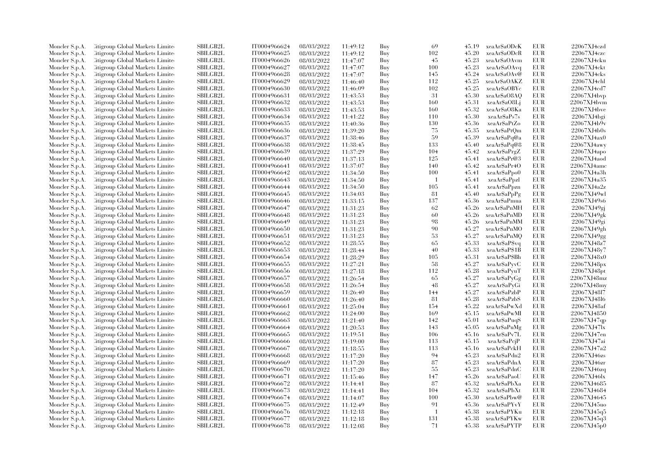| Moncler S.p.A. | Citigroup Global Markets Limite  | SBILGB2L        | IT0004966624 | 08/03/2022 | 11:49:12 | Buy | 69             | 45.19 | xeaAr\$aODcK  | EUR        | 22067XJ4czd |
|----------------|----------------------------------|-----------------|--------------|------------|----------|-----|----------------|-------|---------------|------------|-------------|
| Moncler S.p.A. | Litigroup Global Markets Limite  | SBILGB2L        | IT0004966625 | 08/03/2022 | 11:49:12 | Buy | 102            | 45.20 | xeaAr\$aODcR  | <b>EUR</b> | 22067XJ4czc |
| Moncler S.p.A. | Citigroup Global Markets Limited | SBILGB2L        | IT0004966626 | 08/03/2022 | 11:47:07 | Buy | 45             | 45.23 | xeaAr\$aOAvm  | <b>EUR</b> | 22067XJ4cku |
| Moncler S.p.A. | Citigroup Global Markets Limite  | <b>SBILGB2L</b> | IT0004966627 | 08/03/2022 | 11:47:07 | Buy | 100            | 45.23 | xeaAr\$aOAvq  | <b>EUR</b> | 22067XJ4ckt |
| Moncler S.p.A. | Litigroup Global Markets Limite  | SBILGB2L        | IT0004966628 | 08/03/2022 | 11:47:07 | Buy | 145            | 45.24 | xeaAr\$aOAv@  | <b>EUR</b> | 22067XJ4cks |
| Moncler S.p.A. | Citigroup Global Markets Limite  | <b>SBILGB2L</b> | IT0004966629 | 08/03/2022 | 11:46:40 | Buy | 112            | 45.25 | xeaAr\$aOAKZ  | <b>EUR</b> | 22067XJ4chl |
| Moncler S.p.A. | Citigroup Global Markets Limited | <b>SBILGB2L</b> | IT0004966630 | 08/03/2022 | 11:46:09 | Buy | 102            | 45.25 | xeaAr\$aOBYc  | <b>EUR</b> | 22067XJ4cd7 |
| Moncler S.p.A. | Litigroup Global Markets Limite  | SBILGB2L        | IT0004966631 | 08/03/2022 | 11:43:53 | Buy | 31             | 45.30 | xeaAr\$a08AQ  | <b>EUR</b> | 22067XJ4bp  |
| Moncler S.p.A. | Citigroup Global Markets Limited | SBILGB2L        | IT0004966632 | 08/03/2022 | 11:43:53 | Buy | 160            | 45.31 | xeaAr\$aO8Lj  | <b>EUR</b> | 22067XJ4bvm |
| Moncler S.p.A. | Citigroup Global Markets Limited | <b>SBILGB2L</b> | IT0004966633 | 08/03/2022 | 11:43:53 | Buy | 160            | 45.32 | xeaAr\$aO8Ka  | <b>EUR</b> | 22067XJ4bve |
|                | Citigroup Global Markets Limited | <b>SBILGB2L</b> | IT0004966634 | 08/03/2022 |          | Buy | 110            | 45.30 | xeaAr\$aPs7s  | <b>EUR</b> | 22067XJ4bgi |
| Moncler S.p.A. |                                  |                 |              |            | 11:41:22 |     | 130            |       | xeaAr\$aPtZo  | <b>EUR</b> |             |
| Moncler S.p.A. | Litigroup Global Markets Limite  | SBILGB2L        | IT0004966635 | 08/03/2022 | 11:40:36 | Buy |                | 45.36 |               |            | 22067XJ4b9v |
| Moncler S.p.A. | Citigroup Global Markets Limited | <b>SBILGB2L</b> | IT0004966636 | 08/03/2022 | 11:39:20 | Buy | 75             | 45.35 | xeaAr\$aPtQm  | <b>EUR</b> | 22067XJ4b0s |
| Moncler S.p.A. | Citigroup Global Markets Limited | SBILGB2L        | IT0004966637 | 08/03/2022 | 11:38:46 | Buy | -59            | 45.39 | xeaAr\$aPq@a  | <b>EUR</b> | 22067XJ4ax0 |
| Moncler S.p.A. | Citigroup Global Markets Limited | <b>SBILGB2L</b> | IT0004966638 | 08/03/2022 | 11:38:45 | Buy | 133            | 45.40 | xeaAr\$aPq@8  | <b>EUR</b> | 22067XJ4awy |
| Moncler S.p.A. | Litigroup Global Markets Limite  | <b>SBILGB2L</b> | IT0004966639 | 08/03/2022 | 11:37:29 | Buy | 104            | 45.42 | xeaAr\$aPrgZ  | <b>EUR</b> | 22067XJ4apo |
| Moncler S.p.A. | Litigroup Global Markets Limite  | SBILGB2L        | IT0004966640 | 08/03/2022 | 11:37:13 | Buy | 125            | 45.41 | xeaAr\$aPr@3  | <b>EUR</b> | 22067XJ4aod |
| Moncler S.p.A. | Citigroup Global Markets Limited | <b>SBILGB2L</b> | IT0004966641 | 08/03/2022 | 11:37:07 | Buy | 140            | 45.42 | xeaAr\$aPr4O  | <b>EUR</b> | 22067XJ4amc |
| Moncler S.p.A. | Citigroup Global Markets Limited | <b>SBILGB2L</b> | IT0004966642 | 08/03/2022 | 11:34:50 | Buy | 100            | 45.41 | xeaAr\$aPpo0  | <b>EUR</b> | 22067XJ4a3h |
| Moncler S.p.A. | Citigroup Global Markets Limited | SBILGB2L        | IT0004966643 | 08/03/2022 | 11:34:50 | Buy | $\overline{1}$ | 45.41 | xeaAr\$aPpzl  | <b>EUR</b> | 22067XJ4a35 |
| Moncler S.p.A. | Litigroup Global Markets Limite  | SBILGB2L        | IT0004966644 | 08/03/2022 | 11:34:50 | Buy | 105            | 45.41 | xeaAr\$aPpzn  | <b>EUR</b> | 22067XJ4a2z |
| Moncler S.p.A. | Citigroup Global Markets Limited | <b>SBILGB2L</b> | IT0004966645 | 08/03/2022 | 11:34:03 | Buy | 81             | 45.40 | xeaAr\$aPpPg  | <b>EUR</b> | 22067XJ49wl |
| Moncler S.p.A. | Citigroup Global Markets Limited | <b>SBILGB2L</b> | IT0004966646 | 08/03/2022 | 11:33:15 | Buy | 137            | 45.36 | xeaAr\$aPmua  | <b>EUR</b> | 22067XJ49s6 |
| Moncler S.p.A. | Citigroup Global Markets Limited | <b>SBILGB2L</b> | IT0004966647 | 08/03/2022 | 11:31:23 | Buy | 62             | 45.26 | xeaAr\$aPnMH  | <b>EUR</b> | 22067XJ49gj |
| Moncler S.p.A. | Citigroup Global Markets Limite  | SBILGB2L        | IT0004966648 | 08/03/2022 | 11:31:23 | Buy | 60             | 45.26 | xeaAr\$aPnMD  | <b>EUR</b> | 22067XJ49gk |
| Moncler S.p.A. | Citigroup Global Markets Limite  | SBILGB2L        | IT0004966649 | 08/03/2022 | 11:31:23 | Buy | 98             | 45.26 | xeaAr\$aPnMM  | EUR        | 22067XJ49gi |
| Moncler S.p.A. | Citigroup Global Markets Limite  | SBILGB2L        | IT0004966650 | 08/03/2022 | 11:31:23 | Buy | 90             | 45.27 | xeaAr\$aPnMO  | EUR        | 22067XJ49gh |
| Moncler S.p.A. | Citigroup Global Markets Limited | <b>SBILGB2L</b> | IT0004966651 | 08/03/2022 | 11:31:23 | Buy | 53             | 45.27 | xeaAr\$aPnMQ  | <b>EUR</b> | 22067XJ49gg |
| Moncler S.p.A. | Citigroup Global Markets Limited | SBILGB2L        | IT0004966652 | 08/03/2022 | 11:28:55 | Buy | 65             | 45.33 | xeaAr\$aP\$vq | <b>EUR</b> | 22067XJ48z7 |
| Moncler S.p.A. | Citigroup Global Markets Limite  | SBILGB2L        | IT0004966653 | 08/03/2022 | 11:28:44 | Buy | 40             | 45.33 | xeaArSaP\$1B  | <b>EUR</b> | 22067XJ48v7 |
| Moncler S.p.A. | Citigroup Global Markets Limited | <b>SBILGB2L</b> | IT0004966654 | 08/03/2022 | 11:28:29 | Buy | 105            | 45.31 | xeaAr\$aP\$Bh | <b>EUR</b> | 22067XJ48x0 |
| Moncler S.p.A. | Citigroup Global Markets Limited | <b>SBILGB2L</b> | IT0004966655 | 08/03/2022 | 11:27:21 | Buy | 58             | 45.27 | xeaAr\$aPyvC  | <b>EUR</b> | 22067XJ48px |
| Moncler S.p.A. | Citigroup Global Markets Limite  | SBILGB2L        | IT0004966656 | 08/03/2022 | 11:27:18 | Buy | 112            | 45.28 | xeaAr\$aPyuT  | <b>EUR</b> | 22067XJ48pt |
| Moncler S.p.A. | Citigroup Global Markets Limite  | SBILGB2L        | IT0004966657 | 08/03/2022 | 11:26:54 | Buy | 65             | 45.27 | xeaAr\$aPyGg  | <b>EUR</b> | 22067XJ48mz |
| Moncler S.p.A. | Citigroup Global Markets Limited | <b>SBILGB2L</b> | IT0004966658 | 08/03/2022 |          |     | 48             | 45.27 | xeaAr\$aPyGi  | <b>EUR</b> | 22067XJ48my |
|                |                                  |                 |              |            | 11:26:54 | Buy |                |       |               |            |             |
| Moncler S.p.A. | Litigroup Global Markets Limite  | SBILGB2L        | IT0004966659 | 08/03/2022 | 11:26:40 | Buy | 144            | 45.27 | xeaAr\$aPzbP  | EUR        | 22067XJ48l7 |
| Moncler S.p.A. | Citigroup Global Markets Limited | <b>SBILGB2L</b> | IT0004966660 | 08/03/2022 | 11:26:40 | Buy | 81             | 45.28 | xeaAr\$aPzbS  | <b>EUR</b> | 22067XJ48l6 |
| Moncler S.p.A. | Litigroup Global Markets Limite  | SBILGB2L        | IT0004966661 | 08/03/2022 | 11:25:04 | Buy | 154            | 45.22 | xeaAr\$aPwXd  | <b>EUR</b> | 22067XJ48af |
| Moncler S.p.A. | Litigroup Global Markets Limite  | <b>SBILGB2L</b> | IT0004966662 | 08/03/2022 | 11:24:00 | Buy | 169            | 45.15 | xeaAr\$aPwMI  | <b>EUR</b> | 22067XJ4850 |
| Moncler S.p.A. | Citigroup Global Markets Limite  | <b>SBILGB2L</b> | IT0004966663 | 08/03/2022 | 11:21:40 | Buy | 142            | 45.01 | xeaAr\$aPuqS  | <b>EUR</b> | 22067XJ47qp |
| Moncler S.p.A. | Citigroup Global Markets Limite  | SBILGB2L        | IT0004966664 | 08/03/2022 | 11:20:53 | Buy | 143            | 45.05 | xeaAr\$aPuMg  | <b>EUR</b> | 22067XJ47lx |
| Moncler S.p.A. | Litigroup Global Markets Limite  | SBILGB2L        | IT0004966665 | 08/03/2022 | 11:19:51 | Buy | 106            | 45.16 | xeaAr\$aPv7L  | <b>EUR</b> | 22067XJ47en |
| Moncler S.p.A. | Citigroup Global Markets Limited | SBILGB2L        | IT0004966666 | 08/03/2022 | 11:19:00 | Buy | 113            | 45.15 | xeaAr\$aPcjP  | <b>EUR</b> | 22067XJ47ai |
| Moncler S.p.A. | Citigroup Global Markets Limited | <b>SBILGB2L</b> | IT0004966667 | 08/03/2022 | 11:18:55 | Buy | 113            | 45.16 | xeaAr\$aPckH  | <b>EUR</b> | 22067XJ47a2 |
| Moncler S.p.A. | Citigroup Global Markets Limited | SBILGB2L        | IT0004966668 | 08/03/2022 | 11:17:20 | Buy | 94             | 45.23 | xeaAr\$aPdn2  | <b>EUR</b> | 22067XJ46zs |
| Moncler S.p.A. | Citigroup Global Markets Limite  | SBILGB2L        | IT0004966669 | 08/03/2022 | 11:17:20 | Buy | 87             | 45.23 | xeaAr\$aPdnA  | <b>EUR</b> | 22067XJ46zr |
| Moncler S.p.A. | Citigroup Global Markets Limite  | SBILGB2L        | IT0004966670 | 08/03/2022 | 11:17:20 | Buy | 55             | 45.23 | xeaAr\$aPdnC  | <b>EUR</b> | 22067XJ46zq |
| Moncler S.p.A. | Citigroup Global Markets Limited | SBILGB2L        | IT0004966671 | 08/03/2022 | 11:15:46 | Buy | 147            | 45.26 | xeaAr\$aPaoU  | <b>EUR</b> | 22067XJ46lx |
| Moncler S.p.A. | Citigroup Global Markets Limited | <b>SBILGB2L</b> | IT0004966672 | 08/03/2022 | 11:14:41 | Buy | 87             | 45.32 | xeaAr\$aPbXa  | <b>EUR</b> | 22067XJ4685 |
| Moncler S.p.A. | Citigroup Global Markets Limite  | SBILGB2L        | IT0004966673 | 08/03/2022 | 11:14:41 | Buy | 104            | 45.32 | xeaAr\$aPbXt  | <b>EUR</b> | 22067XJ4684 |
| Moncler S.p.A. | Litigroup Global Markets Limite  | SBILGB2L        | IT0004966674 | 08/03/2022 | 11:14:07 | Buy | 100            | 45.30 | xeaAr\$aPbw@  | <b>EUR</b> | 22067XJ4645 |
| Moncler S.p.A. | Citigroup Global Markets Limited | <b>SBILGB2L</b> | IT0004966675 | 08/03/2022 | 11:12:49 | Buy | 91             | 45.36 | xeaAr\$aPYvY  | <b>EUR</b> | 22067XJ45uo |
| Moncler S.p.A. | Citigroup Global Markets Limited | <b>SBILGB2L</b> | IT0004966676 | 08/03/2022 | 11:12:18 | Buy | $\overline{1}$ | 45.38 | xeaAr\$aPYKu  | <b>EUR</b> | 22067XJ45q5 |
| Moncler S.p.A. | Citigroup Global Markets Limite  | <b>SBILGB2L</b> | IT0004966677 | 08/03/2022 | 11:12:18 | Buy | 131            | 45.38 | xeaAr\$aPYKw  | <b>EUR</b> | 22067XJ45q3 |
| Moncler S.p.A. | Litigroup Global Markets Limited | SBILGB2L        | IT0004966678 | 08/03/2022 | 11:12:08 | Buy | 71             | 45.38 | xeaAr\$aPYTP  | <b>EUR</b> | 22067XJ45p0 |
|                |                                  |                 |              |            |          |     |                |       |               |            |             |
|                |                                  |                 |              |            |          |     |                |       |               |            |             |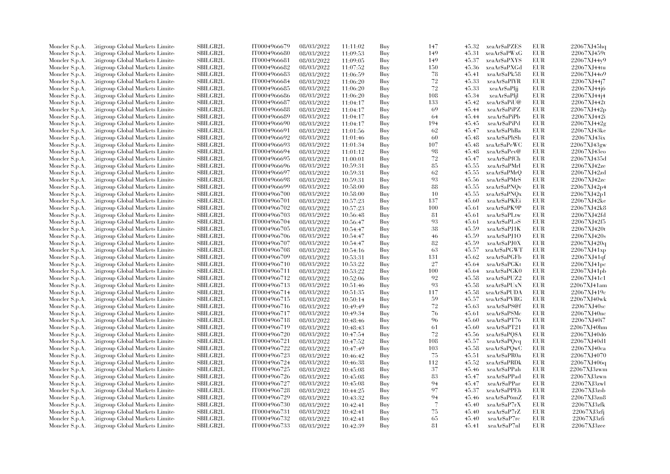| Moncler S.p.A. | Citigroup Global Markets Limite  | SBILGB2L        | IT0004966679 | 08/03/2022 | 11:11:02 | Buy | 147 | 45.32 | xeaAr\$aPZES  | <b>EUR</b> | 22067XJ45hq    |
|----------------|----------------------------------|-----------------|--------------|------------|----------|-----|-----|-------|---------------|------------|----------------|
| Moncler S.p.A. | Citigroup Global Markets Limite  | SBILGB2L        | IT0004966680 | 08/03/2022 | 11:09:53 | Buy | 149 | 45.31 | xeaAr\$aPWxG  | EUR        | 22067XJ459t    |
| Moncler S.p.A. | Citigroup Global Markets Limited | <b>SBILGB2L</b> | IT0004966681 | 08/03/2022 | 11:09:05 | Buy | 149 | 45.37 | xeaAr\$aPXYS  | <b>EUR</b> | 22067XJ44y9    |
| Moncler S.p.A. | Litigroup Global Markets Limite  | SBILGB2L        | IT0004966682 | 08/03/2022 | 11:07:52 | Buy | 150 | 45.36 | xeaAr\$aPXGd  | EUR        | 22067XJ44tu    |
| Moncler S.p.A. | Citigroup Global Markets Limite  | <b>SBILGB2L</b> | IT0004966683 | 08/03/2022 | 11:06:59 | Buy | 78  | 45.41 | xeaAr\$aPk58  | EUR        | 22067XJ44o9    |
| Moncler S.p.A. | Citigroup Global Markets Limite  | SBILGB2L        | IT0004966684 | 08/03/2022 | 11:06:20 | Buy | 72  | 45.33 | xeaAr\$aPlYR  | EUR        | 22067XJ44j7    |
| Moncler S.p.A. | Citigroup Global Markets Limite  | <b>SBILGB2L</b> | IT0004966685 | 08/03/2022 | 11:06:20 | Buy | 72  | 45.33 | xeaAr\$aPljj  | EUR        | 22067XJ44j6    |
| Moncler S.p.A. | Litigroup Global Markets Limite  | <b>SBILGB2L</b> | IT0004966686 | 08/03/2022 | 11:06:20 | Buy | 108 | 45.34 | xeaAr\$aPljl  | <b>EUR</b> | 22067XJ44j4    |
| Moncler S.p.A. | Citigroup Global Markets Limite  | SBILGB2L        | IT0004966687 | 08/03/2022 | 11:04:17 | Buy | 133 | 45.42 | xeaAr\$aPiU@  | EUR        | 22067XJ442t    |
| Moncler S.p.A. | Citigroup Global Markets Limite  | <b>SBILGB2L</b> | IT0004966688 | 08/03/2022 | 11:04:17 | Buy | 69  | 45.44 | xeaAr\$aPiPZ  | <b>EUR</b> | 22067XJ442p    |
| Moncler S.p.A. | Citigroup Global Markets Limite  | <b>SBILGB2L</b> | IT0004966689 | 08/03/2022 | 11:04:17 | Buy | -64 | 45.44 | xeaAr\$aPiPb  | EUR        | 22067XJ442i    |
| Moncler S.p.A. | Litigroup Global Markets Limite  | <b>SBILGB2L</b> | IT0004966690 | 08/03/2022 | 11:04:17 | Buy | 194 | 45.45 | xeaAr\$aPiPd  | <b>EUR</b> | 22067XJ442g    |
| Moncler S.p.A. | Citigroup Global Markets Limite  | SBILGB2L        | IT0004966691 | 08/03/2022 | 11:01:56 | Buy | 62  | 45.47 | xeaAr\$aPhBa  | <b>EUR</b> | 22067XJ43ke    |
| Moncler S.p.A. | Citigroup Global Markets Limited | SBILGB2L        | IT0004966692 | 08/03/2022 | 11:01:46 | Buy | 60  | 45.48 | xeaAr\$aPhSh  | <b>EUR</b> | 22067XJ43ix    |
| Moncler S.p.A. | Litigroup Global Markets Limite  | SBILGB2L        | IT0004966693 | 08/03/2022 |          | Buy | 107 | 45.48 | xeaAr\$aPeWC  | EUR        | 22067XJ43gw    |
|                |                                  | <b>SBILGB2L</b> |              |            | 11:01:34 |     | 98  | 45.48 |               | EUR        | 22067XJ43eo    |
| Moncler S.p.A. | Litigroup Global Markets Limite  |                 | IT0004966694 | 08/03/2022 | 11:01:12 | Buy | 72  |       | xeaAr\$aPev@  |            |                |
| Moncler S.p.A. | Citigroup Global Markets Limite  | SBILGB2L        | IT0004966695 | 08/03/2022 | 11:00:01 | Buy |     | 45.47 | xeaAr\$aPfCh  | EUR        | 22067XJ435d    |
| Moncler S.p.A. | Citigroup Global Markets Limite  | SBILGB2L        | IT0004966696 | 08/03/2022 | 10:59:31 | Buy | 85  | 45.55 | xeaAr\$aPMrI  | EUR        | 22067XJ42ze    |
| Moncler S.p.A. | Citigroup Global Markets Limite  | <b>SBILGB2L</b> | IT0004966697 | 08/03/2022 | 10:59:31 | Buy | 62  | 45.55 | xeaAr\$aPMrQ  | EUR        | 22067XJ42zd    |
| Moncler S.p.A. | Litigroup Global Markets Limite  | <b>SBILGB2L</b> | IT0004966698 | 08/03/2022 | 10:59:31 | Buy | 93  | 45.56 | xeaAr\$aPMrS  | EUR        | 22067XJ42zc    |
| Moncler S.p.A. | Citigroup Global Markets Limite  | SBILGB2L        | IT0004966699 | 08/03/2022 | 10:58:00 | Buy | 88  | 45.55 | xeaAr\$aPNQv  | EUR        | 22067XJ42p4    |
| Moncler S.p.A. | Citigroup Global Markets Limite  | SBILGB2L        | IT0004966700 | 08/03/2022 | 10:58:00 | Buy | 10  | 45.55 | xeaAr\$aPNQx  | EUR        | 22067XJ42p1    |
| Moncler S.p.A. | Citigroup Global Markets Limite  | <b>SBILGB2L</b> | IT0004966701 | 08/03/2022 | 10:57:23 | Buy | 137 | 45.60 | xeaAr\$aPKEi  | EUR        | 22067XJ42ke    |
| Moncler S.p.A. | Citigroup Global Markets Limite  | SBILGB2L        | IT0004966702 | 08/03/2022 | 10:57:23 | Buy | 100 | 45.61 | xeaAr\$aPK9P  | <b>EUR</b> | 22067XJ42k8    |
| Moncler S.p.A. | Citigroup Global Markets Limite  | <b>SBILGB2L</b> | IT0004966703 | 08/03/2022 | 10:56:48 | Buy | 81  | 45.61 | xeaArSaPLtw   | EUR        | 22067XJ42fd    |
| Moncler S.p.A. | Litigroup Global Markets Limite  | <b>SBILGB2L</b> | IT0004966704 | 08/03/2022 | 10:56:47 | Buy | 93  | 45.61 | xeaAr\$aPLsS  | EUR        | 22067XJ42f5    |
| Moncler S.p.A. | Citigroup Global Markets Limite  | <b>SBILGB2L</b> | IT0004966705 | 08/03/2022 | 10:54:47 | Buy | 38  | 45.59 | xeaAr\$aPJ1K  | EUR        | 22067XJ420t    |
| Moncler S.p.A. | Citigroup Global Markets Limite  | <b>SBILGB2L</b> | IT0004966706 | 08/03/2022 | 10:54:47 | Buy | 46  | 45.59 | xeaAr\$aPJ1O  | <b>EUR</b> | 22067XJ420s    |
| Moncler S.p.A. | Litigroup Global Markets Limite  | SBILGB2L        | IT0004966707 | 08/03/2022 | 10:54:47 | Buy | 82  | 45.59 | xeaAr\$aPJ0X  | EUR        | 22067XJ420q    |
| Moncler S.p.A. | Litigroup Global Markets Limite  | <b>SBILGB2L</b> | IT0004966708 | 08/03/2022 | 10:54:16 | Buy | 63  | 45.57 | xeaAr\$aPGWT  | EUR        | 22067XJ41xp    |
| Moncler S.p.A. | Litigroup Global Markets Limite  | <b>SBILGB2L</b> | IT0004966709 | 08/03/2022 | 10:53:31 | Buy | 131 | 45.62 | xeaAr\$aPGFb  | <b>EUR</b> | 22067XJ41qf    |
| Moncler S.p.A. | Citigroup Global Markets Limite  | SBILGB2L        | IT0004966710 | 08/03/2022 | 10:53:22 | Buy | 27  | 45.64 | xeaAr\$aPGKt  | <b>EUR</b> | 22067XJ41pc    |
| Moncler S.p.A. | Citigroup Global Markets Limite  | SBILGB2L        | IT0004966711 | 08/03/2022 | 10:53:22 | Buy | 100 | 45.64 | xeaAr\$aPGK0  | EUR        | 22067XJ41pb    |
| Moncler S.p.A. | Citigroup Global Markets Limite  | <b>SBILGB2L</b> | IT0004966712 | 08/03/2022 | 10:52:06 | Buy | 92  | 45.58 | xeaAr\$aPUZ2  | <b>EUR</b> | 22067XJ41c1    |
| Moncler S.p.A. | Citigroup Global Markets Limite  | SBILGB2L        | IT0004966713 | 08/03/2022 | 10:51:46 | Buy | 93  | 45.58 | xeaAr\$aPUxN  | <b>EUR</b> | 22067XJ41am    |
| Moncler S.p.A. | Citigroup Global Markets Limite  | <b>SBILGB2L</b> | IT0004966714 | 08/03/2022 | 10:51:35 | Buy | 117 | 45.58 | xeaAr\$aPUDA  | EUR        | 22067XJ419c    |
| Moncler S.p.A. | Litigroup Global Markets Limite  | <b>SBILGB2L</b> | IT0004966715 | 08/03/2022 | 10:50:14 | Buy | 59  | 45.57 | xeaAr\$aPVRG  | EUR        | 22067XJ40wk    |
| Moncler S.p.A. | Citigroup Global Markets Limite  | <b>SBILGB2L</b> | IT0004966716 | 08/03/2022 | 10:49:49 | Buy | 72  | 45.63 | xeaAr\$aPS@f  | EUR        | 22067XJ40sc    |
| Moncler S.p.A. | Citigroup Global Markets Limite  | SBILGB2L        | IT0004966717 | 08/03/2022 | 10:49:34 | Buy | 76  | 45.61 | xeaAr\$aPSMc  | <b>EUR</b> | 22067XJ40nc    |
| Moncler S.p.A. | Litigroup Global Markets Limite  | SBILGB2L        | IT0004966718 | 08/03/2022 | 10:48:46 | Buy | 96  | 45.60 | xeaAr\$aPT76  | EUR        | 22067XJ40i7    |
| Moncler S.p.A. | Litigroup Global Markets Limite  | <b>SBILGB2L</b> | IT0004966719 | 08/03/2022 | 10:48:43 | Buy | 61  | 45.60 | xeaAr\$aPT21  | EUR        | 22067XJ40hm    |
| Moncler S.p.A. | Citigroup Global Markets Limite  | SBILGB2L        | IT0004966720 | 08/03/2022 | 10:47:54 | Buy | 72  | 45.56 | xeaAr\$aPQ\$A | EUR        | 22067XJ40d6    |
| Moncler S.p.A. | Citigroup Global Markets Limite  | SBILGB2L        | IT0004966721 | 08/03/2022 | 10:47:52 | Buy | 108 | 45.57 | xeaAr\$aPQvq  | <b>EUR</b> | 22067XJ40d1    |
| Moncler S.p.A. | Litigroup Global Markets Limite  | <b>SBILGB2L</b> | IT0004966722 | 08/03/2022 | 10:47:49 | Buy | 103 | 45.58 | xeaAr\$aPOwC  | EUR        | 22067XJ40ca    |
|                |                                  | <b>SBILGB2L</b> |              |            |          |     | 75  | 45.51 |               | EUR        | 22067XJ4070    |
| Moncler S.p.A. | Litigroup Global Markets Limite  |                 | IT0004966723 | 08/03/2022 | 10:46:42 | Buy |     |       | xeaAr\$aPR0a  | <b>EUR</b> |                |
| Moncler S.p.A. | Citigroup Global Markets Limite  | SBILGB2L        | IT0004966724 | 08/03/2022 | 10:46:38 | Buy | 112 | 45.52 | xeaAr\$aPRDk  |            | 22067XJ406q    |
| Moncler S.p.A. | Citigroup Global Markets Limite  | <b>SBILGB2L</b> | IT0004966725 | 08/03/2022 | 10:45:08 | Buy | 37  | 45.46 | xeaAr\$aPPah  | EUR        | 22067XJ3zwm    |
| Moncler S.p.A. | Citigroup Global Markets Limite  | <b>SBILGB2L</b> | IT0004966726 | 08/03/2022 | 10:45:08 | Buy | 83  | 45.47 | xeaAr\$aPPad  | EUR        | 22067XJ3zwn    |
| Moncler S.p.A. | Citigroup Global Markets Limite  | <b>SBILGB2L</b> | IT0004966727 | 08/03/2022 | 10:45:08 | Buy | 94  | 45.47 | xeaAr\$aPPar  | EUR        | 22067XJ3zwl    |
| Moncler S.p.A. | Citigroup Global Markets Limite  | SBILGB2L        | IT0004966728 | 08/03/2022 | 10:44:25 | Buy | 97  | 45.37 | xeaAr\$aPPEh  | <b>EUR</b> | 22067XJ3zsb    |
| Moncler S.p.A. | Litigroup Global Markets Limite  | <b>SBILGB2L</b> | IT0004966729 | 08/03/2022 | 10:43:32 | Buy | 94  | 45.46 | xeaAr\$aP6mZ  | EUR        | 22067XJ3zn8    |
| Moncler S.p.A. | Citigroup Global Markets Limite  | <b>SBILGB2L</b> | IT0004966730 | 08/03/2022 | 10:42:41 | Buy | -7  | 45.40 | xeaAr\$aP7rX  | EUR        | 22067XJ3zfk    |
| Moncler S.p.A. | Citigroup Global Markets Limite  | SBILGB2L        | IT0004966731 | 08/03/2022 | 10:42:41 | Buy | 75  | 45.40 | xeaAr\$aP7rZ  | EUR        | $22067XJ3z$ fj |
| Moncler S.p.A. | Citigroup Global Markets Limite  | <b>SBILGB2L</b> | IT0004966732 | 08/03/2022 | 10:42:41 | Buy | 65  | 45.40 | xeaAr\$aP7rc  | <b>EUR</b> | 22067XJ3zfi    |
| Moncler S.p.A. | Citigroup Global Markets Limited | SBILGB2L        | IT0004966733 | 08/03/2022 | 10:42:39 | Buy | 81  | 45.41 | xeaAr\$aP7nl  | <b>EUR</b> | 22067XJ3zee    |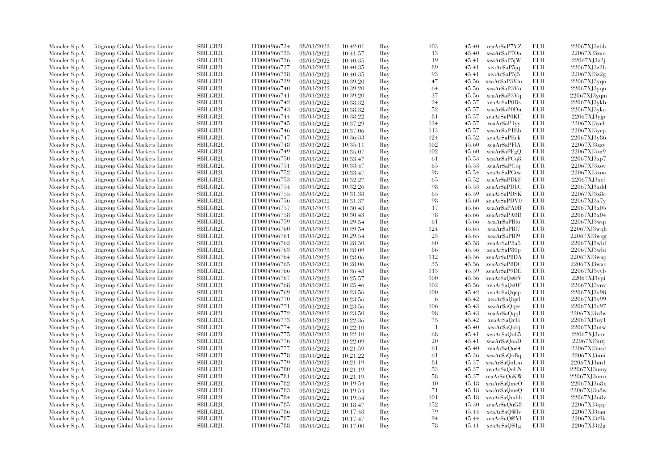| Moncler S.p.A.                   | Citigroup Global Markets Limite                                    | SBILGB2L                    | IT0004966734 | 08/03/2022               | 10:42:01             | Buy        | 103            | 45.40          | xeaAr\$aP7VZ  | EUR        | 22067XJ3zbb                |
|----------------------------------|--------------------------------------------------------------------|-----------------------------|--------------|--------------------------|----------------------|------------|----------------|----------------|---------------|------------|----------------------------|
| Moncler S.p.A.                   | Citigroup Global Markets Limite                                    | SBILGB2L                    | IT0004966735 | 08/03/2022               | 10:41:57             | Buy        | 13             | 45.40          | xeaAr\$aP7Oo  | EUR        | 22067XJ3zao                |
| Moncler S.p.A.                   | Citigroup Global Markets Limited                                   | <b>SBILGB2L</b>             | IT0004966736 | 08/03/2022               | 10:40:35             | Buy        | 19             | 45.41          | xeaAr\$aP5jW  | <b>EUR</b> | 22067XJ3z2j                |
| Moncler S.p.A.                   | Litigroup Global Markets Limite                                    | SBILGB2L                    | IT0004966737 | 08/03/2022               | 10:40:35             | Buy        | 89             | 45.41          | xeaAr\$aP5jq  | EUR        | 22067XJ3z2h                |
| Moncler S.p.A.                   | Citigroup Global Markets Limite                                    | <b>SBILGB2L</b>             | IT0004966738 | 08/03/2022               | 10:40:35             | Buy        | 93             | 45.41          | xeaAr\$aP5j5  | EUR        | 22067XJ3z2g                |
| Moncler S.p.A.                   | Citigroup Global Markets Limite                                    | SBILGB2L                    | IT0004966739 | 08/03/2022               | 10:39:20             | Buy        | 47             | 45.56          | xeaAr\$aP3Vm  | EUR        | 22067XJ3yqo                |
| Moncler S.p.A.                   | Citigroup Global Markets Limited                                   | <b>SBILGB2L</b>             | IT0004966740 | 08/03/2022               | 10:39:20             | Buy        | 64             | 45.56          | xeaAr\$aP3Vo  | EUR        | 22067XJ3yqn                |
| Moncler S.p.A.                   | Litigroup Global Markets Limite                                    | <b>SBILGB2L</b>             | IT0004966741 | 08/03/2022               | 10:39:20             | Buy        | 37             | 45.56          | xeaAr\$aP3Vq  | EUR        | 22067XJ3yqm                |
| Moncler S.p.A.                   | Citigroup Global Markets Limite                                    | SBILGB2L                    | IT0004966742 | 08/03/2022               | 10:38:32             | Buy        | 24             | 45.57          | xeaAr\$aP0Ds  | EUR        | 22067XJ3ykb                |
| Moncler S.p.A.                   | Citigroup Global Markets Limite                                    | SBILGB2L                    | IT0004966743 | 08/03/2022               | 10:38:32             | Buy        | 52             | 45.57          | xeaAr\$aP0Du  | <b>EUR</b> | 22067XJ3yka                |
| Moncler S.p.A.                   | Citigroup Global Markets Limite                                    | <b>SBILGB2L</b>             | IT0004966744 | 08/03/2022               | 10:38:22             | Buy        | 81             | 45.57          | xeaAr\$aP0KU  | EUR        | 22067XJ3yjp                |
| Moncler S.p.A.                   | Litigroup Global Markets Limite                                    | <b>SBILGB2L</b>             | IT0004966745 | 08/03/2022               | 10:37:29             | Buy        | 124            | 45.57          | xeaAr\$aP1vy  | <b>EUR</b> | $22067XJ3$ yeh             |
| Moncler S.p.A.                   | Citigroup Global Markets Limite                                    | SBILGB2L                    | IT0004966746 | 08/03/2022               | 10:37:06             | Buy        | 113            | 45.57          | xeaAr\$aP1Eb  | <b>EUR</b> | 22067XJ3ycp                |
| Moncler S.p.A.                   | Citigroup Global Markets Limited                                   | SBILGB2L                    | IT0004966747 | 08/03/2022               | 10:36:33             | Buy        | 124            | 45.52          | xeaAr\$aPEek  | EUR        | 22067XJ3v86                |
| Moncler S.p.A.                   | Litigroup Global Markets Limite                                    | SBILGB2L                    | IT0004966748 | 08/03/2022               | 10:35:11             | Buy        | 102            | 45.60          | xeaAr\$aPFlA  | EUR        | 22067XJ3xyz                |
| Moncler S.p.A.                   | Litigroup Global Markets Limite                                    | <b>SBILGB2L</b>             | IT0004966749 | 08/03/2022               | 10:35:07             | Buy        | 102            | 45.60          | xeaAr\$aPFgQ  | EUR        | 22067XJ3xz9                |
| Moncler S.p.A.                   | Citigroup Global Markets Limite                                    | SBILGB2L                    | IT0004966750 | 08/03/2022               | 10:33:47             | Buy        | 61             | 45.53          | xeaAr\$aPCq8  | EUR        | 22067XJ3xp7                |
| Moncler S.p.A.                   | Citigroup Global Markets Limite                                    | <b>SBILGB2L</b>             | IT0004966751 | 08/03/2022               | 10:33:47             | Buy        | 65             | 45.53          | xeaAr\$aPCtq  | EUR        | 22067XJ3xov                |
| Moncler S.p.A.                   | Citigroup Global Markets Limite                                    | <b>SBILGB2L</b>             | IT0004966752 | 08/03/2022               | 10:33:47             | Buy        | 98             | 45.54          | xeaArSaPCtw   | EUR        | 22067XJ3x00                |
| Moncler S.p.A.                   | Litigroup Global Markets Limite                                    | <b>SBILGB2L</b>             | IT0004966753 | 08/03/2022               | 10:32:27             | Buy        | 65             | 45.52          | xeaAr\$aPDkF  | EUR        | 22067XJ3xef                |
| Moncler S.p.A.                   | Citigroup Global Markets Limite                                    | SBILGB2L                    | IT0004966754 | 08/03/2022               | 10:32:26             | Buy        | 98             | 45.53          | xeaAr\$aPDhC  | <b>EUR</b> | 22067XJ3xdd                |
| Moncler S.p.A.                   | Citigroup Global Markets Limite                                    | SBILGB2L                    | IT0004966755 | 08/03/2022               | 10:31:38             | Buy        | 65             | 45.59          | xeaAr\$aPDSK  | <b>EUR</b> | 22067XJ3x8c                |
| Moncler S.p.A.                   | Citigroup Global Markets Limite                                    | <b>SBILGB2L</b>             | IT0004966756 | 08/03/2022               | 10:31:37             | Buy        | 98             | 45.60          | xeaAr\$aPDV0  | EUR        | 22067XJ3x7y                |
| Moncler S.p.A.                   | Citigroup Global Markets Limite                                    | SBILGB2L                    | IT0004966757 | 08/03/2022               | 10:30:43             | Buy        | 17             | 45.66          | xeaAr\$aPA0B  | <b>EUR</b> | 22067XJ3x05                |
| Moncler S.p.A.                   | Citigroup Global Markets Limite                                    | <b>SBILGB2L</b>             | IT0004966758 | 08/03/2022               | 10:30:43             | Buy        | 78             | 45.66          | xeaAr\$aPA0D  | EUR        | 22067XJ3x04                |
|                                  | Litigroup Global Markets Limite                                    | <b>SBILGB2L</b>             | IT0004966759 | 08/03/2022               |                      | Buy        | 61             | 45.66          | xeaAr\$aPBlu  | EUR        | 22067XJ3wqi                |
| Moncler S.p.A.<br>Moncler S.p.A. | Citigroup Global Markets Limite                                    | <b>SBILGB2L</b>             | IT0004966760 | 08/03/2022               | 10:29:54<br>10:29:54 | Buy        | 124            | 45.65          | xeaAr\$aPBI7  | <b>EUR</b> | 22067XJ3wqh                |
|                                  |                                                                    | SBILGB2L                    | IT0004966761 |                          |                      |            | 23             |                | xeaAr\$aPBl9  | <b>EUR</b> |                            |
| Moncler S.p.A.<br>Moncler S.p.A. | Citigroup Global Markets Limite<br>Litigroup Global Markets Limite | SBILGB2L                    | IT0004966762 | 08/03/2022<br>08/03/2022 | 10:29:54<br>10:28:50 | Buy<br>Buy | 60             | 45.65<br>45.58 | xeaAr\$aP8a5  | EUR        | 22067XJ3wqg<br>22067XJ3whf |
|                                  |                                                                    |                             |              |                          |                      |            |                |                |               | EUR        |                            |
| Moncler S.p.A.                   | Litigroup Global Markets Limite                                    | <b>SBILGB2L</b>             | IT0004966763 | 08/03/2022               | 10:28:09             | Buy        | 86             | 45.56          | xeaAr\$aP80p  |            | 22067XJ3wbi                |
| Moncler S.p.A.                   | Litigroup Global Markets Limite                                    | <b>SBILGB2L</b><br>SBILGB2L | IT0004966764 | 08/03/2022               | 10:28:06             | Buy        | 112<br>35      | 45.56          | xeaAr\$aP8DA  | <b>EUR</b> | 22067XJ3wap                |
| Moncler S.p.A.                   | Citigroup Global Markets Limite                                    |                             | IT0004966765 | 08/03/2022               | 10:28:06             | Buy        |                | 45.56          | xeaAr\$aP8DC  | <b>EUR</b> | 22067XJ3wao                |
| Moncler S.p.A.                   | Citigroup Global Markets Limite                                    | SBILGB2L                    | IT0004966766 | 08/03/2022               | 10:26:48             | Buy        | 113            | 45.59          | xeaAr\$aP9DE  | EUR        | 22067XJ3vyb                |
| Moncler S.p.A.                   | Citigroup Global Markets Limite                                    | <b>SBILGB2L</b>             | IT0004966767 | 08/03/2022               | 10:25:57             | Buy        | 100            | 45.56          | xeaAr\$aQs@V  | EUR        | 22067XJ3vpi                |
| Moncler S.p.A.                   | Citigroup Global Markets Limite                                    | SBILGB2L                    | IT0004966768 | 08/03/2022               | 10:25:46             | Buy        | 102            | 45.56          | xeaAr\$aQs0F  | <b>EUR</b> | 22067XJ3vnv                |
| Moncler S.p.A.                   | Citigroup Global Markets Limite                                    | <b>SBILGB2L</b>             | IT0004966769 | 08/03/2022               | 10:23:56             | Buy        | 100            | 45.42          | xeaAr\$aQqep  | <b>EUR</b> | 22067XJ3v98                |
| Moncler S.p.A.                   | Litigroup Global Markets Limite                                    | <b>SBILGB2L</b>             | IT0004966770 | 08/03/2022               | 10:23:56             | Buy        | -6             | 45.42          | xeaAr\$aOqel  | EUR        | 22067XJ3v99                |
| Moncler S.p.A.                   | Citigroup Global Markets Limite                                    | <b>SBILGB2L</b>             | IT0004966771 | 08/03/2022               | 10:23:56             | Buy        | 106            | 45.43          | xeaAr\$aQqes  | <b>EUR</b> | 22067XJ3v97                |
| Moncler S.p.A.                   | Citigroup Global Markets Limite                                    | <b>SBILGB2L</b>             | IT0004966772 | 08/03/2022               | 10:23:50             | Buy        | 98             | 45.43          | xeaAr\$aQqqI  | EUR        | 22067XJ3v8w                |
| Moncler S.p.A.                   | Litigroup Global Markets Limite                                    | SBILGB2L                    | IT0004966773 | 08/03/2022               | 10:22:36             | Buy        | 75             | 45.42          | xeaAr\$aOr1i  | EUR        | 22067XJ3uy1                |
| Moncler S.p.A.                   | Litigroup Global Markets Limite                                    | <b>SBILGB2L</b>             | IT0004966774 | 08/03/2022               | 10:22:10             | Buy        | $\overline{1}$ | 45.40          | xeaAr\$aQobj  | EUR        | 22067XJ3utw                |
| Moncler S.p.A.                   | Citigroup Global Markets Limite                                    | SBILGB2L                    | IT0004966775 | 08/03/2022               | 10:22:10             | Buy        | 68             | 45.41          | xeaAr\$aQob5  | EUR        | $22067XJ3$ utr             |
| Moncler S.p.A.                   | Citigroup Global Markets Limite                                    | SBILGB2L                    | IT0004966776 | 08/03/2022               | 10:22:09             | Buy        | 20             | 45.41          | xeaAr\$aQoaD  | EUR        | 22067XJ3utj                |
| Moncler S.p.A.                   | Litigroup Global Markets Limite                                    | <b>SBILGB2L</b>             | IT0004966777 | 08/03/2022               | 10:21:59             | Buy        | 61             | 45.40          | xeaAr\$aQoe4  | EUR        | 22067XJ3usd                |
| Moncler S.p.A.                   | Litigroup Global Markets Limite                                    | <b>SBILGB2L</b>             | IT0004966778 | 08/03/2022               | 10:21:22             | Buy        | 61             | 45.36          | xeaAr\$aQoBq  | EUR        | 22067XJ3uni                |
| Moncler S.p.A.                   | Citigroup Global Markets Limite                                    | <b>SBILGB2L</b>             | IT0004966779 | 08/03/2022               | 10:21:19             | Buy        | 81             | 45.37          | xeaAr\$aQoLm  | <b>EUR</b> | 22067XJ3un1                |
| Moncler S.p.A.                   | Citigroup Global Markets Limite                                    | <b>SBILGB2L</b>             | IT0004966780 | 08/03/2022               | 10:21:19             | Buy        | 53             | 45.37          | xeaAr\$aQoLN  | <b>EUR</b> | 22067XJ3umy                |
| Moncler S.p.A.                   | Litigroup Global Markets Limite                                    | <b>SBILGB2L</b>             | IT0004966781 | 08/03/2022               | 10:21:19             | Buy        | 58             | 45.37          | xeaAr\$aQoKW  | EUR        | 22067XJ3umx                |
| Moncler S.p.A.                   | Citigroup Global Markets Limite                                    | SBILGB2L                    | IT0004966782 | 08/03/2022               | 10:19:54             | Buy        | 10             | 45.18          | xeaAr\$aQmeO  | EUR        | 22067XJ3u8x                |
| Moncler S.p.A.                   | Citigroup Global Markets Limite                                    | SBILGB2L                    | IT0004966783 | 08/03/2022               | 10:19:54             | Buy        | 71             | 45.18          | xeaAr\$aQmeQ  | <b>EUR</b> | 22067XJ3u8w                |
| Moncler S.p.A.                   | Litigroup Global Markets Limite                                    | <b>SBILGB2L</b>             | IT0004966784 | 08/03/2022               | 10:19:54             | Buy        | 101            | 45.18          | xeaAr\$aOmhh  | EUR        | 22067XJ3u8v                |
| Moncler S.p.A.                   | Litigroup Global Markets Limite                                    | <b>SBILGB2L</b>             | IT0004966785 | 08/03/2022               | 10:18:47             | Buy        | 152            | 45.30          | xeaAr\$aQnG8  | EUR        | 22067XJ3tpp                |
| Moncler S.p.A.                   | Citigroup Global Markets Limite                                    | SBILGB2L                    | IT0004966786 | 08/03/2022               | 10:17:48             | Buy        | 79             | 45.44          | xeaAr\$aQ@Iv  | EUR        | 22067XJ3tan                |
| Moncler S.p.A.                   | Citigroup Global Markets Limite                                    | <b>SBILGB2L</b>             | IT0004966787 | 08/03/2022               | 10:17:47             | Buy        | 94             | 45.44          | xeaAr\$aQ@VI  | <b>EUR</b> | 22067XJ3t9k                |
| Moncler S.p.A.                   | Citigroup Global Markets Limited                                   | SBILGB2L                    | IT0004966788 | 08/03/2022               | 10:17:00             | Buy        | 78             | 45.41          | xeaAr\$aO\$1g | <b>EUR</b> | 22067XJ3t2g                |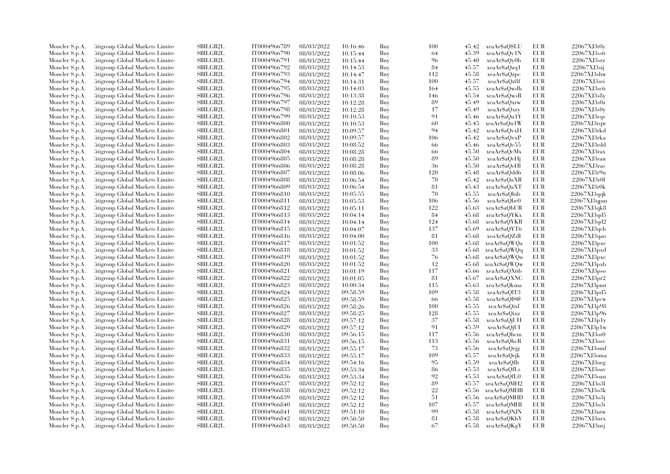| Moncler S.p.A. | Citigroup Global Markets Limite  | SBILGB2L        | IT0004966789 | 08/03/2022 | 10:16:46 | Buy | 100    | 45.42 | xeaAr\$aQ\$LU | EUR        | 22067XJ3t0y    |
|----------------|----------------------------------|-----------------|--------------|------------|----------|-----|--------|-------|---------------|------------|----------------|
| Moncler S.p.A. | Citigroup Global Markets Limite  | SBILGB2L        | IT0004966790 | 08/03/2022 | 10:15:44 | Buy | 64     | 45.39 | xeaAr\$aQy1N  | EUR        | 22067XJ3ss6    |
| Moncler S.p.A. | Citigroup Global Markets Limited | <b>SBILGB2L</b> | IT0004966791 | 08/03/2022 | 10:15:44 | Buy | 96     | 45.40 | xeaAr\$aQy0b  | <b>EUR</b> | 22067XJ3srz    |
| Moncler S.p.A. | Litigroup Global Markets Limite  | SBILGB2L        | IT0004966792 | 08/03/2022 | 10:14:53 | Buy | 84     | 45.57 | xeaAr\$aQzq1  | <b>EUR</b> | 22067XJ3sij    |
| Moncler S.p.A. | Citigroup Global Markets Limite  | <b>SBILGB2L</b> | IT0004966793 | 08/03/2022 | 10:14:47 | Buy | 112    | 45.58 | xeaAr\$aQzpc  | <b>EUR</b> | 22067XJ3shw    |
| Moncler S.p.A. | Citigroup Global Markets Limite  | SBILGB2L        | IT0004966794 | 08/03/2022 | 10:14:31 | Buy | 100    | 45.57 | xeaAr\$aQz8f  | <b>EUR</b> | 22067XJ3sei    |
| Moncler S.p.A. | Citigroup Global Markets Limited | <b>SBILGB2L</b> | IT0004966795 | 08/03/2022 | 10:14:03 | Buy | 164    | 45.55 | xeaAr\$aOwdh  | <b>EUR</b> | 22067XJ3sc6    |
| Moncler S.p.A. | Litigroup Global Markets Limite  | <b>SBILGB2L</b> | IT0004966796 | 08/03/2022 | 10:13:38 | Buy | 146    | 45.54 | xeaArSaOwsB   | <b>EUR</b> | 22067XJ3s8v    |
| Moncler S.p.A. | Citigroup Global Markets Limite  | SBILGB2L        | IT0004966797 | 08/03/2022 | 10:12:28 | Buy | 89     | 45.49 | xeaAr\$aQxrw  | <b>EUR</b> | 22067XJ3s0z    |
| Moncler S.p.A. | Citigroup Global Markets Limite  | <b>SBILGB2L</b> | IT0004966798 | 08/03/2022 | 10:12:28 | Buy | 17     | 45.49 | xeaAr\$aQxry  | <b>EUR</b> | 22067XJ3s0y    |
| Moncler S.p.A. | Litigroup Global Markets Limite  | <b>SBILGB2L</b> | IT0004966799 | 08/03/2022 | 10:10:53 | Buy | 91     | 45.46 | xeaAr\$aQu1Y  | EUR        | 22067XJ3rqv    |
| Moncler S.p.A. | Litigroup Global Markets Limite  | <b>SBILGB2L</b> | IT0004966800 | 08/03/2022 | 10:10:53 | Buy | 60     | 45.45 | xeaAr\$aQu1W  | <b>EUR</b> | 22067XJ3rqw    |
| Moncler S.p.A. | Citigroup Global Markets Limite  | SBILGB2L        | IT0004966801 | 08/03/2022 | 10:09:57 | Buy | 94     | 45.42 | xeaAr\$aQvxH  | <b>EUR</b> | 22067XJ3rkd    |
| Moncler S.p.A. | Citigroup Global Markets Limited | SBILGB2L        | IT0004966802 | 08/03/2022 | 10:09:57 | Buy | 106    | 45.42 | xeaAr\$aQvxP  | <b>EUR</b> | 22067XJ3rka    |
| Moncler S.p.A. | Litigroup Global Markets Limite  | SBILGB2L        | IT0004966803 | 08/03/2022 | 10:08:52 | Buy | 66     | 45.46 | xeaAr\$aQc55  | <b>EUR</b> | 22067XJ3rdd    |
| Moncler S.p.A. | Citigroup Global Markets Limite  | <b>SBILGB2L</b> | IT0004966804 | 08/03/2022 | 10:08:28 | Buy | 66     | 45.50 | xeaAr\$aQcMx  | <b>EUR</b> | $22067XJ3r$ ax |
| Moncler S.p.A. | Citigroup Global Markets Limite  | SBILGB2L        | IT0004966805 | 08/03/2022 | 10:08:28 | Buy | 89     | 45.50 | xeaAr\$aQcHi  | EUR        | 22067XJ3rau    |
| Moncler S.p.A. | Citigroup Global Markets Limite  | <b>SBILGB2L</b> | IT0004966806 | 08/03/2022 | 10:08:28 | Buy | 36     | 45.50 | xeaAr\$aQcHl  | <b>EUR</b> | 22067XJ3ras    |
| Moncler S.p.A. | Litigroup Global Markets Limite  | <b>SBILGB2L</b> | IT0004966807 | 08/03/2022 | 10:08:06 | Buy | 120    | 45.48 | xeaAr\$aQdd6  | <b>EUR</b> | 22067XJ3r9u    |
| Moncler S.p.A. | Litigroup Global Markets Limite  | <b>SBILGB2L</b> | IT0004966808 | 08/03/2022 |          | Buy | 70     | 45.42 | xeaAr\$aQaXR  | <b>EUR</b> | 22067XJ3r0l    |
|                |                                  | <b>SBILGB2L</b> | IT0004966809 |            | 10:06:54 | Buy | 81     | 45.43 |               | <b>EUR</b> | 22067XJ3r0k    |
| Moncler S.p.A. | Citigroup Global Markets Limite  | SBILGB2L        | IT0004966810 | 08/03/2022 | 10:06:54 |     | 70     |       | xeaAr\$aQaXT  | <b>EUR</b> |                |
| Moncler S.p.A. | Citigroup Global Markets Limite  |                 |              | 08/03/2022 | 10:05:55 | Buy |        | 45.55 | xeaAr\$aObib  |            | 22067XJ3qqk    |
| Moncler S.p.A. | Citigroup Global Markets Limite  | <b>SBILGB2L</b> | IT0004966811 | 08/03/2022 | 10:05:53 | Buy | 106    | 45.56 | xeaAr\$aObe0  | <b>EUR</b> | 22067XJ3qpm    |
| Moncler S.p.A. | Citigroup Global Markets Limite  | SBILGB2L        | IT0004966812 | 08/03/2022 | 10:05:11 | Buy | 122    | 45.63 | xeaAr\$aQbUR  | <b>EUR</b> | 22067XJ3qk8    |
| Moncler S.p.A. | Citigroup Global Markets Limite  | <b>SBILGB2L</b> | IT0004966813 | 08/03/2022 | 10:04:14 | Buy | 84     | 45.68 | xeaAr\$aQYKx  | EUR        | 22067XJ3qd5    |
| Moncler S.p.A. | Litigroup Global Markets Limite  | <b>SBILGB2L</b> | IT0004966814 | 08/03/2022 | 10:04:14 | Buy | 124    | 45.68 | xeaAr\$aQYKB  | <b>EUR</b> | 22067XJ3qd2    |
| Moncler S.p.A. | Citigroup Global Markets Limite  | <b>SBILGB2L</b> | IT0004966815 | 08/03/2022 | 10:04:07 | Buy | 137    | 45.69 | xeaAr\$aQYT6  | <b>EUR</b> | 22067XJ3qcb    |
| Moncler S.p.A. | Citigroup Global Markets Limite  | SBILGB2L        | IT0004966816 | 08/03/2022 | 10:04:00 | Buy | 81     | 45.68 | xeaAr\$aQZdI  | <b>EUR</b> | 22067XJ3qao    |
| Moncler S.p.A. | Litigroup Global Markets Limite  | SBILGB2L        | IT0004966817 | 08/03/2022 | 10:01:52 | Buy | 100    | 45.68 | xeaAr\$aOWQa  | <b>EUR</b> | 22067XJ3pxe    |
| Moncler S.p.A. | Litigroup Global Markets Limite  | <b>SBILGB2L</b> | IT0004966818 | 08/03/2022 | 10:01:52 | Buy | 33     | 45.68 | xeaAr\$aOWQq  | <b>EUR</b> | 22067XJ3pxd    |
| Moncler S.p.A. | Litigroup Global Markets Limite  | <b>SBILGB2L</b> | IT0004966819 | 08/03/2022 | 10:01:52 | Buy | 76     | 45.68 | xeaAr\$aOWQu  | EUR        | 22067XJ3pxc    |
| Moncler S.p.A. | Citigroup Global Markets Limite  | SBILGB2L        | IT0004966820 | 08/03/2022 | 10:01:52 | Buy | 12     | 45.68 | xeaAr\$aQWQw  | <b>EUR</b> | 22067XJ3pxb    |
| Moncler S.p.A. | Citigroup Global Markets Limite  | <b>SBILGB2L</b> | IT0004966821 | 08/03/2022 | 10:01:19 | Buy | 117    | 45.66 | xeaAr\$aQX6b  | <b>EUR</b> | 22067XJ3pso    |
| Moncler S.p.A. | Citigroup Global Markets Limite  | <b>SBILGB2L</b> | IT0004966822 | 08/03/2022 | 10:01:05 | Buy | 81     | 45.67 | xeaAr\$aQXNC  | <b>EUR</b> | 22067XJ3pr2    |
| Moncler S.p.A. | Citigroup Global Markets Limite  | SBILGB2L        | IT0004966823 | 08/03/2022 | 10:00:34 | Buy | 115    | 45.63 | xeaAr\$aQkma  | <b>EUR</b> | 22067XJ3pmt    |
| Moncler S.p.A. | Citigroup Global Markets Limite  | <b>SBILGB2L</b> | IT0004966824 | 08/03/2022 | 09:58:59 | Buy | 109    | 45.58 | xeaAr\$aOlT3  | <b>EUR</b> | 22067XJ3pd5    |
| Moncler S.p.A. | Litigroup Global Markets Limite  | <b>SBILGB2L</b> | IT0004966825 | 08/03/2022 | 09:58:59 | Buy | -66    | 45.58 | xeaAr\$aQlS@  | <b>EUR</b> | 22067XJ3pcw    |
| Moncler S.p.A. | Citigroup Global Markets Limite  | <b>SBILGB2L</b> | IT0004966826 | 08/03/2022 | 09:58:26 | Buy | 100    | 45.55 | xeaAr\$aQixf  | <b>EUR</b> | 22067XJ3p98    |
| Moncler S.p.A. | Citigroup Global Markets Limite  | <b>SBILGB2L</b> | IT0004966827 | 08/03/2022 | 09:58:25 | Buy | 128    | 45.55 | xeaArSaOixz   | EUR        | 22067XJ3p96    |
| Moncler S.p.A. | Litigroup Global Markets Limite  | <b>SBILGB2L</b> | IT0004966828 | 08/03/2022 | 09:57:12 | Buy | 37     | 45.58 | xeaAr\$aOjUH  | <b>EUR</b> | 22067XJ3p1y    |
| Moncler S.p.A. | Litigroup Global Markets Limite  | SBILGB2L        | IT0004966829 | 08/03/2022 | 09:57:12 | Buy | 91     | 45.59 | xeaAr\$aOjUI  | <b>EUR</b> | 22067XJ3p1w    |
| Moncler S.p.A. | Citigroup Global Markets Limite  | SBILGB2L        | IT0004966830 | 08/03/2022 | 09:56:15 | Buy | 117    | 45.56 | xeaAr\$aQhcm  | EUR        | 22067XJ3ot0    |
| Moncler S.p.A. | Citigroup Global Markets Limite  | SBILGB2L        | IT0004966831 | 08/03/2022 | 09:56:15 | Buy | 113    | 45.56 | xeaAr\$aQhcR  | <b>EUR</b> | 22067XJ3osv    |
| Moncler S.p.A. | Litigroup Global Markets Limite  | <b>SBILGB2L</b> | IT0004966832 | 08/03/2022 | 09:55:17 | Buy | 73     | 45.56 | xeaAr\$aOejg  | <b>EUR</b> | 22067XJ3omf    |
| Moncler S.p.A. | Litigroup Global Markets Limite  | <b>SBILGB2L</b> | IT0004966833 | 08/03/2022 | 09:55:17 | Buy | 109    | 45.57 | xeaAr\$aQejk  | <b>EUR</b> | 22067XJ3oma    |
| Moncler S.p.A. | Citigroup Global Markets Limite  | <b>SBILGB2L</b> | IT0004966834 | 08/03/2022 | 09:54:16 | Buy | 95     | 45.59 | xeaAr\$aQflt  | EUR        | 22067XJ3oeg    |
| Moncler S.p.A. | Citigroup Global Markets Limite  | <b>SBILGB2L</b> | IT0004966835 | 08/03/2022 | 09:53:34 | Buy | 86     | 45.53 | xeaAr\$aQfLs  | <b>EUR</b> | 22067XJ3oav    |
| Moncler S.p.A. | Litigroup Global Markets Limite  | <b>SBILGB2L</b> | IT0004966836 | 08/03/2022 | 09:53:34 | Buy | 92     | 45.53 | xeaAr\$aOfL0  | <b>EUR</b> | 22067XJ3oau    |
| Moncler S.p.A. | Citigroup Global Markets Limite  | <b>SBILGB2L</b> | IT0004966837 | 08/03/2022 | 09:52:12 | Buy | 89     | 45.57 | xeaAr\$aQMH2  | EUR        | 22067XJ3o3l    |
| Moncler S.p.A. | Citigroup Global Markets Limite  | SBILGB2L        | IT0004966838 | 08/03/2022 | 09:52:12 | Buy | $22\,$ | 45.56 | xeaAr\$aQMHB  | <b>EUR</b> | 22067XJ3o3k    |
| Moncler S.p.A. | Litigroup Global Markets Limite  | <b>SBILGB2L</b> | IT0004966839 | 08/03/2022 | 09:52:12 | Buy | 51     | 45.56 | xeaAr\$aOMHD  | <b>EUR</b> | 22067XJ3o3j    |
| Moncler S.p.A. | Litigroup Global Markets Limite  | SBILGB2L        | IT0004966840 | 08/03/2022 | 09:52:12 | Buy | 107    | 45.57 | xeaAr\$aQMHI  | <b>EUR</b> | 22067XJ3o3i    |
| Moncler S.p.A. | Citigroup Global Markets Limite  | SBILGB2L        | IT0004966841 | 08/03/2022 | 09:51:10 | Buy | 99     | 45.58 | xeaAr\$aQNJN  | <b>EUR</b> | 22067XJ3ntw    |
| Moncler S.p.A. | Citigroup Global Markets Limite  | <b>SBILGB2L</b> | IT0004966842 | 08/03/2022 | 09:50:50 | Buy | 81     | 45.58 | xeaAr\$aQKhY  | <b>EUR</b> | 22067XJ3nrx    |
| Moncler S.p.A. | Citigroup Global Markets Limited | SBILGB2L        | IT0004966843 | 08/03/2022 | 09:50:50 | Buv | 67     | 45.58 | xeaAr\$aQKgY  | <b>EUR</b> | 22067XJ3nrj    |
|                |                                  |                 |              |            |          |     |        |       |               |            |                |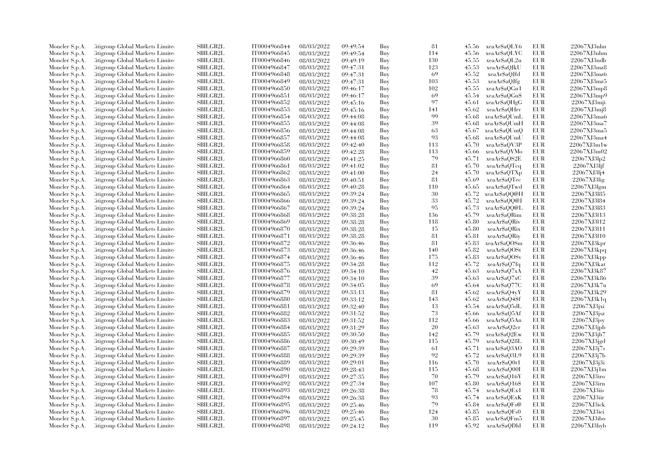| Moncler S.p.A. | Citigroup Global Markets Limite  | SBILGB2L        | IT0004966844 | 08/03/2022 | 09:49:54 | Buy | 81        | 45.56 | xeaAr\$aQLY6  | EUR        | 22067XJ3nhn                |
|----------------|----------------------------------|-----------------|--------------|------------|----------|-----|-----------|-------|---------------|------------|----------------------------|
| Moncler S.p.A. | Citigroup Global Markets Limite  | SBILGB2L        | IT0004966845 | 08/03/2022 | 09:49:54 | Buy | 114       | 45.56 | xeaAr\$aQLYC  | EUR        | 22067XJ3nhm                |
| Moncler S.p.A. | Citigroup Global Markets Limited | <b>SBILGB2L</b> | IT0004966846 | 08/03/2022 | 09:49:19 | Buy | 130       | 45.55 | xeaAr\$aOL2u  | <b>EUR</b> | 22067XJ3ndb                |
| Moncler S.p.A. | Litigroup Global Markets Limite  | SBILGB2L        | IT0004966847 | 08/03/2022 | 09:47:31 | Buy | 123       | 45.53 | xeaAr\$aQJkU  | EUR        | 22067XJ3mz8                |
| Moncler S.p.A. | Citigroup Global Markets Limite  | <b>SBILGB2L</b> | IT0004966848 | 08/03/2022 | 09:47:31 | Buy | 69        | 45.52 | xeaAr\$aQJfd  | EUR        | 22067XJ3mz6                |
| Moncler S.p.A. | Citigroup Global Markets Limite  | SBILGB2L        | IT0004966849 | 08/03/2022 | 09:47:31 | Buy | 103       | 45.53 | xeaAr\$aOJfg  | <b>EUR</b> | 22067XJ3mz5                |
| Moncler S.p.A. | Citigroup Global Markets Limited | <b>SBILGB2L</b> | IT0004966850 | 08/03/2022 | 09:46:17 | Buy | 102       | 45.55 | xeaAr\$aQGn1  | EUR        | 22067XJ3mp8                |
| Moncler S.p.A. | Litigroup Global Markets Limite  | <b>SBILGB2L</b> | IT0004966851 | 08/03/2022 | 09:46:17 | Buy | 69        | 45.54 | xeaAr\$aOGn\$ | EUR        | 22067XJ3mp9                |
| Moncler S.p.A. | Citigroup Global Markets Limite  | SBILGB2L        | IT0004966852 | 08/03/2022 | 09:45:16 | Buy | 97        | 45.61 | xeaAr\$aQHgG  | EUR        | 22067XJ3mji                |
| Moncler S.p.A. | Citigroup Global Markets Limite  | SBILGB2L        | IT0004966853 | 08/03/2022 | 09:45:16 | Buy | 141       | 45.62 | xeaAr\$aQHrv  | <b>EUR</b> | 22067XJ3mj8                |
| Moncler S.p.A. | Citigroup Global Markets Limite  | <b>SBILGB2L</b> | IT0004966854 | 08/03/2022 | 09:44:08 | Buy | 99        | 45.68 | xeaAr\$aQUmL  | EUR        | 22067XJ3ma6                |
| Moncler S.p.A. | Litigroup Global Markets Limite  | <b>SBILGB2L</b> | IT0004966855 | 08/03/2022 | 09:44:08 | Buy | 39        | 45.68 | xeaAr\$aQUmH  | <b>EUR</b> | 22067XJ3ma7                |
| Moncler S.p.A. | Citigroup Global Markets Limite  | SBILGB2L        | IT0004966856 | 08/03/2022 | 09:44:08 | Buy | 63        | 45.67 | xeaAr\$aQUmQ  | <b>EUR</b> | 22067XJ3ma5                |
| Moncler S.p.A. | Citigroup Global Markets Limited | SBILGB2L        | IT0004966857 | 08/03/2022 | 09:44:08 | Buy | 93        | 45.68 | xeaAr\$aQUmU  | <b>EUR</b> | 22067XJ3ma4                |
| Moncler S.p.A. | Litigroup Global Markets Limite  | SBILGB2L        | IT0004966858 | 08/03/2022 | 09:42:40 | Buy | 113       | 45.70 | xeaAr\$aQV3P  | EUR        | 22067XJ3m1w                |
| Moncler S.p.A. | Litigroup Global Markets Limite  | <b>SBILGB2L</b> | IT0004966859 | 08/03/2022 | 09:42:28 | Buy | 113       | 45.66 | xeaAr\$aQVMo  | EUR        | 22067XJ3m02                |
| Moncler S.p.A. | Citigroup Global Markets Limite  | SBILGB2L        | IT0004966860 | 08/03/2022 | 09:41:25 | Buy | 79        | 45.71 | xeaAr\$aQS2E  | EUR        | 22067XJ3lp2                |
| Moncler S.p.A. | Citigroup Global Markets Limite  | <b>SBILGB2L</b> | IT0004966861 | 08/03/2022 | 09:41:02 | Buy | 81        | 45.70 | xeaAr\$aOTcq  | EUR        | 22067XJ3ljf                |
| Moncler S.p.A. | Citigroup Global Markets Limite  | <b>SBILGB2L</b> | IT0004966862 | 08/03/2022 | 09:41:00 | Buy | 24        | 45.70 | xeaAr\$aQTXp  | EUR        | 22067XJ3lj4                |
| Moncler S.p.A. | Litigroup Global Markets Limite  | <b>SBILGB2L</b> | IT0004966863 | 08/03/2022 | 09:40:51 | Buy | 81        | 45.69 | xeaAr\$aQTec  | EUR        | 22067XJ3lig                |
| Moncler S.p.A. | Citigroup Global Markets Limite  | SBILGB2L        | IT0004966864 | 08/03/2022 | 09:40:28 | Buy | 110       | 45.65 | xeaAr\$aQTwd  | EUR        | 22067XJ3lgm                |
| Moncler S.p.A. | Citigroup Global Markets Limite  | SBILGB2L        | IT0004966865 | 08/03/2022 | 09:39:24 | Buy | 30        | 45.72 | xeaAr\$aQQ@H  | EUR        | 22067XJ3l85                |
| Moncler S.p.A. | Citigroup Global Markets Limite  | <b>SBILGB2L</b> | IT0004966866 | 08/03/2022 | 09:39:24 | Buy | 33        | 45.72 | xeaAr\$aQQ@J  | EUR        | 22067XJ3l84                |
|                | Citigroup Global Markets Limite  | SBILGB2L        | IT0004966867 | 08/03/2022 |          | Buy | 95        | 45.73 | xeaAr\$aQQ@L  | <b>EUR</b> | 22067XJ3183                |
| Moncler S.p.A. | Citigroup Global Markets Limite  | <b>SBILGB2L</b> | IT0004966868 | 08/03/2022 | 09:39:24 | Buy | 136       | 45.79 | xeaAr\$aORim  | EUR        | 22067XJ3l13                |
| Moncler S.p.A. |                                  | <b>SBILGB2L</b> |              |            | 09:38:28 | Buy |           | 45.80 |               |            | 22067XJ3l12                |
| Moncler S.p.A. | Litigroup Global Markets Limite  | <b>SBILGB2L</b> | IT0004966869 | 08/03/2022 | 09:38:28 |     | 118<br>15 |       | xeaAr\$aORiv  | EUR<br>EUR |                            |
| Moncler S.p.A. | Citigroup Global Markets Limite  | SBILGB2L        | IT0004966870 | 08/03/2022 | 09:38:28 | Buy | 81        | 45.80 | xeaAr\$aQRix  | <b>EUR</b> | 22067XJ3l11<br>22067XJ3l10 |
| Moncler S.p.A. | Citigroup Global Markets Limite  | SBILGB2L        | IT0004966871 | 08/03/2022 | 09:38:28 | Buy |           | 45.81 | xeaAr\$aQRiy  |            |                            |
| Moncler S.p.A. | Litigroup Global Markets Limite  |                 | IT0004966872 | 08/03/2022 | 09:36:46 | Buy | 81        | 45.83 | xeaAr\$aQOSm  | EUR        | 22067XJ3kpr                |
| Moncler S.p.A. | Litigroup Global Markets Limite  | <b>SBILGB2L</b> | IT0004966873 | 08/03/2022 | 09:36:46 | Buy | 140       | 45.82 | xeaAr\$aOOSt  | EUR        | 22067XJ3kpq                |
| Moncler S.p.A. | Litigroup Global Markets Limite  | <b>SBILGB2L</b> | IT0004966874 | 08/03/2022 | 09:36:46 | Buy | 175       | 45.83 | xeaAr\$aQOSv  | <b>EUR</b> | 22067XJ3kpp                |
| Moncler S.p.A. | Citigroup Global Markets Limite  | SBILGB2L        | IT0004966875 | 08/03/2022 | 09:34:28 | Buy | 112       | 45.72 | xeaAr\$aQ7fq  | EUR        | 22067XJ3kat                |
| Moncler S.p.A. | Citigroup Global Markets Limite  | SBILGB2L        | IT0004966876 | 08/03/2022 | 09:34:10 | Buy | 42        | 45.63 | xeaAr\$aQ7xA  | EUR        | 22067XJ3k87                |
| Moncler S.p.A. | Citigroup Global Markets Limite  | <b>SBILGB2L</b> | IT0004966877 | 08/03/2022 | 09:34:10 | Buy | 39        | 45.63 | xeaAr\$aO7xC  | EUR        | 22067XJ3k86                |
| Moncler S.p.A. | Citigroup Global Markets Limite  | SBILGB2L        | IT0004966878 | 08/03/2022 | 09:34:05 | Buy | 69        | 45.64 | xeaAr\$aQ77C  | <b>EUR</b> | 22067XJ3k7u                |
| Moncler S.p.A. | Citigroup Global Markets Limite  | <b>SBILGB2L</b> | IT0004966879 | 08/03/2022 | 09:33:13 | Buy | 81        | 45.62 | xeaAr\$aO4vY  | <b>EUR</b> | 22067XJ3k29                |
| Moncler S.p.A. | Litigroup Global Markets Limite  | SBILGB2L        | IT0004966880 | 08/03/2022 | 09:33:12 | Buy | 143       | 45.62 | xeaAr\$aQ4\$f | EUR        | 22067XJ3k1q                |
| Moncler S.p.A. | Citigroup Global Markets Limite  | <b>SBILGB2L</b> | IT0004966881 | 08/03/2022 | 09:32:40 | Buy | 13        | 45.54 | xeaAr\$aQ5dL  | EUR        | 22067XJ3jxi                |
| Moncler S.p.A. | Citigroup Global Markets Limite  | SBILGB2L        | IT0004966882 | 08/03/2022 | 09:31:52 | Buy | 73        | 45.66 | xeaAr\$aQ5Af  | <b>EUR</b> | 22067XJ3jsz                |
| Moncler S.p.A. | Litigroup Global Markets Limite  | SBILGB2L        | IT0004966883 | 08/03/2022 | 09:31:52 | Buy | 112       | 45.66 | xeaAr\$aQ5An  | EUR        | $22067XJ3$ jsv             |
| Moncler S.p.A. | Litigroup Global Markets Limite  | <b>SBILGB2L</b> | IT0004966884 | 08/03/2022 | 09:31:29 | Buy | 20        | 45.63 | xeaAr\$aQ2cr  | <b>EUR</b> | 22067XJ3ipb                |
| Moncler S.p.A. | Citigroup Global Markets Limite  | SBILGB2L        | IT0004966885 | 08/03/2022 | 09:30:50 | Buy | 142       | 45.79 | xeaAr\$aQ2Ew  | EUR        | 22067XJ3jh7                |
| Moncler S.p.A. | Citigroup Global Markets Limite  | SBILGB2L        | IT0004966886 | 08/03/2022 | 09:30:49 | Buy | 115       | 45.79 | xeaAr\$aQ28L  | EUR        | 22067XJ3jgd                |
| Moncler S.p.A. | Litigroup Global Markets Limite  | <b>SBILGB2L</b> | IT0004966887 | 08/03/2022 | 09:29:39 | Buy | -61       | 45.71 | xeaAr\$aQ3AO  | EUR        | 22067XJ3j7s                |
| Moncler S.p.A. | Litigroup Global Markets Limite  | <b>SBILGB2L</b> | IT0004966888 | 08/03/2022 | 09:29:39 | Buy | 92        | 45.72 | xeaAr\$aQ3L9  | EUR        | 22067XJ3j7b                |
| Moncler S.p.A. | Citigroup Global Markets Limite  | <b>SBILGB2L</b> | IT0004966889 | 08/03/2022 | 09:29:01 | Buy | 116       | 45.70 | xeaAr\$aQ0t1  | EUR        | 22067XJ3j3i                |
| Moncler S.p.A. | Citigroup Global Markets Limite  | <b>SBILGB2L</b> | IT0004966890 | 08/03/2022 | 09:28:43 | Buy | 115       | 45.68 | xeaAr\$aQ00I  | EUR        | 22067XJ3j1m                |
| Moncler S.p.A. | Litigroup Global Markets Limite  | <b>SBILGB2L</b> | IT0004966891 | 08/03/2022 | 09:27:35 | Buy | 70        | 45.79 | xeaAr\$aQ16Y  | EUR        | 22067XJ3iro                |
| Moncler S.p.A. | Citigroup Global Markets Limite  | SBILGB2L        | IT0004966892 | 08/03/2022 | 09:27:34 | Buy | 107       | 45.80 | xeaAr\$aQ16\$ | EUR        | 22067XJ3irn                |
| Moncler S.p.A. | Citigroup Global Markets Limite  | SBILGB2L        | IT0004966893 | 08/03/2022 | 09:26:38 | Buy | 78        | 45.74 | xeaAr\$aQEx1  | <b>EUR</b> | 22067XJ3iis                |
| Moncler S.p.A. | Litigroup Global Markets Limite  | <b>SBILGB2L</b> | IT0004966894 | 08/03/2022 | 09:26:38 | Buy | 93        | 45.74 | xeaAr\$aQExK  | EUR        | 22067XJ3iir                |
| Moncler S.p.A. | Litigroup Global Markets Limite  | <b>SBILGB2L</b> | IT0004966895 | 08/03/2022 | 09:25:46 | Buy | 79        | 45.84 | xeaAr\$aOFs@  | EUR        | 22067XJ3ick                |
| Moncler S.p.A. | Citigroup Global Markets Limite  | SBILGB2L        | IT0004966896 | 08/03/2022 | 09:25:46 | Buy | 124       | 45.85 | xeaAr\$aQFs0  | EUR        | 22067XJ3ici                |
| Moncler S.p.A. | Citigroup Global Markets Limite  | <b>SBILGB2L</b> | IT0004966897 | 08/03/2022 | 09:25:45 | Buy | 30        | 45.85 | xeaAr\$aQFm5  | <b>EUR</b> | 22067XJ3ibo                |
| Moncler S.p.A. | Citigroup Global Markets Limited | SBILGB2L        | IT0004966898 | 08/03/2022 | 09:24:12 | Buy | 119       | 45.92 | xeaAr\$aQDld  | <b>EUR</b> | 22067XJ3hyb                |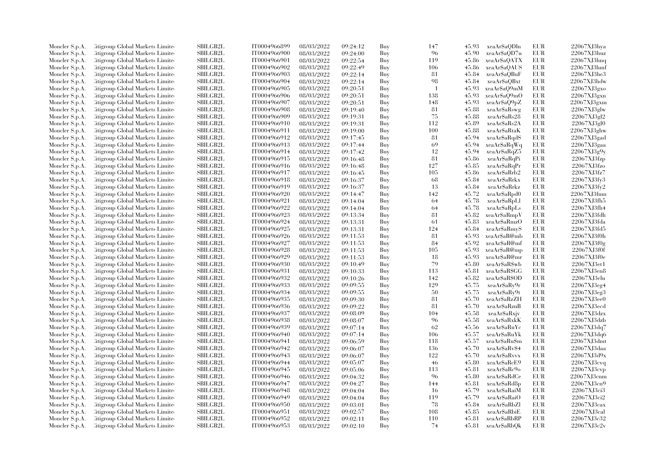| Moncler S.p.A.                   | Citigroup Global Markets Limite  | SBILGB2L        | IT0004966899 | 08/03/2022               | 09:24:12             | Buy | 147       | 45.93 | xeaAr\$aODln  | EUR               | 22067XJ3hya                |
|----------------------------------|----------------------------------|-----------------|--------------|--------------------------|----------------------|-----|-----------|-------|---------------|-------------------|----------------------------|
| Moncler S.p.A.                   | Citigroup Global Markets Limite  | SBILGB2L        | IT0004966900 | 08/03/2022               | 09:24:00             | Buy | 96        | 45.90 | xeaAr\$aQD7u  | <b>EUR</b>        | 22067XJ3huz                |
| Moncler S.p.A.                   | Citigroup Global Markets Limited | <b>SBILGB2L</b> | IT0004966901 | 08/03/2022               | 09:22:54             | Buy | 119       | 45.86 | xeaAr\$aQATX  | <b>EUR</b>        | 22067XJ3hnq                |
| Moncler S.p.A.                   | Litigroup Global Markets Limite  | SBILGB2L        | IT0004966902 | 08/03/2022               | 09:22:49             | Buy | 106       | 45.86 | xeaAr\$aQAUS  | EUR               | 22067XJ3hmf                |
| Moncler S.p.A.                   | Citigroup Global Markets Limite  | <b>SBILGB2L</b> | IT0004966903 | 08/03/2022               | 09:22:14             | Buy | 81        | 45.84 | xeaAr\$aOBuF  | EUR               | 22067XJ3he3                |
| Moncler S.p.A.                   | Citigroup Global Markets Limite  | SBILGB2L        | IT0004966904 | 08/03/2022               | 09:22:14             | Buy | 98        | 45.84 | xeaAr\$aQBxt  | <b>EUR</b>        | 22067XJ3hdw                |
| Moncler S.p.A.                   | Citigroup Global Markets Limited | <b>SBILGB2L</b> | IT0004966905 | 08/03/2022               | 09:20:51             | Buy | -1        | 45.93 | xeaAr\$aQ9mM  | EUR               | 22067XJ3gxo                |
| Moncler S.p.A.                   | Citigroup Global Markets Limite  | <b>SBILGB2L</b> | IT0004966906 | 08/03/2022               | 09:20:51             | Buy | 138       | 45.93 | xeaAr\$aQ9mO  | <b>EUR</b>        | 22067XJ3gxn                |
| Moncler S.p.A.                   | Citigroup Global Markets Limite  | SBILGB2L        | IT0004966907 | 08/03/2022               | 09:20:51             | Buy | 148       | 45.93 | xeaAr\$aQ9pZ  | EUR               | 22067XJ3gxm                |
| Moncler S.p.A.                   | Citigroup Global Markets Limite  | SBILGB2L        | IT0004966908 | 08/03/2022               | 09:19:40             | Buy | 81        | 45.88 | xeaAr\$aRswg  | <b>EUR</b>        | 22067XJ3glw                |
| Moncler S.p.A.                   | Citigroup Global Markets Limite  | <b>SBILGB2L</b> | IT0004966909 | 08/03/2022               | 09:19:31             | Buy | 75        | 45.88 | xeaAr\$aRs28  | EUR               | 22067XJ3gl2                |
| Moncler S.p.A.                   | Citigroup Global Markets Limite  | <b>SBILGB2L</b> | IT0004966910 | 08/03/2022               | 09:19:31             | Buy | 112       | 45.89 | xeaAr\$aRs2A  | <b>EUR</b>        | 22067XJ3g10                |
| Moncler S.p.A.                   | Citigroup Global Markets Limite  | SBILGB2L        | IT0004966911 | 08/03/2022               | 09:19:00             | Buy | 100       | 45.88 | xeaAr\$aRtaK  | <b>EUR</b>        | 22067XJ3ghw                |
| Moncler S.p.A.                   | Citigroup Global Markets Limited | SBILGB2L        | IT0004966912 | 08/03/2022               | 09:17:45             | Buy | 81        | 45.94 | xeaAr\$aRqdS  | EUR               | 22067XJ3gad                |
| Moncler S.p.A.                   | Citigroup Global Markets Limite  | SBILGB2L        | IT0004966913 | 08/03/2022               | 09:17:44             | Buy | 69        | 45.94 | xeaAr\$aRqWq  | EUR               | 22067XJ3gaa                |
| Moncler S.p.A.                   | Citigroup Global Markets Limite  | <b>SBILGB2L</b> | IT0004966914 | 08/03/2022               | 09:17:42             | Buy | 12        | 45.94 | xeaAr\$aRqZ5  | EUR               | 22067XJ3g9v                |
| Moncler S.p.A.                   | Citigroup Global Markets Limite  | SBILGB2L        | IT0004966915 | 08/03/2022               | 09:16:48             | Buy | 81        | 45.86 | xeaAr\$aRqPi  | EUR               | 22067XJ3fzp                |
| Moncler S.p.A.                   | Citigroup Global Markets Limite  | <b>SBILGB2L</b> | IT0004966916 | 08/03/2022               | 09:16:48             | Buy | 127       | 45.85 | xeaAr\$aRqPr  | EUR               | 22067XJ3fzo                |
| Moncler S.p.A.                   | Citigroup Global Markets Limite  | <b>SBILGB2L</b> | IT0004966917 | 08/03/2022               | 09:16:45             | Buy | 105       | 45.86 | xeaAr\$aRrb2  | EUR               | 22067XJ3fz7                |
| Moncler S.p.A.                   | Citigroup Global Markets Limite  | <b>SBILGB2L</b> | IT0004966918 | 08/03/2022               | 09:16:37             | Buy | 68        | 45.84 | xeaAr\$aRrkx  | EUR               | 22067XJ3fy3                |
| Moncler S.p.A.                   | Citigroup Global Markets Limite  | SBILGB2L        | IT0004966919 | 08/03/2022               | 09:16:37             | Buy | 13        | 45.84 | xeaAr\$aRrkz  | <b>EUR</b>        | 22067XJ3fy2                |
| Moncler S.p.A.                   | Citigroup Global Markets Limite  | SBILGB2L        | IT0004966920 | 08/03/2022               | 09:14:47             | Buy | 142       | 45.72 | xeaAr\$aRpd0  | EUR               | 22067XJ3fmn                |
| Moncler S.p.A.                   | Citigroup Global Markets Limite  | <b>SBILGB2L</b> | IT0004966921 | 08/03/2022               | 09:14:04             | Buy | 64        | 45.78 | xeaAr\$aRpLl  | EUR               | 22067XJ3fh5                |
| Moncler S.p.A.                   | Citigroup Global Markets Limite  | SBILGB2L        | IT0004966922 | 08/03/2022               | 09:14:04             | Buy | 64        | 45.78 | xeaAr\$aRpLs  | <b>EUR</b>        | 22067XJ3fh4                |
| Moncler S.p.A.                   | Citigroup Global Markets Limite  | <b>SBILGB2L</b> | IT0004966923 | 08/03/2022               | 09:13:34             | Buy | 81        | 45.82 | xeaAr\$aRmpV  | EUR               | 22067XJ3fdh                |
| Moncler S.p.A.                   | Citigroup Global Markets Limite  | <b>SBILGB2L</b> | IT0004966924 | 08/03/2022               | 09:13:31             | Buy | 61        | 45.83 | xeaAr\$aRmzO  | EUR               | 22067XJ3fda                |
| Moncler S.p.A.                   | Citigroup Global Markets Limite  | <b>SBILGB2L</b> | IT0004966925 | 08/03/2022               | 09:13:31             | Buy | 124       | 45.84 | xeaAr\$aRmyS  | EUR               | 22067XJ3fd5                |
|                                  | Citigroup Global Markets Limite  | SBILGB2L        | IT0004966926 |                          |                      | Buy | 81        | 45.93 | xeaAr\$aR@mb  | <b>EUR</b>        | 22067XJ3f0h                |
| Moncler S.p.A.<br>Moncler S.p.A. | Citigroup Global Markets Limite  | SBILGB2L        | IT0004966927 | 08/03/2022<br>08/03/2022 | 09:11:53<br>09:11:53 | Buy | 84        | 45.92 | xeaAr\$aR@mf  | EUR               | 22067XJ3f0g                |
|                                  | Citigroup Global Markets Limite  | <b>SBILGB2L</b> | IT0004966928 | 08/03/2022               |                      | Buy | 105       | 45.93 | xeaAr\$aR@mp  | EUR               | 22067XJ3f0f                |
| Moncler S.p.A.                   |                                  | <b>SBILGB2L</b> |              |                          | 09:11:53             |     | 18        | 45.93 |               |                   |                            |
| Moncler S.p.A.                   | Citigroup Global Markets Limite  | SBILGB2L        | IT0004966929 | 08/03/2022               | 09:11:53             | Buy | 79        | 45.80 | xeaAr\$aR@mr  | EUR<br><b>EUR</b> | 22067XJ3f0e<br>22067XJ3et1 |
| Moncler S.p.A.                   | Citigroup Global Markets Limite  |                 | IT0004966930 | 08/03/2022               | 09:10:49             | Buy |           |       | xeaAr\$aR\$wb |                   |                            |
| Moncler S.p.A.                   | Citigroup Global Markets Limite  | SBILGB2L        | IT0004966931 | 08/03/2022               | 09:10:33             | Buy | 113       | 45.81 | xeaAr\$aR\$GG | EUR               | 22067XJ3en8                |
| Moncler S.p.A.                   | Citigroup Global Markets Limite  | <b>SBILGB2L</b> | IT0004966932 | 08/03/2022               | 09:10:26             | Buy | 142       | 45.82 | xeaAr\$aR\$OD | EUR               | 22067XJ3elu                |
| Moncler S.p.A.                   | Citigroup Global Markets Limite  | SBILGB2L        | IT0004966933 | 08/03/2022               | 09:09:55             | Buy | 129<br>50 | 45.75 | xeaAr\$aRy9r  | <b>EUR</b>        | 22067XJ3eg4                |
| Moncler S.p.A.                   | Citigroup Global Markets Limite  | <b>SBILGB2L</b> | IT0004966934 | 08/03/2022               | 09:09:55             | Buy |           | 45.75 | xeaAr\$aRy9t  | EUR               | 22067XJ3eg3                |
| Moncler S.p.A.                   | Citigroup Global Markets Limite  | SBILGB2L        | IT0004966935 | 08/03/2022               | 09:09:30             | Buy | 81        | 45.70 | xeaAr\$aRzZH  | EUR               | 22067XJ3ee0                |
| Moncler S.p.A.                   | Citigroup Global Markets Limite  | <b>SBILGB2L</b> | IT0004966936 | 08/03/2022               | 09:09:22             | Buy | 81        | 45.70 | xeaAr\$aRznB  | EUR               | $22067X$ J3ecd             |
| Moncler S.p.A.                   | Citigroup Global Markets Limite  | SBILGB2L        | IT0004966937 | 08/03/2022               | 09:08:09             | Buy | 104       | 45.58 | xeaArSaRxjv   | <b>EUR</b>        | 22067XJ3dzx                |
| Moncler S.p.A.                   | Citigroup Global Markets Limite  | SBILGB2L        | IT0004966938 | 08/03/2022               | 09:08:07             | Buy | 96        | 45.58 | xeaAr\$aRxkK  | EUR               | 22067XJ3dzb                |
| Moncler S.p.A.                   | Citigroup Global Markets Limite  | <b>SBILGB2L</b> | IT0004966939 | 08/03/2022               | 09:07:14             | Buy | 62        | 45.56 | xeaArSaRuYc   | <b>EUR</b>        | 22067XJ3dq7                |
| Moncler S.p.A.                   | Citigroup Global Markets Limite  | SBILGB2L        | IT0004966940 | 08/03/2022               | 09:07:14             | Buy | 106       | 45.57 | xeaAr\$aRuYk  | EUR               | 22067XJ3dq6                |
| Moncler S.p.A.                   | Citigroup Global Markets Limite  | SBILGB2L        | IT0004966941 | 08/03/2022               | 09:06:59             | Buy | 118       | 45.57 | xeaAr\$aRu\$m | <b>EUR</b>        | 22067XJ3dmt                |
| Moncler S.p.A.                   | Citigroup Global Markets Limite  | <b>SBILGB2L</b> | IT0004966942 | 08/03/2022               | 09:06:07             | Buy | 136       | 45.70 | xeaAr\$aRv\$4 | EUR               | 22067XJ3daa                |
| Moncler S.p.A.                   | Citigroup Global Markets Limite  | <b>SBILGB2L</b> | IT0004966943 | 08/03/2022               | 09:06:07             | Buy | 122       | 45.70 | xeaArSaRvvx   | EUR               | 22067XJ3d9x                |
| Moncler S.p.A.                   | Citigroup Global Markets Limite  | <b>SBILGB2L</b> | IT0004966944 | 08/03/2022               | 09:05:07             | Buy | 46        | 45.80 | xeaAr\$aRcE9  | <b>EUR</b>        | 22067XJ3cvq                |
| Moncler S.p.A.                   | Citigroup Global Markets Limite  | <b>SBILGB2L</b> | IT0004966945 | 08/03/2022               | 09:05:06             | Buy | 113       | 45.81 | xeaAr\$aRc9o  | EUR               | 22067XJ3cvp                |
| Moncler S.p.A.                   | Citigroup Global Markets Limite  | <b>SBILGB2L</b> | IT0004966946 | 08/03/2022               | 09:04:32             | Buy | 96        | 45.80 | xeaAr\$aRdCe  | EUR               | 22067XJ3cm                 |
| Moncler S.p.A.                   | Citigroup Global Markets Limite  | SBILGB2L        | IT0004966947 | 08/03/2022               | 09:04:27             | Buy | 144       | 45.81 | xeaAr\$aRd8p  | EUR               | 22067XJ3cn9                |
| Moncler S.p.A.                   | Citigroup Global Markets Limite  | SBILGB2L        | IT0004966948 | 08/03/2022               | 09:04:04             | Buy | -16       | 45.79 | xeaAr\$aRaiM  | EUR               | 22067XJ3ci3                |
| Moncler S.p.A.                   | Citigroup Global Markets Limite  | <b>SBILGB2L</b> | IT0004966949 | 08/03/2022               | 09:04:04             | Buy | 119       | 45.79 | xeaAr\$aRaiO  | EUR               | 22067XJ3ci2                |
| Moncler S.p.A.                   | Citigroup Global Markets Limite  | <b>SBILGB2L</b> | IT0004966950 | 08/03/2022               | 09:03:01             | Buy | 78        | 45.84 | xeaAr\$aRbZl  | EUR               | 22067XJ3cax                |
| Moncler S.p.A.                   | Citigroup Global Markets Limite  | SBILGB2L        | IT0004966951 | 08/03/2022               | 09:02:57             | Buy | 108       | 45.85 | xeaAr\$aRbiE  | EUR               | 22067XJ3cal                |
| Moncler S.p.A.                   | Citigroup Global Markets Limite  | <b>SBILGB2L</b> | IT0004966952 | 08/03/2022               | 09:02:11             | Buy | 110       | 45.81 | xeaAr\$aRbRP  | <b>EUR</b>        | 22067XJ3c32                |
| Moncler S.p.A.                   | Citigroup Global Markets Limited | SBILGB2L        | IT0004966953 | 08/03/2022               | 09:02:10             | Buy | 74        | 45.81 | xeaAr\$aRbQk  | <b>EUR</b>        | 22067XJ3c2v                |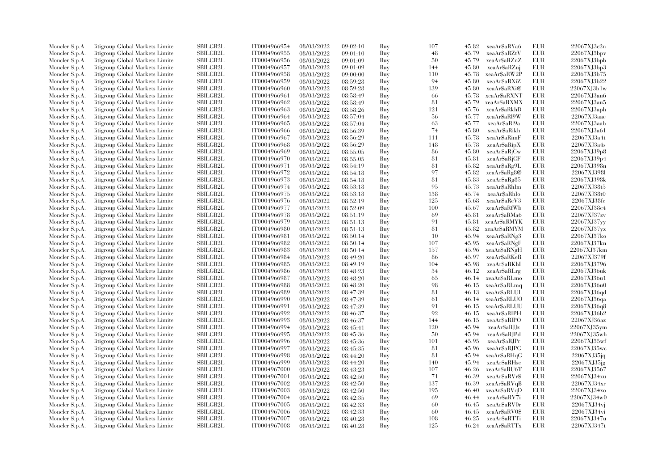| Moncler S.p.A. | Citigroup Global Markets Limite  | SBILGB2L        | IT0004966954 | 08/03/2022 | 09:02:10             | Buy | 107 | 45.82 | xeaAr\$aRYa6  | EUR        | 22067XJ3c2n                |
|----------------|----------------------------------|-----------------|--------------|------------|----------------------|-----|-----|-------|---------------|------------|----------------------------|
| Moncler S.p.A. | Citigroup Global Markets Limite  | <b>SBILGB2L</b> | IT0004966955 | 08/03/2022 | 09:01:10             | Buy | 48  | 45.79 | xeaAr\$aRZtV  | <b>EUR</b> | 22067XJ3bpv                |
| Moncler S.p.A. | Citigroup Global Markets Limite  | <b>SBILGB2L</b> | IT0004966956 | 08/03/2022 | 09:01:09             | Buy | 50  | 45.79 | xeaAr\$aRZnZ  | <b>EUR</b> | 22067XJ3bpb                |
| Moncler S.p.A. | Citigroup Global Markets Limite  | SBILGB2L        | IT0004966957 | 08/03/2022 | 09:01:09             | Buy | 144 | 45.80 | xeaAr\$aRZnj  | EUR        | 22067XJ3bp3                |
| Moncler S.p.A. | Citigroup Global Markets Limite  | <b>SBILGB2L</b> | IT0004966958 | 08/03/2022 | 09:00:00             | Buy | 110 | 45.78 | xeaAr\$aRW2P  | EUR        | 22067XJ3b75                |
| Moncler S.p.A. | Citigroup Global Markets Limite  | SBILGB2L        | IT0004966959 | 08/03/2022 | 08:59:28             | Buy | 94  | 45.80 | xeaAr\$aRXiZ  | EUR        | 22067XJ3b22                |
| Moncler S.p.A. | Citigroup Global Markets Limite  | SBILGB2L        | IT0004966960 | 08/03/2022 | 08:59:28             | Buy | 139 | 45.80 | xeaAr\$aRXi@  | <b>EUR</b> | 22067XJ3b1w                |
| Moncler S.p.A. | Citigroup Global Markets Limite  | <b>SBILGB2L</b> | IT0004966961 | 08/03/2022 | 08:58:49             | Buy | -66 | 45.78 | xeaAr\$aRXNT  | EUR        | 22067XJ3au6                |
| Moncler S.p.A. | Citigroup Global Markets Limite  | <b>SBILGB2L</b> | IT0004966962 | 08/03/2022 | 08:58:49             | Buy | 81  | 45.79 | xeaAr\$aRXMX  | EUR        | 22067XJ3au5                |
|                |                                  |                 |              |            |                      |     |     |       |               | <b>EUR</b> |                            |
| Moncler S.p.A. | Citigroup Global Markets Limite  | SBILGB2L        | IT0004966963 | 08/03/2022 | 08:58:26             | Buy | 121 | 45.76 | xeaAr\$aRkhD  |            | 22067XJ3aph                |
| Moncler S.p.A. | Citigroup Global Markets Limite  | <b>SBILGB2L</b> | IT0004966964 | 08/03/2022 | 08:57:04             | Buy | 56  | 45.77 | xeaAr\$aRl9W  | EUR        | 22067XJ3aac                |
| Moncler S.p.A. | Citigroup Global Markets Limite  | <b>SBILGB2L</b> | IT0004966965 | 08/03/2022 | 08:57:04             | Buy | 63  | 45.77 | xeaAr\$aRl9a  | EUR        | 22067XJ3aab                |
| Moncler S.p.A. | Citigroup Global Markets Limite  | <b>SBILGB2L</b> | IT0004966966 | 08/03/2022 | 08:56:39             | Buy | 74  | 45.80 | xeaAr\$aRikh  | EUR        | 22067XJ3a61                |
| Moncler S.p.A. | Litigroup Global Markets Limite  | <b>SBILGB2L</b> | IT0004966967 | 08/03/2022 | 08:56:29             | Buy | 111 | 45.78 | xeaAr\$aRimF  | <b>EUR</b> | 22067XJ3a4t                |
| Moncler S.p.A. | Citigroup Global Markets Limite  | SBILGB2L        | IT0004966968 | 08/03/2022 | 08:56:29             | Buy | 148 | 45.78 | xeaAr\$aRipX  | <b>EUR</b> | 22067XJ3a4s                |
| Moncler S.p.A. | Citigroup Global Markets Limite  | SBILGB2L        | IT0004966969 | 08/03/2022 | 08:55:05             | Buy | -86 | 45.80 | xeaArSaRjCw   | EUR        | 22067XJ39p8                |
| Moncler S.p.A. | Citigroup Global Markets Limite  | SBILGB2L        | IT0004966970 | 08/03/2022 | 08:55:05             | Buy | 81  | 45.81 | xeaAr\$aRjCF  | EUR        | 22067XJ39p4                |
| Moncler S.p.A. | Litigroup Global Markets Limite  | <b>SBILGB2L</b> | IT0004966971 | 08/03/2022 | 08:54:19             | Buy | 81  | 45.82 | xeaAr\$aRg9L  | <b>EUR</b> | 22067XJ398n                |
| Moncler S.p.A. | Citigroup Global Markets Limite  | SBILGB2L        | IT0004966972 | 08/03/2022 | 08:54:18             | Buy | 97  | 45.82 | xeaAr\$aRg8@  | EUR        | 22067XJ398I                |
| Moncler S.p.A. | Litigroup Global Markets Limite  | <b>SBILGB2L</b> | IT0004966973 | 08/03/2022 | 08:54:18             | Buy | 81  | 45.83 | xeaAr\$aRg85  | EUR        | 22067XJ398k                |
| Moncler S.p.A. | Litigroup Global Markets Limite  | <b>SBILGB2L</b> | IT0004966974 | 08/03/2022 | 08:53:18             | Buy | 95  | 45.73 | xeaAr\$aRhIm  | <b>EUR</b> | 22067XJ38t5                |
| Moncler S.p.A. | Litigroup Global Markets Limite  | SBILGB2L        | IT0004966975 | 08/03/2022 | 08:53:18             | Buy | 138 | 45.74 | xeaAr\$aRhIo  | EUR        | 22067XJ38t0                |
| Moncler S.p.A. | Citigroup Global Markets Limite  | SBILGB2L        | IT0004966976 | 08/03/2022 | 08:52:19             | Buy | 125 | 45.68 | xeaAr\$aReV3  | EUR        | 22067XJ38fc                |
| Moncler S.p.A. | Citigroup Global Markets Limite  | <b>SBILGB2L</b> | IT0004966977 | 08/03/2022 | 08:52:09             | Buy | 100 | 45.67 | xeaArSaRfWb   | EUR        | 22067XJ38c4                |
| Moncler S.p.A. | Citigroup Global Markets Limite  | <b>SBILGB2L</b> | IT0004966978 | 08/03/2022 | 08:51:19             | Buy | 69  | 45.81 | xeaAr\$aRMa6  | <b>EUR</b> | 22067XJ37zv                |
| Moncler S.p.A. | Citigroup Global Markets Limite  | SBILGB2L        | IT0004966979 | 08/03/2022 | 08:51:13             | Buy | 91  | 45.81 | xeaAr\$aRMYK  | EUR        | 22067XJ37yy                |
| Moncler S.p.A. | Citigroup Global Markets Limite  | <b>SBILGB2L</b> | IT0004966980 | 08/03/2022 | 08:51:13             | Buy | 81  | 45.82 | xeaAr\$aRMYM  | EUR        | 22067XJ37yx                |
| Moncler S.p.A. | Litigroup Global Markets Limite  | <b>SBILGB2L</b> | IT0004966981 | 08/03/2022 | 08:50:14             | Buy | 10  | 45.94 | xeaAr\$aRNg3  | <b>EUR</b> | 22067XJ37ko                |
| Moncler S.p.A. | Citigroup Global Markets Limite  | SBILGB2L        | IT0004966982 | 08/03/2022 | 08:50:14             | Buy | 107 | 45.95 | xeaAr\$aRNgF  | EUR        | 22067XJ37kn                |
| Moncler S.p.A. | Citigroup Global Markets Limite  | SBILGB2L        | IT0004966983 | 08/03/2022 | 08:50:14             | Buy | 157 | 45.96 | xeaAr\$aRNgH  | <b>EUR</b> | 22067XJ37km                |
| Moncler S.p.A. | Citigroup Global Markets Limite  | <b>SBILGB2L</b> | IT0004966984 | 08/03/2022 | 08:49:20             | Buy | 86  | 45.97 | xeaArSaRKeR   | EUR        | 22067XJ379f                |
| Moncler S.p.A. | Litigroup Global Markets Limite  | <b>SBILGB2L</b> | IT0004966985 | 08/03/2022 | 08:49:19             | Buy | 104 | 45.98 | xeaAr\$aRKhI  | <b>EUR</b> | 22067XJ3796                |
| Moncler S.p.A. | Litigroup Global Markets Limite  | <b>SBILGB2L</b> | IT0004966986 | 08/03/2022 | 08:48:23             | Buy | 34  | 46.12 | xeaAr\$aRLrg  | <b>EUR</b> | 22067XJ36uk                |
| Moncler S.p.A. | Citigroup Global Markets Limite  | SBILGB2L        | IT0004966987 | 08/03/2022 | 08:48:20             | Buy | 65  | 46.14 | xeaAr\$aRLmo  | <b>EUR</b> | 22067XJ36u1                |
| Moncler S.p.A. | Citigroup Global Markets Limite  | SBILGB2L        | IT0004966988 | 08/03/2022 | 08:48:20             | Buy | 98  | 46.15 | xeaAr\$aRLmq  | <b>EUR</b> | 22067XJ36u0                |
| Moncler S.p.A. | Litigroup Global Markets Limite  | <b>SBILGB2L</b> | IT0004966989 | 08/03/2022 | 08:47:39             | Buy | 81  | 46.13 | xeaAr\$aRLUL  | <b>EUR</b> | 22067XJ36qd                |
|                | Citigroup Global Markets Limite  | SBILGB2L        | IT0004966990 | 08/03/2022 |                      | Buy | 61  | 46.14 | xeaAr\$aRLUO  | EUR        |                            |
| Moncler S.p.A. | Citigroup Global Markets Limite  | SBILGB2L        | IT0004966991 | 08/03/2022 | 08:47:39<br>08:47:39 | Buy | 91  | 46.15 | xeaAr\$aRLUU  | <b>EUR</b> | 22067XJ36qa<br>22067XJ36q8 |
| Moncler S.p.A. | Litigroup Global Markets Limite  | <b>SBILGB2L</b> | IT0004966992 | 08/03/2022 |                      | Buy | 92  | 46.15 | xeaArSaRIPH   | <b>EUR</b> | 22067XJ36b2                |
| Moncler S.p.A. | Litigroup Global Markets Limite  | <b>SBILGB2L</b> | IT0004966993 |            | 08:46:37             | Buy | 144 | 46.15 | xeaAr\$aRIPO  | EUR        | 22067XJ36az                |
| Moncler S.p.A. |                                  |                 |              | 08/03/2022 | 08:46:37             |     |     |       |               |            |                            |
| Moncler S.p.A. | Litigroup Global Markets Limite  | <b>SBILGB2L</b> | IT0004966994 | 08/03/2022 | 08:45:41             | Buy | 120 | 45.94 | xeaAr\$aRJJz  | <b>EUR</b> | 22067XJ35ym                |
| Moncler S.p.A. | Citigroup Global Markets Limite  | SBILGB2L        | IT0004966995 | 08/03/2022 | 08:45:36             | Buy | 50  | 45.94 | xeaAr\$aRJPd  | <b>EUR</b> | 22067XJ35wh                |
| Moncler S.p.A. | Citigroup Global Markets Limite  | <b>SBILGB2L</b> | IT0004966996 | 08/03/2022 | 08:45:36             | Buy | 101 | 45.95 | xeaArSaRJPr   | EUR        | 22067XJ35wf                |
| Moncler S.p.A. | Citigroup Global Markets Limite  | SBILGB2L        | IT0004966997 | 08/03/2022 | 08:45:35             | Buy | 81  | 45.96 | xeaArSaRJPG   | EUR        | 22067XJ35wc                |
| Moncler S.p.A. | Citigroup Global Markets Limite  | <b>SBILGB2L</b> | IT0004966998 | 08/03/2022 | 08:44:20             | Buy | 81  | 45.94 | xeaAr\$aRHqG  | EUR        | 22067XJ35jq                |
| Moncler S.p.A. | Citigroup Global Markets Limite  | SBILGB2L        | IT0004966999 | 08/03/2022 | 08:44:20             | Buy | 140 | 45.94 | xeaAr\$aRHse  | EUR        | 22067XJ35jg                |
| Moncler S.p.A. | Citigroup Global Markets Limite  | <b>SBILGB2L</b> | IT0004967000 | 08/03/2022 | 08:43:23             | Buy | 107 | 46.26 | xeaAr\$aRU6T  | EUR        | 22067XJ3567                |
| Moncler S.p.A. | Citigroup Global Markets Limite  | <b>SBILGB2L</b> | IT0004967001 | 08/03/2022 | 08:42:50             | Buy | 71  | 46.39 | xeaArSaRVrS   | EUR        | 22067XJ34xu                |
| Moncler S.p.A. | Citigroup Global Markets Limite  | SBILGB2L        | IT0004967002 | 08/03/2022 | 08:42:50             | Buy | 137 | 46.39 | xeaAr\$aRVqB  | EUR        | 22067XJ34xr                |
| Moncler S.p.A. | Citigroup Global Markets Limite  | SBILGB2L        | IT0004967003 | 08/03/2022 | 08:42:50             | Buy | 195 | 46.40 | xeaAr\$aRVqD  | <b>EUR</b> | 22067XJ34xo                |
| Moncler S.p.A. | Litigroup Global Markets Limite  | <b>SBILGB2L</b> | IT0004967004 | 08/03/2022 | 08:42:35             | Buy | 69  | 46.44 | xeaAr\$aRV7i  | EUR        | 22067XJ34w0                |
| Moncler S.p.A. | Litigroup Global Markets Limite  | <b>SBILGB2L</b> | IT0004967005 | 08/03/2022 | 08:42:33             | Buy | -60 | 46.45 | xeaArSaRV0r   | EUR        | 22067XJ34vj                |
| Moncler S.p.A. | Citigroup Global Markets Limite  | SBILGB2L        | IT0004967006 | 08/03/2022 | 08:42:33             | Buy | -60 | 46.45 | xeaAr\$aRV0\$ | EUR        | 22067XJ34vi                |
| Moncler S.p.A. | Citigroup Global Markets Limite  | <b>SBILGB2L</b> | IT0004967007 | 08/03/2022 | 08:40:28             | Buy | 108 | 46.25 | xeaAr\$aRTTi  | <b>EUR</b> | 22067XJ347u                |
| Moncler S.p.A. | Citigroup Global Markets Limited | SBILGB2L        | IT0004967008 | 08/03/2022 | 08:40:28             | Buy | 125 | 46.24 | xeaAr\$aRTTx  | <b>EUR</b> | 22067XJ347t                |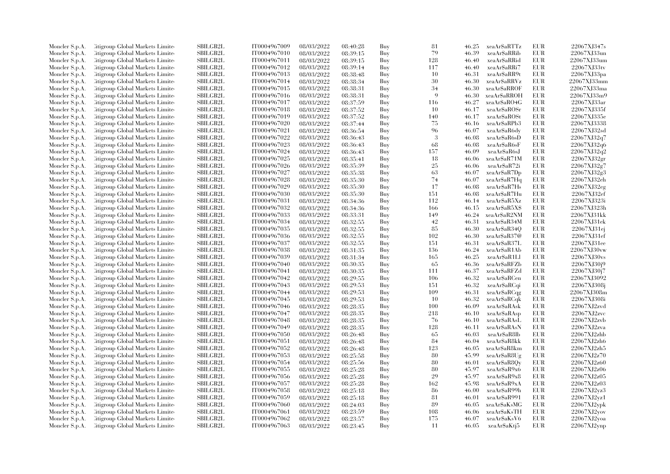| Moncler S.p.A. | Citigroup Global Markets Limite  | SBILGB2L        | IT0004967009 | 08/03/2022 | 08:40:28 | Buy | 81         | 46.25          | xeaArSaRTTz   | EUR        | 22067XJ347s    |
|----------------|----------------------------------|-----------------|--------------|------------|----------|-----|------------|----------------|---------------|------------|----------------|
| Moncler S.p.A. | Citigroup Global Markets Limite  | SBILGB2L        | IT0004967010 | 08/03/2022 | 08:39:15 | Buy | 79         | 46.39          | xeaAr\$aRRib  | EUR        | 22067XJ33un    |
| Moncler S.p.A. | Citigroup Global Markets Limited | <b>SBILGB2L</b> | IT0004967011 | 08/03/2022 | 08:39:15 | Buy | 128        | 46.40          | xeaArSaRRid   | <b>EUR</b> | 22067XJ33um    |
| Moncler S.p.A. | Litigroup Global Markets Limite  | SBILGB2L        | IT0004967012 | 08/03/2022 | 08:39:14 | Buy | 117        | 46.40          | xeaAr\$aRRi7  | EUR        | 22067XJ33tv    |
| Moncler S.p.A. | Citigroup Global Markets Limite  | <b>SBILGB2L</b> | IT0004967013 | 08/03/2022 | 08:38:48 | Buy | 10         | 46.31          | xeaAr\$aRR9t  | EUR        | 22067XJ33pa    |
| Moncler S.p.A. | Citigroup Global Markets Limite  | SBILGB2L        | IT0004967014 | 08/03/2022 | 08:38:34 | Buy | 30         | 46.30          | xeaAr\$aRRVz  | <b>EUR</b> | 22067XJ33mm    |
| Moncler S.p.A. | Citigroup Global Markets Limited | <b>SBILGB2L</b> | IT0004967015 | 08/03/2022 | 08:38:31 | Buy | 34         | 46.30          | xeaAr\$aRROF  | EUR        | 22067XJ33ma    |
| Moncler S.p.A. | Litigroup Global Markets Limite  | <b>SBILGB2L</b> | IT0004967016 | 08/03/2022 | 08:38:31 | Buy | <b>q</b>   | 46.30          | xeaAr\$aRROH  | <b>EUR</b> | 22067XJ33m9    |
| Moncler S.p.A. | Citigroup Global Markets Limite  | SBILGB2L        | IT0004967017 | 08/03/2022 | 08:37:59 | Buy | 116        | 46.27          | xeaAr\$aRO4G  | EUR        | 22067XJ33ar    |
| Moncler S.p.A. | Citigroup Global Markets Limite  | SBILGB2L        | IT0004967018 | 08/03/2022 | 08:37:52 | Buy | 10         | 46.17          | xeaAr\$aROSr  | <b>EUR</b> | 22067XJ335f    |
| Moncler S.p.A. | Citigroup Global Markets Limite  | <b>SBILGB2L</b> | IT0004967019 | 08/03/2022 | 08:37:52 | Buy | 140        | 46.17          | xeaAr\$aROSt  | EUR        | 22067XJ335e    |
| Moncler S.p.A. | Litigroup Global Markets Limite  | <b>SBILGB2L</b> | IT0004967020 | 08/03/2022 | 08:37:44 | Buy | 75         | 46.16          | xeaAr\$aRPb3  | <b>EUR</b> | 22067XJ3338    |
| Moncler S.p.A. | Citigroup Global Markets Limite  | SBILGB2L        | IT0004967021 | 08/03/2022 | 08:36:54 | Buy | 96         | 46.07          | xeaAr\$aR6dy  | <b>EUR</b> | 22067XJ32sd    |
| Moncler S.p.A. | Citigroup Global Markets Limited | SBILGB2L        | IT0004967022 | 08/03/2022 | 08:36:43 | Buy | 3          | 46.08          | xeaAr\$aR6sD  | EUR        | 22067XJ32q7    |
| Moncler S.p.A. | Litigroup Global Markets Limite  | SBILGB2L        | IT0004967023 | 08/03/2022 | 08:36:43 | Buy | 68         | 46.08          | xeaAr\$aR6sF  | EUR        | 22067XJ32q6    |
| Moncler S.p.A. | Litigroup Global Markets Limite  | <b>SBILGB2L</b> | IT0004967024 | 08/03/2022 | 08:36:43 | Buy | 157        | 46.09          | xeaAr\$aR6sJ  | EUR        | 22067XJ32q2    |
| Moncler S.p.A. | Citigroup Global Markets Limite  | SBILGB2L        | IT0004967025 | 08/03/2022 | 08:35:41 | Buy | 18         | 46.06          | xeaAr\$aR71M  | EUR        | 22067XJ32gr    |
| Moncler S.p.A. | Citigroup Global Markets Limite  | SBILGB2L        | IT0004967026 | 08/03/2022 | 08:35:39 | Buy | 25         | 46.06          | xeaAr\$aR72i  | EUR        | 22067XJ32g7    |
| Moncler S.p.A. | Citigroup Global Markets Limite  | <b>SBILGB2L</b> | IT0004967027 | 08/03/2022 | 08:35:38 | Buy | 63         | 46.07          | xeaAr\$aR7Dp  | EUR        | 22067XJ32g3    |
| Moncler S.p.A. | Litigroup Global Markets Limite  | <b>SBILGB2L</b> | IT0004967028 | 08/03/2022 | 08:35:30 | Buy | 74         | 46.07          | xeaAr\$aR7Hq  | EUR        | 22067XJ32eh    |
| Moncler S.p.A. | Citigroup Global Markets Limite  | SBILGB2L        | IT0004967029 | 08/03/2022 | 08:35:30 | Buy | 17         | 46.08          | xeaAr\$aR7Hs  | <b>EUR</b> | 22067XJ32eg    |
| Moncler S.p.A. | Citigroup Global Markets Limite  | SBILGB2L        | IT0004967030 | 08/03/2022 | 08:35:30 | Buy | 151        | 46.08          | xeaAr\$aR7Hu  | EUR        | 22067XJ32ef    |
| Moncler S.p.A. | Citigroup Global Markets Limite  | <b>SBILGB2L</b> | IT0004967031 | 08/03/2022 | 08:34:36 | Buy | 112        | 46.14          | xeaAr\$aR5Xz  | <b>EUR</b> | 22067XJ323i    |
| Moncler S.p.A. | Citigroup Global Markets Limite  | SBILGB2L        | IT0004967032 | 08/03/2022 |          | Buy | 166        | 46.15          | xeaAr\$aR5X\$ | <b>EUR</b> | 22067XJ323h    |
| Moncler S.p.A. | Citigroup Global Markets Limite  | <b>SBILGB2L</b> | IT0004967033 | 08/03/2022 | 08:34:36 | Buy | 149        | 46.24          | xeaAr\$aR2NM  | EUR        | 22067XJ31kk    |
|                |                                  | <b>SBILGB2L</b> |              |            | 08:33:31 | Buy | 42         | 46.31          |               | EUR        | 22067XJ31ek    |
| Moncler S.p.A. | Litigroup Global Markets Limite  | <b>SBILGB2L</b> | IT0004967034 | 08/03/2022 | 08:32:55 |     |            |                | xeaAr\$aR34M  | EUR        |                |
| Moncler S.p.A. | Citigroup Global Markets Limite  | SBILGB2L        | IT0004967035 | 08/03/2022 | 08:32:55 | Buy | 85         | 46.30          | xeaAr\$aR34Q  | <b>EUR</b> | 22067XJ31ej    |
| Moncler S.p.A. | Citigroup Global Markets Limite  | SBILGB2L        | IT0004967036 | 08/03/2022 | 08:32:55 | Buy | 102<br>151 | 46.30<br>46.31 | xeaAr\$aR37@  | EUR        | 22067XJ31ef    |
| Moncler S.p.A. | Litigroup Global Markets Limite  |                 | IT0004967037 | 08/03/2022 | 08:32:55 | Buy |            |                | xeaAr\$aR37L  |            | 22067XJ31ee    |
| Moncler S.p.A. | Litigroup Global Markets Limite  | <b>SBILGB2L</b> | IT0004967038 | 08/03/2022 | 08:31:35 | Buy | 136        | 46.24          | xeaAr\$aR1Ab  | <b>EUR</b> | 22067XJ30vw    |
| Moncler S.p.A. | Litigroup Global Markets Limite  | <b>SBILGB2L</b> | IT0004967039 | 08/03/2022 | 08:31:34 | Buy | 165        | 46.25          | xeaAr\$aR1Ll  | EUR        | 22067XJ30vs    |
| Moncler S.p.A. | Citigroup Global Markets Limite  | SBILGB2L        | IT0004967040 | 08/03/2022 | 08:30:35 | Buy | -65        | 46.36          | xeaAr\$aRFZb  | <b>EUR</b> | 22067XJ30j9    |
| Moncler S.p.A. | Citigroup Global Markets Limite  | SBILGB2L        | IT0004967041 | 08/03/2022 | 08:30:35 | Buy | 111        | 46.37          | xeaAr\$aRFZd  | EUR        | 22067XJ30j7    |
| Moncler S.p.A. | Citigroup Global Markets Limite  | <b>SBILGB2L</b> | IT0004967042 | 08/03/2022 | 08:29:55 | Buy | 106        | 46.32          | xeaAr\$aRCen  | EUR        | 22067XJ3092    |
| Moncler S.p.A. | Citigroup Global Markets Limite  | SBILGB2L        | IT0004967043 | 08/03/2022 | 08:29:53 | Buy | 151        | 46.32          | xeaAr\$aRCqi  | EUR        | 22067XJ308j    |
| Moncler S.p.A. | Citigroup Global Markets Limite  | <b>SBILGB2L</b> | IT0004967044 | 08/03/2022 | 08:29:53 | Buy | 109        | 46.31          | xeaAr\$aRCqg  | EUR        | 22067XJ308m    |
| Moncler S.p.A. | Litigroup Global Markets Limite  | <b>SBILGB2L</b> | IT0004967045 | 08/03/2022 | 08:29:53 | Buy | 10         | 46.32          | xeaAr\$aRCqk  | EUR        | 22067XJ308i    |
| Moncler S.p.A. | Citigroup Global Markets Limite  | <b>SBILGB2L</b> | IT0004967046 | 08/03/2022 | 08:28:35 | Buy | 100        | 46.09          | xeaAr\$aRAsk  | <b>EUR</b> | 22067XJ2zvd    |
| Moncler S.p.A. | Citigroup Global Markets Limite  | SBILGB2L        | IT0004967047 | 08/03/2022 | 08:28:35 | Buy | 218        | 46.10          | xeaAr\$aRAsp  | EUR        | 22067XJ2zvc    |
| Moncler S.p.A. | Litigroup Global Markets Limite  | SBILGB2L        | IT0004967048 | 08/03/2022 | 08:28:35 | Buy | 76         | 46.10          | xeaAr\$aRAsL  | EUR        | 22067XJ2zvb    |
| Moncler S.p.A. | Litigroup Global Markets Limite  | <b>SBILGB2L</b> | IT0004967049 | 08/03/2022 | 08:28:35 | Buy | 128        | 46.11          | xeaAr\$aRAsN  | <b>EUR</b> | 22067XJ2zva    |
| Moncler S.p.A. | Citigroup Global Markets Limite  | SBILGB2L        | IT0004967050 | 08/03/2022 | 08:26:48 | Buy | 65         | 46.03          | xeaAr\$aR8lb  | EUR        | 22067XJ2zhb    |
| Moncler S.p.A. | Citigroup Global Markets Limite  | SBILGB2L        | IT0004967051 | 08/03/2022 | 08:26:48 | Buy | 84         | 46.04          | xeaAr\$aR8kk  | <b>EUR</b> | 22067XJ2zh6    |
| Moncler S.p.A. | Litigroup Global Markets Limite  | <b>SBILGB2L</b> | IT0004967052 | 08/03/2022 | 08:26:48 | Buy | 123        | 46.05          | xeaAr\$aR8km  | <b>EUR</b> | 22067XJ2zh5    |
| Moncler S.p.A. | Litigroup Global Markets Limite  | <b>SBILGB2L</b> | IT0004967053 | 08/03/2022 | 08:25:58 | Buy | 80         | 45.99          | xeaAr\$aR8Ug  | EUR        | 22067XJ2z70    |
| Moncler S.p.A. | Citigroup Global Markets Limite  | <b>SBILGB2L</b> | IT0004967054 | 08/03/2022 | 08:25:56 | Buy | 80         | 46.01          | xeaAr\$aR8Qy  | EUR        | 22067XJ2z60    |
| Moncler S.p.A. | Citigroup Global Markets Limite  | <b>SBILGB2L</b> | IT0004967055 | 08/03/2022 | 08:25:28 | Buy | 80         | 45.97          | xeaAr\$aR9x6  | EUR        | 22067XJ2z06    |
| Moncler S.p.A. | Citigroup Global Markets Limite  | <b>SBILGB2L</b> | IT0004967056 | 08/03/2022 | 08:25:28 | Buy | 29         | 45.97          | xeaAr\$aR9x8  | EUR        | 22067XJ2z05    |
| Moncler S.p.A. | Citigroup Global Markets Limite  | SBILGB2L        | IT0004967057 | 08/03/2022 | 08:25:28 | Buy | 162        | 45.98          | xeaAr\$aR9xA  | <b>EUR</b> | 22067XJ2z03    |
| Moncler S.p.A. | Citigroup Global Markets Limite  | SBILGB2L        | IT0004967058 | 08/03/2022 | 08:25:18 | Buy | 86         | 46.00          | xeaAr\$aR99h  | <b>EUR</b> | 22067XJ2yz3    |
| Moncler S.p.A. | Litigroup Global Markets Limite  | <b>SBILGB2L</b> | IT0004967059 | 08/03/2022 | 08:25:18 | Buy | 81         | 46.01          | xeaAr\$aR991  | EUR        | 22067XJ2vz1    |
| Moncler S.p.A. | Citigroup Global Markets Limite  | <b>SBILGB2L</b> | IT0004967060 | 08/03/2022 | 08:24:03 | Buy | 89         | 46.05          | xeaAr\$aKsMG  | <b>EUR</b> | 22067XJ2ypk    |
| Moncler S.p.A. | Citigroup Global Markets Limite  | SBILGB2L        | IT0004967061 | 08/03/2022 | 08:23:59 | Buy | 108        | 46.06          | xeaAr\$aKsTH  | EUR        | $22067XJ2$ yov |
| Moncler S.p.A. | Citigroup Global Markets Limite  | <b>SBILGB2L</b> | IT0004967062 | 08/03/2022 | 08:23:57 | Buy | 175        | 46.07          | xeaAr\$aKsV6  | <b>EUR</b> | 22067XJ2yoa    |
| Moncler S.p.A. | Citigroup Global Markets Limited | SBILGB2L        | IT0004967063 | 08/03/2022 | 08:23:45 | Buy | -11        | 46.05          | xeaAr\$aKtj5  | <b>EUR</b> | 22067XJ2ynp    |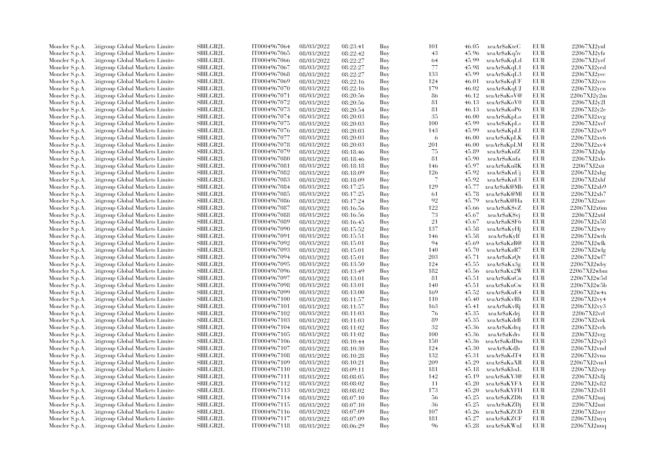| Moncler S.p.A.                   | Citigroup Global Markets Limite                                    | SBILGB2L        | IT0004967064 | 08/03/2022               | 08:23:41 | Buy        | 101 | 46.05 | xeaAr\$aKteC  | EUR        | $22067XJ2$ ynl |
|----------------------------------|--------------------------------------------------------------------|-----------------|--------------|--------------------------|----------|------------|-----|-------|---------------|------------|----------------|
| Moncler S.p.A.                   | Citigroup Global Markets Limite                                    | SBILGB2L        | IT0004967065 | 08/03/2022               | 08:22:42 | Buy        | 43  | 45.96 | xeaAr\$aKq5v  | EUR        | 22067XJ2yfz    |
| Moncler S.p.A.                   | Citigroup Global Markets Limited                                   | SBILGB2L        | IT0004967066 | 08/03/2022               | 08:22:27 | Buy        | 64  | 45.99 | xeaAr\$aKqLd  | EUR        | 22067XJ2vef    |
| Moncler S.p.A.                   | Litigroup Global Markets Limite                                    | SBILGB2L        | IT0004967067 | 08/03/2022               | 08:22:27 | Buy        | 77  | 45.98 | xeaAr\$aKqL1  | EUR        | 22067XJ2ved    |
| Moncler S.p.A.                   | Citigroup Global Markets Limite                                    | <b>SBILGB2L</b> | IT0004967068 | 08/03/2022               | 08:22:27 | Buy        | 133 | 45.99 | xeaAr\$aKqL3  | <b>EUR</b> | 22067XJ2vec    |
| Moncler S.p.A.                   | Citigroup Global Markets Limite                                    | SBILGB2L        | IT0004967069 | 08/03/2022               | 08:22:16 | Buy        | 124 | 46.01 | xeaAr\$aKqUF  | EUR        | 22067XJ2yco    |
| Moncler S.p.A.                   | Citigroup Global Markets Limited                                   | SBILGB2L        | IT0004967070 | 08/03/2022               | 08:22:16 | Buy        | 179 | 46.02 | xeaAr\$aKqUJ  | EUR        | 22067XJ2ycn    |
| Moncler S.p.A.                   | Litigroup Global Markets Limite                                    | <b>SBILGB2L</b> | IT0004967071 | 08/03/2022               | 08:20:56 | Buy        | -86 | 46.12 | xeaAr\$aKoV@  | EUR        | 22067XJ2v2m    |
| Moncler S.p.A.                   | Citigroup Global Markets Limite                                    | SBILGB2L        | IT0004967072 | 08/03/2022               | 08:20:56 | Buy        | 81  | 46.13 | xeaAr\$aKoV0  | <b>EUR</b> | 22067XJ2v2l    |
| Moncler S.p.A.                   | Citigroup Global Markets Limite                                    | SBILGB2L        | IT0004967073 | 08/03/2022               | 08:20:54 | Buy        | 81  | 46.13 | xeaAr\$aKoP6  | <b>EUR</b> | 22067XJ2v2e    |
| Moncler S.p.A.                   | Citigroup Global Markets Limite                                    | <b>SBILGB2L</b> | IT0004967074 | 08/03/2022               | 08:20:03 | Buy        | 35  | 46.00 | xeaAr\$aKpLo  | <b>EUR</b> | 22067XJ2xyg    |
| Moncler S.p.A.                   | Litigroup Global Markets Limite                                    | <b>SBILGB2L</b> | IT0004967075 | 08/03/2022               | 08:20:03 | Buy        | 100 | 45.99 | xeaAr\$aKpLs  | <b>EUR</b> | 22067XJ2xvf    |
| Moncler S.p.A.                   | Citigroup Global Markets Limite                                    | SBILGB2L        | IT0004967076 | 08/03/2022               | 08:20:03 | Buy        | 143 | 45.99 | xeaAr\$aKpLI  | EUR        | 22067XJ2xv9    |
| Moncler S.p.A.                   | Citigroup Global Markets Limited                                   | SBILGB2L        | IT0004967077 | 08/03/2022               | 08:20:03 | Buy        | 6   | 46.00 | xeaAr\$aKpLK  | EUR        | 22067XJ2xv6    |
| Moncler S.p.A.                   | Litigroup Global Markets Limite                                    | SBILGB2L        | IT0004967078 | 08/03/2022               | 08:20:03 | Buy        | 201 | 46.00 | xeaAr\$aKpLM  | EUR        | 22067XJ2xv4    |
| Moncler S.p.A.                   | Litigroup Global Markets Limite                                    | <b>SBILGB2L</b> | IT0004967079 | 08/03/2022               | 08:18:46 | Buy        | 75  | 45.89 | xeaAr\$aKnfZ  | <b>EUR</b> | 22067XJ2xlp    |
| Moncler S.p.A.                   | Citigroup Global Markets Limite                                    | SBILGB2L        | IT0004967080 | 08/03/2022               | 08:18:46 | Buy        | 81  | 45.90 | xeaAr\$aKnfa  | EUR        | 22067XJ2xlo    |
| Moncler S.p.A.                   | Citigroup Global Markets Limite                                    | SBILGB2L        | IT0004967081 | 08/03/2022               | 08:18:18 | Buy        | 146 | 45.97 | xeaAr\$aKn8K  | EUR        | 22067XJ2xit    |
| Moncler S.p.A.                   | Citigroup Global Markets Limite                                    | <b>SBILGB2L</b> | IT0004967082 | 08/03/2022               | 08:18:09 | Buy        | 126 | 45.92 | xeaAr\$aKnUj  | EUR        | 22067XJ2xhg    |
| Moncler S.p.A.                   | Litigroup Global Markets Limite                                    | <b>SBILGB2L</b> | IT0004967083 | 08/03/2022               | 08:18:09 | Buy        | 7   | 45.92 | xeaAr\$aKnUl  | EUR        | 22067XJ2xh     |
| Moncler S.p.A.                   | Citigroup Global Markets Limite                                    | SBILGB2L        | IT0004967084 | 08/03/2022               | 08:17:25 | Buy        | 129 | 45.77 | xeaAr\$aK@Mb  | <b>EUR</b> | 22067XJ2xb9    |
| Moncler S.p.A.                   | Citigroup Global Markets Limite                                    | SBILGB2L        | IT0004967085 | 08/03/2022               | 08:17:25 | Buy        | -61 | 45.78 | xeaAr\$aK@Ml  | EUR        | 22067XJ2xb7    |
| Moncler S.p.A.                   | Citigroup Global Markets Limite                                    | <b>SBILGB2L</b> | IT0004967086 | 08/03/2022               | 08:17:24 | Buy        | 92  | 45.79 | xeaAr\$aK@Ha  | EUR        | 22067XJ2xav    |
| Moncler S.p.A.                   | Citigroup Global Markets Limite                                    | SBILGB2L        | IT0004967087 | 08/03/2022               | 08:16:56 | Buy        | 122 | 45.66 | xeaAr\$aK\$vZ | <b>EUR</b> | 22067XJ2x6m    |
| Moncler S.p.A.                   | Citigroup Global Markets Limite                                    | <b>SBILGB2L</b> | IT0004967088 | 08/03/2022               | 08:16:56 | Buy        | 73  | 45.67 | xeaAr\$aK\$vj | EUR        | 22067XJ2x6l    |
|                                  | Litigroup Global Markets Limite                                    | <b>SBILGB2L</b> | IT0004967089 | 08/03/2022               |          | Buy        | 21  | 45.67 | xeaAr\$aK\$F6 | EUR        | 22067XJ2x58    |
| Moncler S.p.A.<br>Moncler S.p.A. | Citigroup Global Markets Limite                                    | <b>SBILGB2L</b> | IT0004967090 | 08/03/2022               | 08:16:45 | Buy        | 137 | 45.58 | xeaAr\$aKyHj  | EUR        | 22067XJ2wty    |
|                                  |                                                                    | SBILGB2L        | IT0004967091 |                          | 08:15:52 |            | 146 | 45.58 | xeaAr\$aKyIf  | <b>EUR</b> | 22067XJ2wth    |
| Moncler S.p.A.<br>Moncler S.p.A. | Citigroup Global Markets Limite<br>Litigroup Global Markets Limite | SBILGB2L        | IT0004967092 | 08/03/2022<br>08/03/2022 | 08:15:51 | Buy<br>Buy | 94  | 45.69 | xeaAr\$aKzR@  | EUR        | 22067XJ2wlk    |
|                                  |                                                                    |                 |              |                          | 08:15:01 |            |     |       |               | EUR        |                |
| Moncler S.p.A.                   | Litigroup Global Markets Limite                                    | <b>SBILGB2L</b> | IT0004967093 | 08/03/2022               | 08:15:01 | Buy        | 140 | 45.70 | xeaAr\$aKzR7  |            | 22067XJ2wlg    |
| Moncler S.p.A.                   | Litigroup Global Markets Limite                                    | <b>SBILGB2L</b> | IT0004967094 | 08/03/2022               | 08:15:01 | Buy        | 203 | 45.71 | xeaAr\$aKzQt  | EUR        | 22067XJ2wl7    |
| Moncler S.p.A.                   | Citigroup Global Markets Limite                                    | SBILGB2L        | IT0004967095 | 08/03/2022               | 08:13:50 | Buy        | 124 | 45.55 | xeaAr\$aKx3g  | EUR        | 22067XJ2wby    |
| Moncler S.p.A.                   | Citigroup Global Markets Limite                                    | SBILGB2L        | IT0004967096 | 08/03/2022               | 08:13:49 | Buy        | 182 | 45.56 | xeaAr\$aKx2W  | EUR        | 22067XJ2wbm    |
| Moncler S.p.A.                   | Citigroup Global Markets Limite                                    | <b>SBILGB2L</b> | IT0004967097 | 08/03/2022               | 08:13:01 | Buy        | -81 | 45.51 | xeaAr\$aKuCn  | EUR        | 22067XJ2w5d    |
| Moncler S.p.A.                   | Citigroup Global Markets Limite                                    | SBILGB2L        | IT0004967098 | 08/03/2022               | 08:13:01 | Buy        | 140 | 45.51 | xeaAr\$aKuCw  | <b>EUR</b> | 22067XJ2w5b    |
| Moncler S.p.A.                   | Citigroup Global Markets Limite                                    | <b>SBILGB2L</b> | IT0004967099 | 08/03/2022               | 08:13:00 | Buy        | 169 | 45.52 | xeaAr\$aKuE4  | EUR        | 22067XJ2w4x    |
| Moncler S.p.A.                   | Litigroup Global Markets Limite                                    | <b>SBILGB2L</b> | IT0004967100 | 08/03/2022               | 08:11:57 | Buy        | 110 | 45.40 | xeaAr\$aKvRh  | EUR        | 22067XJ2vv4    |
| Moncler S.p.A.                   | Citigroup Global Markets Limite                                    | <b>SBILGB2L</b> | IT0004967101 | 08/03/2022               | 08:11:57 | Buy        | 163 | 45.41 | xeaAr\$aKvRj  | EUR        | 22067XJ2vy3    |
| Moncler S.p.A.                   | Citigroup Global Markets Limite                                    | SBILGB2L        | IT0004967102 | 08/03/2022               | 08:11:03 | Buy        | 76  | 45.35 | xeaAr\$aKdrj  | <b>EUR</b> | 22067XJ2vrl    |
| Moncler S.p.A.                   | Litigroup Global Markets Limite                                    | <b>SBILGB2L</b> | IT0004967103 | 08/03/2022               | 08:11:03 | Buy        | 89  | 45.35 | xeaAr\$aKdrB  | EUR        | 22067XJ2vrk    |
| Moncler S.p.A.                   | Litigroup Global Markets Limite                                    | <b>SBILGB2L</b> | IT0004967104 | 08/03/2022               | 08:11:02 | Buy        | 32  | 45.36 | xeaAr\$aKdtq  | EUR        | 22067XJ2vrh    |
| Moncler S.p.A.                   | Citigroup Global Markets Limite                                    | SBILGB2L        | IT0004967105 | 08/03/2022               | 08:11:02 | Buy        | 100 | 45.36 | xeaAr\$aKdts  | EUR        | 22067XJ2vrg    |
| Moncler S.p.A.                   | Citigroup Global Markets Limite                                    | SBILGB2L        | IT0004967106 | 08/03/2022               | 08:10:44 | Buy        | 150 | 45.36 | xeaAr\$aKdDm  | EUR        | 22067XJ2vp3    |
| Moncler S.p.A.                   | Litigroup Global Markets Limite                                    | <b>SBILGB2L</b> | IT0004967107 | 08/03/2022               | 08:10:30 | Buy        | 124 | 45.30 | xeaAr\$aKdJs  | EUR        | 22067XJ2vnd    |
| Moncler S.p.A.                   | Litigroup Global Markets Limite                                    | <b>SBILGB2L</b> | IT0004967108 | 08/03/2022               | 08:10:28 | Buy        | 132 | 45.31 | xeaAr\$aKdT4  | EUR        | 22067XJ2vna    |
| Moncler S.p.A.                   | Citigroup Global Markets Limite                                    | SBILGB2L        | IT0004967109 | 08/03/2022               | 08:10:21 | Buy        | 209 | 45.29 | xeaAr\$aKaXR  | <b>EUR</b> | 22067XJ2vm1    |
| Moncler S.p.A.                   | Citigroup Global Markets Limite                                    | SBILGB2L        | IT0004967110 | 08/03/2022               | 08:09:11 | Buy        | 181 | 45.18 | xeaAr\$aKbxL  | <b>EUR</b> | 22067XJ2vep    |
| Moncler S.p.A.                   | Litigroup Global Markets Limite                                    | <b>SBILGB2L</b> | IT0004967111 | 08/03/2022               | 08:08:05 | Buy        | 142 | 45.19 | xeaAr\$aKY3@  | EUR        | 22067XJ2v8j    |
| Moncler S.p.A.                   | Citigroup Global Markets Limite                                    | <b>SBILGB2L</b> | IT0004967112 | 08/03/2022               | 08:08:02 | Buy        | -11 | 45.20 | xeaAr\$aKYFA  | EUR        | 22067XJ2v82    |
| Moncler S.p.A.                   | Citigroup Global Markets Limite                                    | SBILGB2L        | IT0004967113 | 08/03/2022               | 08:08:02 | Buy        | 173 | 45.20 | xeaAr\$aKYFH  | <b>EUR</b> | 22067XJ2v81    |
| Moncler S.p.A.                   | Litigroup Global Markets Limite                                    | <b>SBILGB2L</b> | IT0004967114 | 08/03/2022               | 08:07:10 | Buy        | 56  | 45.25 | xeaAr\$aKZDh  | EUR        | 22067XJ2uzi    |
| Moncler S.p.A.                   | Litigroup Global Markets Limite                                    | SBILGB2L        | IT0004967115 | 08/03/2022               | 08:07:10 | Buy        | 36  | 45.25 | xeaAr\$aKZDj  | <b>EUR</b> | 22067XJ2uzi    |
| Moncler S.p.A.                   | Citigroup Global Markets Limite                                    | SBILGB2L        | IT0004967116 | 08/03/2022               | 08:07:09 | Buy        | 107 | 45.26 | xeaAr\$aKZCD  | EUR        | 22067XJ2uyr    |
| Moncler S.p.A.                   | Citigroup Global Markets Limite                                    | <b>SBILGB2L</b> | IT0004967117 | 08/03/2022               | 08:07:09 | Buy        | 181 | 45.27 | xeaAr\$aKZCF  | <b>EUR</b> | 22067XJ2uyq    |
| Moncler S.p.A.                   | Citigroup Global Markets Limited                                   | SBILGB2L        | IT0004967118 | 08/03/2022               | 08:06:29 | Buy        | 96  | 45.28 | xeaAr\$aKWnJ  | <b>EUR</b> | 22067XJ2uuq    |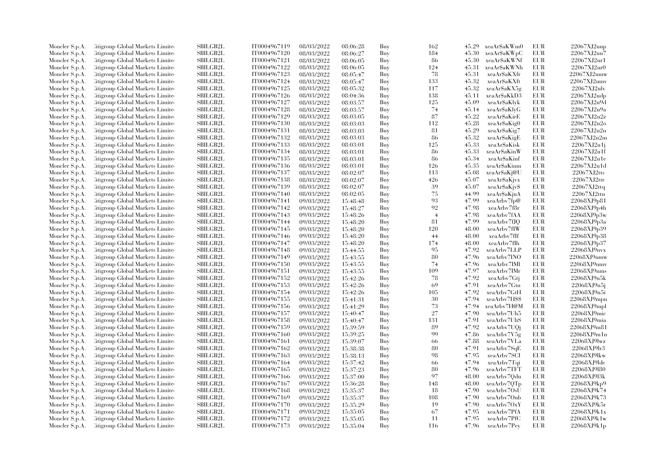| Moncler S.p.A.                   | Citigroup Global Markets Limite                                    | <b>SBILGB2L</b> | IT0004967119 | 08/03/2022               | 08:06:28             | Buy        | 162            | 45.29 | xeaAr\$aKWm0  | <b>EUR</b> | 22067XJ2uup                |
|----------------------------------|--------------------------------------------------------------------|-----------------|--------------|--------------------------|----------------------|------------|----------------|-------|---------------|------------|----------------------------|
| Moncler S.p.A.                   | Citigroup Global Markets Limite                                    | SBILGB2L        | IT0004967120 | 08/03/2022               | 08:06:27             | Buy        | 184            | 45.30 | xeaAr\$aKWpC  | EUR        | 22067XJ2uu7                |
| Moncler S.p.A.                   | Citigroup Global Markets Limited                                   | SBILGB2L        | IT0004967121 | 08/03/2022               | 08:06:05             | Buy        | 86             | 45.30 | xeaAr\$aKWNf  | <b>EUR</b> | 22067XJ2ur1                |
| Moncler S.p.A.                   | Litigroup Global Markets Limite                                    | SBILGB2L        | IT0004967122 | 08/03/2022               | 08:06:05             | Buy        | 124            | 45.31 | xeaAr\$aKWNh  | <b>EUR</b> | 22067XJ2ur0                |
| Moncler S.p.A.                   | Litigroup Global Markets Limite                                    | <b>SBILGB2L</b> | IT0004967123 | 08/03/2022               | 08:05:47             | Buy        | 78             | 45.31 | xeaAr\$aKXfr  | <b>EUR</b> | 22067XJ2umw                |
| Moncler S.p.A.                   | Citigroup Global Markets Limite                                    | SBILGB2L        | IT0004967124 | 08/03/2022               | 08:05:47             | Buy        | 133            | 45.32 | xeaAr\$aKXft  | <b>EUR</b> | 22067XJ2umv                |
| Moncler S.p.A.                   | Citigroup Global Markets Limite                                    | SBILGB2L        | IT0004967125 | 08/03/2022               | 08:05:32             | Buy        | 117            | 45.32 | xeaAr\$aKX5g  | <b>EUR</b> | 22067XJ2ulv                |
| Moncler S.p.A.                   | Litigroup Global Markets Limite                                    | <b>SBILGB2L</b> | IT0004967126 | 08/03/2022               | 08:04:36             | Buy        | 138            | 45.11 | xeaAr\$aKkD3  | <b>EUR</b> | 22067XJ2udp                |
| Moncler S.p.A.                   | Citigroup Global Markets Limite                                    | <b>SBILGB2L</b> | IT0004967127 | 08/03/2022               | 08:03:57             | Buy        | 125            | 45.09 | xeaAr\$aKlyk  | <b>EUR</b> | 22067XJ2u9d                |
| Moncler S.p.A.                   | Citigroup Global Markets Limite                                    | SBILGB2L        | IT0004967128 | 08/03/2022               | 08:03:57             | Buy        | 74             | 45.14 | xeaAr\$aKlyG  | <b>EUR</b> | 22067XJ2u9a                |
| Moncler S.p.A.                   | Citigroup Global Markets Limite                                    | <b>SBILGB2L</b> | IT0004967129 | 08/03/2022               | 08:03:05             | Buy        | 87             | 45.22 | xeaAr\$aKieE  | <b>EUR</b> | 22067XJ2u2z                |
| Moncler S.p.A.                   | Litigroup Global Markets Limite                                    | <b>SBILGB2L</b> | IT0004967130 | 08/03/2022               | 08:03:03             | Buy        | 112            | 45.28 | xeaAr\$aKig0  | <b>EUR</b> | 22067XJ2u2o                |
| Moncler S.p.A.                   | Citigroup Global Markets Limite                                    | SBILGB2L        | IT0004967131 | 08/03/2022               | 08:03:03             | Buy        | 81             | 45.29 | xeaAr\$aKig7  | EUR        | 22067XJ2u2n                |
| Moncler S.p.A.                   | Citigroup Global Markets Limited                                   | SBILGB2L        | IT0004967132 | 08/03/2022               | 08:03:03             | Buy        | 86             | 45.32 | xeaAr\$aKigE  | <b>EUR</b> | 22067XJ2u2m                |
| Moncler S.p.A.                   | Litigroup Global Markets Limite                                    | SBILGB2L        | IT0004967133 | 08/03/2022               | 08:03:01             | Buy        | 125            | 45.33 | xeaAr\$aKisk  | EUR        | 22067XJ2u1j                |
| Moncler S.p.A.                   | Litigroup Global Markets Limite                                    | <b>SBILGB2L</b> | IT0004967134 | 08/03/2022               | 08:03:01             | Buy        | 86             | 45.33 | xeaAr\$aKinW  | <b>EUR</b> | 22067XJ2u1f                |
| Moncler S.p.A.                   | Citigroup Global Markets Limite                                    | SBILGB2L        | IT0004967135 | 08/03/2022               | 08:03:01             | Buy        | 86             | 45.34 | xeaAr\$aKinf  | <b>EUR</b> | 22067XJ2u1e                |
| Moncler S.p.A.                   | Citigroup Global Markets Limite                                    | SBILGB2L        | IT0004967136 | 08/03/2022               | 08:03:01             | Buy        | 126            | 45.35 | xeaAr\$aKinm  | <b>EUR</b> | 22067XJ2u1d                |
| Moncler S.p.A.                   | Citigroup Global Markets Limite                                    | <b>SBILGB2L</b> | IT0004967137 | 08/03/2022               | 08:02:07             | Buy        | 113            | 45.08 | xeaAr\$aKj@U  | <b>EUR</b> | 22067XJ2tts                |
| Moncler S.p.A.                   | Litigroup Global Markets Limite                                    | <b>SBILGB2L</b> | IT0004967138 | 08/03/2022               | 08:02:07             | Buy        | 426            | 45.07 | xeaAr\$aKjvx  | EUR        | 22067XJ2ttr                |
| Moncler S.p.A.                   | Citigroup Global Markets Limite                                    | SBILGB2L        | IT0004967139 | 08/03/2022               | 08:02:07             | Buy        | 39             | 45.07 | xeaAr\$aKjv\$ | <b>EUR</b> | 22067XJ2ttq                |
| Moncler S.p.A.                   | Citigroup Global Markets Limite                                    | SBILGB2L        | IT0004967140 | 08/03/2022               | 08:02:05             | Buy        | 75             | 44.99 | xeaAr\$aKjuA  | <b>EUR</b> | 22067XJ2ttn                |
| Moncler S.p.A.                   | litigroup Global Markets Limite                                    | <b>SBILGB2L</b> | IT0004967141 | 09/03/2022               | 15:48:48             | Buy        | 93             | 47.99 | xeaArby7fp@   | <b>EUR</b> | 22068XJ9p81                |
| Moncler S.p.A.                   | Citigroup Global Markets Limite                                    | SBILGB2L        | IT0004967142 | 09/03/2022               | 15:48:27             | Buy        | 92             | 47.98 | xeaArbv7f8r   | EUR        | 22068XJ9p4h                |
| Moncler S.p.A.                   | Citigroup Global Markets Limite                                    | SBILGB2L        | IT0004967143 | 09/03/2022               | 15:48:26             | Buy        | $\overline{4}$ | 47.98 | xeaArbv7fAA   | <b>EUR</b> | 22068XJ9p3w                |
|                                  | Litigroup Global Markets Limite                                    | <b>SBILGB2L</b> | IT0004967144 | 09/03/2022               |                      | Buy        | 81             | 47.99 | xeaArbv7fJQ   | <b>EUR</b> | 22068XJ9p3a                |
| Moncler S.p.A.<br>Moncler S.p.A. | Citigroup Global Markets Limite                                    | <b>SBILGB2L</b> | IT0004967145 | 09/03/2022               | 15:48:20<br>15:48:20 | Buy        | 120            | 48.00 | xeaArbv7fIW   | <b>EUR</b> | 22068XJ9p39                |
|                                  |                                                                    | SBILGB2L        | IT0004967146 |                          |                      |            | 44             | 48.00 | xeaArbv7fIf   | <b>EUR</b> |                            |
| Moncler S.p.A.<br>Moncler S.p.A. | Citigroup Global Markets Limite<br>Litigroup Global Markets Limite | SBILGB2L        | IT0004967147 | 09/03/2022<br>09/03/2022 | 15:48:20             | Buy<br>Buy | 174            | 48.00 | xeaArby7fIh   | <b>EUR</b> | 22068XJ9p38<br>22068XJ9p37 |
|                                  |                                                                    |                 |              |                          | 15:48:20             |            | 95             |       |               |            |                            |
| Moncler S.p.A.                   | Citigroup Global Markets Limite                                    | <b>SBILGB2L</b> | IT0004967148 | 09/03/2022               | 15:44:55             | Buy        |                | 47.92 | xeaArbv7LLP   | <b>EUR</b> | 22068XJ9nvx                |
| Moncler S.p.A.                   | Litigroup Global Markets Limite                                    | <b>SBILGB2L</b> | IT0004967149 | 09/03/2022               | 15:43:55             | Buy        | 80             | 47.96 | xeaArbv7INO   | <b>EUR</b> | 22068XJ9nmw                |
| Moncler S.p.A.                   | Citigroup Global Markets Limite                                    | <b>SBILGB2L</b> | IT0004967150 | 09/03/2022               | 15:43:55             | Buy        | 74             | 47.96 | xeaArbv7IMI   | <b>EUR</b> | 22068XJ9nmv                |
| Moncler S.p.A.                   | Citigroup Global Markets Limite                                    | SBILGB2L        | IT0004967151 | 09/03/2022               | 15:43:55             | Buy        | 109            | 47.97 | xeaArbv7IMr   | <b>EUR</b> | 22068XJ9nms                |
| Moncler S.p.A.                   | Litigroup Global Markets Limite                                    | <b>SBILGB2L</b> | IT0004967152 | 09/03/2022               | 15:42:26             | Buy        | 78             | 47.92 | xeaArbv7Gtj   | <b>EUR</b> | 22068XJ9n5k                |
| Moncler S.p.A.                   | Citigroup Global Markets Limite                                    | SBILGB2L        | IT0004967153 | 09/03/2022               | 15:42:26             | Buy        | 69             | 47.91 | xeaArbv7Gtn   | EUR        | 22068XJ9n5j                |
| Moncler S.p.A.                   | Citigroup Global Markets Limite                                    | SBILGB2L        | IT0004967154 | 09/03/2022               | 15:42:26             | Buy        | 105            | 47.92 | xeaArbv7GtH   | <b>EUR</b> | 22068XJ9n5i                |
| Moncler S.p.A.                   | Litigroup Global Markets Limite                                    | SBILGB2L        | IT0004967155 | 09/03/2022               | 15:41:31             | Buy        | 30             | 47.94 | xeaArbv7HSS   | <b>EUR</b> | 22068XJ9mpn                |
| Moncler S.p.A.                   | Citigroup Global Markets Limite                                    | <b>SBILGB2L</b> | IT0004967156 | 09/03/2022               | 15:41:29             | Buy        | 73             | 47.94 | xeaArbv7H@M   | <b>EUR</b> | $22068$ XJ9mpl             |
| Moncler S.p.A.                   | Citigroup Global Markets Limite                                    | SBILGB2L        | IT0004967157 | 09/03/2022               | 15:40:47             | Buy        | 27             | 47.90 | xeaArbv7Uh5   | <b>EUR</b> | 22068XJ9mic                |
| Moncler S.p.A.                   | Litigroup Global Markets Limite                                    | SBILGB2L        | IT0004967158 | 09/03/2022               | 15:40:47             | Buy        | 131            | 47.91 | xeaArbv7UhS   | <b>EUR</b> | 22068XJ9mia                |
| Moncler S.p.A.                   | Citigroup Global Markets Limite                                    | <b>SBILGB2L</b> | IT0004967159 | 09/03/2022               | 15:39:59             | Buy        | 89             | 47.92 | xeaArbv7UQi   | <b>EUR</b> | 22068XJ9m81                |
| Moncler S.p.A.                   | Citigroup Global Markets Limite                                    | SBILGB2L        | IT0004967160 | 09/03/2022               | 15:39:25             | Buy        | 99             | 47.86 | xeaArbv7V5g   | EUR        | 22068XJ9m1n                |
| Moncler S.p.A.                   | Citigroup Global Markets Limite                                    | SBILGB2L        | IT0004967161 | 09/03/2022               | 15:39:07             | Buy        | 66             | 47.88 | xeaArbv7VLa   | <b>EUR</b> | 22068XJ9lwz                |
| Moncler S.p.A.                   | Litigroup Global Markets Limite                                    | <b>SBILGB2L</b> | IT0004967162 | 09/03/2022               | 15:38:38             | Buy        | 80             | 47.91 | xeaArbv7SqE   | <b>EUR</b> | 22068XJ9lr3                |
| Moncler S.p.A.                   | Litigroup Global Markets Limite                                    | <b>SBILGB2L</b> | IT0004967163 | 09/03/2022               | 15:38:13             | Buy        | 98             | 47.95 | xeaArbv7SCI   | <b>EUR</b> | 22068XJ9lkw                |
| Moncler S.p.A.                   | Citigroup Global Markets Limite                                    | <b>SBILGB2L</b> | IT0004967164 | 09/03/2022               | 15:37:42             | Buy        | -66            | 47.94 | xeaArbv7Tqi   | <b>EUR</b> | 22068XJ9lde                |
| Moncler S.p.A.                   | Citigroup Global Markets Limite                                    | SBILGB2L        | IT0004967165 | 09/03/2022               | 15:37:23             | Buy        | 80             | 47.96 | xeaArbv7TFT   | <b>EUR</b> | 22068XJ9180                |
| Moncler S.p.A.                   | Litigroup Global Markets Limite                                    | <b>SBILGB2L</b> | IT0004967166 | 09/03/2022               | 15:37:00             | Buy        | 97             | 48.00 | xeaArbv7Qdu   | <b>EUR</b> | 22068XJ9l3k                |
| Moncler S.p.A.                   | Litigroup Global Markets Limite                                    | <b>SBILGB2L</b> | IT0004967167 | 09/03/2022               | 15:36:28             | Buy        | 148            | 48.00 | xeaArbv7QTp   | <b>EUR</b> | 22068XJ9kp9                |
| Moncler S.p.A.                   | Citigroup Global Markets Limite                                    | SBILGB2L        | IT0004967168 | 09/03/2022               | 15:35:37             | Buy        | 18             | 47.90 | xeaArbv7OsU   | <b>EUR</b> | 22068XJ9k74                |
| Moncler S.p.A.                   | Litigroup Global Markets Limite                                    | <b>SBILGB2L</b> | IT0004967169 | 09/03/2022               | 15:35:37             | Buy        | 108            | 47.90 | xeaArbv7Onb   | <b>EUR</b> | 22068XJ9k73                |
| Moncler S.p.A.                   | Citigroup Global Markets Limite                                    | <b>SBILGB2L</b> | IT0004967170 | 09/03/2022               | 15:35:29             | Buy        | 19             | 47.90 | xeaArbv7OxY   | <b>EUR</b> | 22068XJ9k5r                |
| Moncler S.p.A.                   | Citigroup Global Markets Limite                                    | SBILGB2L        | IT0004967171 | 09/03/2022               | 15:35:05             | Buy        | 67             | 47.95 | xeaArbv7PfA   | EUR        | 22068XJ9k1x                |
| Moncler S.p.A.                   | Citigroup Global Markets Limite                                    | <b>SBILGB2L</b> | IT0004967172 | 09/03/2022               | 15:35:05             | Buy        | 11             | 47.95 | xeaArbv7PfC   | <b>EUR</b> | 22068XJ9k1w                |
| Moncler S.p.A.                   | Citigroup Global Markets Limited                                   | SBILGB2L        | IT0004967173 | 09/03/2022               | 15:35:04             | Buy        | 116            | 47.96 | xeaArbv7Pey   | <b>EUR</b> | 22068XJ9k1p                |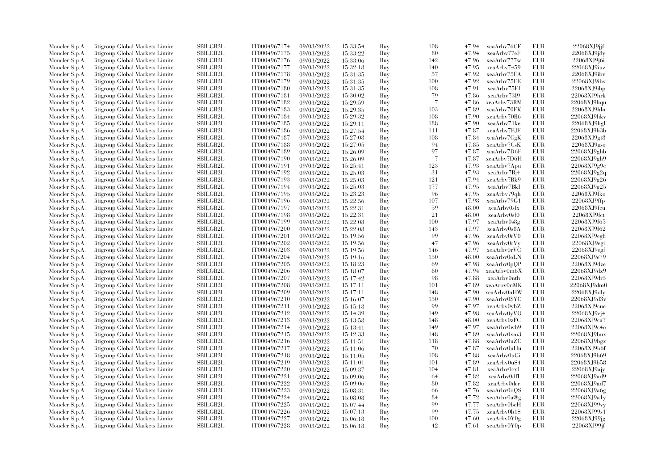| Moncler S.p.A. | Citigroup Global Markets Limite         | <b>SBILGB2L</b> | IT0004967174 | 09/03/2022 | 15:33:54 | Buy | 108 | 47.94 | xeaArbv76CE  | <b>EUR</b> | 22068XJ9jjf |
|----------------|-----------------------------------------|-----------------|--------------|------------|----------|-----|-----|-------|--------------|------------|-------------|
| Moncler S.p.A. | Citigroup Global Markets Limite         | <b>SBILGB2L</b> | IT0004967175 | 09/03/2022 | 15:33:22 | Buy | 80  | 47.94 | xeaArbv77eF  | <b>EUR</b> | 22068XJ9j8y |
| Moncler S.p.A. | <b>Citigroup Global Markets Limited</b> | SBILGB2L        | IT0004967176 | 09/03/2022 | 15:33:06 | Buy | 142 | 47.96 | xeaArbv777w  | EUR        | 22068XJ9j6i |
| Moncler S.p.A. | Citigroup Global Markets Limite         | <b>SBILGB2L</b> | IT0004967177 | 09/03/2022 | 15:32:18 | Buy | 140 | 47.95 | xeaArbv7459  | <b>EUR</b> | 22068XJ9iuz |
| Moncler S.p.A. | Citigroup Global Markets Limite         | SBILGB2L        | IT0004967178 | 09/03/2022 | 15:31:35 | Buy | 57  | 47.92 | xeaArbv75FA  | <b>EUR</b> | 22068XJ9ibv |
| Moncler S.p.A. | Citigroup Global Markets Limite         | SBILGB2L        | IT0004967179 | 09/03/2022 | 15:31:35 | Buy | 100 | 47.92 | xeaArbv75FE  | EUR        | 22068XJ9ibs |
| Moncler S.p.A. | <b>Eitigroup Global Markets Limited</b> | SBILGB2L        | IT0004967180 | 09/03/2022 | 15:31:35 | Buy | 108 | 47.91 | xeaArbv75FI  | <b>EUR</b> | 22068XJ9ibp |
| Moncler S.p.A. | Citigroup Global Markets Limite         | <b>SBILGB2L</b> | IT0004967181 | 09/03/2022 | 15:30:02 | Buy | 79  | 47.86 | xeaArby7319  | <b>EUR</b> | 22068XJ9hrk |
| Moncler S.p.A. | Citigroup Global Markets Limited        | <b>SBILGB2L</b> | IT0004967182 | 09/03/2022 | 15:29:59 | Buy | 7   | 47.86 | xeaArbv73RM  | <b>EUR</b> | 22068XJ9hqu |
| Moncler S.p.A. | Citigroup Global Markets Limite         | <b>SBILGB2L</b> | IT0004967183 | 09/03/2022 | 15:29:35 | Buy | 103 | 47.89 | xeaArbv70FK  | <b>EUR</b> | 22068XJ9hln |
| Moncler S.p.A. | <b>Citigroup Global Markets Limited</b> | SBILGB2L        | IT0004967184 | 09/03/2022 | 15:29:32 | Buy | 108 | 47.90 | xeaArbv70B6  | <b>EUR</b> | 22068XJ9hkv |
| Moncler S.p.A. | Citigroup Global Markets Limite         | <b>SBILGB2L</b> | IT0004967185 | 09/03/2022 | 15:29:11 | Buy | 188 | 47.90 | xeaArbv71ke  | <b>EUR</b> | 22068XJ9hgl |
| Moncler S.p.A. | Citigroup Global Markets Limite         | <b>SBILGB2L</b> | IT0004967186 | 09/03/2022 | 15:27:54 | Buy | 111 | 47.87 | xeaArbv7EJF  | <b>EUR</b> | 22068XJ9h3b |
| Moncler S.p.A. | Citigroup Global Markets Limite         | <b>SBILGB2L</b> | IT0004967187 | 09/03/2022 | 15:27:08 | Buy | 108 | 47.84 | xeaArbv7CgK  | <b>EUR</b> | 22068XJ9gt8 |
| Moncler S.p.A. | Citigroup Global Markets Limite         | <b>SBILGB2L</b> | IT0004967188 | 09/03/2022 | 15:27:05 | Buy | 94  | 47.85 | xeaArbv7CsK  | <b>EUR</b> | 22068XJ9gso |
|                |                                         | SBILGB2L        | IT0004967189 | 09/03/2022 |          |     | 97  | 47.87 | xeaArbv7D6F  | <b>EUR</b> | 22068XJ9ghb |
| Moncler S.p.A. | Citigroup Global Markets Limite         | <b>SBILGB2L</b> |              |            | 15:26:09 | Buy | 7   |       |              | <b>EUR</b> |             |
| Moncler S.p.A. | Citigroup Global Markets Limite         |                 | IT0004967190 | 09/03/2022 | 15:26:09 | Buy |     | 47.87 | xeaArbv7D6H  |            | 22068XJ9gh9 |
| Moncler S.p.A. | Citigroup Global Markets Limite         | <b>SBILGB2L</b> | IT0004967191 | 09/03/2022 | 15:25:41 | Buy | 123 | 47.93 | xeaArbv7Apu  | EUR        | 22068XJ9g9c |
| Moncler S.p.A. | Citigroup Global Markets Limite         | SBILGB2L        | IT0004967192 | 09/03/2022 | 15:25:03 | Buy | 31  | 47.93 | xeaArbv7Bj4  | EUR        | 22068XJ9g2q |
| Moncler S.p.A. | Citigroup Global Markets Limite         | <b>SBILGB2L</b> | IT0004967193 | 09/03/2022 | 15:25:03 | Buy | 121 | 47.94 | xeaArbv7Bk9  | <b>EUR</b> | 22068XJ9g26 |
| Moncler S.p.A. | Citigroup Global Markets Limited        | <b>SBILGB2L</b> | IT0004967194 | 09/03/2022 | 15:25:03 | Buy | 177 | 47.95 | xeaArbv7BkI  | <b>EUR</b> | 22068XJ9g25 |
| Moncler S.p.A. | Citigroup Global Markets Limite         | SBILGB2L        | IT0004967195 | 09/03/2022 | 15:23:23 | Buy | 96  | 47.95 | xeaArbv79qh  | <b>EUR</b> | 22068XJ9fko |
| Moncler S.p.A. | Citigroup Global Markets Limite         | SBILGB2L        | IT0004967196 | 09/03/2022 | 15:22:56 | Buy | 107 | 47.98 | xeaArbv79G1  | <b>EUR</b> | 22068XJ9ffp |
| Moncler S.p.A. | <b>Eitigroup Global Markets Limited</b> | <b>SBILGB2L</b> | IT0004967197 | 09/03/2022 | 15:22:31 | Buy | 59  | 48.00 | xeaArbv0sfx  | <b>EUR</b> | 22068XJ9fcu |
| Moncler S.p.A. | Citigroup Global Markets Limite         | <b>SBILGB2L</b> | IT0004967198 | 09/03/2022 | 15:22:31 | Buy | 21  | 48.00 | xeaArbv0sf0  | <b>EUR</b> | 22068XJ9fct |
| Moncler S.p.A. | Citigroup Global Markets Limite         | SBILGB2L        | IT0004967199 | 09/03/2022 | 15:22:08 | Buy | 100 | 47.97 | xeaArbv0s8g  | EUR        | 22068XJ9f65 |
| Moncler S.p.A. | Citigroup Global Markets Limite         | SBILGB2L        | IT0004967200 | 09/03/2022 | 15:22:08 | Buy | 143 | 47.97 | xeaArbv0s8A  | <b>EUR</b> | 22068XJ9f62 |
| Moncler S.p.A. | Citigroup Global Markets Limite         | <b>SBILGB2L</b> | IT0004967201 | 09/03/2022 | 15:19:56 | Buy | 99  | 47.96 | xeaArbv0rV0  | <b>EUR</b> | 22068XJ9egh |
| Moncler S.p.A. | Citigroup Global Markets Limite         | <b>SBILGB2L</b> | IT0004967202 | 09/03/2022 | 15:19:56 | Buy | 47  | 47.96 | xeaArbv0rVy  | <b>EUR</b> | 22068XJ9egi |
| Moncler S.p.A. | <b>Citigroup Global Markets Limited</b> | SBILGB2L        | IT0004967203 | 09/03/2022 | 15:19:56 | Buy | 146 | 47.97 | xeaArbv0rVC  | <b>EUR</b> | 22068XJ9egf |
| Moncler S.p.A. | <b>Citigroup Global Markets Limited</b> | SBILGB2L        | IT0004967204 | 09/03/2022 | 15:19:16 | Buy | 150 | 48.00 | xeaArbv0oLN  | <b>EUR</b> | 22068XJ9e79 |
| Moncler S.p.A. | Citigroup Global Markets Limite         | <b>SBILGB2L</b> | IT0004967205 | 09/03/2022 | 15:18:23 | Buy | 69  | 47.98 | xeaArbv0pQP  | <b>EUR</b> | 22068XJ9dze |
| Moncler S.p.A. | Citigroup Global Markets Limite         | <b>SBILGB2L</b> | IT0004967206 | 09/03/2022 | 15:18:07 | Buy | 80  | 47.94 | xeaArbv0m6X  | <b>EUR</b> | 22068XJ9dx9 |
| Moncler S.p.A. | Citigroup Global Markets Limite         | SBILGB2L        | IT0004967207 | 09/03/2022 | 15:17:42 | Buy | 98  | 47.88 | xeaArby0nth  | <b>EUR</b> | 22068XJ9dr5 |
| Moncler S.p.A. | <b>Eitigroup Global Markets Limited</b> | <b>SBILGB2L</b> | IT0004967208 | 09/03/2022 | 15:17:11 | Buy | 101 | 47.89 | xeaArbv0nMK  | <b>EUR</b> | 22068XJ9dm0 |
| Moncler S.p.A. | Citigroup Global Markets Limite         | <b>SBILGB2L</b> | IT0004967209 | 09/03/2022 | 15:17:11 | Buy | 148 | 47.90 | xeaArbv0nHW  | EUR        | 22068XJ9dly |
| Moncler S.p.A. | Citigroup Global Markets Limite         | SBILGB2L        | IT0004967210 | 09/03/2022 | 15:16:07 | Buy | 150 | 47.90 | xeaArbv0\$YC | <b>EUR</b> | 22068XJ9d3v |
| Moncler S.p.A. | <b>Citigroup Global Markets Limited</b> | SBILGB2L        | IT0004967211 | 09/03/2022 | 15:15:18 | Buy | 99  | 47.97 | xeaArbv0ybZ  | <b>EUR</b> | 22068XJ9cue |
| Moncler S.p.A. | <b>Eitigroup Global Markets Limited</b> | <b>SBILGB2L</b> | IT0004967212 | 09/03/2022 | 15:14:39 | Buy | 149 | 47.98 | xeaArbv0vVO  | EUR        | 22068XJ9cj4 |
| Moncler S.p.A. | Citigroup Global Markets Limite         | <b>SBILGB2L</b> | IT0004967213 | 09/03/2022 | 15:13:58 | Buy | 148 | 48.00 | xeaArbv0zFC  | <b>EUR</b> | 22068XJ9ca7 |
| Moncler S.p.A. | Citigroup Global Markets Limite         | <b>SBILGB2L</b> | IT0004967214 | 09/03/2022 | 15:13:41 | Buy | 149 | 47.97 | xeaArbv0wb9  | <b>EUR</b> | 22068XJ9c4o |
| Moncler S.p.A. | Citigroup Global Markets Limite         | SBILGB2L        | IT0004967215 | 09/03/2022 | 15:12:33 | Buy | 148 | 47.89 | xeaArbv0xm3  | <b>EUR</b> | 22068XJ9bnx |
| Moncler S.p.A. | <b>Citigroup Global Markets Limited</b> | SBILGB2L        | IT0004967216 | 09/03/2022 | 15:11:51 | Buy | 118 | 47.88 | xeaArbv0uZC  | <b>EUR</b> | 22068XJ9bgx |
| Moncler S.p.A. | Citigroup Global Markets Limite         | <b>SBILGB2L</b> | IT0004967217 | 09/03/2022 | 15:11:06 | Buy | 70  | 47.87 | xeaArbv0uHu  | <b>EUR</b> | 22068XJ9b6f |
| Moncler S.p.A. | <b>Citigroup Global Markets Limited</b> | <b>SBILGB2L</b> | IT0004967218 | 09/03/2022 | 15:11:05 | Buy | 108 | 47.88 | xeaArbv0uGi  | <b>EUR</b> | 22068XJ9b69 |
| Moncler S.p.A. | Citigroup Global Markets Limite         | SBILGB2L        | IT0004967219 | 09/03/2022 | 15:11:01 | Buy | 101 | 47.89 | xeaArbv0uS4  | EUR        | 22068XJ9b58 |
|                | <b>Eitigroup Global Markets Limited</b> | <b>SBILGB2L</b> | IT0004967220 |            |          |     | 104 | 47.81 | xeaArbv0cx1  | <b>EUR</b> | 22068XJ9ajy |
| Moncler S.p.A. |                                         | <b>SBILGB2L</b> |              | 09/03/2022 | 15:09:37 | Buy |     |       |              | <b>EUR</b> | 22068XJ9ad9 |
| Moncler S.p.A. | Citigroup Global Markets Limited        |                 | IT0004967221 | 09/03/2022 | 15:09:06 | Buy | 64  | 47.82 | xeaArbv0dfI  |            |             |
| Moncler S.p.A. | Citigroup Global Markets Limite         | <b>SBILGB2L</b> | IT0004967222 | 09/03/2022 | 15:09:06 | Buy | 80  | 47.82 | xeaArbv0der  | <b>EUR</b> | 22068XJ9ad7 |
| Moncler S.p.A. | <b>Citigroup Global Markets Limited</b> | SBILGB2L        | IT0004967223 | 09/03/2022 | 15:08:31 | Buy | 66  | 47.76 | xeaArbv0dQS  | <b>EUR</b> | 22068XJ9a6g |
| Moncler S.p.A. | Citigroup Global Markets Limite         | <b>SBILGB2L</b> | IT0004967224 | 09/03/2022 | 15:08:08 | Buy | 84  | 47.72 | xeaArbv0a@g  | <b>EUR</b> | 22068XJ9a1v |
| Moncler S.p.A. | Citigroup Global Markets Limite         | <b>SBILGB2L</b> | IT0004967225 | 09/03/2022 | 15:07:44 | Buy | 99  | 47.77 | xeaArbv0bcH  | <b>EUR</b> | 22068XJ99vy |
| Moncler S.p.A. | Citigroup Global Markets Limite         | SBILGB2L        | IT0004967226 | 09/03/2022 | 15:07:13 | Buy | 99  | 47.75 | xeaArbv0b1\$ | EUR        | 22068XJ99s1 |
| Moncler S.p.A. | <b>Eitigroup Global Markets Limited</b> | <b>SBILGB2L</b> | IT0004967227 | 09/03/2022 | 15:06:18 | Buy | 100 | 47.60 | xeaArbv0Y0g  | <b>EUR</b> | 22068XJ99jg |
| Moncler S.p.A. | Citigroup Global Markets Limited        | SBILGB2L        | IT0004967228 | 09/03/2022 | 15:06:18 | Buy | 42  | 47.61 | xeaArbv0Y0p  | <b>EUR</b> | 22068XJ99jf |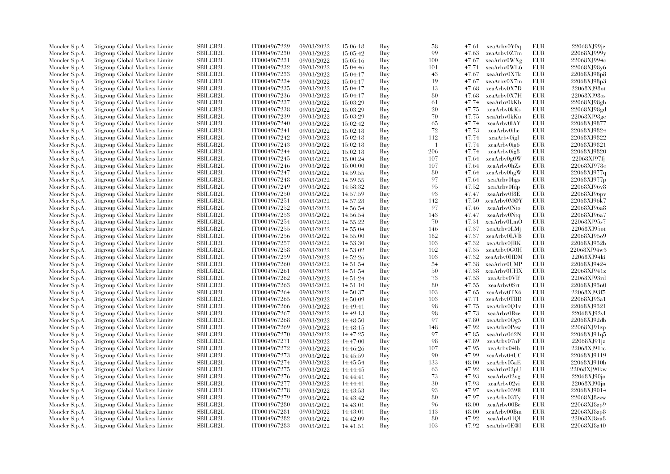| Moncler S.p.A.                   | Citigroup Global Markets Limite                                    | SBILGB2L        | IT0004967229 | 09/03/2022               | 15:06:18 | Buy        | 58           | 47.61 | xeaArbv0Y0q | EUR        | 22068XJ99je |
|----------------------------------|--------------------------------------------------------------------|-----------------|--------------|--------------------------|----------|------------|--------------|-------|-------------|------------|-------------|
| Moncler S.p.A.                   | Citigroup Global Markets Limite                                    | SBILGB2L        | IT0004967230 | 09/03/2022               | 15:05:42 | Buy        | 99           | 47.63 | xeaArbv0Z7m | EUR        | 22068XJ999y |
| Moncler S.p.A.                   | Citigroup Global Markets Limited                                   | <b>SBILGB2L</b> | IT0004967231 | 09/03/2022               | 15:05:16 | Buy        | 100          | 47.67 | xeaArbv0WXg | <b>EUR</b> | 22068XJ994  |
| Moncler S.p.A.                   | Litigroup Global Markets Limite                                    | SBILGB2L        | IT0004967232 | 09/03/2022               | 15:04:46 | Buy        | 101          | 47.71 | xeaArbv0WL6 | EUR        | 22068XJ98v6 |
| Moncler S.p.A.                   | Citigroup Global Markets Limite                                    | <b>SBILGB2L</b> | IT0004967233 | 09/03/2022               | 15:04:17 | Buy        | 43           | 47.67 | xeaArbv0X7k | EUR        | 22068XJ98p8 |
| Moncler S.p.A.                   | Citigroup Global Markets Limite                                    | SBILGB2L        | IT0004967234 | 09/03/2022               | 15:04:17 | Buy        | 19           | 47.67 | xeaArbv0X7m | <b>EUR</b> | 22068XJ98p3 |
| Moncler S.p.A.                   | Citigroup Global Markets Limited                                   | <b>SBILGB2L</b> | IT0004967235 | 09/03/2022               | 15:04:17 | Buy        | 13           | 47.68 | xeaArbv0X7D | <b>EUR</b> | 22068XJ98ot |
| Moncler S.p.A.                   | Litigroup Global Markets Limite                                    | <b>SBILGB2L</b> | IT0004967236 | 09/03/2022               | 15:04:17 | Buy        | 80           | 47.68 | xeaArbv0X7H | <b>EUR</b> | 22068XJ98os |
| Moncler S.p.A.                   | Citigroup Global Markets Limite                                    | <b>SBILGB2L</b> | IT0004967237 | 09/03/2022               | 15:03:29 | Buy        | 61           | 47.74 | xeaArbv0kKb | <b>EUR</b> | 22068XJ98gh |
| Moncler S.p.A.                   | Citigroup Global Markets Limite                                    | SBILGB2L        | IT0004967238 | 09/03/2022               | 15:03:29 | Buy        | 20           | 47.75 | xeaArbv0kKs | <b>EUR</b> | 22068XJ98gd |
| Moncler S.p.A.                   | Citigroup Global Markets Limite                                    | <b>SBILGB2L</b> | IT0004967239 | 09/03/2022               | 15:03:29 | Buy        | 70           | 47.75 | xeaArbv0kKu | <b>EUR</b> | 22068XJ98gc |
| Moncler S.p.A.                   | Litigroup Global Markets Limite                                    | <b>SBILGB2L</b> | IT0004967240 | 09/03/2022               | 15:02:42 | Buy        | 65           | 47.74 | xeaArbv0lAY | <b>EUR</b> | 22068XJ9877 |
| Moncler S.p.A.                   | Citigroup Global Markets Limite                                    | SBILGB2L        | IT0004967241 | 09/03/2022               | 15:02:18 | Buy        | 72           | 47.73 | xeaArbv0ihe | EUR        | 22068XJ9824 |
| Moncler S.p.A.                   | Citigroup Global Markets Limited                                   | SBILGB2L        | IT0004967242 | 09/03/2022               | 15:02:18 | Buy        | 112          | 47.74 | xeaArbv0igl | <b>EUR</b> | 22068XJ9822 |
| Moncler S.p.A.                   | Litigroup Global Markets Limite                                    | SBILGB2L        | IT0004967243 | 09/03/2022               | 15:02:18 | Buy        | $\mathbf{1}$ | 47.74 | xeaArbv0ig6 | <b>EUR</b> | 22068XJ9821 |
| Moncler S.p.A.                   | Citigroup Global Markets Limite                                    | <b>SBILGB2L</b> | IT0004967244 | 09/03/2022               | 15:02:18 | Buy        | 206          | 47.74 | xeaArbv0ig8 | <b>EUR</b> | 22068XJ9820 |
| Moncler S.p.A.                   | Citigroup Global Markets Limite                                    | SBILGB2L        | IT0004967245 | 09/03/2022               | 15:00:24 | Buy        | 107          | 47.64 | xeaArbv0g0W | <b>EUR</b> | 22068XJ97fj |
| Moncler S.p.A.                   | Citigroup Global Markets Limite                                    | SBILGB2L        | IT0004967246 | 09/03/2022               | 15:00:00 | Buy        | 107          | 47.64 | xeaArbv0hZs | <b>EUR</b> | 22068XJ978e |
| Moncler S.p.A.                   | Litigroup Global Markets Limite                                    | <b>SBILGB2L</b> | IT0004967247 | 09/03/2022               | 14:59:55 | Buy        | 80           | 47.64 | xeaArbv0hgW | EUR        | 22068XJ977q |
| Moncler S.p.A.                   | Litigroup Global Markets Limite                                    | <b>SBILGB2L</b> | IT0004967248 | 09/03/2022               | 14:59:55 | Buy        | 97           | 47.64 | xeaArbv0hgs | <b>EUR</b> | 22068XJ977p |
| Moncler S.p.A.                   | Citigroup Global Markets Limite                                    | SBILGB2L        | IT0004967249 | 09/03/2022               | 14:58:32 | Buy        | 95           | 47.52 | xeaArbv0fdp | <b>EUR</b> | 22068XJ96v8 |
| Moncler S.p.A.                   | Citigroup Global Markets Limite                                    | SBILGB2L        | IT0004967250 | 09/03/2022               | 14:57:59 | Buy        | 93           | 47.47 | xeaArbv0f8E | <b>EUR</b> | 22068XJ96pv |
| Moncler S.p.A.                   | Citigroup Global Markets Limite                                    | <b>SBILGB2L</b> | IT0004967251 | 09/03/2022               | 14:57:28 | Buy        | 142          | 47.50 | xeaArbv0M@Y | EUR        | 22068XJ96k7 |
| Moncler S.p.A.                   | Citigroup Global Markets Limite                                    | SBILGB2L        | IT0004967252 | 09/03/2022               | 14:56:54 | Buy        | 97           | 47.46 | xeaArbv0Nto | <b>EUR</b> | 22068XJ96a8 |
| Moncler S.p.A.                   | Citigroup Global Markets Limite                                    | <b>SBILGB2L</b> | IT0004967253 | 09/03/2022               | 14:56:54 | Buy        | 143          | 47.47 | xeaArbv0Ntq | EUR        | 22068XJ96a7 |
| Moncler S.p.A.                   | Litigroup Global Markets Limite                                    | <b>SBILGB2L</b> | IT0004967254 | 09/03/2022               | 14:55:22 | Buy        | 70           | 47.31 | xeaArbv0LmO | <b>EUR</b> | 22068XJ95s7 |
|                                  | Citigroup Global Markets Limite                                    | <b>SBILGB2L</b> | IT0004967255 | 09/03/2022               |          | Buy        | 146          | 47.37 | xeaArbv0LMj | <b>EUR</b> | 22068XJ95ot |
| Moncler S.p.A.                   |                                                                    | SBILGB2L        | IT0004967256 |                          | 14:55:04 |            | 182          | 47.37 | xeaArbv0LVB | EUR        | 22068XJ95o9 |
| Moncler S.p.A.<br>Moncler S.p.A. | Citigroup Global Markets Limite<br>Litigroup Global Markets Limite | <b>SBILGB2L</b> | IT0004967257 | 09/03/2022<br>09/03/2022 | 14:55:00 | Buy<br>Buy | 103          | 47.32 | xeaArbv0JRK | <b>EUR</b> | 22068XJ952b |
|                                  |                                                                    |                 |              |                          | 14:53:30 |            |              | 47.35 |             | <b>EUR</b> |             |
| Moncler S.p.A.                   | Litigroup Global Markets Limite                                    | <b>SBILGB2L</b> | IT0004967258 | 09/03/2022               | 14:53:02 | Buy        | 102          |       | xeaArbv0G0H |            | 22068XJ94w3 |
| Moncler S.p.A.                   | Litigroup Global Markets Limite                                    | <b>SBILGB2L</b> | IT0004967259 | 09/03/2022               | 14:52:26 | Buy        | 103          | 47.32 | xeaArbv0HDM | <b>EUR</b> | 22068XJ94ki |
| Moncler S.p.A.                   | Citigroup Global Markets Limite                                    | SBILGB2L        | IT0004967260 | 09/03/2022               | 14:51:54 | Buy        | 54           | 47.38 | xeaArbv0UMP | <b>EUR</b> | 22068XJ9424 |
| Moncler S.p.A.                   | Citigroup Global Markets Limite                                    | <b>SBILGB2L</b> | IT0004967261 | 09/03/2022               | 14:51:54 | Buy        | 50           | 47.38 | xeaArbv0UHX | <b>EUR</b> | 22068XJ941z |
| Moncler S.p.A.                   | Citigroup Global Markets Limite                                    | <b>SBILGB2L</b> | IT0004967262 | 09/03/2022               | 14:51:24 | Buy        | 73           | 47.53 | xeaArbv0VIf | <b>EUR</b> | 22068XJ93rd |
| Moncler S.p.A.                   | Citigroup Global Markets Limite                                    | SBILGB2L        | IT0004967263 | 09/03/2022               | 14:51:10 | Buy        | 80           | 47.55 | xeaArbv0Srt | <b>EUR</b> | 22068XJ93n0 |
| Moncler S.p.A.                   | Citigroup Global Markets Limite                                    | <b>SBILGB2L</b> | IT0004967264 | 09/03/2022               | 14:50:37 | Buy        | 103          | 47.65 | xeaArbv0TX6 | <b>EUR</b> | 22068XJ93f5 |
| Moncler S.p.A.                   | Litigroup Global Markets Limite                                    | <b>SBILGB2L</b> | IT0004967265 | 09/03/2022               | 14:50:09 | Buy        | 103          | 47.71 | xeaArbv0TBD | <b>EUR</b> | 22068XJ93a1 |
| Moncler S.p.A.                   | Citigroup Global Markets Limite                                    | <b>SBILGB2L</b> | IT0004967266 | 09/03/2022               | 14:49:41 | Buy        | 98           | 47.75 | xeaArbv0Q1v | <b>EUR</b> | 22068XJ9321 |
| Moncler S.p.A.                   | Citigroup Global Markets Limite                                    | SBILGB2L        | IT0004967267 | 09/03/2022               | 14:49:13 | Buy        | 98           | 47.73 | xeaArbv0Rze | <b>EUR</b> | 22068XJ92vl |
| Moncler S.p.A.                   | Litigroup Global Markets Limite                                    | <b>SBILGB2L</b> | IT0004967268 | 09/03/2022               | 14:48:50 | Buy        | 97           | 47.80 | xeaArbv0Og5 | <b>EUR</b> | 22068XJ92db |
| Moncler S.p.A.                   | Citigroup Global Markets Limite                                    | SBILGB2L        | IT0004967269 | 09/03/2022               | 14:48:15 | Buy        | 148          | 47.92 | xeaArbv0Pew | <b>EUR</b> | 22068XJ91zp |
| Moncler S.p.A.                   | Citigroup Global Markets Limite                                    | SBILGB2L        | IT0004967270 | 09/03/2022               | 14:47:25 | Buy        | 97           | 47.85 | xeaArbv062N | EUR        | 22068XJ91q5 |
| Moncler S.p.A.                   | Citigroup Global Markets Limite                                    | <b>SBILGB2L</b> | IT0004967271 | 09/03/2022               | 14:47:00 | Buy        | 98           | 47.89 | xeaArbv07nF | <b>EUR</b> | 22068XJ91jz |
| Moncler S.p.A.                   | Citigroup Global Markets Limite                                    | <b>SBILGB2L</b> | IT0004967272 | 09/03/2022               | 14:46:26 | Buy        | 107          | 47.95 | xeaArbv04lb | <b>EUR</b> | 22068XJ91cc |
| Moncler S.p.A.                   | Citigroup Global Markets Limite                                    | <b>SBILGB2L</b> | IT0004967273 | 09/03/2022               | 14:45:59 | Buy        | 90           | 47.99 | xeaArbv04UC | <b>EUR</b> | 22068XJ9119 |
| Moncler S.p.A.                   | Citigroup Global Markets Limite                                    | SBILGB2L        | IT0004967274 | 09/03/2022               | 14:45:54 | Buy        | 133          | 48.00 | xeaArbv05aE | <b>EUR</b> | 22068XJ910b |
| Moncler S.p.A.                   | Citigroup Global Markets Limite                                    | <b>SBILGB2L</b> | IT0004967275 | 09/03/2022               | 14:44:45 | Buy        | 63           | 47.92 | xeaArbv02pU | <b>EUR</b> | 22068XJ90kw |
| Moncler S.p.A.                   | Citigroup Global Markets Limite                                    | <b>SBILGB2L</b> | IT0004967276 | 09/03/2022               | 14:44:41 | Buy        | 73           | 47.93 | xeaArbv02vg | <b>EUR</b> | 22068XJ90jo |
| Moncler S.p.A.                   | Citigroup Global Markets Limite                                    | <b>SBILGB2L</b> | IT0004967277 | 09/03/2022               | 14:44:41 | Buy        | 30           | 47.93 | xeaArbv02vi | EUR        | 22068XJ90jn |
| Moncler S.p.A.                   | Citigroup Global Markets Limite                                    | SBILGB2L        | IT0004967278 | 09/03/2022               | 14:43:53 | Buy        | 93           | 47.97 | xeaArbv039R | <b>EUR</b> | 22068XJ9014 |
| Moncler S.p.A.                   | Citigroup Global Markets Limite                                    | <b>SBILGB2L</b> | IT0004967279 | 09/03/2022               | 14:43:42 | Buy        | 80           | 47.97 | xeaArbv03Ty | <b>EUR</b> | 22068XJ8zzw |
| Moncler S.p.A.                   | Citigroup Global Markets Limite                                    | SBILGB2L        | IT0004967280 | 09/03/2022               | 14:43:01 | Buy        | 96           | 48.00 | xeaArbv00Be | <b>EUR</b> | 22068XJ8zp9 |
| Moncler S.p.A.                   | Citigroup Global Markets Limite                                    | SBILGB2L        | IT0004967281 | 09/03/2022               | 14:43:01 | Buy        | 113          | 48.00 | xeaArbv00Bm | EUR        | 22068XJ8zp8 |
| Moncler S.p.A.                   | Citigroup Global Markets Limite                                    | <b>SBILGB2L</b> | IT0004967282 | 09/03/2022               | 14:42:09 | Buy        | 80           | 47.92 | xeaArbv01Ql | <b>EUR</b> | 22068XJ8za8 |
| Moncler S.p.A.                   | Citigroup Global Markets Limited                                   | SBILGB2L        | IT0004967283 | 09/03/2022               | 14:41:51 | Buv        | 103          | 47.92 | xeaArbv0E@I | <b>EUR</b> | 22068XJ8z40 |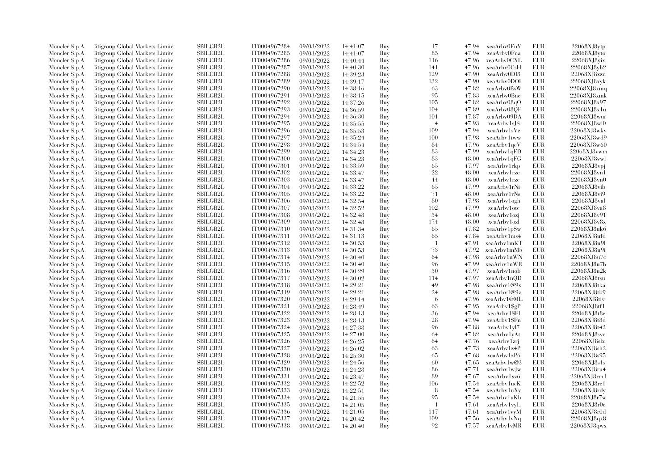| Moncler S.p.A.                   | Citigroup Global Markets Limite                                    | <b>SBILGB2L</b>                    | IT0004967284                 | 09/03/2022               | 14:41:07 | Buy        | 17             | 47.94          | xeaArbv0FnY                | <b>EUR</b>        | 22068XJ8vtp                |
|----------------------------------|--------------------------------------------------------------------|------------------------------------|------------------------------|--------------------------|----------|------------|----------------|----------------|----------------------------|-------------------|----------------------------|
| Moncler S.p.A.                   | Citigroup Global Markets Limite                                    | <b>SBILGB2L</b>                    | IT0004967285                 | 09/03/2022               | 14:41:07 | Buy        | 85             | 47.94          | xeaArbv0Fna                | EUR               | $22068X$ J $8$ yto         |
| Moncler S.p.A.                   | Citigroup Global Markets Limite                                    | SBILGB2L                           | IT0004967286                 | 09/03/2022               | 14:40:44 | Buy        | 116            | 47.96          | xeaArbv0CXL                | <b>EUR</b>        | 22068XJ8vix                |
| Moncler S.p.A.                   | Citigroup Global Markets Limite                                    | SBILGB2L                           | IT0004967287                 | 09/03/2022               | 14:40:30 | Buy        | 141            | 47.96          | xeaArbv0CsH                | EUR               | 22068XJ8vh2                |
| Moncler S.p.A.                   | Citigroup Global Markets Limite                                    | SBILGB2L                           | IT0004967288                 | 09/03/2022               | 14:39:23 | Buy        | 129            | 47.90          | xeaArbv0DI3                | <b>EUR</b>        | 22068XJ8xzn                |
| Moncler S.p.A.                   | Citigroup Global Markets Limite                                    | SBILGB2L                           | IT0004967289                 | 09/03/2022               | 14:39:17 | Buy        | 132            | 47.90          | xeaArbv0DOI                | EUR               | 22068XJ8xyk                |
| Moncler S.p.A.                   | Citigroup Global Markets Limite                                    | SBILGB2L                           | IT0004967290                 | 09/03/2022               | 14:38:16 | Buy        | 63             | 47.82          | xeaArbv0BsW                | <b>EUR</b>        | 22068XJ8xmq                |
| Moncler S.p.A.                   | Citigroup Global Markets Limite                                    | <b>SBILGB2L</b>                    | IT0004967291                 | 09/03/2022               | 14:38:15 | Buy        | 95             | 47.83          | xeaArbv0Bne                | EUR               | 22068XJ8xmk                |
| Moncler S.p.A.                   | Citigroup Global Markets Limite                                    | <b>SBILGB2L</b>                    | IT0004967292                 | 09/03/2022               | 14:37:26 | Buy        | 105            | 47.82          | xeaArbv08qO                | EUR               | 22068XJ8x97                |
| Moncler S.p.A.                   | Citigroup Global Markets Limite                                    | <b>SBILGB2L</b>                    | IT0004967293                 | 09/03/2022               | 14:36:59 | Buy        | 104            | 47.89          | xeaArbv08QF                | EUR               | 22068XJ8x1u                |
| Moncler S.p.A.                   | Citigroup Global Markets Limite                                    | <b>SBILGB2L</b>                    | IT0004967294                 | 09/03/2022               | 14:36:30 | Buy        | 101            | 47.87          | xeaArbv09DA                | EUR               | 22068XJ8wur                |
| Moncler S.p.A.                   | Citigroup Global Markets Limite                                    | SBILGB2L                           | IT0004967295                 | 09/03/2022               | 14:35:55 | Buy        | $\overline{4}$ | 47.93          | xeaArbv1sJS                | <b>EUR</b>        | 22068XJ8wl0                |
| Moncler S.p.A.                   | Citigroup Global Markets Limite                                    | <b>SBILGB2L</b>                    | IT0004967296                 | 09/03/2022               | 14:35:53 | Buy        | 109            | 47.94          | xeaArbv1sVz                | EUR               | 22068XJ8wkv                |
| Moncler S.p.A.                   | Citigroup Global Markets Limite                                    | <b>SBILGB2L</b>                    | IT0004967297                 | 09/03/2022               | 14:35:24 | Buy        | 100            | 47.98          | xeaArbv1tww                | <b>EUR</b>        | 22068XJ8wd9                |
| Moncler S.p.A.                   | Citigroup Global Markets Limite                                    | <b>SBILGB2L</b>                    | IT0004967298                 | 09/03/2022               | 14:34:54 | Buy        | 84             | 47.96          | xeaArbv1qcV                | EUR               | 22068XJ8w60                |
| Moncler S.p.A.                   | Citigroup Global Markets Limite                                    | SBILGB2L                           | IT0004967299                 | 09/03/2022               | 14:34:23 | Buy        | 83             | 47.99          | xeaArbv1qFD                | <b>EUR</b>        | 22068XJ8vwm                |
| Moncler S.p.A.                   | Citigroup Global Markets Limite                                    | SBILGB2L                           | IT0004967300                 | 09/03/2022               | 14:34:23 | Buy        | 83             | 48.00          | xeaArbv1qFG                | EUR               | 22068XJ8vwl                |
| Moncler S.p.A.                   | Citigroup Global Markets Limite                                    | SBILGB2L                           | IT0004967301                 | 09/03/2022               | 14:33:59 | Buy        | 65             | 47.97          | xeaArbv1rkp                | EUR               | $22068XJ8$ vpj             |
| Moncler S.p.A.                   | Citigroup Global Markets Limite                                    | SBILGB2L                           | IT0004967302                 | 09/03/2022               | 14:33:47 | Buy        | 22             | 48.00          | xeaArby1rzc                | EUR               | 22068XJ8vn1                |
| Moncler S.p.A.                   | Citigroup Global Markets Limite                                    | <b>SBILGB2L</b>                    | IT0004967303                 | 09/03/2022               | 14:33:47 | Buy        | 44             | 48.00          | xeaArbv1rze                | <b>EUR</b>        | 22068XJ8vn0                |
| Moncler S.p.A.                   | Citigroup Global Markets Limite                                    | <b>SBILGB2L</b>                    | IT0004967304                 | 09/03/2022               | 14:33:22 | Buy        | 65             | 47.99          | xeaArbv1rNi                | EUR               | 22068XJ8vib                |
| Moncler S.p.A.                   | Citigroup Global Markets Limite                                    | SBILGB2L                           | IT0004967305                 | 09/03/2022               | 14:33:22 | Buy        | 71             | 48.00          | xeaArbv1rNs                | <b>EUR</b>        | 22068XJ8vi9                |
| Moncler S.p.A.                   | Citigroup Global Markets Limite                                    | SBILGB2L                           | IT0004967306                 | 09/03/2022               | 14:32:54 | Buy        | 80             | 47.98          | xeaArbv1ogh                | EUR               | 22068XJ8val                |
|                                  | Citigroup Global Markets Limite                                    | <b>SBILGB2L</b>                    | IT0004967307                 | 09/03/2022               | 14:32:52 |            | 102            | 47.99          | xeaArby1otc                | EUR               | 22068XJ8va8                |
| Moncler S.p.A.<br>Moncler S.p.A. | Citigroup Global Markets Limite                                    | <b>SBILGB2L</b>                    | IT0004967308                 | 09/03/2022               |          | Buy<br>Buy | 34             | 48.00          | xeaArbv1ozj                | EUR               | 22068XJ8v91                |
|                                  |                                                                    |                                    |                              |                          | 14:32:48 |            |                |                |                            |                   |                            |
| Moncler S.p.A.                   | Citigroup Global Markets Limite<br>Citigroup Global Markets Limite | SBILGB2L<br>SBILGB2L               | IT0004967309<br>IT0004967310 | 09/03/2022<br>09/03/2022 | 14:32:48 | Buy<br>Buy | 174<br>65      | 48.00<br>47.82 | xeaArbv1ozl<br>xeaArbv1pSw | EUR<br>EUR        | 22068XJ8v8x<br>22068XJ8uk6 |
| Moncler S.p.A.                   |                                                                    |                                    |                              |                          | 14:31:34 |            |                |                |                            |                   |                            |
| Moncler S.p.A.                   | Citigroup Global Markets Limite                                    | <b>SBILGB2L</b><br><b>SBILGB2L</b> | IT0004967311                 | 09/03/2022               | 14:31:13 | Buy        | 65<br>-1       | 47.84<br>47.91 | xeaArbv1ms4                | <b>EUR</b><br>EUR | 22068XJ8ufd                |
| Moncler S.p.A.                   | Citigroup Global Markets Limite                                    | SBILGB2L                           | IT0004967312                 | 09/03/2022               | 14:30:53 | Buy        | 73             |                | xeaArbv1mKT                | <b>EUR</b>        | 22068XJ8u9l                |
| Moncler S.p.A.                   | Citigroup Global Markets Limite                                    |                                    | IT0004967313                 | 09/03/2022               | 14:30:53 | Buy        |                | 47.92          | xeaArbv1mM5                |                   | 22068XJ8u9i                |
| Moncler S.p.A.                   | Citigroup Global Markets Limite                                    | <b>SBILGB2L</b>                    | IT0004967314                 | 09/03/2022               | 14:30:40 | Buy        | 64             | 47.98          | xeaArbv1nWN                | EUR               | 22068XJ8u7c                |
| Moncler S.p.A.                   | Citigroup Global Markets Limite                                    | <b>SBILGB2L</b>                    | IT0004967315                 | 09/03/2022               | 14:30:40 | Buy        | 96             | 47.99          | xeaArbv1nWR                | <b>EUR</b>        | 22068XJ8u7b                |
| Moncler S.p.A.                   | Citigroup Global Markets Limite                                    | <b>SBILGB2L</b>                    | IT0004967316                 | 09/03/2022               | 14:30:29 | Buy        | 30             | 47.97          | xeaArbv1nob                | EUR               | 22068XJ8u2k                |
| Moncler S.p.A.                   | Citigroup Global Markets Limite                                    | SBILGB2L                           | IT0004967317                 | 09/03/2022               | 14:30:02 | Buy        | 114            | 47.97          | xeaArbv1nQD                | <b>EUR</b>        | 22068XJ8tsu                |
| Moncler S.p.A.                   | Citigroup Global Markets Limite                                    | <b>SBILGB2L</b>                    | IT0004967318                 | 09/03/2022               | 14:29:21 | Buy        | 49             | 47.98          | $x$ eaArby1@9x             | EUR               | 22068XJ8tka                |
| Moncler S.p.A.                   | Citigroup Global Markets Limite                                    | <b>SBILGB2L</b>                    | IT0004967319                 | 09/03/2022               | 14:29:21 | Buy        | 24             | 47.98          | xeaArbv1@9z                | EUR               | 22068XJ8tk9                |
| Moncler S.p.A.                   | Citigroup Global Markets Limite                                    | SBILGB2L                           | IT0004967320                 | 09/03/2022               | 14:29:14 | Buy        | 6              | 47.96          | xeaArbv1@ML                | EUR               | $22068$ XJ8tiv             |
| Moncler S.p.A.                   | Citigroup Global Markets Limite                                    | SBILGB2L                           | IT0004967321                 | 09/03/2022               | 14:28:49 | Buy        | 63             | 47.95          | xeaArbv1\$gP               | EUR               | 22068XJ8tf1                |
| Moncler S.p.A.                   | Citigroup Global Markets Limite                                    | <b>SBILGB2L</b>                    | IT0004967322                 | 09/03/2022               | 14:28:13 | Buy        | 36             | 47.94          | xeaArbv1\$Fl               | EUR               | 22068XJ8t8e                |
| Moncler S.p.A.                   | Citigroup Global Markets Limite                                    | <b>SBILGB2L</b>                    | IT0004967323                 | 09/03/2022               | 14:28:13 | Buy        | 28             | 47.94          | xeaArbv1\$Fn               | EUR               | 22068XJ8t8d                |
| Moncler S.p.A.                   | Citigroup Global Markets Limite                                    | <b>SBILGB2L</b>                    | IT0004967324                 | 09/03/2022               | 14:27:38 | Buy        | 96             | 47.88          | xeaArby1yl7                | <b>EUR</b>        | 22068XJ8t42                |
| Moncler S.p.A.                   | Citigroup Global Markets Limite                                    | SBILGB2L                           | IT0004967325                 | 09/03/2022               | 14:27:00 | Buy        | 64             | 47.82          | xeaArbv1yAt                | EUR               | 22068XJ8svc                |
| Moncler S.p.A.                   | Citigroup Global Markets Limite                                    | SBILGB2L                           | IT0004967326                 | 09/03/2022               | 14:26:25 | Buy        | 64             | 47.76          | xeaArbv1zrj                | <b>EUR</b>        | 22068XJ8slx                |
| Moncler S.p.A.                   | Citigroup Global Markets Limite                                    | SBILGB2L                           | IT0004967327                 | 09/03/2022               | 14:26:02 | Buy        | 63             | 47.73          | xeaArbv1z4P                | EUR               | 22068XJ8sh2                |
| Moncler S.p.A.                   | Citigroup Global Markets Limite                                    | <b>SBILGB2L</b>                    | IT0004967328                 | 09/03/2022               | 14:25:30 | Buy        | 65             | 47.68          | xeaArby1zP6                | EUR               | 22068XJ8s95                |
| Moncler S.p.A.                   | Citigroup Global Markets Limite                                    | SBILGB2L                           | IT0004967329                 | 09/03/2022               | 14:24:56 | Buy        | 60             | 47.65          | xeaArbv1w@3                | <b>EUR</b>        | 22068XJ8s1s                |
| Moncler S.p.A.                   | Citigroup Global Markets Limite                                    | SBILGB2L                           | IT0004967330                 | 09/03/2022               | 14:24:28 | Buy        | 86             | 47.71          | xeaArbv1wJw                | EUR               | 22068XJ8ru4                |
| Moncler S.p.A.                   | Citigroup Global Markets Limite                                    | <b>SBILGB2L</b>                    | IT0004967331                 | 09/03/2022               | 14:23:47 | Buy        | 89             | 47.67          | xeaArbv1xz6                | EUR               | 22068XJ8rm1                |
| Moncler S.p.A.                   | Citigroup Global Markets Limite                                    | SBILGB2L                           | IT0004967332                 | 09/03/2022               | 14:22:52 | Buy        | 106            | 47.54          | xeaArbv1ucK                | EUR               | 22068XJ8re1                |
| Moncler S.p.A.                   | Citigroup Global Markets Limite                                    | SBILGB2L                           | IT0004967333                 | 09/03/2022               | 14:22:51 | Buy        | 8              | 47.54          | xeaArbv1uXy                | <b>EUR</b>        | 22068XJ8rdy                |
| Moncler S.p.A.                   | Litigroup Global Markets Limite                                    | SBILGB2L                           | IT0004967334                 | 09/03/2022               | 14:21:55 | Buy        | 95             | 47.54          | xeaArbv1uKh                | EUR               | 22068XJ8r7w                |
| Moncler S.p.A.                   | Litigroup Global Markets Limite                                    | <b>SBILGB2L</b>                    | IT0004967335                 | 09/03/2022               | 14:21:05 | Buy        | $\overline{1}$ | 47.61          | xeaArbv1vyL                | EUR               | 22068XJ8r0e                |
| Moncler S.p.A.                   | Citigroup Global Markets Limite                                    | SBILGB2L                           | IT0004967336                 | 09/03/2022               | 14:21:05 | Buy        | 117            | 47.61          | xeaArbv1vyM                | EUR               | 22068XJ8r0d                |
| Moncler S.p.A.                   | Citigroup Global Markets Limite                                    | <b>SBILGB2L</b>                    | IT0004967337                 | 09/03/2022               | 14:20:42 | Buy        | 109            | 47.56          | xeaArbv1vNq                | <b>EUR</b>        | 22068XJ8qx8                |
| Moncler S.p.A.                   | Citigroup Global Markets Limited                                   | SBILGB2L                           | IT0004967338                 | 09/03/2022               | 14:20:40 | Buy        | 92             | 47.57          | xeaArbv1vMR                | <b>EUR</b>        | 22068XJ8qwx                |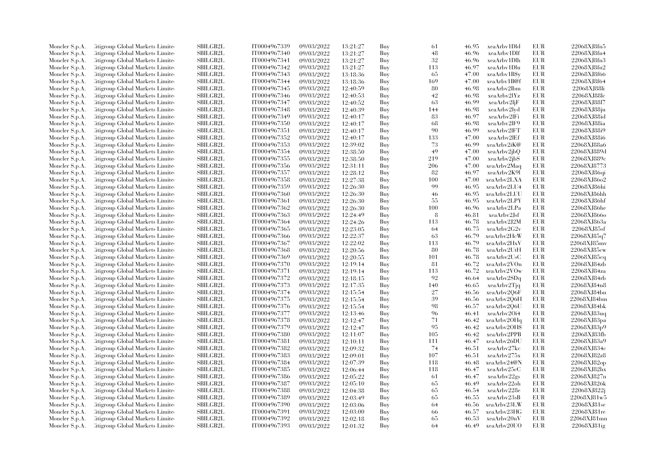| Moncler S.p.A. | Litigroup Global Markets Limite  | SBILGB2L        | IT0004967339 | 09/03/2022 | 13:21:27 | Buy | 61  | 46.95 | xeaArby1Dld  | <b>EUR</b> | 22068XJ8fn5 |
|----------------|----------------------------------|-----------------|--------------|------------|----------|-----|-----|-------|--------------|------------|-------------|
| Moncler S.p.A. | Litigroup Global Markets Limite  | <b>SBILGB2L</b> | IT0004967340 | 09/03/2022 | 13:21:27 | Buy | 48  | 46.96 | xeaArbv1Dlf  | <b>EUR</b> | 22068XJ8fn4 |
| Moncler S.p.A. | Citigroup Global Markets Limite  | SBILGB2L        | IT0004967341 | 09/03/2022 | 13:21:27 | Buy | 32  | 46.96 | xeaArbv1Dlh  | <b>EUR</b> | 22068XJ8fn3 |
| Moncler S.p.A. | Litigroup Global Markets Limite  | SBILGB2L        | IT0004967342 | 09/03/2022 | 13:21:27 | Buy | 113 | 46.97 | xeaArbv1Dlu  | <b>EUR</b> | 22068XJ8fn2 |
|                | Litigroup Global Markets Limite  | <b>SBILGB2L</b> | IT0004967343 | 09/03/2022 |          | Buy | 65  | 47.00 | xeaArbv1B\$y | <b>EUR</b> | 22068XJ8f66 |
| Moncler S.p.A. |                                  |                 |              |            | 13:18:36 |     |     |       |              |            |             |
| Moncler S.p.A. | Citigroup Global Markets Limite  | SBILGB2L        | IT0004967344 | 09/03/2022 | 13:18:36 | Buy | 169 | 47.00 | xeaArbv1B@f  | EUR        | 22068XJ8f64 |
| Moncler S.p.A. | Citigroup Global Markets Limite  | SBILGB2L        | IT0004967345 | 09/03/2022 | 12:40:59 | Buy | 80  | 46.98 | xeaArbv2lbm  | <b>EUR</b> | 22068XJ88li |
| Moncler S.p.A. | Litigroup Global Markets Limite  | <b>SBILGB2L</b> | IT0004967346 | 09/03/2022 | 12:40:53 | Buy | 42  | 46.98 | xeaArbv2lYz  | <b>EUR</b> | 22068XJ88lc |
| Moncler S.p.A. | Litigroup Global Markets Limite  | <b>SBILGB2L</b> | IT0004967347 | 09/03/2022 | 12:40:52 | Buy | 63  | 46.99 | xeaArbv2ljF  | <b>EUR</b> | 22068XJ88l7 |
| Moncler S.p.A. | Citigroup Global Markets Limite  | <b>SBILGB2L</b> | IT0004967348 | 09/03/2022 | 12:40:39 | Buy | 144 | 46.98 | xeaArbv2lyd  | <b>EUR</b> | 22068XJ88ju |
| Moncler S.p.A. | Citigroup Global Markets Limite  | <b>SBILGB2L</b> | IT0004967349 | 09/03/2022 | 12:40:17 | Buy | 83  | 46.97 | xeaArbv2lFi  | EUR        | 22068XJ88id |
| Moncler S.p.A. | Litigroup Global Markets Limite  | SBILGB2L        | IT0004967350 | 09/03/2022 | 12:40:17 | Buy | 68  | 46.98 | xeaArbv2lF9  | <b>EUR</b> | 22068XJ88ia |
| Moncler S.p.A. | Litigroup Global Markets Limite  | <b>SBILGB2L</b> | IT0004967351 | 09/03/2022 | 12:40:17 | Buy | 90  | 46.99 | xeaArbv2lFT  | <b>EUR</b> | 22068XJ88i9 |
| Moncler S.p.A. | Litigroup Global Markets Limite  | <b>SBILGB2L</b> | IT0004967352 | 09/03/2022 | 12:40:17 | Buy | 133 | 47.00 | xeaArbv2lEf  | EUR        | 22068XJ88i6 |
| Moncler S.p.A. | Citigroup Global Markets Limite  | SBILGB2L        | IT0004967353 | 09/03/2022 | 12:39:02 | Buy | 73  | 46.99 | xeaArbv2iK@  | <b>EUR</b> | 22068XJ88a6 |
| Moncler S.p.A. | Litigroup Global Markets Limite  | SBILGB2L        | IT0004967354 | 09/03/2022 | 12:38:50 | Buy | 49  | 47.00 | xeaArbv2jbQ  | <b>EUR</b> | 22068XJ889d |
| Moncler S.p.A. | Citigroup Global Markets Limite  | SBILGB2L        | IT0004967355 | 09/03/2022 | 12:38:50 | Buy | 219 | 47.00 | xeaArbv2jbS  | <b>EUR</b> | 22068XJ889c |
| Moncler S.p.A. | Litigroup Global Markets Limite  | <b>SBILGB2L</b> | IT0004967356 | 09/03/2022 | 12:31:11 | Buy | 206 | 47.00 | xeaArbv2Maq  | <b>EUR</b> | 22068XJ8773 |
|                |                                  | SBILGB2L        |              |            |          |     | 82  | 46.97 | xeaArbv2K91  | <b>EUR</b> |             |
| Moncler S.p.A. | Citigroup Global Markets Limite  |                 | IT0004967357 | 09/03/2022 | 12:28:12 | Buy |     |       |              |            | 22068XJ86qi |
| Moncler S.p.A. | Litigroup Global Markets Limite  | <b>SBILGB2L</b> | IT0004967358 | 09/03/2022 | 12:27:38 | Buy | 100 | 47.00 | xeaArbv2LXA  | <b>EUR</b> | 22068XJ86o2 |
| Moncler S.p.A. | Citigroup Global Markets Limite  | <b>SBILGB2L</b> | IT0004967359 | 09/03/2022 | 12:26:30 | Buy | 99  | 46.95 | xeaArbv2LU4  | <b>EUR</b> | 22068XJ86hi |
| Moncler S.p.A. | Litigroup Global Markets Limite  | SBILGB2L        | IT0004967360 | 09/03/2022 | 12:26:30 | Buy | 46  | 46.95 | xeaArbv2LUU  | <b>EUR</b> | 22068XJ86hh |
| Moncler S.p.A. | Citigroup Global Markets Limite  | SBILGB2L        | IT0004967361 | 09/03/2022 | 12:26:30 | Buy | 55  | 46.95 | xeaArbv2LPY  | <b>EUR</b> | 22068XJ86hf |
| Moncler S.p.A. | Citigroup Global Markets Limite  | <b>SBILGB2L</b> | IT0004967362 | 09/03/2022 | 12:26:30 | Buy | 100 | 46.96 | xeaArbv2LPa  | <b>EUR</b> | 22068XJ86he |
| Moncler S.p.A. | Citigroup Global Markets Limite  | <b>SBILGB2L</b> | IT0004967363 | 09/03/2022 | 12:24:49 | Buy | 8   | 46.81 | xeaArbv2Jsf  | EUR        | 22068XJ866o |
| Moncler S.p.A. | Citigroup Global Markets Limite  | SBILGB2L        | IT0004967364 | 09/03/2022 | 12:24:26 | Buy | 113 | 46.78 | xeaArbv2J2M  | EUR        | 22068XJ863a |
| Moncler S.p.A. | Litigroup Global Markets Limite  | <b>SBILGB2L</b> | IT0004967365 | 09/03/2022 | 12:23:05 | Buy | 64  | 46.75 | xeaArbv2G2v  | <b>EUR</b> | 22068XJ85sf |
| Moncler S.p.A. | Litigroup Global Markets Limite  | <b>SBILGB2L</b> | IT0004967366 | 09/03/2022 | 12:22:37 | Buy | 63  | 46.79 | xeaArbv2HcW  | <b>EUR</b> | 22068XJ85q7 |
| Moncler S.p.A. | Citigroup Global Markets Limite  | SBILGB2L        | IT0004967367 | 09/03/2022 | 12:22:02 | Buy | 113 | 46.79 | xeaArbv2HxV  | EUR        | 22068XJ85mv |
| Moncler S.p.A. | Citigroup Global Markets Limite  | SBILGB2L        | IT0004967368 | 09/03/2022 | 12:20:56 | Buy | 80  | 46.78 | xeaArbv2UtH  | <b>EUR</b> | 22068XJ85cw |
| Moncler S.p.A. | Citigroup Global Markets Limite  | SBILGB2L        | IT0004967369 | 09/03/2022 | 12:20:55 | Buy | 101 | 46.78 | xeaArbv2UsC  | <b>EUR</b> | 22068XJ85cq |
| Moncler S.p.A. | Litigroup Global Markets Limite  | <b>SBILGB2L</b> | IT0004967370 | 09/03/2022 | 12:19:14 | Buy | 81  | 46.72 | xeaArbv2VOn  | <b>EUR</b> | 22068XJ84zb |
| Moncler S.p.A. | Litigroup Global Markets Limite  | <b>SBILGB2L</b> | IT0004967371 | 09/03/2022 | 12:19:14 | Buy | 113 | 46.72 | xeaArbv2VOw  | <b>EUR</b> | 22068XJ84za |
| Moncler S.p.A. |                                  | SBILGB2L        | IT0004967372 |            |          | Buy | 92  |       | xeaArbv2SDq  | <b>EUR</b> | 22068XJ84rb |
|                | Citigroup Global Markets Limite  |                 |              | 09/03/2022 | 12:18:15 |     |     | 46.64 |              |            |             |
| Moncler S.p.A. | Citigroup Global Markets Limite  | SBILGB2L        | IT0004967373 | 09/03/2022 | 12:17:35 | Buy | 140 | 46.65 | xeaArbv2Tjq  | <b>EUR</b> | 22068XJ84n8 |
| Moncler S.p.A. | Litigroup Global Markets Limite  | <b>SBILGB2L</b> | IT0004967374 | 09/03/2022 | 12:15:54 | Buy | 27  | 46.56 | xeaArbv2Q6F  | EUR        | 22068XJ84bn |
| Moncler S.p.A. | Citigroup Global Markets Limite  | SBILGB2L        | IT0004967375 | 09/03/2022 | 12:15:54 | Buy | 39  | 46.56 | xeaArbv2Q6H  | EUR        | 22068XJ84bm |
| Moncler S.p.A. | Citigroup Global Markets Limite  | SBILGB2L        | IT0004967376 | 09/03/2022 | 12:15:54 | Buy | 98  | 46.57 | xeaArbv2Q6U  | EUR        | 22068XJ84bk |
| Moncler S.p.A. | Litigroup Global Markets Limite  | <b>SBILGB2L</b> | IT0004967377 | 09/03/2022 | 12:13:46 | Buy | 96  | 46.41 | xeaArbv2Oi4  | EUR        | 22068XJ83uq |
| Moncler S.p.A. | Litigroup Global Markets Limite  | <b>SBILGB2L</b> | IT0004967378 | 09/03/2022 | 12:12:47 | Buy | 71  | 46.42 | xeaArbv2OHq  | EUR        | 22068XJ83pa |
| Moncler S.p.A. | Citigroup Global Markets Limite  | <b>SBILGB2L</b> | IT0004967379 | 09/03/2022 | 12:12:47 | Buy | 95  | 46.42 | xeaArbv2OH\$ | <b>EUR</b> | 22068XJ83p9 |
| Moncler S.p.A. | Citigroup Global Markets Limite  | SBILGB2L        | IT0004967380 | 09/03/2022 | 12:11:07 | Buy | 105 | 46.42 | xeaArbv2PPB  | <b>EUR</b> | 22068XJ83fb |
| Moncler S.p.A. | Citigroup Global Markets Limite  | SBILGB2L        | IT0004967381 | 09/03/2022 | 12:10:11 | Buy | 111 | 46.47 | xeaArbv26DU  | <b>EUR</b> | 22068XJ83a9 |
| Moncler S.p.A. | Citigroup Global Markets Limite  | SBILGB2L        | IT0004967382 | 09/03/2022 | 12:09:32 | Buy | 74  | 46.51 | xeaArbv27kc  | <b>EUR</b> | 22068XJ834c |
| Moncler S.p.A. | Citigroup Global Markets Limite  | <b>SBILGB2L</b> | IT0004967383 | 09/03/2022 | 12:09:01 | Buy | 107 | 46.51 | xeaArbv275x  | <b>EUR</b> | 22068XJ82z8 |
| Moncler S.p.A. | Citigroup Global Markets Limite  | SBILGB2L        | IT0004967384 | 09/03/2022 | 12:07:39 | Buy | 118 | 46.48 | xeaArbv24@N  | <b>EUR</b> | 22068XJ82op |
| Moncler S.p.A. | Citigroup Global Markets Limite  | <b>SBILGB2L</b> | IT0004967385 | 09/03/2022 | 12:06:44 | Buy | 118 | 46.47 | xeaArbv25cC  | <b>EUR</b> | 22068XJ82hx |
| Moncler S.p.A. | Citigroup Global Markets Limite  | <b>SBILGB2L</b> | IT0004967386 | 09/03/2022 | 12:05:22 | Buy | 61  | 46.47 | xeaArbv22gs  | EUR        | 22068XJ827n |
| Moncler S.p.A. | Citigroup Global Markets Limite  | <b>SBILGB2L</b> | IT0004967387 | 09/03/2022 | 12:05:10 | Buy | 65  | 46.49 | xeaArbv22oh  | <b>EUR</b> | 22068XJ826k |
|                |                                  |                 |              |            |          |     | 65  |       |              |            |             |
| Moncler S.p.A. | Citigroup Global Markets Limite  | SBILGB2L        | IT0004967388 | 09/03/2022 | 12:04:38 | Buy |     | 46.54 | xeaArbv228e  | EUR        | 22068XJ822j |
| Moncler S.p.A. | Litigroup Global Markets Limite  | <b>SBILGB2L</b> | IT0004967389 | 09/03/2022 | 12:03:49 | Buy | 65  | 46.55 | xeaArbv23sB  | EUR        | 22068XJ81w5 |
| Moncler S.p.A. | Litigroup Global Markets Limite  | <b>SBILGB2L</b> | IT0004967390 | 09/03/2022 | 12:03:06 | Buy | 64  | 46.56 | xeaArbv23LW  | <b>EUR</b> | 22068XJ81se |
| Moncler S.p.A. | Citigroup Global Markets Limite  | SBILGB2L        | IT0004967391 | 09/03/2022 | 12:03:00 | Buy | 66  | 46.57 | xeaArbv23HG  | EUR        | 22068XJ81re |
| Moncler S.p.A. | Citigroup Global Markets Limite  | <b>SBILGB2L</b> | IT0004967392 | 09/03/2022 | 12:02:18 | Buy | 65  | 46.53 | xeaArbv20nV  | <b>EUR</b> | 22068XJ81mn |
| Moncler S.p.A. | Citigroup Global Markets Limited | SBILGB2L        | IT0004967393 | 09/03/2022 | 12:01:32 | Buv | 64  | 46.49 | xeaArbv20UO  | <b>EUR</b> | 22068XJ81ig |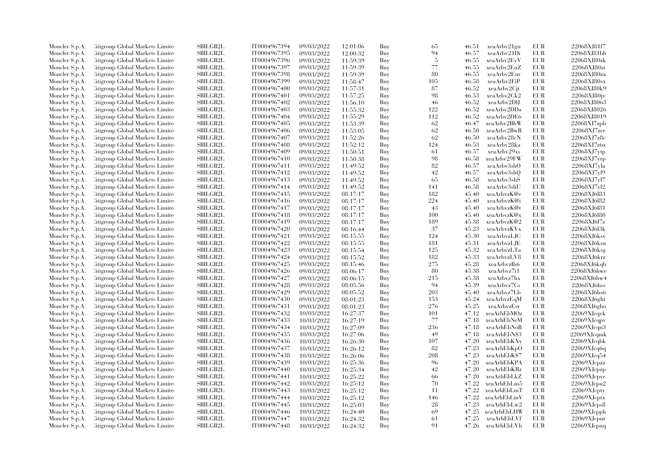| Moncler S.p.A.                   | Citigroup Global Markets Limite  | SBILGB2L        | IT0004967394 | 09/03/2022 | 12:01:06 | Buy | 65       | 46.51 | xeaArbv21gu       | EUR        | 22068XJ81f7          |
|----------------------------------|----------------------------------|-----------------|--------------|------------|----------|-----|----------|-------|-------------------|------------|----------------------|
| Moncler S.p.A.                   | Citigroup Global Markets Limite  | SBILGB2L        | IT0004967395 | 09/03/2022 | 12:00:32 | Buy | 94       | 46.57 | xeaArbv21Di       | EUR        | 22068XJ81bh          |
| Moncler S.p.A.                   | Citigroup Global Markets Limite  | SBILGB2L        | IT0004967396 | 09/03/2022 | 11:59:39 | Buy | -5       | 46.55 | xeaArbv2EvV       | <b>EUR</b> | 22068XJ80zk          |
| Moncler S.p.A.                   | Litigroup Global Markets Limite  | SBILGB2L        | IT0004967397 | 09/03/2022 | 11:59:39 | Buy | 77       | 46.55 | xeaArbv2EuZ       | <b>EUR</b> | 22068XJ80zi          |
| Moncler S.p.A.                   | Citigroup Global Markets Limite  | <b>SBILGB2L</b> | IT0004967398 | 09/03/2022 | 11:59:39 | Buy | 80       | 46.55 | xeaArbv2Eur       | <b>EUR</b> | 22068XJ80za          |
| Moncler S.p.A.                   | Citigroup Global Markets Limite  | SBILGB2L        | IT0004967399 | 09/03/2022 | 11:58:47 | Buy | 105      | 46.58 | xeaArbv2FiP       | EUR        | 22068XJ80sx          |
| Moncler S.p.A.                   | Citigroup Global Markets Limite  | <b>SBILGB2L</b> | IT0004967400 | 09/03/2022 | 11:57:31 | Buy | 87       | 46.52 | xeaArbv2Cjt       | <b>EUR</b> | 22068XJ80k9          |
| Moncler S.p.A.                   | Litigroup Global Markets Limite  | <b>SBILGB2L</b> | IT0004967401 | 09/03/2022 | 11:57:25 | Buy | 98       | 46.53 | xeaArbv2Ck2       | <b>EUR</b> | 22068XJ80jv          |
| Moncler S.p.A.                   | Citigroup Global Markets Limite  | <b>SBILGB2L</b> | IT0004967402 | 09/03/2022 | 11:56:10 | Buy | 46       | 46.52 | xeaArbv2DlJ       | <b>EUR</b> | 22068XJ8063          |
| Moncler S.p.A.                   | Citigroup Global Markets Limite  | <b>SBILGB2L</b> | IT0004967403 | 09/03/2022 | 11:55:32 | Buy | 122      | 46.52 | xeaArbv2DDa       | <b>EUR</b> | 22068XJ8026          |
| Moncler S.p.A.                   | Citigroup Global Markets Limite  | <b>SBILGB2L</b> |              | 09/03/2022 |          | Buy | 112      | 46.52 | xeaArbv2DE6       | <b>EUR</b> | 22068XJ8019          |
|                                  |                                  |                 | IT0004967404 |            | 11:55:29 |     |          |       |                   |            |                      |
| Moncler S.p.A.                   | Citigroup Global Markets Limite  | <b>SBILGB2L</b> | IT0004967405 | 09/03/2022 | 11:53:39 | Buy | 62       | 46.47 | xeaArbv2BbW       | <b>EUR</b> | $22068$ XJ $7$ zph   |
| Moncler S.p.A.                   | Citigroup Global Markets Limite  | SBILGB2L        | IT0004967406 | 09/03/2022 | 11:53:05 | Buy | 62       | 46.50 | xeaArbv2BwB       | EUR        | 22068XJ7zer          |
| Moncler S.p.A.                   | Citigroup Global Markets Limite  | SBILGB2L        | IT0004967407 | 09/03/2022 | 11:52:26 | Buy | 62       | 46.50 | xeaArbv28cN       | <b>EUR</b> | 22068XJ7z8c          |
| Moncler S.p.A.                   | Litigroup Global Markets Limite  | SBILGB2L        | IT0004967408 | 09/03/2022 | 11:52:12 | Buy | 124      | 46.53 | xeaArbv28ka       | <b>EUR</b> | 22068XJ7z6x          |
| Moncler S.p.A.                   | Citigroup Global Markets Limite  | <b>SBILGB2L</b> | IT0004967409 | 09/03/2022 | 11:50:51 | Buy | 61       | 46.57 | xeaArbv29xs       | <b>EUR</b> | 22068XJ7ytp          |
| Moncler S.p.A.                   | Citigroup Global Markets Limite  | SBILGB2L        | IT0004967410 | 09/03/2022 | 11:50:38 | Buy | 98       | 46.58 | xeaArbv29FW       | <b>EUR</b> | 22068XJ7yrp          |
| Moncler S.p.A.                   | Citigroup Global Markets Limite  | SBILGB2L        | IT0004967411 | 09/03/2022 | 11:49:52 | Buy | 82       | 46.57 | xeaArbv3shO       | <b>EUR</b> | 22068XJ7vla          |
| Moncler S.p.A.                   | Litigroup Global Markets Limite  | <b>SBILGB2L</b> | IT0004967412 | 09/03/2022 | 11:49:52 | Buy | 42       | 46.57 | xeaArbv3shQ       | <b>EUR</b> | 22068XJ7vl9          |
| Moncler S.p.A.                   | Litigroup Global Markets Limite  | <b>SBILGB2L</b> | IT0004967413 | 09/03/2022 | 11:49:52 | Buy | 65       | 46.58 | xeaArbv3shS       | EUR        | 22068XJ7vl7          |
| Moncler S.p.A.                   | Citigroup Global Markets Limite  | <b>SBILGB2L</b> | IT0004967414 | 09/03/2022 | 11:49:52 | Buy | 141      | 46.58 | xeaArbv3shU       | <b>EUR</b> | 22068XJ7yl2          |
| Moncler S.p.A.                   | Citigroup Global Markets Limite  | SBILGB2L        | IT0004967415 | 09/03/2022 | 08:17:17 | Buy | 182      | 45.40 | xeaArbvzK@e       | <b>EUR</b> | 22068XJ6183          |
| Moncler S.p.A.                   | Citigroup Global Markets Limite  | <b>SBILGB2L</b> | IT0004967416 | 09/03/2022 | 08:17:17 | Buy | 224      | 45.40 | xeaArbvzK@i       | <b>EUR</b> | 22068XJ6l82          |
| Moncler S.p.A.                   | Citigroup Global Markets Limite  | SBILGB2L        | IT0004967417 | 09/03/2022 | 08:17:17 | Buy | 43       | 45.40 | xeaArbvzK@t       | <b>EUR</b> | 22068XJ6l81          |
| Moncler S.p.A.                   | Citigroup Global Markets Limite  | <b>SBILGB2L</b> | IT0004967418 | 09/03/2022 | 08:17:17 | Buy | 100      | 45.40 | xeaArbvzK@x       | <b>EUR</b> | 22068XJ6l80          |
| Moncler S.p.A.                   | Litigroup Global Markets Limite  | <b>SBILGB2L</b> | IT0004967419 | 09/03/2022 | 08:17:17 | Buy | 189      | 45.38 | xeaArbvzK@2       | <b>EUR</b> | 22068XJ617z          |
| Moncler S.p.A.                   | Citigroup Global Markets Limite  | <b>SBILGB2L</b> | IT0004967420 | 09/03/2022 | 08:16:44 | Buy | 37       | 45.23 | xeaArbvzKVx       | <b>EUR</b> | 22068XJ6l3k          |
| Moncler S.p.A.                   | Citigroup Global Markets Limite  | SBILGB2L        | IT0004967421 | 09/03/2022 | 08:15:55 | Buy | 124      | 45.30 | xeaArbvzLJC       | <b>EUR</b> | 22068XJ6ksv          |
| Moncler S.p.A.                   | Litigroup Global Markets Limite  | <b>SBILGB2L</b> | IT0004967422 | 09/03/2022 | 08:15:55 | Buy | 181      | 45.31 | xeaArbvzLJE       | <b>EUR</b> | 22068XJ6ksu          |
| Moncler S.p.A.                   | Litigroup Global Markets Limite  | <b>SBILGB2L</b> | IT0004967423 | 09/03/2022 | 08:15:54 | Buy | 125      | 45.32 | xeaArbvzLTa       | <b>EUR</b> | 22068XJ6ksg          |
| Moncler S.p.A.                   | Litigroup Global Markets Limite  | <b>SBILGB2L</b> | IT0004967424 | 09/03/2022 | 08:15:52 | Buy | 182      | 45.33 | xeaArbvzLV8       | <b>EUR</b> | 22068XJ6krz          |
| Moncler S.p.A.                   | Citigroup Global Markets Limite  | SBILGB2L        | IT0004967425 | 09/03/2022 | 08:15:46 | Buy | 275      | 45.28 | xeaArbvzIb6       | <b>EUR</b> | 22068XJ6kqb          |
| Moncler S.p.A.                   | Citigroup Global Markets Limite  | <b>SBILGB2L</b> | IT0004967426 | 09/03/2022 | 08:06:17 | Buy | 80       | 45.38 | xeaArbvz7i1       | <b>EUR</b> | 22068XJ6hwe          |
| Moncler S.p.A.                   | Citigroup Global Markets Limite  | <b>SBILGB2L</b> | IT0004967427 | 09/03/2022 | 08:06:15 | Buy | 215      | 45.38 | xeaArbvz7hx       | <b>EUR</b> | 22068XJ6hw4          |
| Moncler S.p.A.                   | Citigroup Global Markets Limite  | SBILGB2L        | IT0004967428 | 09/03/2022 | 08:05:56 | Buy | 94       | 45.39 | xeaArbvz7Cs       | <b>EUR</b> | 22068XJ6hss          |
| Moncler S.p.A.                   | Citigroup Global Markets Limite  | <b>SBILGB2L</b> | IT0004967429 | 09/03/2022 | 08:05:52 | Buy | 203      | 45.40 | xeaArbvz7Lb       | <b>EUR</b> | 22068XJ6hs6          |
| Moncler S.p.A.                   | Litigroup Global Markets Limite  | <b>SBILGB2L</b> | IT0004967430 | 09/03/2022 | 08:01:23 | Buy | 153      | 45.24 | xeaArbvzEqM       | <b>EUR</b> | $22068$ XJ6ght       |
| Moncler S.p.A.                   | Citigroup Global Markets Limite  | <b>SBILGB2L</b> | IT0004967431 | 09/03/2022 | 08:01:23 | Buy | 276      | 45.25 | xeaArbvzEsr       | <b>EUR</b> | 22068XJ6gho          |
| Moncler S.p.A.                   | Citigroup Global Markets Limite  | <b>SBILGB2L</b> | IT0004967432 | 10/03/2022 | 16:27:37 | Buy | 101      | 47.12 | xeaArhEbMOz       | <b>EUR</b> | 22069XJcqvk          |
| Moncler S.p.A.                   | Litigroup Global Markets Limite  | <b>SBILGB2L</b> | IT0004967433 | 10/03/2022 | 16:27:19 | Buy | 77       | 47.18 | xeaArhEbNeM       | <b>EUR</b> | 22069XJcqpv          |
| Moncler S.p.A.                   | Litigroup Global Markets Limite  | <b>SBILGB2L</b> | IT0004967434 | 10/03/2022 | 16:27:09 | Buy | 236      | 47.18 | xeaArhEbNoB       | <b>EUR</b> | 22069XJcqn3          |
| Moncler S.p.A.                   | Citigroup Global Markets Limite  | SBILGB2L        | IT0004967435 | 10/03/2022 | 16:27:06 | Buy | 49       | 47.18 | xeaArhEbN\$3      | EUR        | 22069XJcqmk          |
| Moncler S.p.A.                   | Citigroup Global Markets Limite  | <b>SBILGB2L</b> | IT0004967436 | 10/03/2022 | 16:26:30 | Buy | 107      | 47.20 | xeaArhEbKXy       | <b>EUR</b> | 22069XJcqbk          |
| Moncler S.p.A.                   | Litigroup Global Markets Limite  | <b>SBILGB2L</b> | IT0004967437 | 10/03/2022 | 16:26:12 | Buy | 82       | 47.23 | xeaArhEbKpO       | <b>EUR</b> | 22069XJcq6q          |
| Moncler S.p.A.                   | Citigroup Global Markets Limite  | <b>SBILGB2L</b> | IT0004967438 | 10/03/2022 | 16:26:06 | Buy | 208      | 47.23 | xeaArhEbK\$7      | <b>EUR</b> | 22069XJcq54          |
|                                  | Citigroup Global Markets Limite  | SBILGB2L        | IT0004967439 | 10/03/2022 | 16:25:36 | Buy | 96       | 47.20 | xeaArhEbKPA       | <b>EUR</b> | 22069XJcpzz          |
| Moncler S.p.A.<br>Moncler S.p.A. | Citigroup Global Markets Limite  | <b>SBILGB2L</b> | IT0004967440 | 10/03/2022 |          | Buy | 42       | 47.20 | xeaArhEbKRz       | <b>EUR</b> | 22069XJcpzp          |
|                                  | Citigroup Global Markets Limite  | <b>SBILGB2L</b> | IT0004967441 |            | 16:25:34 |     | 66       | 47.20 | xeaArhEbLkZ       | <b>EUR</b> | 22069XJcpve          |
| Moncler S.p.A.                   |                                  |                 |              | 10/03/2022 | 16:25:22 | Buy | 70       |       |                   |            |                      |
| Moncler S.p.A.                   | Citigroup Global Markets Limite  | <b>SBILGB2L</b> | IT0004967442 | 10/03/2022 | 16:25:12 | Buy |          | 47.22 | xeaArhEbLm5       | EUR        | 22069XJcpu2          |
| Moncler S.p.A.                   | Citigroup Global Markets Limite  | SBILGB2L        | IT0004967443 | 10/03/2022 | 16:25:12 | Buy | 11       | 47.22 | xeaArhEbLmT       | <b>EUR</b> | 22069XJcpty          |
| Moncler S.p.A.                   | Litigroup Global Markets Limite  | <b>SBILGB2L</b> | IT0004967444 | 10/03/2022 | 16:25:12 | Buy | 146      | 47.22 | xeaArhEbLmV       | <b>EUR</b> | 22069XJcptx          |
| Moncler S.p.A.                   | Litigroup Global Markets Limite  | SBILGB2L        | IT0004967445 | 10/03/2022 | 16:25:03 | Buy | 28       | 47.23 | xeaArhEbLw2       | <b>EUR</b> | 22069XJcps8          |
| Moncler S.p.A.                   | Citigroup Global Markets Limite  | SBILGB2L        | IT0004967446 | 10/03/2022 | 16:24:40 | Buy | 69       | 47.25 | xeaArhEbLHW       | EUR        | 22069XJcpph          |
| Moncler S.p.A.                   | Citigroup Global Markets Limite  | <b>SBILGB2L</b> | IT0004967447 | 10/03/2022 | 16:24:32 | Buy | 61<br>91 | 47.25 | xeaArhEbLVf       | <b>EUR</b> | $22069\mbox{XJcpnr}$ |
| Moncler S.p.A.                   | Citigroup Global Markets Limited | SBILGB2L        | IT0004967448 | 10/03/2022 | 16:24:32 | Buv |          |       | 47.26 xeaArhEbLVh | <b>EUR</b> | 22069XJcpnq          |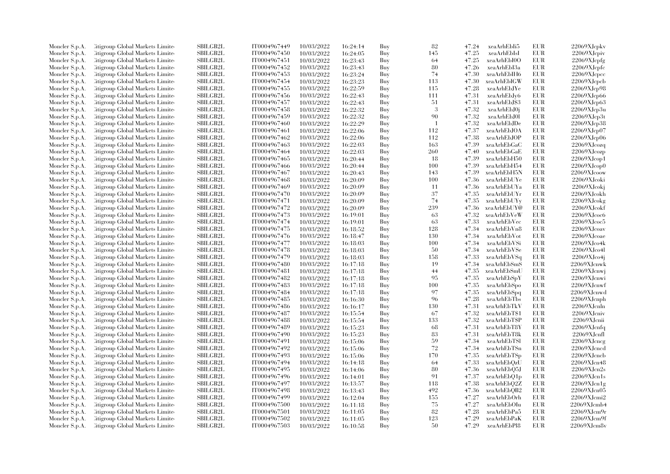| Moncler S.p.A. | Litigroup Global Markets Limite  | <b>SBILGB2L</b> | IT0004967449 | 10/03/2022 | 16:24:14 | Buy | 82             | 47.24 | xeaArhEbIi5  | EUR        | 22069XJcpkv             |
|----------------|----------------------------------|-----------------|--------------|------------|----------|-----|----------------|-------|--------------|------------|-------------------------|
| Moncler S.p.A. | Litigroup Global Markets Limite  | <b>SBILGB2L</b> | IT0004967450 | 10/03/2022 | 16:24:05 | Buy | 145            | 47.25 | xeaArhEbIsI  | <b>EUR</b> | 22069XJcpiv             |
| Moncler S.p.A. | Citigroup Global Markets Limite  | <b>SBILGB2L</b> | IT0004967451 | 10/03/2022 | 16:23:43 | Buy | 64             | 47.25 | xeaArhEbI0O  | <b>EUR</b> | 22069XJcpfg             |
| Moncler S.p.A. | Litigroup Global Markets Limite  | SBILGB2L        | IT0004967452 | 10/03/2022 | 16:23:43 | Buy | 80             | 47.26 | xeaArhEbI3a  | EUR        | 22069XJcpfc             |
| Moncler S.p.A. | Litigroup Global Markets Limite  | <b>SBILGB2L</b> | IT0004967453 | 10/03/2022 | 16:23:24 | Buy | 74             | 47.30 | xeaArhEbIH6  | <b>EUR</b> | 22069XJcpcc             |
| Moncler S.p.A. | Citigroup Global Markets Limite  | SBILGB2L        | IT0004967454 | 10/03/2022 | 16:23:23 | Buy | 113            | 47.30 | xeaArhEbIGW  | EUR        | 22069XJcpcb             |
| Moncler S.p.A. | Citigroup Global Markets Limite  | SBILGB2L        | IT0004967455 | 10/03/2022 | 16:22:59 | Buy | 115            | 47.28 | xeaArhEbJYe  | <b>EUR</b> | 22069XJcp98             |
| Moncler S.p.A. | Litigroup Global Markets Limite  | <b>SBILGB2L</b> | IT0004967456 | 10/03/2022 | 16:22:43 | Buy | 111            | 47.31 | xeaArhEbJy6  | EUR        | 22069XJcp66             |
|                |                                  |                 |              |            |          |     |                | 47.31 |              | EUR        |                         |
| Moncler S.p.A. | Litigroup Global Markets Limite  | <b>SBILGB2L</b> | IT0004967457 | 10/03/2022 | 16:22:43 | Buy | 51             |       | xeaArhEbJ\$3 |            | 22069XJcp63             |
| Moncler S.p.A. | Citigroup Global Markets Limite  | SBILGB2L        | IT0004967458 | 10/03/2022 | 16:22:32 | Buy | 3              | 47.32 | xeaArhEbJ0j  | <b>EUR</b> | 22069XJcp3u             |
| Moncler S.p.A. | Citigroup Global Markets Limite  | <b>SBILGB2L</b> | IT0004967459 | 10/03/2022 | 16:22:32 | Buy | 90             | 47.32 | xeaArhEbJ0l  | EUR        | 22069XJcp3t             |
| Moncler S.p.A. | Litigroup Global Markets Limite  | SBILGB2L        | IT0004967460 | 10/03/2022 | 16:22:29 | Buy | $\overline{1}$ | 47.32 | xeaArhEbJDe  | EUR        | 22069XJcp38             |
| Moncler S.p.A. | Citigroup Global Markets Limite  | <b>SBILGB2L</b> | IT0004967461 | 10/03/2022 | 16:22:06 | Buy | 112            | 47.37 | xeaArhEbJOA  | EUR        | 22069XJcp07             |
| Moncler S.p.A. | Litigroup Global Markets Limite  | <b>SBILGB2L</b> | IT0004967462 | 10/03/2022 | 16:22:06 | Buy | 112            | 47.38 | xeaArhEbJOP  | <b>EUR</b> | 22069XJcp06             |
| Moncler S.p.A. | Citigroup Global Markets Limite  | SBILGB2L        | IT0004967463 | 10/03/2022 | 16:22:03 | Buy | 163            | 47.39 | xeaArhEbGaC  | EUR        | 22069XJcozq             |
| Moncler S.p.A. | Litigroup Global Markets Limite  | SBILGB2L        | IT0004967464 | 10/03/2022 | 16:22:03 | Buy | 260            | 47.40 | xeaArhEbGaE  | EUR        | 22069XJcozp             |
| Moncler S.p.A. | Citigroup Global Markets Limite  | SBILGB2L        | IT0004967465 | 10/03/2022 | 16:20:44 | Buy | 18             | 47.39 | xeaArhEbH50  | EUR        | 22069XJcop1             |
| Moncler S.p.A. | Litigroup Global Markets Limite  | <b>SBILGB2L</b> | IT0004967466 | 10/03/2022 | 16:20:44 | Buy | 100            | 47.39 | xeaArhEbH54  | EUR        | 22069XJcop0             |
| Moncler S.p.A. | Citigroup Global Markets Limite  | SBILGB2L        | IT0004967467 | 10/03/2022 | 16:20:43 | Buy | 143            | 47.39 | xeaArhEbH5N  | EUR        | 22069XJcoow             |
| Moncler S.p.A. | Litigroup Global Markets Limite  | <b>SBILGB2L</b> | IT0004967468 | 10/03/2022 | 16:20:09 | Buy | 100            | 47.36 | xeaArhEbUYe  | <b>EUR</b> | 22069XJcoki             |
| Moncler S.p.A. | Citigroup Global Markets Limite  | <b>SBILGB2L</b> | IT0004967469 | 10/03/2022 | 16:20:09 | Buy | -11            | 47.36 | xeaArhEbUYa  | EUR        | 22069XJcokj             |
| Moncler S.p.A. | Litigroup Global Markets Limite  | SBILGB2L        | IT0004967470 | 10/03/2022 | 16:20:09 | Buy | 37             | 47.35 | xeaArhEbUYr  | EUR        | 22069XJcokh             |
| Moncler S.p.A. | Citigroup Global Markets Limite  | SBILGB2L        | IT0004967471 | 10/03/2022 | 16:20:09 | Buy | 74             | 47.35 | xeaArhEbUYy  | EUR        | 22069XJcokg             |
| Moncler S.p.A. | Citigroup Global Markets Limite  | <b>SBILGB2L</b> | IT0004967472 | 10/03/2022 | 16:20:09 | Buy | 239            | 47.36 | xeaArhEbUY@  | EUR        | 22069XJcokf             |
| Moncler S.p.A. | Citigroup Global Markets Limite  | <b>SBILGB2L</b> | IT0004967473 | 10/03/2022 | 16:19:01 | Buy | 63             | 47.32 | xeaArhEbVeW  | EUR        | 22069XJ <sub>coc6</sub> |
| Moncler S.p.A. | Citigroup Global Markets Limite  | SBILGB2L        | IT0004967474 | 10/03/2022 | 16:19:01 | Buy | 63             | 47.33 | xeaArhEbVec  | EUR        | 22069XJ <sub>coc5</sub> |
| Moncler S.p.A. | Litigroup Global Markets Limite  | <b>SBILGB2L</b> | IT0004967475 | 10/03/2022 | 16:18:52 | Buy | 128            | 47.34 | xeaArhEbVn8  | EUR        | $22069X$ J $coav$       |
| Moncler S.p.A. | Litigroup Global Markets Limite  | <b>SBILGB2L</b> | IT0004967476 | 10/03/2022 | 16:18:47 | Buy | 130            | 47.34 | xeaArhEbVot  | <b>EUR</b> | 22069XJcoae             |
|                | Citigroup Global Markets Limite  | SBILGB2L        | IT0004967477 | 10/03/2022 |          | Buy | 100            | 47.34 | xeaArhEbVSi  | <b>EUR</b> | 22069XJco4k             |
| Moncler S.p.A. |                                  | SBILGB2L        |              |            | 16:18:03 |     |                |       |              |            |                         |
| Moncler S.p.A. | Citigroup Global Markets Limite  |                 | IT0004967478 | 10/03/2022 | 16:18:03 | Buy | 50             | 47.34 | xeaArhEbVSe  | <b>EUR</b> | 22069XJco4I             |
| Moncler S.p.A. | Citigroup Global Markets Limite  | SBILGB2L        | IT0004967479 | 10/03/2022 | 16:18:03 | Buy | 158            | 47.33 | xeaArhEbVSq  | EUR        | 22069XJco4j             |
| Moncler S.p.A. | Litigroup Global Markets Limite  | <b>SBILGB2L</b> | IT0004967480 | 10/03/2022 | 16:17:18 | Buy | 19             | 47.34 | xeaArhEbSmS  | <b>EUR</b> | 22069XJcnwk             |
| Moncler S.p.A. | Litigroup Global Markets Limite  | <b>SBILGB2L</b> | IT0004967481 | 10/03/2022 | 16:17:18 | Buy | 44             | 47.35 | xeaArhEbSmU  | <b>EUR</b> | $22069X$ J $cm$ vj      |
| Moncler S.p.A. | Citigroup Global Markets Limite  | SBILGB2L        | IT0004967482 | 10/03/2022 | 16:17:18 | Buy | 95             | 47.35 | xeaArhEbSpY  | <b>EUR</b> | 22069XJcnwi             |
| Moncler S.p.A. | Citigroup Global Markets Limite  | SBILGB2L        | IT0004967483 | 10/03/2022 | 16:17:18 | Buy | 100            | 47.35 | xeaArhEbSpo  | <b>EUR</b> | 22069XJcnwf             |
| Moncler S.p.A. | Citigroup Global Markets Limite  | <b>SBILGB2L</b> | IT0004967484 | 10/03/2022 | 16:17:18 | Buy | 97             | 47.35 | xeaArhEbSpq  | <b>EUR</b> | 22069XJcnwd             |
| Moncler S.p.A. | Citigroup Global Markets Limite  | SBILGB2L        | IT0004967485 | 10/03/2022 | 16:16:30 | Buy | 96             | 47.28 | xeaArhEbTbs  | EUR        | 22069XJcnph             |
| Moncler S.p.A. | Citigroup Global Markets Limite  | SBILGB2L        | IT0004967486 | 10/03/2022 | 16:16:17 | Buy | 130            | 47.31 | xeaArhEbTkV  | <b>EUR</b> | 22069XJcnln             |
| Moncler S.p.A. | Litigroup Global Markets Limite  | <b>SBILGB2L</b> | IT0004967487 | 10/03/2022 | 16:15:54 | Buy | 67             | 47.32 | xeaArhEbT\$1 | <b>EUR</b> | 22069XJcniv             |
| Moncler S.p.A. | Litigroup Global Markets Limite  | <b>SBILGB2L</b> | IT0004967488 | 10/03/2022 | 16:15:54 | Buy | 133            | 47.32 | xeaArhEbT\$P | EUR        | 22069XJcnii             |
| Moncler S.p.A. | Citigroup Global Markets Limite  | <b>SBILGB2L</b> | IT0004967489 | 10/03/2022 | 16:15:23 | Buy | 68             | 47.31 | xeaArhEbT8Y  | EUR        | 22069XJcnfq             |
| Moncler S.p.A. | Citigroup Global Markets Limite  | SBILGB2L        | IT0004967490 | 10/03/2022 | 16:15:23 | Buy | 83             | 47.31 | xeaArhEbT8k  | <b>EUR</b> | 22069XJcnfl             |
| Moncler S.p.A. | Citigroup Global Markets Limite  | SBILGB2L        | IT0004967491 | 10/03/2022 | 16:15:06 | Buy | 59             | 47.34 | xeaArhEbTSI  | <b>EUR</b> | 22069XJcncg             |
| Moncler S.p.A. | Citigroup Global Markets Limite  | SBILGB2L        | IT0004967492 | 10/03/2022 | 16:15:06 | Buy | 72             | 47.34 | xeaArhEbTSn  | EUR        | 22069XJcncd             |
| Moncler S.p.A. | Citigroup Global Markets Limite  | <b>SBILGB2L</b> | IT0004967493 | 10/03/2022 | 16:15:06 | Buy | 170            | 47.35 | xeaArhEbTSp  | <b>EUR</b> | 22069XJcncb             |
| Moncler S.p.A. | Citigroup Global Markets Limite  | SBILGB2L        | IT0004967494 | 10/03/2022 | 16:14:18 | Buy | 64             | 47.33 | xeaArhEbQzU  | EUR        | 22069XJcn48             |
| Moncler S.p.A. | Citigroup Global Markets Limite  | <b>SBILGB2L</b> | IT0004967495 | 10/03/2022 | 16:14:06 | Buy | 80             | 47.36 | xeaArhEbQ5J  | EUR        | 22069XJcn2s             |
| Moncler S.p.A. | Citigroup Global Markets Limite  | <b>SBILGB2L</b> | IT0004967496 | 10/03/2022 | 16:14:01 | Buy | 91             | 47.37 | xeaArhEbQ1p  | EUR        | $22069X$ J $cn1s$       |
| Moncler S.p.A. | Citigroup Global Markets Limite  | SBILGB2L        | IT0004967497 | 10/03/2022 | 16:13:57 | Buy | 118            | 47.38 | xeaArhEbQ2Z  | <b>EUR</b> | $22069$ XJ $cn1g$       |
| Moncler S.p.A. | Citigroup Global Markets Limite  | SBILGB2L        | IT0004967498 | 10/03/2022 | 16:13:43 | Buy | 492            | 47.36 | xeaArhEbQB2  | <b>EUR</b> | 22069XJcn05             |
| Moncler S.p.A. | Litigroup Global Markets Limite  | <b>SBILGB2L</b> | IT0004967499 | 10/03/2022 | 16:12:04 | Buy | 155            | 47.27 | xeaArhEbOrh  | <b>EUR</b> | 22069XJcmi2             |
| Moncler S.p.A. | Litigroup Global Markets Limite  | <b>SBILGB2L</b> | IT0004967500 | 10/03/2022 | 16:11:18 | Buy | 75             | 47.27 | xeaArhEbOIu  | EUR        | 22069XJcmb4             |
| Moncler S.p.A. | Citigroup Global Markets Limite  | SBILGB2L        | IT0004967501 | 10/03/2022 | 16:11:05 | Buy | 82             | 47.28 | xeaArhEbPa5  | EUR        | 22069XJcm9r             |
| Moncler S.p.A. | Citigroup Global Markets Limite  | <b>SBILGB2L</b> | IT0004967502 | 10/03/2022 | 16:11:05 | Buy | 123            | 47.29 | xeaArhEbPaK  | <b>EUR</b> | 22069XJcm9f             |
| Moncler S.p.A. | Citigroup Global Markets Limited | SBILGB2L        | IT0004967503 | 10/03/2022 | 16:10:58 | Buy | 50             | 47.29 | xeaArhEbPl8  | <b>EUR</b> | 22069XJcm8v             |
|                |                                  |                 |              |            |          |     |                |       |              |            |                         |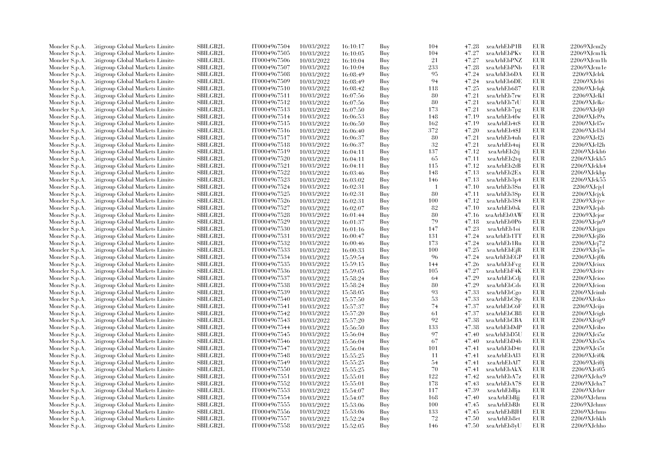| Moncler S.p.A. | Citigroup Global Markets Limite  | SBILGB2L        | IT0004967504 | 10/03/2022 | 16:10:17 | Buy | 104            | 47.28 | xeaArhEbP1B  | <b>EUR</b> | 22069XJcm2v           |
|----------------|----------------------------------|-----------------|--------------|------------|----------|-----|----------------|-------|--------------|------------|-----------------------|
| Moncler S.p.A. | Citigroup Global Markets Limite  | SBILGB2L        | IT0004967505 | 10/03/2022 | 16:10:05 | Buy | 104            | 47.27 | xeaArhEbPKv  | <b>EUR</b> | 22069XJcm1k           |
| Moncler S.p.A. | Citigroup Global Markets Limited | SBILGB2L        | IT0004967506 | 10/03/2022 | 16:10:04 | Buy | 21             | 47.27 | xeaArhEbPNZ  | <b>EUR</b> | 22069XJcm1h           |
| Moncler S.p.A. | Litigroup Global Markets Limite  | SBILGB2L        | IT0004967507 | 10/03/2022 | 16:10:04 | Buy | 233            | 47.28 | xeaArhEbPNb  | <b>EUR</b> | 22069XJcm1e           |
| Moncler S.p.A. | Citigroup Global Markets Limite  | <b>SBILGB2L</b> | IT0004967508 | 10/03/2022 | 16:08:49 | Buy | 95             | 47.24 | xeaArhEb6DA  | <b>EUR</b> | 22069XJclrk           |
| Moncler S.p.A. | Citigroup Global Markets Limite  | SBILGB2L        | IT0004967509 | 10/03/2022 | 16:08:49 | Buy | 94             | 47.24 | xeaArhEb6DE  | <b>EUR</b> | 22069XJclri           |
| Moncler S.p.A. | Citigroup Global Markets Limite  | <b>SBILGB2L</b> | IT0004967510 | 10/03/2022 | 16:08:42 | Buy | 118            | 47.25 | xeaArhEb687  | <b>EUR</b> | 22069XJclqk           |
|                |                                  |                 |              |            |          |     | 80             |       |              |            |                       |
| Moncler S.p.A. | Litigroup Global Markets Limite  | <b>SBILGB2L</b> | IT0004967511 | 10/03/2022 | 16:07:56 | Buy |                | 47.21 | xeaArhEb7rw  | <b>EUR</b> | 22069XJclkl           |
| Moncler S.p.A. | Citigroup Global Markets Limite  | <b>SBILGB2L</b> | IT0004967512 | 10/03/2022 | 16:07:56 | Buy | 80             | 47.21 | xeaArhEb7rU  | <b>EUR</b> | 22069XJclkc           |
| Moncler S.p.A. | Citigroup Global Markets Limite  | <b>SBILGB2L</b> | IT0004967513 | 10/03/2022 | 16:07:50 | Buy | 173            | 47.21 | xeaArhEb7pg  | <b>EUR</b> | 22069XJclj0           |
| Moncler S.p.A. | Citigroup Global Markets Limite  | <b>SBILGB2L</b> | IT0004967514 | 10/03/2022 | 16:06:53 | Buy | 148            | 47.19 | xeaArhEb4fw  | <b>EUR</b> | 22069XJcl9x           |
| Moncler S.p.A. | Citigroup Global Markets Limite  | <b>SBILGB2L</b> | IT0004967515 | 10/03/2022 | 16:06:50 | Buy | 162            | 47.19 | xeaArhEb4t\$ | <b>EUR</b> | 22069XJcl5v           |
| Moncler S.p.A. | Citigroup Global Markets Limite  | SBILGB2L        | IT0004967516 | 10/03/2022 | 16:06:40 | Buy | 372            | 47.20 | xeaArhEb4\$J | <b>EUR</b> | 22069XJcl3d           |
| Moncler S.p.A. | Citigroup Global Markets Limited | SBILGB2L        | IT0004967517 | 10/03/2022 | 16:06:37 | Buy | 80             | 47.21 | xeaArhEb4uh  | <b>EUR</b> | 22069XJcl2i           |
| Moncler S.p.A. | Litigroup Global Markets Limite  | <b>SBILGB2L</b> | IT0004967518 | 10/03/2022 | 16:06:37 | Buy | 32             | 47.21 | xeaArhEb4uj  | <b>EUR</b> | 22069XJcl2h           |
| Moncler S.p.A. | Citigroup Global Markets Limite  | <b>SBILGB2L</b> | IT0004967519 | 10/03/2022 | 16:04:11 | Buy | 137            | 47.12 | xeaArhEb2tj  | <b>EUR</b> | 22069XJckh6           |
| Moncler S.p.A. | Citigroup Global Markets Limite  | SBILGB2L        | IT0004967520 | 10/03/2022 | 16:04:11 | Buy | 65             | 47.11 | xeaArhEb2tq  | <b>EUR</b> | 22069XJckh5           |
| Moncler S.p.A. | Citigroup Global Markets Limite  | SBILGB2L        | IT0004967521 | 10/03/2022 | 16:04:11 | Buy | 115            | 47.12 | xeaArhEb2tB  | <b>EUR</b> | 22069XJckh4           |
| Moncler S.p.A. | Litigroup Global Markets Limite  | <b>SBILGB2L</b> | IT0004967522 | 10/03/2022 | 16:03:46 | Buy | 148            | 47.13 | xeaArhEb2Ex  | EUR        | 22069XJckbp           |
| Moncler S.p.A. | Litigroup Global Markets Limite  | <b>SBILGB2L</b> | IT0004967523 | 10/03/2022 | 16:03:02 | Buy | 146            | 47.13 | xeaArhEb3p4  | <b>EUR</b> | 22069XJck55           |
| Moncler S.p.A. | Citigroup Global Markets Limite  | <b>SBILGB2L</b> | IT0004967524 | 10/03/2022 | 16:02:31 | Buy | $\overline{1}$ | 47.10 | xeaArhEb3Sn  | <b>EUR</b> | 22069XJcjyl           |
|                |                                  | SBILGB2L        | IT0004967525 |            |          |     | 80             | 47.11 |              |            |                       |
| Moncler S.p.A. | Citigroup Global Markets Limite  |                 |              | 10/03/2022 | 16:02:31 | Buy |                |       | xeaArhEb3Sp  | <b>EUR</b> | 22069XJcjyk           |
| Moncler S.p.A. | Citigroup Global Markets Limite  | <b>SBILGB2L</b> | IT0004967526 | 10/03/2022 | 16:02:31 | Buy | 100            | 47.12 | xeaArhEb3S4  | <b>EUR</b> | 22069XJcjye           |
| Moncler S.p.A. | Citigroup Global Markets Limite  | SBILGB2L        | IT0004967527 | 10/03/2022 | 16:02:07 | Buy | 82             | 47.10 | xeaArhEb0sk  | <b>EUR</b> | 22069XJcjsb           |
| Moncler S.p.A. | Citigroup Global Markets Limite  | <b>SBILGB2L</b> | IT0004967528 | 10/03/2022 | 16:01:44 | Buy | 80             | 47.16 | xeaArhEb0AW  | <b>EUR</b> | 22069XJcjor           |
| Moncler S.p.A. | Litigroup Global Markets Limite  | <b>SBILGB2L</b> | IT0004967529 | 10/03/2022 | 16:01:37 | Buy | 79             | 47.18 | xeaArhEb0P6  | <b>EUR</b> | $22069X$ J $c$ jn $9$ |
| Moncler S.p.A. | Citigroup Global Markets Limite  | <b>SBILGB2L</b> | IT0004967530 | 10/03/2022 | 16:01:16 | Buy | 147            | 47.23 | xeaArhEb1oi  | <b>EUR</b> | 22069XJcjgu           |
| Moncler S.p.A. | Citigroup Global Markets Limite  | SBILGB2L        | IT0004967531 | 10/03/2022 | 16:00:47 | Buy | 131            | 47.24 | xeaArhEb1TT  | <b>EUR</b> | 22069XJcj86           |
| Moncler S.p.A. | Litigroup Global Markets Limite  | <b>SBILGB2L</b> | IT0004967532 | 10/03/2022 | 16:00:46 | Buy | 173            | 47.24 | xeaArhEb1Ru  | <b>EUR</b> | 22069XJcj72           |
| Moncler S.p.A. | Litigroup Global Markets Limite  | <b>SBILGB2L</b> | IT0004967533 | 10/03/2022 | 16:00:33 | Buy | 100            | 47.25 | xeaArhEbEjR  | <b>EUR</b> | $22069 \mbox{XJcj5s}$ |
| Moncler S.p.A. | Litigroup Global Markets Limite  | <b>SBILGB2L</b> | IT0004967534 | 10/03/2022 | 15:59:54 | Buy | 96             | 47.24 | xeaArhEbEGP  | <b>EUR</b> | 22069XJci0h           |
| Moncler S.p.A. | Citigroup Global Markets Limite  | SBILGB2L        | IT0004967535 | 10/03/2022 | 15:59:15 | Buy | 144            | 47.26 | xeaArhEbFvg  | EUR        | 22069XJciux           |
| Moncler S.p.A. | Citigroup Global Markets Limite  | <b>SBILGB2L</b> | IT0004967536 | 10/03/2022 | 15:59:05 | Buy | 105            | 47.27 | xeaArhEbF4K  | <b>EUR</b> | 22069XJcitv           |
| Moncler S.p.A. | Citigroup Global Markets Limite  | <b>SBILGB2L</b> | IT0004967537 | 10/03/2022 | 15:58:24 | Buy | 64             | 47.29 | xeaArhEbCdj  | <b>EUR</b> | 22069XJcioo           |
| Moncler S.p.A. | Citigroup Global Markets Limite  | SBILGB2L        | IT0004967538 | 10/03/2022 | 15:58:24 | Buy | 80             | 47.29 | xeaArhEbCds  | <b>EUR</b> | 22069XJcion           |
| Moncler S.p.A. | Citigroup Global Markets Limite  | <b>SBILGB2L</b> | IT0004967539 | 10/03/2022 | 15:58:05 | Buy | 93             | 47.33 | xeaArhEbCgo  | <b>EUR</b> | 22069XJcimb           |
| Moncler S.p.A. | Litigroup Global Markets Limite  | <b>SBILGB2L</b> | IT0004967540 | 10/03/2022 | 15:57:50 | Buy | 53             | 47.33 | xeaArhEbC\$p | <b>EUR</b> | 22069XJciko           |
|                | Citigroup Global Markets Limite  | <b>SBILGB2L</b> | IT0004967541 | 10/03/2022 |          | Buy | 74             | 47.37 | xeaArhEbC6F  | EUR        | 22069XJcijn           |
| Moncler S.p.A. |                                  |                 |              |            | 15:57:37 |     |                |       |              |            |                       |
| Moncler S.p.A. | Citigroup Global Markets Limite  | SBILGB2L        | IT0004967542 | 10/03/2022 | 15:57:20 | Buy | 61             | 47.37 | xeaArhEbCB8  | <b>EUR</b> | 22069XJcigb           |
| Moncler S.p.A. | Litigroup Global Markets Limite  | <b>SBILGB2L</b> | IT0004967543 | 10/03/2022 | 15:57:20 | Buy | 92             | 47.38 | xeaArhEbCBA  | <b>EUR</b> | $22069X$ J $ci$ g $9$ |
| Moncler S.p.A. | Litigroup Global Markets Limite  | <b>SBILGB2L</b> | IT0004967544 | 10/03/2022 | 15:56:50 | Buy | 133            | 47.38 | xeaArhEbDdP  | <b>EUR</b> | 22069XJcibo           |
| Moncler S.p.A. | Citigroup Global Markets Limite  | SBILGB2L        | IT0004967545 | 10/03/2022 | 15:56:04 | Buy | 97             | 47.40 | xeaArhEbD5U  | EUR        | 22069XJci5z           |
| Moncler S.p.A. | Citigroup Global Markets Limite  | SBILGB2L        | IT0004967546 | 10/03/2022 | 15:56:04 | Buy | 67             | 47.40 | xeaArhEbD4b  | <b>EUR</b> | 22069XJci5x           |
| Moncler S.p.A. | Litigroup Global Markets Limite  | <b>SBILGB2L</b> | IT0004967547 | 10/03/2022 | 15:56:04 | Buy | 101            | 47.41 | xeaArhEbD4t  | <b>EUR</b> | 22069XJci5t           |
| Moncler S.p.A. | Citigroup Global Markets Limite  | <b>SBILGB2L</b> | IT0004967548 | 10/03/2022 | 15:55:25 | Buy | 11             | 47.41 | xeaArhEbAl3  | <b>EUR</b> | 22069XJci0k           |
| Moncler S.p.A. | Citigroup Global Markets Limite  | SBILGB2L        | IT0004967549 | 10/03/2022 | 15:55:25 | Buy | 54             | 47.41 | xeaArhEbAl7  | <b>EUR</b> | 22069XJci0j           |
| Moncler S.p.A. | Citigroup Global Markets Limite  | <b>SBILGB2L</b> | IT0004967550 | 10/03/2022 | 15:55:25 | Buy | 70             | 47.41 | xeaArhEbAkX  | <b>EUR</b> | 22069XJci05           |
| Moncler S.p.A. | Citigroup Global Markets Limite  | <b>SBILGB2L</b> | IT0004967551 | 10/03/2022 | 15:55:01 | Buy | 122            | 47.42 | xeaArhEbA7z  | <b>EUR</b> | 22069XJchx9           |
| Moncler S.p.A. | Citigroup Global Markets Limite  | <b>SBILGB2L</b> | IT0004967552 | 10/03/2022 | 15:55:01 | Buy | 178            | 47.43 | xeaArhEbA7\$ | EUR        | 22069XJchx7           |
| Moncler S.p.A. | Citigroup Global Markets Limite  | SBILGB2L        | IT0004967553 | 10/03/2022 | 15:54:07 | Buy | 117            | 47.39 | xeaArhEbBja  | <b>EUR</b> | 22069XJchrr           |
| Moncler S.p.A. | Litigroup Global Markets Limite  | <b>SBILGB2L</b> | IT0004967554 | 10/03/2022 | 15:54:07 | Buy | 168            | 47.40 | xeaArhEbBjj  | <b>EUR</b> | 22069XJchrm           |
| Moncler S.p.A. | Litigroup Global Markets Limite  | SBILGB2L        | IT0004967555 | 10/03/2022 | 15:53:06 | Buy | 100            | 47.45 | xeaArhEbBJt  | <b>EUR</b> | 22069XJchmv           |
| Moncler S.p.A. | Citigroup Global Markets Limite  | SBILGB2L        | IT0004967556 | 10/03/2022 | 15:53:06 | Buy | 133            | 47.45 | xeaArhEbBJH  | EUR        | 22069XJchms           |
| Moncler S.p.A. | Citigroup Global Markets Limite  | <b>SBILGB2L</b> | IT0004967557 | 10/03/2022 | 15:52:24 | Buy | 72             | 47.50 | xeaArhEb8et  | <b>EUR</b> | 22069XJchkh           |
|                |                                  | SBILGB2L        | IT0004967558 |            |          | Buv | 146            | 47.50 |              | <b>EUR</b> | 22069XJchho           |
| Moncler S.p.A. | Citigroup Global Markets Limited |                 |              | 10/03/2022 | 15:52:05 |     |                |       | xeaArhEb8yU  |            |                       |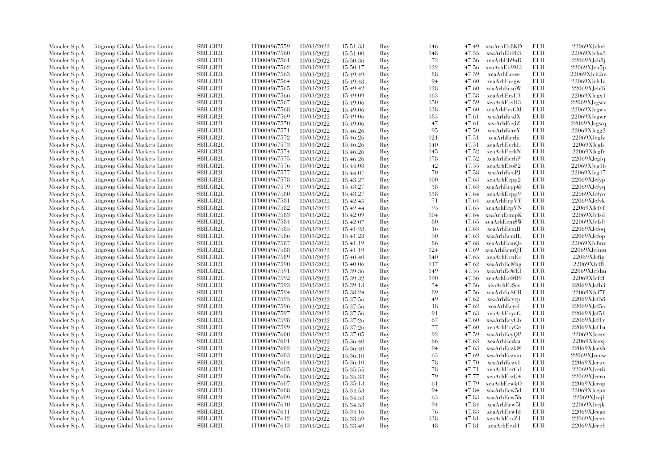| Moncler S.p.A.                   | Litigroup Global Markets Limite  | <b>SBILGB2L</b> | IT0004967559 | 10/03/2022 | 15:51:33             | Buy | 146         | 47.49 | xeaArhEb8KD  | <b>EUR</b> | $22069X$ Jchel           |
|----------------------------------|----------------------------------|-----------------|--------------|------------|----------------------|-----|-------------|-------|--------------|------------|--------------------------|
| Moncler S.p.A.                   | Litigroup Global Markets Limite  | <b>SBILGB2L</b> | IT0004967560 | 10/03/2022 | 15:51:00             | Buy | 148         | 47.55 | xeaArhEb9h3  | <b>EUR</b> | 22069XJcha3              |
| Moncler S.p.A.                   | Citigroup Global Markets Limite  | SBILGB2L        | IT0004967561 | 10/03/2022 | 15:50:36             | Buy | $\sqrt{72}$ | 47.56 | xeaArhEb9uD  | <b>EUR</b> | 22069XJch8j              |
| Moncler S.p.A.                   | Litigroup Global Markets Limite  | SBILGB2L        | IT0004967562 | 10/03/2022 | 15:50:17             | Buy | 122         | 47.56 | xeaArhEb9M3  | <b>EUR</b> | 22069XJch5p              |
| Moncler S.p.A.                   | Litigroup Global Markets Limite  | <b>SBILGB2L</b> | IT0004967563 | 10/03/2022 | 15:49:49             | Buy | 88          | 47.59 | xeaArhEcsee  | <b>EUR</b> | 22069XJch2m              |
| Moncler S.p.A.                   | Citigroup Global Markets Limite  | SBILGB2L        | IT0004967564 | 10/03/2022 | 15:49:48             | Buy | 94          | 47.60 | xeaArhEcsgw  | <b>EUR</b> | 22069XJch1a              |
| Moncler S.p.A.                   | Citigroup Global Markets Limite  | SBILGB2L        | IT0004967565 | 10/03/2022 | 15:49:42             | Buy | 128         | 47.60 | xeaArhEcsnW  | <b>EUR</b> | 22069XJch0i              |
| Moncler S.p.A.                   | Litigroup Global Markets Limite  | <b>SBILGB2L</b> | IT0004967566 | 10/03/2022 | 15:49:09             | Buy | 163         | 47.58 | xeaArhEcsL3  | <b>EUR</b> | 22069XJcgx1              |
| Moncler S.p.A.                   | Citigroup Global Markets Limite  | <b>SBILGB2L</b> | IT0004967567 | 10/03/2022 | 15:49:06             | Buy | 150         | 47.59 | xeaArhEcsH3  | <b>EUR</b> | 22069XJcgwv              |
|                                  |                                  | <b>SBILGB2L</b> |              |            |                      |     |             |       |              | <b>EUR</b> | 22069XJcgws              |
| Moncler S.p.A.                   | Citigroup Global Markets Limite  |                 | IT0004967568 | 10/03/2022 | 15:49:06             | Buy | 138         | 47.60 | xeaArhEcsGM  | <b>EUR</b> |                          |
| Moncler S.p.A.                   | Citigroup Global Markets Limite  | <b>SBILGB2L</b> | IT0004967569 | 10/03/2022 | 15:49:06             | Buy | 183         | 47.61 | xeaArhEcsJX  |            | 22069XJcgwr              |
| Moncler S.p.A.                   | Litigroup Global Markets Limite  | SBILGB2L        | IT0004967570 | 10/03/2022 | 15:49:06             | Buy | 47          | 47.61 | xeaArhEcsJZ  | <b>EUR</b> | 22069XJcgwq              |
| Moncler S.p.A.                   | Citigroup Global Markets Limite  | <b>SBILGB2L</b> | IT0004967571 | 10/03/2022 | 15:46:26             | Buy | 95          | 47.50 | xeaArhEcreY  | <b>EUR</b> | 22069XJcgg2              |
| Moncler S.p.A.                   | Litigroup Global Markets Limite  | <b>SBILGB2L</b> | IT0004967572 | 10/03/2022 | 15:46:26             | Buy | 121         | 47.51 | xeaArhEcrhi  | <b>EUR</b> | 22069XJcgfz              |
| Moncler S.p.A.                   | Citigroup Global Markets Limite  | SBILGB2L        | IT0004967573 | 10/03/2022 | 15:46:26             | Buy | 140         | 47.51 | xeaArhEcrhL  | <b>EUR</b> | 22069XJcgfs              |
| Moncler S.p.A.                   | Litigroup Global Markets Limite  | <b>SBILGB2L</b> | IT0004967574 | 10/03/2022 | 15:46:26             | Buy | 145         | 47.52 | xeaArhEcrhN  | <b>EUR</b> | 22069XJcgfr              |
| Moncler S.p.A.                   | Citigroup Global Markets Limite  | SBILGB2L        | IT0004967575 | 10/03/2022 | 15:46:26             | Buy | 178         | 47.52 | xeaArhEcrhP  | <b>EUR</b> | 22069XJcgfq              |
| Moncler S.p.A.                   | Litigroup Global Markets Limite  | <b>SBILGB2L</b> | IT0004967576 | 10/03/2022 | 15:44:08             | Buy | 42          | 47.55 | xeaArhEcoP2  | <b>EUR</b> | 22069XJcg1b              |
| Moncler S.p.A.                   | Citigroup Global Markets Limite  | SBILGB2L        | IT0004967577 | 10/03/2022 | 15:44:07             | Buy | 70          | 47.58 | xeaArhEcoPJ  | <b>EUR</b> | 22069XJcg17              |
| Moncler S.p.A.                   | Litigroup Global Markets Limite  | <b>SBILGB2L</b> | IT0004967578 | 10/03/2022 | 15:43:27             | Buy | 100         | 47.63 | xeaArhEcpp2  | <b>EUR</b> | 22069XJcfyp              |
| Moncler S.p.A.                   | Citigroup Global Markets Limite  | <b>SBILGB2L</b> | IT0004967579 | 10/03/2022 | 15:43:27             | Buy | 38          | 47.63 | xeaArhEcpp@  | <b>EUR</b> | 22069XJcf <sub>Y</sub> q |
| Moncler S.p.A.                   | Litigroup Global Markets Limite  | SBILGB2L        | IT0004967580 | 10/03/2022 | 15:43:27             | Buy | 138         | 47.64 | xeaArhEcpp9  | <b>EUR</b> | 22069XJcfvo              |
| Moncler S.p.A.                   | Citigroup Global Markets Limite  | SBILGB2L        | IT0004967581 | 10/03/2022 | 15:42:45             | Buy | 71          | 47.64 | xeaArhEcpVY  | EUR        | 22069XJcfvk              |
| Moncler S.p.A.                   | Citigroup Global Markets Limite  | <b>SBILGB2L</b> | IT0004967582 | 10/03/2022 | 15:42:44             | Buy | 95          | 47.65 | xeaArhEcpVN  | <b>EUR</b> | 22069XJcfvf              |
| Moncler S.p.A.                   | Citigroup Global Markets Limite  | <b>SBILGB2L</b> | IT0004967583 | 10/03/2022 | 15:42:09             | Buy | 104         | 47.64 | xeaArhEcmpK  | EUR        | 22069XJcfsd              |
| Moncler S.p.A.                   | Citigroup Global Markets Limite  | <b>SBILGB2L</b> | IT0004967584 | 10/03/2022 | 15:42:07             | Buy | 80          | 47.65 | xeaArhEcmSW  | <b>EUR</b> | 22069XJcfs0              |
| Moncler S.p.A.                   | Litigroup Global Markets Limite  | <b>SBILGB2L</b> | IT0004967585 | 10/03/2022 | 15:41:28             | Buy | 16          | 47.63 | xeaArhEcmIJ  | <b>EUR</b> | 22069XJefoq              |
| Moncler S.p.A.                   | Litigroup Global Markets Limite  | <b>SBILGB2L</b> | IT0004967586 | 10/03/2022 | 15:41:28             | Buy | 50          | 47.63 | xeaArhEcmIL  | <b>EUR</b> | 22069XJefop              |
| Moncler S.p.A.                   | Citigroup Global Markets Limite  | SBILGB2L        | IT0004967587 | 10/03/2022 | 15:41:19             | Buy | 86          | 47.68 | xeaArhEcmQs  | <b>EUR</b> | 22069XJcfmz              |
| Moncler S.p.A.                   | Citigroup Global Markets Limite  | SBILGB2L        | IT0004967588 | 10/03/2022 | 15:41:19             | Buy | 124         | 47.69 | xeaArhEcmQT  | <b>EUR</b> | 22069XJcfmu              |
| Moncler S.p.A.                   | Citigroup Global Markets Limite  | SBILGB2L        | IT0004967589 | 10/03/2022 | 15:40:40             | Buy | 140         | 47.65 | xeaArhEcnEc  | <b>EUR</b> | 22069XJcfig              |
| Moncler S.p.A.                   | Litigroup Global Markets Limite  | <b>SBILGB2L</b> | IT0004967590 | 10/03/2022 | 15:40:06             | Buy | 117         | 47.62 | xeaArhEc@hg  | <b>EUR</b> | 22069XJcffl              |
| Moncler S.p.A.                   | Litigroup Global Markets Limite  | <b>SBILGB2L</b> | IT0004967591 | 10/03/2022 | 15:39:36             | Buy | 149         | 47.55 | xeaArhEc@EI  | <b>EUR</b> | 22069XJcfdm              |
| Moncler S.p.A.                   | Citigroup Global Markets Limite  | SBILGB2L        | IT0004967592 | 10/03/2022 | 15:39:32             | Buy | 190         | 47.56 | xeaArhEc@B9  | <b>EUR</b> | 22069XJcfdf              |
| Moncler S.p.A.                   | Citigroup Global Markets Limite  | SBILGB2L        | IT0004967593 | 10/03/2022 | 15:39:13             | Buy | 74          | 47.56 | xeaArhEcScs  | <b>EUR</b> | $22069X$ Jcfb3           |
| Moncler S.p.A.                   | Litigroup Global Markets Limite  | <b>SBILGB2L</b> | IT0004967594 | 10/03/2022 | 15:38:24             | Buy | 89          | 47.56 | xeaArhEc\$CR | EUR        | 22069XJcf7f              |
| Moncler S.p.A.                   | Citigroup Global Markets Limite  | SBILGB2L        | IT0004967595 | 10/03/2022 | 15:37:56             | Buy | 49          | 47.62 | xeaArhEcycp  | <b>EUR</b> | 22069XJcf58              |
| Moncler S.p.A.                   | Citigroup Global Markets Limite  | SBILGB2L        | IT0004967596 | 10/03/2022 | 15:37:56             | Buy | 18          | 47.62 | xeaArhEcycl  | EUR        | 22069XJcf5a              |
|                                  | Litigroup Global Markets Limite  | <b>SBILGB2L</b> | IT0004967597 | 10/03/2022 |                      | Buy | 91          | 47.63 | xeaArhEcycG  | <b>EUR</b> | 22069XJcf51              |
| Moncler S.p.A.<br>Moncler S.p.A. | Litigroup Global Markets Limite  | <b>SBILGB2L</b> | IT0004967598 | 10/03/2022 | 15:37:56<br>15:37:26 | Buy | 67          | 47.60 | xeaArhEcyGb  | <b>EUR</b> | 22069XJcf1v              |
|                                  | Citigroup Global Markets Limite  | <b>SBILGB2L</b> | IT0004967599 |            |                      | Buy | 77          | 47.60 | xeaArhEcyGe  | <b>EUR</b> | 22069XJcf1u              |
| Moncler S.p.A.                   |                                  | SBILGB2L        | IT0004967600 | 10/03/2022 | 15:37:26             |     | 92          |       | xeaArhEcyQP  | EUR        | 22069XJcezr              |
| Moncler S.p.A.                   | Citigroup Global Markets Limite  | <b>SBILGB2L</b> |              | 10/03/2022 | 15:37:05             | Buy |             | 47.59 |              | <b>EUR</b> |                          |
| Moncler S.p.A.                   | Citigroup Global Markets Limite  |                 | IT0004967601 | 10/03/2022 | 15:36:40             | Buy | 66          | 47.63 | xeaArhEczku  |            | $22069X$ J $c$ exj       |
| Moncler S.p.A.                   | Citigroup Global Markets Limite  | SBILGB2L        | IT0004967602 | 10/03/2022 | 15:36:40             | Buy | 94          | 47.63 | xeaArhEczk@  | <b>EUR</b> | 22069XJcexh              |
| Moncler S.p.A.                   | Citigroup Global Markets Limite  | <b>SBILGB2L</b> | IT0004967603 | 10/03/2022 | 15:36:10             | Buy | 63          | 47.69 | xeaArhEczxm  | EUR        | 22069XJceuw              |
| Moncler S.p.A.                   | Citigroup Global Markets Limite  | SBILGB2L        | IT0004967604 | 10/03/2022 | 15:36:10             | Buy | 78          | 47.70 | xeaArhEczx1  | <b>EUR</b> | 22069XJceuv              |
| Moncler S.p.A.                   | Citigroup Global Markets Limite  | <b>SBILGB2L</b> | IT0004967605 | 10/03/2022 | 15:35:55             | Buy | 78          | 47.71 | xeaArhEczCd  | <b>EUR</b> | 22069XJcet8              |
| Moncler S.p.A.                   | Citigroup Global Markets Limite  | <b>SBILGB2L</b> | IT0004967606 | 10/03/2022 | 15:35:33             | Buy | 79          | 47.77 | xeaArhEczG4  | <b>EUR</b> | 22069XJcern              |
| Moncler S.p.A.                   | Citigroup Global Markets Limite  | <b>SBILGB2L</b> | IT0004967607 | 10/03/2022 | 15:35:13             | Buy | 61          | 47.79 | xeaArhEcwkO  | EUR        | 22069XJceop              |
| Moncler S.p.A.                   | Citigroup Global Markets Limite  | SBILGB2L        | IT0004967608 | 10/03/2022 | 15:34:53             | Buy | 94          | 47.84 | xeaArhEcw5d  | <b>EUR</b> | 22069XJcejm              |
| Moncler S.p.A.                   | Litigroup Global Markets Limite  | <b>SBILGB2L</b> | IT0004967609 | 10/03/2022 | 15:34:53             | Buy | 63          | 47.83 | xeaArhEcw5h  | <b>EUR</b> | 22069XJcejl              |
| Moncler S.p.A.                   | Litigroup Global Markets Limite  | <b>SBILGB2L</b> | IT0004967610 | 10/03/2022 | 15:34:53             | Buy | 94          | 47.84 | xeaArhEcw5l  | <b>EUR</b> | $22069X$ J $cejk$        |
| Moncler S.p.A.                   | Citigroup Global Markets Limite  | SBILGB2L        | IT0004967611 | 10/03/2022 | 15:34:16             | Buy | 76          | 47.83 | xeaArhEcwId  | EUR        | 22069XJcego              |
| Moncler S.p.A.                   | Citigroup Global Markets Limite  | <b>SBILGB2L</b> | IT0004967612 | 10/03/2022 | 15:33:59             | Buy | 138         | 47.81 | xeaArhEcxZ1  | <b>EUR</b> | 22069XJceex              |
| Moncler S.p.A.                   | Citigroup Global Markets Limited | SBILGB2L        | IT0004967613 | 10/03/2022 | 15:33:49             | Buv | 48          | 47.81 | xeaArhEcxl1  | <b>EUR</b> | 22069XJcee1              |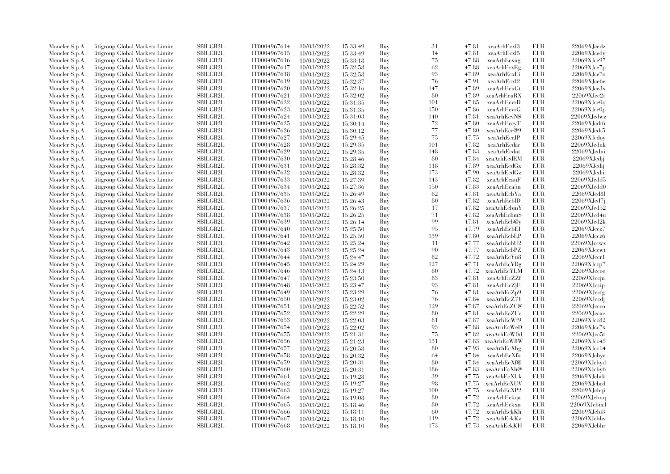| Moncler S.p.A. | <b>Citigroup Global Markets Limited</b> | <b>SBILGB2L</b> | IT0004967614                 | 10/03/2022               | 15:33:49             | Buy        | 31       | 47.81          | xeaArhEcxl3  | <b>EUR</b> | 22069XJcedz    |
|----------------|-----------------------------------------|-----------------|------------------------------|--------------------------|----------------------|------------|----------|----------------|--------------|------------|----------------|
| Moncler S.p.A. | Citigroup Global Markets Limite         | SBILGB2L        | IT0004967615                 | 10/03/2022               | 15:33:49             | Buy        | 14       | 47.81          | xeaArhEcxl5  | EUR        | 22069XJcedv    |
| Moncler S.p.A. | <b>Citigroup Global Markets Limited</b> | SBILGB2L        | IT0004967616                 | 10/03/2022               | 15:33:18             | Buy        | 75       | 47.88          | xeaArhEcxug  | <b>EUR</b> | 22069XJce97    |
| Moncler S.p.A. | Citigroup Global Markets Limite         | <b>SBILGB2L</b> | IT0004967617                 | 10/03/2022               | 15:32:58             | Buy        | 62       | 47.88          | xeaArhEcxEg  | <b>EUR</b> | 22069XJce7p    |
| Moncler S.p.A. | Citigroup Global Markets Limited        | <b>SBILGB2L</b> | IT0004967618                 | 10/03/2022               | 15:32:58             | Buy        | 93       | 47.89          | xeaArhEcxEi  | <b>EUR</b> | 22069XJce7o    |
| Moncler S.p.A. | Citigroup Global Markets Limite         | SBILGB2L        | IT0004967619                 | 10/03/2022               | 15:32:37             | Buy        | 76       | 47.91          | xeaArhEcxI2  | <b>EUR</b> | 22069XJce6e    |
| Moncler S.p.A. | <b>Citigroup Global Markets Limited</b> | <b>SBILGB2L</b> | IT0004967620                 | 10/03/2022               | 15:32:16             | Buy        | 147      | 47.89          | xeaArhEcuGt  | <b>EUR</b> | 22069XJce3x    |
| Moncler S.p.A. | Citigroup Global Markets Limite         | <b>SBILGB2L</b> | IT0004967621                 | 10/03/2022               | 15:32:02             | Buy        | 80       | 47.89          | xeaArhEcuRX  | <b>EUR</b> | 22069XJce2t    |
| Moncler S.p.A. | Citigroup Global Markets Limite         | <b>SBILGB2L</b> | IT0004967622                 | 10/03/2022               | 15:31:35             | Buy        | 101      | 47.85          | xeaArhEcvrD  | <b>EUR</b> | 22069XJce0q    |
| Moncler S.p.A. | <b>Citigroup Global Markets Limited</b> | SBILGB2L        | IT0004967623                 | 10/03/2022               | 15:31:35             | Buy        | 150      | 47.86          | xeaArhEcvrG  | <b>EUR</b> | 22069XJce0p    |
| Moncler S.p.A. | Citigroup Global Markets Limite         | <b>SBILGB2L</b> | IT0004967624                 | 10/03/2022               | 15:31:03             | Buy        | 140      | 47.81          | xeaArhEcvNS  | <b>EUR</b> | 22069XJcdwz    |
| Moncler S.p.A. | Citigroup Global Markets Limite         | <b>SBILGB2L</b> | IT0004967625                 | 10/03/2022               | 15:30:14             | Buy        | $72\,$   | 47.80          | xeaArhEccyT  | <b>EUR</b> | 22069XJcdt6    |
| Moncler S.p.A. | Citigroup Global Markets Limite         | SBILGB2L        | IT0004967626                 | 10/03/2022               | 15:30:12             | Buy        | $77\,$   | 47.80          | xeaArhEcc@9  | EUR        | 22069XJcdt5    |
| Moncler S.p.A. | <b>Citigroup Global Markets Limited</b> | SBILGB2L        | IT0004967627                 | 10/03/2022               | 15:29:45             | Buy        | 75       | 47.75          | xeaArhEccJP  | <b>EUR</b> | 22069XJcdoy    |
| Moncler S.p.A. | Citigroup Global Markets Limite         | <b>SBILGB2L</b> | IT0004967628                 | 10/03/2022               | 15:29:35             | Buy        | 101      | 47.82          | xeaArhEcdar  | <b>EUR</b> | 22069XJcdnk    |
| Moncler S.p.A. | Citigroup Global Markets Limite         | <b>SBILGB2L</b> | IT0004967629                 | 10/03/2022               | 15:29:35             | Buy        | 148      | 47.83          | xeaArhEcdat  | <b>EUR</b> | 22069XJcdni    |
| Moncler S.p.A. | Citigroup Global Markets Limite         | SBILGB2L        | IT0004967630                 | 10/03/2022               | 15:28:46             | Buy        | 80       | 47.84          | xeaArhEcdEM  | <b>EUR</b> | 22069XJcdjj    |
| Moncler S.p.A. | <b>Citigroup Global Markets Limited</b> | <b>SBILGB2L</b> | IT0004967631                 | 10/03/2022               | 15:28:32             | Buy        | 118      | 47.89          | xeaArhEcdGx  | <b>EUR</b> | 22069XJcdij    |
| Moncler S.p.A. | Citigroup Global Markets Limite         | <b>SBILGB2L</b> | IT0004967632                 | 10/03/2022               | 15:28:32             | Buy        | 173      | 47.90          | xeaArhEcdGz  | <b>EUR</b> | 22069XJcdii    |
| Moncler S.p.A. | Citigroup Global Markets Limite         | <b>SBILGB2L</b> | IT0004967633                 | 10/03/2022               | 15:27:39             | Buy        | 143      | 47.82          | xeaArhEcauF  | <b>EUR</b> | 22069XJcdd5    |
| Moncler S.p.A. | Citigroup Global Markets Limite         | SBILGB2L        | IT0004967634                 | 10/03/2022               | 15:27:36             | Buy        | 150      | 47.83          | xeaArhEca5n  | <b>EUR</b> | 22069XJcdd0    |
| Moncler S.p.A. | <b>Eitigroup Global Markets Limited</b> | SBILGB2L        | IT0004967635                 | 10/03/2022               | 15:26:49             | Buy        | 62       | 47.81          | xeaArhEcbYa  | <b>EUR</b> | 22069XJcd8l    |
| Moncler S.p.A. | Citigroup Global Markets Limite         | <b>SBILGB2L</b> | IT0004967636                 | 10/03/2022               | 15:26:43             | Buy        | 80       | 47.82          | xeaArhEcblD  | <b>EUR</b> | 22069XJcd7j    |
| Moncler S.p.A. | Citigroup Global Markets Limite         | SBILGB2L        | IT0004967637                 | 10/03/2022               | 15:26:25             | Buy        | 17       | 47.82          | xeaArhEcbmY  | EUR        | 22069XJcd52    |
| Moncler S.p.A. | <b>Eitigroup Global Markets Limited</b> | <b>SBILGB2L</b> | IT0004967638                 | 10/03/2022               | 15:26:25             | Buy        | 71       | 47.82          | xeaArhEcbm\$ | <b>EUR</b> | 22069XJcd4u    |
| Moncler S.p.A. | Citigroup Global Markets Limite         | <b>SBILGB2L</b> | IT0004967639                 | 10/03/2022               | 15:26:14             | Buy        | 99       | 47.81          | xeaArhEcb@y  | <b>EUR</b> | 22069XJcd2k    |
| Moncler S.p.A. | Citigroup Global Markets Limite         | <b>SBILGB2L</b> | IT0004967640                 | 10/03/2022               | 15:25:50             | Buy        | 95       | 47.79          | xeaArhEcbEl  | <b>EUR</b> | 22069XJccz7    |
| Moncler S.p.A. | <b>Citigroup Global Markets Limited</b> | SBILGB2L        | IT0004967641                 |                          |                      |            | 139      | 47.80          | xeaArhEcbEP  | <b>EUR</b> | 22069XJccz6    |
| Moncler S.p.A. | Citigroup Global Markets Limite         | <b>SBILGB2L</b> | IT0004967642                 | 10/03/2022<br>10/03/2022 | 15:25:50<br>15:25:24 | Buy<br>Buy | 11       | 47.77          | xeaArhEcbU2  | <b>EUR</b> | 22069XJccwx    |
|                | Citigroup Global Markets Limite         | SBILGB2L        | IT0004967643                 | 10/03/2022               |                      | Buy        | 90       | 47.77          | xeaArhEcbPZ  | <b>EUR</b> | 22069XJccwt    |
| Moncler S.p.A. |                                         | <b>SBILGB2L</b> |                              |                          | 15:25:24             |            | 82       | 47.72          |              | <b>EUR</b> | 22069XJcer1    |
| Moncler S.p.A. | Citigroup Global Markets Limite         | SBILGB2L        | IT0004967644<br>IT0004967645 | 10/03/2022               | 15:24:47             | Buy        | 127      |                | xeaArhEcYu8  | <b>EUR</b> |                |
| Moncler S.p.A. | <b>Citigroup Global Markets Limited</b> |                 |                              | 10/03/2022               | 15:24:29             | Buy        |          | 47.71          | xeaArhEcYDg  |            | 22069XJccp7    |
| Moncler S.p.A. | <b>Eitigroup Global Markets Limited</b> | <b>SBILGB2L</b> | IT0004967646                 | 10/03/2022               | 15:24:13             | Buy        | 80<br>83 | 47.72<br>47.81 | xeaArhEcYLM  | <b>EUR</b> | 22069XJccoe    |
| Moncler S.p.A. | Citigroup Global Markets Limited        | <b>SBILGB2L</b> | IT0004967647                 | 10/03/2022               | 15:23:50             | Buy        |          |                | xeaArhEcZZf  | <b>EUR</b> | 22069XJccjn    |
| Moncler S.p.A. | Citigroup Global Markets Limite         | SBILGB2L        | IT0004967648                 | 10/03/2022               | 15:23:47             | Buy        | 93<br>76 | 47.81          | xeaArhEcZjE  | EUR        | 22069XJccip    |
| Moncler S.p.A. | <b>Eitigroup Global Markets Limited</b> | SBILGB2L        | IT0004967649                 | 10/03/2022               | 15:23:29             | Buy        |          | 47.81          | xeaArhEcZp9  | EUR        | 22069XJccfg    |
| Moncler S.p.A. | Citigroup Global Markets Limite         | <b>SBILGB2L</b> | IT0004967650                 | 10/03/2022               | 15:23:02             | Buy        | 76       | 47.84          | xeaArhEcZ71  | <b>EUR</b> | 22069XJccdj    |
| Moncler S.p.A. | Citigroup Global Markets Limite         | <b>SBILGB2L</b> | IT0004967651                 | 10/03/2022               | 15:22:52             | Buy        | 129      | 47.87          | xeaArhEcZC@  | <b>EUR</b> | 22069XJccco    |
| Moncler S.p.A. | <b>Citigroup Global Markets Limited</b> | SBILGB2L        | IT0004967652                 | 10/03/2022               | 15:22:29             | Buy        | 80       | 47.81          | xeaArhEcZUc  | <b>EUR</b> | 22069XJccac    |
| Moncler S.p.A. | Citigroup Global Markets Limite         | <b>SBILGB2L</b> | IT0004967653                 | 10/03/2022               | 15:22:03             | Buy        | 81       | 47.87          | xeaArhEcWf9  | <b>EUR</b> | 22069XJcc82    |
| Moncler S.p.A. | Citigroup Global Markets Limite         | SBILGB2L        | IT0004967654                 | 10/03/2022               | 15:22:02             | Buy        | 93       | 47.88          | xeaArhEcWeD  | <b>EUR</b> | 22069XJcc7x    |
| Moncler S.p.A. | Citigroup Global Markets Limite         | SBILGB2L        | IT0004967655                 | 10/03/2022               | 15:21:31             | Buy        | 75       | 47.82          | xeaArhEcW0d  | EUR        | 22069XJcc5f    |
| Moncler S.p.A. | <b>Citigroup Global Markets Limited</b> | SBILGB2L        | IT0004967656                 | 10/03/2022               | 15:21:23             | Buy        | 131      | 47.83          | xeaArhEcW8W  | <b>EUR</b> | 22069XJcc45    |
| Moncler S.p.A. | Citigroup Global Markets Limite         | <b>SBILGB2L</b> | IT0004967657                 | 10/03/2022               | 15:20:58             | Buy        | 80       | 47.93          | xeaArhEcXbg  | <b>EUR</b> | 22069XJcc14    |
| Moncler S.p.A. | Citigroup Global Markets Limited        | <b>SBILGB2L</b> | IT0004967658                 | 10/03/2022               | 15:20:32             | Buy        | 64       | 47.84          | xeaArhEcXfo  | <b>EUR</b> | 22069XJcbye    |
| Moncler S.p.A. | Citigroup Global Markets Limite         | SBILGB2L        | IT0004967659                 | 10/03/2022               | 15:20:31             | Buy        | 80       | 47.84          | xeaArhEcXf@  | EUR        | 22069XJcbyd    |
| Moncler S.p.A. | <b>Eitigroup Global Markets Limited</b> | <b>SBILGB2L</b> | IT0004967660                 | 10/03/2022               | 15:20:31             | Buy        | 186      | 47.83          | xeaArhEcXh@  | <b>EUR</b> | 22069XJeby6    |
| Moncler S.p.A. | Citigroup Global Markets Limited        | <b>SBILGB2L</b> | IT0004967661                 | 10/03/2022               | 15:19:28             | Buy        | 39       | 47.75          | xeaArhEcXUk  | <b>EUR</b> | 22069XJcbrk    |
| Moncler S.p.A. | Citigroup Global Markets Limite         | <b>SBILGB2L</b> | IT0004967662                 | 10/03/2022               | 15:19:27             | Buy        | 98       | 47.75          | xeaArhEcXUV  | <b>EUR</b> | 22069XJcbrd    |
| Moncler S.p.A. | <b>Citigroup Global Markets Limited</b> | SBILGB2L        | IT0004967663                 | 10/03/2022               | 15:19:27             | Buy        | 100      | 47.75          | xeaArhEcXP2  | <b>EUR</b> | 22069XJcbqi    |
| Moncler S.p.A. | Citigroup Global Markets Limite         | <b>SBILGB2L</b> | IT0004967664                 | 10/03/2022               | 15:19:08             | Buy        | 80       | 47.72          | xeaArhEckqa  | <b>EUR</b> | 22069XJcbnq    |
| Moncler S.p.A. | Citigroup Global Markets Limite         | <b>SBILGB2L</b> | IT0004967665                 | 10/03/2022               | 15:18:46             | Buy        | 80       | 47.72          | xeaArhEckxn  | <b>EUR</b> | 22069XJcbm1    |
| Moncler S.p.A. | Citigroup Global Markets Limite         | SBILGB2L        | IT0004967666                 | 10/03/2022               | 15:18:11             | Buy        | 60       | 47.72          | xeaArhEckKh  | EUR        | 22069XJcbi3    |
| Moncler S.p.A. | <b>Citigroup Global Markets Limited</b> | <b>SBILGB2L</b> | IT0004967667                 | 10/03/2022               | 15:18:10             | Buy        | 119      | 47.72          | xeaArhEckKz  | <b>EUR</b> | 22069XJcbhv    |
| Moncler S.p.A. | Citigroup Global Markets Limited        | SBILGB2L        | IT0004967668                 | 10/03/2022               | 15:18:10             | Buy        | 173      | 47.73          | xeaArhEckKH  | <b>EUR</b> | $22069X$ Jebhr |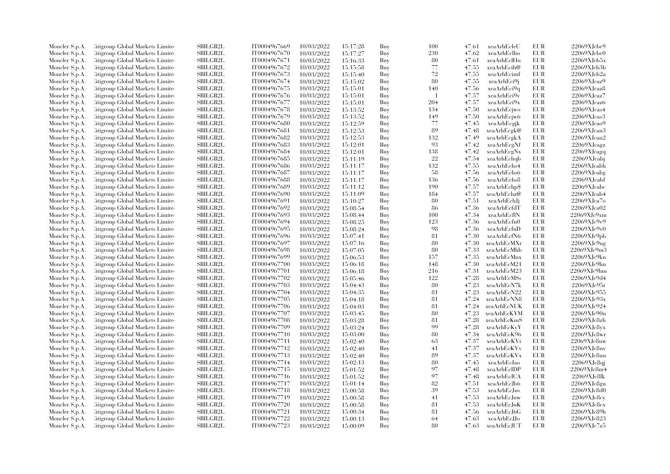| Moncler S.p.A.                   | Litigroup Global Markets Limite  | SBILGB2L                           | IT0004967669                 | 10/03/2022 | 15:17:28             | Buy        | 100       | 47.61          | xeaArhEcleU                | <b>EUR</b>               | 22069XJcbe9                |
|----------------------------------|----------------------------------|------------------------------------|------------------------------|------------|----------------------|------------|-----------|----------------|----------------------------|--------------------------|----------------------------|
| Moncler S.p.A.                   | Litigroup Global Markets Limite  | <b>SBILGB2L</b>                    | IT0004967670                 | 10/03/2022 | 15:17:27             | Buy        | 230       | 47.62          | xeaArhEclho                | <b>EUR</b>               | $22069X$ Jcbe $0$          |
| Moncler S.p.A.                   | Citigroup Global Markets Limite  | <b>SBILGB2L</b>                    | IT0004967671                 | 10/03/2022 | 15:16:33             | Buy        | 80        | 47.61          | xeaArhEclHn                | <b>EUR</b>               | 22069XJcb5x                |
| Moncler S.p.A.                   | Litigroup Global Markets Limite  | SBILGB2L                           | IT0004967672                 | 10/03/2022 | 15:15:58             | Buy        | 77        | 47.55          | xeaArhEcih@                | <b>EUR</b>               | 22069XJcb3b                |
| Moncler S.p.A.                   | Litigroup Global Markets Limite  | <b>SBILGB2L</b>                    | IT0004967673                 | 10/03/2022 | 15:15:40             | Buy        | 72        | 47.55          | xeaArhEcimf                | <b>EUR</b>               | 22069XJcb2a                |
| Moncler S.p.A.                   | Citigroup Global Markets Limite  | SBILGB2L                           | IT0004967674                 | 10/03/2022 | 15:15:02             | Buy        | 80        | 47.55          | xeaArhEci9j                | EUR                      | $22069X$ J $caz9$          |
| Moncler S.p.A.                   | Citigroup Global Markets Limite  | SBILGB2L                           | IT0004967675                 | 10/03/2022 | 15:15:01             | Buy        | 140       | 47.56          | xeaArhEci9q                | <b>EUR</b>               | 22069XJcaz8                |
| Moncler S.p.A.                   | Litigroup Global Markets Limite  | <b>SBILGB2L</b>                    | IT0004967676                 | 10/03/2022 | 15:15:01             | Buy        | -1        | 47.57          | xeaArhEci9v                | <b>EUR</b>               | $22069X$ Jeaz $7$          |
| Moncler S.p.A.                   | Citigroup Global Markets Limite  | <b>SBILGB2L</b>                    | IT0004967677                 | 10/03/2022 | 15:15:01             | Buy        | 204       | 47.57          | xeaArhEci9x                | <b>EUR</b>               | 22069XJcaz6                |
| Moncler S.p.A.                   | Citigroup Global Markets Limite  | <b>SBILGB2L</b>                    | IT0004967678                 | 10/03/2022 | 15:13:52             | Buy        | 134       | 47.50          | xeaArhEcjwo                | <b>EUR</b>               | $22069X$ J $cas4$          |
| Moncler S.p.A.                   | Citigroup Global Markets Limite  | <b>SBILGB2L</b>                    | IT0004967679                 | 10/03/2022 | 15:13:52             | Buy        | 149       | 47.50          | xeaArhEcjw6                | <b>EUR</b>               | 22069XJcas3                |
| Moncler S.p.A.                   | Litigroup Global Markets Limite  | SBILGB2L                           | IT0004967680                 | 10/03/2022 | 15:12:59             | Buy        | 77        | 47.45          | xeaArhEcgjk                | <b>EUR</b>               | 22069XJcao9                |
| Moncler S.p.A.                   | Citigroup Global Markets Limite  | <b>SBILGB2L</b>                    | IT0004967681                 | 10/03/2022 | 15:12:53             | Buy        | 89        | 47.48          | xeaArhEcgk@                | EUR                      | 22069XJcan3                |
| Moncler S.p.A.                   | Litigroup Global Markets Limite  | <b>SBILGB2L</b>                    | IT0004967682                 | 10/03/2022 | 15:12:53             | Buy        | 132       | 47.49          | xeaArhEcgkA                | <b>EUR</b>               | $22069X$ J $can2$          |
| Moncler S.p.A.                   | Citigroup Global Markets Limite  | <b>SBILGB2L</b>                    | IT0004967683                 | 10/03/2022 | 15:12:01             | Buy        | 93        | 47.42          | xeaArhEcgNf                | <b>EUR</b>               | 22069XJcagz                |
| Moncler S.p.A.                   | Litigroup Global Markets Limite  | SBILGB2L                           | IT0004967684                 | 10/03/2022 | 15:12:01             | Buy        | 138       | 47.42          | xeaArhEcgNx                | <b>EUR</b>               | 22069XJcagq                |
| Moncler S.p.A.                   | Citigroup Global Markets Limite  | SBILGB2L                           | IT0004967685                 | 10/03/2022 | 15:11:19             | Buy        | $22\,$    | 47.54          | xeaArhEchqb                | EUR                      | 22069XJcabj                |
| Moncler S.p.A.                   | Litigroup Global Markets Limite  | <b>SBILGB2L</b>                    | IT0004967686                 | 10/03/2022 | 15:11:17             | Buy        | 132       | 47.55          | xeaArhEchs4                | <b>EUR</b>               | 22069XJcabh                |
| Moncler S.p.A.                   | Citigroup Global Markets Limite  | SBILGB2L                           | IT0004967687                 | 10/03/2022 | 15:11:17             | Buy        | 58        | 47.56          | xeaArhEchs6                | <b>EUR</b>               | $22069X$ J $\mathrm{cabg}$ |
| Moncler S.p.A.                   | Litigroup Global Markets Limite  | <b>SBILGB2L</b>                    | IT0004967688                 | 10/03/2022 | 15:11:17             | Buy        | 136       | 47.56          | xeaArhEchs8                | <b>EUR</b>               | $22069X$ J $cabf$          |
| Moncler S.p.A.                   | Citigroup Global Markets Limite  | <b>SBILGB2L</b>                    | IT0004967689                 | 10/03/2022 | 15:11:12             | Buy        | 190       | 47.57          | xeaArhEchp\$               | <b>EUR</b>               | 22069XJcabc                |
| Moncler S.p.A.                   | Litigroup Global Markets Limite  | SBILGB2L                           | IT0004967690                 | 10/03/2022 | 15:11:09             | Buy        | 184       | 47.57          | xeaArhEchz@                | <b>EUR</b>               | 22069XJcab4                |
|                                  | Citigroup Global Markets Limite  | SBILGB2L                           | IT0004967691                 | 10/03/2022 |                      | Buy        | 80        | 47.51          | xeaArhEchJj                | <b>EUR</b>               | $22069X$ Jca7o             |
| Moncler S.p.A.<br>Moncler S.p.A. | Citigroup Global Markets Limite  | <b>SBILGB2L</b>                    | IT0004967692                 | 10/03/2022 | 15:10:27<br>15:08:54 |            | 86        | 47.36          | xeaArhEcfdT                | <b>EUR</b>               | 22069XJca02                |
|                                  |                                  | <b>SBILGB2L</b>                    | IT0004967693                 |            |                      | Buy<br>Buy | 100       | 47.34          | xeaArhEcflN                | <b>EUR</b>               | 22069XJc9xm                |
| Moncler S.p.A.                   | Citigroup Global Markets Limite  |                                    |                              | 10/03/2022 | 15:08:44             |            |           |                |                            |                          |                            |
| Moncler S.p.A.                   | Citigroup Global Markets Limite  | <b>SBILGB2L</b><br><b>SBILGB2L</b> | IT0004967694<br>IT0004967695 | 10/03/2022 | 15:08:25             | Buy        | 123<br>98 | 47.36<br>47.36 | xeaArhEcfn0<br>xeaArhEcfnD | EUR<br><b>EUR</b>        | 22069XJc9v9<br>22069XJc9v0 |
| Moncler S.p.A.                   | Litigroup Global Markets Limite  |                                    |                              | 10/03/2022 | 15:08:24             | Buy        | 81        |                |                            |                          |                            |
| Moncler S.p.A.                   | Litigroup Global Markets Limite  | <b>SBILGB2L</b>                    | IT0004967696                 | 10/03/2022 | 15:07:41             | Buy        | 80        | 47.30<br>47.30 | xeaArhEcfN6                | <b>EUR</b><br><b>EUR</b> | 22069XJc9pb<br>22069XJc9ng |
| Moncler S.p.A.                   | Citigroup Global Markets Limite  | SBILGB2L                           | IT0004967697                 | 10/03/2022 | 15:07:16             | Buy        |           |                | xeaArhEcMXr                |                          |                            |
| Moncler S.p.A.                   | Citigroup Global Markets Limite  | SBILGB2L                           | IT0004967698                 | 10/03/2022 | 15:07:05             | Buy        | 80        | 47.33          | xeaArhEcMhb                | <b>EUR</b>               | 22069XJc9m3                |
| Moncler S.p.A.                   | Citigroup Global Markets Limite  | <b>SBILGB2L</b>                    | IT0004967699                 | 10/03/2022 | 15:06:53             | Buy        | 157       | 47.35          | xeaArhEcMnx                | <b>EUR</b>               | 22069XJc9kn                |
| Moncler S.p.A.                   | Litigroup Global Markets Limite  | <b>SBILGB2L</b>                    | IT0004967700                 | 10/03/2022 | 15:06:18             | Buy        | 148       | 47.30          | xeaArhEcM21                | <b>EUR</b>               | 22069XJc9hn                |
| Moncler S.p.A.                   | Litigroup Global Markets Limite  | <b>SBILGB2L</b>                    | IT0004967701                 | 10/03/2022 | 15:06:18             | Buy        | 216       | 47.31          | xeaArhEcM23                | <b>EUR</b>               | 22069XJc9hm                |
| Moncler S.p.A.                   | Citigroup Global Markets Limite  | SBILGB2L                           | IT0004967702                 | 10/03/2022 | 15:05:46             | Buy        | 122       | 47.28          | xeaArhEcMSs                | <b>EUR</b>               | 22069XJc9d4                |
| Moncler S.p.A.                   | Citigroup Global Markets Limite  | SBILGB2L                           | IT0004967703                 | 10/03/2022 | 15:04:43             | Buy        | 80        | 47.23          | xeaArhEcN7k                | <b>EUR</b>               | 22069XJc95r                |
| Moncler S.p.A.                   | Litigroup Global Markets Limite  | <b>SBILGB2L</b>                    | IT0004967704                 | 10/03/2022 | 15:04:35             | Buy        | 81        | 47.23          | xeaArhEcN22                | <b>EUR</b>               | 22069XJc955                |
| Moncler S.p.A.                   | Citigroup Global Markets Limite  | SBILGB2L                           | IT0004967705                 | 10/03/2022 | 15:04:18             | Buy        | 81        | 47.24          | xeaArhEcNN8                | <b>EUR</b>               | 22069XJc93x                |
| Moncler S.p.A.                   | Citigroup Global Markets Limite  | SBILGB2L                           | IT0004967706                 | 10/03/2022 | 15:04:03             | Buy        | 81        | 47.24          | xeaArhEcNUK                | <b>EUR</b>               | 22069XJc924                |
| Moncler S.p.A.                   | Litigroup Global Markets Limite  | <b>SBILGB2L</b>                    | IT0004967707                 | 10/03/2022 | 15:03:45             | Buy        | 80        | 47.23          | xeaArhEcKYM                | <b>EUR</b>               | 22069XJc90n                |
| Moncler S.p.A.                   | Litigroup Global Markets Limite  | <b>SBILGB2L</b>                    | IT0004967708                 | 10/03/2022 | 15:03:28             | Buy        | 81        | 47.28          | xeaArhEcKmS                | <b>EUR</b>               | 22069XJc8zh                |
| Moncler S.p.A.                   | Citigroup Global Markets Limite  | <b>SBILGB2L</b>                    | IT0004967709                 | 10/03/2022 | 15:03:24             | Buy        | 99        | 47.28          | xeaArhEcKyY                | <b>EUR</b>               | 22069XJc8vx                |
| Moncler S.p.A.                   | Citigroup Global Markets Limite  | SBILGB2L                           | IT0004967710                 | 10/03/2022 | 15:03:00             | Buy        | 80        | 47.34          | xeaArhEcK96                | <b>EUR</b>               | 22069XJc8wr                |
| Moncler S.p.A.                   | Citigroup Global Markets Limite  | SBILGB2L                           | IT0004967711                 | 10/03/2022 | 15:02:40             | Buy        | 63        | 47.37          | xeaArhEcKVi                | <b>EUR</b>               | 22069XJc8uw                |
| Moncler S.p.A.                   | Citigroup Global Markets Limite  | SBILGB2L                           | IT0004967712                 | 10/03/2022 | 15:02:40             | Buy        | 41        | 47.37          | xeaArhEcKVv                | <b>EUR</b>               | 22069XJc8uv                |
| Moncler S.p.A.                   | Citigroup Global Markets Limite  | <b>SBILGB2L</b>                    | IT0004967713                 | 10/03/2022 | 15:02:40             | Buy        | 89        | 47.37          | xeaArhEcKVx                | <b>EUR</b>               | 22069XJc8uu                |
| Moncler S.p.A.                   | Citigroup Global Markets Limite  | SBILGB2L                           | IT0004967714                 | 10/03/2022 | 15:02:13             | Buy        | 80        | 47.45          | xeaArhEcIao                | <b>EUR</b>               | 22069XJc8q                 |
| Moncler S.p.A.                   | Citigroup Global Markets Limite  | <b>SBILGB2L</b>                    | IT0004967715                 | 10/03/2022 | 15:01:52             | Buy        | 97        | 47.48          | xeaArhEcIDP                | <b>EUR</b>               | 22069XJc8m4                |
| Moncler S.p.A.                   | Citigroup Global Markets Limite  | <b>SBILGB2L</b>                    | IT0004967716                 | 10/03/2022 | 15:01:52             | Buy        | 97        | 47.48          | xeaArhEcICA                | <b>EUR</b>               | 22069XJc8lk                |
| Moncler S.p.A.                   | Citigroup Global Markets Limite  | <b>SBILGB2L</b>                    | IT0004967717                 | 10/03/2022 | 15:01:14             | Buy        | 82        | 47.51          | xeaArhEcJb6                | EUR                      | 22069XJc8gu                |
| Moncler S.p.A.                   | Citigroup Global Markets Limite  | SBILGB2L                           | IT0004967718                 | 10/03/2022 | 15:00:58             | Buy        | 39        | 47.53          | xeaArhEcJns                | <b>EUR</b>               | 22069XJc8d0                |
| Moncler S.p.A.                   | Litigroup Global Markets Limite  | <b>SBILGB2L</b>                    | IT0004967719                 | 10/03/2022 | 15:00:58             | Buy        | 41        | 47.53          | xeaArhEcJnw                | <b>EUR</b>               | $22069X$ Je8cy             |
| Moncler S.p.A.                   | Litigroup Global Markets Limite  | SBILGB2L                           | IT0004967720                 | 10/03/2022 | 15:00:58             | Buy        | 81        | 47.53          | xeaArhEcJnK                | <b>EUR</b>               | 22069XJc8cx                |
| Moncler S.p.A.                   | Citigroup Global Markets Limite  | SBILGB2L                           | IT0004967721                 | 10/03/2022 | 15:00:34             | Buy        | 81        | 47.56          | xeaArhEcJ6G                | <b>EUR</b>               | 22069XJc89h                |
| Moncler S.p.A.                   | Citigroup Global Markets Limite  | <b>SBILGB2L</b>                    | IT0004967722                 | 10/03/2022 | 15:00:13             | Buy        | 64        | 47.63          | xeaArhEcJJo                | <b>EUR</b>               | 22069XJc823                |
| Moncler S.p.A.                   | Citigroup Global Markets Limited | SBILGB2L                           | IT0004967723                 | 10/03/2022 | 15:00:09             | Buv        | 80        | 47.63          | xeaArhEcJUT                | <b>EUR</b>               | 22069XJc7z5                |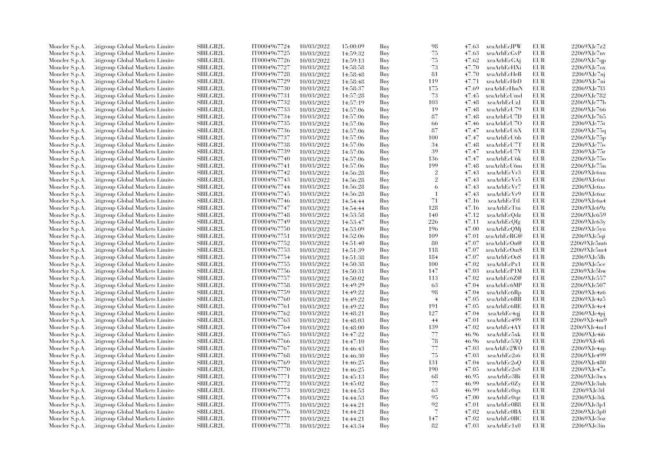| Moncler S.p.A. | Citigroup Global Markets Limite  | <b>SBILGB2L</b>                    | IT0004967724 | 10/03/2022 | 15:00:09 | Buy | 98             | 47.63          | xeaArhEc.JPW | <b>EUR</b> | 22069XJc7z2                 |
|----------------|----------------------------------|------------------------------------|--------------|------------|----------|-----|----------------|----------------|--------------|------------|-----------------------------|
| Moncler S.p.A. | Litigroup Global Markets Limite  | <b>SBILGB2L</b>                    | IT0004967725 | 10/03/2022 | 14:59:32 | Buy | 75             | 47.63          | xeaArhEcGvP  | <b>EUR</b> | 22069XJc7uv                 |
| Moncler S.p.A. | Citigroup Global Markets Limited | SBILGB2L                           | IT0004967726 | 10/03/2022 | 14:59:13 | Buy | 75             | 47.62          | xeaArhEcGAj  | <b>EUR</b> | 22069XJc7qp                 |
| Moncler S.p.A. | Litigroup Global Markets Limite  | <b>SBILGB2L</b>                    | IT0004967727 | 10/03/2022 | 14:58:58 | Buy | 73             | 47.70          | xeaArhEcHXi  | <b>EUR</b> | $22069XJc7$ ox              |
| Moncler S.p.A. | Citigroup Global Markets Limite  | <b>SBILGB2L</b>                    | IT0004967728 | 10/03/2022 | 14:58:48 | Buy | 81             | 47.70          | xeaArhEcHeB  | <b>EUR</b> | 22069XJc7ni                 |
| Moncler S.p.A. | Citigroup Global Markets Limite  | <b>SBILGB2L</b>                    | IT0004967729 | 10/03/2022 | 14:58:48 | Buy | 119            | 47.71          | xeaArhEcHeD  | <b>EUR</b> | 22069XJc7ni                 |
| Moncler S.p.A. | Citigroup Global Markets Limite  | SBILGB2L                           | IT0004967730 | 10/03/2022 | 14:58:37 | Buy | 175            | 47.69          | xeaArhEcHmN  | <b>EUR</b> | 22069XJc7l3                 |
| Moncler S.p.A. | Citigroup Global Markets Limite  | <b>SBILGB2L</b>                    | IT0004967731 | 10/03/2022 | 14:57:28 | Buy | 73             | 47.45          | xeaArhEcUmd  | <b>EUR</b> | 22069XJc782                 |
| Moncler S.p.A. | Citigroup Global Markets Limite  | <b>SBILGB2L</b>                    | IT0004967732 | 10/03/2022 | 14:57:19 | Buy | 103            | 47.48          | xeaArhEcUzJ  | <b>EUR</b> | 22069XJc77b                 |
| Moncler S.p.A. | Citigroup Global Markets Limited | <b>SBILGB2L</b>                    | IT0004967733 | 10/03/2022 | 14:57:06 | Buy | 19             | 47.48          | xeaArhEcU79  | <b>EUR</b> | 22069XJc766                 |
| Moncler S.p.A. | Citigroup Global Markets Limite  | <b>SBILGB2L</b>                    | IT0004967734 | 10/03/2022 | 14:57:06 | Buy | 87             | 47.48          | xeaArhEcU7D  | <b>EUR</b> | 22069XJc765                 |
|                |                                  |                                    | IT0004967735 |            |          |     |                |                |              | <b>EUR</b> | 22069XJc75t                 |
| Moncler S.p.A. | Citigroup Global Markets Limite  | <b>SBILGB2L</b><br><b>SBILGB2L</b> |              | 10/03/2022 | 14:57:06 | Buy | 66<br>87       | 47.46          | xeaArhEcU7O  | <b>EUR</b> |                             |
| Moncler S.p.A. | Citigroup Global Markets Limite  |                                    | IT0004967736 | 10/03/2022 | 14:57:06 | Buy |                | 47.47          | xeaArhEcU6X  |            | 22069XJc75q                 |
| Moncler S.p.A. | Citigroup Global Markets Limite  | SBILGB2L                           | IT0004967737 | 10/03/2022 | 14:57:06 | Buy | 100            | 47.47          | xeaArhEcU6b  | <b>EUR</b> | 22069XJc75p                 |
| Moncler S.p.A. | Citigroup Global Markets Limite  | <b>SBILGB2L</b>                    | IT0004967738 | 10/03/2022 | 14:57:06 | Buy | 34             | 47.48          | xeaArhEcU7T  | <b>EUR</b> | 22069XJc75s                 |
| Moncler S.p.A. | Citigroup Global Markets Limite  | SBILGB2L                           | IT0004967739 | 10/03/2022 | 14:57:06 | Buy | 39             | 47.47          | xeaArhEcU7V  | <b>EUR</b> | 22069XJc75r                 |
| Moncler S.p.A. | Citigroup Global Markets Limite  | <b>SBILGB2L</b>                    | IT0004967740 | 10/03/2022 | 14:57:06 | Buy | 136            | 47.47          | xeaArhEcU6k  | <b>EUR</b> | 22069XJc75o                 |
| Moncler S.p.A. | Citigroup Global Markets Limite  | <b>SBILGB2L</b>                    | IT0004967741 | 10/03/2022 | 14:57:06 | Buy | 199            | 47.48          | xeaArhEcU6m  | <b>EUR</b> | 22069XJc75n                 |
| Moncler S.p.A. | Citigroup Global Markets Limite  | <b>SBILGB2L</b>                    | IT0004967742 | 10/03/2022 | 14:56:28 | Buy | $\sqrt{2}$     | 47.43          | xeaArhEcVr3  | <b>EUR</b> | 22069XJc6xu                 |
| Moncler S.p.A. | Citigroup Global Markets Limite  | SBILGB2L                           | IT0004967743 | 10/03/2022 | 14:56:28 | Buy | $\overline{2}$ | 47.43          | xeaArhEcVr5  | <b>EUR</b> | 22069XJc6xt                 |
| Moncler S.p.A. | Citigroup Global Markets Limite  | <b>SBILGB2L</b>                    | IT0004967744 | 10/03/2022 | 14:56:28 | Buy | 6              | 47.43          | xeaArhEcVr7  | <b>EUR</b> | 22069XJc6xs                 |
| Moncler S.p.A. | Citigroup Global Markets Limite  | <b>SBILGB2L</b>                    | IT0004967745 | 10/03/2022 | 14:56:28 | Buy | $\overline{1}$ | 47.43          | xeaArhEcVr9  | <b>EUR</b> | $22069X$ J $c6x$ r          |
| Moncler S.p.A. | Citigroup Global Markets Limite  | <b>SBILGB2L</b>                    | IT0004967746 | 10/03/2022 | 14:54:44 | Buy | 71             | 47.16          | xeaArhEcTtl  | <b>EUR</b> | 22069XJc6a4                 |
| Moncler S.p.A. | Citigroup Global Markets Limite  | <b>SBILGB2L</b>                    | IT0004967747 | 10/03/2022 | 14:54:44 | Buy | 128            | 47.16          | xeaArhEcTtn  | <b>EUR</b> | 22069XJc69z                 |
| Moncler S.p.A. | Citigroup Global Markets Limite  | <b>SBILGB2L</b>                    | IT0004967748 | 10/03/2022 | 14:53:58 | Buy | 140            | 47.12          | xeaArhEcQdz  | <b>EUR</b> | 22069XJc659                 |
| Moncler S.p.A. | Citigroup Global Markets Limite  | <b>SBILGB2L</b>                    | IT0004967749 | 10/03/2022 | 14:53:47 | Buy | 226            | 47.11          | xeaArhEcOfg  | <b>EUR</b> | 22069XJc63y                 |
| Moncler S.p.A. | Citigroup Global Markets Limite  | <b>SBILGB2L</b>                    | IT0004967750 | 10/03/2022 | 14:53:09 | Buy | 196            | 47.00          | xeaArhEcQMi  | <b>EUR</b> | 22069XJc5yn                 |
| Moncler S.p.A. | Citigroup Global Markets Limite  | <b>SBILGB2L</b>                    | IT0004967751 | 10/03/2022 | 14:52:06 | Buy | 109            | 47.01          | xeaArhEcRG@  | EUR        | 22069XJc5qi                 |
| Moncler S.p.A. | Citigroup Global Markets Limite  | <b>SBILGB2L</b>                    | IT0004967752 | 10/03/2022 | 14:51:40 | Buy | 80             | 47.07          | xeaArhEcOn@  | <b>EUR</b> | 22069XJc5m6                 |
| Moncler S.p.A. | Citigroup Global Markets Limite  | SBILGB2L                           | IT0004967753 | 10/03/2022 | 14:51:39 | Buy | 118            | 47.07          | xeaArhEcOm\$ | <b>EUR</b> | $22069\mbox{XJc}5\mbox{m}4$ |
| Moncler S.p.A. | Citigroup Global Markets Limite  | <b>SBILGB2L</b>                    | IT0004967754 | 10/03/2022 | 14:51:38 | Buy | 184            | 47.07          | xeaArhEcOo\$ | <b>EUR</b> | 22069XJc5lh                 |
| Moncler S.p.A. | Citigroup Global Markets Limite  | <b>SBILGB2L</b>                    | IT0004967755 | 10/03/2022 | 14:50:38 | Buy | 100            | 47.02          | xeaArhEcPx1  | <b>EUR</b> | 22069XJc5ce                 |
| Moncler S.p.A. | Citigroup Global Markets Limite  | SBILGB2L                           | IT0004967756 | 10/03/2022 | 14:50:31 | Buy | 147            | 47.03          | xeaArhEcP1M  | <b>EUR</b> | 22069XJc5bw                 |
| Moncler S.p.A. | Citigroup Global Markets Limite  | <b>SBILGB2L</b>                    | IT0004967757 | 10/03/2022 | 14:50:02 | Buy | 113            | 47.02          | xeaArhEc6Z@  | <b>EUR</b> | 22069XJc557                 |
| Moncler S.p.A. | Citigroup Global Markets Limite  | <b>SBILGB2L</b>                    | IT0004967758 | 10/03/2022 | 14:49:29 | Buy | 63             | 47.04          | xeaArhEc6MP  | <b>EUR</b> | 22069XJc507                 |
| Moncler S.p.A. | Citigroup Global Markets Limite  | SBILGB2L                           | IT0004967759 | 10/03/2022 | 14:49:22 | Buy | 98             | 47.04          | xeaArhEc6Rp  | <b>EUR</b> | 22069XJc4z6                 |
| Moncler S.p.A. | Citigroup Global Markets Limite  | SBILGB2L                           | IT0004967760 | 10/03/2022 | 14:49:22 | Buy | $\overline{4}$ | 47.05          | xeaArhEc6RB  | <b>EUR</b> | 22069XJc4z5                 |
| Moncler S.p.A. | Citigroup Global Markets Limite  | SBILGB2L                           | IT0004967761 | 10/03/2022 | 14:49:22 | Buy | 191            | 47.05          | xeaArhEc6RE  | <b>EUR</b> | 22069XJc4z4                 |
| Moncler S.p.A. | Citigroup Global Markets Limite  | <b>SBILGB2L</b>                    | IT0004967762 | 10/03/2022 | 14:48:21 | Buy | 127            | 47.04          | xeaArhEc4qj  | <b>EUR</b> | 22069XJc4pj                 |
|                | Citigroup Global Markets Limite  | <b>SBILGB2L</b>                    | IT0004967763 |            |          | Buy | 44             | 47.01          | xeaArhEc499  | <b>EUR</b> | 22069XJc4m9                 |
| Moncler S.p.A. |                                  |                                    |              | 10/03/2022 | 14:48:03 |     | 139            |                |              |            | 22069XJc4m1                 |
| Moncler S.p.A. | Citigroup Global Markets Limite  | <b>SBILGB2L</b>                    | IT0004967764 | 10/03/2022 | 14:48:00 | Buy | 77             | 47.02<br>46.96 | xeaArhEc4AY  | <b>EUR</b> | 22069XJc4i6                 |
| Moncler S.p.A. | Citigroup Global Markets Limite  | <b>SBILGB2L</b>                    | IT0004967765 | 10/03/2022 | 14:47:22 | Buy |                |                | xeaArhEc5xk  | EUR        |                             |
| Moncler S.p.A. | Citigroup Global Markets Limite  | <b>SBILGB2L</b>                    | IT0004967766 | 10/03/2022 | 14:47:10 | Buy | 78             | 46.96          | xeaArhEc530  | <b>EUR</b> | 22069XJc4fi                 |
| Moncler S.p.A. | Citigroup Global Markets Limite  | <b>SBILGB2L</b>                    | IT0004967767 | 10/03/2022 | 14:46:43 | Buy | 77             | 47.03          | xeaArhEc2WO  | EUR        | 22069XJc4ap                 |
| Moncler S.p.A. | Citigroup Global Markets Limite  | SBILGB2L                           | IT0004967768 | 10/03/2022 | 14:46:30 | Buy | 75             | 47.03          | xeaArhEc2s6  | EUR        | 22069XJc499                 |
| Moncler S.p.A. | Citigroup Global Markets Limite  | SBILGB2L                           | IT0004967769 | 10/03/2022 | 14:46:25 | Buy | 131            | 47.04          | xeaArhEc2oQ  | EUR        | 22069XJc480                 |
| Moncler S.p.A. | Citigroup Global Markets Limite  | <b>SBILGB2L</b>                    | IT0004967770 | 10/03/2022 | 14:46:25 | Buy | 190            | 47.05          | xeaArhEc2oS  | <b>EUR</b> | 22069XJc47z                 |
| Moncler S.p.A. | Citigroup Global Markets Limite  | SBILGB2L                           | IT0004967771 | 10/03/2022 | 14:45:13 | Buy | 68             | 46.95          | xeaArhEc3Bi  | <b>EUR</b> | 22069XJc3wx                 |
| Moncler S.p.A. | Citigroup Global Markets Limite  | <b>SBILGB2L</b>                    | IT0004967772 | 10/03/2022 | 14:45:02 | Buy | 77             | 46.99          | xeaArhEc0Zy  | <b>EUR</b> | 22069XJc3uh                 |
| Moncler S.p.A. | Citigroup Global Markets Limite  | <b>SBILGB2L</b>                    | IT0004967773 | 10/03/2022 | 14:44:53 | Buy | 63             | 46.99          | xeaArhEc0qx  | EUR        | $22069X$ J $c3t$            |
| Moncler S.p.A. | Citigroup Global Markets Limite  | SBILGB2L                           | IT0004967774 | 10/03/2022 | 14:44:53 | Buy | 95             | 47.00          | xeaArhEc0qz  | <b>EUR</b> | 22069XJc3tk                 |
| Moncler S.p.A. | Citigroup Global Markets Limite  | <b>SBILGB2L</b>                    | IT0004967775 | 10/03/2022 | 14:44:21 | Buy | 92             | 47.01          | xeaArhEc0B8  | <b>EUR</b> | 22069XJc3p1                 |
| Moncler S.p.A. | Citigroup Global Markets Limite  | SBILGB2L                           | IT0004967776 | 10/03/2022 | 14:44:21 | Buy | $\overline{7}$ | 47.02          | xeaArhEc0BA  | <b>EUR</b> | 22069XJc3p0                 |
| Moncler S.p.A. | Citigroup Global Markets Limite  | SBILGB2L                           | IT0004967777 | 10/03/2022 | 14:44:21 | Buy | 147            | 47.02          | xeaArhEc0BC  | <b>EUR</b> | 22069XJc3oz                 |
| Moncler S.p.A. | Citigroup Global Markets Limited | SBILGB2L                           | IT0004967778 | 10/03/2022 | 14:43:34 | Buy | 82             | 47.03          | xeaArhEc1x0  | <b>EUR</b> | 22069XJc3in                 |
|                |                                  |                                    |              |            |          |     |                |                |              |            |                             |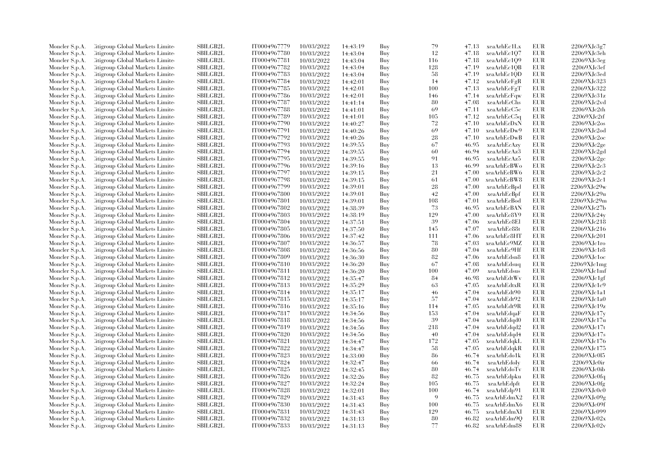| Moncler S.p.A.                   | <b>Citigroup Global Markets Limited</b>                                    | <b>SBILGB2L</b>             | IT0004967779 | 10/03/2022               | 14:43:19 | Buy        | 79       | 47.13 | xeaArhEc1Lx  | <b>EUR</b> | 22069XJc3g7          |
|----------------------------------|----------------------------------------------------------------------------|-----------------------------|--------------|--------------------------|----------|------------|----------|-------|--------------|------------|----------------------|
| Moncler S.p.A.                   | Citigroup Global Markets Limite                                            | SBILGB2L                    | IT0004967780 | 10/03/2022               | 14:43:04 | Buy        | 12       | 47.18 | xeaArhEc1Q7  | EUR        | 22069XJc3eh          |
| Moncler S.p.A.                   | <b>Citigroup Global Markets Limited</b>                                    | SBILGB2L                    | IT0004967781 | 10/03/2022               | 14:43:04 | Buy        | 116      | 47.18 | xeaArhEc109  | <b>EUR</b> | 22069XJc3eg          |
| Moncler S.p.A.                   | Citigroup Global Markets Limite                                            | <b>SBILGB2L</b>             | IT0004967782 | 10/03/2022               | 14:43:04 | Buy        | 128      | 47.19 | xeaArhEc1QB  | <b>EUR</b> | 22069XJc3ef          |
| Moncler S.p.A.                   | Citigroup Global Markets Limited                                           | <b>SBILGB2L</b>             | IT0004967783 | 10/03/2022               | 14:43:04 | Buy        | 58       | 47.19 | xeaArhEc1QD  | <b>EUR</b> | 22069XJc3ed          |
| Moncler S.p.A.                   | Citigroup Global Markets Limite                                            | SBILGB2L                    | IT0004967784 | 10/03/2022               | 14:42:01 | Buy        | 14       | 47.12 | xeaArhEcFgR  | EUR        | 22069XJc323          |
| Moncler S.p.A.                   | <b>Citigroup Global Markets Limited</b>                                    | <b>SBILGB2L</b>             | IT0004967785 | 10/03/2022               | 14:42:01 | Buy        | 100      | 47.13 | xeaArhEcFgT  | <b>EUR</b> | 22069XJc322          |
| Moncler S.p.A.                   | Citigroup Global Markets Limite                                            | <b>SBILGB2L</b>             | IT0004967786 | 10/03/2022               | 14:42:01 | Buy        | 146      | 47.14 | xeaArhEcFqw  | <b>EUR</b> | 22069XJc31z          |
| Moncler S.p.A.                   | Citigroup Global Markets Limited                                           | <b>SBILGB2L</b>             | IT0004967787 | 10/03/2022               | 14:41:14 | Buy        | 80       | 47.08 | xeaArhEcChs  | EUR        | 22069XJc2vd          |
| Moncler S.p.A.                   | <b>Citigroup Global Markets Limited</b>                                    | SBILGB2L                    | IT0004967788 | 10/03/2022               | 14:41:01 | Buy        | 69       | 47.11 | xeaArhEcC5c  | <b>EUR</b> | 22069XJc2th          |
| Moncler S.p.A.                   | Citigroup Global Markets Limite                                            | <b>SBILGB2L</b>             | IT0004967789 | 10/03/2022               | 14:41:01 | Buy        | 105      | 47.12 | xeaArhEcC5q  | <b>EUR</b> | 22069XJc2tf          |
| Moncler S.p.A.                   | Citigroup Global Markets Limite                                            | <b>SBILGB2L</b>             | IT0004967790 | 10/03/2022               | 14:40:27 | Buy        | 72       | 47.10 | xeaArhEcDxN  | <b>EUR</b> | 22069XJc2os          |
| Moncler S.p.A.                   | Citigroup Global Markets Limite                                            | SBILGB2L                    | IT0004967791 | 10/03/2022               | 14:40:26 | Buy        | 69       | 47.10 | xeaArhEcDw9  | EUR        | 22069XJc2od          |
| Moncler S.p.A.                   | <b>Citigroup Global Markets Limited</b>                                    | SBILGB2L                    | IT0004967792 | 10/03/2022               | 14:40:26 | Buy        | 28       | 47.10 | xeaArhEcDwB  | <b>EUR</b> | 22069XJc2oc          |
| Moncler S.p.A.                   | Citigroup Global Markets Limite                                            | <b>SBILGB2L</b>             | IT0004967793 | 10/03/2022               | 14:39:55 | Buy        | 67       | 46.95 | xeaArhEcAzy  | EUR        | 22069XJc2ge          |
| Moncler S.p.A.                   | Citigroup Global Markets Limite                                            | <b>SBILGB2L</b>             | IT0004967794 | 10/03/2022               | 14:39:55 | Buy        | 60       | 46.94 | xeaArhEcAz3  | <b>EUR</b> | 22069XJc2gd          |
| Moncler S.p.A.                   | Citigroup Global Markets Limite                                            | SBILGB2L                    | IT0004967795 | 10/03/2022               | 14:39:55 | Buy        | 91       | 46.95 | xeaArhEcAz5  | EUR        | 22069XJc2gc          |
| Moncler S.p.A.                   | <b>Citigroup Global Markets Limited</b>                                    | <b>SBILGB2L</b>             | IT0004967796 | 10/03/2022               | 14:39:16 | Buy        | 13       | 46.99 | xeaArhEcBWo  | <b>EUR</b> | 22069XJc2c3          |
| Moncler S.p.A.                   | Citigroup Global Markets Limite                                            | <b>SBILGB2L</b>             | IT0004967797 | 10/03/2022               | 14:39:15 | Buy        | 21       | 47.00 | xeaArhEcBW6  | <b>EUR</b> | 22069XJc2c2          |
| Moncler S.p.A.                   | Citigroup Global Markets Limite                                            | <b>SBILGB2L</b>             | IT0004967798 | 10/03/2022               | 14:39:15 | Buy        | 61       | 47.00 | xeaArhEcBW8  | <b>EUR</b> | 22069XJc2c1          |
| Moncler S.p.A.                   | Citigroup Global Markets Limite                                            | SBILGB2L                    | IT0004967799 | 10/03/2022               | 14:39:01 | Buy        | 28       | 47.00 | xeaArhEcBpd  | <b>EUR</b> | 22069XJc29w          |
| Moncler S.p.A.                   | <b>Eitigroup Global Markets Limited</b>                                    | SBILGB2L                    | IT0004967800 | 10/03/2022               | 14:39:01 | Buy        | 42       | 47.00 | xeaArhEcBpf  | <b>EUR</b> | 22069XJc29u          |
| Moncler S.p.A.                   | Citigroup Global Markets Limite                                            | <b>SBILGB2L</b>             | IT0004967801 | 10/03/2022               | 14:39:01 | Buy        | 108      | 47.01 | xeaArhEcBod  | <b>EUR</b> | 22069XJc29m          |
| Moncler S.p.A.                   | Citigroup Global Markets Limite                                            | SBILGB2L                    | IT0004967802 | 10/03/2022               | 14:38:39 | Buy        | 73       | 46.95 | xeaArhEcBAN  | <b>EUR</b> | 22069XJc27b          |
| Moncler S.p.A.                   | <b>Eitigroup Global Markets Limited</b>                                    | <b>SBILGB2L</b>             | IT0004967803 | 10/03/2022               | 14:38:19 | Buy        | 129      | 47.00 | xeaArhEc8Y9  | <b>EUR</b> | 22069XJc24y          |
| Moncler S.p.A.                   | Citigroup Global Markets Limite                                            | <b>SBILGB2L</b>             | IT0004967804 | 10/03/2022               |          | Buy        | 39       | 47.06 | xeaArhEc8El  | <b>EUR</b> | 22069XJc218          |
|                                  | Citigroup Global Markets Limited                                           | <b>SBILGB2L</b>             | IT0004967805 | 10/03/2022               | 14:37:51 | Buy        | 145      | 47.07 | xeaArhEc88t  | <b>EUR</b> | 22069XJc216          |
| Moncler S.p.A.                   |                                                                            | SBILGB2L                    | IT0004967806 |                          | 14:37:50 |            | 111      | 47.06 | xeaArhEc8HT  | <b>EUR</b> | 22069XJc201          |
| Moncler S.p.A.<br>Moncler S.p.A. | <b>Citigroup Global Markets Limited</b><br>Citigroup Global Markets Limite | <b>SBILGB2L</b>             | IT0004967807 | 10/03/2022<br>10/03/2022 | 14:37:42 | Buy<br>Buy | 78       | 47.03 | xeaArhEc9MZ  | <b>EUR</b> | 22069XJc1ro          |
|                                  |                                                                            |                             |              |                          | 14:36:57 |            |          | 47.04 |              | <b>EUR</b> |                      |
| Moncler S.p.A.                   | Citigroup Global Markets Limite                                            | <b>SBILGB2L</b>             | IT0004967808 | 10/03/2022               | 14:36:56 | Buy        | 80       |       | xeaArhEc9Hf  |            | 22069XJc1r8          |
| Moncler S.p.A.                   | Citigroup Global Markets Limite                                            | <b>SBILGB2L</b><br>SBILGB2L | IT0004967809 | 10/03/2022               | 14:36:30 | Buy        | 82<br>67 | 47.06 | xeaArhEdsn8  | <b>EUR</b> | $22069X$ J $c1oc$    |
| Moncler S.p.A.                   | <b>Citigroup Global Markets Limited</b>                                    |                             | IT0004967810 | 10/03/2022               | 14:36:20 | Buy        |          | 47.08 | xeaArhEdsuq  | <b>EUR</b> | 22069XJc1mg          |
| Moncler S.p.A.                   | <b>Eitigroup Global Markets Limited</b>                                    | <b>SBILGB2L</b>             | IT0004967811 | 10/03/2022               | 14:36:20 | Buy        | 100      | 47.09 | xeaArhEdsus  | <b>EUR</b> | 22069XJc1mf          |
| Moncler S.p.A.                   | Citigroup Global Markets Limited                                           | <b>SBILGB2L</b>             | IT0004967812 | 10/03/2022               | 14:35:47 | Buy        | 84       | 46.98 | xeaArhEdtWv  | <b>EUR</b> | 22069XJc1gf          |
| Moncler S.p.A.                   | Citigroup Global Markets Limite                                            | SBILGB2L                    | IT0004967813 | 10/03/2022               | 14:35:29 | Buy        | 63       | 47.05 | xeaArhEdtxR  | EUR        | 22069XJc1c9          |
| Moncler S.p.A.                   | <b>Eitigroup Global Markets Limited</b>                                    | SBILGB2L                    | IT0004967814 | 10/03/2022               | 14:35:17 | Buy        | 46       | 47.04 | xeaArhEdt90  | <b>EUR</b> | 22069XJc1a1          |
| Moncler S.p.A.                   | Citigroup Global Markets Limite                                            | <b>SBILGB2L</b>             | IT0004967815 | 10/03/2022               | 14:35:17 | Buy        | 57       | 47.04 | xeaArhEdt92  | <b>EUR</b> | $22069\mbox{XJc1a0}$ |
| Moncler S.p.A.                   | Citigroup Global Markets Limite                                            | <b>SBILGB2L</b>             | IT0004967816 | 10/03/2022               | 14:35:16 | Buy        | 114      | 47.05 | xeaArhEdt9R  | <b>EUR</b> | 22069XJc19z          |
| Moncler S.p.A.                   | <b>Citigroup Global Markets Limited</b>                                    | SBILGB2L                    | IT0004967817 | 10/03/2022               | 14:34:56 | Buy        | 153      | 47.04 | xeaArhEdqaF  | <b>EUR</b> | 22069XJc17y          |
| Moncler S.p.A.                   | Citigroup Global Markets Limite                                            | <b>SBILGB2L</b>             | IT0004967818 | 10/03/2022               | 14:34:56 | Buy        | 39       | 47.04 | xeaArhEdqd0  | <b>EUR</b> | 22069XJc17u          |
| Moncler S.p.A.                   | Citigroup Global Markets Limite                                            | SBILGB2L                    | IT0004967819 | 10/03/2022               | 14:34:56 | Buy        | 218      | 47.04 | xeaArhEdqd2  | <b>EUR</b> | 22069XJc17t          |
| Moncler S.p.A.                   | Citigroup Global Markets Limite                                            | SBILGB2L                    | IT0004967820 | 10/03/2022               | 14:34:56 | Buy        | 40       | 47.04 | xeaArhEdqd4  | EUR        | 22069XJc17s          |
| Moncler S.p.A.                   | <b>Citigroup Global Markets Limited</b>                                    | SBILGB2L                    | IT0004967821 | 10/03/2022               | 14:34:47 | Buy        | 172      | 47.05 | xeaArhEdqkL  | <b>EUR</b> | 22069XJc176          |
| Moncler S.p.A.                   | Citigroup Global Markets Limite                                            | <b>SBILGB2L</b>             | IT0004967822 | 10/03/2022               | 14:34:47 | Buy        | 58       | 47.05 | xeaArhEdqkR  | <b>EUR</b> | 22069XJc175          |
| Moncler S.p.A.                   | Citigroup Global Markets Limited                                           | <b>SBILGB2L</b>             | IT0004967823 | 10/03/2022               | 14:33:00 | Buy        | 86       | 46.74 | xeaArhEdo1k  | <b>EUR</b> | 22069XJc015          |
| Moncler S.p.A.                   | Citigroup Global Markets Limite                                            | SBILGB2L                    | IT0004967824 | 10/03/2022               | 14:32:47 | Buy        | 66       | 46.74 | xeaArhEdoIy  | <b>EUR</b> | 22069XJc0ir          |
| Moncler S.p.A.                   | <b>Citigroup Global Markets Limited</b>                                    | <b>SBILGB2L</b>             | IT0004967825 | 10/03/2022               | 14:32:45 | Buy        | 80       | 46.74 | xeaArhEdoTv  | <b>EUR</b> | 22069XJc0ib          |
| Moncler S.p.A.                   | Citigroup Global Markets Limite                                            | <b>SBILGB2L</b>             | IT0004967826 | 10/03/2022               | 14:32:26 | Buy        | 82       | 46.75 | xeaArhEdpku  | <b>EUR</b> | 22069XJc0fq          |
| Moncler S.p.A.                   | Citigroup Global Markets Limited                                           | <b>SBILGB2L</b>             | IT0004967827 | 10/03/2022               | 14:32:24 | Buy        | 105      | 46.75 | xeaArhEdpft  | <b>EUR</b> | 22069XJc0fg          |
| Moncler S.p.A.                   | <b>Citigroup Global Markets Limited</b>                                    | SBILGB2L                    | IT0004967828 | 10/03/2022               | 14:32:01 | Buy        | 100      | 46.74 | xeaArhEdp91  | <b>EUR</b> | 22069XJc0c0          |
| Moncler S.p.A.                   | Citigroup Global Markets Limite                                            | <b>SBILGB2L</b>             | IT0004967829 | 10/03/2022               | 14:31:43 | Buy        | 9        | 46.75 | xeaArhEdmX2  | <b>EUR</b> | 22069XJc09g          |
| Moncler S.p.A.                   | Citigroup Global Markets Limite                                            | <b>SBILGB2L</b>             | IT0004967830 | 10/03/2022               | 14:31:43 | Buy        | 100      | 46.75 | xeaArhEdmX6  | <b>EUR</b> | 22069XJc09f          |
| Moncler S.p.A.                   | Citigroup Global Markets Limite                                            | SBILGB2L                    | IT0004967831 | 10/03/2022               | 14:31:43 | Buy        | 129      | 46.75 | xeaArhEdmXI  | EUR        | 22069XJc099          |
| Moncler S.p.A.                   | <b>Eitigroup Global Markets Limited</b>                                    | SBILGB2L                    | IT0004967832 | 10/03/2022               | 14:31:13 | Buy        | 80       | 46.82 | xeaArhEdm9Q  | <b>EUR</b> | 22069XJc02x          |
| Moncler S.p.A.                   | Citigroup Global Markets Limited                                           | SBILGB2L                    | IT0004967833 | 10/03/2022               | 14:31:13 | Buy        | 77       | 46.82 | xeaArhEdm8\$ | <b>EUR</b> | 22069XJc02v          |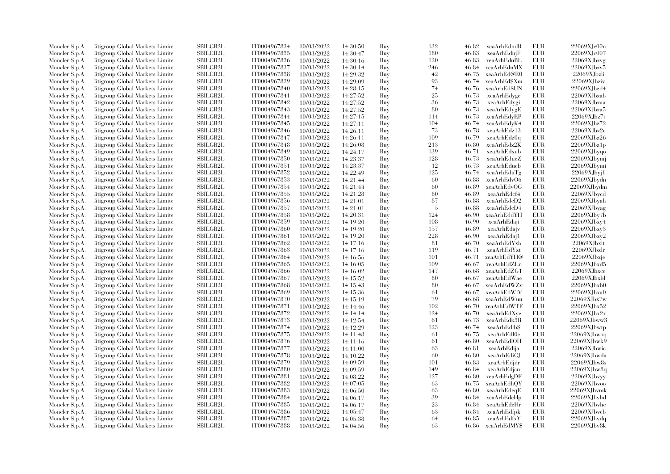| Moncler S.p.A. | Citigroup Global Markets Limite  | <b>SBILGB2L</b>             | IT0004967834                 | 10/03/2022               | 14:30:50             | Buy        | 132        | 46.82          | xeaArhEdndB                | EUR        | 22069XJc00n                |
|----------------|----------------------------------|-----------------------------|------------------------------|--------------------------|----------------------|------------|------------|----------------|----------------------------|------------|----------------------------|
| Moncler S.p.A. | Citigroup Global Markets Limite  | <b>SBILGB2L</b>             | IT0004967835                 | 10/03/2022               | 14:30:47             | Buy        | 180        | 46.83          | xeaArhEdnjF                | <b>EUR</b> | 22069XJc007                |
| Moncler S.p.A. | Citigroup Global Markets Limite  | <b>SBILGB2L</b>             | IT0004967836                 | 10/03/2022               | 14:30:16             | Buy        | 120        | 46.83          | xeaArhEdnBL                | EUR        | 22069XJbzvg                |
| Moncler S.p.A. | Citigroup Global Markets Limite  | SBILGB2L                    | IT0004967837                 | 10/03/2022               | 14:30:14             | Buy        | 246        | 46.84          | xeaArhEdnMX                | EUR        | 22069XJbzv5                |
| Moncler S.p.A. | Citigroup Global Markets Limite  | <b>SBILGB2L</b>             | IT0004967838                 | 10/03/2022               | 14:29:32             | Buy        | 42         | 46.75          | xeaArhEd@E0                | <b>EUR</b> | 22069XJbzli                |
| Moncler S.p.A. | Citigroup Global Markets Limite  | SBILGB2L                    | IT0004967839                 | 10/03/2022               | 14:29:09             | Buy        | 93         | 46.74          | xeaArhEd\$Xm               | <b>EUR</b> | 22069XJbziv                |
| Moncler S.p.A. | Citigroup Global Markets Limite  | SBILGB2L                    | IT0004967840                 | 10/03/2022               | 14:28:15             | Buy        | 74         | 46.76          | xeaArhEd\$UN               | <b>EUR</b> | 22069XJbzd4                |
| Moncler S.p.A. | Citigroup Global Markets Limite  | <b>SBILGB2L</b>             | IT0004967841                 | 10/03/2022               | 14:27:52             | Buy        | 25         | 46.73          | xeaArhEdyge                | EUR        | 22069XJbzab                |
| Moncler S.p.A. | Citigroup Global Markets Limite  | <b>SBILGB2L</b>             | IT0004967842                 | 10/03/2022               | 14:27:52             | Buy        | 36         | 46.73          | xeaArhEdygi                | EUR        | 22069XJbzaa                |
| Moncler S.p.A. | Citigroup Global Markets Limite  | <b>SBILGB2L</b>             | IT0004967843                 | 10/03/2022               | 14:27:52             | Buy        | 80         | 46.73          | xeaArhEdygE                | EUR        | 22069XJbza5                |
| Moncler S.p.A. | Citigroup Global Markets Limite  | <b>SBILGB2L</b>             | IT0004967844                 | 10/03/2022               | 14:27:15             | Buy        | 114        | 46.73          | xeaArhEdyEP                | EUR        | 22069XJbz7t                |
| Moncler S.p.A. | Citigroup Global Markets Limite  | <b>SBILGB2L</b>             | IT0004967845                 | 10/03/2022               | 14:27:11             | Buy        | 104        | 46.74          | xeaArhEdyK4                | EUR        | 22069XJbz72                |
| Moncler S.p.A. | Citigroup Global Markets Limite  | <b>SBILGB2L</b>             | IT0004967846                 | 10/03/2022               | 14:26:11             | Buy        | 73         | 46.78          | xeaArhEdz13                | EUR        | 22069XJbz2e                |
| Moncler S.p.A. | Citigroup Global Markets Limite  | <b>SBILGB2L</b>             | IT0004967847                 | 10/03/2022               | 14:26:11             | Buy        | 109        | 46.79          | xeaArhEdz0q                | <b>EUR</b> | 22069XJbz26                |
| Moncler S.p.A. | Citigroup Global Markets Limite  | <b>SBILGB2L</b>             | IT0004967848                 | 10/03/2022               | 14:26:08             | Buy        | 213        | 46.80          | xeaArhEdz2K                | EUR        | 22069XJbz1p                |
| Moncler S.p.A. | Citigroup Global Markets Limite  | SBILGB2L                    | IT0004967849                 | 10/03/2022               | 14:24:17             | Buy        | 139        | 46.71          | xeaArhEdxub                | EUR        | 22069XJbyqo                |
| Moncler S.p.A. | Citigroup Global Markets Limite  | SBILGB2L                    | IT0004967850                 | 10/03/2022               | 14:23:37             | Buy        | 128        | 46.73          | xeaArhEdueZ                | EUR        | 22069XJbymj                |
| Moncler S.p.A. | Citigroup Global Markets Limite  | <b>SBILGB2L</b>             | IT0004967851                 | 10/03/2022               | 14:23:37             | Buy        | 12         | 46.73          | xeaArhEdueb                | EUR        | 22069XJbymi                |
| Moncler S.p.A. | Citigroup Global Markets Limite  | SBILGB2L                    | IT0004967852                 | 10/03/2022               | 14:22:49             | Buy        | 125        | 46.74          | xeaArhEduTg                | EUR        | $22069XJb$ vj1             |
| Moncler S.p.A. | Citigroup Global Markets Limite  | <b>SBILGB2L</b>             | IT0004967853                 | 10/03/2022               | 14:21:44             | Buy        | 60         | 46.88          | xeaArhEdvO6                | EUR        | 22069XJbydn                |
| Moncler S.p.A. | Citigroup Global Markets Limite  | <b>SBILGB2L</b>             | IT0004967854                 | 10/03/2022               | 14:21:44             | Buy        | 60         | 46.89          | xeaArhEdvOG                | EUR        | 22069XJbydm                |
| Moncler S.p.A. | Citigroup Global Markets Limite  | <b>SBILGB2L</b>             | IT0004967855                 | 10/03/2022               | 14:21:28             | Buy        | 80         | 46.89          | xeaArhEdcf4                | <b>EUR</b> | 22069XJbycd                |
| Moncler S.p.A. | Citigroup Global Markets Limite  | SBILGB2L                    | IT0004967856                 | 10/03/2022               |                      | Buy        | 87         | 46.88          | xeaArhEdcD2                | EUR        | 22069XJbyah                |
| Moncler S.p.A. | Citigroup Global Markets Limite  | <b>SBILGB2L</b>             | IT0004967857                 | 10/03/2022               | 14:21:01<br>14:21:01 | Buy        | 5          | 46.88          | xeaArhEdcD4                | EUR        | 22069XJbyag                |
| Moncler S.p.A. | Citigroup Global Markets Limite  | <b>SBILGB2L</b>             | IT0004967858                 | 10/03/2022               |                      | Buy        | 124        | 46.90          | xeaArhEddYH                | EUR        | 22069XJby7b                |
|                | Citigroup Global Markets Limite  |                             |                              |                          | 14:20:31             |            |            |                |                            |            | 22069XJbxy4                |
| Moncler S.p.A. | Citigroup Global Markets Limite  | SBILGB2L<br><b>SBILGB2L</b> | IT0004967859<br>IT0004967860 | 10/03/2022<br>10/03/2022 | 14:19:20<br>14:19:20 | Buy<br>Buy | 108<br>157 | 46.90<br>46.89 | xeaArhEdaji<br>xeaArhEdajv | EUR<br>EUR | 22069XJbxy3                |
| Moncler S.p.A. |                                  |                             |                              |                          |                      |            | 228        |                |                            |            |                            |
| Moncler S.p.A. | Citigroup Global Markets Limite  | <b>SBILGB2L</b>             | IT0004967861                 | 10/03/2022               | 14:19:20             | Buy        | -81        | 46.90<br>46.70 | xeaArhEdaj1                | EUR<br>EUR | 22069XJbxy2<br>22069XJbxlt |
| Moncler S.p.A. | Citigroup Global Markets Limite  | SBILGB2L                    | IT0004967862                 | 10/03/2022               | 14:17:16             | Buy        |            |                | xeaArhEdYxb                |            |                            |
| Moncler S.p.A. | Citigroup Global Markets Limite  | SBILGB2L                    | IT0004967863                 | 10/03/2022               | 14:17:16             | Buy        | 119        | 46.71          | xeaArhEdYxt                | <b>EUR</b> | 22069XJbxlr                |
| Moncler S.p.A. | Citigroup Global Markets Limite  | SBILGB2L                    | IT0004967864                 | 10/03/2022               | 14:16:56             | Buy        | 101<br>109 | 46.71          | xeaArhEdYH@                | EUR        | 22069XJbxje                |
| Moncler S.p.A. | Citigroup Global Markets Limite  | <b>SBILGB2L</b>             | IT0004967865                 | 10/03/2022               | 14:16:05             | Buy        |            | 46.67          | xeaArhEdZLn                | <b>EUR</b> | 22069XJbxd5                |
| Moncler S.p.A. | Citigroup Global Markets Limite  | <b>SBILGB2L</b>             | IT0004967866                 | 10/03/2022               | 14:16:02             | Buy        | 147        | 46.68          | xeaArhEdZG1                | EUR        | $22069X$ Jbxce             |
| Moncler S.p.A. | Citigroup Global Markets Limite  | SBILGB2L                    | IT0004967867                 | 10/03/2022               | 14:15:52             | Buy        | 80         | 46.67          | xeaArhEdWae                | EUR        | $22069X$ Jbxbl             |
| Moncler S.p.A. | Citigroup Global Markets Limite  | SBILGB2L                    | IT0004967868                 | 10/03/2022               | 14:15:43             | Buy        | 80         | 46.67          | xeaArhEdWZv                | EUR        | 22069XJbxb0                |
| Moncler S.p.A. | Citigroup Global Markets Limite  | <b>SBILGB2L</b>             | IT0004967869                 | 10/03/2022               | 14:15:36             | Buy        | 61         | 46.67          | xeaArhEdWlV                | EUR        | 22069XJbxa0                |
| Moncler S.p.A. | Citigroup Global Markets Limite  | SBILGB2L                    | IT0004967870                 | 10/03/2022               | 14:15:19             | Buy        | 79         | 46.68          | xeaArhEdWun                | EUR        | 22069XJbx7w                |
| Moncler S.p.A. | Citigroup Global Markets Limite  | SBILGB2L                    | IT0004967871                 | 10/03/2022               | 14:14:46             | Buy        | 102        | 46.70          | xeaArhEdWTF                | <b>EUR</b> | 22069XJbx52                |
| Moncler S.p.A. | Citigroup Global Markets Limite  | <b>SBILGB2L</b>             | IT0004967872                 | 10/03/2022               | 14:14:14             | Buy        | 124        | 46.70          | xeaArhEdXye                | <b>EUR</b> | 22069XJbx2x                |
| Moncler S.p.A. | Citigroup Global Markets Limite  | <b>SBILGB2L</b>             | IT0004967873                 | 10/03/2022               | 14:12:54             | Buy        | -61        | 46.73          | xeaArhEdk3R                | EUR        | 22069XJbww3                |
| Moncler S.p.A. | Citigroup Global Markets Limite  | <b>SBILGB2L</b>             | IT0004967874                 | 10/03/2022               | 14:12:29             | Buy        | 123        | 46.74          | xeaArhEdlb\$               | EUR        | 22069XJbwtp                |
| Moncler S.p.A. | Citigroup Global Markets Limite  | SBILGB2L                    | IT0004967875                 | 10/03/2022               | 14:11:48             | Buy        | 61         | 46.75          | xeaArhEdl0e                | EUR        | 22069XJbwoq                |
| Moncler S.p.A. | Citigroup Global Markets Limite  | SBILGB2L                    | IT0004967876                 | 10/03/2022               | 14:11:16             | Buy        | 61         | 46.80          | xeaArhEdlOH                | EUR        | 22069XJbwk9                |
| Moncler S.p.A. | Citigroup Global Markets Limite  | SBILGB2L                    | IT0004967877                 | 10/03/2022               | 14:11:00             | Buy        | 63         | 46.81          | xeaArhEdija                | EUR        | 22069XJbwic                |
| Moncler S.p.A. | Citigroup Global Markets Limite  | <b>SBILGB2L</b>             | IT0004967878                 | 10/03/2022               | 14:10:22             | Buy        | -60        | 46.80          | xeaArhEdiCJ                | EUR        | 22069XJbwda                |
| Moncler S.p.A. | Citigroup Global Markets Limite  | SBILGB2L                    | IT0004967879                 | 10/03/2022               | 14:09:59             | Buy        | 101        | 46.83          | xeaArhEdjdr                | EUR        | 22069XJbw8s                |
| Moncler S.p.A. | Citigroup Global Markets Limite  | <b>SBILGB2L</b>             | IT0004967880                 | 10/03/2022               | 14:09:59             | Buy        | 149        | 46.84          | xeaArhEdjcn                | EUR        | 22069XJbw8q                |
| Moncler S.p.A. | Citigroup Global Markets Limite  | <b>SBILGB2L</b>             | IT0004967881                 | 10/03/2022               | 14:08:22             | Buy        | 127        | 46.80          | xeaArhEdgDF                | EUR        | 22069XJbvyy                |
| Moncler S.p.A. | Citigroup Global Markets Limite  | SBILGB2L                    | IT0004967882                 | 10/03/2022               | 14:07:05             | Buy        | 63         | 46.75          | xeaArhEdhQY                | EUR        | 22069XJbvoo                |
| Moncler S.p.A. | Citigroup Global Markets Limite  | SBILGB2L                    | IT0004967883                 | 10/03/2022               | 14:06:50             | Buy        | 63         | 46.80          | xeaArhEdeqE                | <b>EUR</b> | 22069XJbvmk                |
| Moncler S.p.A. | Citigroup Global Markets Limite  | <b>SBILGB2L</b>             | IT0004967884                 | 10/03/2022               | 14:06:17             | Buy        | 39         | 46.84          | xeaArhEdeHp                | EUR        | 22069XJbvhd                |
| Moncler S.p.A. | Citigroup Global Markets Limite  | <b>SBILGB2L</b>             | IT0004967885                 | 10/03/2022               | 14:06:17             | Buy        | 23         | 46.84          | xeaArhEdeHr                | EUR        | 22069XJbvhc                |
| Moncler S.p.A. | Citigroup Global Markets Limite  | SBILGB2L                    | IT0004967886                 | 10/03/2022               | 14:05:47             | Buy        | 63         | 46.84          | xeaArhEdfpk                | EUR        | 22069XJbveb                |
| Moncler S.p.A. | Citigroup Global Markets Limite  | <b>SBILGB2L</b>             | IT0004967887                 | 10/03/2022               | 14:05:38             | Buy        | 64         | 46.85          | xeaArhEdfxY                | <b>EUR</b> | 22069XJbvdq                |
| Moncler S.p.A. | Citigroup Global Markets Limited | SBILGB2L                    | IT0004967888                 | 10/03/2022               | 14:04:56             | Buy        | 63         | 46.86          | xeaArhEdMY\$               | EUR        | 22069XJbv8k                |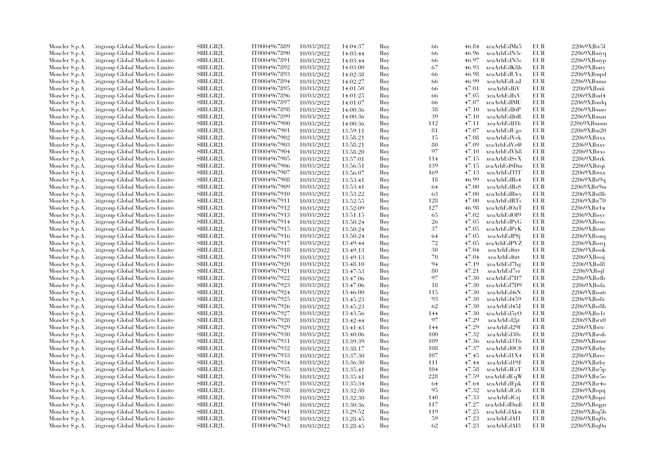| Moncler S.p.A. | Citigroup Global Markets Limite  | SBILGB2L        | IT0004967889 | 10/03/2022 | 14:04:37 | Buy | 66  | 46.84 | xeaArhEdMz5  | EUR        | 22069XJbv5l                |
|----------------|----------------------------------|-----------------|--------------|------------|----------|-----|-----|-------|--------------|------------|----------------------------|
| Moncler S.p.A. | Citigroup Global Markets Limite  | SBILGB2L        | IT0004967890 | 10/03/2022 | 14:03:44 | Buy | 66  | 46.96 | xeaArhEdN3c  | EUR        | 22069XJbuyq                |
| Moncler S.p.A. | Citigroup Global Markets Limited | SBILGB2L        | IT0004967891 | 10/03/2022 | 14:03:44 | Buy | 66  | 46.97 | xeaArhEdN3s  | EUR        | 22069XJbuyp                |
| Moncler S.p.A. | Citigroup Global Markets Limite  | SBILGB2L        | IT0004967892 | 10/03/2022 | 14:03:00 | Buy | 67  | 46.93 | xeaArhEdK8h  | EUR        | 22069XJbury                |
| Moncler S.p.A. | Citigroup Global Markets Limite  | <b>SBILGB2L</b> | IT0004967893 | 10/03/2022 | 14:02:38 | Buy | 66  | 46.98 | xeaArhEdLYx  | EUR        | 22069XJbupd                |
| Moncler S.p.A. | Citigroup Global Markets Limite  | SBILGB2L        | IT0004967894 | 10/03/2022 | 14:02:27 | Buy | 66  | 46.99 | xeaArhEdLuJ  | <b>EUR</b> | 22069XJbuna                |
| Moncler S.p.A. | Citigroup Global Markets Limite  | <b>SBILGB2L</b> | IT0004967895 | 10/03/2022 | 14:01:50 | Buy | 66  | 47.01 | xeaArhEdIiV  | <b>EUR</b> | 22069XJbuii                |
| Moncler S.p.A. | Citigroup Global Markets Limite  | <b>SBILGB2L</b> | IT0004967896 | 10/03/2022 | 14:01:25 | Buy | 66  | 47.05 | xeaArhEdIxV  | EUR        | 22069XJbuf4                |
| Moncler S.p.A. | Citigroup Global Markets Limite  | <b>SBILGB2L</b> | IT0004967897 | 10/03/2022 | 14:01:07 | Buy | 66  | 47.07 | xeaArhEdIMU  | EUR        | 22069XJbudq                |
| Moncler S.p.A. | Citigroup Global Markets Limite  | <b>SBILGB2L</b> | IT0004967898 | 10/03/2022 | 14:00:36 | Buy | 38  | 47.10 | xeaArhEdJ6P  | <b>EUR</b> | $22069\mbox{X} \rm Jbuao$  |
| Moncler S.p.A. | Citigroup Global Markets Limite  | <b>SBILGB2L</b> | IT0004967899 | 10/03/2022 | 14:00:36 | Buy | 39  | 47.10 | xeaArhEdJ6R  | EUR        | 22069XJbuan                |
| Moncler S.p.A. | Citigroup Global Markets Limite  | <b>SBILGB2L</b> | IT0004967900 | 10/03/2022 | 14:00:36 | Buy | 112 | 47.11 | xeaArhEdJ1h  | <b>EUR</b> | 22069XJbuam                |
| Moncler S.p.A. | Citigroup Global Markets Limite  | SBILGB2L        | IT0004967901 | 10/03/2022 | 13:59:11 | Buy | 81  | 47.07 | xeaArhEdUgo  | <b>EUR</b> | 22069XJbu20                |
| Moncler S.p.A. | Citigroup Global Markets Limited | SBILGB2L        | IT0004967902 | 10/03/2022 | 13:58:21 | Buy | 15  | 47.08 | xeaArhEdVek  | <b>EUR</b> | 22069XJbtxx                |
| Moncler S.p.A. | Citigroup Global Markets Limite  | SBILGB2L        | IT0004967903 | 10/03/2022 | 13:58:21 | Buy | 80  | 47.09 | xeaArhEdVe@  | EUR        | $22069X$ Jbtxv             |
|                |                                  |                 |              |            |          |     | 97  |       |              | EUR        |                            |
| Moncler S.p.A. | Citigroup Global Markets Limite  | <b>SBILGB2L</b> | IT0004967904 | 10/03/2022 | 13:58:20 | Buy |     | 47.10 | xeaArhEdVh8  | <b>EUR</b> | 22069XJbtxs<br>22069XJbtrk |
| Moncler S.p.A. | Citigroup Global Markets Limite  | SBILGB2L        | IT0004967905 | 10/03/2022 | 13:57:01 | Buy | 114 | 47.15 | xeaArhEdSvX  |            |                            |
| Moncler S.p.A. | Citigroup Global Markets Limite  | <b>SBILGB2L</b> | IT0004967906 | 10/03/2022 | 13:56:51 | Buy | 139 | 47.15 | xeaArhEdSDm  | EUR        | 22069XJbtqi                |
| Moncler S.p.A. | Citigroup Global Markets Limite  | <b>SBILGB2L</b> | IT0004967907 | 10/03/2022 | 13:56:07 | Buy | 169 | 47.13 | xeaArhEdTfT  | EUR        | 22069XJbtnx                |
| Moncler S.p.A. | Citigroup Global Markets Limite  | <b>SBILGB2L</b> | IT0004967908 | 10/03/2022 | 13:53:41 | Buy | 18  | 46.99 | xeaArhEdRs4  | <b>EUR</b> | 22069XJbt9q                |
| Moncler S.p.A. | Citigroup Global Markets Limite  | SBILGB2L        | IT0004967909 | 10/03/2022 | 13:53:41 | Buy | 64  | 47.00 | xeaArhEdRsS  | <b>EUR</b> | 22069XJbt9m                |
| Moncler S.p.A. | Citigroup Global Markets Limite  | SBILGB2L        | IT0004967910 | 10/03/2022 | 13:53:22 | Buy | 63  | 47.00 | xeaArhEdRwy  | EUR        | 22069XJbt8b                |
| Moncler S.p.A. | Citigroup Global Markets Limite  | <b>SBILGB2L</b> | IT0004967911 | 10/03/2022 | 13:52:55 | Buy | 128 | 47.00 | xeaArhEdRTs  | EUR        | 22069XJbt70                |
| Moncler S.p.A. | Citigroup Global Markets Limite  | SBILGB2L        | IT0004967912 | 10/03/2022 | 13:52:09 | Buy | 127 | 46.98 | xeaArhEdOnT  | <b>EUR</b> | 22069XJbt1w                |
| Moncler S.p.A. | Citigroup Global Markets Limite  | <b>SBILGB2L</b> | IT0004967913 | 10/03/2022 | 13:51:15 | Buy | 65  | 47.02 | xeaArhEdOI9  | EUR        | 22069XJbsyc                |
| Moncler S.p.A. | Citigroup Global Markets Limite  | <b>SBILGB2L</b> | IT0004967914 | 10/03/2022 | 13:50:24 | Buy | 26  | 47.05 | xeaArhEdPyG  | EUR        | 22069XJbsus                |
| Moncler S.p.A. | Citigroup Global Markets Limite  | <b>SBILGB2L</b> | IT0004967915 | 10/03/2022 | 13:50:24 | Buy | 37  | 47.05 | xeaArhEdPyK  | EUR        | 22069XJbsur                |
| Moncler S.p.A. | Citigroup Global Markets Limite  | <b>SBILGB2L</b> | IT0004967916 | 10/03/2022 | 13:50:24 | Buy | 64  | 47.05 | xeaArhEdP\$j | <b>EUR</b> | 22069XJbsuq                |
| Moncler S.p.A. | Citigroup Global Markets Limite  | SBILGB2L        | IT0004967917 | 10/03/2022 | 13:49:44 | Buy | 72  | 47.05 | xeaArhEdPVZ  | EUR        | $22069X$ Jbsrq             |
| Moncler S.p.A. | Citigroup Global Markets Limite  | <b>SBILGB2L</b> | IT0004967918 | 10/03/2022 | 13:49:13 | Buy | 30  | 47.04 | xeaArhEd6tr  | EUR        | 22069XJbsok                |
| Moncler S.p.A. | Citigroup Global Markets Limite  | <b>SBILGB2L</b> | IT0004967919 | 10/03/2022 | 13:49:13 | Buy | 70  | 47.04 | xeaArhEd6tt  | EUR        | $22069X$ Jbsoj             |
| Moncler S.p.A. | Citigroup Global Markets Limite  | SBILGB2L        | IT0004967920 | 10/03/2022 | 13:48:10 | Buy | 94  | 47.19 | xeaArhEd7bg  | EUR        | 22069XJbsl8                |
| Moncler S.p.A. | Citigroup Global Markets Limite  | SBILGB2L        | IT0004967921 | 10/03/2022 | 13:47:53 | Buy | 80  | 47.21 | xeaArhEd7er  | EUR        | $22069X$ Jbsjf             |
| Moncler S.p.A. | Citigroup Global Markets Limite  | <b>SBILGB2L</b> | IT0004967922 | 10/03/2022 | 13:47:06 | Buy | 97  | 47.30 | xeaArhEd7D7  | EUR        | 22069XJbsfb                |
| Moncler S.p.A. | Citigroup Global Markets Limite  | SBILGB2L        | IT0004967923 | 10/03/2022 | 13:47:06 | Buy | 18  | 47.30 | xeaArhEd7D9  | <b>EUR</b> | 22069XJbsfa                |
| Moncler S.p.A. | Citigroup Global Markets Limite  | <b>SBILGB2L</b> | IT0004967924 | 10/03/2022 | 13:46:00 | Buy | 115 | 47.30 | xeaArhEd4iN  | EUR        | 22069XJbsa6                |
| Moncler S.p.A. | Litigroup Global Markets Limite  | <b>SBILGB2L</b> | IT0004967925 | 10/03/2022 | 13:45:23 | Buy | 93  | 47.30 | xeaArhEd459  | EUR        | 22069XJbs8c                |
| Moncler S.p.A. | Citigroup Global Markets Limite  | <b>SBILGB2L</b> | IT0004967926 | 10/03/2022 | 13:45:23 | Buy | 62  | 47.30 | xeaArhEd45J  | EUR        | 22069XJbs8b                |
| Moncler S.p.A. | Citigroup Global Markets Limite  | SBILGB2L        | IT0004967927 | 10/03/2022 | 13:43:56 | Buy | 144 | 47.30 | xeaArhEd5yO  | <b>EUR</b> | 22069XJbs1r                |
| Moncler S.p.A. | Litigroup Global Markets Limite  | SBILGB2L        | IT0004967928 | 10/03/2022 | 13:42:44 | Buy | 97  | 47.29 | xeaArhEd2jr  | EUR        | 22069XJbrx0                |
| Moncler S.p.A. | Litigroup Global Markets Limite  | SBILGB2L        | IT0004967929 | 10/03/2022 | 13:41:43 | Buy | 144 | 47.29 | xeaArhEd29f  | EUR        | 22069XJbrtc                |
| Moncler S.p.A. | Citigroup Global Markets Limite  | SBILGB2L        | IT0004967930 | 10/03/2022 | 13:40:06 | Buy | 100 | 47.32 | xeaArhEd30s  | EUR        | $22069X$ Jbrob             |
| Moncler S.p.A. | Citigroup Global Markets Limite  | SBILGB2L        | IT0004967931 | 10/03/2022 | 13:39:39 | Buy | 109 | 47.36 | xeaArhEd3T6  | <b>EUR</b> | 22069XJbrmr                |
| Moncler S.p.A. | Litigroup Global Markets Limite  | <b>SBILGB2L</b> | IT0004967932 | 10/03/2022 | 13:38:17 | Buy | 108 | 47.37 | xeaArhEd0C\$ | EUR        | 22069XJbrhy                |
|                | Citigroup Global Markets Limite  | <b>SBILGB2L</b> | IT0004967933 | 10/03/2022 |          | Buy | 107 | 47.45 | xeaArhEd1X4  | EUR        | 22069XJbrec                |
| Moncler S.p.A. |                                  |                 |              |            | 13:37:30 |     | 111 |       |              | <b>EUR</b> | 22069XJbrby                |
| Moncler S.p.A. | Citigroup Global Markets Limite  | SBILGB2L        | IT0004967934 | 10/03/2022 | 13:36:30 | Buy |     | 47.44 | xeaArhEd19J  |            |                            |
| Moncler S.p.A. | Citigroup Global Markets Limite  | <b>SBILGB2L</b> | IT0004967935 | 10/03/2022 | 13:35:41 | Buy | 104 | 47.58 | xeaArhEdErT  | EUR        | 22069XJbr5p                |
| Moncler S.p.A. | Citigroup Global Markets Limite  | <b>SBILGB2L</b> | IT0004967936 | 10/03/2022 | 13:35:41 | Buy | 228 | 47.59 | xeaArhEdEqW  | EUR        | 22069XJbr5o                |
| Moncler S.p.A. | Citigroup Global Markets Limite  | <b>SBILGB2L</b> | IT0004967937 | 10/03/2022 | 13:35:34 | Buy | 64  | 47.64 | xeaArhEdEpk  | EUR        | 22069XJbr4o                |
| Moncler S.p.A. | Citigroup Global Markets Limite  | <b>SBILGB2L</b> | IT0004967938 | 10/03/2022 | 13:32:30 | Buy | 95  | 47.32 | xeaArhEdCrh  | <b>EUR</b> | 22069XJbqnj                |
| Moncler S.p.A. | Litigroup Global Markets Limite  | <b>SBILGB2L</b> | IT0004967939 | 10/03/2022 | 13:32:30 | Buy | 140 | 47.33 | xeaArhEdCri  | EUR        | 22069XJbqni                |
| Moncler S.p.A. | Litigroup Global Markets Limite  | <b>SBILGB2L</b> | IT0004967940 | 10/03/2022 | 13:30:36 | Buy | 117 | 47.27 | xeaArhEdDmE  | EUR        | 22069XJbqgn                |
| Moncler S.p.A. | Citigroup Global Markets Limite  | SBILGB2L        | IT0004967941 | 10/03/2022 | 13:29:52 | Buy | 119 | 47.25 | xeaArhEdAkw  | EUR        | 22069XJbq5b                |
| Moncler S.p.A. | Citigroup Global Markets Limite  | <b>SBILGB2L</b> | IT0004967942 | 10/03/2022 | 13:28:45 | Buy | 59  | 47.23 | xeaArhEdAI1  | <b>EUR</b> | 22069XJbq0x                |
| Moncler S.p.A. | Citigroup Global Markets Limited | SBILGB2L        | IT0004967943 | 10/03/2022 | 13:28:45 | Buy | 62  | 47.23 | xeaArhEdAI3  | <b>EUR</b> | $22069X$ Jbq0u             |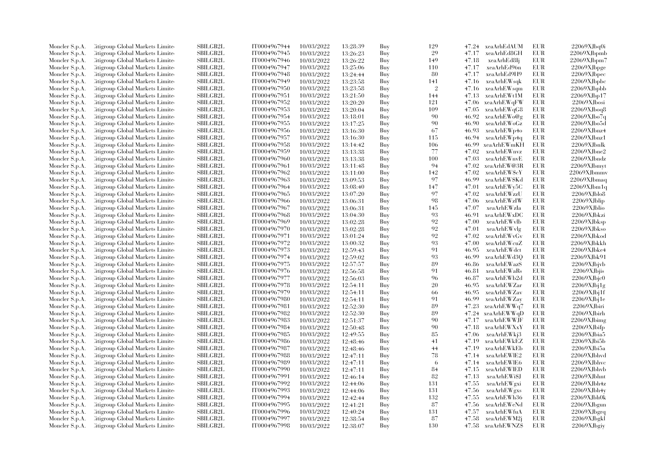|                |                                  | <b>SBILGB2L</b> |              |            |          |     | 129        |       |                    | EUR        | 22069XJbq0i       |
|----------------|----------------------------------|-----------------|--------------|------------|----------|-----|------------|-------|--------------------|------------|-------------------|
| Moncler S.p.A. | Litigroup Global Markets Limite  |                 | IT0004967944 | 10/03/2022 | 13:28:39 | Buy | 29         |       | 47.24 xeaArhEdAUM  |            |                   |
| Moncler S.p.A. | Litigroup Global Markets Limite  | <b>SBILGB2L</b> | IT0004967945 | 10/03/2022 | 13:26:23 | Buy |            | 47.17 | xeaArhEd8GH        | EUR        | 22069XJbpmb       |
| Moncler S.p.A. | Citigroup Global Markets Limite  | SBILGB2L        | IT0004967946 | 10/03/2022 | 13:26:22 | Buy | 149        | 47.18 | xeaArhEd8Ij        | <b>EUR</b> | 22069XJbpm7       |
| Moncler S.p.A. | Litigroup Global Markets Limite  | SBILGB2L        | IT0004967947 | 10/03/2022 | 13:25:06 | Buy | 110        | 47.17 | xeaArhEd96n        | EUR        | 22069XJbpge       |
| Moncler S.p.A. | Litigroup Global Markets Limite  | <b>SBILGB2L</b> | IT0004967948 | 10/03/2022 | 13:24:44 | Buy | 80         | 47.17 | xeaArhEd9H9        | <b>EUR</b> | 22069XJbpec       |
| Moncler S.p.A. | Citigroup Global Markets Limite  | SBILGB2L        | IT0004967949 | 10/03/2022 | 13:23:58 | Buy | 141        | 47.16 | xeaArhEWsqk        | EUR        | 22069XJbpbc       |
| Moncler S.p.A. | Citigroup Global Markets Limite  | SBILGB2L        | IT0004967950 | 10/03/2022 | 13:23:58 | Buy | $\sqrt{2}$ | 47.16 | xeaArhEWsqm        | <b>EUR</b> | 22069XJbpbb       |
| Moncler S.p.A. | Litigroup Global Markets Limite  | <b>SBILGB2L</b> | IT0004967951 | 10/03/2022 | 13:21:50 | Buy | 144        | 47.13 | xeaArhEWt1M        | EUR        | 22069XJbp17       |
| Moncler S.p.A. | Litigroup Global Markets Limite  | <b>SBILGB2L</b> | IT0004967952 | 10/03/2022 | 13:20:20 | Buy | 121        |       | 47.06 xeaArhEWqFW  | EUR        | 22069XJbosi       |
| Moncler S.p.A. | Citigroup Global Markets Limite  | <b>SBILGB2L</b> | IT0004967953 | 10/03/2022 | 13:20:04 | Buy | 109        | 47.05 | xeaArhEWqG8        | EUR        | 22069XJboq8       |
| Moncler S.p.A. | Citigroup Global Markets Limite  | <b>SBILGB2L</b> | IT0004967954 | 10/03/2022 | 13:18:01 | Buy | 90         | 46.92 | xeaArhEWo@g        | EUR        | 22069XJbo7q       |
| Moncler S.p.A. | Litigroup Global Markets Limite  | SBILGB2L        | IT0004967955 | 10/03/2022 | 13:17:25 | Buy | 90         | 46.90 | xeaArhEWoGz        | EUR        | 22069XJbo5d       |
| Moncler S.p.A. | Citigroup Global Markets Limite  | <b>SBILGB2L</b> | IT0004967956 | 10/03/2022 | 13:16:30 | Buy | 67         | 46.93 | xeaArhEWp4o        | EUR        | 22069XJbnz4       |
| Moncler S.p.A. | Litigroup Global Markets Limite  | <b>SBILGB2L</b> | IT0004967957 | 10/03/2022 | 13:16:30 | Buy | 115        | 46.94 | xeaArhEWp4q        | <b>EUR</b> | 22069XJbnz1       |
| Moncler S.p.A. | Citigroup Global Markets Limite  | SBILGB2L        | IT0004967958 | 10/03/2022 | 13:14:42 | Buy | 106        | 46.99 | xeaArhEWmKH        | EUR        | 22069XJbnlk       |
|                | Citigroup Global Markets Limite  | SBILGB2L        | IT0004967959 |            |          |     | 77         | 47.02 | xeaArhEWnvz        | <b>EUR</b> | 22069XJbne2       |
| Moncler S.p.A. |                                  |                 |              | 10/03/2022 | 13:13:38 | Buy |            |       |                    |            |                   |
| Moncler S.p.A. | Citigroup Global Markets Limite  | <b>SBILGB2L</b> | IT0004967960 | 10/03/2022 | 13:13:38 | Buy | 100        | 47.03 | xeaArhEWnvE        | EUR        | 22069XJbndz       |
| Moncler S.p.A. | Litigroup Global Markets Limite  | <b>SBILGB2L</b> | IT0004967961 | 10/03/2022 | 13:11:48 | Buy | 94         | 47.02 | xeaArhEW@3R        | EUR        | 22069XJbmyt       |
| Moncler S.p.A. | Citigroup Global Markets Limite  | SBILGB2L        | IT0004967962 | 10/03/2022 | 13:11:00 | Buy | 142        | 47.02 | xeaArhEWScY        | EUR        | 22069XJbmmv       |
| Moncler S.p.A. | Citigroup Global Markets Limite  | <b>SBILGB2L</b> | IT0004967963 | 10/03/2022 | 13:09:53 | Buy | 97         | 46.99 | xeaArhEWSKd        | EUR        | 22069XJbmaq       |
| Moncler S.p.A. | Citigroup Global Markets Limite  | <b>SBILGB2L</b> | IT0004967964 | 10/03/2022 | 13:08:40 | Buy | 147        | 47.01 | xeaArhEWy5C        | <b>EUR</b> | 22069XJbm1q       |
| Moncler S.p.A. | Litigroup Global Markets Limite  | SBILGB2L        | IT0004967965 | 10/03/2022 | 13:07:20 | Buy | 97         | 47.02 | xeaArhEWzzU        | <b>EUR</b> | $22069X$ Jblo $8$ |
| Moncler S.p.A. | Citigroup Global Markets Limite  | SBILGB2L        | IT0004967966 | 10/03/2022 | 13:06:31 | Buy | 98         | 47.06 | xeaArhEWzIW        | <b>EUR</b> | 22069XJblip       |
| Moncler S.p.A. | Citigroup Global Markets Limite  | <b>SBILGB2L</b> | IT0004967967 | 10/03/2022 | 13:06:31 | Buy | 145        | 47.07 | xeaArhEWzIa        | EUR        | $22069X$ Jblio    |
| Moncler S.p.A. | Citigroup Global Markets Limite  | <b>SBILGB2L</b> | IT0004967968 | 10/03/2022 | 13:04:30 | Buy | 93         | 46.91 | xeaArhEWxDC        | EUR        | 22069XJbkzi       |
| Moncler S.p.A. | Citigroup Global Markets Limite  | SBILGB2L        | IT0004967969 | 10/03/2022 | 13:02:28 | Buy | 92         | 47.00 | xeaArhEWvlb        | EUR        | 22069XJbksp       |
| Moncler S.p.A. | Citigroup Global Markets Limite  | SBILGB2L        | IT0004967970 | 10/03/2022 | 13:02:28 | Buy | 92         | 47.01 | xeaArhEWylg        | <b>EUR</b> | 22069XJbkso       |
| Moncler S.p.A. | Litigroup Global Markets Limite  | <b>SBILGB2L</b> | IT0004967971 | 10/03/2022 | 13:01:24 | Buy | 92         | 47.02 | xeaArhEWvGv        | EUR        | 22069XJbkod       |
| Moncler S.p.A. | Citigroup Global Markets Limite  | <b>SBILGB2L</b> | IT0004967972 | 10/03/2022 | 13:00:32 | Buy | 93         | 47.00 | xeaArhEWcuZ        | EUR        | 22069XJbkkh       |
| Moncler S.p.A. | Citigroup Global Markets Limite  | SBILGB2L        | IT0004967973 | 10/03/2022 | 12:59:43 | Buy | 91         | 46.95 | xeaArhEWdct        | <b>EUR</b> | 22069XJbke4       |
| Moncler S.p.A. | Citigroup Global Markets Limite  | <b>SBILGB2L</b> | IT0004967974 | 10/03/2022 | 12:59:02 | Buy | 93         | 46.99 | xeaArhEWd3Q        | EUR        | 22069XJbk91       |
| Moncler S.p.A. | Litigroup Global Markets Limite  | <b>SBILGB2L</b> | IT0004967975 | 10/03/2022 |          | Buy | 89         | 46.86 | xeaArhEWazS        | <b>EUR</b> | 22069XJbjvb       |
|                |                                  |                 |              |            | 12:57:57 |     |            |       |                    |            |                   |
| Moncler S.p.A. | Citigroup Global Markets Limite  | <b>SBILGB2L</b> | IT0004967976 | 10/03/2022 | 12:56:58 | Buy | 91         | 46.81 | xeaArhEWaRs        | EUR        | 22069XJbjis       |
| Moncler S.p.A. | Citigroup Global Markets Limite  | SBILGB2L        | IT0004967977 | 10/03/2022 | 12:56:03 | Buy | 96         | 46.87 | xeaArhEWb2d        | <b>EUR</b> | 22069XJbjc0       |
| Moncler S.p.A. | Citigroup Global Markets Limite  | <b>SBILGB2L</b> | IT0004967978 | 10/03/2022 | 12:54:11 | Buy | 20         | 46.95 | xeaArhEWZar        | <b>EUR</b> | $22069X$ Jbj $1g$ |
| Moncler S.p.A. | Citigroup Global Markets Limite  | <b>SBILGB2L</b> | IT0004967979 | 10/03/2022 | 12:54:11 | Buy | 66         | 46.95 | xeaArhEWZav        | EUR        | $22069X$ Jbj1f    |
| Moncler S.p.A. | Citigroup Global Markets Limite  | SBILGB2L        | IT0004967980 | 10/03/2022 | 12:54:11 | Buy | 91         | 46.99 | xeaArhEWZay        | EUR        | $22069X$ Jbj $1e$ |
| Moncler S.p.A. | Citigroup Global Markets Limite  | SBILGB2L        | IT0004967981 | 10/03/2022 | 12:52:30 | Buy | 89         | 47.23 | xeaArhEWWq7        | <b>EUR</b> | 22069XJbiri       |
| Moncler S.p.A. | Litigroup Global Markets Limite  | <b>SBILGB2L</b> | IT0004967982 | 10/03/2022 | 12:52:30 | Buy | 89         | 47.24 | xeaArhEWWqD        | EUR        | 22069XJbirh       |
| Moncler S.p.A. | Litigroup Global Markets Limite  | <b>SBILGB2L</b> | IT0004967983 | 10/03/2022 | 12:51:37 | Buy | 90         | 47.17 | xeaArhEWWJF        | EUR        | 22069XJbimg       |
| Moncler S.p.A. | Citigroup Global Markets Limite  | <b>SBILGB2L</b> | IT0004967984 | 10/03/2022 | 12:50:48 | Buy | 90         | 47.18 | xeaArhEWXxY        | <b>EUR</b> | 22069XJbifp       |
| Moncler S.p.A. | Citigroup Global Markets Limite  | SBILGB2L        | IT0004967985 | 10/03/2022 | 12:49:55 | Buy | 85         | 47.06 | xeaArhEWkj3        | EUR        | 22069XJbia5       |
| Moncler S.p.A. | Citigroup Global Markets Limite  | SBILGB2L        | IT0004967986 | 10/03/2022 | 12:48:46 | Buy | 41         | 47.19 | xeaArhEWkEZ        | <b>EUR</b> | 22069XJbi5b       |
| Moncler S.p.A. | Citigroup Global Markets Limite  | SBILGB2L        | IT0004967987 | 10/03/2022 | 12:48:46 | Buy | 44         | 47.19 | xeaArhEWkEb        | EUR        | 22069XJbi5a       |
| Moncler S.p.A. | Citigroup Global Markets Limite  | <b>SBILGB2L</b> | IT0004967988 | 10/03/2022 | 12:47:11 | Buy | 78         | 47.14 | xeaArhEWIE2        | <b>EUR</b> | 22069XJbhvd       |
| Moncler S.p.A. | Citigroup Global Markets Limite  | SBILGB2L        | IT0004967989 | 10/03/2022 | 12:47:11 | Buy | 6          | 47.14 | xeaArhEWlE6        | EUR        | 22069XJbhvc       |
| Moncler S.p.A. | Citigroup Global Markets Limite  | SBILGB2L        | IT0004967990 | 10/03/2022 | 12:47:11 | Buy | 84         | 47.15 | xeaArhEWIED        | EUR        | 22069XJbhvb       |
| Moncler S.p.A. | Citigroup Global Markets Limite  | <b>SBILGB2L</b> | IT0004967991 | 10/03/2022 | 12:46:14 | Buy | 82         | 47.13 | xeaArhEWi\$J       | <b>EUR</b> | 22069XJbhnt       |
| Moncler S.p.A. | Citigroup Global Markets Limite  | <b>SBILGB2L</b> | IT0004967992 | 10/03/2022 | 12:44:06 | Buy | 131        | 47.55 | xeaArhEWgxi        | EUR        | 22069XJbh4z       |
|                | Citigroup Global Markets Limite  | SBILGB2L        | IT0004967993 | 10/03/2022 |          |     | 131        | 47.56 | xeaArhEWgxs        | EUR        | 22069XJbh4y       |
| Moncler S.p.A. |                                  |                 |              |            | 12:44:06 | Buy |            |       |                    |            |                   |
| Moncler S.p.A. | Litigroup Global Markets Limite  | <b>SBILGB2L</b> | IT0004967994 | 10/03/2022 | 12:42:44 | Buy | 132        | 47.55 | xeaArhEWh36        | EUR        | 22069XJbh0k       |
| Moncler S.p.A. | Litigroup Global Markets Limite  | <b>SBILGB2L</b> | IT0004967995 | 10/03/2022 | 12:41:21 | Buy | 87         | 47.56 | xeaArhEWeNd        | <b>EUR</b> | 22069XJbgun       |
| Moncler S.p.A. | Citigroup Global Markets Limite  | SBILGB2L        | IT0004967996 | 10/03/2022 | 12:40:24 | Buy | 131        | 47.57 | xeaArhEWfuA        | EUR        | $22069X$ Jbgrq    |
| Moncler S.p.A. | Citigroup Global Markets Limite  | <b>SBILGB2L</b> | IT0004967997 | 10/03/2022 | 12:38:54 | Buy | 87         | 47.58 | xeaArhEWM2j        | <b>EUR</b> | 22069XJbgkl       |
| Moncler S.p.A. | Citigroup Global Markets Limited | SBILGB2L        | IT0004967998 | 10/03/2022 | 12:38:07 | Buy | 130        |       | 47.58 xeaArhEWNZ\$ | EUR        | 22069XJbgiy       |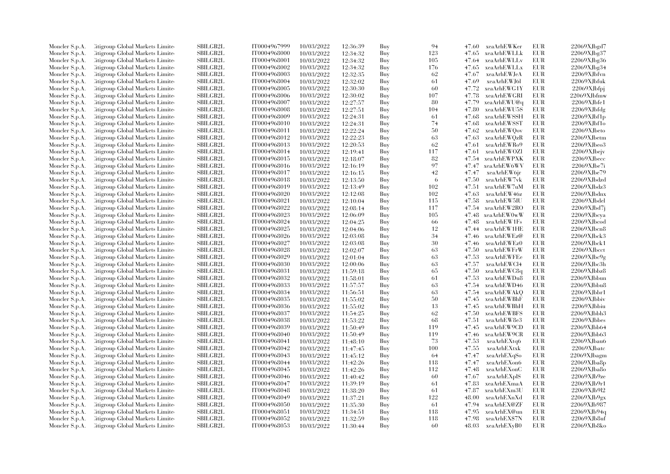| Moncler S.p.A. | Citigroup Global Markets Limite  | SBILGB2L        | IT0004967999                 | 10/03/2022 | 12:36:39 | Buy | 94  | 47.60 | xeaArhEWKer  | EUR        | 22069XJbgd7          |
|----------------|----------------------------------|-----------------|------------------------------|------------|----------|-----|-----|-------|--------------|------------|----------------------|
| Moncler S.p.A. | Citigroup Global Markets Limite  | SBILGB2L        | IT0004968000                 | 10/03/2022 | 12:34:32 | Buy | 123 | 47.65 | xeaArhEWLLk  | EUR        | 22069XJbg37          |
| Moncler S.p.A. | Citigroup Global Markets Limited | <b>SBILGB2L</b> | IT0004968001                 | 10/03/2022 | 12:34:32 | Buy | 105 | 47.64 | xeaArhEWLLv  | <b>EUR</b> | 22069XJbg36          |
| Moncler S.p.A. | Litigroup Global Markets Limite  | SBILGB2L        | IT0004968002                 | 10/03/2022 | 12:34:32 | Buy | 176 | 47.65 | xeaArhEWLLx  | EUR        | 22069XJbg34          |
| Moncler S.p.A. | Citigroup Global Markets Limite  | <b>SBILGB2L</b> | IT0004968003                 | 10/03/2022 | 12:32:35 | Buy | 62  | 47.67 | xeaArhEWJeA  | <b>EUR</b> | 22069XJbfvn          |
| Moncler S.p.A. | Citigroup Global Markets Limite  | SBILGB2L        | IT0004968004                 | 10/03/2022 | 12:32:02 | Buy | 61  | 47.69 | xeaArhEWJ6l  | EUR        | 22069XJbfuk          |
| Moncler S.p.A. | Citigroup Global Markets Limited | <b>SBILGB2L</b> | IT0004968005                 | 10/03/2022 | 12:30:30 | Buy | 60  | 47.72 | xeaArhEWG1Y  | EUR        | 22069XJbfpj          |
| Moncler S.p.A. | Litigroup Global Markets Limite  | <b>SBILGB2L</b> | IT0004968006                 | 10/03/2022 | 12:30:02 | Buy | 107 | 47.78 | xeaArhEWGRI  | <b>EUR</b> | 22069XJbfmw          |
| Moncler S.p.A. | Citigroup Global Markets Limite  | SBILGB2L        | IT0004968007                 | 10/03/2022 | 12:27:57 | Buy | 80  | 47.79 | xeaArhEWU@q  | <b>EUR</b> | 22069XJbf1           |
| Moncler S.p.A. | Citigroup Global Markets Limite  | SBILGB2L        | IT0004968008                 | 10/03/2022 | 12:27:51 | Buy | 104 | 47.80 | xeaArhEWU5S  | <b>EUR</b> | 22069XJbfdg          |
| Moncler S.p.A. | Citigroup Global Markets Limite  | <b>SBILGB2L</b> | IT0004968009                 | 10/03/2022 | 12:24:31 | Buy | 61  | 47.68 | xeaArhEWSSH  | EUR        | 22069XJbf1p          |
| Moncler S.p.A. | Litigroup Global Markets Limite  | <b>SBILGB2L</b> | IT0004968010                 | 10/03/2022 | 12:24:31 | Buy | 74  | 47.68 | xeaArhEWSST  | <b>EUR</b> | 22069XJbf1o          |
| Moncler S.p.A. | Citigroup Global Markets Limite  | SBILGB2L        | IT0004968011                 | 10/03/2022 | 12:22:24 | Buy | 50  | 47.62 | xeaArhEWQov  | <b>EUR</b> | 22069XJbeto          |
| Moncler S.p.A. | Citigroup Global Markets Limited | SBILGB2L        | IT0004968012                 | 10/03/2022 | 12:22:23 | Buy | 63  | 47.63 | xeaArhEWQzR  | <b>EUR</b> | 22069XJbetm          |
| Moncler S.p.A. | Litigroup Global Markets Limite  | SBILGB2L        | IT0004968013                 | 10/03/2022 | 12:20:53 | Buy | 62  | 47.61 | xeaArhEWRo9  | EUR        | $22069X$ Jbeo3       |
| Moncler S.p.A. | Litigroup Global Markets Limite  | <b>SBILGB2L</b> | IT0004968014                 | 10/03/2022 |          | Buy | 117 | 47.61 | xeaArhEWOZI  | EUR        | 22069XJbejv          |
|                |                                  | SBILGB2L        |                              |            | 12:19:41 |     | 82  | 47.54 | xeaArhEWPXK  | EUR        | 22069XJbecc          |
| Moncler S.p.A. | Citigroup Global Markets Limite  | <b>SBILGB2L</b> | IT0004968015<br>IT0004968016 | 10/03/2022 | 12:18:07 | Buy | 97  | 47.47 |              | EUR        | 22069XJbe7i          |
| Moncler S.p.A. | Citigroup Global Markets Limite  |                 |                              | 10/03/2022 | 12:16:19 | Buy | 42  |       | xeaArhEW6WV  |            |                      |
| Moncler S.p.A. | Citigroup Global Markets Limite  | <b>SBILGB2L</b> | IT0004968017                 | 10/03/2022 | 12:16:15 | Buy |     | 47.47 | xeaArhEW6jr  | <b>EUR</b> | 22069XJbe79          |
| Moncler S.p.A. | Litigroup Global Markets Limite  | SBILGB2L        | IT0004968018                 | 10/03/2022 | 12:13:50 | Buy | -6  | 47.50 | xeaArhEW7vk  | EUR        | 22069XJbdzd          |
| Moncler S.p.A. | Citigroup Global Markets Limite  | SBILGB2L        | IT0004968019                 | 10/03/2022 | 12:13:49 | Buy | 102 | 47.51 | xeaArhEW7uM  | <b>EUR</b> | 22069XJbdz3          |
| Moncler S.p.A. | Citigroup Global Markets Limite  | SBILGB2L        | IT0004968020                 | 10/03/2022 | 12:12:08 | Buy | 102 | 47.63 | xeaArhEW46z  | <b>EUR</b> | 22069XJbdnx          |
| Moncler S.p.A. | Citigroup Global Markets Limite  | <b>SBILGB2L</b> | IT0004968021                 | 10/03/2022 | 12:10:04 | Buy | 115 | 47.58 | xeaArhEW5IU  | EUR        | 22069XJbdel          |
| Moncler S.p.A. | Citigroup Global Markets Limite  | SBILGB2L        | IT0004968022                 | 10/03/2022 | 12:08:14 | Buy | 117 | 47.54 | xeaArhEW2RO  | <b>EUR</b> | 22069XJbd7j          |
| Moncler S.p.A. | Citigroup Global Markets Limite  | <b>SBILGB2L</b> | IT0004968023                 | 10/03/2022 | 12:06:09 | Buy | 105 | 47.48 | xeaArhEW0wW  | EUR        | 22069XJbcya          |
| Moncler S.p.A. | Litigroup Global Markets Limite  | <b>SBILGB2L</b> | IT0004968024                 | 10/03/2022 | 12:04:25 | Buy | -66 | 47.48 | xeaArhEW1Fs  | <b>EUR</b> | 22069XJbcod          |
| Moncler S.p.A. | Citigroup Global Markets Limite  | <b>SBILGB2L</b> | IT0004968025                 | 10/03/2022 | 12:04:06 | Buy | 12  | 47.44 | xeaArhEW1HE  | EUR        | 22069XJbcn8          |
| Moncler S.p.A. | Citigroup Global Markets Limite  | <b>SBILGB2L</b> | IT0004968026                 | 10/03/2022 | 12:03:08 | Buy | 34  | 47.46 | xeaArhEWEz@  | <b>EUR</b> | 22069XJbck3          |
| Moncler S.p.A. | Litigroup Global Markets Limite  | SBILGB2L        | IT0004968027                 | 10/03/2022 | 12:03:08 | Buy | 30  | 47.46 | xeaArhEWEz0  | EUR        | 22069XJbck1          |
| Moncler S.p.A. | Litigroup Global Markets Limite  | <b>SBILGB2L</b> | IT0004968028                 | 10/03/2022 | 12:02:07 | Buy | 63  | 47.50 | xeaArhEWFrW  | EUR        | $22069X$ Jbcct       |
| Moncler S.p.A. | Litigroup Global Markets Limite  | <b>SBILGB2L</b> | IT0004968029                 | 10/03/2022 | 12:01:04 | Buy | 63  | 47.53 | xeaArhEWFEe  | <b>EUR</b> | 22069XJbc9g          |
| Moncler S.p.A. | Citigroup Global Markets Limite  | SBILGB2L        | IT0004968030                 | 10/03/2022 | 12:00:06 | Buy | 63  | 47.57 | xeaArhEWCl4  | <b>EUR</b> | 22069XJbc3h          |
| Moncler S.p.A. | Citigroup Global Markets Limite  | SBILGB2L        | IT0004968031                 | 10/03/2022 | 11:59:18 | Buy | 65  | 47.50 | xeaArhEWC8q  | EUR        | 22069XJbbz8          |
| Moncler S.p.A. | Citigroup Global Markets Limite  | <b>SBILGB2L</b> | IT0004968032                 | 10/03/2022 | 11:58:01 | Buy | 61  | 47.53 | xeaArhEWDu8  | EUR        | 22069XJbbun          |
| Moncler S.p.A. | Citigroup Global Markets Limite  | SBILGB2L        | IT0004968033                 | 10/03/2022 | 11:57:57 | Buy | 63  | 47.54 | xeaArhEWD46  | <b>EUR</b> | 22069XJbbu8          |
| Moncler S.p.A. | Citigroup Global Markets Limite  | <b>SBILGB2L</b> | IT0004968034                 | 10/03/2022 | 11:56:51 | Buy | 63  | 47.54 | xeaArhEWAkQ  | EUR        | 22069XJbbr1          |
| Moncler S.p.A. | Litigroup Global Markets Limite  | SBILGB2L        | IT0004968035                 | 10/03/2022 | 11:55:02 | Buy | 50  | 47.45 | xeaArhEWBhF  | EUR        | $22069X$ Jbbiv       |
| Moncler S.p.A. | Citigroup Global Markets Limite  | <b>SBILGB2L</b> | IT0004968036                 | 10/03/2022 | 11:55:02 | Buy | 13  | 47.45 | xeaArhEWBhH  | EUR        | 22069XJbbiu          |
| Moncler S.p.A. | Citigroup Global Markets Limite  | <b>SBILGB2L</b> | IT0004968037                 | 10/03/2022 | 11:54:25 | Buy | 62  | 47.50 | xeaArhEWBFS  | <b>EUR</b> | 22069XJbbh3          |
| Moncler S.p.A. | Litigroup Global Markets Limite  | SBILGB2L        | IT0004968038                 | 10/03/2022 | 11:53:22 | Buy | 68  | 47.51 | xeaArhEW8e3  | EUR        | 22069XJbbes          |
| Moncler S.p.A. | Litigroup Global Markets Limite  | <b>SBILGB2L</b> | IT0004968039                 | 10/03/2022 | 11:50:49 | Buy | 119 | 47.45 | xeaArhEW9CD  | EUR        | 22069XJbb64          |
| Moncler S.p.A. | Citigroup Global Markets Limite  | SBILGB2L        | IT0004968040                 | 10/03/2022 | 11:50:49 | Buy | 119 | 47.46 | xeaArhEW9CR  | EUR        | 22069XJbb63          |
| Moncler S.p.A. | Citigroup Global Markets Limite  | SBILGB2L        | IT0004968041                 | 10/03/2022 | 11:48:10 | Buy | 73  | 47.53 | xeaArhEXtq6  | <b>EUR</b> | $22069\mbox{XJbau}6$ |
| Moncler S.p.A. | Litigroup Global Markets Limite  | <b>SBILGB2L</b> | IT0004968042                 | 10/03/2022 | 11:47:45 | Buy | 100 | 47.55 | xeaArhEXtxk  | EUR        | 22069XJbatc          |
| Moncler S.p.A. | Litigroup Global Markets Limite  | <b>SBILGB2L</b> | IT0004968043                 | 10/03/2022 | 11:45:12 | Buy | 64  | 47.47 | xeaArhEXqSo  | EUR        | 22069XJbagm          |
| Moncler S.p.A. | Citigroup Global Markets Limite  | <b>SBILGB2L</b> | IT0004968044                 | 10/03/2022 | 11:42:26 | Buy | 118 | 47.47 | xeaArhEXon6  | EUR        | 22069XJba8p          |
| Moncler S.p.A. | Citigroup Global Markets Limite  | <b>SBILGB2L</b> | IT0004968045                 | 10/03/2022 | 11:42:26 | Buy | 112 | 47.48 | xeaArhEXonC  | EUR        | 22069XJba8o          |
| Moncler S.p.A. | Citigroup Global Markets Limite  | <b>SBILGB2L</b> | IT0004968046                 | 10/03/2022 | 11:40:42 | Buy | 60  | 47.67 | xeaArhEXplS  | EUR        | $22069X$ Jb $9$ ze   |
| Moncler S.p.A. | Citigroup Global Markets Limite  | SBILGB2L        | IT0004968047                 | 10/03/2022 | 11:39:19 | Buy | -61 | 47.83 | xeaArhEXmaA  | EUR        | 22069XJb9r1          |
|                |                                  | <b>SBILGB2L</b> | IT0004968048                 | 10/03/2022 |          |     | 61  | 47.87 | xeaArhEXm3U  | <b>EUR</b> | 22069XJb9l2          |
| Moncler S.p.A. | Citigroup Global Markets Limite  | SBILGB2L        | IT0004968049                 |            | 11:38:20 | Buy | 122 | 48.00 |              | EUR        | 22069XJb9gx          |
| Moncler S.p.A. | Litigroup Global Markets Limite  |                 |                              | 10/03/2022 | 11:37:21 | Buy |     |       | xeaArhEXnXd  |            |                      |
| Moncler S.p.A. | Litigroup Global Markets Limite  | <b>SBILGB2L</b> | IT0004968050                 | 10/03/2022 | 11:35:30 | Buy | -61 | 47.94 | xeaArhEX@ZF  | EUR        | 22069XJb987          |
| Moncler S.p.A. | Citigroup Global Markets Limite  | SBILGB2L        | IT0004968051                 | 10/03/2022 | 11:34:51 | Buy | 118 | 47.95 | xeaArhEX@un  | EUR        | 22069XJb94q          |
| Moncler S.p.A. | Citigroup Global Markets Limite  | <b>SBILGB2L</b> | IT0004968052                 | 10/03/2022 | 11:32:59 | Buy | 118 | 47.98 | xeaArhEX\$7N | <b>EUR</b> | 22069XJb8uf          |
| Moncler S.p.A. | Citigroup Global Markets Limited | SBILGB2L        | IT0004968053                 | 10/03/2022 | 11:30:44 | Buy | -60 | 48.03 | xeaArhEXyB0  | <b>EUR</b> | 22069XJb8ko          |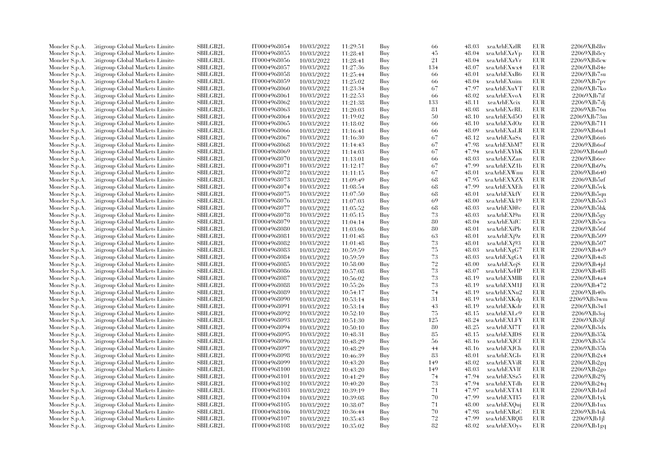| Moncler S.p.A. | Litigroup Global Markets Limite  | SBILGB2L        | IT0004968054 | 10/03/2022 | 11:29:51 | Buy | 66  | 48.03 | xeaArhEXzlR  | EUR        | 22069XJb8hv       |
|----------------|----------------------------------|-----------------|--------------|------------|----------|-----|-----|-------|--------------|------------|-------------------|
| Moncler S.p.A. | Litigroup Global Markets Limite  | <b>SBILGB2L</b> | IT0004968055 | 10/03/2022 | 11:28:41 | Buy | 45  | 48.04 | xeaArhEXzVp  | EUR        | $22069X$ Jb $8cy$ |
| Moncler S.p.A. | Citigroup Global Markets Limite  | <b>SBILGB2L</b> | IT0004968056 | 10/03/2022 | 11:28:41 | Buy | 21  | 48.04 | xeaArhEXzVr  | <b>EUR</b> | 22069XJb8cw       |
| Moncler S.p.A. | Litigroup Global Markets Limite  | SBILGB2L        | IT0004968057 | 10/03/2022 | 11:27:36 | Buy | 134 | 48.07 | xeaArhEXwx4  | EUR        | 22069XJb84e       |
| Moncler S.p.A. | Litigroup Global Markets Limite  | <b>SBILGB2L</b> | IT0004968058 | 10/03/2022 | 11:25:44 | Buy | -66 | 48.01 | xeaArhEXxB6  | <b>EUR</b> | 22069XJb7su       |
| Moncler S.p.A. | Citigroup Global Markets Limite  | SBILGB2L        | IT0004968059 | 10/03/2022 | 11:25:02 | Buy | 66  | 48.04 | xeaArhEXuim  | EUR        | 22069XJb7pv       |
| Moncler S.p.A. | Citigroup Global Markets Limite  | SBILGB2L        | IT0004968060 | 10/03/2022 | 11:23:34 | Buy | 67  | 47.97 | xeaArhEXuVT  | <b>EUR</b> | 22069XJb7ko       |
| Moncler S.p.A. | Litigroup Global Markets Limite  | <b>SBILGB2L</b> | IT0004968061 | 10/03/2022 | 11:22:53 | Buy | 66  | 48.02 | xeaArhEXvoA  | EUR        | 22069XJb7if       |
|                |                                  |                 |              |            |          |     |     |       |              | EUR        |                   |
| Moncler S.p.A. | Litigroup Global Markets Limite  | <b>SBILGB2L</b> | IT0004968062 | 10/03/2022 | 11:21:38 | Buy | 133 | 48.11 | xeaArhEXcix  |            | 22069XJb7dj       |
| Moncler S.p.A. | Citigroup Global Markets Limite  | SBILGB2L        | IT0004968063 | 10/03/2022 | 11:20:03 | Buy | 81  | 48.08 | xeaArhEXcRL  | EUR        | 22069XJb76n       |
| Moncler S.p.A. | Citigroup Global Markets Limite  | <b>SBILGB2L</b> | IT0004968064 | 10/03/2022 | 11:19:02 | Buy | 50  | 48.10 | xeaArhEXd5O  | EUR        | 22069XJb73m       |
| Moncler S.p.A. | Litigroup Global Markets Limite  | <b>SBILGB2L</b> | IT0004968065 | 10/03/2022 | 11:18:02 | Buy | 66  | 48.10 | xeaArhEXdOz  | EUR        | 22069XJb711       |
| Moncler S.p.A. | Citigroup Global Markets Limite  | <b>SBILGB2L</b> | IT0004968066 | 10/03/2022 | 11:16:41 | Buy | 66  | 48.09 | xeaArhEXaLR  | EUR        | 22069XJb6u1       |
| Moncler S.p.A. | Litigroup Global Markets Limite  | <b>SBILGB2L</b> | IT0004968067 | 10/03/2022 | 11:16:30 | Buy | 67  | 48.12 | xeaArhEXaSx  | <b>EUR</b> | 22069XJb6t6       |
| Moncler S.p.A. | Citigroup Global Markets Limite  | SBILGB2L        | IT0004968068 | 10/03/2022 | 11:14:43 | Buy | 67  | 47.98 | xeaArhEXbM7  | EUR        | 22069XJb6of       |
| Moncler S.p.A. | Litigroup Global Markets Limite  | SBILGB2L        | IT0004968069 | 10/03/2022 | 11:14:03 | Buy | 67  | 47.94 | xeaArhEXYhK  | EUR        | 22069XJb6m0       |
| Moncler S.p.A. | Citigroup Global Markets Limite  | SBILGB2L        | IT0004968070 | 10/03/2022 | 11:13:01 | Buy | 66  | 48.03 | xeaArhEXZan  | <b>EUR</b> | 22069XJb6ee       |
| Moncler S.p.A. | Litigroup Global Markets Limite  | <b>SBILGB2L</b> | IT0004968071 | 10/03/2022 | 11:12:17 | Buy | 67  | 47.99 | xeaArhEXZ1b  | EUR        | 22069XJb69x       |
| Moncler S.p.A. | Citigroup Global Markets Limite  | SBILGB2L        | IT0004968072 | 10/03/2022 | 11:11:15 | Buy | 67  | 48.01 | xeaArhEXWnu  | EUR        | 22069XJb640       |
| Moncler S.p.A. | Citigroup Global Markets Limite  | <b>SBILGB2L</b> | IT0004968073 | 10/03/2022 | 11:09:49 | Buy | 68  | 47.95 | xeaArhEXXZX  | EUR        | 22069XJb5zf       |
| Moncler S.p.A. | Citigroup Global Markets Limite  | <b>SBILGB2L</b> | IT0004968074 | 10/03/2022 | 11:08:54 | Buy | 68  | 47.99 | xeaArhEXXEh  | <b>EUR</b> | 22069XJb5vk       |
| Moncler S.p.A. | Litigroup Global Markets Limite  | SBILGB2L        | IT0004968075 | 10/03/2022 | 11:07:50 | Buy | 68  | 48.01 | xeaArhEXkfV  | <b>EUR</b> | 22069XJb5qn       |
| Moncler S.p.A. | Citigroup Global Markets Limite  | SBILGB2L        | IT0004968076 | 10/03/2022 | 11:07:03 | Buy | 69  | 48.00 | xeaArhEXk19  | EUR        | 22069XJb5o3       |
| Moncler S.p.A. | Citigroup Global Markets Limite  | <b>SBILGB2L</b> | IT0004968077 | 10/03/2022 | 11:05:52 | Buy | 68  | 48.03 | xeaArhEXl@c  | EUR        | 22069XJb5hk       |
| Moncler S.p.A. | Citigroup Global Markets Limite  | <b>SBILGB2L</b> | IT0004968078 | 10/03/2022 | 11:05:15 | Buy | 73  | 48.03 | xeaArhEXl9n  | <b>EUR</b> | 22069XJb5gy       |
| Moncler S.p.A. | Citigroup Global Markets Limite  | SBILGB2L        | IT0004968079 | 10/03/2022 | 11:04:14 | Buy | 80  | 48.04 | xeaArhEXifC  | EUR        | 22069XJb5ca       |
| Moncler S.p.A. | Citigroup Global Markets Limite  | <b>SBILGB2L</b> | IT0004968080 | 10/03/2022 | 11:03:06 | Buy | 80  | 48.01 | xeaArhEXiPb  | EUR        | 22069XJb56f       |
| Moncler S.p.A. | Litigroup Global Markets Limite  | <b>SBILGB2L</b> | IT0004968081 | 10/03/2022 | 11:01:48 | Buy | 63  | 48.01 | xeaArhEXj9z  | <b>EUR</b> | 22069XJb509       |
|                | Citigroup Global Markets Limite  | SBILGB2L        | IT0004968082 | 10/03/2022 |          | Buy | 73  | 48.01 | xeaArhEXj93  | EUR        | 22069XJb507       |
| Moncler S.p.A. |                                  | SBILGB2L        |              |            | 11:01:48 |     |     |       |              |            |                   |
| Moncler S.p.A. | Citigroup Global Markets Limite  |                 | IT0004968083 | 10/03/2022 | 10:59:59 | Buy | 75  | 48.03 | xeaArhEXgG7  | <b>EUR</b> | 22069XJb4s9       |
| Moncler S.p.A. | Citigroup Global Markets Limite  | <b>SBILGB2L</b> | IT0004968084 | 10/03/2022 | 10:59:59 | Buy | 73  | 48.03 | xeaArhEXgGA  | EUR        | 22069XJb4s8       |
| Moncler S.p.A. | Litigroup Global Markets Limite  | <b>SBILGB2L</b> | IT0004968085 | 10/03/2022 | 10:58:00 | Buy | 72  | 48.00 | xeaArhEXejS  | <b>EUR</b> | 22069XJb4jd       |
| Moncler S.p.A. | Litigroup Global Markets Limite  | <b>SBILGB2L</b> | IT0004968086 | 10/03/2022 | 10:57:08 | Buy | 73  | 48.07 | xeaArhEXeHP  | <b>EUR</b> | 22069XJb4f8       |
| Moncler S.p.A. | Citigroup Global Markets Limite  | SBILGB2L        | IT0004968087 | 10/03/2022 | 10:56:02 | Buy | 73  | 48.19 | xeaArhEXMIB  | <b>EUR</b> | 22069XJb4a4       |
| Moncler S.p.A. | Citigroup Global Markets Limite  | SBILGB2L        | IT0004968088 | 10/03/2022 | 10:55:26 | Buy | 73  | 48.19 | xeaArhEXM1J  | EUR        | 22069XJb472       |
| Moncler S.p.A. | Litigroup Global Markets Limite  | <b>SBILGB2L</b> | IT0004968089 | 10/03/2022 | 10:54:17 | Buy | 74  | 48.19 | xeaArhEXNu2  | <b>EUR</b> | 22069XJb40s       |
| Moncler S.p.A. | Citigroup Global Markets Limite  | SBILGB2L        | IT0004968090 | 10/03/2022 | 10:53:14 | Buy | 31  | 48.19 | xeaArhEXKdp  | EUR        | 22069XJb3wm       |
| Moncler S.p.A. | Citigroup Global Markets Limite  | SBILGB2L        | IT0004968091 | 10/03/2022 | 10:53:14 | Buy | 43  | 48.19 | xeaArhEXKdr  | <b>EUR</b> | 22069XJb3wl       |
| Moncler S.p.A. | Litigroup Global Markets Limite  | <b>SBILGB2L</b> | IT0004968092 | 10/03/2022 | 10:52:10 | Buy | 75  | 48.15 | xeaArhEXLc9  | <b>EUR</b> | 22069XJb3oj       |
| Moncler S.p.A. | Litigroup Global Markets Limite  | <b>SBILGB2L</b> | IT0004968093 | 10/03/2022 | 10:51:30 | Buy | 125 | 48.24 | xeaArhEXLFY  | <b>EUR</b> | 22069XJb3if       |
| Moncler S.p.A. | Citigroup Global Markets Limite  | <b>SBILGB2L</b> | IT0004968094 | 10/03/2022 | 10:50:10 | Buy | 80  | 48.25 | xeaArhEXI7T  | <b>EUR</b> | 22069XJb3dx       |
| Moncler S.p.A. | Citigroup Global Markets Limite  | SBILGB2L        | IT0004968095 | 10/03/2022 | 10:48:31 | Buy | 85  | 48.15 | xeaArhEXJD\$ | <b>EUR</b> | 22069XJb35k       |
| Moncler S.p.A. | Citigroup Global Markets Limite  | SBILGB2L        | IT0004968096 | 10/03/2022 | 10:48:29 | Buy | 56  | 48.16 | xeaArhEXJCf  | <b>EUR</b> | 22069XJb35i       |
| Moncler S.p.A. | Citigroup Global Markets Limite  | SBILGB2L        | IT0004968097 | 10/03/2022 | 10:48:29 | Buy | 44  | 48.16 | xeaArhEXJCh  | EUR        | 22069XJb35h       |
| Moncler S.p.A. | Citigroup Global Markets Limite  | <b>SBILGB2L</b> | IT0004968098 | 10/03/2022 | 10:46:39 | Buy | 83  | 48.01 | xeaArhEXGIs  | EUR        | 22069XJb2x4       |
| Moncler S.p.A. | Citigroup Global Markets Limite  | SBILGB2L        | IT0004968099 | 10/03/2022 | 10:43:20 | Buy | 149 | 48.02 | xeaArhEXViR  | <b>EUR</b> | 22069XJb2gq       |
| Moncler S.p.A. | Citigroup Global Markets Limite  | <b>SBILGB2L</b> | IT0004968100 | 10/03/2022 | 10:43:20 | Buy | 149 | 48.03 | xeaArhEXVlf  | EUR        | 22069XJb2go       |
| Moncler S.p.A. | Citigroup Global Markets Limite  | <b>SBILGB2L</b> | IT0004968101 | 10/03/2022 | 10:41:29 | Buy | 74  | 47.94 | xeaArhEXSz5  | EUR        | 22069XJb29j       |
| Moncler S.p.A. | Citigroup Global Markets Limite  | SBILGB2L        | IT0004968102 | 10/03/2022 | 10:40:20 | Buy | 73  | 47.94 | xeaArhEXTdh  | <b>EUR</b> | 22069XJb24q       |
| Moncler S.p.A. | Citigroup Global Markets Limite  | SBILGB2L        | IT0004968103 | 10/03/2022 | 10:39:19 | Buy | 71  | 47.97 | xeaArhEXTA1  | <b>EUR</b> | 22069XJb1zd       |
| Moncler S.p.A. | Litigroup Global Markets Limite  | <b>SBILGB2L</b> | IT0004968104 | 10/03/2022 | 10:39:08 | Buy | 70  | 47.99 | xeaArhEXTI5  | EUR        | 22069XJb1vk       |
| Moncler S.p.A. | Litigroup Global Markets Limite  | <b>SBILGB2L</b> | IT0004968105 | 10/03/2022 | 10:38:07 | Buy | 71  | 48.00 | xeaArhEXQuj  | <b>EUR</b> | 22069XJb1ux       |
| Moncler S.p.A. | Citigroup Global Markets Limite  | SBILGB2L        | IT0004968106 | 10/03/2022 | 10:36:44 | Buy | 70  | 47.98 | xeaArhEXRzC  | EUR        | 22069XJb1nk       |
| Moncler S.p.A. | Citigroup Global Markets Limite  | <b>SBILGB2L</b> | IT0004968107 | 10/03/2022 | 10:35:43 | Buy | 72  | 47.99 | xeaArhEXRQ8  | <b>EUR</b> | 22069XJb1jl       |
| Moncler S.p.A. | Citigroup Global Markets Limited | SBILGB2L        | IT0004968108 | 10/03/2022 | 10:35:02 | Buy | 82  | 48.02 | xeaArhEXOys  | <b>EUR</b> |                   |
|                |                                  |                 |              |            |          |     |     |       |              |            | 22069XJb1gq       |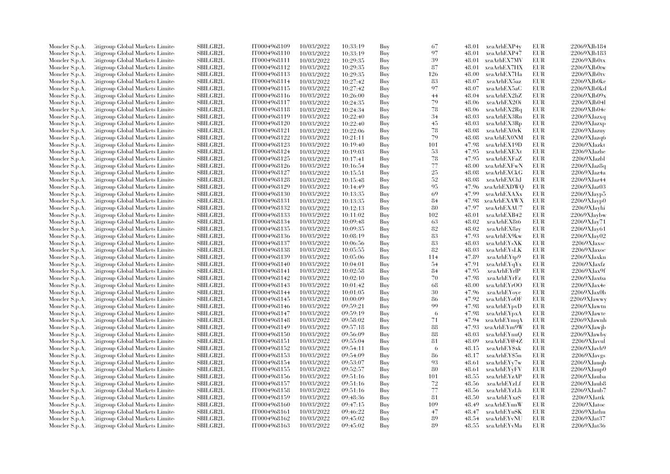| Moncler S.p.A. | Litigroup Global Markets Limite  | SBILGB2L        | IT0004968109 | 10/03/2022 | 10:33:19 | Buy | 67     | 48.01 | xeaArhEXP4y  | EUR        | 22069XJb184       |
|----------------|----------------------------------|-----------------|--------------|------------|----------|-----|--------|-------|--------------|------------|-------------------|
| Moncler S.p.A. | Litigroup Global Markets Limite  | <b>SBILGB2L</b> | IT0004968110 | 10/03/2022 | 10:33:19 | Buy | 97     | 48.01 | xeaArhEXP47  | EUR        | 22069XJb183       |
| Moncler S.p.A. | Citigroup Global Markets Limite  | <b>SBILGB2L</b> | IT0004968111 | 10/03/2022 | 10:29:35 | Buy | 39     | 48.01 | xeaArhEX7MV  | <b>EUR</b> | 22069XJb0tx       |
| Moncler S.p.A. | Litigroup Global Markets Limite  | SBILGB2L        | IT0004968112 | 10/03/2022 | 10:29:35 | Buy | 87     | 48.01 | xeaArhEX7HX  | EUR        | 22069XJb0tw       |
| Moncler S.p.A. | Litigroup Global Markets Limite  | <b>SBILGB2L</b> | IT0004968113 | 10/03/2022 | 10:29:35 | Buy | 126    | 48.00 | xeaArhEX7Ha  | <b>EUR</b> | 22069XJb0tv       |
| Moncler S.p.A. | Citigroup Global Markets Limite  | SBILGB2L        | IT0004968114 | 10/03/2022 | 10:27:42 | Buy | 83     | 48.07 | xeaArhEX5az  | EUR        | 22069XJb0ke       |
| Moncler S.p.A. | Citigroup Global Markets Limite  | SBILGB2L        | IT0004968115 | 10/03/2022 | 10:27:42 | Buy | 97     | 48.07 | xeaArhEX5aC  | <b>EUR</b> | 22069XJb0kd       |
| Moncler S.p.A. | Litigroup Global Markets Limite  | <b>SBILGB2L</b> | IT0004968116 | 10/03/2022 | 10:26:00 | Buy | 44     | 48.04 | xeaArhEX2hZ  | EUR        | 22069XJb09x       |
|                |                                  | <b>SBILGB2L</b> |              |            |          |     | 79     |       |              | EUR        | 22069XJb04l       |
| Moncler S.p.A. | Litigroup Global Markets Limite  |                 | IT0004968117 | 10/03/2022 | 10:24:35 | Buy |        | 48.06 | xeaArhEX2Oi  |            |                   |
| Moncler S.p.A. | Citigroup Global Markets Limite  | SBILGB2L        | IT0004968118 | 10/03/2022 | 10:24:34 | Buy | 78     | 48.06 | xeaArhEX2Rq  | EUR        | 22069XJb04c       |
| Moncler S.p.A. | Citigroup Global Markets Limite  | <b>SBILGB2L</b> | IT0004968119 | 10/03/2022 | 10:22:40 | Buy | 34     | 48.03 | xeaArhEX3Rn  | EUR        | $22069X$ Jazxq    |
| Moncler S.p.A. | Litigroup Global Markets Limite  | SBILGB2L        | IT0004968120 | 10/03/2022 | 10:22:40 | Buy | 45     | 48.03 | xeaArhEX3Rp  | EUR        | 22069XJazxp       |
| Moncler S.p.A. | Citigroup Global Markets Limite  | <b>SBILGB2L</b> | IT0004968121 | 10/03/2022 | 10:22:06 | Buy | 78     | 48.08 | xeaArhEX0rK  | EUR        | 22069XJazuy       |
| Moncler S.p.A. | Litigroup Global Markets Limite  | <b>SBILGB2L</b> | IT0004968122 | 10/03/2022 | 10:21:11 | Buy | 79     | 48.08 | xeaArhEX0NM  | EUR        | 22069XJazq6       |
| Moncler S.p.A. | Citigroup Global Markets Limite  | <b>SBILGB2L</b> | IT0004968123 | 10/03/2022 | 10:19:40 | Buy | 101    | 47.98 | xeaArhEX19D  | EUR        | 22069XJazkt       |
| Moncler S.p.A. | Litigroup Global Markets Limite  | SBILGB2L        | IT0004968124 | 10/03/2022 | 10:19:03 | Buy | 53     | 47.95 | xeaArhEXEXt  | <b>EUR</b> | 22069XJazhe       |
| Moncler S.p.A. | Citigroup Global Markets Limite  | SBILGB2L        | IT0004968125 | 10/03/2022 | 10:17:41 | Buy | $78\,$ | 47.95 | xeaArhEXFaZ  | <b>EUR</b> | 22069XJazbl       |
| Moncler S.p.A. | Litigroup Global Markets Limite  | <b>SBILGB2L</b> | IT0004968126 | 10/03/2022 | 10:16:54 | Buy | 77     | 48.00 | xeaArhEXFwN  | EUR        | $22069X$ Jaz $8q$ |
| Moncler S.p.A. | Citigroup Global Markets Limite  | SBILGB2L        | IT0004968127 | 10/03/2022 | 10:15:51 | Buy | 25     | 48.08 | xeaArhEXCkG  | EUR        | 22069XJaz4a       |
| Moncler S.p.A. | Litigroup Global Markets Limite  | <b>SBILGB2L</b> | IT0004968128 | 10/03/2022 | 10:15:48 | Buy | 52     | 48.08 | xeaArhEXChJ  | EUR        | 22069XJaz44       |
| Moncler S.p.A. | Citigroup Global Markets Limite  | <b>SBILGB2L</b> | IT0004968129 | 10/03/2022 | 10:14:49 | Buy | 95     | 47.96 | xeaArhEXDWQ  | EUR        | 22069XJaz03       |
| Moncler S.p.A. | Litigroup Global Markets Limite  | <b>SBILGB2L</b> | IT0004968130 | 10/03/2022 | 10:13:35 | Buy | 69     | 47.99 | xeaArhEXAXx  | <b>EUR</b> | $22069X$ Jayp $5$ |
| Moncler S.p.A. | Citigroup Global Markets Limite  | SBILGB2L        | IT0004968131 | 10/03/2022 | 10:13:35 | Buy | 84     | 47.98 | xeaArhEXAWX  | EUR        | 22069XJayp0       |
| Moncler S.p.A. | Citigroup Global Markets Limite  | <b>SBILGB2L</b> | IT0004968132 | 10/03/2022 | 10:12:13 | Buy | 80     | 47.97 | xeaArhEXAU7  | <b>EUR</b> | 22069XJayhi       |
| Moncler S.p.A. | Citigroup Global Markets Limite  | <b>SBILGB2L</b> | IT0004968133 | 10/03/2022 | 10:11:02 | Buy | 102    | 48.01 | xeaArhEXB42  | EUR        | 22069XJaybw       |
| Moncler S.p.A. | Citigroup Global Markets Limite  | SBILGB2L        | IT0004968134 | 10/03/2022 | 10:09:48 | Buy | 63     | 48.02 | xeaArhEX8t6  | EUR        | 22069XJay71       |
| Moncler S.p.A. | Citigroup Global Markets Limite  | <b>SBILGB2L</b> | IT0004968135 | 10/03/2022 | 10:09:35 | Buy | 82     | 48.02 | xeaArhEX8zy  | EUR        | 22069XJay61       |
| Moncler S.p.A. | Litigroup Global Markets Limite  | <b>SBILGB2L</b> | IT0004968136 | 10/03/2022 | 10:08:19 | Buy | 83     | 47.93 | xeaArhEX9kw  | EUR        | 22069XJay02       |
|                | Citigroup Global Markets Limite  | SBILGB2L        | IT0004968137 | 10/03/2022 | 10:06:56 | Buy | 83     | 48.03 | xeaArhEYsXK  | EUR        | 22069XJaxsc       |
| Moncler S.p.A. |                                  | SBILGB2L        |              |            |          |     | 82     |       |              |            |                   |
| Moncler S.p.A. | Citigroup Global Markets Limite  |                 | IT0004968138 | 10/03/2022 | 10:05:55 | Buy |        | 48.03 | xeaArhEYsLK  | EUR        | 22069XJaxoc       |
| Moncler S.p.A. | Citigroup Global Markets Limite  | SBILGB2L        | IT0004968139 | 10/03/2022 | 10:05:06 | Buy | 114    | 47.89 | xeaArhEYtp9  | EUR        | 22069XJaxkn       |
| Moncler S.p.A. | Litigroup Global Markets Limite  | <b>SBILGB2L</b> | IT0004968140 | 10/03/2022 | 10:04:01 | Buy | 54     | 47.91 | xeaArhEYqYx  | EUR        | 22069XJaxfz       |
| Moncler S.p.A. | Litigroup Global Markets Limite  | <b>SBILGB2L</b> | IT0004968141 | 10/03/2022 | 10:02:58 | Buy | 84     | 47.95 | xeaArhEYrlP  | EUR        | 22069XJax9f       |
| Moncler S.p.A. | Citigroup Global Markets Limite  | SBILGB2L        | IT0004968142 | 10/03/2022 | 10:02:10 | Buy | 70     | 47.98 | xeaArhEYrFz  | EUR        | 22069XJax6a       |
| Moncler S.p.A. | Citigroup Global Markets Limite  | SBILGB2L        | IT0004968143 | 10/03/2022 | 10:01:42 | Buy | 68     | 48.00 | xeaArhEYrOO  | EUR        | $22069X$ Jax4e    |
| Moncler S.p.A. | Citigroup Global Markets Limite  | <b>SBILGB2L</b> | IT0004968144 | 10/03/2022 | 10:01:05 | Buy | 30     | 47.96 | xeaArhEYoye  | EUR        | 22069XJax0b       |
| Moncler S.p.A. | Citigroup Global Markets Limite  | SBILGB2L        | IT0004968145 | 10/03/2022 | 10:00:09 | Buy | 86     | 47.92 | xeaArhEYoOF  | EUR        | 22069XJawwy       |
| Moncler S.p.A. | Citigroup Global Markets Limite  | SBILGB2L        | IT0004968146 | 10/03/2022 | 09:59:21 | Buy | 99     | 47.98 | xeaArhEYpvD  | <b>EUR</b> | 22069XJawtn       |
| Moncler S.p.A. | Litigroup Global Markets Limite  | <b>SBILGB2L</b> | IT0004968147 | 10/03/2022 | 09:59:19 | Buy | 6      | 47.98 | xeaArhEYpxA  | <b>EUR</b> | 22069XJawte       |
| Moncler S.p.A. | Litigroup Global Markets Limite  | <b>SBILGB2L</b> | IT0004968148 | 10/03/2022 | 09:58:02 | Buy | 71     | 47.94 | xeaArhEYmqA  | EUR        | 22069XJawnh       |
| Moncler S.p.A. | Citigroup Global Markets Limite  | <b>SBILGB2L</b> | IT0004968149 | 10/03/2022 | 09:57:18 | Buy | 88     | 47.93 | xeaArhEYm9W  | EUR        | 22069XJawjb       |
| Moncler S.p.A. | Citigroup Global Markets Limite  | SBILGB2L        | IT0004968150 | 10/03/2022 | 09:56:09 | Buy | 88     | 48.03 | xeaArhEYnuQ  | EUR        | 22069XJawby       |
| Moncler S.p.A. | Citigroup Global Markets Limite  | SBILGB2L        | IT0004968151 | 10/03/2022 | 09:55:04 | Buy | 81     | 48.09 | xeaArhEY@4Z  | <b>EUR</b> | 22069XJavul       |
| Moncler S.p.A. | Citigroup Global Markets Limite  | SBILGB2L        | IT0004968152 | 10/03/2022 | 09:54:11 | Buy | -6     | 48.15 | xeaArhEY\$xk | EUR        | 22069XJavh9       |
| Moncler S.p.A. | Citigroup Global Markets Limite  | <b>SBILGB2L</b> | IT0004968153 | 10/03/2022 | 09:54:09 | Buy | 86     | 48.17 | xeaArhEY\$5n | EUR        | 22069XJavgs       |
| Moncler S.p.A. | Citigroup Global Markets Limite  | SBILGB2L        | IT0004968154 | 10/03/2022 | 09:53:07 | Buy | 93     | 48.61 | xeaArhEYy7w  | EUR        | 22069XJauqb       |
| Moncler S.p.A. | Citigroup Global Markets Limite  | <b>SBILGB2L</b> | IT0004968155 | 10/03/2022 | 09:52:57 | Buy | 80     | 48.61 | xeaArhEYyFV  | EUR        | 22069XJaup0       |
| Moncler S.p.A. | Citigroup Global Markets Limite  | <b>SBILGB2L</b> | IT0004968156 | 10/03/2022 | 09:51:16 | Buy | 101    | 48.55 | xeaArhEYzAP  | EUR        | 22069XJauba       |
| Moncler S.p.A. | Citigroup Global Markets Limite  | SBILGB2L        | IT0004968157 | 10/03/2022 | 09:51:16 | Buy | $72\,$ | 48.56 | xeaArhEYzLf  | EUR        | 22069XJaub8       |
| Moncler S.p.A. | Citigroup Global Markets Limite  | SBILGB2L        | IT0004968158 | 10/03/2022 | 09:51:16 | Buy | 77     | 48.56 | xeaArhEYzLh  | <b>EUR</b> | 22069XJaub7       |
| Moncler S.p.A. | Litigroup Global Markets Limite  | <b>SBILGB2L</b> | IT0004968159 | 10/03/2022 | 09:48:36 | Buy | 81     | 48.50 | xeaArhEYxzS  | EUR        | 22069XJattk       |
| Moncler S.p.A. | Litigroup Global Markets Limite  | <b>SBILGB2L</b> | IT0004968160 | 10/03/2022 | 09:47:15 | Buy | 109    | 48.49 | xeaArhEYunW  | EUR        | $22069X$ Jatoc    |
| Moncler S.p.A. | Citigroup Global Markets Limite  | SBILGB2L        | IT0004968161 | 10/03/2022 | 09:46:22 | Buy | 47     | 48.47 | xeaArhEYuSK  | EUR        | 22069XJathu       |
| Moncler S.p.A. | Citigroup Global Markets Limite  | <b>SBILGB2L</b> | IT0004968162 | 10/03/2022 | 09:45:02 | Buy | 89     | 48.54 | xeaArhEYvNU  | <b>EUR</b> | 22069XJat37       |
| Moncler S.p.A. | Citigroup Global Markets Limited | SBILGB2L        | IT0004968163 | 10/03/2022 | 09:45:02 | Buy | 89     | 48.55 | xeaArhEYvMa  | EUR        | 22069XJat36       |
|                |                                  |                 |              |            |          |     |        |       |              |            |                   |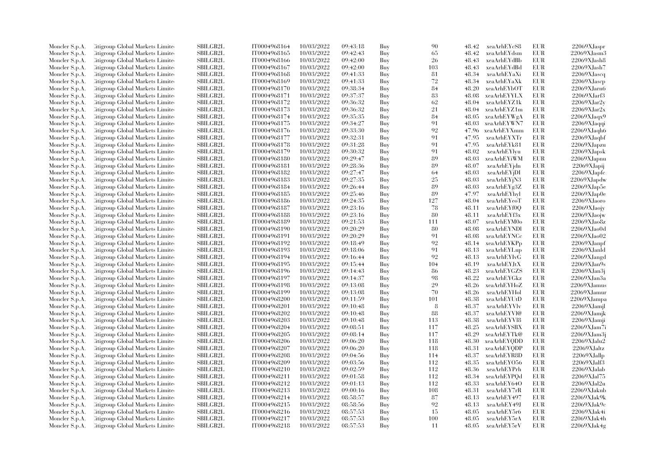| Moncler S.p.A. | Litigroup Global Markets Limite  | SBILGB2L        | IT0004968164 | 10/03/2022 | 09:43:18 | Buy | 90  | 48.42 | xeaArhEYcS8 | EUR        | 22069XJaspr        |
|----------------|----------------------------------|-----------------|--------------|------------|----------|-----|-----|-------|-------------|------------|--------------------|
| Moncler S.p.A. | Litigroup Global Markets Limite  | <b>SBILGB2L</b> | IT0004968165 | 10/03/2022 | 09:42:43 | Buy | 65  | 48.42 | xeaArhEYdsm | EUR        | 22069XJasm3        |
| Moncler S.p.A. | Citigroup Global Markets Limite  | SBILGB2L        | IT0004968166 | 10/03/2022 | 09:42:00 | Buy | 26  | 48.43 | xeaArhEYdBb | <b>EUR</b> | 22069XJash8        |
| Moncler S.p.A. | Litigroup Global Markets Limite  | SBILGB2L        | IT0004968167 | 10/03/2022 | 09:42:00 | Buy | 103 | 48.43 | xeaArhEYdBd | EUR        | 22069XJash7        |
| Moncler S.p.A. | Litigroup Global Markets Limite  | <b>SBILGB2L</b> | IT0004968168 | 10/03/2022 | 09:41:33 | Buy | 81  | 48.34 | xeaArhEYaXi | <b>EUR</b> | 22069XJascq        |
| Moncler S.p.A. | Citigroup Global Markets Limite  | SBILGB2L        | IT0004968169 | 10/03/2022 | 09:41:33 | Buy | 72  | 48.34 | xeaArhEYaXk | EUR        | $22069X$ Jascp     |
| Moncler S.p.A. | Citigroup Global Markets Limite  | SBILGB2L        | IT0004968170 | 10/03/2022 | 09:38:34 | Buy | 84  | 48.20 | xeaArhEYbOT | <b>EUR</b> | 22069XJarn6        |
| Moncler S.p.A. | Litigroup Global Markets Limite  | <b>SBILGB2L</b> | IT0004968171 | 10/03/2022 | 09:37:37 | Buy | 83  | 48.08 | xeaArhEYYLX | EUR        | $22069X$ Jarf $3$  |
| Moncler S.p.A. | Litigroup Global Markets Limite  | <b>SBILGB2L</b> | IT0004968172 | 10/03/2022 | 09:36:32 | Buy | 62  | 48.04 | xeaArhEYZ1k | EUR        | $22069X$ Jar $2y$  |
| Moncler S.p.A. | Citigroup Global Markets Limite  | <b>SBILGB2L</b> | IT0004968173 | 10/03/2022 | 09:36:32 | Buy | 21  | 48.04 | xeaArhEYZ1m | EUR        | $22069X$ Jar $2x$  |
| Moncler S.p.A. | Citigroup Global Markets Limite  | <b>SBILGB2L</b> | IT0004968174 | 10/03/2022 | 09:35:35 | Buy | 84  | 48.05 | xeaArhEYWgA | EUR        | 22069XJaqx9        |
| Moncler S.p.A. | Litigroup Global Markets Limite  | SBILGB2L        | IT0004968175 | 10/03/2022 | 09:34:27 | Buy | 91  | 48.03 | xeaArhEYWN7 | EUR        | 22069XJaqqi        |
| Moncler S.p.A. | Citigroup Global Markets Limite  | <b>SBILGB2L</b> | IT0004968176 | 10/03/2022 | 09:33:30 | Buy | 92  | 47.96 | xeaArhEYXmm | EUR        | 22069XJaqh6        |
|                | Litigroup Global Markets Limite  | <b>SBILGB2L</b> | IT0004968177 | 10/03/2022 | 09:32:31 | Buy | 91  | 47.95 | xeaArhEYXTr | <b>EUR</b> | 22069XJaqbf        |
| Moncler S.p.A. |                                  | <b>SBILGB2L</b> | IT0004968178 | 10/03/2022 | 09:31:28 |     | 91  | 47.95 |             | EUR        |                    |
| Moncler S.p.A. | Citigroup Global Markets Limite  | SBILGB2L        |              |            |          | Buy | 91  |       | xeaArhEYk81 |            | 22069XJapzu        |
| Moncler S.p.A. | Litigroup Global Markets Limite  |                 | IT0004968179 | 10/03/2022 | 09:30:32 | Buy |     | 48.02 | xeaArhEYlyu | EUR        | $22069X$ Japsk     |
| Moncler S.p.A. | Citigroup Global Markets Limite  | SBILGB2L        | IT0004968180 | 10/03/2022 | 09:29:47 | Buy | 89  | 48.03 | xeaArhEYiWM | EUR        | 22069XJapnu        |
| Moncler S.p.A. | Litigroup Global Markets Limite  | <b>SBILGB2L</b> | IT0004968181 | 10/03/2022 | 09:28:36 | Buy | 89  | 48.07 | xeaArhEYjdn | EUR        | 22069XJapij        |
| Moncler S.p.A. | Citigroup Global Markets Limite  | SBILGB2L        | IT0004968182 | 10/03/2022 | 09:27:47 | Buy | 64  | 48.03 | xeaArhEYjDI | EUR        | 22069XJapfc        |
| Moncler S.p.A. | Litigroup Global Markets Limite  | <b>SBILGB2L</b> | IT0004968183 | 10/03/2022 | 09:27:35 | Buy | 25  | 48.03 | xeaArhEYjN3 | EUR        | 22069XJapdw        |
| Moncler S.p.A. | Citigroup Global Markets Limite  | <b>SBILGB2L</b> | IT0004968184 | 10/03/2022 | 09:26:44 | Buy | 89  | 48.03 | xeaArhEYg3Z | EUR        | 22069XJap5e        |
| Moncler S.p.A. | Litigroup Global Markets Limite  | SBILGB2L        | IT0004968185 | 10/03/2022 | 09:25:46 | Buy | 89  | 47.97 | xeaArhEYhyl | EUR        | 22069XJap0e        |
| Moncler S.p.A. | Citigroup Global Markets Limite  | SBILGB2L        | IT0004968186 | 10/03/2022 | 09:24:35 | Buy | 127 | 48.04 | xeaArhEYeoT | EUR        | 22069XJaoro        |
| Moncler S.p.A. | Citigroup Global Markets Limite  | <b>SBILGB2L</b> | IT0004968187 | 10/03/2022 | 09:23:16 | Buy | 78  | 48.11 | xeaArhEYf0Q | EUR        | 22069XJaojy        |
| Moncler S.p.A. | Citigroup Global Markets Limite  | <b>SBILGB2L</b> | IT0004968188 | 10/03/2022 | 09:23:16 | Buy | 80  | 48.11 | xeaArhEYf3x | EUR        | 22069XJaojw        |
| Moncler S.p.A. | Citigroup Global Markets Limite  | SBILGB2L        | IT0004968189 | 10/03/2022 | 09:21:53 | Buy | 111 | 48.07 | xeaArhEYM0o | EUR        | $22069X$ Jao $8z$  |
| Moncler S.p.A. | Citigroup Global Markets Limite  | <b>SBILGB2L</b> | IT0004968190 | 10/03/2022 | 09:20:29 | Buy | 80  | 48.08 | xeaArhEYNDl | EUR        | 22069XJao0d        |
| Moncler S.p.A. | Litigroup Global Markets Limite  | <b>SBILGB2L</b> | IT0004968191 | 10/03/2022 | 09:20:29 | Buy | 91  | 48.08 | xeaArhEYNCc | EUR        | 22069XJao02        |
| Moncler S.p.A. | Citigroup Global Markets Limite  | SBILGB2L        | IT0004968192 | 10/03/2022 | 09:18:49 | Buy | 92  | 48.14 | xeaArhEYKPp | EUR        | 22069XJanpf        |
| Moncler S.p.A. | Citigroup Global Markets Limite  | SBILGB2L        | IT0004968193 | 10/03/2022 | 09:18:06 | Buy | 91  | 48.13 | xeaArhEYLup | EUR        | 22069XJanld        |
| Moncler S.p.A. | Citigroup Global Markets Limite  | SBILGB2L        | IT0004968194 | 10/03/2022 | 09:16:44 | Buy | 92  | 48.13 | xeaArhEYIvG | EUR        | 22069XJangd        |
| Moncler S.p.A. | Litigroup Global Markets Limite  | <b>SBILGB2L</b> | IT0004968195 | 10/03/2022 | 09:15:44 | Buy | 104 | 48.19 | xeaArhEYJtX | EUR        | 22069XJan9s        |
| Moncler S.p.A. | Litigroup Global Markets Limite  | <b>SBILGB2L</b> | IT0004968196 | 10/03/2022 | 09:14:43 | Buy | 86  | 48.23 | xeaArhEYGZS | EUR        | $22069X$ Jan $3$ j |
| Moncler S.p.A. | Citigroup Global Markets Limite  | SBILGB2L        | IT0004968197 | 10/03/2022 | 09:14:37 | Buy | 98  | 48.22 | xeaArhEYGkz | <b>EUR</b> | 22069XJan3a        |
| Moncler S.p.A. | Citigroup Global Markets Limite  | SBILGB2L        | IT0004968198 | 10/03/2022 | 09:13:08 | Buy | 29  | 48.26 | xeaArhEYHoZ | EUR        | 22069XJamus        |
| Moncler S.p.A. | Citigroup Global Markets Limite  | <b>SBILGB2L</b> | IT0004968199 | 10/03/2022 | 09:13:08 | Buy | 70  | 48.26 | xeaArhEYHol | EUR        | 22069XJamur        |
| Moncler S.p.A. | Citigroup Global Markets Limite  | SBILGB2L        | IT0004968200 | 10/03/2022 | 09:11:59 | Buy | 101 | 48.38 | xeaArhEYUtD | EUR        | 22069XJampa        |
| Moncler S.p.A. | Citigroup Global Markets Limite  | SBILGB2L        | IT0004968201 | 10/03/2022 | 09:10:48 | Buy | 8   | 48.37 | xeaArhEYVlv | <b>EUR</b> | 22069XJamjl        |
| Moncler S.p.A. | Citigroup Global Markets Limite  | <b>SBILGB2L</b> | IT0004968202 | 10/03/2022 | 09:10:48 | Buy | 88  | 48.37 | xeaArhEYVl@ | EUR        | 22069XJamjk        |
| Moncler S.p.A. | Citigroup Global Markets Limite  | <b>SBILGB2L</b> | IT0004968203 | 10/03/2022 | 09:10:48 | Buy | 113 | 48.38 | xeaArhEYV18 | EUR        | 22069XJamji        |
| Moncler S.p.A. | Citigroup Global Markets Limite  | <b>SBILGB2L</b> | IT0004968204 | 10/03/2022 | 09:08:51 | Buy | 117 | 48.25 | xeaArhEYSBX | <b>EUR</b> | 22069XJam7i        |
| Moncler S.p.A. | Citigroup Global Markets Limite  | SBILGB2L        | IT0004968205 | 10/03/2022 | 09:08:14 | Buy | 117 | 48.29 | xeaArhEYTk@ | EUR        | 22069XJam3j        |
| Moncler S.p.A. | Citigroup Global Markets Limite  | SBILGB2L        | IT0004968206 | 10/03/2022 | 09:06:20 | Buy | 118 | 48.30 | xeaArhEYODD | <b>EUR</b> | 22069XJalu2        |
| Moncler S.p.A. | Citigroup Global Markets Limite  | SBILGB2L        | IT0004968207 | 10/03/2022 | 09:06:20 | Buy | 118 | 48.31 | xeaArhEYQDP | EUR        | 22069XJaltz        |
|                |                                  | <b>SBILGB2L</b> |              |            |          |     | 114 | 48.37 |             | EUR        | 22069XJallp        |
| Moncler S.p.A. | Citigroup Global Markets Limite  |                 | IT0004968208 | 10/03/2022 | 09:04:56 | Buy |     |       | xeaArhEYR8D |            |                    |
| Moncler S.p.A. | Citigroup Global Markets Limite  | SBILGB2L        | IT0004968209 | 10/03/2022 | 09:03:56 | Buy | 112 | 48.35 | xeaArhEYO56 | EUR        | 22069XJalf3        |
| Moncler S.p.A. | Citigroup Global Markets Limite  | <b>SBILGB2L</b> | IT0004968210 | 10/03/2022 | 09:02:59 | Buy | 112 | 48.36 | xeaArhEYPrh | EUR        | 22069XJalab        |
| Moncler S.p.A. | Citigroup Global Markets Limite  | <b>SBILGB2L</b> | IT0004968211 | 10/03/2022 | 09:01:58 | Buy | 112 | 48.34 | xeaArhEYPQd | EUR        | 22069XJal75        |
| Moncler S.p.A. | Citigroup Global Markets Limite  | SBILGB2L        | IT0004968212 | 10/03/2022 | 09:01:13 | Buy | 112 | 48.33 | xeaArhEY64O | EUR        | $22069X$ Jal $2u$  |
| Moncler S.p.A. | Citigroup Global Markets Limite  | SBILGB2L        | IT0004968213 | 10/03/2022 | 09:00:16 | Buy | 108 | 48.31 | xeaArhEY7rR | <b>EUR</b> | 22069XJaknb        |
| Moncler S.p.A. | Citigroup Global Markets Limite  | <b>SBILGB2L</b> | IT0004968214 | 10/03/2022 | 08:58:57 | Buy | 87  | 48.13 | xeaArhEY497 | EUR        | 22069XJak9k        |
| Moncler S.p.A. | Citigroup Global Markets Limite  | <b>SBILGB2L</b> | IT0004968215 | 10/03/2022 | 08:58:56 | Buy | 92  | 48.13 | xeaArhEY49J | EUR        | 22069XJak9c        |
| Moncler S.p.A. | Citigroup Global Markets Limite  | SBILGB2L        | IT0004968216 | 10/03/2022 | 08:57:53 | Buy | 15  | 48.05 | xeaArhEY5r6 | EUR        | 22069XJak4i        |
| Moncler S.p.A. | Citigroup Global Markets Limite  | <b>SBILGB2L</b> | IT0004968217 | 10/03/2022 | 08:57:53 | Buy | 100 | 48.05 | xeaArhEY5rA | <b>EUR</b> | 22069XJak4h        |
| Moncler S.p.A. | Citigroup Global Markets Limited | SBILGB2L        | IT0004968218 | 10/03/2022 | 08:57:53 | Buy | -11 | 48.05 | xeaArhEY5rV | <b>EUR</b> | 22069XJak4g        |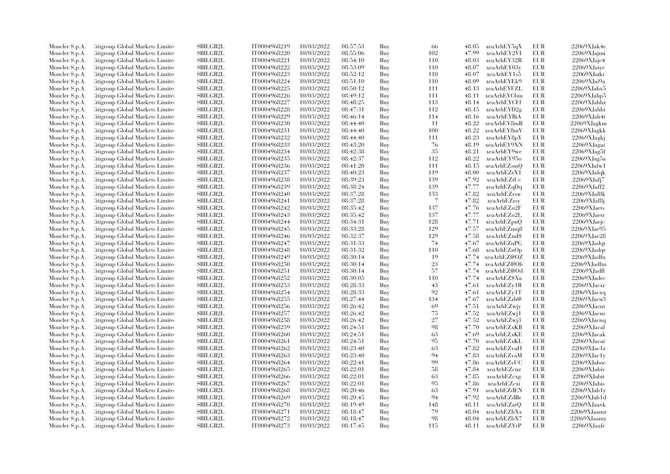| Moncler S.p.A.                   | <b>Citigroup Global Markets Limited</b> | <b>SBILGB2L</b> | IT0004968219 | 10/03/2022 | 08:57:53 | Buy | -66    | 48.05 | xeaArhEY5qX  | <b>EUR</b> | 22069XJak4e                |
|----------------------------------|-----------------------------------------|-----------------|--------------|------------|----------|-----|--------|-------|--------------|------------|----------------------------|
| Moncler S.p.A.                   | Citigroup Global Markets Limite         | SBILGB2L        | IT0004968220 | 10/03/2022 | 08:55:06 | Buy | 102    | 47.99 | xeaArhEY2VI  | EUR        | 22069XJajmi                |
| Moncler S.p.A.                   | <b>Citigroup Global Markets Limited</b> | SBILGB2L        | IT0004968221 | 10/03/2022 | 08:54:10 | Buy | 110    | 48.03 | xeaArhEY32R  | <b>EUR</b> | 22069XJajc4                |
| Moncler S.p.A.                   | Citigroup Global Markets Limite         | <b>SBILGB2L</b> | IT0004968222 | 10/03/2022 | 08:53:09 | Buy | 110    | 48.07 | xeaArhEY03y  | <b>EUR</b> | 22069XJaiye                |
| Moncler S.p.A.                   | Citigroup Global Markets Limited        | <b>SBILGB2L</b> | IT0004968223 | 10/03/2022 | 08:52:12 | Buy | 110    | 48.07 | xeaArhEY1s5  | <b>EUR</b> | 22069XJaikt                |
| Moncler S.p.A.                   | Citigroup Global Markets Limite         | SBILGB2L        | IT0004968224 | 10/03/2022 | 08:51:10 | Buy | 110    | 48.09 | xeaArhEYEk9  | EUR        | 22069XJai9a                |
| Moncler S.p.A.                   | Citigroup Global Markets Limited        | <b>SBILGB2L</b> | IT0004968225 | 10/03/2022 | 08:50:12 | Buy | 111    | 48.13 | xeaArhEYFZL  | <b>EUR</b> | 22069XJahx5                |
| Moncler S.p.A.                   | Citigroup Global Markets Limite         | <b>SBILGB2L</b> | IT0004968226 | 10/03/2022 | 08:49:12 | Buy | 111    | 48.11 | xeaArhEYCbm  | <b>EUR</b> | 22069XJahp5                |
| Moncler S.p.A.                   | Citigroup Global Markets Limite         | SBILGB2L        | IT0004968227 | 10/03/2022 | 08:48:25 | Buy | 113    | 48.14 | xeaArhEYCFf  | <b>EUR</b> | 22069XJahhz                |
| Moncler S.p.A.                   | <b>Eitigroup Global Markets Limited</b> | SBILGB2L        | IT0004968228 | 10/03/2022 | 08:47:31 | Buy | 112    | 48.15 | xeaArhEYD2g  | <b>EUR</b> | 22069XJahbi                |
| Moncler S.p.A.                   | Citigroup Global Markets Limite         | <b>SBILGB2L</b> | IT0004968229 | 10/03/2022 | 08:46:14 | Buy | 114    | 48.16 | xeaArhEYBiA  | <b>EUR</b> | 22069XJah4i                |
| Moncler S.p.A.                   | Citigroup Global Markets Limited        | <b>SBILGB2L</b> | IT0004968230 | 10/03/2022 | 08:44:40 | Buy | 11     | 48.22 | xeaArhEY8mR  | <b>EUR</b> | 22069XJagkm                |
| Moncler S.p.A.                   | <b>Citigroup Global Markets Limited</b> | SBILGB2L        | IT0004968231 | 10/03/2022 | 08:44:40 | Buy | 100    | 48.22 | xeaArhEY8mV  | EUR        | 22069XJagkk                |
| Moncler S.p.A.                   | <b>Eitigroup Global Markets Limited</b> | SBILGB2L        | IT0004968232 | 10/03/2022 | 08:44:40 | Buy | 111    | 48.23 | xeaArhEY8pY  | <b>EUR</b> | 22069XJagkj                |
| Moncler S.p.A.                   | Citigroup Global Markets Limite         | SBILGB2L        | IT0004968233 | 10/03/2022 | 08:43:20 | Buy | 76     | 48.19 | xeaArhEY9XN  | <b>EUR</b> | 22069XJagai                |
|                                  | Citigroup Global Markets Limited        | SBILGB2L        | IT0004968234 | 10/03/2022 | 08:42:38 | Buy | 35     | 48.21 | xeaArhEY9we  | <b>EUR</b> | 22069XJag5f                |
| Moncler S.p.A.<br>Moncler S.p.A. | Citigroup Global Markets Limite         | <b>SBILGB2L</b> | IT0004968235 | 10/03/2022 | 08:42:37 | Buy | 112    | 48.22 | xeaArhEY95o  | EUR        | $22069X$ Jag $5a$          |
|                                  | <b>Eitigroup Global Markets Limited</b> | <b>SBILGB2L</b> | IT0004968236 | 10/03/2022 | 08:41:20 |     | 111    | 48.15 |              | EUR        | 22069XJafw1                |
| Moncler S.p.A.                   |                                         | <b>SBILGB2L</b> |              |            |          | Buy | 119    |       | xeaArhEZsmQ  | <b>EUR</b> |                            |
| Moncler S.p.A.                   | Citigroup Global Markets Limite         | SBILGB2L        | IT0004968237 | 10/03/2022 | 08:40:23 | Buy | 139    | 48.00 | xeaArhEZtX1  |            | 22069XJafqk                |
| Moncler S.p.A.                   | <b>Citigroup Global Markets Limited</b> |                 | IT0004968238 | 10/03/2022 | 08:39:23 | Buy |        | 47.92 | xeaArhEZtUc  | <b>EUR</b> | 22069XJafj7<br>22069XJaff2 |
| Moncler S.p.A.                   | Citigroup Global Markets Limite         | <b>SBILGB2L</b> | IT0004968239 | 10/03/2022 | 08:38:24 | Buy | 139    | 47.77 | xeaArhEZqDq  | <b>EUR</b> |                            |
| Moncler S.p.A.                   | Citigroup Global Markets Limite         | <b>SBILGB2L</b> | IT0004968240 | 10/03/2022 | 08:37:28 | Buy | 133    | 47.82 | xeaArhEZrsw  | <b>EUR</b> | 22069XJaf8k                |
| Moncler S.p.A.                   | Citigroup Global Markets Limite         | SBILGB2L        | IT0004968241 | 10/03/2022 | 08:37:28 | Buy | $\tau$ | 47.82 | xeaArhEZrsy  | <b>EUR</b> | 22069XJaf8j                |
| Moncler S.p.A.                   | <b>Eitigroup Global Markets Limited</b> | <b>SBILGB2L</b> | IT0004968242 | 10/03/2022 | 08:35:42 | Buy | 137    | 47.76 | xeaArhEZo2F  | <b>EUR</b> | 22069XJaets                |
| Moncler S.p.A.                   | Citigroup Global Markets Limite         | <b>SBILGB2L</b> | IT0004968243 | 10/03/2022 | 08:35:42 | Buy | 137    | 47.77 | xeaArhEZo2L  | EUR        | 22069XJaetr                |
| Moncler S.p.A.                   | Citigroup Global Markets Limite         | SBILGB2L        | IT0004968244 | 10/03/2022 | 08:34:31 | Buy | 128    | 47.71 | xeaArhEZpuQ  | EUR        | 22069XJaejc                |
| Moncler S.p.A.                   | Citigroup Global Markets Limite         | SBILGB2L        | IT0004968245 | 10/03/2022 | 08:33:28 | Buy | 129    | 47.57 | xeaArhEZmq8  | <b>EUR</b> | 22069XJae95                |
| Moncler S.p.A.                   | Citigroup Global Markets Limite         | <b>SBILGB2L</b> | IT0004968246 | 10/03/2022 | 08:32:37 | Buy | 129    | 47.58 | xeaArhEZmIS  | EUR        | 22069XJae28                |
| Moncler S.p.A.                   | Citigroup Global Markets Limite         | <b>SBILGB2L</b> | IT0004968247 | 10/03/2022 | 08:31:33 | Buy | 74     | 47.67 | xeaArhEZnPG  | <b>EUR</b> | 22069XJadqt                |
| Moncler S.p.A.                   | <b>Citigroup Global Markets Limited</b> | SBILGB2L        | IT0004968248 | 10/03/2022 | 08:31:32 | Buy | 110    | 47.68 | xeaArhEZnOp  | <b>EUR</b> | 22069XJadqr                |
| Moncler S.p.A.                   | <b>Eitigroup Global Markets Limited</b> | <b>SBILGB2L</b> | IT0004968249 | 10/03/2022 | 08:30:14 | Buy | 19     | 47.74 | xeaArhEZ@OZ  | <b>EUR</b> | 22069XJadfn                |
| Moncler S.p.A.                   | Citigroup Global Markets Limite         | <b>SBILGB2L</b> | IT0004968250 | 10/03/2022 | 08:30:14 | Buy | 23     | 47.74 | xeaArhEZ@Ob  | <b>EUR</b> | 22069XJadfm                |
| Moncler S.p.A.                   | Citigroup Global Markets Limite         | SBILGB2L        | IT0004968251 | 10/03/2022 | 08:30:14 | Buy | 57     | 47.74 | xeaArhEZ@Od  | <b>EUR</b> | 22069XJadfl                |
| Moncler S.p.A.                   | Citigroup Global Markets Limite         | SBILGB2L        | IT0004968252 | 10/03/2022 | 08:30:05 | Buy | 110    | 47.74 | xeaArhEZ\$Xa | <b>EUR</b> | 22069XJadec                |
| Moncler S.p.A.                   | Citigroup Global Markets Limite         | <b>SBILGB2L</b> | IT0004968253 | 10/03/2022 | 08:28:33 | Buy | 43     | 47.61 | xeaArhEZy1R  | <b>EUR</b> | 22069XJacxr                |
| Moncler S.p.A.                   | Citigroup Global Markets Limite         | <b>SBILGB2L</b> | IT0004968254 | 10/03/2022 | 08:28:33 | Buy | 92     | 47.61 | xeaArhEZy1T  | EUR        | 22069XJacxq                |
| Moncler S.p.A.                   | <b>Citigroup Global Markets Limited</b> | <b>SBILGB2L</b> | IT0004968255 | 10/03/2022 | 08:27:44 | Buy | 134    | 47.67 | xeaArhEZzh@  | <b>EUR</b> | 22069XJacu3                |
| Moncler S.p.A.                   | Citigroup Global Markets Limite         | SBILGB2L        | IT0004968256 | 10/03/2022 | 08:26:42 | Buy | 69     | 47.51 | xeaArhEZwjy  | <b>EUR</b> | 22069XJacnt                |
| Moncler S.p.A.                   | Citigroup Global Markets Limite         | <b>SBILGB2L</b> | IT0004968257 | 10/03/2022 | 08:26:42 | Buy | 75     | 47.52 | xeaArhEZwj1  | EUR        | 22069XJacns                |
| Moncler S.p.A.                   | <b>Citigroup Global Markets Limited</b> | <b>SBILGB2L</b> | IT0004968258 | 10/03/2022 | 08:26:42 | Buy | 27     | 47.52 | xeaArhEZwj3  | EUR        | $22069X$ Jacnq             |
| Moncler S.p.A.                   | Citigroup Global Markets Limite         | SBILGB2L        | IT0004968259 | 10/03/2022 | 08:24:51 | Buy | 98     | 47.70 | xeaArhEZxKB  | <b>EUR</b> | 22069XJacal                |
| Moncler S.p.A.                   | Citigroup Global Markets Limite         | <b>SBILGB2L</b> | IT0004968260 | 10/03/2022 | 08:24:51 | Buy | 63     | 47.69 | xeaArhEZxKE  | <b>EUR</b> | 22069XJacak                |
| Moncler S.p.A.                   | Citigroup Global Markets Limited        | <b>SBILGB2L</b> | IT0004968261 | 10/03/2022 | 08:24:51 | Buy | 95     | 47.70 | xeaArhEZxKL  | <b>EUR</b> | 22069XJacai                |
| Moncler S.p.A.                   | <b>Citigroup Global Markets Limited</b> | SBILGB2L        | IT0004968262 | 10/03/2022 | 08:23:40 | Buy | 63     | 47.82 | xeaArhEZvaH  | <b>EUR</b> | $22069X$ Jac $1z$          |
| Moncler S.p.A.                   | Citigroup Global Markets Limite         | SBILGB2L        | IT0004968263 | 10/03/2022 | 08:23:40 | Buy | 94     | 47.83 | xeaArhEZvaM  | <b>EUR</b> | $22069X$ Jac1y             |
| Moncler S.p.A.                   | Citigroup Global Markets Limite         | <b>SBILGB2L</b> | IT0004968264 | 10/03/2022 | 08:22:41 | Buy | 99     | 47.86 | xeaArhEZvUC  | <b>EUR</b> | 22069XJaboc                |
| Moncler S.p.A.                   | Citigroup Global Markets Limited        | SBILGB2L        | IT0004968265 | 10/03/2022 | 08:22:01 | Buy | 58     | 47.84 | xeaArhEZcuz  | <b>EUR</b> | 22069XJabiv                |
| Moncler S.p.A.                   | Citigroup Global Markets Limite         | <b>SBILGB2L</b> | IT0004968266 | 10/03/2022 | 08:22:01 | Buy | 63     | 47.85 | xeaArhEZcxg  | <b>EUR</b> | 22069XJabit                |
| Moncler S.p.A.                   | Citigroup Global Markets Limite         | <b>SBILGB2L</b> | IT0004968267 | 10/03/2022 | 08:22:01 | Buy | 95     | 47.86 | xeaArhEZcxi  | <b>EUR</b> | 22069XJabis                |
| Moncler S.p.A.                   | Citigroup Global Markets Limited        | SBILGB2L        | IT0004968268 | 10/03/2022 | 08:20:46 | Buy | 63     | 47.91 | xeaArhEZdEN  | EUR        | $22069X$ Jab $1$ y         |
| Moncler S.p.A.                   | <b>Citigroup Global Markets Limited</b> | <b>SBILGB2L</b> | IT0004968269 | 10/03/2022 | 08:20:45 | Buy | 94     | 47.92 | xeaArhEZdBe  | <b>EUR</b> | 22069XJab1d                |
| Moncler S.p.A.                   | Citigroup Global Markets Limite         | <b>SBILGB2L</b> | IT0004968270 | 10/03/2022 | 08:19:49 | Buy | 148    | 48.11 | xeaArhEZatQ  | <b>EUR</b> | 22069XJaavk                |
| Moncler S.p.A.                   | Citigroup Global Markets Limited        | <b>SBILGB2L</b> | IT0004968271 | 10/03/2022 | 08:18:47 | Buy | 79     | 48.04 | xeaArhEZbXx  | <b>EUR</b> | 22069XJaamz                |
| Moncler S.p.A.                   | <b>Citigroup Global Markets Limited</b> | SBILGB2L        | IT0004968272 | 10/03/2022 | 08:18:47 | Buy | 98     | 48.04 | xeaArhEZbX7  | <b>EUR</b> | 22069XJaamy                |
| Moncler S.p.A.                   | Citigroup Global Markets Limited        | SBILGB2L        | IT0004968273 | 10/03/2022 | 08:17:45 | Buy | 115    | 48.11 | xeaArhEZYrP  | <b>EUR</b> | 22069XJaafr                |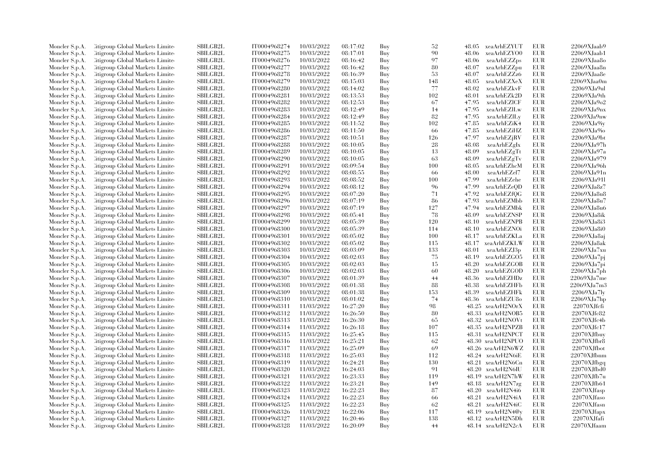| Moncler S.p.A. | <b>Citigroup Global Markets Limited</b> | <b>SBILGB2L</b> | IT0004968274 | 10/03/2022 | 08:17:02 | Buy | 52  | 48.05 | xeaArhEZYUT                 | <b>EUR</b> | $22069X$ Jaab $9$ |
|----------------|-----------------------------------------|-----------------|--------------|------------|----------|-----|-----|-------|-----------------------------|------------|-------------------|
| Moncler S.p.A. | <b>Eitigroup Global Markets Limited</b> | <b>SBILGB2L</b> | IT0004968275 | 10/03/2022 | 08:17:01 | Buy | 90  | 48.06 | xeaArhEZYO0                 | <b>EUR</b> | 22069XJaab1       |
| Moncler S.p.A. | <b>Citigroup Global Markets Limited</b> | SBILGB2L        | IT0004968276 | 10/03/2022 | 08:16:42 | Buy | 97  | 48.06 | xeaArhEZZps                 | <b>EUR</b> | 22069XJaa8o       |
| Moncler S.p.A. | Citigroup Global Markets Limite         | <b>SBILGB2L</b> | IT0004968277 | 10/03/2022 | 08:16:42 | Buy | 80  | 48.07 | xeaArhEZZpu                 | <b>EUR</b> | 22069XJaa8n       |
| Moncler S.p.A. | <b>Eitigroup Global Markets Limited</b> | SBILGB2L        | IT0004968278 | 10/03/2022 | 08:16:39 | Buy | 53  | 48.07 | xeaArhEZZz6                 | <b>EUR</b> | $22069X$ Jaa $8e$ |
| Moncler S.p.A. | Citigroup Global Markets Limite         | <b>SBILGB2L</b> | IT0004968279 | 10/03/2022 | 08:15:03 | Buy | 148 | 48.05 | xeaArhEZXeX                 | <b>EUR</b> | 22069XJaa0m       |
| Moncler S.p.A. | <b>Eitigroup Global Markets Limited</b> | SBILGB2L        | IT0004968280 | 10/03/2022 | 08:14:02 | Buy | 77  | 48.02 | xeaArhEZkvF                 | <b>EUR</b> | 22069XJa9ul       |
| Moncler S.p.A. | <b>Eitigroup Global Markets Limited</b> | SBILGB2L        | IT0004968281 | 10/03/2022 | 08:13:53 | Buy | 102 | 48.01 | xeaArhEZk2D                 | <b>EUR</b> | 22069XJa9th       |
| Moncler S.p.A. | Citigroup Global Markets Limite         | <b>SBILGB2L</b> | IT0004968282 | 10/03/2022 | 08:12:53 | Buy | 67  | 47.95 | xeaArhEZICF                 | <b>EUR</b> | 22069XJa9o2       |
| Moncler S.p.A. | <b>Citigroup Global Markets Limited</b> | <b>SBILGB2L</b> | IT0004968283 | 10/03/2022 | 08:12:49 | Buy | 14  | 47.95 | xeaArhEZILw                 | <b>EUR</b> | $22069X$ Ja $9nx$ |
| Moncler S.p.A. | <b>Eitigroup Global Markets Limited</b> | SBILGB2L        | IT0004968284 | 10/03/2022 | 08:12:49 | Buy | 82  | 47.95 | xeaArhEZILy                 | <b>EUR</b> | 22069XJa9nw       |
|                |                                         |                 |              |            |          |     |     |       |                             |            |                   |
| Moncler S.p.A. | Citigroup Global Markets Limite         | <b>SBILGB2L</b> | IT0004968285 | 10/03/2022 | 08:11:52 | Buy | 102 | 47.85 | xeaArhEZiK4                 | <b>EUR</b> | $22069X$ Ja $9i$  |
| Moncler S.p.A. | <b>Eitigroup Global Markets Limited</b> | <b>SBILGB2L</b> | IT0004968286 | 10/03/2022 | 08:11:50 | Buy | 66  | 47.85 | xeaArhEZiHZ                 | <b>EUR</b> | 22069XJa9io       |
| Moncler S.p.A. | <b>Eitigroup Global Markets Limited</b> | <b>SBILGB2L</b> | IT0004968287 | 10/03/2022 | 08:10:51 | Buy | 126 | 47.97 | xeaArhEZjRV                 | <b>EUR</b> | 22069XJa9bt       |
| Moncler S.p.A. | Citigroup Global Markets Limite         | <b>SBILGB2L</b> | IT0004968288 | 10/03/2022 | 08:10:05 | Buy | 28  | 48.08 | xeaArhEZgIx                 | <b>EUR</b> | 22069XJa97h       |
| Moncler S.p.A. | <b>Citigroup Global Markets Limited</b> | SBILGB2L        | IT0004968289 | 10/03/2022 | 08:10:05 | Buy | 13  | 48.09 | xeaArhEZgTt                 | <b>EUR</b> | 22069XJa97a       |
| Moncler S.p.A. | Citigroup Global Markets Limite         | <b>SBILGB2L</b> | IT0004968290 | 10/03/2022 | 08:10:05 | Buy | 63  | 48.09 | xeaArhEZgTv                 | <b>EUR</b> | 22069XJa979       |
| Moncler S.p.A. | Citigroup Global Markets Limite         | <b>SBILGB2L</b> | IT0004968291 | 10/03/2022 | 08:09:54 | Buy | 100 | 48.05 | xeaArhEZhcM                 | <b>EUR</b> | 22069XJa96h       |
| Moncler S.p.A. | Citigroup Global Markets Limite         | <b>SBILGB2L</b> | IT0004968292 | 10/03/2022 | 08:08:55 | Buy | 66  | 48.00 | xeaArhEZel7                 | <b>EUR</b> | 22069XJa91n       |
| Moncler S.p.A. | <b>Eitigroup Global Markets Limited</b> | SBILGB2L        | IT0004968293 | 10/03/2022 | 08:08:52 | Buy | 100 | 47.99 | xeaArhEZehe                 | <b>EUR</b> | 22069XJa91l       |
| Moncler S.p.A. | Citigroup Global Markets Limite         | <b>SBILGB2L</b> | IT0004968294 | 10/03/2022 | 08:08:12 | Buy | 96  | 47.99 | xeaArhEZeQD                 | <b>EUR</b> | 22069XJa8z7       |
| Moncler S.p.A. | <b>Eitigroup Global Markets Limited</b> | <b>SBILGB2L</b> | IT0004968295 | 10/03/2022 | 08:07:20 | Buy | 71  | 47.92 | xeaArhEZfQG                 | <b>EUR</b> | 22069XJa8u8       |
| Moncler S.p.A. | Citigroup Global Markets Limite         | <b>SBILGB2L</b> | IT0004968296 | 10/03/2022 | 08:07:19 | Buy | 86  | 47.93 | xeaArhEZMbb                 | <b>EUR</b> | 22069XJa8u7       |
| Moncler S.p.A. | Citigroup Global Markets Limite         | <b>SBILGB2L</b> | IT0004968297 | 10/03/2022 | 08:07:19 | Buy | 127 | 47.94 | xeaArhEZMbk                 | <b>EUR</b> | 22069XJa8u6       |
| Moncler S.p.A. | Citigroup Global Markets Limited        | <b>SBILGB2L</b> | IT0004968298 | 10/03/2022 | 08:05:41 | Buy | 78  | 48.09 | xeaArhEZNSP                 | <b>EUR</b> | 22069XJa8ik       |
| Moncler S.p.A. | <b>Citigroup Global Markets Limited</b> | <b>SBILGB2L</b> | IT0004968299 | 10/03/2022 | 08:05:39 | Buy | 120 | 48.10 | xeaArhEZNPB                 | <b>EUR</b> | 22069XJa8i3       |
| Moncler S.p.A. | Citigroup Global Markets Limite         | <b>SBILGB2L</b> | IT0004968300 | 10/03/2022 | 08:05:39 | Buy | 114 | 48.10 | xeaArhEZNOi                 | <b>EUR</b> | 22069XJa8i0       |
| Moncler S.p.A. | <b>Eitigroup Global Markets Limited</b> | <b>SBILGB2L</b> | IT0004968301 | 10/03/2022 | 08:05:02 | Buy | 100 | 48.17 | xeaArhEZKLa                 | <b>EUR</b> | 22069XJa8aj       |
| Moncler S.p.A. | Citigroup Global Markets Limite         | <b>SBILGB2L</b> | IT0004968302 | 10/03/2022 | 08:05:02 | Buy | 115 | 48.17 | xeaArhEZKLW                 | <b>EUR</b> | 22069XJa8ak       |
| Moncler S.p.A. | Citigroup Global Markets Limite         | <b>SBILGB2L</b> | IT0004968303 | 10/03/2022 | 08:03:09 | Buy | 133 | 48.01 | xeaArhEZJ3p                 | EUR        | $22069X$ Ja $7xu$ |
| Moncler S.p.A. | <b>Eitigroup Global Markets Limited</b> | SBILGB2L        | IT0004968304 | 10/03/2022 | 08:02:03 | Buy | 75  | 48.19 | xeaArhEZGO5                 | <b>EUR</b> | 22069XJa7pj       |
| Moncler S.p.A. | Citigroup Global Markets Limite         | <b>SBILGB2L</b> | IT0004968305 | 10/03/2022 | 08:02:03 | Buy | 15  | 48.20 | xeaArhEZGOB                 | <b>EUR</b> | $22069X$ Ja7pi    |
| Moncler S.p.A. | Citigroup Global Markets Limite         | SBILGB2L        | IT0004968306 | 10/03/2022 | 08:02:03 | Buy | 60  | 48.20 | xeaArhEZGOD                 | <b>EUR</b> | 22069XJa7ph       |
| Moncler S.p.A. | Citigroup Global Markets Limite         | <b>SBILGB2L</b> | IT0004968307 | 10/03/2022 | 08:01:39 | Buy | 44  | 48.36 | xeaArhEZHDz                 | <b>EUR</b> | $22069X$ Ja7me    |
| Moncler S.p.A. | Citigroup Global Markets Limite         | <b>SBILGB2L</b> | IT0004968308 | 10/03/2022 | 08:01:38 | Buy | 88  | 48.38 | xeaArhEZHFb                 | EUR        | 22069XJa7m3       |
| Moncler S.p.A. | Citigroup Global Markets Limite         | <b>SBILGB2L</b> | IT0004968309 | 10/03/2022 | 08:01:38 | Buy | 153 | 48.39 | xeaArhEZHFk                 | <b>EUR</b> | $22069X$ Ja7ly    |
| Moncler S.p.A. | Citigroup Global Markets Limite         | SBILGB2L        | IT0004968310 | 10/03/2022 | 08:01:02 | Buy | 74  | 48.36 | xeaArhEZU8o                 | <b>EUR</b> | $22069X$ Ja7hp    |
| Moncler S.p.A. | Citigroup Global Markets Limite         | <b>SBILGB2L</b> | IT0004968311 | 11/03/2022 | 16:27:20 | Buy | 98  |       | 48.25 xeaArH2NOrX           | EUR        | 22070XJfcfi       |
|                | Citigroup Global Markets Limited        | <b>SBILGB2L</b> | IT0004968312 | 11/03/2022 |          |     | 80  | 48.33 |                             | <b>EUR</b> | 22070XJfc82       |
| Moncler S.p.A. |                                         |                 |              |            | 16:26:50 | Buy |     |       | xeaArH2NOB5                 |            |                   |
| Moncler S.p.A. | Citigroup Global Markets Limite         | <b>SBILGB2L</b> | IT0004968313 | 11/03/2022 | 16:26:30 | Buy | 65  |       | 48.32 xeaArH2NOVt           | <b>EUR</b> | $22070X$ Jfc4b    |
| Moncler S.p.A. | Citigroup Global Markets Limite         | <b>SBILGB2L</b> | IT0004968314 | 11/03/2022 | 16:26:18 | Buy | 107 |       | 48.35 xeaArH2NPZB           | <b>EUR</b> | 22070XJfc17       |
| Moncler S.p.A. | Citigroup Global Markets Limite         | <b>SBILGB2L</b> | IT0004968315 | 11/03/2022 | 16:25:45 | Buy | 115 |       | 48.31 xeaArH2NPCT           | <b>EUR</b> | 22070XJfbuy       |
| Moncler S.p.A. | Citigroup Global Markets Limite         | <b>SBILGB2L</b> | IT0004968316 | 11/03/2022 | 16:25:21 | Buy | 62  |       | 48.30 xeaArH2NPUO           | <b>EUR</b> | 22070XJfbr8       |
| Moncler S.p.A. | Citigroup Global Markets Limite         | <b>SBILGB2L</b> | IT0004968317 | 11/03/2022 | 16:25:09 | Buy | 69  |       | 48.26 xeaArH2N6WZ           | <b>EUR</b> | 22070XJfbot       |
| Moncler S.p.A. | <b>Eitigroup Global Markets Limited</b> | SBILGB2L        | IT0004968318 | 11/03/2022 | 16:25:03 | Buy | 112 |       | 48.24 xeaArH2N6iE           | <b>EUR</b> | 22070XJfbnm       |
| Moncler S.p.A. | Citigroup Global Markets Limite         | SBILGB2L        | IT0004968319 | 11/03/2022 | 16:24:21 | Buy | 130 |       | 48.21 xeaArH2N6Cn           | <b>EUR</b> | 22070XJfbgq       |
| Moncler S.p.A. | Citigroup Global Markets Limite         | <b>SBILGB2L</b> | IT0004968320 | 11/03/2022 | 16:24:03 | Buy | 91  |       | 48.20 xeaArH2N6IU           | <b>EUR</b> | 22070XJfbd0       |
| Moncler S.p.A. | Citigroup Global Markets Limite         | SBILGB2L        | IT0004968321 | 11/03/2022 | 16:23:33 | Buy | 119 |       | 48.19 xeaArH2N7hW           | <b>EUR</b> | 22070XJfb7u       |
| Moncler S.p.A. | Citigroup Global Markets Limite         | <b>SBILGB2L</b> | IT0004968322 | 11/03/2022 | 16:23:21 | Buy | 149 |       | 48.18 xeaArH2N7zg           | <b>EUR</b> | 22070XJfb61       |
| Moncler S.p.A. | Citigroup Global Markets Limite         | <b>SBILGB2L</b> | IT0004968323 | 11/03/2022 | 16:22:23 | Buy | 87  | 48.20 | xeaArH2N4i6                 | <b>EUR</b> | $22070X$ Jfasp    |
| Moncler S.p.A. | Citigroup Global Markets Limited        | SBILGB2L        | IT0004968324 | 11/03/2022 | 16:22:23 | Buy | 66  | 48.21 | xeaArH2N4iA                 | EUR        | 22070XJfaso       |
| Moncler S.p.A. | <b>Eitigroup Global Markets Limited</b> | <b>SBILGB2L</b> | IT0004968325 | 11/03/2022 | 16:22:23 | Buy | 62  |       | 48.21 xeaArH2N4iC           | EUR        | 22070XJfasn       |
| Moncler S.p.A. | Citigroup Global Markets Limite         | SBILGB2L        | IT0004968326 | 11/03/2022 | 16:22:06 | Buy | 117 |       | $48.19 \text{ xeaArH2N4@v}$ | <b>EUR</b> | 22070XJfapx       |
| Moncler S.p.A. | Citigroup Global Markets Limite         | <b>SBILGB2L</b> | IT0004968327 | 11/03/2022 | 16:20:46 | Buy | 138 |       | 48.12 xeaArH2N5Dh           | EUR        | 22070XJfafi       |
| Moncler S.p.A. | Citigroup Global Markets Limited        | SBILGB2L        | IT0004968328 | 11/03/2022 | 16:20:09 | Buy | 44  |       | 48.14 xeaArH2N2cA           | <b>EUR</b> | 22070XJfaam       |
|                |                                         |                 |              |            |          |     |     |       |                             |            |                   |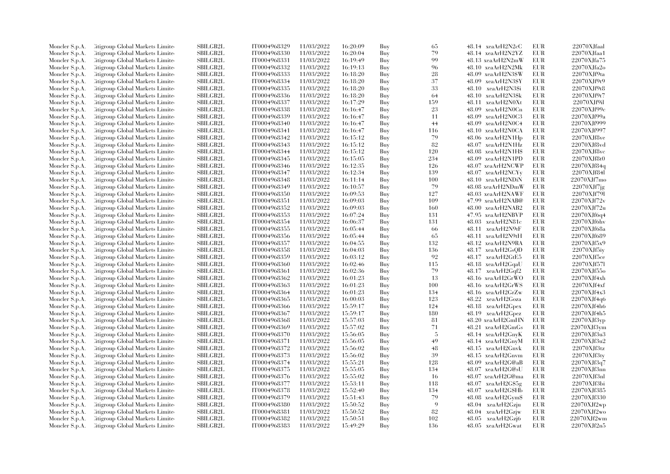| Moncler S.p.A. | Citigroup Global Markets Limite  | SBILGB2L        | IT0004968329 | 11/03/2022 | 16:20:09 | Buy | 65  | 48.14 xeaArH2N2cC           | <b>EUR</b> | 22070XJfaal        |
|----------------|----------------------------------|-----------------|--------------|------------|----------|-----|-----|-----------------------------|------------|--------------------|
| Moncler S.p.A. | Citigroup Global Markets Limite  | <b>SBILGB2L</b> | IT0004968330 | 11/03/2022 | 16:20:04 | Buy | 79  | 48.14 xeaArH2N2YZ           | <b>EUR</b> | 22070XJfaa1        |
| Moncler S.p.A. | Citigroup Global Markets Limited | <b>SBILGB2L</b> | IT0004968331 | 11/03/2022 | 16:19:49 | Buy | 99  | 48.13 xeaArH2N2mW           | EUR        | 22070XJfa75        |
| Moncler S.p.A. | Citigroup Global Markets Limite  | <b>SBILGB2L</b> | IT0004968332 | 11/03/2022 | 16:19:13 | Buy | 96  | 48.10 xeaArH2N2Mk           | <b>EUR</b> | 22070XJfa2o        |
| Moncler S.p.A. | Citigroup Global Markets Limite  | SBILGB2L        | IT0004968333 | 11/03/2022 | 16:18:20 | Buy | 28  | 48.09 xeaArH2N3\$W          | <b>EUR</b> | 22070XJf9ta        |
| Moncler S.p.A. | Citigroup Global Markets Limite  | <b>SBILGB2L</b> | IT0004968334 | 11/03/2022 | 16:18:20 | Buy | 37  | 48.09 xeaArH2N3\$Y          | <b>EUR</b> | 22070XJf9t9        |
| Moncler S.p.A. | Citigroup Global Markets Limite  | <b>SBILGB2L</b> | IT0004968335 | 11/03/2022 | 16:18:20 | Buy | 33  | 48.10 xeaArH2N3\$i          | <b>EUR</b> | 22070XJf9t8        |
| Moncler S.p.A. | Citigroup Global Markets Limite  | <b>SBILGB2L</b> | IT0004968336 | 11/03/2022 | 16:18:20 | Buy | 64  | 48.10 xeaArH2N3\$k          | EUR        | 22070XJf9t7        |
| Moncler S.p.A. | Citigroup Global Markets Limite  | <b>SBILGB2L</b> | IT0004968337 | 11/03/2022 | 16:17:29 | Buy | 159 | 48.11 xeaArH2N0Xt           | <b>EUR</b> | 22070XJf9il        |
| Moncler S.p.A. | Citigroup Global Markets Limite  | <b>SBILGB2L</b> | IT0004968338 | 11/03/2022 | 16:16:47 | Buy | 23  | 48.09 xeaArH2N0Cn           | <b>EUR</b> | 22070XJf99c        |
| Moncler S.p.A. | Litigroup Global Markets Limite  | <b>SBILGB2L</b> | IT0004968339 | 11/03/2022 | 16:16:47 | Buy | 11  | 48.09 xeaArH2N0C3           | <b>EUR</b> | 22070XJf99a        |
|                | Litigroup Global Markets Limite  | <b>SBILGB2L</b> | IT0004968340 | 11/03/2022 | 16:16:47 | Buy | 44  | 48.09 xeaArH2N0C4           | <b>EUR</b> | 22070XJf999        |
| Moncler S.p.A. | Litigroup Global Markets Limite  | <b>SBILGB2L</b> | IT0004968341 | 11/03/2022 | 16:16:47 | Buy | 116 | 48.10 xeaArH2N0CA           | <b>EUR</b> | 22070XJf997        |
| Moncler S.p.A. |                                  |                 |              |            |          |     | 79  |                             | <b>EUR</b> |                    |
| Moncler S.p.A. | Citigroup Global Markets Limite  | <b>SBILGB2L</b> | IT0004968342 | 11/03/2022 | 16:15:12 | Buy |     | 48.06 xeaArH2N1Hp           |            | 22070XJf8ve        |
| Moncler S.p.A. | Citigroup Global Markets Limite  | <b>SBILGB2L</b> | IT0004968343 | 11/03/2022 | 16:15:12 | Buy | 82  | 48.07 xeaArH2N1Hz           | EUR        | 22070XJf8vd        |
| Moncler S.p.A. | Citigroup Global Markets Limite  | SBILGB2L        | IT0004968344 | 11/03/2022 | 16:15:12 | Buy | 120 | 48.08 xeaArH2N1H\$          | <b>EUR</b> | 22070XJf8vc        |
| Moncler S.p.A. | Citigroup Global Markets Limite  | <b>SBILGB2L</b> | IT0004968345 | 11/03/2022 | 16:15:05 | Buy | 234 | 48.09 xeaArH2N1PD           | <b>EUR</b> | 22070XJf8t0        |
| Moncler S.p.A. | Litigroup Global Markets Limite  | <b>SBILGB2L</b> | IT0004968346 | 11/03/2022 | 16:12:35 | Buy | 126 | 48.07 xeaArH2NCWP           | <b>EUR</b> | $22070X$ Jf84q     |
| Moncler S.p.A. | Citigroup Global Markets Limite  | <b>SBILGB2L</b> | IT0004968347 | 11/03/2022 | 16:12:34 | Buy | 139 | 48.07 xeaArH2NCYy           | <b>EUR</b> | 22070XJf84l        |
| Moncler S.p.A. | Citigroup Global Markets Limite  | <b>SBILGB2L</b> | IT0004968348 | 11/03/2022 | 16:11:14 | Buy | 100 | 48.10 xeaArH2NDiN           | <b>EUR</b> | 22070XJf7mo        |
| Moncler S.p.A. | Citigroup Global Markets Limite  | SBILGB2L        | IT0004968349 | 11/03/2022 | 16:10:57 | Buy | 79  | 48.08 xeaArH2NDmW           | <b>EUR</b> | 22070XJf7ig        |
| Moncler S.p.A. | Citigroup Global Markets Limite  | <b>SBILGB2L</b> | IT0004968350 | 11/03/2022 | 16:09:53 | Buy | 127 | 48.03 xeaArH2NAWF           | <b>EUR</b> | 22070XJf79l        |
| Moncler S.p.A. | Citigroup Global Markets Limite  | <b>SBILGB2L</b> | IT0004968351 | 11/03/2022 | 16:09:03 | Buy | 109 | 47.99 xeaArH2NAB@           | <b>EUR</b> | 22070XJf72v        |
| Moncler S.p.A. | Citigroup Global Markets Limite  | SBILGB2L        | IT0004968352 | 11/03/2022 | 16:09:03 | Buy | 160 | 48.00 xeaArH2NAB2           | <b>EUR</b> | 22070XJf72u        |
| Moncler S.p.A. | Citigroup Global Markets Limite  | <b>SBILGB2L</b> | IT0004968353 | 11/03/2022 | 16:07:24 | Buy | 131 | 47.95 xeaArH2NBVP           | <b>EUR</b> | 22070XJf6q4        |
| Moncler S.p.A. | Citigroup Global Markets Limite  | <b>SBILGB2L</b> | IT0004968354 | 11/03/2022 | 16:06:37 | Buy | 131 | 48.03 xeaArH2N81c           | <b>EUR</b> | 22070XJf6hv        |
| Moncler S.p.A. | Citigroup Global Markets Limite  | SBILGB2L        | IT0004968355 | 11/03/2022 | 16:05:44 | Buy | 66  | 48.11 xeaArH2N9tF           | <b>EUR</b> | 22070XJf68a        |
| Moncler S.p.A. | Citigroup Global Markets Limite  | <b>SBILGB2L</b> | IT0004968356 | 11/03/2022 | 16:05:44 | Buy | 65  | 48.11 xeaArH2N9tH           | <b>EUR</b> | 22070XJf689        |
| Moncler S.p.A. | Citigroup Global Markets Limite  | <b>SBILGB2L</b> | IT0004968357 | 11/03/2022 | 16:04:55 | Buy | 132 | 48.12 xeaArH2N9RA           | <b>EUR</b> | 22070XJf5x9        |
| Moncler S.p.A. | Citigroup Global Markets Limite  | <b>SBILGB2L</b> | IT0004968358 | 11/03/2022 | 16:04:03 | Buy | 136 | 48.17 xeaArH2GsQD           | <b>EUR</b> | 22070XJf5iy        |
| Moncler S.p.A. | Citigroup Global Markets Limite  | SBILGB2L        | IT0004968359 | 11/03/2022 | 16:03:12 | Buy | 92  | 48.17 xeaArH2GtE5           | <b>EUR</b> | 22070XJf5ce        |
| Moncler S.p.A. | Citigroup Global Markets Limite  | SBILGB2L        | IT0004968360 | 11/03/2022 | 16:02:46 | Buy | 115 | 48.18 xeaArH2GqaU           | <b>EUR</b> | 22070XJf571        |
| Moncler S.p.A. | Citigroup Global Markets Limite  | SBILGB2L        | IT0004968361 | 11/03/2022 | 16:02:36 | Buy | 79  | 48.17 xeaArH2Gqf2           | <b>EUR</b> | 22070XJf55o        |
| Moncler S.p.A. | Citigroup Global Markets Limite  | SBILGB2L        | IT0004968362 | 11/03/2022 | 16:01:23 | Buy | 13  | 48.16 xeaArH2GrWO           | <b>EUR</b> | 22070XJf4xh        |
| Moncler S.p.A. | Citigroup Global Markets Limite  | SBILGB2L        | IT0004968363 | 11/03/2022 | 16:01:23 | Buy | 100 | 48.16 xeaArH2GrWS           | <b>EUR</b> | 22070XJf4xf        |
| Moncler S.p.A. | Citigroup Global Markets Limite  | <b>SBILGB2L</b> | IT0004968364 | 11/03/2022 | 16:01:23 | Buy | 134 | 48.16 xeaArH2GrZw           | <b>EUR</b> | 22070XJf4x3        |
| Moncler S.p.A. | Citigroup Global Markets Limite  | <b>SBILGB2L</b> | IT0004968365 | 11/03/2022 | 16:00:03 | Buy | 123 | 48.22 xeaArH2Goza           | <b>EUR</b> | 22070XJf4q6        |
| Moncler S.p.A. | Citigroup Global Markets Limite  | <b>SBILGB2L</b> | IT0004968366 | 11/03/2022 | 15:59:17 | Buy | 124 | 48.18 xeaArH2Gpex           | <b>EUR</b> | 22070XJf4h6        |
| Moncler S.p.A. | Citigroup Global Markets Limite  | <b>SBILGB2L</b> | IT0004968367 | 11/03/2022 | 15:59:17 | Buy | 180 | 48.19 xeaArH2Gpez           | <b>EUR</b> | 22070XJf4h5        |
| Moncler S.p.A. | Citigroup Global Markets Limite  | SBILGB2L        | IT0004968368 | 11/03/2022 | 15:57:03 | Buy | 81  | 48.20 xeaArH2GmHN           | <b>EUR</b> | 22070XJf3yp        |
| Moncler S.p.A. | Citigroup Global Markets Limite  | <b>SBILGB2L</b> | IT0004968369 | 11/03/2022 | 15:57:02 | Buy | 71  | 48.21 xeaArH2GmGs           | <b>EUR</b> | 22070XJf3ym        |
| Moncler S.p.A. | Citigroup Global Markets Limite  | <b>SBILGB2L</b> | IT0004968370 | 11/03/2022 | 15:56:05 | Buy | 5   | 48.14 xeaArH2GnyK           | <b>EUR</b> | 22070XJf3u3        |
|                | Citigroup Global Markets Limite  | SBILGB2L        | IT0004968371 | 11/03/2022 | 15:56:05 |     | 49  |                             | <b>EUR</b> | 22070XJf3u2        |
| Moncler S.p.A. |                                  |                 |              |            |          | Buy |     | 48.14 xeaArH2GnyM           |            |                    |
| Moncler S.p.A. | Citigroup Global Markets Limite  | <b>SBILGB2L</b> | IT0004968372 | 11/03/2022 | 15:56:02 | Buy | 48  | 48.15 xeaArH2Gnvk           | <b>EUR</b> | 22070XJf3tz        |
| Moncler S.p.A. | Citigroup Global Markets Limite  | SBILGB2L        | IT0004968373 | 11/03/2022 | 15:56:02 | Buy | 39  | 48.15 xeaArH2Gnvm           | <b>EUR</b> | 22070XJf3ty        |
| Moncler S.p.A. | Citigroup Global Markets Limite  | <b>SBILGB2L</b> | IT0004968374 | 11/03/2022 | 15:55:21 | Buy | 128 | 48.09 xeaArH2G@aB           | <b>EUR</b> | $22070X$ Jf $3q$ 7 |
| Moncler S.p.A. | Citigroup Global Markets Limite  | <b>SBILGB2L</b> | IT0004968375 | 11/03/2022 | 15:55:05 | Buy | 134 | 48.07 xeaArH2G@sU           | <b>EUR</b> | 22070XJf3nn        |
| Moncler S.p.A. | Citigroup Global Markets Limite  | <b>SBILGB2L</b> | IT0004968376 | 11/03/2022 | 15:55:02 | Buy | -16 | 48.07 xeaArH2G@ma           | <b>EUR</b> | 22070XJf3nl        |
| Moncler S.p.A. | Citigroup Global Markets Limite  | <b>SBILGB2L</b> | IT0004968377 | 11/03/2022 | 15:53:11 | Buy | 118 | $48.07 \text{ xeaArH2G$5g}$ | <b>EUR</b> | 22070XJf3bi        |
| Moncler S.p.A. | Citigroup Global Markets Limite  | <b>SBILGB2L</b> | IT0004968378 | 11/03/2022 | 15:52:40 | Buy | 134 | 48.07 xeaArH2G\$Hb          | <b>EUR</b> | 22070XJf385        |
| Moncler S.p.A. | Citigroup Global Markets Limite  | <b>SBILGB2L</b> | IT0004968379 | 11/03/2022 | 15:51:43 | Buy | 79  | 48.08 xeaArH2Gym\$          | EUR        | 22070XJf330        |
| Moncler S.p.A. | Citigroup Global Markets Limite  | <b>SBILGB2L</b> | IT0004968380 | 11/03/2022 | 15:50:52 | Buy | 9   | 48.04 xeaArH2Gzju           | <b>EUR</b> | $22070X$ Jf $2wp$  |
| Moncler S.p.A. | Citigroup Global Markets Limite  | <b>SBILGB2L</b> | IT0004968381 | 11/03/2022 | 15:50:52 | Buy | 82  | 48.04 xeaArH2Gzjw           | <b>EUR</b> | $22070X$ Jf $2w$ o |
| Moncler S.p.A. | Citigroup Global Markets Limite  | SBILGB2L        | IT0004968382 | 11/03/2022 | 15:50:51 | Buy | 102 | 48.05 xeaArH2Gzj6           | EUR        | 22070XJf2wm        |
| Moncler S.p.A. | Citigroup Global Markets Limited | SBILGB2L        | IT0004968383 | 11/03/2022 | 15:49:29 | Buy | 136 | 48.05 xeaArH2Gwat           | <b>EUR</b> | 22070XJf2n5        |
|                |                                  |                 |              |            |          |     |     |                             |            |                    |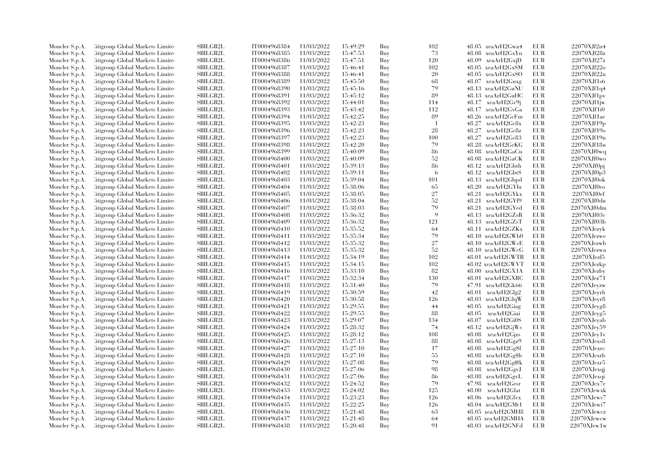| Moncler S.p.A. | Citigroup Global Markets Limite  | <b>SBILGB2L</b>           | IT0004968384                 | 11/03/2022 | 15:49:29             | Buy        | 102       | 48.05 xeaArH2Gwa4                      | EUR        | 22070XJf2n4       |
|----------------|----------------------------------|---------------------------|------------------------------|------------|----------------------|------------|-----------|----------------------------------------|------------|-------------------|
| Moncler S.p.A. | Citigroup Global Markets Limite  | SBILGB2L                  | IT0004968385                 | 11/03/2022 | 15:47:53             | Buy        | 73        | 48.08 xeaArH2GxYn                      | EUR        | 22070XJf28z       |
| Moncler S.p.A. | Citigroup Global Markets Limite  | SBILGB2L                  | IT0004968386                 | 11/03/2022 | 15:47:51             | Buy        | 120       | $48.09 \text{ xeaArH2Gxi}$             | <b>EUR</b> | 22070XJf27z       |
| Moncler S.p.A. | Citigroup Global Markets Limite  | SBILGB2L                  | IT0004968387                 | 11/03/2022 | 15:46:41             | Buy        | 102       | 48.05 xeaArH2GxSM                      | EUR        | 22070XJf22o       |
| Moncler S.p.A. | Citigroup Global Markets Limite  | <b>SBILGB2L</b>           | IT0004968388                 | 11/03/2022 | 15:46:41             | Buy        | 20        | 48.05 xeaArH2GxSO                      | <b>EUR</b> | 22070XJf22n       |
| Moncler S.p.A. | Citigroup Global Markets Limite  | SBILGB2L                  | IT0004968389                 | 11/03/2022 | 15:45:50             | Buy        | 68        | 48.07 xeaArH2Guxg                      | EUR        | 22070XJf1s6       |
| Moncler S.p.A. | Citigroup Global Markets Limite  | <b>SBILGB2L</b>           | IT0004968390                 | 11/03/2022 | 15:45:16             | Buy        | 79        | 48.13 xeaArH2GuNU                      | EUR        | 22070XJf1q4       |
| Moncler S.p.A. | Citigroup Global Markets Limite  | <b>SBILGB2L</b>           | IT0004968391                 | 11/03/2022 | 15:45:12             | Buy        | 89        | 48.13 xeaArH2GuHC                      | <b>EUR</b> | 22070XJf1pv       |
| Moncler S.p.A. | Citigroup Global Markets Limite  | SBILGB2L                  | IT0004968392                 | 11/03/2022 | 15:44:01             | Buy        | 114       | 48.17 xeaArH2Gv9j                      | EUR        | $22070X$ Jf1jw    |
| Moncler S.p.A. | Citigroup Global Markets Limite  | SBILGB2L                  | IT0004968393                 | 11/03/2022 | 15:43:42             | Buy        | 112       | 48.17 xeaArH2GvGa                      | <b>EUR</b> | 22070XJf1i0       |
| Moncler S.p.A. | Litigroup Global Markets Limite  | <b>SBILGB2L</b>           | IT0004968394                 | 11/03/2022 | 15:42:25             | Buy        | 89        | 48.26 xeaArH2GcFm                      | <b>EUR</b> | 22070XJf1ae       |
| Moncler S.p.A. | Citigroup Global Markets Limite  | <b>SBILGB2L</b>           | IT0004968395                 | 11/03/2022 | 15:42:23             | Buy        |           | 48.27 xeaArH2Gc8x                      | EUR        | 22070XJf19p       |
| Moncler S.p.A. | Citigroup Global Markets Limite  | SBILGB2L                  | IT0004968396                 | 11/03/2022 | 15:42:23             | Buy        | 28        | 48.27<br>xeaArH2Gc8z                   | EUR        | 22070XJf19o       |
| Moncler S.p.A. | Citigroup Global Markets Limite  | SBILGB2L                  | IT0004968397                 | 11/03/2022 | 15:42:23             | Buy        | 100       | 48.27 xeaArH2Gc83                      | <b>EUR</b> | 22070XJf19n       |
| Moncler S.p.A. | Citigroup Global Markets Limite  | SBILGB2L                  | IT0004968398                 | 11/03/2022 | 15:42:20             | Buy        | 79        | 48.28 xeaArH2GcKG                      | EUR        | 22070XJf18u       |
| Moncler S.p.A. | Citigroup Global Markets Limite  | SBILGB2L                  | IT0004968399                 | 11/03/2022 | 15:40:09             | Buy        | 86        | 48.08 xeaArH2GaCu                      | <b>EUR</b> | 22070XJf0wq       |
| Moncler S.p.A. | Litigroup Global Markets Limite  | <b>SBILGB2L</b>           | IT0004968400                 | 11/03/2022 | 15:40:09             | Buy        | 52        | 48.08 xeaArH2GaCK                      | <b>EUR</b> | 22070XJf0wo       |
| Moncler S.p.A. | Citigroup Global Markets Limite  | <b>SBILGB2L</b>           | IT0004968401                 | 11/03/2022 | 15:39:13             | Buy        | 86        | 48.12<br>xeaArH2Gbth                   | EUR        | 22070XJf0pj       |
| Moncler S.p.A. | Citigroup Global Markets Limite  | <b>SBILGB2L</b>           | IT0004968402                 | 11/03/2022 | 15:39:11             | Buy        | -6        | 48.12 xeaArH2GbtS                      | EUR        | 22070XJf0p3       |
| Moncler S.p.A. | Citigroup Global Markets Limite  | SBILGB2L                  | IT0004968403                 | 11/03/2022 | 15:39:04             | Buy        | 101       | 48.13 xeaArH2Gbpd                      | EUR        | 22070XJf0ok       |
| Moncler S.p.A. | Litigroup Global Markets Limite  | <b>SBILGB2L</b>           | IT0004968404                 | 11/03/2022 | 15:38:06             | Buy        | 65        | 48.20<br>xeaArH2GYlu                   | EUR        | 22070XJf0eo       |
| Moncler S.p.A. | Litigroup Global Markets Limite  | <b>SBILGB2L</b>           | IT0004968405                 | 11/03/2022 | 15:38:05             | Buy        | 27        | 48.21 xeaArH2GYkx                      | EUR        | 22070XJf0ef       |
| Moncler S.p.A. | Citigroup Global Markets Limite  | SBILGB2L                  | IT0004968406                 | 11/03/2022 | 15:38:04             | Buy        | 52        | 48.21 xeaArH2GYf9                      | EUR        | 22070XJf0du       |
| Moncler S.p.A. | Citigroup Global Markets Limite  | SBILGB2L                  | IT0004968407                 | 11/03/2022 | 15:38:03             | Buy        | 79        | 48.21 xeaArH2GYed                      | EUR        | 22070XJf0dm       |
| Moncler S.p.A. | Citigroup Global Markets Limite  | <b>SBILGB2L</b>           | IT0004968408                 | 11/03/2022 | 15:36:32             | Buy        | -9        | 48.13 xeaArH2GZsR                      | EUR        | 22070XJf03c       |
|                | Citigroup Global Markets Limite  | SBILGB2L                  | IT0004968409                 | 11/03/2022 | 15:36:32             |            |           | 48.13 xeaArH2GZsT                      | EUR        | 22070XJf03b       |
| Moncler S.p.A. | Litigroup Global Markets Limite  | $\operatorname{SBILGB2L}$ | IT0004968410                 | 11/03/2022 | 15:35:52             | Buy<br>Buy | 121<br>64 |                                        | <b>EUR</b> | 22070XJezyk       |
| Moncler S.p.A. |                                  | <b>SBILGB2L</b>           |                              | 11/03/2022 |                      |            | 79        | 48.11 xeaArH2GZKx                      | <b>EUR</b> | 22070XJezwe       |
| Moncler S.p.A. | Litigroup Global Markets Limite  | <b>SBILGB2L</b>           | IT0004968411<br>IT0004968412 | 11/03/2022 | 15:35:34<br>15:35:32 | Buy<br>Buy | 27        | 48.10 xeaArH2GWb0<br>48.10 xeaArH2GWcE | EUR        | 22070XJezwb       |
| Moncler S.p.A. | Citigroup Global Markets Limite  | SBILGB2L                  | IT0004968413                 | 11/03/2022 |                      | Buy        | 52        |                                        | <b>EUR</b> |                   |
| Moncler S.p.A. | Citigroup Global Markets Limite  |                           |                              |            | 15:35:32             |            |           | 48.10 xeaArH2GWcG                      |            | 22070XJezwa       |
| Moncler S.p.A. | Citigroup Global Markets Limite  | <b>SBILGB2L</b>           | IT0004968414                 | 11/03/2022 | 15:34:19             | Buy        | 102       | 48.01 xeaArH2GWTB                      | EUR        | $22070X$ Jezl $5$ |
| Moncler S.p.A. | Citigroup Global Markets Limite  | <b>SBILGB2L</b>           | IT0004968415                 | 11/03/2022 | 15:34:15             | Buy        | 102       | 48.02 xeaArH2GWVT                      | <b>EUR</b> | 22070XJezkp       |
| Moncler S.p.A. | Litigroup Global Markets Limite  | SBILGB2L                  | IT0004968416                 | 11/03/2022 | 15:33:10             | Buy        | 82        | 48.00 xeaArH2GX1A                      | <b>EUR</b> | $22070X$ Jezby    |
| Moncler S.p.A. | Litigroup Global Markets Limite  | SBILGB2L                  | IT0004968417                 | 11/03/2022 | 15:32:34             | Buy        | 130       | 48.01 xeaArH2GXRC                      | EUR        | 22070XJez71       |
| Moncler S.p.A. | Litigroup Global Markets Limite  | <b>SBILGB2L</b>           | IT0004968418                 | 11/03/2022 | 15:31:40             | Buy        | 79        | 47.91 xeaArH2Gk66                      | EUR        | 22070XJevzw       |
| Moncler S.p.A. | Citigroup Global Markets Limite  | <b>SBILGB2L</b>           | IT0004968419                 | 11/03/2022 | 15:30:59             | Buy        | 42        | 48.01 xeaArH2Glg2                      | EUR        | 22070XJeyrh       |
| Moncler S.p.A. | Citigroup Global Markets Limite  | <b>SBILGB2L</b>           | IT0004968420                 | 11/03/2022 | 15:30:58             | Buy        | 126       | 48.03 xeaArH2GlqW                      | EUR        | 22070XJevr8       |
| Moncler S.p.A. | Citigroup Global Markets Limite  | <b>SBILGB2L</b>           | IT0004968421                 | 11/03/2022 | 15:29:55             | Buy        | 44        | 48.05 xeaArH2Giag                      | EUR        | 22070XJeyg8       |
| Moncler S.p.A. | Litigroup Global Markets Limite  | <b>SBILGB2L</b>           | IT0004968422                 | 11/03/2022 | 15:29:55             | Buy        | 88        | 48.05 xeaArH2Giai                      | EUR        | 22070XJeyg5       |
| Moncler S.p.A. | Citigroup Global Markets Limite  | <b>SBILGB2L</b>           | IT0004968423                 | 11/03/2022 | 15:29:07             | Buy        | 134       | 48.07<br>xeaArH2Gi0S                   | EUR        | 22070XJeyab       |
| Moncler S.p.A. | Litigroup Global Markets Limite  | <b>SBILGB2L</b>           | IT0004968424                 | 11/03/2022 | 15:28:32             | Buy        | 74        | 48.12 xeaArH2GiWs                      | EUR        | 22070XJev59       |
| Moncler S.p.A. | Citigroup Global Markets Limite  | <b>SBILGB2L</b>           | IT0004968425                 | 11/03/2022 | 15:28:12             | Buy        | 108       | 48.08 xeaArH2Gizs                      | EUR        | $22070X$ Jev1v    |
| Moncler S.p.A. | Citigroup Global Markets Limite  | <b>SBILGB2L</b>           | IT0004968426                 | 11/03/2022 | 15:27:13             | Buy        | 88        | 48.08 xeaArH2Ggz9                      | EUR        | $22070X$ Jexs $8$ |
| Moncler S.p.A. | Citigroup Global Markets Limite  | SBILGB2L                  | IT0004968427                 | 11/03/2022 | 15:27:10             | Buy        | 17        | 48.08 xeaArH2Gg\$f                     | EUR        | 22070XJexrc       |
| Moncler S.p.A. | Litigroup Global Markets Limite  | <b>SBILGB2L</b>           | IT0004968428                 | 11/03/2022 | 15:27:10             | Buy        | 55        | 48.08 xeaArH2Gg\$h                     | EUR        | 22070XJexrb       |
| Moncler S.p.A. | Citigroup Global Markets Limite  | SBILGB2L                  | IT0004968429                 | 11/03/2022 | 15:27:08             | Buy        | 79        | 48.08 xeaArH2Gg@k                      | EUR        | $22070X$ Jexr $5$ |
| Moncler S.p.A. | Citigroup Global Markets Limite  | SBILGB2L                  | IT0004968430                 | 11/03/2022 | 15:27:06             | Buy        | 98        | 48.08 xeaArH2GgvJ                      | <b>EUR</b> | 22070XJexqj       |
| Moncler S.p.A. | Citigroup Global Markets Limite  | SBILGB2L                  | IT0004968431                 | 11/03/2022 | 15:27:06             | Buy        | 86        | 48.08 xeaArH2GgvL                      | EUR        | 22070XJexqi       |
| Moncler S.p.A. | Citigroup Global Markets Limite  | <b>SBILGB2L</b>           | IT0004968432                 | 11/03/2022 | 15:24:52             | Buy        | 79        | 47.98 xeaArH2Gesr                      | EUR        | $22070X$ Jex7e    |
| Moncler S.p.A. | Citigroup Global Markets Limite  | SBILGB2L                  | IT0004968433                 | 11/03/2022 | 15:24:02             | Buy        | 125       | 48.00 xeaArH2Gfat                      | <b>EUR</b> | $22070X$ Jewxk    |
| Moncler S.p.A. | Citigroup Global Markets Limite  | SBILGB2L                  | IT0004968434                 | 11/03/2022 | 15:23:23             | Buy        | 126       | 48.06 xeaArH2Gfvx                      | EUR        | 22070XJews7       |
| Moncler S.p.A. | Citigroup Global Markets Limite  | <b>SBILGB2L</b>           | IT0004968435                 | 11/03/2022 | 15:22:25             | Buy        | 126       | 48.04 xeaArH2GMt1                      | EUR        | 22070XJewi7       |
| Moncler S.p.A. | Citigroup Global Markets Limite  | <b>SBILGB2L</b>           | IT0004968436                 | 11/03/2022 | 15:21:48             | Buy        | 63        | 48.05 xeaArH2GMH8                      | EUR        | 22070XJewcz       |
| Moncler S.p.A. | Citigroup Global Markets Limite  | <b>SBILGB2L</b>           | IT0004968437                 | 11/03/2022 | 15:21:48             | Buy        | 64        | 48.05 xeaArH2GMHA                      | <b>EUR</b> | 22070XJewcw       |
| Moncler S.p.A. | Citigroup Global Markets Limited | SBILGB2L                  | IT0004968438                 | 11/03/2022 | 15:20:48             | Buy        | 91        | 48.03 xeaArH2GNFd                      | EUR        | $22070X$ Jew $1w$ |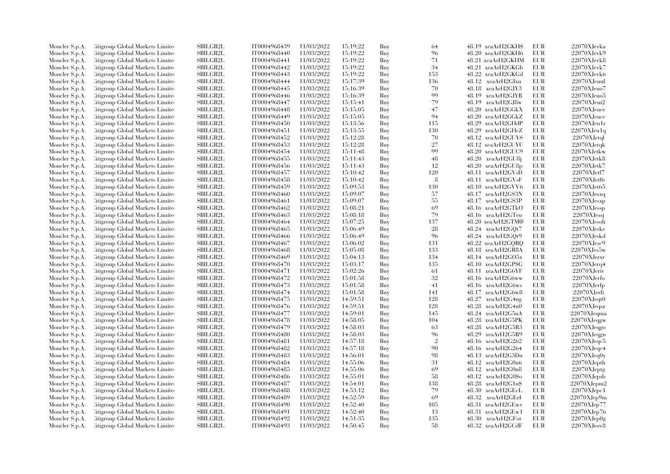| Moncler S.p.A. | Citigroup Global Markets Limite  | SBILGB2L        | IT0004968439 | 11/03/2022 | 15:19:22 | Buy | 64                   | 48.19 xeaArH2GKH\$ | EUR        | 22070XJevka           |
|----------------|----------------------------------|-----------------|--------------|------------|----------|-----|----------------------|--------------------|------------|-----------------------|
| Moncler S.p.A. | Citigroup Global Markets Limite  | <b>SBILGB2L</b> | IT0004968440 | 11/03/2022 | 15:19:22 | Buy | 96                   | 48.20 xeaArH2GKH6  | EUR        | 22070XJevk9           |
| Moncler S.p.A. | Citigroup Global Markets Limited | <b>SBILGB2L</b> | IT0004968441 | 11/03/2022 | 15:19:22 | Buy | 71                   | 48.21 xeaArH2GKHM  | EUR        | $22070 \mbox{XJevk}8$ |
| Moncler S.p.A. | Citigroup Global Markets Limite  | <b>SBILGB2L</b> | IT0004968442 | 11/03/2022 | 15:19:22 | Buy | 34                   | 48.21 xeaArH2GKGb  | <b>EUR</b> | 22070XJevk7           |
| Moncler S.p.A. | Citigroup Global Markets Limite  | SBILGB2L        | IT0004968443 | 11/03/2022 | 15:19:22 | Buy | 153                  | 48.22 xeaArH2GKGd  | EUR        | 22070XJevk6           |
| Moncler S.p.A. | Citigroup Global Markets Limite  | <b>SBILGB2L</b> | IT0004968444 | 11/03/2022 | 15:17:39 | Buy | 136                  | 48.12 xeaArH2GIxu  | EUR        | 22070XJeuul           |
| Moncler S.p.A. | Citigroup Global Markets Limite  | SBILGB2L        | IT0004968445 | 11/03/2022 | 15:16:39 | Buy | 70                   | 48.18 xeaArH2GJY3  | <b>EUR</b> | $22070X$ Jeuo7        |
| Moncler S.p.A. | Citigroup Global Markets Limite  | <b>SBILGB2L</b> | IT0004968446 | 11/03/2022 | 15:16:39 | Buy | 99                   | 48.19 xeaArH2GJYB  | EUR        | $22070X$ Jeuo $5$     |
| Moncler S.p.A. | Citigroup Global Markets Limite  | <b>SBILGB2L</b> | IT0004968447 | 11/03/2022 | 15:15:41 | Buy | 79                   | 48.19 xeaArH2GJ8w  | <b>EUR</b> | 22070XJeui2           |
| Moncler S.p.A. | Citigroup Global Markets Limite  | <b>SBILGB2L</b> | IT0004968448 | 11/03/2022 | 15:15:05 | Buy | 47                   | 48.20 xeaArH2GGkX  | <b>EUR</b> | 22070XJeuce           |
| Moncler S.p.A. | Citigroup Global Markets Limite  | <b>SBILGB2L</b> | IT0004968449 | 11/03/2022 | 15:15:05 | Buy | 94                   | 48.20 xeaArH2GGkZ  | <b>EUR</b> | 22070XJeucc           |
|                | Citigroup Global Markets Limite  | SBILGB2L        | IT0004968450 | 11/03/2022 | 15:13:56 | Buy | 115                  | 48.29 xeaArH2GHdP  | <b>EUR</b> | $22070X$ Jeu1r        |
| Moncler S.p.A. |                                  | <b>SBILGB2L</b> |              | 11/03/2022 |          |     | 130                  |                    | <b>EUR</b> |                       |
| Moncler S.p.A. | Citigroup Global Markets Limite  |                 | IT0004968451 |            | 15:13:55 | Buy | 70                   | 48.29 xeaArH2GHcZ  | <b>EUR</b> | $22070X$ Jeu1q        |
| Moncler S.p.A. | Citigroup Global Markets Limite  | <b>SBILGB2L</b> | IT0004968452 | 11/03/2022 | 15:12:28 | Buy |                      | 48.12 xeaArH2GUYS  |            | $22070$ XJ $etq$ l    |
| Moncler S.p.A. | Citigroup Global Markets Limite  | <b>SBILGB2L</b> | IT0004968453 | 11/03/2022 | 15:12:28 | Buy | $27\,$               | 48.12 xeaArH2GUYU  | <b>EUR</b> | 22070XJetqk           |
| Moncler S.p.A. | Citigroup Global Markets Limite  | SBILGB2L        | IT0004968454 | 11/03/2022 | 15:11:48 | Buy | 99                   | 48.20 xeaArH2GUC9  | <b>EUR</b> | 22070XJetkw           |
| Moncler S.p.A. | Citigroup Global Markets Limite  | <b>SBILGB2L</b> | IT0004968455 | 11/03/2022 | 15:11:43 | Buy | 48                   | 48.20 xeaArH2GU8j  | <b>EUR</b> | 22070XJetk8           |
| Moncler S.p.A. | Citigroup Global Markets Limite  | <b>SBILGB2L</b> | IT0004968456 | 11/03/2022 | 15:11:43 | Buy | 12                   | 48.20 xeaArH2GU8p  | <b>EUR</b> | 22070XJetk7           |
| Moncler S.p.A. | Citigroup Global Markets Limite  | <b>SBILGB2L</b> | IT0004968457 | 11/03/2022 | 15:10:42 | Buy | 120                  | 48.11 xeaArH2GVsD  | <b>EUR</b> | 22070XJetf7           |
| Moncler S.p.A. | Citigroup Global Markets Limite  | <b>SBILGB2L</b> | IT0004968458 | 11/03/2022 | 15:10:42 | Buy | 8                    | 48.11 xeaArH2GVsF  | <b>EUR</b> | 22070XJetf6           |
| Moncler S.p.A. | Citigroup Global Markets Limite  | SBILGB2L        | IT0004968459 | 11/03/2022 | 15:09:53 | Buy | 130                  | 48.10 xeaArH2GVV6  | EUR        | 22070XJet65           |
| Moncler S.p.A. | Citigroup Global Markets Limite  | <b>SBILGB2L</b> | IT0004968460 | 11/03/2022 | 15:09:07 | Buy | 57                   | 48.17 xeaArH2GS3N  | <b>EUR</b> | $22070X$ Jesxq        |
| Moncler S.p.A. | Citigroup Global Markets Limite  | <b>SBILGB2L</b> | IT0004968461 | 11/03/2022 | 15:09:07 | Buy | 55                   | 48.17 xeaArH2GS3P  | <b>EUR</b> | 22070XJesxp           |
| Moncler S.p.A. | Citigroup Global Markets Limite  | SBILGB2L        | IT0004968462 | 11/03/2022 | 15:08:21 | Buy | 69                   | 48.16 xeaArH2GTkO  | <b>EUR</b> | 22070XJessp           |
| Moncler S.p.A. | Citigroup Global Markets Limite  | <b>SBILGB2L</b> | IT0004968463 | 11/03/2022 | 15:08:18 | Buy | 79                   | 48.16 xeaArH2GTeu  | <b>EUR</b> | 22070XJessi           |
| Moncler S.p.A. | Citigroup Global Markets Limite  | <b>SBILGB2L</b> | IT0004968464 | 11/03/2022 | 15:07:25 | Buy | 137                  | 48.20 xeaArH2GTM@  | <b>EUR</b> | 22070XJesoh           |
| Moncler S.p.A. | Citigroup Global Markets Limite  | SBILGB2L        | IT0004968465 | 11/03/2022 | 15:06:49 | Buy | 28                   | 48.24 xeaArH2GQt7  | <b>EUR</b> | 22070XJeske           |
| Moncler S.p.A. | Citigroup Global Markets Limite  | <b>SBILGB2L</b> | IT0004968466 | 11/03/2022 | 15:06:49 | Buy | 96                   | 48.24 xeaArH2GQt9  | <b>EUR</b> | 22070XJeskd           |
| Moncler S.p.A. | Citigroup Global Markets Limite  | <b>SBILGB2L</b> | IT0004968467 | 11/03/2022 | 15:06:02 | Buy | 131                  | 48.22 xeaArH2GQRQ  | <b>EUR</b> | $22070X$ Jesc $9$     |
| Moncler S.p.A. | Citigroup Global Markets Limite  | <b>SBILGB2L</b> | IT0004968468 | 11/03/2022 | 15:05:08 | Buy | 133                  | 48.18 xeaArH2GR8A  | <b>EUR</b> | $22070X$ Jes $5w$     |
| Moncler S.p.A. | Citigroup Global Markets Limite  | <b>SBILGB2L</b> | IT0004968469 | 11/03/2022 | 15:04:13 | Buy | 134                  | 48.14 xeaArH2GO5x  | <b>EUR</b> | 22070XJerxr           |
| Moncler S.p.A. | Citigroup Global Markets Limite  | SBILGB2L        | IT0004968470 | 11/03/2022 | 15:03:17 | Buy | 135                  | 48.10 xeaArH2GP\$G | <b>EUR</b> | $22070X$ Jerq $4$     |
| Moncler S.p.A. | Citigroup Global Markets Limite  | SBILGB2L        | IT0004968471 | 11/03/2022 | 15:02:26 | Buy | 61                   | 48.11 xeaArH2G6YF  | <b>EUR</b> | 22070XJeriv           |
| Moncler S.p.A. | Citigroup Global Markets Limite  | SBILGB2L        | IT0004968472 | 11/03/2022 | 15:01:58 | Buy | 32                   | 48.16 xeaArH2G6ww  | <b>EUR</b> | 22070XJerfo           |
| Moncler S.p.A. | Citigroup Global Markets Limite  | SBILGB2L        | IT0004968473 | 11/03/2022 | 15:01:58 | Buy | 41                   | 48.16 xeaArH2G6ws  | <b>EUR</b> | 22070XJerfp           |
| Moncler S.p.A. | Litigroup Global Markets Limite  | <b>SBILGB2L</b> | IT0004968474 | 11/03/2022 | 15:01:58 | Buy | 141                  | 48.17 xeaArH2G6w8  | EUR        | 22070XJerfi           |
| Moncler S.p.A. | Citigroup Global Markets Limite  | SBILGB2L        | IT0004968475 | 11/03/2022 | 14:59:51 | Buy | 128                  | 48.27 xeaArH2G4ug  | <b>EUR</b> | 22070XJeqt0           |
| Moncler S.p.A. | Litigroup Global Markets Limite  | <b>SBILGB2L</b> | IT0004968476 | 11/03/2022 | 14:59:51 | Buy | 128                  | 48.28 xeaArH2G4u0  | <b>EUR</b> | 22070XJeqsz           |
| Moncler S.p.A. | Citigroup Global Markets Limite  | <b>SBILGB2L</b> | IT0004968477 | 11/03/2022 | 14:59:01 | Buy | 145                  | 48.24 xeaArH2G5nA  | <b>EUR</b> | 22070XJeqma           |
| Moncler S.p.A. | Citigroup Global Markets Limite  | SBILGB2L        | IT0004968478 | 11/03/2022 | 14:58:05 | Buy | 104                  | 48.28 xeaArH2G5PK  | <b>EUR</b> | 22070XJeqgw           |
|                |                                  | <b>SBILGB2L</b> | IT0004968479 | 11/03/2022 |          |     | 63                   | 48.28 xeaArH2G5R3  | <b>EUR</b> | $22070XJ$ eqgo        |
| Moncler S.p.A. | Litigroup Global Markets Limite  |                 |              | 11/03/2022 | 14:58:03 | Buy |                      | 48.29              | <b>EUR</b> |                       |
| Moncler S.p.A. | Citigroup Global Markets Limite  | <b>SBILGB2L</b> | IT0004968480 |            | 14:58:03 | Buy | 96<br>$\overline{2}$ | xeaArH2G5R9        |            | 22070XJeqgn           |
| Moncler S.p.A. | Litigroup Global Markets Limite  | <b>SBILGB2L</b> | IT0004968481 | 11/03/2022 | 14:57:18 | Buy |                      | 48.16 xeaArH2G262  | <b>EUR</b> | $22070X \rm Jeqc5$    |
| Moncler S.p.A. | Litigroup Global Markets Limite  | <b>SBILGB2L</b> | IT0004968482 | 11/03/2022 | 14:57:18 | Buy | 90                   | 48.16 xeaArH2G264  | <b>EUR</b> | 22070XJeqc4           |
| Moncler S.p.A. | Citigroup Global Markets Limite  | SBILGB2L        | IT0004968483 | 11/03/2022 | 14:56:01 | Buy | 98                   | 48.13 xeaArH2G3Dn  | <b>EUR</b> | $22070X$ Jeq0y        |
| Moncler S.p.A. | Litigroup Global Markets Limite  | <b>SBILGB2L</b> | IT0004968484 | 11/03/2022 | 14:55:06 | Buy | 31                   | 48.12 xeaArH2G0n6  | <b>EUR</b> | $22070$ XJepth        |
| Moncler S.p.A. | Litigroup Global Markets Limite  | <b>SBILGB2L</b> | IT0004968485 | 11/03/2022 | 14:55:06 | Buy | 69                   | 48.12 xeaArH2G0n8  | <b>EUR</b> | 22070XJeptg           |
| Moncler S.p.A. | Litigroup Global Markets Limite  | <b>SBILGB2L</b> | IT0004968486 | 11/03/2022 | 14:55:01 | Buy | 58                   | 48.12 xeaArH2G0\$o | <b>EUR</b> | 22070XJepsb           |
| Moncler S.p.A. | Citigroup Global Markets Limite  | <b>SBILGB2L</b> | IT0004968487 | 11/03/2022 | 14:54:01 | Buy | 138                  | 48.28 xeaArH2G1n\$ | <b>EUR</b> | $22070$ XJepm $2$     |
| Moncler S.p.A. | Litigroup Global Markets Limite  | <b>SBILGB2L</b> | IT0004968488 | 11/03/2022 | 14:53:12 | Buy | 79                   | 48.30 xeaArH2GEcL  | <b>EUR</b> | 22070XJepc1           |
| Moncler S.p.A. | Citigroup Global Markets Limite  | <b>SBILGB2L</b> | IT0004968489 | 11/03/2022 | 14:52:59 | Buy | 69                   | 48.32 xeaArH2GErI  | <b>EUR</b> | 22070XJep9m           |
| Moncler S.p.A. | Citigroup Global Markets Limite  | <b>SBILGB2L</b> | IT0004968490 | 11/03/2022 | 14:52:40 | Buy | 105                  | 48.31 xeaArH2GEwv  | <b>EUR</b> | 22070XJep77           |
| Moncler S.p.A. | Litigroup Global Markets Limite  | <b>SBILGB2L</b> | IT0004968491 | 11/03/2022 | 14:52:40 | Buy | -13                  | 48.31 xeaArH2GEw1  | EUR        | 22070XJep76           |
| Moncler S.p.A. | Litigroup Global Markets Limite  | <b>SBILGB2L</b> | IT0004968492 | 11/03/2022 | 14:51:35 | Buy | 135                  | 48.30 xeaArH2GFot  | EUR        | 22070XJep0g           |
| Moncler S.p.A. | Citigroup Global Markets Limited | <b>SBILGB2L</b> | IT0004968493 | 11/03/2022 | 14:50:45 | Buy | 58                   | 48.32 xeaArH2GCdF  | <b>EUR</b> | 22070XJeov8           |
|                |                                  |                 |              |            |          |     |                      |                    |            |                       |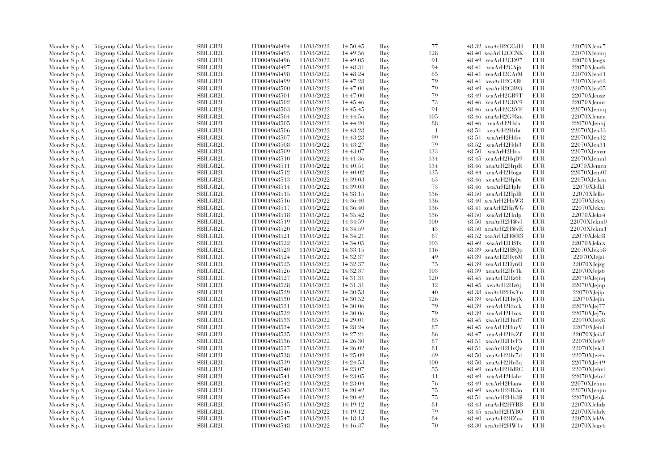| Moncler S.p.A. | Citigroup Global Markets Limited | <b>SBILGB2L</b> | IT0004968494 | 11/03/2022 | 14:50:45 | Buy | 77             | 48.32 xeaArH2GCdH     | EUR        | 22070XJeov7        |
|----------------|----------------------------------|-----------------|--------------|------------|----------|-----|----------------|-----------------------|------------|--------------------|
| Moncler S.p.A. | Litigroup Global Markets Limite  | <b>SBILGB2L</b> | IT0004968495 | 11/03/2022 | 14:49:56 | Buy | 128            | 48.40 xeaArH2GCNK     | <b>EUR</b> | 22070XJeonq        |
| Moncler S.p.A. | Citigroup Global Markets Limited | <b>SBILGB2L</b> | IT0004968496 | 11/03/2022 | 14:49:05 | Buy | 91             | 48.49 xeaArH2GD97     | EUR        | 22070XJeogx        |
| Moncler S.p.A. | Citigroup Global Markets Limite  | <b>SBILGB2L</b> | IT0004968497 | 11/03/2022 | 14:48:31 | Buy | 94             | 48.41 xeaArH2GAj6     | EUR        | $22070X$ Jeoeb     |
| Moncler S.p.A. | Citigroup Global Markets Limite  | SBILGB2L        | IT0004968498 | 11/03/2022 | 14:48:24 | Buy | 65             | 48.41 xeaArH2GArM     | EUR        | $22070X$ Jeod1     |
| Moncler S.p.A. | Citigroup Global Markets Limite  | <b>SBILGB2L</b> | IT0004968499 | 11/03/2022 | 14:47:28 | Buy | 79             | 48.41 xeaArH2GARf     | EUR        | 22070XJeo62        |
| Moncler S.p.A. | Citigroup Global Markets Limited | <b>SBILGB2L</b> | IT0004968500 | 11/03/2022 | 14:47:00 | Buy | 79             | 48.49 xeaArH2GB93     | <b>EUR</b> | 22070XJeo05        |
| Moncler S.p.A. | Citigroup Global Markets Limite  | SBILGB2L        | IT0004968501 | 11/03/2022 | 14:47:00 | Buy | 79             | 48.49 xeaArH2GB9T     | <b>EUR</b> | $22070X$ Jenzz     |
| Moncler S.p.A. | Citigroup Global Markets Limited | <b>SBILGB2L</b> | IT0004968502 | 11/03/2022 | 14:45:46 | Buy | 73             | 48.46 xeaArH2G8V9     | EUR        | $22070X$ Jennr     |
| Moncler S.p.A. | Citigroup Global Markets Limited | <b>SBILGB2L</b> | IT0004968503 | 11/03/2022 | 14:45:45 | Buy | 91             | 48.46 xeaArH2G8VF     | EUR        | $22070X$ Jennq     |
|                | Citigroup Global Markets Limited | <b>SBILGB2L</b> | IT0004968504 | 11/03/2022 |          |     | 105            | 48.46 xeaArH2G98m     | EUR        | 22070XJenen        |
| Moncler S.p.A. |                                  |                 |              |            | 14:44:56 | Buy |                |                       |            |                    |
| Moncler S.p.A. | Citigroup Global Markets Limite  | SBILGB2L        | IT0004968505 | 11/03/2022 | 14:44:20 | Buy | 88             | 48.46 xeaArH2Hslx     | <b>EUR</b> | 22070XJenbj        |
| Moncler S.p.A. | Citigroup Global Markets Limite  | <b>SBILGB2L</b> | IT0004968506 | 11/03/2022 | 14:43:28 | Buy | $\overline{1}$ | 48.51<br>xeaArH2Htbt  | <b>EUR</b> | 22070XJen33        |
| Moncler S.p.A. | Citigroup Global Markets Limited | <b>SBILGB2L</b> | IT0004968507 | 11/03/2022 | 14:43:28 | Buy | 99             | xeaArH2Htbv<br>48.51  | EUR        | 22070XJen32        |
| Moncler S.p.A. | Citigroup Global Markets Limited | <b>SBILGB2L</b> | IT0004968508 | 11/03/2022 | 14:43:27 | Buy | 79             | 48.52 xeaArH2Htb3     | EUR        | 22070XJen31        |
| Moncler S.p.A. | Citigroup Global Markets Limite  | SBILGB2L        | IT0004968509 | 11/03/2022 | 14:43:07 | Buy | 133            | 48.50<br>xeaArH2Htts  | <b>EUR</b> | $22070X$ Jemzr     |
| Moncler S.p.A. | Citigroup Global Markets Limite  | SBILGB2L        | IT0004968510 | 11/03/2022 | 14:41:36 | Buy | 134            | 48.45 xeaArH2HqD9     | EUR        | $22070$ XJemnl     |
| Moncler S.p.A. | Citigroup Global Markets Limited | <b>SBILGB2L</b> | IT0004968511 | 11/03/2022 | 14:40:51 | Buy | 134            | 48.46 xeaArH2HrpR     | EUR        | 22070XJemcn        |
| Moncler S.p.A. | Citigroup Global Markets Limited | <b>SBILGB2L</b> | IT0004968512 | 11/03/2022 | 14:40:02 | Buy | 135            | 48.44 xeaArH2Hoga     | EUR        | $22070$ XJem $0$ f |
| Moncler S.p.A. | Citigroup Global Markets Limite  | <b>SBILGB2L</b> | IT0004968513 | 11/03/2022 | 14:39:03 | Buy | 63             | 48.46 xeaArH2Hplw     | <b>EUR</b> | 22070XJelkm        |
| Moncler S.p.A. | Citigroup Global Markets Limite  | <b>SBILGB2L</b> | IT0004968514 | 11/03/2022 | 14:39:03 | Buy | 73             | 48.46 xeaArH2Hply     | EUR        | 22070XJelkl        |
| Moncler S.p.A. | Citigroup Global Markets Limited | <b>SBILGB2L</b> | IT0004968515 | 11/03/2022 | 14:38:15 | Buy | 136            | 48.50 xeaArH2HpIB     | EUR        | 22070XJelbs        |
| Moncler S.p.A. | Citigroup Global Markets Limite  | <b>SBILGB2L</b> | IT0004968516 | 11/03/2022 | 14:36:40 | Buy | 136            | 48.40 xeaArH2HnW8     | <b>EUR</b> | 22070XJekxj        |
| Moncler S.p.A. | Citigroup Global Markets Limited | <b>SBILGB2L</b> | IT0004968517 | 11/03/2022 | 14:36:40 | Buy | 136            | 48.41 xeaArH2HnWG     | EUR        | 22070XJekxi        |
| Moncler S.p.A. | Citigroup Global Markets Limite  | SBILGB2L        | IT0004968518 | 11/03/2022 | 14:35:42 | Buy | 136            | 48.50 xeaArH2HnIp     | EUR        | 22070XJekr4        |
| Moncler S.p.A. | Citigroup Global Markets Limited | <b>SBILGB2L</b> | IT0004968519 | 11/03/2022 | 14:34:59 | Buy | 100            | 48.50<br>xeaArH2H@vI  | EUR        | 22070XJekm0        |
| Moncler S.p.A. | Litigroup Global Markets Limite  | SBILGB2L        | IT0004968520 | 11/03/2022 | 14:34:59 | Buy | 43             | 48.50 xeaArH2H@vE     | EUR        | $22070X$ Jekm1     |
| Moncler S.p.A. | Citigroup Global Markets Limited | <b>SBILGB2L</b> | IT0004968521 | 11/03/2022 | 14:34:21 | Buy | 87             | 48.52 xeaArH2H@R3     | EUR        | 22070XJekf8        |
| Moncler S.p.A. | Citigroup Global Markets Limite  | SBILGB2L        | IT0004968522 | 11/03/2022 | 14:34:05 | Buy | 103            | 48.49<br>xeaArH2H\$fx | <b>EUR</b> | 22070XJekcx        |
| Moncler S.p.A. | Citigroup Global Markets Limite  | <b>SBILGB2L</b> | IT0004968523 | 11/03/2022 | 14:33:15 | Buy | 116            | 48.39 xeaArH2H\$Qp    | EUR        | 22070XJek58        |
| Moncler S.p.A. | Citigroup Global Markets Limited | <b>SBILGB2L</b> | IT0004968524 | 11/03/2022 | 14:32:37 | Buy | 49             | 48.39 xeaArH2Hy6M     | EUR        | 22070XJejzi        |
| Moncler S.p.A. | Citigroup Global Markets Limited | SBILGB2L        | IT0004968525 | 11/03/2022 | 14:32:37 |     | 75             | 48.39<br>xeaArH2Hy6O  | <b>EUR</b> | 22070XJejzg        |
|                |                                  |                 |              |            |          | Buy |                |                       |            |                    |
| Moncler S.p.A. | Citigroup Global Markets Limite  | <b>SBILGB2L</b> | IT0004968526 | 11/03/2022 | 14:32:37 | Buy | 103            | 48.39<br>xeaArH2Hy1k  | EUR        | 22070XJejz6        |
| Moncler S.p.A. | Citigroup Global Markets Limite  | <b>SBILGB2L</b> | IT0004968527 | 11/03/2022 | 14:31:31 | Buy | 120            | 48.45 xeaArH2Hz6h     | EUR        | 22070XJejnq        |
| Moncler S.p.A. | Citigroup Global Markets Limited | SBILGB2L        | IT0004968528 | 11/03/2022 | 14:31:31 | Buy | 12             | xeaArH2Hz6j<br>48.45  | EUR        | 22070XJejnp        |
| Moncler S.p.A. | Citigroup Global Markets Limited | <b>SBILGB2L</b> | IT0004968529 | 11/03/2022 | 14:30:53 | Buy | 40             | 48.38 xeaArH2HwYn     | EUR        | 22070XJejip        |
| Moncler S.p.A. | Citigroup Global Markets Limited | <b>SBILGB2L</b> | IT0004968530 | 11/03/2022 | 14:30:52 | Buy | 126            | 48.39 xeaArH2HwjX     | EUR        | 22070XJejin        |
| Moncler S.p.A. | Citigroup Global Markets Limited | <b>SBILGB2L</b> | IT0004968531 | 11/03/2022 | 14:30:06 | Buy | 79             | 48.39<br>xeaArH2Hxck  | EUR        | 22070XJej77        |
| Moncler S.p.A. | Citigroup Global Markets Limited | <b>SBILGB2L</b> | IT0004968532 | 11/03/2022 | 14:30:06 | Buy | 79             | 48.39<br>xeaArH2Hxcx  | EUR        | 22070XJej76        |
| Moncler S.p.A. | Litigroup Global Markets Limite  | SBILGB2L        | IT0004968533 | 11/03/2022 | 14:29:01 | Buy | 85             | 48.45 xeaArH2Hud7     | EUR        | 22070XJeiy8        |
| Moncler S.p.A. | Citigroup Global Markets Limite  | SBILGB2L        | IT0004968534 | 11/03/2022 | 14:28:24 | Buy | 87             | 48.45 xeaArH2HuyV     | <b>EUR</b> | 22070XJeiul        |
| Moncler S.p.A. | Citigroup Global Markets Limite  | SBILGB2L        | IT0004968535 | 11/03/2022 | 14:27:21 | Buy | 86             | 48.47 xeaArH2HvZf     | EUR        | 22070XJeikf        |
| Moncler S.p.A. | Citigroup Global Markets Limited | <b>SBILGB2L</b> | IT0004968536 | 11/03/2022 | 14:26:30 | Buy | 87             | 48.51 xeaArH2HvF5     | EUR        | 22070XJeie9        |
| Moncler S.p.A. | Citigroup Global Markets Limited | <b>SBILGB2L</b> | IT0004968537 | 11/03/2022 | 14:26:02 | Buy | 81             | 48.51 xeaArH2HvQz     | EUR        | 22070XJeic1        |
| Moncler S.p.A. | Citigroup Global Markets Limited | <b>SBILGB2L</b> | IT0004968538 | 11/03/2022 | 14:25:09 | Buy | 69             | 48.50<br>xeaArH2Hc7d  | EUR        | 22070XJei4x        |
| Moncler S.p.A. | Citigroup Global Markets Limite  | SBILGB2L        | IT0004968539 | 11/03/2022 | 14:24:53 | Buy | 100            | $48.50$ $xeaArH2Hc8q$ | EUR        | 22070XJei49        |
| Moncler S.p.A. | Citigroup Global Markets Limited | <b>SBILGB2L</b> | IT0004968540 | 11/03/2022 | 14:23:07 | Buy | -55            | xeaArH2HdRC<br>48.49  | EUR        | 22070XJehvl        |
| Moncler S.p.A. | Citigroup Global Markets Limite  | <b>SBILGB2L</b> | IT0004968541 | 11/03/2022 | 14:23:05 | Buy | 11             | 48.49<br>xeaArH2Habr  | <b>EUR</b> | 22070XJehvf        |
| Moncler S.p.A. | Citigroup Global Markets Limited | SBILGB2L        | IT0004968542 | 11/03/2022 | 14:23:04 | Buy | 76             | 48.49 xeaArH2Haaw     | <b>EUR</b> | 22070XJehuu        |
| Moncler S.p.A. | Citigroup Global Markets Limite  | SBILGB2L        | IT0004968543 | 11/03/2022 | 14:20:42 | Buy | 75             | xeaArH2Hb3o<br>48.49  | <b>EUR</b> | 22070XJehjm        |
| Moncler S.p.A. | Citigroup Global Markets Limite  | <b>SBILGB2L</b> | IT0004968544 | 11/03/2022 | 14:20:42 | Buy | 75             | 48.51 xeaArH2Hb3\$    | EUR        | $22070$ XJehjk     |
| Moncler S.p.A. | Citigroup Global Markets Limited | SBILGB2L        | IT0004968545 | 11/03/2022 | 14:19:12 | Buy | 81             | 48.43 xeaArH2HYBB     | EUR        | 22070XJehdz        |
| Moncler S.p.A. | Citigroup Global Markets Limited | SBILGB2L        | IT0004968546 | 11/03/2022 | 14:19:12 | Buy | 79             | 48.45 xeaArH2HYBO     | EUR        | 22070XJehdy        |
|                |                                  | SBILGB2L        | IT0004968547 | 11/03/2022 |          |     |                | 48.40 xeaArH2HZos     | <b>EUR</b> | 22070XJeh9c        |
| Moncler S.p.A. | Citigroup Global Markets Limited |                 | IT0004968548 | 11/03/2022 | 14:18:13 | Buy | 84<br>70       |                       | EUR        |                    |
| Moncler S.p.A. | Litigroup Global Markets Limited | <b>SBILGB2L</b> |              |            | 14:16:37 | Buy |                | 48.30 xeaArH2HW1v     |            | $22070X$ Jegy $6$  |
|                |                                  |                 |              |            |          |     |                |                       |            |                    |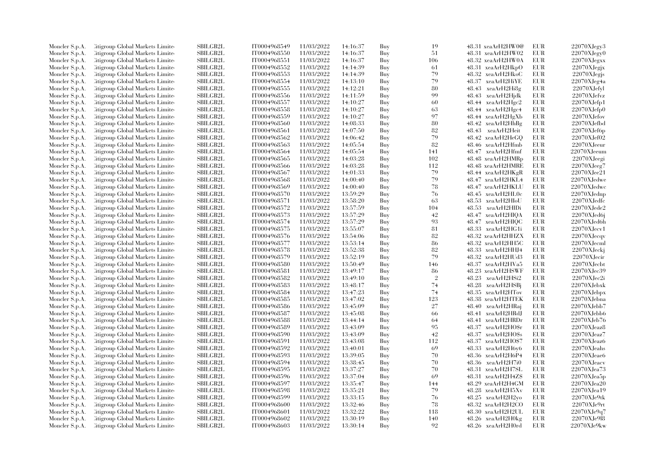| Moncler S.p.A. | Citigroup Global Markets Limite  | SBILGB2L                  | IT0004968549 | 11/03/2022 | 14:16:37 | Buy | 19             | 48.31 xeaArH2HW0@           | EUR        | 22070XJegy3       |
|----------------|----------------------------------|---------------------------|--------------|------------|----------|-----|----------------|-----------------------------|------------|-------------------|
| Moncler S.p.A. | Litigroup Global Markets Limite  | <b>SBILGB2L</b>           | IT0004968550 | 11/03/2022 | 14:16:37 | Buy | 51             | 48.31 xeaArH2HW02           | <b>EUR</b> | 22070XJegv0       |
| Moncler S.p.A. | Citigroup Global Markets Limited | <b>SBILGB2L</b>           | IT0004968551 | 11/03/2022 | 14:16:37 | Buy | 106            | 48.32 xeaArH2HW0A           | EUR        | $22070X$ Jegxx    |
| Moncler S.p.A. | Litigroup Global Markets Limite  | <b>SBILGB2L</b>           | IT0004968552 | 11/03/2022 | 14:14:39 | Buy | -61            | 48.31 xeaArH2HkpO           | EUR        | $22070$ XJegjx    |
| Moncler S.p.A. | Litigroup Global Markets Limite  | SBILGB2L                  | IT0004968553 | 11/03/2022 | 14:14:39 | Buy | 79             | 48.32 xeaArH2HkoC           | <b>EUR</b> | 22070XJegis       |
| Moncler S.p.A. | Citigroup Global Markets Limite  | <b>SBILGB2L</b>           | IT0004968554 | 11/03/2022 | 14:13:10 | Buy | 79             | 48.37 xeaArH2HiYE           | EUR        | 22070XJeg4a       |
| Moncler S.p.A. | Citigroup Global Markets Limite  | SBILGB2L                  | IT0004968555 | 11/03/2022 | 14:12:21 | Buy | 80             | $48.43$ xeaArH2Hi $8g$      | EUR        | $22070X$ Jefyl    |
| Moncler S.p.A. | Citigroup Global Markets Limite  | <b>SBILGB2L</b>           | IT0004968556 | 11/03/2022 | 14:11:59 | Buy | 99             | 48.43 xeaArH2Hidk           | <b>EUR</b> | 22070XJefvz       |
| Moncler S.p.A. | Citigroup Global Markets Limite  | SBILGB2L                  | IT0004968557 | 11/03/2022 | 14:10:27 | Buy | 60             | $48.44 \text{ xeaArH2Hgc2}$ | <b>EUR</b> | $22070$ XJefp1    |
| Moncler S.p.A. | Citigroup Global Markets Limite  | <b>SBILGB2L</b>           | IT0004968558 | 11/03/2022 | 14:10:27 | Buy | 63             | $48.44 \text{ xeaArH2Hgc4}$ | <b>EUR</b> | 22070XJefp0       |
| Moncler S.p.A. | Citigroup Global Markets Limite  | <b>SBILGB2L</b>           | IT0004968559 | 11/03/2022 | 14:10:27 | Buy | 97             | 48.44 xeaArH2HgXb           | <b>EUR</b> | 22070XJefov       |
|                | Citigroup Global Markets Limite  | SBILGB2L                  | IT0004968560 | 11/03/2022 | 14:08:33 | Buy | 80             | $48.42 \text{ xeaArH2HhBg}$ | <b>EUR</b> | 22070XJefbd       |
| Moncler S.p.A. | Citigroup Global Markets Limite  | <b>SBILGB2L</b>           | IT0004968561 | 11/03/2022 | 14:07:50 | Buy | 82             | 48.43<br>xeaArH2Heit        | <b>EUR</b> | $22070X$ Jef $6p$ |
| Moncler S.p.A. |                                  |                           |              |            |          |     | 79             |                             |            |                   |
| Moncler S.p.A. | Citigroup Global Markets Limite  | <b>SBILGB2L</b>           | IT0004968562 | 11/03/2022 | 14:06:42 | Buy |                | 48.42 xeaArH2HeGQ           | EUR        | 22070XJef02       |
| Moncler S.p.A. | Citigroup Global Markets Limite  | SBILGB2L                  | IT0004968563 | 11/03/2022 | 14:05:54 | Buy | 82             | 48.46 xeaArH2Hfmb           | EUR        | $22070$ XJeeur    |
| Moncler S.p.A. | Citigroup Global Markets Limite  | SBILGB2L                  | IT0004968564 | 11/03/2022 | 14:05:54 | Buy | 141            | 48.47 xeaArH2Hfmf           | <b>EUR</b> | 22070XJeeum       |
| Moncler S.p.A. | Citigroup Global Markets Limite  | SBILGB2L                  | IT0004968565 | 11/03/2022 | 14:03:28 | Buy | 102            | 48.48 xeaArH2HMRp           | <b>EUR</b> | 22070XJeegi       |
| Moncler S.p.A. | Citigroup Global Markets Limite  | SBILGB2L                  | IT0004968566 | 11/03/2022 | 14:03:28 | Buy | 112            | 48.48 xeaArH2HMRE           | <b>EUR</b> | 22070XJeeg7       |
| Moncler S.p.A. | Citigroup Global Markets Limite  | SBILGB2L                  | IT0004968567 | 11/03/2022 | 14:01:33 | Buy | 79             | 48.44 xeaArH2HKgR           | <b>EUR</b> | 22070XJee21       |
| Moncler S.p.A. | Citigroup Global Markets Limite  | <b>SBILGB2L</b>           | IT0004968568 | 11/03/2022 | 14:00:40 | Buy | 79             | 48.47 xeaArH2HKL4           | <b>EUR</b> | 22070XJedwe       |
| Moncler S.p.A. | Citigroup Global Markets Limite  | SBILGB2L                  | IT0004968569 | 11/03/2022 | 14:00:40 | Buy | 78             | 48.47 xeaArH2HKLU           | <b>EUR</b> | 22070XJedwc       |
| Moncler S.p.A. | Citigroup Global Markets Limite  | SBILGB2L                  | IT0004968570 | 11/03/2022 | 13:59:29 | Buy | 76             | 48.45 xeaArH2HL0c           | <b>EUR</b> | 22070XJednp       |
| Moncler S.p.A. | Citigroup Global Markets Limite  | <b>SBILGB2L</b>           | IT0004968571 | 11/03/2022 | 13:58:20 | Buy | 63             | 48.53 xeaArH2HIoU           | <b>EUR</b> | 22070XJedfc       |
| Moncler S.p.A. | Citigroup Global Markets Limite  | SBILGB2L                  | IT0004968572 | 11/03/2022 | 13:57:59 | Buy | 104            | 48.53 xeaArH2HIDi           | <b>EUR</b> | $22070X$ Jede $2$ |
| Moncler S.p.A. | Citigroup Global Markets Limite  | SBILGB2L                  | IT0004968573 | 11/03/2022 | 13:57:29 | Buy | 42             | 48.47 xeaArH2HIQA           | <b>EUR</b> | $22070X$ Jed6j    |
| Moncler S.p.A. | Citigroup Global Markets Limite  | <b>SBILGB2L</b>           | IT0004968574 | 11/03/2022 | 13:57:29 | Buy | 93             | 48.47 xeaArH2HIQC           | <b>EUR</b> | 22070XJed6h       |
| Moncler S.p.A. | Citigroup Global Markets Limite  | SBILGB2L                  | IT0004968575 | 11/03/2022 | 13:55:07 | Buy | 81             | 48.33 xeaArH2HG1i           | <b>EUR</b> | $22070X$ Jecv1    |
| Moncler S.p.A. | Citigroup Global Markets Limite  | <b>SBILGB2L</b>           | IT0004968576 | 11/03/2022 | 13:54:06 | Buy | 82             | 48.32 xeaArH2HHZX           | <b>EUR</b> | $22070X$ Jecqv    |
| Moncler S.p.A. | Citigroup Global Markets Limite  | <b>SBILGB2L</b>           | IT0004968577 | 11/03/2022 | 13:53:14 | Buy | 86             | 48.32 xeaArH2HH5C           | <b>EUR</b> | 22070XJecml       |
| Moncler S.p.A. | Citigroup Global Markets Limite  | <b>SBILGB2L</b>           | IT0004968578 | 11/03/2022 | 13:52:38 | Buy | 82             | 48.33 xeaArH2HHJ4           | <b>EUR</b> | 22070XJeckj       |
| Moncler S.p.A. | Citigroup Global Markets Limite  | SBILGB2L                  | IT0004968579 | 11/03/2022 | 13:52:19 | Buy | 79             | 48.32 xeaArH2HUd3           | <b>EUR</b> | 22070XJecir       |
| Moncler S.p.A. | Citigroup Global Markets Limite  | SBILGB2L                  | IT0004968580 | 11/03/2022 | 13:50:49 | Buy | 146            | 48.37 xeaArH2HVa5           | <b>EUR</b> | $22070$ XJecbt    |
| Moncler S.p.A. | Citigroup Global Markets Limite  | SBILGB2L                  | IT0004968581 | 11/03/2022 | 13:49:17 | Buy | 86             | 48.23 xeaArH2HSWF           | EUR        | 22070XJec39       |
| Moncler S.p.A. | Citigroup Global Markets Limite  | $\operatorname{SBILGB2L}$ | IT0004968582 | 11/03/2022 | 13:49:10 | Buy | $\overline{2}$ | 48.23 xeaArH2HSi2           | EUR        | $22070X$ Jec $2i$ |
| Moncler S.p.A. | Citigroup Global Markets Limite  | SBILGB2L                  | IT0004968583 | 11/03/2022 | 13:48:17 | Buy | 74             | 48.28 xeaArH2HSBj           | <b>EUR</b> | 22070XJebxk       |
| Moncler S.p.A. | Litigroup Global Markets Limite  | SBILGB2L                  | IT0004968584 | 11/03/2022 | 13:47:23 | Buy | 74             | 48.35 xeaArH2HTov           | EUR        | 22070XJebpx       |
| Moncler S.p.A. | Citigroup Global Markets Limite  | SBILGB2L                  | IT0004968585 | 11/03/2022 | 13:47:02 | Buy | 123            | 48.38 xeaArH2HTEK           | <b>EUR</b> | 22070XJebna       |
| Moncler S.p.A. | Litigroup Global Markets Limite  | SBILGB2L                  | IT0004968586 | 11/03/2022 | 13:45:09 | Buy | 27             | 48.40 xeaArH2HRaj           | <b>EUR</b> | 22070XJebb7       |
| Moncler S.p.A. | Citigroup Global Markets Limite  | <b>SBILGB2L</b>           | IT0004968587 | 11/03/2022 | 13:45:08 | Buy | 66             | 48.41 xeaArH2HRdJ           | EUR        | 22070XJebb6       |
| Moncler S.p.A. | Citigroup Global Markets Limite  | SBILGB2L                  | IT0004968588 | 11/03/2022 | 13:44:14 | Buy | 64             | 48.41 xeaArH2HRDr           | EUR        | 22070XJeb76       |
| Moncler S.p.A. | Citigroup Global Markets Limite  | <b>SBILGB2L</b>           | IT0004968589 | 11/03/2022 | 13:43:09 | Buy | 95             | 48.37 xeaArH2HO\$r          | EUR        | $22070X$ Jeaz $8$ |
| Moncler S.p.A. | Citigroup Global Markets Limite  | <b>SBILGB2L</b>           | IT0004968590 | 11/03/2022 | 13:43:09 | Buy | 42             | 48.37 xeaArH2HO\$s          | EUR        | $22070X$ Jeaz $7$ |
| Moncler S.p.A. | Litigroup Global Markets Limite  | <b>SBILGB2L</b>           | IT0004968591 | 11/03/2022 | 13:43:08 | Buy | 112            | 48.37 xeaArH2HOS7           | <b>EUR</b> | 22070XJeaz6       |
| Moncler S.p.A. | Litigroup Global Markets Limite  | <b>SBILGB2L</b>           | IT0004968592 | 11/03/2022 | 13:40:01 | Buy | 69             | $48.33$ $xeaArH2H6y6$       | <b>EUR</b> | 22070XJeahs       |
| Moncler S.p.A. | Citigroup Global Markets Limite  | SBILGB2L                  | IT0004968593 | 11/03/2022 | 13:39:05 | Buy | 70             | 48.36 xeaArH2H6P4           | <b>EUR</b> | $22070X$ Jeae $6$ |
|                | Litigroup Global Markets Limite  | <b>SBILGB2L</b>           | IT0004968594 | 11/03/2022 | 13:38:45 | Buy | 70             | 48.36 xeaArH2H7i0           | EUR        | 22070XJeacv       |
| Moncler S.p.A. |                                  |                           |              | 11/03/2022 |          |     | 70             |                             | <b>EUR</b> | 22070XJea73       |
| Moncler S.p.A. | Litigroup Global Markets Limite  | <b>SBILGB2L</b>           | IT0004968595 |            | 13:37:27 | Buy |                | 48.31 xeaArH2H7SL           |            |                   |
| Moncler S.p.A. | Litigroup Global Markets Limite  | SBILGB2L                  | IT0004968596 | 11/03/2022 | 13:37:04 | Buy | 69             | 48.31 xeaArH2H4Z\$          | EUR        | $22070X$ Jea $5p$ |
| Moncler S.p.A. | Citigroup Global Markets Limite  | <b>SBILGB2L</b>           | IT0004968597 | 11/03/2022 | 13:35:47 | Buy | 144            | 48.29 xeaArH2H4GM           | EUR        | 22070XJea20       |
| Moncler S.p.A. | Citigroup Global Markets Limite  | <b>SBILGB2L</b>           | IT0004968598 | 11/03/2022 | 13:35:21 | Buy | 79             | 48.28 xeaArH2H5Xv           | <b>EUR</b> | 22070XJea19       |
| Moncler S.p.A. | Citigroup Global Markets Limite  | SBILGB2L                  | IT0004968599 | 11/03/2022 | 13:33:15 | Buy | 76             | $48.25$ xeaArH $2H2$ yo     | EUR        | 22070XJe9tk       |
| Moncler S.p.A. | Citigroup Global Markets Limite  | <b>SBILGB2L</b>           | IT0004968600 | 11/03/2022 | 13:32:46 | Buy | 78             | 48.32 xeaArH2H2CO           | EUR        | 22070XJe9rt       |
| Moncler S.p.A. | Litigroup Global Markets Limite  | <b>SBILGB2L</b>           | IT0004968601 | 11/03/2022 | 13:32:22 | Buy | 118            | 48.30 xeaArH2H2UL           | EUR        | 22070XJe9q7       |
| Moncler S.p.A. | Litigroup Global Markets Limite  | SBILGB2L                  | IT0004968602 | 11/03/2022 | 13:30:19 | Buy | 140            | $48.26$ xeaArH2H0kg         | EUR        | 22070XJe918       |
| Moncler S.p.A. | Citigroup Global Markets Limited | SBILGB2L                  | IT0004968603 | 11/03/2022 | 13:30:14 | Buy | 92             | 48.26 xeaArH2H0rd           | <b>EUR</b> | 22070XJe9kw       |
|                |                                  |                           |              |            |          |     |                |                             |            |                   |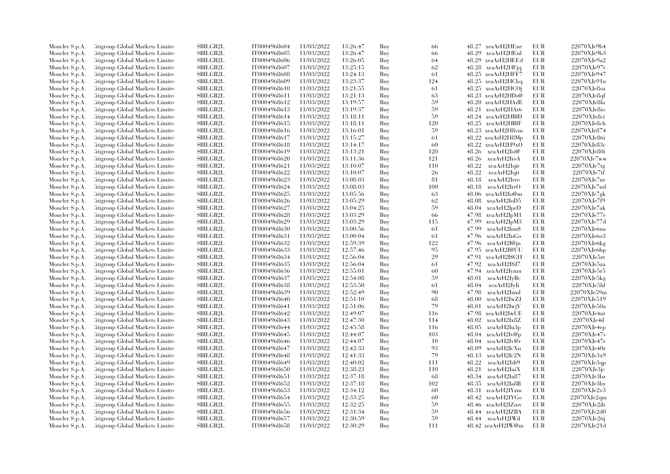| Moncler S.p.A. | Citigroup Global Markets Limite                                    | <b>SBILGB2L</b>                    | IT0004968604                 | 11/03/2022               | 13:26:47             | Buy        | 66        | 48.27 xeaArH2HEne                             | EUR                      | 22070XJe9b4                   |
|----------------|--------------------------------------------------------------------|------------------------------------|------------------------------|--------------------------|----------------------|------------|-----------|-----------------------------------------------|--------------------------|-------------------------------|
| Moncler S.p.A. | Citigroup Global Markets Limite                                    | SBILGB2L                           | IT0004968605                 | 11/03/2022               | 13:26:47             | Buy        | 66        | 48.29 xeaArH2HEnl                             | EUR                      | 22070XJe9b3                   |
| Moncler S.p.A. | Citigroup Global Markets Limite                                    | <b>SBILGB2L</b>                    | IT0004968606                 | 11/03/2022               | 13:26:05             | Buy        | 64        | 48.29 xeaArH2HEEd                             | <b>EUR</b>               | 22070XJe9a2                   |
| Moncler S.p.A. | Litigroup Global Markets Limite                                    | SBILGB2L                           | IT0004968607                 | 11/03/2022               | 13:25:15             | Buy        | 62        | 48.28 xeaArH2HFjq                             | <b>EUR</b>               | 22070XJe97t                   |
| Moncler S.p.A. | Citigroup Global Markets Limite                                    | <b>SBILGB2L</b>                    | IT0004968608                 | 11/03/2022               | 13:24:13             | Buy        | 61        | 48.25 xeaArH2HFF7                             | EUR                      | 22070XJe947                   |
| Moncler S.p.A. | Citigroup Global Markets Limite                                    | SBILGB2L                           | IT0004968609                 | 11/03/2022               | 13:23:37             | Buy        | 124       | 48.25 xeaArH2HCbq                             | <b>EUR</b>               | 22070XJe91n                   |
| Moncler S.p.A. | Citigroup Global Markets Limite                                    | <b>SBILGB2L</b>                    | IT0004968610                 | 11/03/2022               | 13:21:55             | Buy        | 61        | 48.25 xeaArH2HCOj                             | <b>EUR</b>               | $22070X$ Je $8su$             |
| Moncler S.p.A. | Citigroup Global Markets Limite                                    | <b>SBILGB2L</b>                    | IT0004968611                 | 11/03/2022               | 13:21:13             | Buy        | 63        | 48.23 xeaArH2HDs@                             | <b>EUR</b>               | 22070XJe8qf                   |
| Moncler S.p.A. | Citigroup Global Markets Limite                                    | SBILGB2L                           | IT0004968612                 | 11/03/2022               | 13:19:57             | Buy        | 59        | 48.20 xeaArH2HAdE                             | EUR                      | 22070XJe8la                   |
| Moncler S.p.A. | Citigroup Global Markets Limite                                    | SBILGB2L                           | IT0004968613                 | 11/03/2022               | 13:19:37             | Buy        | 59        | 48.21 xeaArH2HAt6                             | <b>EUR</b>               | $22070X$ Je8io                |
| Moncler S.p.A. | Litigroup Global Markets Limite                                    | <b>SBILGB2L</b>                    | IT0004968614                 | 11/03/2022               | 13:18:11             | Buy        | 59        | 48.24 xeaArH2HBfD                             | EUR                      | 22070XJe8ci                   |
| Moncler S.p.A. | Citigroup Global Markets Limite                                    | <b>SBILGB2L</b>                    | IT0004968615                 | 11/03/2022               | 13:18:11             | Buy        | 120       | 48.25 xeaArH2HBfF                             | <b>EUR</b>               | 22070XJe8ch                   |
| Moncler S.p.A. | Citigroup Global Markets Limite                                    | SBILGB2L                           | IT0004968616                 | 11/03/2022               | 13:16:01             | Buy        | 59        | 48.23 xeaArH2H8vm                             | EUR                      | 22070XJe874                   |
| Moncler S.p.A. | Citigroup Global Markets Limite                                    | SBILGB2L                           | IT0004968617                 | 11/03/2022               | 13:15:27             | Buy        | 61        | 48.22 xeaArH2H8Mp                             | <b>EUR</b>               | 22070XJe86i                   |
| Moncler S.p.A. | Litigroup Global Markets Limite                                    | SBILGB2L                           | IT0004968618                 | 11/03/2022               | 13:14:17             | Buy        | 60        | 48.22<br>xeaArH2H9xO                          | <b>EUR</b>               | 22070XJe83c                   |
| Moncler S.p.A. | Citigroup Global Markets Limite                                    | SBILGB2L                           | IT0004968619                 | 11/03/2022               | 13:13:21             | Buy        | 120       | 48.26 xeaArH2Isi@                             | <b>EUR</b>               | 22070XJe80i                   |
| Moncler S.p.A. | Citigroup Global Markets Limite                                    | <b>SBILGB2L</b>                    | IT0004968620                 | 11/03/2022               | 13:11:36             | Buy        | 121       | 48.26 xeaArH2ItoA                             | <b>EUR</b>               | 22070XJe7ww                   |
| Moncler S.p.A. | Citigroup Global Markets Limite                                    | <b>SBILGB2L</b>                    | IT0004968621                 | 11/03/2022               | 13:10:07             | Buy        | 110       | 48.22<br>xeaArH2Igir                          | <b>EUR</b>               | 22070XJe7tg                   |
| Moncler S.p.A. | Citigroup Global Markets Limite                                    | <b>SBILGB2L</b>                    | IT0004968622                 | 11/03/2022               | 13:10:07             | Buy        | -26       | 48.22<br>xeaArH2Iqit                          | EUR                      | 22070XJe7tf                   |
| Moncler S.p.A. | Citigroup Global Markets Limite                                    | SBILGB2L                           | IT0004968623                 | 11/03/2022               | 13:08:03             | Buy        | 81        | 48.18<br>xeaArH2Irro                          | <b>EUR</b>               | $22070X$ Je7ne                |
| Moncler S.p.A. | Citigroup Global Markets Limite                                    | <b>SBILGB2L</b>                    | IT0004968624                 | 11/03/2022               | 13:08:03             | Buy        | 100       | 48.18<br>xeaArH2IrrO                          | <b>EUR</b>               | 22070XJe7nd                   |
| Moncler S.p.A. | Citigroup Global Markets Limite                                    | <b>SBILGB2L</b>                    | IT0004968625                 | 11/03/2022               | 13:05:56             | Buy        | 63        | 48.06 xeaArH2Io@m                             | <b>EUR</b>               | $22070XJe7g$ k                |
| Moncler S.p.A. | Citigroup Global Markets Limite                                    | SBILGB2L                           | IT0004968626                 | 11/03/2022               | 13:05:29             | Buy        | 62        | 48.08<br>xeaArH2IoD5                          | <b>EUR</b>               | 22070XJe7f9                   |
| Moncler S.p.A. | Citigroup Global Markets Limite                                    | SBILGB2L                           | IT0004968627                 | 11/03/2022               | 13:04:25             | Buy        | 59        | 48.04 xeaArH2IpeD                             | <b>EUR</b>               | 22070XJe7ak                   |
| Moncler S.p.A. | Citigroup Global Markets Limite                                    | <b>SBILGB2L</b>                    | IT0004968628                 | 11/03/2022               | 13:03:29             | Buy        | 66        | 47.98 xeaArH2IpM1                             | EUR                      | 22070XJe77e                   |
|                |                                                                    |                                    |                              |                          |                      |            |           |                                               | <b>EUR</b>               |                               |
| Moncler S.p.A. | Citigroup Global Markets Limite<br>Citigroup Global Markets Limite | SBILGB2L<br>SBILGB2L               | IT0004968629<br>IT0004968630 | 11/03/2022<br>11/03/2022 | 13:03:29<br>13:00:56 | Buy<br>Buy | 115<br>61 | 47.99<br>xeaArH2IpM3<br>47.99<br>xeaArH2Inn\$ | <b>EUR</b>               | 22070XJe77d<br>$22070X$ Jebua |
| Moncler S.p.A. |                                                                    |                                    |                              |                          |                      |            |           |                                               |                          |                               |
| Moncler S.p.A. | Citigroup Global Markets Limite                                    | <b>SBILGB2L</b><br><b>SBILGB2L</b> | IT0004968631                 | 11/03/2022               | 13:00:04             | Buy        | 61        | 47.96<br>xeaArH2InGo                          | <b>EUR</b><br><b>EUR</b> | 22070XJe6o3                   |
| Moncler S.p.A. | Citigroup Global Markets Limite                                    |                                    | IT0004968632                 | 11/03/2022               | 12:59:39             | Buy        | 122       | 47.96<br>xeaArH2I@jn                          |                          | 22070XJe6kg                   |
| Moncler S.p.A. | Citigroup Global Markets Limite                                    | SBILGB2L                           | IT0004968633                 | 11/03/2022               | 12:57:46             | Buy        | 95        | 47.95<br>xeaArH2I@UU                          | <b>EUR</b>               | $22070X$ Je $6bp$             |
| Moncler S.p.A. | Citigroup Global Markets Limite                                    | <b>SBILGB2L</b>                    | IT0004968634                 | 11/03/2022               | 12:56:04             | Buy        | 29        | 47.91<br>xeaArH2ISGH                          | <b>EUR</b>               | 22070XJe5zt                   |
| Moncler S.p.A. | Citigroup Global Markets Limite                                    | <b>SBILGB2L</b>                    | IT0004968635                 | 11/03/2022               | 12:56:04             | Buy        | 61        | 47.92<br>xeaArH2I\$J7                         | EUR                      | 22070XJe5za                   |
| Moncler S.p.A. | Citigroup Global Markets Limite                                    | SBILGB2L                           | IT0004968636                 | 11/03/2022               | 12:55:01             | Buy        | 60        | 47.94 xeaArH2Iymu                             | <b>EUR</b>               | 22070XJe5r5                   |
| Moncler S.p.A. | Citigroup Global Markets Limite                                    | <b>SBILGB2L</b>                    | IT0004968637                 | 11/03/2022               | 12:54:08             | Buy        | 59        | 48.01<br>xeaArH2IyBc                          | <b>EUR</b>               | 22070XJe5kg                   |
| Moncler S.p.A. | Citigroup Global Markets Limite                                    | <b>SBILGB2L</b>                    | IT0004968638                 | 11/03/2022               | 12:53:50             | Buy        | 61        | 48.04<br>xeaArH2IyIi                          | <b>EUR</b>               | 22070XJe5hl                   |
| Moncler S.p.A. | Citigroup Global Markets Limite                                    | <b>SBILGB2L</b>                    | IT0004968639                 | 11/03/2022               | 12:52:49             | Buy        | 90        | 47.98<br>xeaArH2Izml                          | <b>EUR</b>               | 22070XJe59m                   |
| Moncler S.p.A. | Citigroup Global Markets Limite                                    | <b>SBILGB2L</b>                    | IT0004968640                 | 11/03/2022               | 12:51:10             | Buy        | 68        | 48.00<br>xeaArH2IwZJ                          | <b>EUR</b>               | 22070XJe519                   |
| Moncler S.p.A. | Citigroup Global Markets Limite                                    | <b>SBILGB2L</b>                    | IT0004968641                 | 11/03/2022               | 12:51:06             | Buy        | 79        | 48.01 xeaArH2IwjV                             | <b>EUR</b>               | 22070XJe50a                   |
| Moncler S.p.A. | Citigroup Global Markets Limite                                    | <b>SBILGB2L</b>                    | IT0004968642                 | 11/03/2022               | 12:49:07             | Buy        | 116       | 47.98 xeaArH2IwUE                             | <b>EUR</b>               | $22070X$ Je4nt                |
| Moncler S.p.A. | Citigroup Global Markets Limite                                    | <b>SBILGB2L</b>                    | IT0004968643                 | 11/03/2022               | 12:47:30             | Buy        | 114       | 48.02<br>xeaArH2Ix8Z                          | <b>EUR</b>               | 22070XJe4il                   |
| Moncler S.p.A. | Citigroup Global Markets Limite                                    | SBILGB2L                           | IT0004968644                 | 11/03/2022               | 12:45:58             | Buy        | 116       | 48.05 xeaArH2Iu3p                             | <b>EUR</b>               | 22070XJe4ep                   |
| Moncler S.p.A. | Citigroup Global Markets Limite                                    | <b>SBILGB2L</b>                    | IT0004968645                 | 11/03/2022               | 12:44:07             | Buy        | 103       | 48.04 xeaArH2Iv@p                             | EUR                      | 22070XJe47s                   |
| Moncler S.p.A. | Citigroup Global Markets Limite                                    | <b>SBILGB2L</b>                    | IT0004968646                 | 11/03/2022               | 12:44:07             | Buy        | 10        | 48.04<br>xeaArH2Iv@r                          | <b>EUR</b>               | $22070 \mbox{XJe4}7 \mbox{r}$ |
| Moncler S.p.A. | Citigroup Global Markets Limite                                    | SBILGB2L                           | IT0004968647                 | 11/03/2022               | 12:42:33             | Buy        | 93        | 48.09<br>xeaArH2IcXn                          | <b>EUR</b>               | 22070XJe40r                   |
| Moncler S.p.A. | Citigroup Global Markets Limite                                    | <b>SBILGB2L</b>                    | IT0004968648                 | 11/03/2022               | 12:41:33             | Buy        | 79        | 48.13 xeaArH2Ic2N                             | <b>EUR</b>               | 22070XJe3x9                   |
| Moncler S.p.A. | Citigroup Global Markets Limite                                    | SBILGB2L                           | IT0004968649                 | 11/03/2022               | 12:40:02             | Buy        | 111       | 48.22<br>xeaArH2Idt9                          | <b>EUR</b>               | 22070XJe3qp                   |
| Moncler S.p.A. | Citigroup Global Markets Limite                                    | SBILGB2L                           | IT0004968650                 | 11/03/2022               | 12:38:23             | Buy        | 110       | 48.21<br>xeaArH2IaiX                          | <b>EUR</b>               | 22070XJe3jc                   |
| Moncler S.p.A. | Citigroup Global Markets Limite                                    | <b>SBILGB2L</b>                    | IT0004968651                 | 11/03/2022               | 12:37:18             | Buy        | -68       | 48.34 xeaArH2Ia87                             | <b>EUR</b>               | $22070X$ Je $3b$ z            |
| Moncler S.p.A. | Citigroup Global Markets Limite                                    | <b>SBILGB2L</b>                    | IT0004968652                 | 11/03/2022               | 12:37:18             | Buy        | 102       | 48.35 xeaArH2Ia8B                             | EUR                      | $22070X$ Je $3$ by            |
| Moncler S.p.A. | Citigroup Global Markets Limite                                    | SBILGB2L                           | IT0004968653                 | 11/03/2022               | 12:34:12             | Buy        | 60        | 48.31 xeaArH2IYzm                             | <b>EUR</b>               | 22070XJe2v3                   |
| Moncler S.p.A. | Citigroup Global Markets Limite                                    | <b>SBILGB2L</b>                    | IT0004968654                 | 11/03/2022               | 12:33:25             | Buy        | 60        | 48.42 xeaArH2IYGo                             | <b>EUR</b>               | 22070XJe2qm                   |
| Moncler S.p.A. | Litigroup Global Markets Limite                                    | <b>SBILGB2L</b>                    | IT0004968655                 | 11/03/2022               | 12:32:25             | Buy        | 59        | 48.46 xeaArH2IZmv                             | <b>EUR</b>               | 22070XJe2ih                   |
| Moncler S.p.A. | Citigroup Global Markets Limite                                    | <b>SBILGB2L</b>                    | IT0004968656                 | 11/03/2022               | 12:31:34             | Buy        | 59        | 48.44 xeaArH2IZBA                             | <b>EUR</b>               | 22070XJe2d0                   |
| Moncler S.p.A. | Citigroup Global Markets Limite                                    | <b>SBILGB2L</b>                    | IT0004968657                 | 11/03/2022               | 12:30:59             | Buy        | 59        | 48.44 xeaArH2IWil                             | $EUR$                    | 22070XJe26j                   |
| Moncler S.p.A. | Citigroup Global Markets Limited                                   | SBILGB2L                           | IT0004968658                 | 11/03/2022               | 12:30:29             | Buy        | 111       | 48.42 xeaArH2IW@m                             | <b>EUR</b>               | 22070XJe21d                   |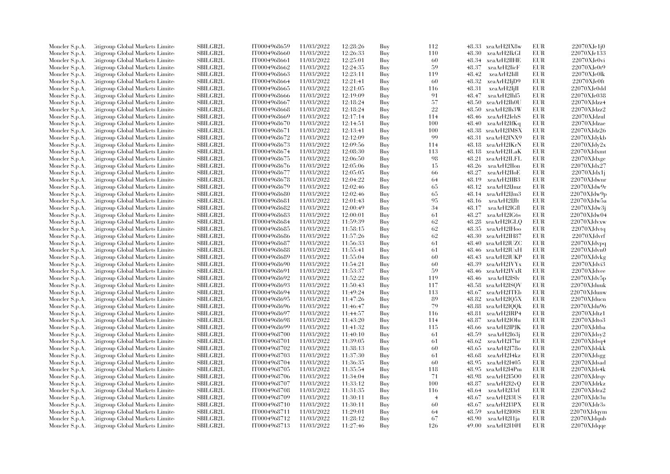| Moncler S.p.A. | <b>Citigroup Global Markets Limited</b> | SBILGB2L        | IT0004968659 | 11/03/2022 | 12:28:26 | Buy | 112            |       | 48.33 xeaArH2IX8w  | EUR               | $22070$ XJe $1i0$    |
|----------------|-----------------------------------------|-----------------|--------------|------------|----------|-----|----------------|-------|--------------------|-------------------|----------------------|
| Moncler S.p.A. | Citigroup Global Markets Limite         | SBILGB2L        | IT0004968660 | 11/03/2022 | 12:26:33 | Buy | 110            |       | 48.30 xeaArH2IkGI  | EUR               | 22070XJe133          |
| Moncler S.p.A. | Citigroup Global Markets Limite         | <b>SBILGB2L</b> | IT0004968661 | 11/03/2022 | 12:25:01 | Buy | 60             | 48.34 | xeaArH2IIHE        | <b>EUR</b>        | $22070X$ Je $0$ vi   |
| Moncler S.p.A. | Litigroup Global Markets Limite         | SBILGB2L        | IT0004968662 | 11/03/2022 | 12:24:35 | Buy | 59             | 48.37 | xeaArH2IicF        | EUR               | 22070XJe0t9          |
| Moncler S.p.A. | Citigroup Global Markets Limite         | <b>SBILGB2L</b> | IT0004968663 | 11/03/2022 | 12:23:11 | Buy | 119            | 48.42 | xeaArH2IiII        | <b>EUR</b>        | 22070XJe0lk          |
| Moncler S.p.A. | Citigroup Global Markets Limite         | SBILGB2L        | IT0004968664 | 11/03/2022 | 12:21:41 | Buy | 60             | 48.32 | xeaArH2IjD9        | EUR               | 22070XJe0ft          |
| Moncler S.p.A. | Citigroup Global Markets Limite         | <b>SBILGB2L</b> | IT0004968665 | 11/03/2022 | 12:21:05 | Buy | 116            | 48.31 | xeaArH2IjII        | EUR               | 22070XJe0dd          |
| Moncler S.p.A. | Citigroup Global Markets Limite         | <b>SBILGB2L</b> | IT0004968666 | 11/03/2022 | 12:19:09 | Buy | 91             | 48.47 | xeaArH2Ihl5        | EUR               | 22070XJe038          |
| Moncler S.p.A. | Citigroup Global Markets Limite         | SBILGB2L        | IT0004968667 | 11/03/2022 | 12:18:24 | Buy | 57             | 48.50 | xeaArH2Ih0U        | EUR               | 22070XJdzz4          |
| Moncler S.p.A. | Citigroup Global Markets Limite         | SBILGB2L        | IT0004968668 | 11/03/2022 | 12:18:24 | Buy | 22             | 48.50 | xeaArH2Ih3W        | <b>EUR</b>        | 22070XJdzz2          |
| Moncler S.p.A. | Litigroup Global Markets Limite         | <b>SBILGB2L</b> | IT0004968669 | 11/03/2022 | 12:17:14 | Buy | 114            |       | 48.46 xeaArH2IehS  | EUR               | 22070XJdzul          |
| Moncler S.p.A. | Citigroup Global Markets Limite         | <b>SBILGB2L</b> | IT0004968670 | 11/03/2022 | 12:14:51 | Buy | 100            | 48.40 | xeaArH2IfKq        | <b>EUR</b>        | 22070XJdzae          |
| Moncler S.p.A. | Citigroup Global Markets Limite         | SBILGB2L        | IT0004968671 | 11/03/2022 | 12:13:41 | Buy | 100            |       | 48.38 xeaArH2IM\$X | EUR               | 22070XJdz26          |
| Moncler S.p.A. | Citigroup Global Markets Limite         | SBILGB2L        | IT0004968672 | 11/03/2022 | 12:12:09 | Buy | 99             |       | 48.31 xeaArH2INX9  | EUR               | 22070XJdvkb          |
| Moncler S.p.A. | Litigroup Global Markets Limite         | SBILGB2L        | IT0004968673 | 11/03/2022 | 12:09:56 | Buy | 114            |       | 48.18 xeaArH2IKrN  | EUR               | 22070XJdy2x          |
| Moncler S.p.A. | Citigroup Global Markets Limite         | SBILGB2L        | IT0004968674 | 11/03/2022 | 12:08:30 | Buy | 113            |       | 48.18 xeaArH2ILaK  | <b>EUR</b>        | 22070XJdxmt          |
| Moncler S.p.A. | Litigroup Global Markets Limite         | <b>SBILGB2L</b> | IT0004968675 | 11/03/2022 | 12:06:50 | Buy | 98             | 48.21 | xeaArH2ILFL        | EUR               | 22070XJdxe           |
| Moncler S.p.A. | Citigroup Global Markets Limite         | <b>SBILGB2L</b> | IT0004968676 | 11/03/2022 | 12:05:06 | Buy | 15             | 48.26 | xeaArH2IIon        | EUR               | 22070XJdx27          |
| Moncler S.p.A. | Citigroup Global Markets Limite         | <b>SBILGB2L</b> | IT0004968677 | 11/03/2022 | 12:05:05 | Buy | 66             | 48.27 | xeaArH2IIoE        | EUR               | 22070XJdx1j          |
| Moncler S.p.A. | Citigroup Global Markets Limite         | SBILGB2L        | IT0004968678 | 11/03/2022 | 12:04:22 | Buy | 64             | 48.19 | xeaArH2IIB3        | EUR               | 22070XJdwnr          |
| Moncler S.p.A. | Litigroup Global Markets Limite         | <b>SBILGB2L</b> | IT0004968679 | 11/03/2022 | 12:02:46 | Buy | 65             | 48.12 | xeaArH2IJmz        | EUR               | 22070XJdw9r          |
| Moncler S.p.A. | Litigroup Global Markets Limite         | <b>SBILGB2L</b> | IT0004968680 | 11/03/2022 | 12:02:46 | Buy | 65             |       | 48.14 xeaArH2IJm3  | EUR               | 22070XJdw9p          |
| Moncler S.p.A. | Citigroup Global Markets Limite         | SBILGB2L        | IT0004968681 | 11/03/2022 | 12:01:43 | Buy | 95             | 48.16 | xeaArH2IJIt        | <b>EUR</b>        | 22070XJdw5a          |
| Moncler S.p.A. | Citigroup Global Markets Limite         | SBILGB2L        | IT0004968682 | 11/03/2022 | 12:00:49 | Buy | 34             | 48.17 | xeaArH2IGfl        | EUR               | 22070XJdw3j          |
| Moncler S.p.A. | Citigroup Global Markets Limite         | <b>SBILGB2L</b> | IT0004968683 | 11/03/2022 | 12:00:01 | Buy | 61             |       | 48.27 xeaArH2IG6s  | EUR               | 22070XJdw04          |
|                | Citigroup Global Markets Limite         | SBILGB2L        | IT0004968684 | 11/03/2022 | 11:59:39 | Buy |                |       | 48.28 xeaArH2IGLQ  | EUR               | 22070XJdvxw          |
| Moncler S.p.A. | Citigroup Global Markets Limite         | SBILGB2L        | IT0004968685 | 11/03/2022 | 11:58:15 | Buy | 62<br>62       |       | 48.35 xeaArH2IHoo  | <b>EUR</b>        | 22070XJdvtq          |
| Moncler S.p.A. |                                         |                 |              |            |          |     | 62             |       |                    |                   |                      |
| Moncler S.p.A. | Litigroup Global Markets Limite         | <b>SBILGB2L</b> | IT0004968686 | 11/03/2022 | 11:57:26 | Buy |                |       | 48.30 xeaArH2IH87  | <b>EUR</b><br>EUR | 22070XJdvrf          |
| Moncler S.p.A. | Citigroup Global Markets Limite         | SBILGB2L        | IT0004968687 | 11/03/2022 | 11:56:33 | Buy | 61             | 48.40 | xeaArH2IUZC        |                   | 22070XJdvpq          |
| Moncler S.p.A. | Citigroup Global Markets Limite         | SBILGB2L        | IT0004968688 | 11/03/2022 | 11:55:41 | Buy | 61             |       | 48.46 xeaArH2IUxH  | <b>EUR</b>        | 22070XJdvn0          |
| Moncler S.p.A. | Citigroup Global Markets Limite         | <b>SBILGB2L</b> | IT0004968689 | 11/03/2022 | 11:55:04 | Buy | 60             | 48.43 | xeaArH2IUKP        | <b>EUR</b>        | 22070XJdvkg          |
| Moncler S.p.A. | Litigroup Global Markets Limite         | <b>SBILGB2L</b> | IT0004968690 | 11/03/2022 | 11:54:21 | Buy | 60             | 48.39 | xeaArH2IVYx        | <b>EUR</b>        | 22070XJdvi3          |
| Moncler S.p.A. | Citigroup Global Markets Limite         | SBILGB2L        | IT0004968691 | 11/03/2022 | 11:53:37 | Buy | 59             |       | 48.46 xeaArH2IVxR  | <b>EUR</b>        | 22070XJdvee          |
| Moncler S.p.A. | Citigroup Global Markets Limite         | SBILGB2L        | IT0004968692 | 11/03/2022 | 11:52:22 | Buy | 119            | 48.46 | xeaArH2ISlv        | <b>EUR</b>        | $22070X$ Jdv $5p$    |
| Moncler S.p.A. | Citigroup Global Markets Limite         | <b>SBILGB2L</b> | IT0004968693 | 11/03/2022 | 11:50:43 | Buy | 117            |       | 48.58 xeaArH2ISOV  | EUR               | 22070XJduuk          |
| Moncler S.p.A. | Citigroup Global Markets Limite         | <b>SBILGB2L</b> | IT0004968694 | 11/03/2022 | 11:49:24 | Buy | 113            |       | 48.67 xeaArH2ITEb  | EUR               | 22070XJdunw          |
| Moncler S.p.A. | Citigroup Global Markets Limite         | <b>SBILGB2L</b> | IT0004968695 | 11/03/2022 | 11:47:26 | Buy | 89             | 48.82 | xeaArH2IQ5X        | EUR               | 22070XJducn          |
| Moncler S.p.A. | Citigroup Global Markets Limite         | <b>SBILGB2L</b> | IT0004968696 | 11/03/2022 | 11:46:47 | Buy | 79             |       | 48.88 xeaArH2IQQk  | EUR               | 22070XJdu96          |
| Moncler S.p.A. | Citigroup Global Markets Limite         | <b>SBILGB2L</b> | IT0004968697 | 11/03/2022 | 11:44:57 | Buy | 116            |       | 48.81 xeaArH2IRP4  | EUR               | $22070$ XJdtz1       |
| Moncler S.p.A. | Citigroup Global Markets Limite         | <b>SBILGB2L</b> | IT0004968698 | 11/03/2022 | 11:43:20 | Buy | 114            | 48.87 | xeaArH2IOIu        | EUR               | 22070XJdto3          |
| Moncler S.p.A. | Citigroup Global Markets Limite         | <b>SBILGB2L</b> | IT0004968699 | 11/03/2022 | 11:41:32 | Buy | 115            | 48.66 | xeaArH2IPJK        | EUR               | 22070XJdtba          |
| Moncler S.p.A. | Citigroup Global Markets Limite         | <b>SBILGB2L</b> | IT0004968700 | 11/03/2022 | 11:40:10 | Buy | -61            | 48.59 | xeaArH2I63j        | EUR               | 22070XJdsy2          |
| Moncler S.p.A. | Citigroup Global Markets Limite         | <b>SBILGB2L</b> | IT0004968701 | 11/03/2022 | 11:39:05 | Buy | 61             | 48.62 | xeaArH2I7hr        | <b>EUR</b>        | 22070XJdsq4          |
| Moncler S.p.A. | Citigroup Global Markets Limite         | SBILGB2L        | IT0004968702 | 11/03/2022 | 11:38:13 | Buy | 60             | 48.65 | xeaArH2I78o        | EUR               | 22070XJdskk          |
| Moncler S.p.A. | Citigroup Global Markets Limite         | <b>SBILGB2L</b> | IT0004968703 | 11/03/2022 | 11:37:30 | Buy | 61             | 48.68 | xeaArH2I4kz        | <b>EUR</b>        | 22070XJdsgg          |
| Moncler S.p.A. | Citigroup Global Markets Limite         | SBILGB2L        | IT0004968704 | 11/03/2022 | 11:36:35 | Buy | 60             | 48.95 | xeaArH2I405        | EUR               | 22070XJdsad          |
| Moncler S.p.A. | Citigroup Global Markets Limite         | SBILGB2L        | IT0004968705 | 11/03/2022 | 11:35:54 | Buy | 118            | 48.95 | xeaArH2I4Pm        | <b>EUR</b>        | 22070XJds4k          |
| Moncler S.p.A. | Citigroup Global Markets Limite         | SBILGB2L        | IT0004968706 | 11/03/2022 | 11:34:04 | Buy | 71             | 48.98 | xeaArH2I5O0        | EUR               | 22070XJdrqv          |
| Moncler S.p.A. | Citigroup Global Markets Limite         | <b>SBILGB2L</b> | IT0004968707 | 11/03/2022 | 11:33:12 | Buy | 100            | 48.87 | xeaArH2I2vQ        | EUR               | 22070XJdrkz          |
| Moncler S.p.A. | Citigroup Global Markets Limite         | SBILGB2L        | IT0004968708 | 11/03/2022 | 11:31:35 | Buy | 116            | 48.64 | xeaArH2I3rI        | EUR               | 22070XJdra2          |
| Moncler S.p.A. | Citigroup Global Markets Limite         | <b>SBILGB2L</b> | IT0004968709 | 11/03/2022 | 11:30:11 | Buy | $\overline{4}$ | 48.67 | xeaArH2I3US        | EUR               | 22070XJdr3u          |
| Moncler S.p.A. | Citigroup Global Markets Limite         | <b>SBILGB2L</b> | IT0004968710 | 11/03/2022 | 11:30:11 | Buy | 60             |       | 48.67 xeaArH2I3PX  | EUR               | 22070XJdr3s          |
| Moncler S.p.A. | Citigroup Global Markets Limite         | <b>SBILGB2L</b> | IT0004968711 | 11/03/2022 | 11:29:01 | Buy | 64             | 48.59 | xeaArH2I00S        | EUR               | 22070XJdqym          |
| Moncler S.p.A. | Citigroup Global Markets Limite         | <b>SBILGB2L</b> | IT0004968712 | 11/03/2022 | 11:28:12 | Buy | 67             | 48.90 | xeaArH2I1ja        | <b>EUR</b>        | $22070\mbox{XJdqub}$ |
| Moncler S.p.A. | Citigroup Global Markets Limited        | SBILGB2L        | IT0004968713 | 11/03/2022 | 11:27:46 | Buy | 126            |       | 49.00 xeaArH2I1@I  | EUR               | 22070XJdqqe          |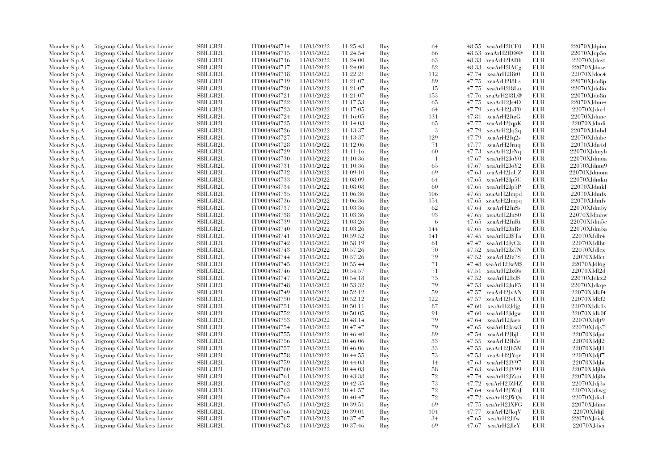| Moncler S.p.A. | Citigroup Global Markets Limite  | SBILGB2L        | IT0004968714 | 11/03/2022 | 11:25:43 | Buy | 64  |       | 48.55 xeaArH2ICF0      | <b>EUR</b> | 22070XJdpim              |
|----------------|----------------------------------|-----------------|--------------|------------|----------|-----|-----|-------|------------------------|------------|--------------------------|
| Moncler S.p.A. | Citigroup Global Markets Limite  | <b>SBILGB2L</b> | IT0004968715 | 11/03/2022 | 11:24:54 | Buy | 66  |       | 48.53 xeaArH2ID@@      | EUR        | 22070XJdp5o              |
| Moncler S.p.A. | Citigroup Global Markets Limited | SBILGB2L        | IT0004968716 | 11/03/2022 | 11:24:00 | Buy | 63  |       | 48.33 xeaArH2IADh      | <b>EUR</b> | $22070X$ Jdosf           |
| Moncler S.p.A. | Citigroup Global Markets Limite  | SBILGB2L        | IT0004968717 | 11/03/2022 | 11:24:00 | Buy | 82  | 48.33 | xeaArH2IACg            | EUR        | 22070XJdose              |
| Moncler S.p.A. | Citigroup Global Markets Limite  | <b>SBILGB2L</b> | IT0004968718 | 11/03/2022 | 11:22:21 | Buy | 112 | 47.74 | xeaArH2I8t0            | EUR        | 22070XJdoc4              |
| Moncler S.p.A. | Citigroup Global Markets Limite  | SBILGB2L        | IT0004968719 | 11/03/2022 | 11:21:07 | Buy | 89  | 47.75 | xeaArH2I8Ls            | EUR        | $22070X$ Jdo8p           |
| Moncler S.p.A. | Citigroup Global Markets Limite  | SBILGB2L        | IT0004968720 | 11/03/2022 | 11:21:07 | Buy | 15  | 47.75 | xeaArH2I8Lu            | EUR        | 22070XJdo8o              |
| Moncler S.p.A. | Litigroup Global Markets Limite  | <b>SBILGB2L</b> | IT0004968721 | 11/03/2022 | 11:21:07 | Buy | 153 | 47.76 | xeaArH2I8L@            | EUR        | 22070XJdo8n              |
| Moncler S.p.A. | Litigroup Global Markets Limite  | <b>SBILGB2L</b> | IT0004968722 | 11/03/2022 | 11:17:53 | Buy | 65  |       | 47.75 xeaArH2Js4D      | EUR        | 22070XJdnu4              |
| Moncler S.p.A. | Citigroup Global Markets Limite  | SBILGB2L        | IT0004968723 | 11/03/2022 | 11:17:05 | Buy | 64  | 47.79 | xeaArH2JsT0            | EUR        | $22070X$ Jdnrl           |
| Moncler S.p.A. | Citigroup Global Markets Limite  | SBILGB2L        | IT0004968724 | 11/03/2022 | 11:16:05 | Buy | 131 | 47.81 | xeaArH2JtzG            | EUR        | 22070XJdnne              |
| Moncler S.p.A. | Litigroup Global Markets Limite  | SBILGB2L        | IT0004968725 | 11/03/2022 | 11:14:03 | Buy | 65  | 47.77 | xeaArH2JqpK            | EUR        | 22070XJdndi              |
| Moncler S.p.A. | Citigroup Global Markets Limite  | <b>SBILGB2L</b> | IT0004968726 | 11/03/2022 | 11:13:37 | Buy | 3   | 47.79 | xeaArH2Jq2q            | EUR        | 22070XJdnbd              |
|                | Citigroup Global Markets Limite  | <b>SBILGB2L</b> | IT0004968727 | 11/03/2022 |          | Buy | 129 |       |                        | EUR        |                          |
| Moncler S.p.A. |                                  |                 |              |            | 11:13:37 |     |     | 47.79 | xeaArH2Jq2s            |            | 22070XJdnbc              |
| Moncler S.p.A. | Litigroup Global Markets Limite  | <b>SBILGB2L</b> | IT0004968728 | 11/03/2022 | 11:12:06 | Buy | 71  | 47.77 | xeaArH2Jrnq            | EUR        | 22070XJdn4d              |
| Moncler S.p.A. | Citigroup Global Markets Limite  | SBILGB2L        | IT0004968729 | 11/03/2022 | 11:11:16 | Buy | 60  | 47.73 | xeaArH2JrNq            | <b>EUR</b> | 22070XJdmyh              |
| Moncler S.p.A. | Litigroup Global Markets Limite  | <b>SBILGB2L</b> | IT0004968730 | 11/03/2022 | 11:10:36 | Buy | -1  | 47.67 | xeaArH2JoY0            | EUR        | 22070XJdmua              |
| Moncler S.p.A. | Litigroup Global Markets Limite  | <b>SBILGB2L</b> | IT0004968731 | 11/03/2022 | 11:10:36 | Buy | 65  | 47.67 | xeaArH2JoY2            | <b>EUR</b> | 22070XJdmu9              |
| Moncler S.p.A. | Litigroup Global Markets Limite  | <b>SBILGB2L</b> | IT0004968732 | 11/03/2022 | 11:09:10 | Buy | 69  | 47.63 | xeaArH2JoUZ            | <b>EUR</b> | 22070XJdmom              |
| Moncler S.p.A. | Citigroup Global Markets Limite  | SBILGB2L        | IT0004968733 | 11/03/2022 | 11:08:09 | Buy | 64  |       | 47.65 xeaArH2Jp5C      | <b>EUR</b> | 22070XJdmkn              |
| Moncler S.p.A. | Litigroup Global Markets Limite  | <b>SBILGB2L</b> | IT0004968734 | 11/03/2022 | 11:08:08 | Buy | 60  |       | 47.65 xeaArH2Jp5P      | EUR        | 22070XJdmkl              |
| Moncler S.p.A. | Citigroup Global Markets Limite  | <b>SBILGB2L</b> | IT0004968735 | 11/03/2022 | 11:06:36 | Buy | 106 |       | $47.65$ xea $ArH2Jmpd$ | EUR        | $22070X$ Jdmfx           |
| Moncler S.p.A. | Litigroup Global Markets Limite  | <b>SBILGB2L</b> | IT0004968736 | 11/03/2022 | 11:06:36 | Buy | 154 |       | $47.65$ xea $ArH2Jmpq$ | EUR        | 22070XJdmfv              |
| Moncler S.p.A. | Litigroup Global Markets Limite  | <b>SBILGB2L</b> | IT0004968737 | 11/03/2022 | 11:03:36 | Buy | 62  | 47.64 | xeaArH2JnSs            | EUR        | 22070XJdm5y              |
| Moncler S.p.A. | Citigroup Global Markets Limite  | SBILGB2L        | IT0004968738 | 11/03/2022 | 11:03:36 | Buy | 93  | 47.65 | xeaArH2JnS0            | EUR        | 22070XJdm5w              |
| Moncler S.p.A. | Citigroup Global Markets Limite  | <b>SBILGB2L</b> | IT0004968739 | 11/03/2022 | 11:03:26 | Buy | 6   | 47.65 | xeaArH2JnRt            | EUR        | $22070\mbox{XJdm5c}$     |
| Moncler S.p.A. | Litigroup Global Markets Limite  | <b>SBILGB2L</b> | IT0004968740 | 11/03/2022 | 11:03:26 | Buy | 144 | 47.65 | xeaArH2JnRv            | EUR        | 22070XJdm5a              |
| Moncler S.p.A. | Litigroup Global Markets Limite  | <b>SBILGB2L</b> | IT0004968741 | 11/03/2022 | 10:59:52 | Buy | 141 | 47.45 | xeaArH2J\$Ta           | EUR        | 22070XJdlr4              |
| Moncler S.p.A. | Litigroup Global Markets Limite  | <b>SBILGB2L</b> | IT0004968742 | 11/03/2022 | 10:58:19 | Buy | 61  |       | 47.47 xeaArH2JyGk      | EUR        | 22070XJdlht              |
| Moncler S.p.A. | Litigroup Global Markets Limite  | SBILGB2L        | IT0004968743 | 11/03/2022 | 10:57:26 | Buy | 70  | 47.52 | xeaArH2Jz7N            | EUR        | $22070X$ Jdl $cx$        |
| Moncler S.p.A. | Citigroup Global Markets Limite  | <b>SBILGB2L</b> | IT0004968744 | 11/03/2022 | 10:57:26 | Buy | 79  | 47.52 | xeaArH2Jz7S            | EUR        | $22070X$ Jdl $ct$        |
| Moncler S.p.A. | Litigroup Global Markets Limite  | <b>SBILGB2L</b> | IT0004968745 | 11/03/2022 | 10:55:44 | Buy | 71  |       | 47.48 xeaArH2JwM\$     | EUR        | 22070XJdl6g              |
| Moncler S.p.A. | Litigroup Global Markets Limite  | <b>SBILGB2L</b> | IT0004968746 | 11/03/2022 | 10:54:57 | Buy | 71  | 47.51 | xeaArH2Jx@s            | EUR        | 22070XJdl2d              |
| Moncler S.p.A. | Litigroup Global Markets Limite  | <b>SBILGB2L</b> | IT0004968747 | 11/03/2022 | 10:54:18 | Buy | 75  | 47.52 | xeaArH2JxJS            | EUR        | 22070XJdkx2              |
| Moncler S.p.A. | Litigroup Global Markets Limite  | <b>SBILGB2L</b> | IT0004968748 | 11/03/2022 | 10:53:32 | Buy | 79  | 47.53 | xeaArH2JuF5            | <b>EUR</b> | 22070XJdkqe              |
| Moncler S.p.A. | Litigroup Global Markets Limite  | <b>SBILGB2L</b> | IT0004968749 | 11/03/2022 | 10:52:12 | Buy | 59  | 47.57 | xeaArH2JvAN            | EUR        | 22070XJdkf4              |
| Moncler S.p.A. | Litigroup Global Markets Limite  | <b>SBILGB2L</b> | IT0004968750 | 11/03/2022 | 10:52:12 | Buy | 122 | 47.57 | xeaArH2JvLX            | EUR        | 22070XJdkf2              |
| Moncler S.p.A. | Citigroup Global Markets Limite  | SBILGB2L        | IT0004968751 | 11/03/2022 | 10:50:11 | Buy | 87  | 47.60 | xeaArH2Jdjg            | <b>EUR</b> | 22070XJdk1s              |
| Moncler S.p.A. | Citigroup Global Markets Limite  | <b>SBILGB2L</b> | IT0004968752 | 11/03/2022 | 10:50:05 | Buy | 91  | 47.60 | xeaArH2Jdgw            | EUR        | 22070XJdk0f              |
| Moncler S.p.A. | Litigroup Global Markets Limite  | <b>SBILGB2L</b> | IT0004968753 | 11/03/2022 | 10:48:14 | Buy | 79  | 47.64 | xeaArH2Jaeo            | EUR        | 22070XJdi19              |
| Moncler S.p.A. | Litigroup Global Markets Limite  | <b>SBILGB2L</b> | IT0004968754 | 11/03/2022 | 10:47:47 | Buy | 79  | 47.65 | xeaArH2Jaw3            | EUR        | 22070XJdis7              |
| Moncler S.p.A. | Litigroup Global Markets Limite  | <b>SBILGB2L</b> | IT0004968755 | 11/03/2022 | 10:46:40 | Buy | 89  | 47.54 | xeaArH2JbjL            | EUR        | 22070XJdjot              |
| Moncler S.p.A. | Citigroup Global Markets Limite  | <b>SBILGB2L</b> | IT0004968756 | 11/03/2022 | 10:46:06 | Buy | 33  | 47.55 | xeaArH2Jb5s            | EUR        | 22070XJdjl2              |
| Moncler S.p.A. | Citigroup Global Markets Limite  | <b>SBILGB2L</b> | IT0004968757 | 11/03/2022 | 10:46:06 | Buy | 33  | 47.55 | xeaArH2Jb5M            | EUR        | 22070XJdj11              |
| Moncler S.p.A. | Citigroup Global Markets Limite  | <b>SBILGB2L</b> | IT0004968758 | 11/03/2022 | 10:44:55 | Buy | 73  | 47.53 | xeaArH2JYqr            | <b>EUR</b> | 22070XJdf7               |
| Moncler S.p.A. | Citigroup Global Markets Limite  | SBILGB2L        | IT0004968759 | 11/03/2022 | 10:44:03 | Buy | 14  | 47.63 | xeaArH2JY97            | EUR        | 22070XJdjbi              |
| Moncler S.p.A. | Citigroup Global Markets Limite  | <b>SBILGB2L</b> | IT0004968760 | 11/03/2022 | 10:44:03 | Buy | 58  | 47.63 | xeaArH2JY99            | EUR        | 22070XJdjbh              |
| Moncler S.p.A. | Citigroup Global Markets Limite  | <b>SBILGB2L</b> | IT0004968761 | 11/03/2022 | 10:43:38 | Buy | 72  | 47.74 | xeaArH2JZau            | <b>EUR</b> | 22070XJdj8u              |
|                | Citigroup Global Markets Limite  | <b>SBILGB2L</b> | IT0004968762 | 11/03/2022 | 10:42:35 | Buy | 73  | 47.72 | xeaArH2JZHZ            | EUR        | 22070XJd <sub>i</sub> 3s |
| Moncler S.p.A. |                                  | <b>SBILGB2L</b> |              | 11/03/2022 |          | Buy | 72  |       |                        | <b>EUR</b> | 22070XJdiwg              |
| Moncler S.p.A. | Citigroup Global Markets Limite  |                 | IT0004968763 |            | 10:41:57 |     | 72  |       | 47.64 xeaArH2JWoJ      | <b>EUR</b> |                          |
| Moncler S.p.A. | Citigroup Global Markets Limite  | SBILGB2L        | IT0004968764 | 11/03/2022 | 10:40:47 | Buy |     |       | 47.72 xeaArH2JWQs      |            | $22070X$ Jdis1           |
| Moncler S.p.A. | Citigroup Global Markets Limite  | <b>SBILGB2L</b> | IT0004968765 | 11/03/2022 | 10:39:51 | Buy | 69  | 47.75 | xeaArH2JXFG            | EUR        | 22070XJdino              |
| Moncler S.p.A. | Citigroup Global Markets Limite  | <b>SBILGB2L</b> | IT0004968766 | 11/03/2022 | 10:39:01 | Buy | 104 | 47.77 | xeaArH2JkqV            | EUR        | $22070X$ Jdijl           |
| Moncler S.p.A. | Citigroup Global Markets Limite  | SBILGB2L        | IT0004968767 | 11/03/2022 | 10:37:47 | Buy | 34  | 47.65 | xeaArH2Jlfw            | <b>EUR</b> | $22070\mbox{XJdisk}$     |
| Moncler S.p.A. | Citigroup Global Markets Limited | SBILGB2L        | IT0004968768 | 11/03/2022 | 10:37:46 | Buy | 69  |       | 47.67 xeaArH2JleY      | <b>EUR</b> | 22070XJdici              |
|                |                                  |                 |              |            |          |     |     |       |                        |            |                          |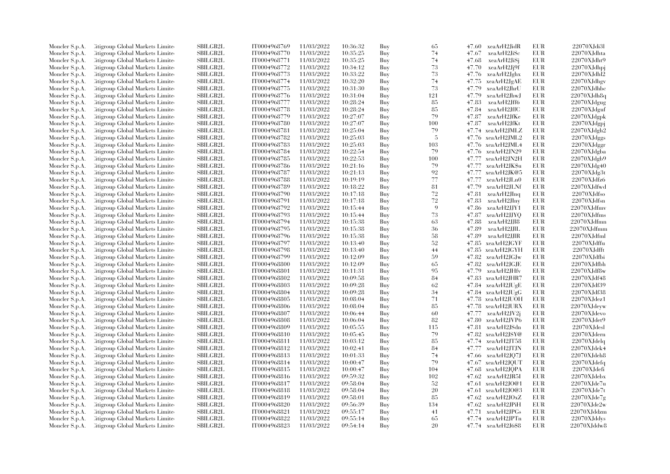| Moncler S.p.A. | Citigroup Global Markets Limite                                    | SBILGB2L                    | IT0004968769                 | 11/03/2022               | 10:36:32             | Buy        | 65  |       | 47.60 xeaArH2JidR                  | EUR        | 22070XJdi3l       |
|----------------|--------------------------------------------------------------------|-----------------------------|------------------------------|--------------------------|----------------------|------------|-----|-------|------------------------------------|------------|-------------------|
| Moncler S.p.A. | Citigroup Global Markets Limite                                    | <b>SBILGB2L</b>             | IT0004968770                 | 11/03/2022               | 10:35:25             | Buy        | 74  | 47.67 | xeaArH2JiSc                        | <b>EUR</b> | 22070XJdhta       |
| Moncler S.p.A. | Citigroup Global Markets Limite                                    | SBILGB2L                    | IT0004968771                 | 11/03/2022               | 10:35:25             | Buy        | 74  | 47.68 | xeaArH2JiSj                        | <b>EUR</b> | 22070XJdht9       |
| Moncler S.p.A. | Citigroup Global Markets Limite                                    | SBILGB2L                    | IT0004968772                 | 11/03/2022               | 10:34:12             | Buy        | 73  | 47.70 | xeaArH2Jj9f                        | EUR        | 22070XJdhpj       |
| Moncler S.p.A. | Citigroup Global Markets Limite                                    | <b>SBILGB2L</b>             | IT0004968773                 | 11/03/2022               | 10:33:22             | Buy        | 73  | 47.76 | xeaArH2Jghx                        | EUR        | 22070XJdhl2       |
| Moncler S.p.A. | Citigroup Global Markets Limite                                    | SBILGB2L                    | IT0004968774                 | 11/03/2022               | 10:32:20             | Buy        | 74  |       | 47.75 xeaArH2JgAE                  | EUR        | 22070XJdhgv       |
| Moncler S.p.A. | Citigroup Global Markets Limite                                    | SBILGB2L                    | IT0004968775                 | 11/03/2022               | 10:31:30             | Buy        | 73  | 47.79 | xeaArH2JhrU                        | <b>EUR</b> | 22070XJdhbc       |
| Moncler S.p.A. | Citigroup Global Markets Limite                                    | <b>SBILGB2L</b>             | IT0004968776                 | 11/03/2022               | 10:31:04             | Buy        | 121 | 47.79 | xeaArH2JhwJ                        | EUR        | 22070XJdh8q       |
| Moncler S.p.A. | Citigroup Global Markets Limite                                    | <b>SBILGB2L</b>             | IT0004968777                 | 11/03/2022               | 10:28:24             | Buy        | 85  | 47.83 | xeaArH2Jff6                        | EUR        | 22070XJdgug       |
| Moncler S.p.A. | Citigroup Global Markets Limite                                    | <b>SBILGB2L</b>             | IT0004968778                 | 11/03/2022               | 10:28:24             | Buy        | 85  | 47.84 | xeaArH2JffC                        | <b>EUR</b> | 22070XJdguf       |
| Moncler S.p.A. | Citigroup Global Markets Limite                                    | <b>SBILGB2L</b>             | IT0004968779                 | 11/03/2022               | 10:27:07             | Buy        | 79  | 47.87 | xeaArH2JfKe                        | EUR        | 22070XJdgpk       |
| Moncler S.p.A. | Citigroup Global Markets Limite                                    | SBILGB2L                    | IT0004968780                 | 11/03/2022               | 10:27:07             | Buy        | 100 | 47.87 | xeaArH2JfKt                        | EUR        | 22070XJdgpj       |
| Moncler S.p.A. | Citigroup Global Markets Limite                                    | <b>SBILGB2L</b>             | IT0004968781                 | 11/03/2022               | 10:25:04             | Buy        | 79  |       | 47.74 xeaArH2JMLZ                  | EUR        | 22070XJdgh2       |
| Moncler S.p.A. | Citigroup Global Markets Limite                                    | <b>SBILGB2L</b>             | IT0004968782                 | 11/03/2022               | 10:25:03             | Buy        | 5   |       | 47.76 xeaArH2JML2                  | <b>EUR</b> | 22070XJdggs       |
| Moncler S.p.A. | Citigroup Global Markets Limite                                    | <b>SBILGB2L</b>             | IT0004968783                 | 11/03/2022               | 10:25:03             | Buy        | 103 | 47.76 | xeaArH2JML4                        | EUR        | 22070XJdggr       |
|                |                                                                    | SBILGB2L                    |                              | 11/03/2022               | 10:22:54             |            | 79  | 47.76 |                                    | EUR        | 22070XJdgba       |
| Moncler S.p.A. | Litigroup Global Markets Limite                                    |                             | IT0004968784                 |                          |                      | Buy        |     |       | xeaArH2JN29                        |            |                   |
| Moncler S.p.A. | Citigroup Global Markets Limite                                    | SBILGB2L                    | IT0004968785                 | 11/03/2022               | 10:22:53             | Buy        | 100 | 47.77 | xeaArH2JN2H                        | EUR        | 22070XJdgb9       |
| Moncler S.p.A. | Citigroup Global Markets Limite                                    | SBILGB2L                    | IT0004968786                 | 11/03/2022               | 10:21:16             | Buy        | 79  | 47.77 | xeaArH2JK\$u                       | <b>EUR</b> | 22070XJdg40       |
| Moncler S.p.A. | Litigroup Global Markets Limite                                    | <b>SBILGB2L</b>             | IT0004968787                 | 11/03/2022               | 10:21:13             | Buy        | 92  | 47.77 | xeaArH2JK@5                        | EUR        | 22070XJdg3t       |
| Moncler S.p.A. | Citigroup Global Markets Limite                                    | <b>SBILGB2L</b>             | IT0004968788                 | 11/03/2022               | 10:19:19             | Buy        | 77  | 47.77 | xeaArH2JLn0                        | <b>EUR</b> | 22070XJdfz6       |
| Moncler S.p.A. | Citigroup Global Markets Limite                                    | <b>SBILGB2L</b>             | IT0004968789                 | 11/03/2022               | 10:18:22             | Buy        | 81  | 47.79 | xeaArH2JLNf                        | <b>EUR</b> | 22070XJdfwd       |
| Moncler S.p.A. | Citigroup Global Markets Limite                                    | <b>SBILGB2L</b>             | IT0004968790                 | 11/03/2022               | 10:17:18             | Buy        | 72  | 47.81 | xeaArH2JInq                        | EUR        | 22070XJdfso       |
| Moncler S.p.A. | Litigroup Global Markets Limite                                    | <b>SBILGB2L</b>             | IT0004968791                 | 11/03/2022               | 10:17:18             | Buy        | 72  | 47.83 | xeaArH2JIny                        | EUR        | 22070XJdfsn       |
| Moncler S.p.A. | Citigroup Global Markets Limite                                    | <b>SBILGB2L</b>             | IT0004968792                 | 11/03/2022               | 10:15:44             | Buy        | 9   | 47.86 | xeaArH2JJY1                        | EUR        | 22070XJdfmv       |
| Moncler S.p.A. | Citigroup Global Markets Limite                                    | SBILGB2L                    | IT0004968793                 | 11/03/2022               | 10:15:44             | Buy        | 73  | 47.87 | xeaArH2JJYQ                        | EUR        | 22070XJdfms       |
| Moncler S.p.A. | Litigroup Global Markets Limite                                    | SBILGB2L                    | IT0004968794                 | 11/03/2022               | 10:15:38             | Buy        | 63  | 47.88 | xeaArH2JJl8                        | EUR        | 22070XJdfmn       |
| Moncler S.p.A. | Citigroup Global Markets Limite                                    | <b>SBILGB2L</b>             | IT0004968795                 | 11/03/2022               | 10:15:38             | Buy        | 36  | 47.89 | xeaArH2JJlL                        | EUR        | 22070XJdfmm       |
| Moncler S.p.A. | Citigroup Global Markets Limite                                    | SBILGB2L                    | IT0004968796                 | 11/03/2022               | 10:15:38             | Buy        | 58  | 47.89 | xeaArH2JJlR                        | EUR        | 22070XJdfml       |
| Moncler S.p.A. | Citigroup Global Markets Limite                                    | <b>SBILGB2L</b>             | IT0004968797                 | 11/03/2022               | 10:13:40             | Buy        | 52  | 47.85 | xeaArH2JGYF                        | EUR        | 22070XJdffu       |
| Moncler S.p.A. | Litigroup Global Markets Limite                                    | <b>SBILGB2L</b>             | IT0004968798                 | 11/03/2022               | 10:13:40             | Buy        | 44  |       | 47.85 xeaArH2JGYH                  | EUR        | 22070XJdfft       |
| Moncler S.p.A. | Citigroup Global Markets Limite                                    | <b>SBILGB2L</b>             | IT0004968799                 | 11/03/2022               | 10:12:09             | Buy        | 59  | 47.82 | xeaArH2JGJw                        | <b>EUR</b> | 22070XJdfbi       |
| Moncler S.p.A. | Citigroup Global Markets Limite                                    | SBILGB2L                    | IT0004968800                 | 11/03/2022               | 10:12:09             | Buy        | 65  | 47.82 | xeaArH2JGJE                        | EUR        | 22070XJdfbh       |
| Moncler S.p.A. | Citigroup Global Markets Limited                                   | <b>SBILGB2L</b>             | IT0004968801                 | 11/03/2022               | 10:11:31             | Buy        | 95  | 47.79 | xeaArH2JHfv                        | EUR        | 22070XJdf8w       |
| Moncler S.p.A. | Litigroup Global Markets Limite                                    | <b>SBILGB2L</b>             | IT0004968802                 | 11/03/2022               | 10:09:58             | Buy        | 84  | 47.83 | xeaArH2JHR7                        | EUR        | 22070XJdf48       |
| Moncler S.p.A. | Citigroup Global Markets Limite                                    | <b>SBILGB2L</b>             | IT0004968803                 | 11/03/2022               | 10:09:28             | Buy        | 62  |       | $47.84 \text{ xeaArH2JUgE}$        | EUR        | 22070XJdf39       |
| Moncler S.p.A. | Citigroup Global Markets Limite                                    | SBILGB2L                    | IT0004968804                 | 11/03/2022               | 10:09:28             | Buy        | 34  |       | 47.84 xeaArH2JUgG                  | <b>EUR</b> | 22070XJdf38       |
| Moncler S.p.A. | Litigroup Global Markets Limite                                    | SBILGB2L                    | IT0004968805                 | 11/03/2022               | 10:08:04             | Buy        | 71  |       | 47.78 xeaArH2JUOH                  | EUR        | 22070XJdez1       |
| Moncler S.p.A. | Citigroup Global Markets Limite                                    | <b>SBILGB2L</b>             | IT0004968806                 | 11/03/2022               | 10:08:04             | Buy        | 85  |       | 47.78 xeaArH2JURX                  | EUR        | 22070XJdeyw       |
| Moncler S.p.A. | Citigroup Global Markets Limite                                    | SBILGB2L                    | IT0004968807                 | 11/03/2022               | 10:06:44             | Buy        | 60  | 47.77 | xeaArH2JV2j                        | <b>EUR</b> | 22070XJdevo       |
| Moncler S.p.A. | Citigroup Global Markets Limite                                    | <b>SBILGB2L</b>             | IT0004968808                 | 11/03/2022               | 10:06:04             | Buy        | 82  | 47.80 | xeaArH2JVP6                        | EUR        | 22070XJdet9       |
| Moncler S.p.A. | Litigroup Global Markets Limite                                    | <b>SBILGB2L</b>             | IT0004968809                 | 11/03/2022               | 10:05:55             | Buy        | 115 | 47.81 | xeaArH2JSdn                        | EUR        | 22070XJdesl       |
| Moncler S.p.A. | Citigroup Global Markets Limite                                    | <b>SBILGB2L</b>             | IT0004968810                 | 11/03/2022               | 10:05:45             | Buy        | 79  |       | 47.82 xeaArH2JSY@                  | EUR        | 22070XJdern       |
| Moncler S.p.A. | Citigroup Global Markets Limite                                    | SBILGB2L                    | IT0004968811                 | 11/03/2022               | 10:03:12             | Buy        | 85  | 47.74 | xeaArH2JT58                        | <b>EUR</b> | 22070XJdelq       |
| Moncler S.p.A. | Citigroup Global Markets Limite                                    | <b>SBILGB2L</b>             | IT0004968812                 | 11/03/2022               | 10:02:41             | Buy        | 84  | 47.77 | xeaArH2JTJN                        | EUR        | 22070XJdek4       |
| Moncler S.p.A. | Litigroup Global Markets Limite                                    | <b>SBILGB2L</b>             | IT0004968813                 | 11/03/2022               | 10:01:33             | Buy        | 74  |       | 47.66 xeaArH2JQ7J                  | EUR        | 22070XJdeh8       |
| Moncler S.p.A. | Citigroup Global Markets Limite                                    | SBILGB2L                    | IT0004968814                 | 11/03/2022               | 10:00:47             | Buy        | 79  |       | 47.67 xeaArH2JQUT                  | <b>EUR</b> | 22070XJdefq       |
| Moncler S.p.A. | Citigroup Global Markets Limite                                    | SBILGB2L                    | IT0004968815                 | 11/03/2022               | 10:00:47             | Buy        | 104 |       | 47.68 xeaArH2JQPA                  | <b>EUR</b> | 22070XJdefi       |
| Moncler S.p.A. | Litigroup Global Markets Limite                                    | SBILGB2L                    | IT0004968816                 | 11/03/2022               | 09:59:32             | Buy        | 102 | 47.62 | xeaArH2JR5I                        | EUR        | 22070XJdebx       |
|                | Litigroup Global Markets Limite                                    | <b>SBILGB2L</b>             | IT0004968817                 | 11/03/2022               | 09:58:04             | Buy        | 52  |       | $47.61 \text{ xeaArH2JO@1}$        | EUR        | 22070XJde7u       |
| Moncler S.p.A. |                                                                    |                             |                              |                          |                      |            | 20  |       |                                    | <b>EUR</b> | 22070XJde7t       |
| Moncler S.p.A. | Citigroup Global Markets Limite<br>Citigroup Global Markets Limite | SBILGB2L<br><b>SBILGB2L</b> | IT0004968818<br>IT0004968819 | 11/03/2022<br>11/03/2022 | 09:58:04<br>09:58:01 | Buy<br>Buy | 85  | 47.62 | $47.61$ xeaArH2JO@3<br>xeaArH2JOxZ | EUR        | $22070$ XJde $7g$ |
| Moncler S.p.A. |                                                                    |                             |                              |                          |                      |            |     |       |                                    |            |                   |
| Moncler S.p.A. | Litigroup Global Markets Limite                                    | <b>SBILGB2L</b>             | IT0004968820                 | 11/03/2022               | 09:56:39             | Buy        | 134 |       | 47.62 xeaArH2JPiH                  | EUR        | 22070XJde2w       |
| Moncler S.p.A. | Citigroup Global Markets Limite                                    | <b>SBILGB2L</b>             | IT0004968821                 | 11/03/2022               | 09:55:17             | Buy        | 41  |       | 47.71 xeaArH2JPGs                  | EUR        | 22070XJddzm       |
| Moncler S.p.A. | Citigroup Global Markets Limite                                    | <b>SBILGB2L</b>             | IT0004968822                 | 11/03/2022               | 09:55:14             | Buy        | 65  |       | 47.74 xeaArH2JPTn                  | <b>EUR</b> | 22070XJddys       |
| Moncler S.p.A. | Citigroup Global Markets Limited                                   | SBILGB2L                    | IT0004968823                 | 11/03/2022               | 09:54:14             | Buy        | 20  |       | $47.74 \quad \text{zeaArH2J6\$8}$  | EUR        | 22070XJddw8       |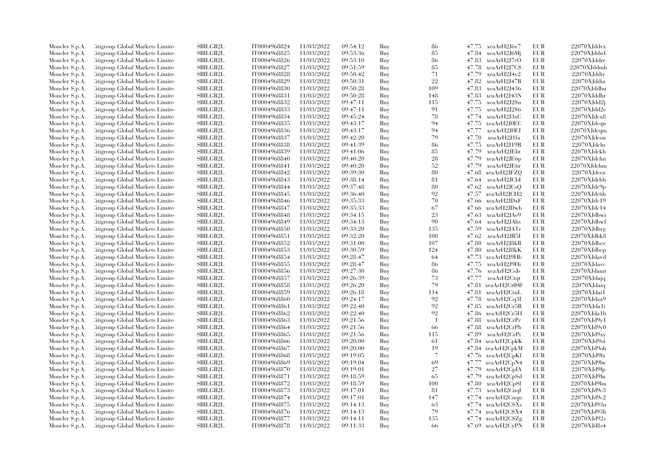| Moncler S.p.A. | Citigroup Global Markets Limite                                    | SBILGB2L                    | IT0004968824                 | 11/03/2022               | 09:54:12             | Buy        | 86             |                | $47.75$ $xeaArH2J6v7$       | EUR        | 22070XJddvx                |
|----------------|--------------------------------------------------------------------|-----------------------------|------------------------------|--------------------------|----------------------|------------|----------------|----------------|-----------------------------|------------|----------------------------|
| Moncler S.p.A. | Citigroup Global Markets Limite                                    | <b>SBILGB2L</b>             | IT0004968825                 | 11/03/2022               | 09:53:36             | Buy        | 85             |                | 47.84 xeaArH2J6Mi           | <b>EUR</b> | 22070XJddu1                |
| Moncler S.p.A. | Citigroup Global Markets Limite                                    | SBILGB2L                    | IT0004968826                 | 11/03/2022               | 09:53:10             | Buy        | 86             | 47.83          | xeaArH2J7cO                 | <b>EUR</b> | $22070\mbox{XJddre}$       |
| Moncler S.p.A. | Citigroup Global Markets Limite                                    | SBILGB2L                    | IT0004968827                 | 11/03/2022               | 09:51:59             | Buy        | 85             | 47.78          | xeaArH2J7C\$                | EUR        | 22070XJddmb                |
| Moncler S.p.A. | Citigroup Global Markets Limite                                    | <b>SBILGB2L</b>             | IT0004968828                 | 11/03/2022               | 09:50:42             | Buy        | 71             | 47.79          | xeaArH2J4v2                 | <b>EUR</b> | 22070XJddiy                |
| Moncler S.p.A. | Citigroup Global Markets Limite                                    | SBILGB2L                    | IT0004968829                 | 11/03/2022               | 09:50:31             | Buy        | 22             | 47.82          | xeaArH2J47B                 | EUR        | 22070XJddia                |
| Moncler S.p.A. | Citigroup Global Markets Limite                                    | SBILGB2L                    | IT0004968830                 | 11/03/2022               | 09:50:28             | Buy        | 109            | 47.83          | xeaArH2J436                 | <b>EUR</b> | 22070XJddhu                |
| Moncler S.p.A. | Citigroup Global Markets Limite                                    | <b>SBILGB2L</b>             | IT0004968831                 | 11/03/2022               | 09:50:28             | Buy        | 148            | 47.83          | xeaArH2J43N                 | EUR        | 22070XJddht                |
| Moncler S.p.A. | Citigroup Global Markets Limite                                    | <b>SBILGB2L</b>             | IT0004968832                 | 11/03/2022               | 09:47:11             | Buy        | 115            | 47.75          | xeaArH2J2Su                 | <b>EUR</b> | 22070XJdd2i                |
| Moncler S.p.A. | Citigroup Global Markets Limite                                    | <b>SBILGB2L</b>             | IT0004968833                 | 11/03/2022               | 09:47:11             | Buy        | 91             | 47.75          | xeaArH2J2\$6                | <b>EUR</b> | 22070XJdd2e                |
| Moncler S.p.A. | Citigroup Global Markets Limite                                    | <b>SBILGB2L</b>             | IT0004968834                 | 11/03/2022               | 09:45:24             | Buy        | 78             | 47.74          | xeaArH2J3xC                 | EUR        | 22070XJdcx8                |
| Moncler S.p.A. | Citigroup Global Markets Limite                                    | SBILGB2L                    | IT0004968835                 | 11/03/2022               | 09:43:17             | Buy        | 94             | 47.75          | xeaArH2J0EC                 | EUR        | 22070XJdcm                 |
| Moncler S.p.A. | Citigroup Global Markets Limite                                    | <b>SBILGB2L</b>             | IT0004968836                 | 11/03/2022               | 09:43:17             | Buy        | 94             | 47.77          | xeaArH2J0EI                 | EUR        | 22070XJdcpm                |
| Moncler S.p.A. | Citigroup Global Markets Limite                                    | <b>SBILGB2L</b>             | IT0004968837                 | 11/03/2022               | 09:42:20             | Buy        | 79             | 47.70          | xeaArH2J1fa                 | <b>EUR</b> | 22070XJdcou                |
| Moncler S.p.A. | Citigroup Global Markets Limite                                    | <b>SBILGB2L</b>             | IT0004968838                 | 11/03/2022               | 09:41:39             | Buy        | 86             | 47.75          | xeaArH2J19R                 | EUR        | 22070XJdclu                |
| Moncler S.p.A. | Citigroup Global Markets Limite                                    | <b>SBILGB2L</b>             | IT0004968839                 | 11/03/2022               | 09:41:06             | Buy        | 85             | 47.79          | xeaArH2JEbt                 | EUR        | 22070XJdckh                |
| Moncler S.p.A. | Citigroup Global Markets Limite                                    | SBILGB2L                    | IT0004968840                 | 11/03/2022               | 09:40:20             | Buy        | 28             |                | 47.79 xeaArH2JE6p           | EUR        | 22070XJdchn                |
| Moncler S.p.A. | Citigroup Global Markets Limite                                    | SBILGB2L                    | IT0004968841                 | 11/03/2022               | 09:40:20             | Buy        | 52             | 47.79          | xeaArH2JE6r                 | <b>EUR</b> | $22070X$ Jdchm             |
| Moncler S.p.A. | Citigroup Global Markets Limite                                    | <b>SBILGB2L</b>             | IT0004968842                 | 11/03/2022               | 09:39:30             | Buy        | 80             |                | 47.68 xeaArH2JFZQ           | EUR        | $22070XJ$ dcez             |
| Moncler S.p.A. | Citigroup Global Markets Limite                                    | <b>SBILGB2L</b>             | IT0004968843                 | 11/03/2022               | 09:38:14             | Buy        | 81             |                | 47.64 xeaArH2JCbI           | <b>EUR</b> | $22070\mbox{XJdcbh}$       |
| Moncler S.p.A. | Citigroup Global Markets Limite                                    | <b>SBILGB2L</b>             | IT0004968844                 | 11/03/2022               | 09:37:48             | Buy        | 80             |                | 47.62 xeaArH2JCsQ           | <b>EUR</b> | 22070XJdc9p                |
| Moncler S.p.A. | Citigroup Global Markets Limite                                    | <b>SBILGB2L</b>             | IT0004968845                 | 11/03/2022               | 09:36:40             | Buy        | 92             | 47.57          | xeaArH2JCH2                 | EUR        | 22070XJdc6h                |
| Moncler S.p.A. | Citigroup Global Markets Limite                                    | <b>SBILGB2L</b>             | IT0004968846                 | 11/03/2022               | 09:35:33             | Buy        | 70             | 47.66          | xeaArH2JDxF                 | EUR        | 22070XJdc19                |
| Moncler S.p.A. | Citigroup Global Markets Limite                                    | <b>SBILGB2L</b>             | IT0004968847                 | 11/03/2022               | 09:35:33             | Buy        | 67             |                | 47.66 xeaArH2JDwb           | EUR        | 22070XJdc14                |
| Moncler S.p.A. | Citigroup Global Markets Limite                                    | SBILGB2L                    | IT0004968848                 | 11/03/2022               | 09:34:15             | Buy        | 23             |                | 47.63 xeaArH2JAe9           | <b>EUR</b> | 22070XJdbwi                |
| Moncler S.p.A. | Litigroup Global Markets Limite                                    | SBILGB2L                    | IT0004968849                 | 11/03/2022               | 09:34:13             | Buy        | 90             |                | 47.64 xeaArH2JAhs           | EUR        | 22070XJdbwf                |
|                |                                                                    | <b>SBILGB2L</b>             | IT0004968850                 | 11/03/2022               | 09:33:20             | Buy        | 135            |                | xeaArH2JATr                 | EUR        | 22070XJdbrg                |
| Moncler S.p.A. | Citigroup Global Markets Limite                                    |                             |                              |                          |                      |            |                | 47.59          |                             |            |                            |
| Moncler S.p.A. | Citigroup Global Markets Limite<br>Citigroup Global Markets Limite | SBILGB2L<br><b>SBILGB2L</b> | IT0004968851<br>IT0004968852 | 11/03/2022<br>11/03/2022 | 09:32:20<br>09:31:00 | Buy<br>Buy | 100<br>107     | 47.62<br>47.80 | xeaArH2JB5I<br>xeaArH2J8kB  | EUR<br>EUR | 22070XJdbk8<br>22070XJdbcv |
| Moncler S.p.A. |                                                                    |                             |                              |                          |                      |            |                |                |                             |            |                            |
| Moncler S.p.A. | Litigroup Global Markets Limite                                    | <b>SBILGB2L</b>             | IT0004968853                 | 11/03/2022               | 09:30:59             | Buy        | 124            | 47.80          | xeaArH2J8kK                 | EUR        | 22070XJdbcp                |
| Moncler S.p.A. | Citigroup Global Markets Limite                                    | <b>SBILGB2L</b>             | IT0004968854                 | 11/03/2022               | 09:28:47             | Buy        | 64             | 47.73          | xeaArH2J9Hb                 | EUR        | 22070XJdavd                |
| Moncler S.p.A. | Citigroup Global Markets Limite                                    | SBILGB2L                    | IT0004968855                 | 11/03/2022               | 09:28:47             | Buy        | 86             | 47.75          | xeaArH2J9Hi                 | <b>EUR</b> | 22070XJdavc                |
| Moncler S.p.A. | Citigroup Global Markets Limited                                   | <b>SBILGB2L</b>             | IT0004968856                 | 11/03/2022               | 09:27:30             | Buy        | 86             | 47.76          | xeaArH2CsJs                 | EUR        | 22070XJdamt                |
| Moncler S.p.A. | Litigroup Global Markets Limite                                    | <b>SBILGB2L</b>             | IT0004968857                 | 11/03/2022               | 09:26:39             | Buy        | 73             | 47.77          | xeaArH2Ctqt                 | EUR        | 22070XJdaiq                |
| Moncler S.p.A. | Citigroup Global Markets Limite                                    | <b>SBILGB2L</b>             | IT0004968858                 | 11/03/2022               | 09:26:20             | Buy        | 79             | 47.81          | xeaArH2Ct@@                 | EUR        | 22070XJdaiq                |
| Moncler S.p.A. | Citigroup Global Markets Limite                                    | SBILGB2L                    | IT0004968859                 | 11/03/2022               | 09:26:18             | Buy        | 114            | 47.81          | xeaArH2CtuL                 | <b>EUR</b> | 22070XJdai1                |
| Moncler S.p.A. | Litigroup Global Markets Limite                                    | SBILGB2L                    | IT0004968860                 | 11/03/2022               | 09:24:17             | Buy        | 92             | 47.78          | xeaArH2Cq3I                 | EUR        | 22070XJdaa9                |
| Moncler S.p.A. | Citigroup Global Markets Limite                                    | <b>SBILGB2L</b>             | IT0004968861                 | 11/03/2022               | 09:22:40             | Buy        | 92             |                | 47.85 xeaArH2Cr5B           | EUR        | 22070XJda1i                |
| Moncler S.p.A. | Citigroup Global Markets Limite                                    | SBILGB2L                    | IT0004968862                 | 11/03/2022               | 09:22:40             | Buy        | 92             |                | 47.86 xeaArH2Cr5H           | EUR        | 22070XJda1h                |
| Moncler S.p.A. | Citigroup Global Markets Limite                                    | <b>SBILGB2L</b>             | IT0004968863                 | 11/03/2022               | 09:21:56             | Buy        | $\overline{1}$ | 47.88          | xeaArH2CrPc                 | EUR        | 22070XJd9v1                |
| Moncler S.p.A. | Litigroup Global Markets Limite                                    | <b>SBILGB2L</b>             | IT0004968864                 | 11/03/2022               | 09:21:56             | Buy        | -66            |                | 47.88 xeaArH2CrPh           | EUR        | 22070XJd9v0                |
| Moncler S.p.A. | Citigroup Global Markets Limite                                    | <b>SBILGB2L</b>             | IT0004968865                 | 11/03/2022               | 09:21:56             | Buy        | 115            | 47.89          | xeaArH2CrPi                 | EUR        | 22070XJd9xy                |
| Moncler S.p.A. | Citigroup Global Markets Limite                                    | <b>SBILGB2L</b>             | IT0004968866                 | 11/03/2022               | 09:20:00             | Buy        | 61             |                | 47.84 xeaArH2CpkK           | <b>EUR</b> | 22070XJd9oi                |
| Moncler S.p.A. | Citigroup Global Markets Limite                                    | <b>SBILGB2L</b>             | IT0004968867                 | 11/03/2022               | 09:20:00             | Buy        | 19             |                | 47.84 xeaArH2CpkM           | <b>EUR</b> | 22070XJd9oh                |
| Moncler S.p.A. | Litigroup Global Markets Limite                                    | <b>SBILGB2L</b>             | IT0004968868                 | 11/03/2022               | 09:19:05             | Buy        | 7              |                | 47.76 xeaArH2CpKf           | EUR        | 22070XJd9lx                |
| Moncler S.p.A. | Citigroup Global Markets Limite                                    | SBILGB2L                    | IT0004968869                 | 11/03/2022               | 09:19:04             | Buy        | 69             | 47.77          | xeaArH2CpN4                 | EUR        | 22070XJd9lw                |
| Moncler S.p.A. | Citigroup Global Markets Limite                                    | SBILGB2L                    | IT0004968870                 | 11/03/2022               | 09:19:01             | Buy        | 27             |                | 47.79 xeaArH2CpIA           | EUR        | 22070XJd9lp                |
| Moncler S.p.A. | Litigroup Global Markets Limite                                    | SBILGB2L                    | IT0004968871                 | 11/03/2022               | 09:18:59             | Buy        | 65             | 47.79          | xeaArH2CpSd                 | EUR        | 22070XJd9ln                |
| Moncler S.p.A. | Litigroup Global Markets Limite                                    | <b>SBILGB2L</b>             | IT0004968872                 | 11/03/2022               | 09:18:59             | Buy        | 100            |                | 47.80 xeaArH2CpSf           | EUR        | 22070XJd9lm                |
| Moncler S.p.A. | Citigroup Global Markets Limite                                    | SBILGB2L                    | IT0004968873                 | 11/03/2022               | 09:17:01             | Buy        | 81             | 47.73          | xeaArH2Cnql                 | EUR        | 22070XJd9c3                |
| Moncler S.p.A. | Citigroup Global Markets Limite                                    | <b>SBILGB2L</b>             | IT0004968874                 | 11/03/2022               | 09:17:01             | Buy        | 147            |                | $47.74 \text{ xeaArH2Cnqn}$ | EUR        | 22070XJd9c2                |
| Moncler S.p.A. | Litigroup Global Markets Limite                                    | <b>SBILGB2L</b>             | IT0004968875                 | 11/03/2022               | 09:14:13             | Buy        | 63             |                | 47.74 xeaArH2C\$Xs          | EUR        | 22070XJd93n                |
| Moncler S.p.A. | Citigroup Global Markets Limite                                    | <b>SBILGB2L</b>             | IT0004968876                 | 11/03/2022               | 09:14:13             | Buy        | 79             |                | 47.74 xeaArH2C\$X4          | EUR        | 22070XJd93h                |
| Moncler S.p.A. | Citigroup Global Markets Limite                                    | <b>SBILGB2L</b>             | IT0004968877                 | 11/03/2022               | 09:14:11             | Buy        | 135            |                | 47.74 xeaArH2C\$Zg          | <b>EUR</b> | 22070XJd92s                |
| Moncler S.p.A. | Citigroup Global Markets Limited                                   | SBILGB2L                    | IT0004968878                 | 11/03/2022               | 09:11:33             | Buy        | -66            |                | 47.69 xeaArH2CyPN           | EUR        | 22070XJd8s4                |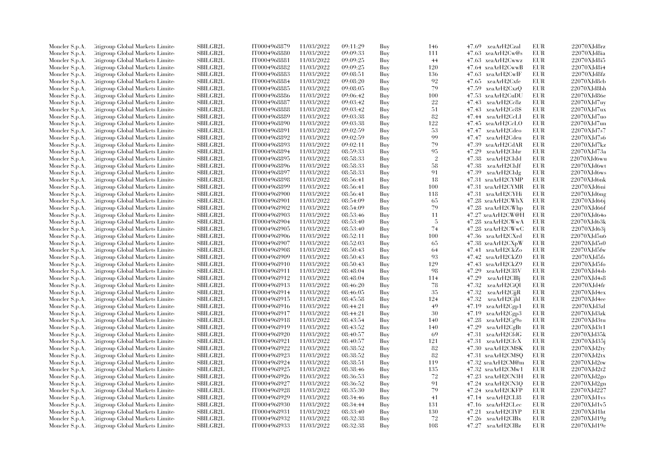| Moncler S.p.A. | Citigroup Global Markets Limite  | <b>SBILGB2L</b> | IT0004968879 | 11/03/2022 | 09:11:29 | Buy | 146            | 47.69 xeaArH2Czal           | EUR        | 22070XJd8rz    |
|----------------|----------------------------------|-----------------|--------------|------------|----------|-----|----------------|-----------------------------|------------|----------------|
| Moncler S.p.A. | Litigroup Global Markets Limite  | <b>SBILGB2L</b> | IT0004968880 | 11/03/2022 | 09:09:33 | Buy | 111            | $47.63 \text{ xeaArH2Cw@s}$ | <b>EUR</b> | 22070XJd8ia    |
| Moncler S.p.A. | Citigroup Global Markets Limited | <b>SBILGB2L</b> | IT0004968881 | 11/03/2022 | 09:09:25 | Buy | 44             | 47.63 xeaArH2Cwwz           | EUR        | 22070XJd8i5    |
| Moncler S.p.A. | Litigroup Global Markets Limite  | <b>SBILGB2L</b> | IT0004968882 | 11/03/2022 | 09:09:25 | Buy | 120            | 47.64 xeaArH2CwwB           | EUR        | 22070XJd8i4    |
| Moncler S.p.A. | Litigroup Global Markets Limite  | SBILGB2L        | IT0004968883 | 11/03/2022 | 09:08:51 | Buy | 136            | 47.63 xeaArH2CwIF           | EUR        | 22070XJd8fz    |
| Moncler S.p.A. | Citigroup Global Markets Limite  | <b>SBILGB2L</b> | IT0004968884 | 11/03/2022 | 09:08:20 | Buy | 92             | 47.65 xeaArH2Cxfe           | <b>EUR</b> | 22070XJd8cb    |
| Moncler S.p.A. | Litigroup Global Markets Limite  | SBILGB2L        | IT0004968885 | 11/03/2022 | 09:08:05 | Buy | 79             | 47.59<br>xeaArH2CxzQ        | EUR        | 22070XJd8bh    |
| Moncler S.p.A. | Litigroup Global Markets Limite  | <b>SBILGB2L</b> | IT0004968886 | 11/03/2022 | 09:06:42 | Buy | 100            | 47.53<br>xeaArH2CuDU        | EUR        | 22070XJd86e    |
| Moncler S.p.A. | Citigroup Global Markets Limite  | <b>SBILGB2L</b> | IT0004968887 | 11/03/2022 | 09:03:42 | Buy | 22             | 47.43<br>xeaArH2Cc8z        | <b>EUR</b> | 22070XJd7uy    |
| Moncler S.p.A. | Citigroup Global Markets Limite  | <b>SBILGB2L</b> | IT0004968888 | 11/03/2022 | 09:03:42 | Buy | 51             | 47.43<br>xeaArH2Cc8\$       | EUR        | 22070XJd7ux    |
| Moncler S.p.A. | Citigroup Global Markets Limite  | <b>SBILGB2L</b> | IT0004968889 | 11/03/2022 | 09:03:38 | Buy | 82             | 47.44 xeaArH2CcLI           | <b>EUR</b> | 22070XJd7uo    |
|                | Citigroup Global Markets Limite  | SBILGB2L        | IT0004968890 | 11/03/2022 | 09:03:38 | Buy | 122            | 47.45 xeaArH2CcLO           | <b>EUR</b> | 22070XJd7un    |
| Moncler S.p.A. | Citigroup Global Markets Limite  | <b>SBILGB2L</b> | IT0004968891 | 11/03/2022 | 09:02:59 | Buy | 53             | 47.47<br>xeaArH2Cdeo        | EUR        | 22070XJd7s7    |
| Moncler S.p.A. |                                  |                 |              |            |          |     | 99             |                             |            |                |
| Moncler S.p.A. | Citigroup Global Markets Limite  | <b>SBILGB2L</b> | IT0004968892 | 11/03/2022 | 09:02:59 | Buy |                | 47.47 xeaArH2Cdeu           | <b>EUR</b> | 22070XJd7s6    |
| Moncler S.p.A. | Citigroup Global Markets Limite  | SBILGB2L        | IT0004968893 | 11/03/2022 | 09:02:11 | Buy | 79             | 47.39 xeaArH2CdAR           | EUR        | 22070XJd7kz    |
| Moncler S.p.A. | Citigroup Global Markets Limite  | SBILGB2L        | IT0004968894 | 11/03/2022 | 08:59:33 | Buy | 95             | 47.29<br>xeaArH2Cbhr        | <b>EUR</b> | 22070XJd73a    |
| Moncler S.p.A. | Citigroup Global Markets Limite  | SBILGB2L        | IT0004968895 | 11/03/2022 | 08:58:33 | Buy | $\overline{2}$ | 47.38<br>xeaArH2CbJd        | EUR        | 22070XJd6wu    |
| Moncler S.p.A. | Citigroup Global Markets Limite  | <b>SBILGB2L</b> | IT0004968896 | 11/03/2022 | 08:58:33 | Buy | 58             | 47.38<br>xeaArH2CbJf        | <b>EUR</b> | 22070XJd6wt    |
| Moncler S.p.A. | Citigroup Global Markets Limite  | SBILGB2L        | IT0004968897 | 11/03/2022 | 08:58:33 | Buy | 91             | 47.39<br>xeaArH2CbJg        | <b>EUR</b> | 22070XJd6ws    |
| Moncler S.p.A. | Citigroup Global Markets Limite  | <b>SBILGB2L</b> | IT0004968898 | 11/03/2022 | 08:56:41 | Buy | 18             | 47.31 xeaArH2CYMP           | EUR        | 22070XJd6nk    |
| Moncler S.p.A. | Citigroup Global Markets Limite  | SBILGB2L        | IT0004968899 | 11/03/2022 | 08:56:41 | Buy | 100            | 47.31 xeaArH2CYMR           | EUR        | 22070XJd6ni    |
| Moncler S.p.A. | Citigroup Global Markets Limite  | <b>SBILGB2L</b> | IT0004968900 | 11/03/2022 | 08:56:41 | Buy | 118            | 47.31<br>xeaArH2CYHi        | <b>EUR</b> | 22070XJd6ng    |
| Moncler S.p.A. | Citigroup Global Markets Limite  | <b>SBILGB2L</b> | IT0004968901 | 11/03/2022 | 08:54:09 | Buy | 65             | 47.28 xeaArH2CWhX           | EUR        | 22070XJd66j    |
| Moncler S.p.A. | Citigroup Global Markets Limite  | SBILGB2L        | IT0004968902 | 11/03/2022 | 08:54:09 | Buy | 79             | 47.28 xeaArH2CWhp           | <b>EUR</b> | 22070XJd66f    |
| Moncler S.p.A. | Citigroup Global Markets Limite  | <b>SBILGB2L</b> | IT0004968903 | 11/03/2022 | 08:53:46 | Buy | 11             | 47.27 xeaArH2CW@H           | EUR        | 22070XJd64o    |
| Moncler S.p.A. | Citigroup Global Markets Limite  | <b>SBILGB2L</b> | IT0004968904 | 11/03/2022 | 08:53:40 | Buy | -5             | 47.28 xeaArH2CWwA           | EUR        | 22070XJd63k    |
| Moncler S.p.A. | Citigroup Global Markets Limite  | SBILGB2L        | IT0004968905 | 11/03/2022 | 08:53:40 | Buy | 74             | 47.28 xeaArH2CWwC           | EUR        | 22070XJd63j    |
| Moncler S.p.A. | Citigroup Global Markets Limite  | <b>SBILGB2L</b> | IT0004968906 | 11/03/2022 | 08:52:11 | Buy | 100            | 47.36 xeaArH2CXrd           | <b>EUR</b> | 22070XJd5u6    |
| Moncler S.p.A. | Citigroup Global Markets Limite  | <b>SBILGB2L</b> | IT0004968907 | 11/03/2022 | 08:52:03 | Buy | 65             | 47.38 xeaArH2CXpW           | EUR        | 22070XJd5s0    |
| Moncler S.p.A. | Citigroup Global Markets Limite  | <b>SBILGB2L</b> | IT0004968908 | 11/03/2022 | 08:50:43 | Buy | 64             | 47.41 xeaArH2CkZo           | EUR        | $22070XJd5f$ w |
| Moncler S.p.A. | Citigroup Global Markets Limite  | <b>SBILGB2L</b> | IT0004968909 | 11/03/2022 | 08:50:43 | Buy | 93             | 47.42 xeaArH2CkZ0           | <b>EUR</b> | 22070XJd5fs    |
| Moncler S.p.A. | Citigroup Global Markets Limite  | SBILGB2L        | IT0004968910 | 11/03/2022 | 08:50:43 | Buy | 129            | 47.43 xeaArH2CkZ9           | <b>EUR</b> | 22070XJd5fo    |
| Moncler S.p.A. | Citigroup Global Markets Limite  | SBILGB2L        | IT0004968911 | 11/03/2022 | 08:48:04 | Buy | 98             | 47.29<br>xeaArH2Cl8V        | EUR        | 22070XJd4sh    |
| Moncler S.p.A. | Citigroup Global Markets Limite  | SBILGB2L        | IT0004968912 | 11/03/2022 | 08:48:04 | Buy | 114            | 47.29<br>xeaArH2ClBj        | EUR        | 22070XJd4s8    |
| Moncler S.p.A. | Citigroup Global Markets Limite  | SBILGB2L        | IT0004968913 | 11/03/2022 | 08:46:20 | Buy | 78             | xeaArH2CiQl<br>47.32        | EUR        | 22070XJd4fr    |
| Moncler S.p.A. | Litigroup Global Markets Limite  | SBILGB2L        | IT0004968914 | 11/03/2022 | 08:46:05 | Buy | 35             | 47.32<br>xeaArH2CjjR        | EUR        | 22070XJd4ex    |
| Moncler S.p.A. | Citigroup Global Markets Limite  | SBILGB2L        | IT0004968915 | 11/03/2022 | 08:45:58 | Buy | 124            | 47.32<br>xeaArH2Cjhl        | EUR        | 22070XJd4ee    |
| Moncler S.p.A. | Litigroup Global Markets Limite  | <b>SBILGB2L</b> | IT0004968916 | 11/03/2022 | 08:44:21 | Buy | 49             | $47.19$ $xeaArH2Cgp1$       | <b>EUR</b> | 22070XJd3zl    |
| Moncler S.p.A. | Citigroup Global Markets Limite  | <b>SBILGB2L</b> | IT0004968917 | 11/03/2022 | 08:44:21 | Buy | 30             | 47.19<br>xeaArH2Cgp3        | EUR        | 22070XJd3zk    |
| Moncler S.p.A. | Citigroup Global Markets Limite  | SBILGB2L        | IT0004968918 | 11/03/2022 | 08:43:54 | Buy | 140            | $47.28$ xeaArH $2Cg9o$      | <b>EUR</b> | 22070XJd3tu    |
| Moncler S.p.A. | Citigroup Global Markets Limite  | <b>SBILGB2L</b> | IT0004968919 | 11/03/2022 | 08:43:52 | Buy | 140            | $47.29$ xeaArH2CgBt         | EUR        | 22070XJd3t1    |
| Moncler S.p.A. | Citigroup Global Markets Limite  | <b>SBILGB2L</b> | IT0004968920 | 11/03/2022 | 08:40:57 | Buy | 69             | 47.31<br>xeaArH2CfdG        | EUR        | 22070XJd35k    |
|                |                                  |                 |              |            |          |     |                |                             |            |                |
| Moncler S.p.A. | Citigroup Global Markets Limite  | <b>SBILGB2L</b> | IT0004968921 | 11/03/2022 | 08:40:57 | Buy | 121            | 47.31 xeaArH2CfcX           | <b>EUR</b> | 22070XJd35j    |
| Moncler S.p.A. | Litigroup Global Markets Limite  | <b>SBILGB2L</b> | IT0004968922 | 11/03/2022 | 08:38:52 | Buy | 82             | 47.30 xeaArH2CM\$K          | EUR        | 22070XJd2tv    |
| Moncler S.p.A. | Citigroup Global Markets Limite  | SBILGB2L        | IT0004968923 | 11/03/2022 | 08:38:52 | Buy | 82             | 47.31 xeaArH2CM\$Q          | <b>EUR</b> | 22070XJd2tx    |
| Moncler S.p.A. | Litigroup Global Markets Limite  | SBILGB2L        | IT0004968924 | 11/03/2022 | 08:38:51 | Buy | 119            | 47.32 xeaArH2CM@m           | EUR        | 22070XJd2tw    |
| Moncler S.p.A. | Litigroup Global Markets Limite  | <b>SBILGB2L</b> | IT0004968925 | 11/03/2022 | 08:38:46 | Buy | 135            | 47.32 xeaArH2CMw1           | <b>EUR</b> | 22070XJd2t2    |
| Moncler S.p.A. | Litigroup Global Markets Limite  | SBILGB2L        | IT0004968926 | 11/03/2022 | 08:36:53 | Buy | 72             | 47.23 xeaArH2CN3H           | <b>EUR</b> | 22070XJd2go    |
| Moncler S.p.A. | Citigroup Global Markets Limite  | <b>SBILGB2L</b> | IT0004968927 | 11/03/2022 | 08:36:52 | Buy | 91             | 47.24 xeaArH2CN3Q           | EUR        | 22070XJd2gn    |
| Moncler S.p.A. | Citigroup Global Markets Limite  | <b>SBILGB2L</b> | IT0004968928 | 11/03/2022 | 08:35:30 | Buy | 79             | 47.24 xeaArH2CKFP           | <b>EUR</b> | 22070XJd227    |
| Moncler S.p.A. | Citigroup Global Markets Limite  | SBILGB2L        | IT0004968929 | 11/03/2022 | 08:34:46 | Buy | 41             | 47.14 xeaArH2CL18           | EUR        | 22070XJd1vs    |
| Moncler S.p.A. | Citigroup Global Markets Limite  | <b>SBILGB2L</b> | IT0004968930 | 11/03/2022 | 08:34:44 | Buy | 131            | 47.16 xeaArH2CLec           | EUR        | 22070XJd1v5    |
| Moncler S.p.A. | Litigroup Global Markets Limite  | <b>SBILGB2L</b> | IT0004968931 | 11/03/2022 | 08:33:40 | Buy | 130            | 47.21<br>xeaArH2CIYP        | EUR        | 22070XJd1ht    |
| Moncler S.p.A. | Litigroup Global Markets Limite  | SBILGB2L        | IT0004968932 | 11/03/2022 | 08:32:38 | Buy | 72             | 47.26<br>xeaArH2ClBx        | EUR        | 22070XJd19g    |
| Moncler S.p.A. | Citigroup Global Markets Limited | <b>SBILGB2L</b> | IT0004968933 | 11/03/2022 | 08:32:38 | Buy | 108            | 47.27 xeaArH2CIBz           | <b>EUR</b> | 22070XJd19e    |
|                |                                  |                 |              |            |          |     |                |                             |            |                |